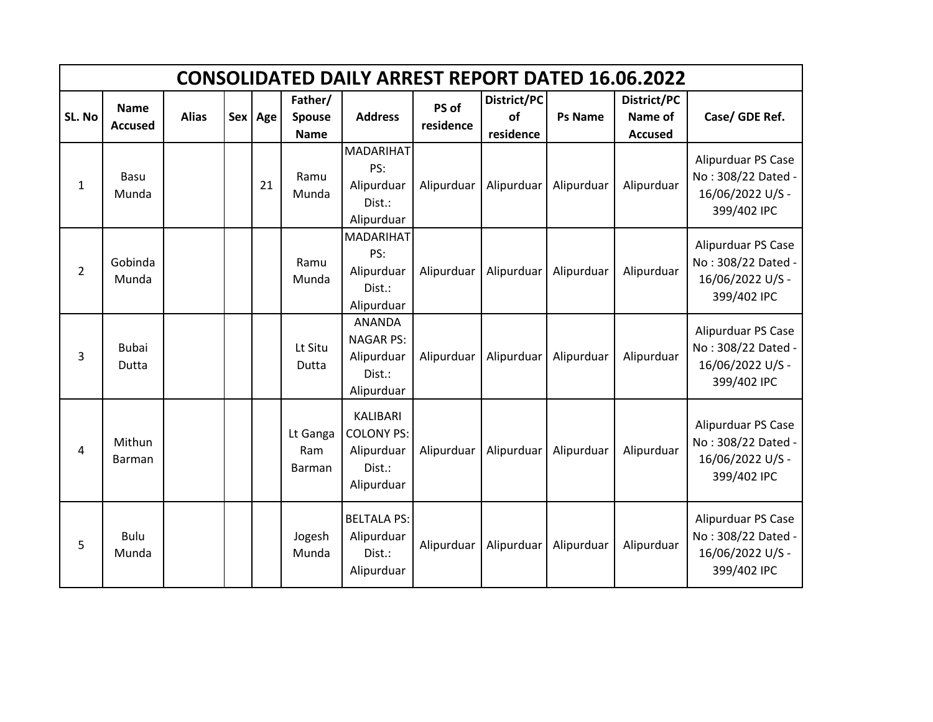|                | <b>CONSOLIDATED DAILY ARREST REPORT DATED 16.06.2022</b> |              |  |         |                                         |                                                                            |                    |                                       |                |                                          |                                                                             |  |  |  |
|----------------|----------------------------------------------------------|--------------|--|---------|-----------------------------------------|----------------------------------------------------------------------------|--------------------|---------------------------------------|----------------|------------------------------------------|-----------------------------------------------------------------------------|--|--|--|
| SL. No         | <b>Name</b><br><b>Accused</b>                            | <b>Alias</b> |  | Sex Age | Father/<br><b>Spouse</b><br><b>Name</b> | <b>Address</b>                                                             | PS of<br>residence | District/PC<br><b>of</b><br>residence | <b>Ps Name</b> | District/PC<br>Name of<br><b>Accused</b> | Case/ GDE Ref.                                                              |  |  |  |
| $\mathbf{1}$   | Basu<br>Munda                                            |              |  | 21      | Ramu<br>Munda                           | MADARIHAT<br>PS:<br>Alipurduar<br>Dist.:<br>Alipurduar                     | Alipurduar         | Alipurduar                            | Alipurduar     | Alipurduar                               | Alipurduar PS Case<br>No: 308/22 Dated -<br>16/06/2022 U/S -<br>399/402 IPC |  |  |  |
| $\overline{2}$ | Gobinda<br>Munda                                         |              |  |         | Ramu<br>Munda                           | <b>MADARIHAT</b><br>PS:<br>Alipurduar<br>Dist.:<br>Alipurduar              | Alipurduar         | Alipurduar                            | Alipurduar     | Alipurduar                               | Alipurduar PS Case<br>No: 308/22 Dated -<br>16/06/2022 U/S -<br>399/402 IPC |  |  |  |
| 3              | <b>Bubai</b><br>Dutta                                    |              |  |         | Lt Situ<br>Dutta                        | <b>ANANDA</b><br><b>NAGAR PS:</b><br>Alipurduar<br>Dist.:<br>Alipurduar    | Alipurduar         | Alipurduar                            | Alipurduar     | Alipurduar                               | Alipurduar PS Case<br>No: 308/22 Dated -<br>16/06/2022 U/S -<br>399/402 IPC |  |  |  |
| 4              | Mithun<br>Barman                                         |              |  |         | Lt Ganga<br>Ram<br>Barman               | <b>KALIBARI</b><br><b>COLONY PS:</b><br>Alipurduar<br>Dist.:<br>Alipurduar | Alipurduar         | Alipurduar                            | Alipurduar     | Alipurduar                               | Alipurduar PS Case<br>No: 308/22 Dated -<br>16/06/2022 U/S -<br>399/402 IPC |  |  |  |
| 5              | <b>Bulu</b><br>Munda                                     |              |  |         | Jogesh<br>Munda                         | <b>BELTALA PS:</b><br>Alipurduar<br>Dist.:<br>Alipurduar                   | Alipurduar         | Alipurduar                            | Alipurduar     | Alipurduar                               | Alipurduar PS Case<br>No: 308/22 Dated -<br>16/06/2022 U/S -<br>399/402 IPC |  |  |  |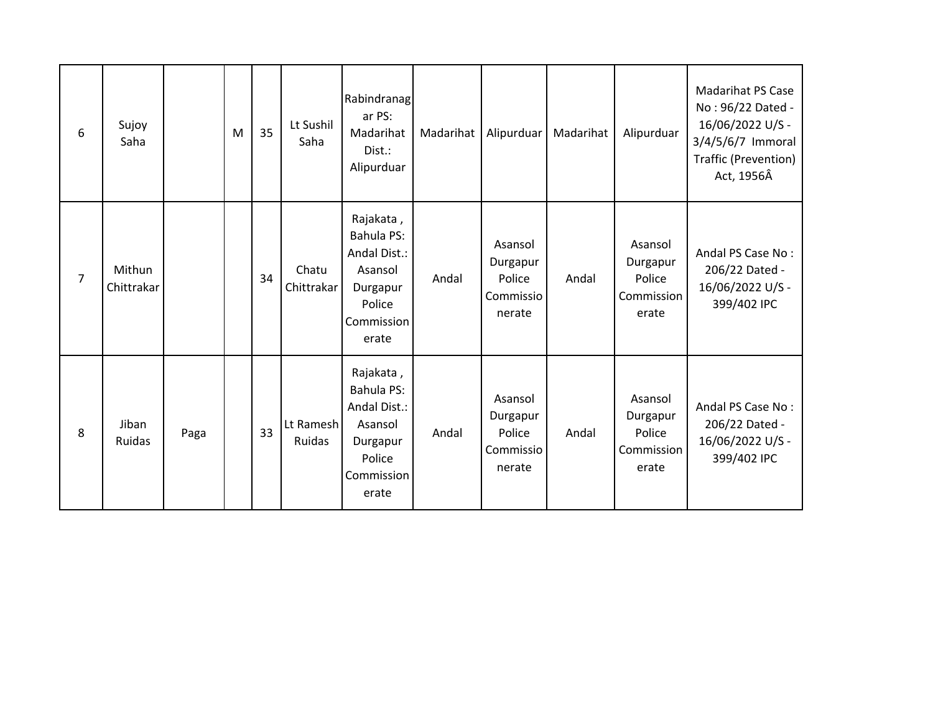| 6              | Sujoy<br>Saha        |      | M | 35 | Lt Sushil<br>Saha   | Rabindranag<br>ar PS:<br>Madarihat<br>Dist.:<br>Alipurduar                                      | Madarihat | Alipurduar                                           | Madarihat | Alipurduar                                           | <b>Madarihat PS Case</b><br>No: 96/22 Dated -<br>16/06/2022 U/S -<br>3/4/5/6/7 Immoral<br>Traffic (Prevention)<br>Act, 1956Â |
|----------------|----------------------|------|---|----|---------------------|-------------------------------------------------------------------------------------------------|-----------|------------------------------------------------------|-----------|------------------------------------------------------|------------------------------------------------------------------------------------------------------------------------------|
| $\overline{7}$ | Mithun<br>Chittrakar |      |   | 34 | Chatu<br>Chittrakar | Rajakata,<br>Bahula PS:<br>Andal Dist.:<br>Asansol<br>Durgapur<br>Police<br>Commission<br>erate | Andal     | Asansol<br>Durgapur<br>Police<br>Commissio<br>nerate | Andal     | Asansol<br>Durgapur<br>Police<br>Commission<br>erate | Andal PS Case No:<br>206/22 Dated -<br>16/06/2022 U/S -<br>399/402 IPC                                                       |
| 8              | Jiban<br>Ruidas      | Paga |   | 33 | Lt Ramesh<br>Ruidas | Rajakata,<br>Bahula PS:<br>Andal Dist.:<br>Asansol<br>Durgapur<br>Police<br>Commission<br>erate | Andal     | Asansol<br>Durgapur<br>Police<br>Commissio<br>nerate | Andal     | Asansol<br>Durgapur<br>Police<br>Commission<br>erate | Andal PS Case No:<br>206/22 Dated -<br>16/06/2022 U/S -<br>399/402 IPC                                                       |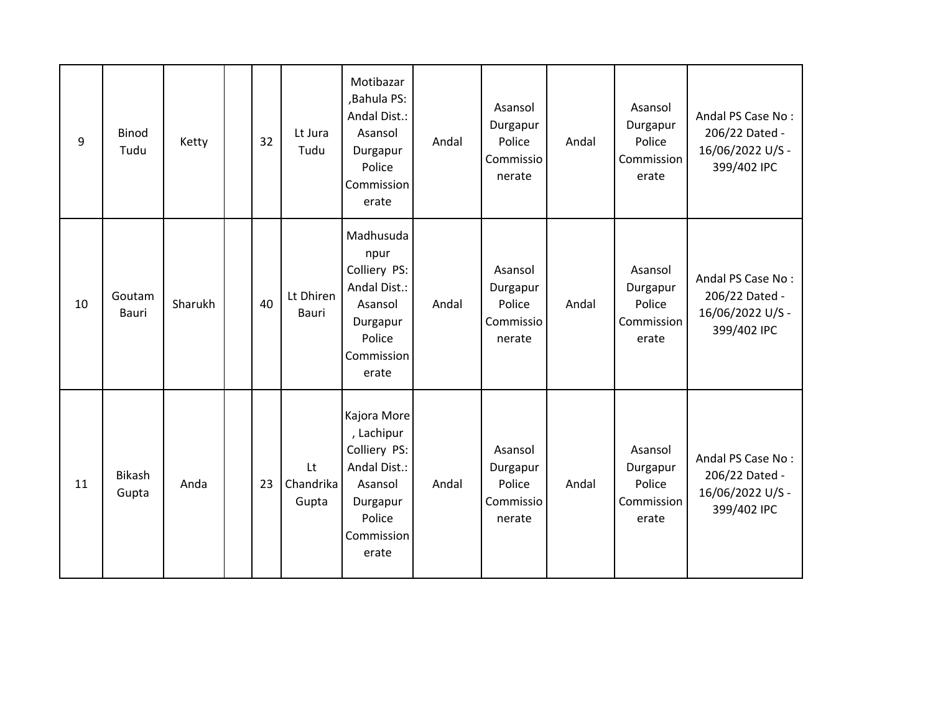| 9  | <b>Binod</b><br>Tudu   | Ketty   | 32 | Lt Jura<br>Tudu          | Motibazar<br>,Bahula PS:<br>Andal Dist.:<br>Asansol<br>Durgapur<br>Police<br>Commission<br>erate                  | Andal | Asansol<br>Durgapur<br>Police<br>Commissio<br>nerate | Andal | Asansol<br>Durgapur<br>Police<br>Commission<br>erate | Andal PS Case No:<br>206/22 Dated -<br>16/06/2022 U/S -<br>399/402 IPC |
|----|------------------------|---------|----|--------------------------|-------------------------------------------------------------------------------------------------------------------|-------|------------------------------------------------------|-------|------------------------------------------------------|------------------------------------------------------------------------|
| 10 | Goutam<br><b>Bauri</b> | Sharukh | 40 | Lt Dhiren<br>Bauri       | Madhusuda<br>npur<br>Colliery PS:<br>Andal Dist.:<br>Asansol<br>Durgapur<br>Police<br>Commission<br>erate         | Andal | Asansol<br>Durgapur<br>Police<br>Commissio<br>nerate | Andal | Asansol<br>Durgapur<br>Police<br>Commission<br>erate | Andal PS Case No:<br>206/22 Dated -<br>16/06/2022 U/S -<br>399/402 IPC |
| 11 | Bikash<br>Gupta        | Anda    | 23 | Lt<br>Chandrika<br>Gupta | Kajora More<br>, Lachipur<br>Colliery PS:<br>Andal Dist.:<br>Asansol<br>Durgapur<br>Police<br>Commission<br>erate | Andal | Asansol<br>Durgapur<br>Police<br>Commissio<br>nerate | Andal | Asansol<br>Durgapur<br>Police<br>Commission<br>erate | Andal PS Case No:<br>206/22 Dated -<br>16/06/2022 U/S -<br>399/402 IPC |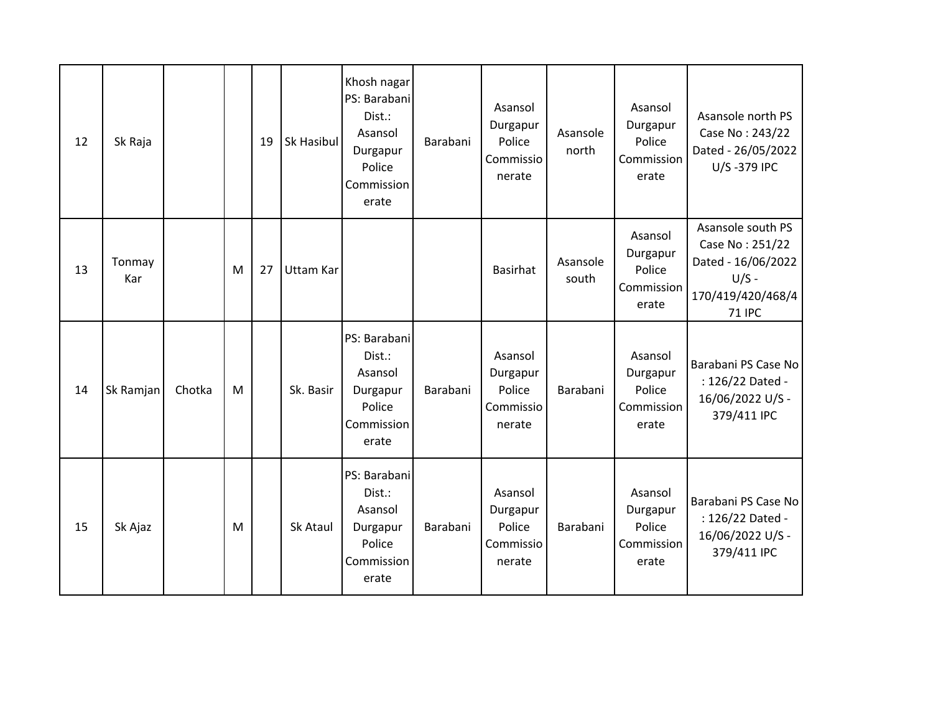| 12 | Sk Raja       |        |   | 19 | Sk Hasibul | Khosh nagar<br>PS: Barabani<br>Dist.:<br>Asansol<br>Durgapur<br>Police<br>Commission<br>erate | Barabani | Asansol<br>Durgapur<br>Police<br>Commissio<br>nerate | Asansole<br>north | Asansol<br>Durgapur<br>Police<br>Commission<br>erate | Asansole north PS<br>Case No: 243/22<br>Dated - 26/05/2022<br>U/S-379 IPC                                   |
|----|---------------|--------|---|----|------------|-----------------------------------------------------------------------------------------------|----------|------------------------------------------------------|-------------------|------------------------------------------------------|-------------------------------------------------------------------------------------------------------------|
| 13 | Tonmay<br>Kar |        | M | 27 | Uttam Kar  |                                                                                               |          | <b>Basirhat</b>                                      | Asansole<br>south | Asansol<br>Durgapur<br>Police<br>Commission<br>erate | Asansole south PS<br>Case No: 251/22<br>Dated - 16/06/2022<br>$U/S -$<br>170/419/420/468/4<br><b>71 IPC</b> |
| 14 | Sk Ramjan     | Chotka | M |    | Sk. Basir  | PS: Barabani<br>Dist.:<br>Asansol<br>Durgapur<br>Police<br>Commission<br>erate                | Barabani | Asansol<br>Durgapur<br>Police<br>Commissio<br>nerate | Barabani          | Asansol<br>Durgapur<br>Police<br>Commission<br>erate | Barabani PS Case No<br>: 126/22 Dated -<br>16/06/2022 U/S -<br>379/411 IPC                                  |
| 15 | Sk Ajaz       |        | M |    | Sk Ataul   | PS: Barabani<br>Dist.:<br>Asansol<br>Durgapur<br>Police<br>Commission<br>erate                | Barabani | Asansol<br>Durgapur<br>Police<br>Commissio<br>nerate | Barabani          | Asansol<br>Durgapur<br>Police<br>Commission<br>erate | Barabani PS Case No<br>: 126/22 Dated -<br>16/06/2022 U/S -<br>379/411 IPC                                  |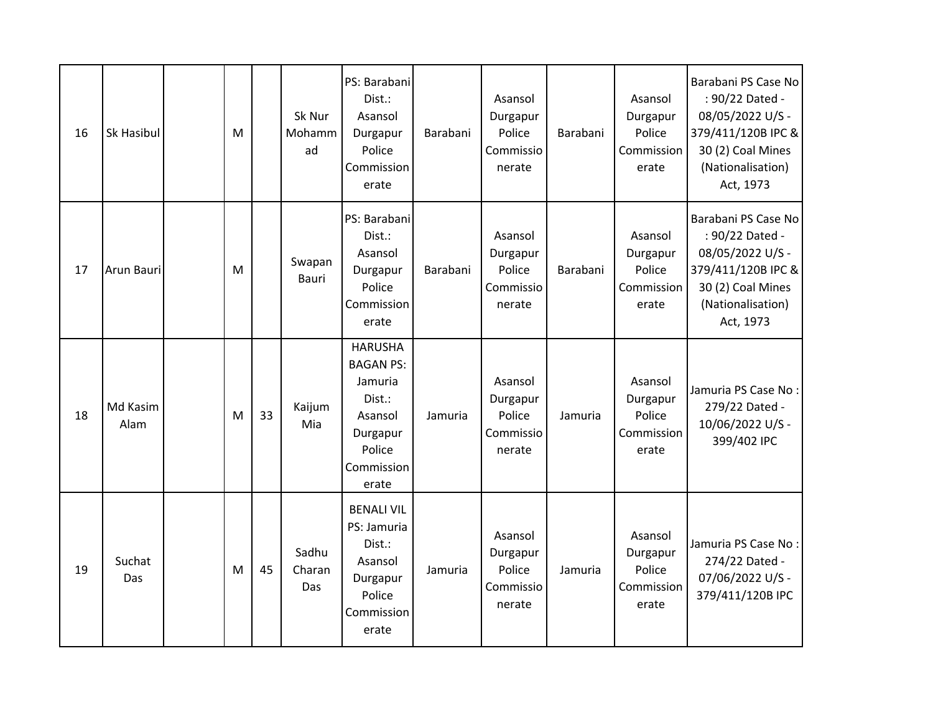| 16 | Sk Hasibul       | M |    | Sk Nur<br>Mohamm<br>ad | PS: Barabani<br>Dist.:<br>Asansol<br>Durgapur<br>Police<br>Commission<br>erate                                  | Barabani | Asansol<br>Durgapur<br>Police<br>Commissio<br>nerate | Barabani | Asansol<br>Durgapur<br>Police<br>Commission<br>erate | Barabani PS Case No<br>: 90/22 Dated -<br>08/05/2022 U/S -<br>379/411/120B IPC &<br>30 (2) Coal Mines<br>(Nationalisation)<br>Act, 1973 |
|----|------------------|---|----|------------------------|-----------------------------------------------------------------------------------------------------------------|----------|------------------------------------------------------|----------|------------------------------------------------------|-----------------------------------------------------------------------------------------------------------------------------------------|
| 17 | Arun Bauri       | M |    | Swapan<br><b>Bauri</b> | PS: Barabani<br>Dist.:<br>Asansol<br>Durgapur<br>Police<br>Commission<br>erate                                  | Barabani | Asansol<br>Durgapur<br>Police<br>Commissio<br>nerate | Barabani | Asansol<br>Durgapur<br>Police<br>Commission<br>erate | Barabani PS Case No<br>: 90/22 Dated -<br>08/05/2022 U/S -<br>379/411/120B IPC &<br>30 (2) Coal Mines<br>(Nationalisation)<br>Act, 1973 |
| 18 | Md Kasim<br>Alam | M | 33 | Kaijum<br>Mia          | <b>HARUSHA</b><br><b>BAGAN PS:</b><br>Jamuria<br>Dist.:<br>Asansol<br>Durgapur<br>Police<br>Commission<br>erate | Jamuria  | Asansol<br>Durgapur<br>Police<br>Commissio<br>nerate | Jamuria  | Asansol<br>Durgapur<br>Police<br>Commission<br>erate | Jamuria PS Case No:<br>279/22 Dated -<br>10/06/2022 U/S -<br>399/402 IPC                                                                |
| 19 | Suchat<br>Das    | M | 45 | Sadhu<br>Charan<br>Das | <b>BENALI VIL</b><br>PS: Jamuria<br>Dist.:<br>Asansol<br>Durgapur<br>Police<br>Commission<br>erate              | Jamuria  | Asansol<br>Durgapur<br>Police<br>Commissio<br>nerate | Jamuria  | Asansol<br>Durgapur<br>Police<br>Commission<br>erate | Jamuria PS Case No:<br>274/22 Dated -<br>07/06/2022 U/S -<br>379/411/120B IPC                                                           |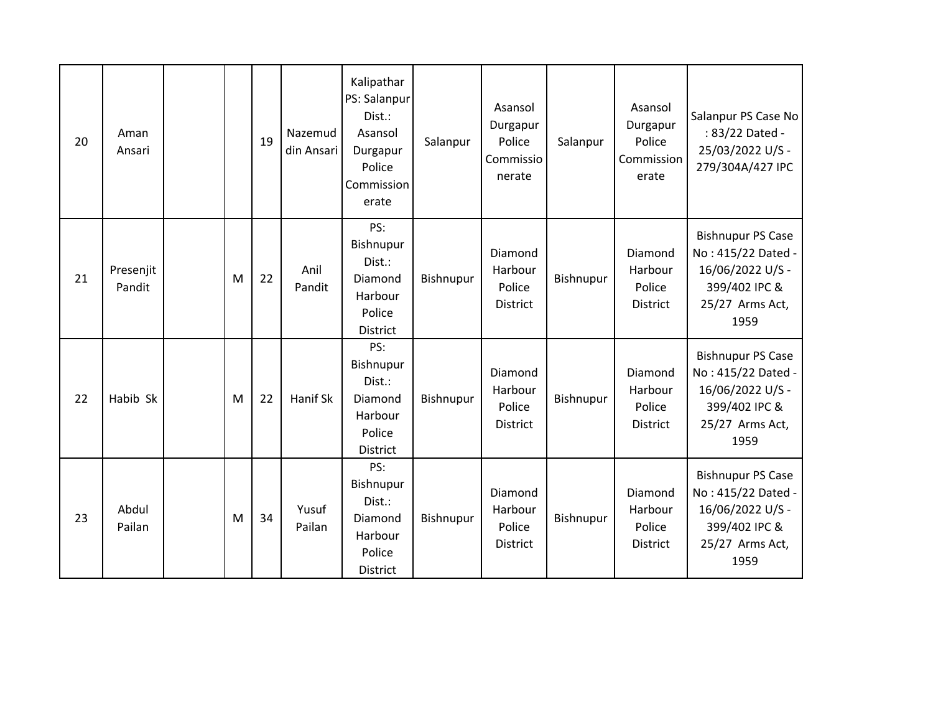| 20 | Aman<br>Ansari      |   | 19 | Nazemud<br>din Ansari | Kalipathar<br>PS: Salanpur<br>Dist.:<br>Asansol<br>Durgapur<br>Police<br>Commission<br>erate | Salanpur  | Asansol<br>Durgapur<br>Police<br>Commissio<br>nerate | Salanpur  | Asansol<br>Durgapur<br>Police<br>Commission<br>erate | Salanpur PS Case No<br>: 83/22 Dated -<br>25/03/2022 U/S -<br>279/304A/427 IPC                                 |
|----|---------------------|---|----|-----------------------|----------------------------------------------------------------------------------------------|-----------|------------------------------------------------------|-----------|------------------------------------------------------|----------------------------------------------------------------------------------------------------------------|
| 21 | Presenjit<br>Pandit | M | 22 | Anil<br>Pandit        | PS:<br>Bishnupur<br>Dist.:<br>Diamond<br>Harbour<br>Police<br>District                       | Bishnupur | Diamond<br>Harbour<br>Police<br><b>District</b>      | Bishnupur | Diamond<br>Harbour<br>Police<br><b>District</b>      | <b>Bishnupur PS Case</b><br>No: 415/22 Dated -<br>16/06/2022 U/S -<br>399/402 IPC &<br>25/27 Arms Act,<br>1959 |
| 22 | Habib Sk            | M | 22 | Hanif Sk              | PS:<br>Bishnupur<br>Dist.:<br>Diamond<br>Harbour<br>Police<br>District                       | Bishnupur | Diamond<br>Harbour<br>Police<br><b>District</b>      | Bishnupur | Diamond<br>Harbour<br>Police<br>District             | <b>Bishnupur PS Case</b><br>No: 415/22 Dated -<br>16/06/2022 U/S -<br>399/402 IPC &<br>25/27 Arms Act,<br>1959 |
| 23 | Abdul<br>Pailan     | M | 34 | Yusuf<br>Pailan       | PS:<br>Bishnupur<br>Dist.:<br>Diamond<br>Harbour<br>Police<br>District                       | Bishnupur | Diamond<br>Harbour<br>Police<br><b>District</b>      | Bishnupur | Diamond<br>Harbour<br>Police<br><b>District</b>      | <b>Bishnupur PS Case</b><br>No: 415/22 Dated -<br>16/06/2022 U/S -<br>399/402 IPC &<br>25/27 Arms Act,<br>1959 |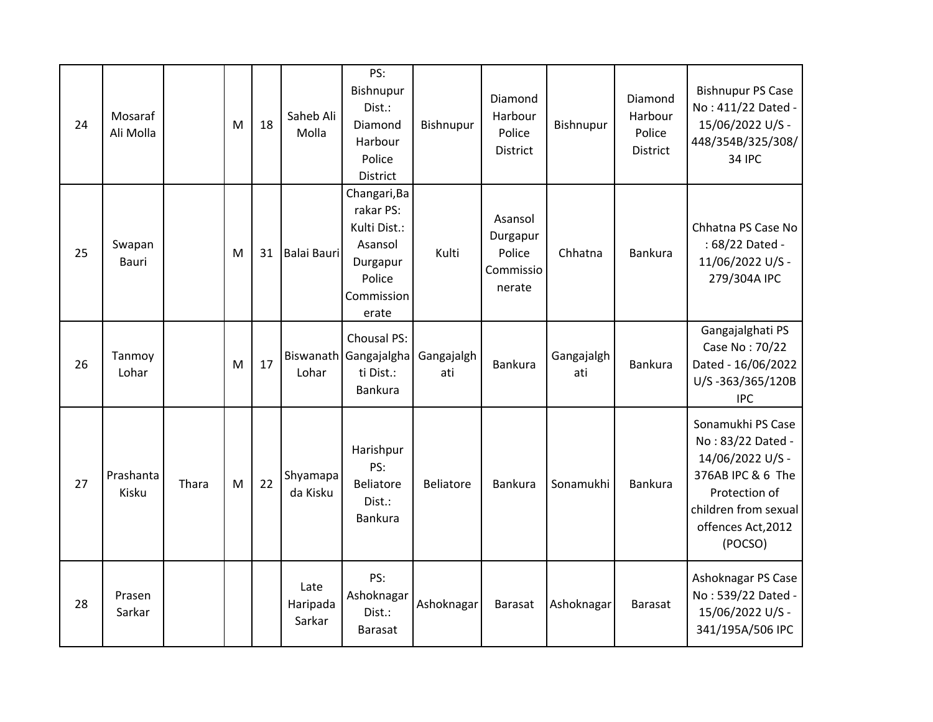| 24 | Mosaraf<br>Ali Molla |       | M | 18 | Saheb Ali<br>Molla         | PS:<br>Bishnupur<br>Dist.:<br>Diamond<br>Harbour<br>Police<br>District                            | Bishnupur         | Diamond<br>Harbour<br>Police<br><b>District</b>      | Bishnupur         | Diamond<br>Harbour<br>Police<br><b>District</b> | <b>Bishnupur PS Case</b><br>No: 411/22 Dated -<br>15/06/2022 U/S -<br>448/354B/325/308/<br><b>34 IPC</b>                                                  |
|----|----------------------|-------|---|----|----------------------------|---------------------------------------------------------------------------------------------------|-------------------|------------------------------------------------------|-------------------|-------------------------------------------------|-----------------------------------------------------------------------------------------------------------------------------------------------------------|
| 25 | Swapan<br>Bauri      |       | M | 31 | Balai Bauri                | Changari, Ba<br>rakar PS:<br>Kulti Dist.:<br>Asansol<br>Durgapur<br>Police<br>Commission<br>erate | Kulti             | Asansol<br>Durgapur<br>Police<br>Commissio<br>nerate | Chhatna           | Bankura                                         | Chhatna PS Case No<br>: 68/22 Dated -<br>11/06/2022 U/S -<br>279/304A IPC                                                                                 |
| 26 | Tanmoy<br>Lohar      |       | M | 17 | Lohar                      | Chousal PS:<br>Biswanath Gangajalgha<br>ti Dist.:<br>Bankura                                      | Gangajalgh<br>ati | <b>Bankura</b>                                       | Gangajalgh<br>ati | Bankura                                         | Gangajalghati PS<br>Case No: 70/22<br>Dated - 16/06/2022<br>U/S-363/365/120B<br><b>IPC</b>                                                                |
| 27 | Prashanta<br>Kisku   | Thara | M | 22 | Shyamapa<br>da Kisku       | Harishpur<br>PS:<br>Beliatore<br>Dist.:<br>Bankura                                                | <b>Beliatore</b>  | Bankura                                              | Sonamukhi         | Bankura                                         | Sonamukhi PS Case<br>No: 83/22 Dated -<br>14/06/2022 U/S -<br>376AB IPC & 6 The<br>Protection of<br>children from sexual<br>offences Act, 2012<br>(POCSO) |
| 28 | Prasen<br>Sarkar     |       |   |    | Late<br>Haripada<br>Sarkar | PS:<br>Ashoknagar<br>Dist.:<br>Barasat                                                            | Ashoknagar        | Barasat                                              | Ashoknagar        | Barasat                                         | Ashoknagar PS Case<br>No: 539/22 Dated -<br>15/06/2022 U/S -<br>341/195A/506 IPC                                                                          |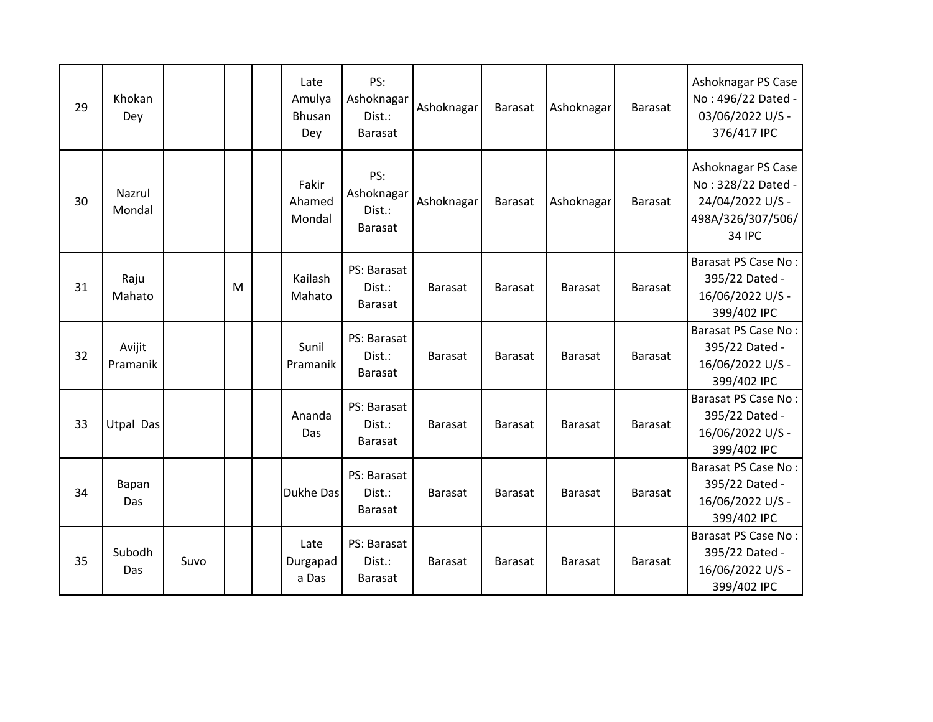| 29 | Khokan<br>Dey      |      |   | Late<br>Amulya<br><b>Bhusan</b><br>Dey | PS:<br>Ashoknagar<br>Dist.:<br>Barasat  | Ashoknagar     | <b>Barasat</b> | Ashoknagar     | Barasat        | Ashoknagar PS Case<br>No: 496/22 Dated -<br>03/06/2022 U/S -<br>376/417 IPC                        |
|----|--------------------|------|---|----------------------------------------|-----------------------------------------|----------------|----------------|----------------|----------------|----------------------------------------------------------------------------------------------------|
| 30 | Nazrul<br>Mondal   |      |   | Fakir<br>Ahamed<br>Mondal              | PS:<br>Ashoknagar<br>Dist.:<br>Barasat  | Ashoknagar     | <b>Barasat</b> | Ashoknagar     | Barasat        | Ashoknagar PS Case<br>No: 328/22 Dated -<br>24/04/2022 U/S -<br>498A/326/307/506/<br><b>34 IPC</b> |
| 31 | Raju<br>Mahato     |      | M | Kailash<br>Mahato                      | PS: Barasat<br>Dist.:<br>Barasat        | <b>Barasat</b> | <b>Barasat</b> | <b>Barasat</b> | <b>Barasat</b> | Barasat PS Case No:<br>395/22 Dated -<br>16/06/2022 U/S -<br>399/402 IPC                           |
| 32 | Avijit<br>Pramanik |      |   | Sunil<br>Pramanik                      | PS: Barasat<br>Dist.:<br><b>Barasat</b> | Barasat        | <b>Barasat</b> | <b>Barasat</b> | <b>Barasat</b> | Barasat PS Case No:<br>395/22 Dated -<br>16/06/2022 U/S -<br>399/402 IPC                           |
| 33 | <b>Utpal Das</b>   |      |   | Ananda<br>Das                          | PS: Barasat<br>Dist.:<br><b>Barasat</b> | Barasat        | <b>Barasat</b> | <b>Barasat</b> | <b>Barasat</b> | Barasat PS Case No:<br>395/22 Dated -<br>16/06/2022 U/S -<br>399/402 IPC                           |
| 34 | Bapan<br>Das       |      |   | Dukhe Das                              | PS: Barasat<br>Dist.:<br>Barasat        | <b>Barasat</b> | <b>Barasat</b> | <b>Barasat</b> | <b>Barasat</b> | Barasat PS Case No:<br>395/22 Dated -<br>16/06/2022 U/S -<br>399/402 IPC                           |
| 35 | Subodh<br>Das      | Suvo |   | Late<br>Durgapad<br>a Das              | PS: Barasat<br>Dist.:<br>Barasat        | Barasat        | <b>Barasat</b> | <b>Barasat</b> | <b>Barasat</b> | Barasat PS Case No:<br>395/22 Dated -<br>16/06/2022 U/S -<br>399/402 IPC                           |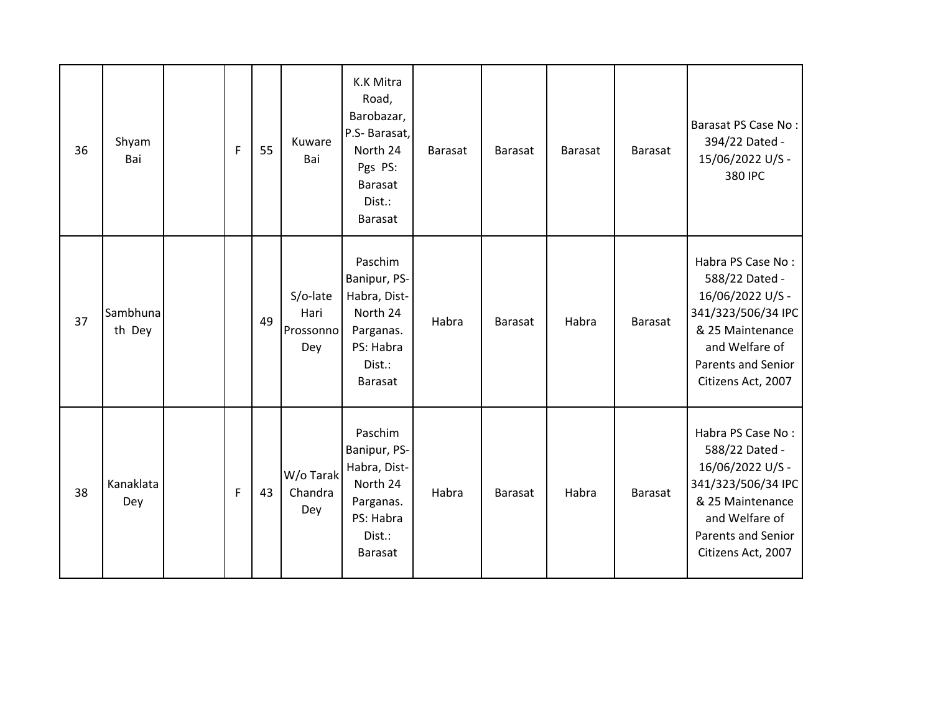| 36 | Shyam<br>Bai       | $\overline{F}$ | 55 | Kuware<br>Bai                        | K.K Mitra<br>Road,<br>Barobazar,<br>P.S- Barasat,<br>North 24<br>Pgs PS:<br><b>Barasat</b><br>Dist.:<br>Barasat | <b>Barasat</b> | <b>Barasat</b> | <b>Barasat</b> | Barasat        | Barasat PS Case No:<br>394/22 Dated -<br>15/06/2022 U/S -<br>380 IPC                                                                                                   |
|----|--------------------|----------------|----|--------------------------------------|-----------------------------------------------------------------------------------------------------------------|----------------|----------------|----------------|----------------|------------------------------------------------------------------------------------------------------------------------------------------------------------------------|
| 37 | Sambhuna<br>th Dey |                | 49 | S/o-late<br>Hari<br>Prossonno<br>Dey | Paschim<br>Banipur, PS-<br>Habra, Dist-<br>North 24<br>Parganas.<br>PS: Habra<br>Dist.:<br><b>Barasat</b>       | Habra          | <b>Barasat</b> | Habra          | <b>Barasat</b> | Habra PS Case No:<br>588/22 Dated -<br>16/06/2022 U/S -<br>341/323/506/34 IPC<br>& 25 Maintenance<br>and Welfare of<br><b>Parents and Senior</b><br>Citizens Act, 2007 |
| 38 | Kanaklata<br>Dey   | F              | 43 | W/o Tarak<br>Chandra<br>Dey          | Paschim<br>Banipur, PS-<br>Habra, Dist-<br>North 24<br>Parganas.<br>PS: Habra<br>Dist.:<br>Barasat              | Habra          | Barasat        | Habra          | <b>Barasat</b> | Habra PS Case No:<br>588/22 Dated -<br>16/06/2022 U/S -<br>341/323/506/34 IPC<br>& 25 Maintenance<br>and Welfare of<br><b>Parents and Senior</b><br>Citizens Act, 2007 |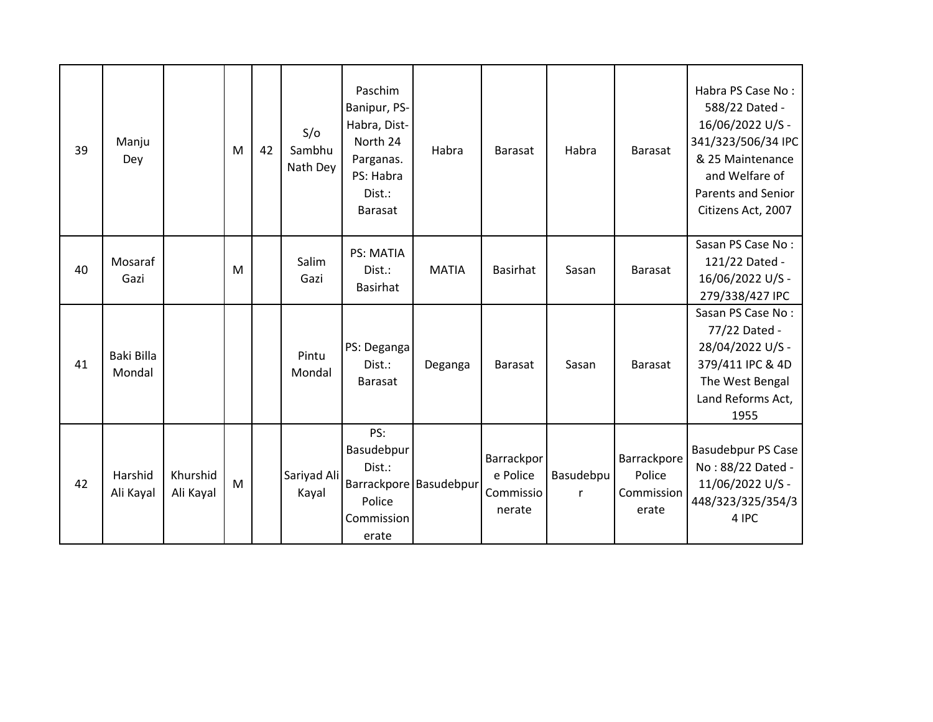| 39 | Manju<br>Dey         |                       | M | 42 | S/O<br>Sambhu<br>Nath Dey | Paschim<br>Banipur, PS-<br>Habra, Dist-<br>North 24<br>Parganas.<br>PS: Habra<br>Dist.:<br><b>Barasat</b> | Habra        | <b>Barasat</b>                                | Habra                 | <b>Barasat</b>                               | Habra PS Case No:<br>588/22 Dated -<br>16/06/2022 U/S -<br>341/323/506/34 IPC<br>& 25 Maintenance<br>and Welfare of<br><b>Parents and Senior</b><br>Citizens Act, 2007 |
|----|----------------------|-----------------------|---|----|---------------------------|-----------------------------------------------------------------------------------------------------------|--------------|-----------------------------------------------|-----------------------|----------------------------------------------|------------------------------------------------------------------------------------------------------------------------------------------------------------------------|
| 40 | Mosaraf<br>Gazi      |                       | M |    | Salim<br>Gazi             | PS: MATIA<br>Dist.:<br><b>Basirhat</b>                                                                    | <b>MATIA</b> | <b>Basirhat</b>                               | Sasan                 | Barasat                                      | Sasan PS Case No:<br>121/22 Dated -<br>16/06/2022 U/S -<br>279/338/427 IPC                                                                                             |
| 41 | Baki Billa<br>Mondal |                       |   |    | Pintu<br>Mondal           | PS: Deganga<br>Dist.:<br>Barasat                                                                          | Deganga      | <b>Barasat</b>                                | Sasan                 | <b>Barasat</b>                               | Sasan PS Case No:<br>77/22 Dated -<br>28/04/2022 U/S -<br>379/411 IPC & 4D<br>The West Bengal<br>Land Reforms Act,<br>1955                                             |
| 42 | Harshid<br>Ali Kayal | Khurshid<br>Ali Kayal | M |    | Sariyad Ali<br>Kayal      | PS:<br>Basudebpur<br>Dist.:<br>Barrackpore Basudebpur<br>Police<br>Commission<br>erate                    |              | Barrackpor<br>e Police<br>Commissio<br>nerate | <b>Basudebpu</b><br>r | Barrackpore<br>Police<br>Commission<br>erate | <b>Basudebpur PS Case</b><br>No: 88/22 Dated -<br>11/06/2022 U/S -<br>448/323/325/354/3<br>4 IPC                                                                       |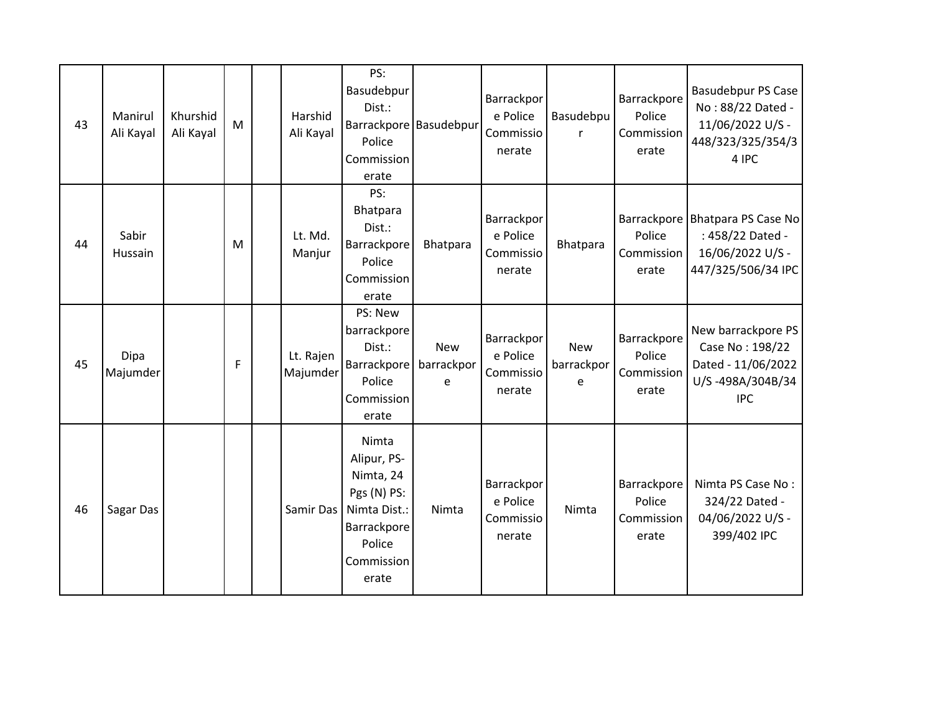| 43 | Manirul<br>Ali Kayal | Khurshid<br>Ali Kayal | M | Harshid<br>Ali Kayal  | PS:<br>Basudebpur<br>Dist.:<br>Police<br>Commission<br>erate                                                     | Barrackpore Basudebpur | Barrackpor<br>e Police<br>Commissio<br>nerate | Basudebpu<br>$\mathsf{r}$     | Barrackpore<br>Police<br>Commission<br>erate | <b>Basudebpur PS Case</b><br>No: 88/22 Dated -<br>11/06/2022 U/S -<br>448/323/325/354/3<br>4 IPC |
|----|----------------------|-----------------------|---|-----------------------|------------------------------------------------------------------------------------------------------------------|------------------------|-----------------------------------------------|-------------------------------|----------------------------------------------|--------------------------------------------------------------------------------------------------|
| 44 | Sabir<br>Hussain     |                       | M | Lt. Md.<br>Manjur     | PS:<br>Bhatpara<br>Dist.:<br>Barrackpore<br>Police<br>Commission<br>erate                                        | Bhatpara               | Barrackpor<br>e Police<br>Commissio<br>nerate | Bhatpara                      | Police<br>Commission<br>erate                | Barrackpore Bhatpara PS Case No<br>: 458/22 Dated -<br>16/06/2022 U/S -<br>447/325/506/34 IPC    |
| 45 | Dipa<br>Majumder     |                       | F | Lt. Rajen<br>Majumder | PS: New<br>barrackpore<br>Dist.:<br>Barrackpore   barrackpor<br>Police<br>Commission<br>erate                    | <b>New</b><br>e        | Barrackpor<br>e Police<br>Commissio<br>nerate | <b>New</b><br>barrackpor<br>e | Barrackpore<br>Police<br>Commission<br>erate | New barrackpore PS<br>Case No: 198/22<br>Dated - 11/06/2022<br>U/S-498A/304B/34<br><b>IPC</b>    |
| 46 | Sagar Das            |                       |   | Samir Das             | Nimta<br>Alipur, PS-<br>Nimta, 24<br>Pgs (N) PS:<br>Nimta Dist.:<br>Barrackpore<br>Police<br>Commission<br>erate | Nimta                  | Barrackpor<br>e Police<br>Commissio<br>nerate | Nimta                         | Barrackpore<br>Police<br>Commission<br>erate | Nimta PS Case No:<br>324/22 Dated -<br>04/06/2022 U/S -<br>399/402 IPC                           |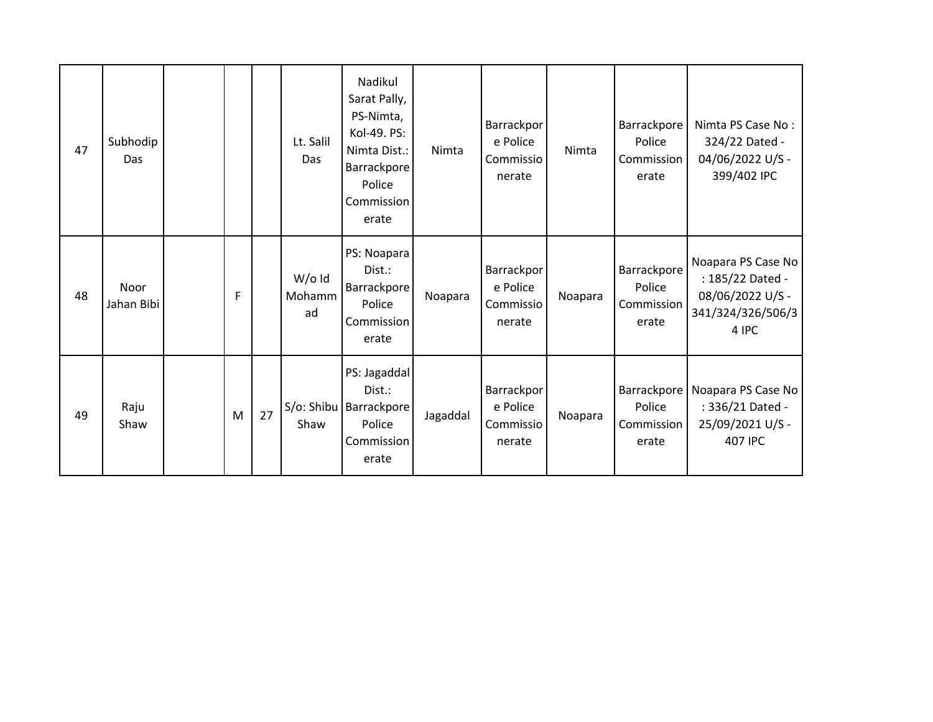| 47 | Subhodip<br>Das    |   |    | Lt. Salil<br>Das         | Nadikul<br>Sarat Pally,<br>PS-Nimta,<br>Kol-49. PS:<br>Nimta Dist.:<br>Barrackpore<br>Police<br>Commission<br>erate | Nimta    | Barrackpor<br>e Police<br>Commissio<br>nerate | Nimta   | Barrackpore<br>Police<br>Commission<br>erate | Nimta PS Case No:<br>324/22 Dated -<br>04/06/2022 U/S -<br>399/402 IPC                   |
|----|--------------------|---|----|--------------------------|---------------------------------------------------------------------------------------------------------------------|----------|-----------------------------------------------|---------|----------------------------------------------|------------------------------------------------------------------------------------------|
| 48 | Noor<br>Jahan Bibi | F |    | $W$ /old<br>Mohamm<br>ad | PS: Noapara<br>$Dist.$ :<br>Barrackpore<br>Police<br><b>Commission</b><br>erate                                     | Noapara  | Barrackpor<br>e Police<br>Commissio<br>nerate | Noapara | Barrackpore<br>Police<br>Commission<br>erate | Noapara PS Case No<br>: 185/22 Dated -<br>08/06/2022 U/S -<br>341/324/326/506/3<br>4 IPC |
| 49 | Raju<br>Shaw       | M | 27 | Shaw                     | PS: Jagaddal<br>Dist.:<br>S/o: Shibu   Barrackpore  <br>Police<br>Commission<br>erate                               | Jagaddal | Barrackpor<br>e Police<br>Commissio<br>nerate | Noapara | Barrackpore<br>Police<br>Commission<br>erate | Noapara PS Case No<br>: 336/21 Dated -<br>25/09/2021 U/S -<br><b>407 IPC</b>             |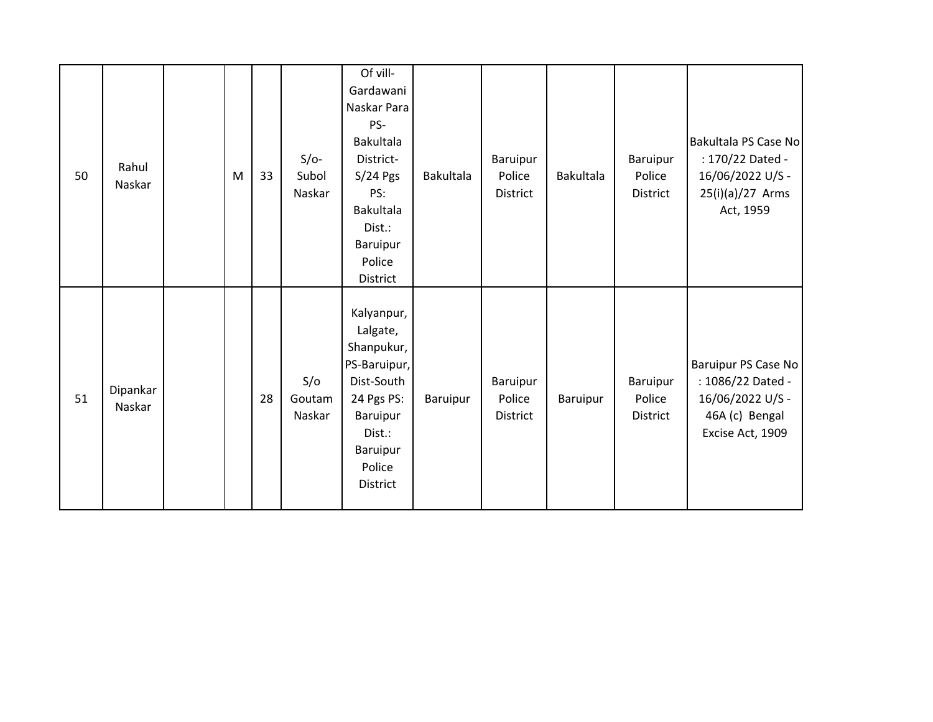| 50 | Rahul<br>Naskar    | M | 33 | $S/O-$<br>Subol<br>Naskar | Of vill-<br>Gardawani<br>Naskar Para<br>PS-<br><b>Bakultala</b><br>District-<br>$S/24$ Pgs<br>PS:<br><b>Bakultala</b><br>Dist.:<br>Baruipur<br>Police<br>District | Bakultala | Baruipur<br>Police<br>District | <b>Bakultala</b> | Baruipur<br>Police<br>District        | Bakultala PS Case No<br>: 170/22 Dated -<br>16/06/2022 U/S -<br>25(i)(a)/27 Arms<br>Act, 1959      |
|----|--------------------|---|----|---------------------------|-------------------------------------------------------------------------------------------------------------------------------------------------------------------|-----------|--------------------------------|------------------|---------------------------------------|----------------------------------------------------------------------------------------------------|
| 51 | Dipankar<br>Naskar |   | 28 | S/O<br>Goutam<br>Naskar   | Kalyanpur,<br>Lalgate,<br>Shanpukur,<br>PS-Baruipur,<br>Dist-South<br>24 Pgs PS:<br>Baruipur<br>Dist.:<br>Baruipur<br>Police<br>District                          | Baruipur  | Baruipur<br>Police<br>District | Baruipur         | Baruipur<br>Police<br><b>District</b> | Baruipur PS Case No<br>: 1086/22 Dated -<br>16/06/2022 U/S -<br>46A (c) Bengal<br>Excise Act, 1909 |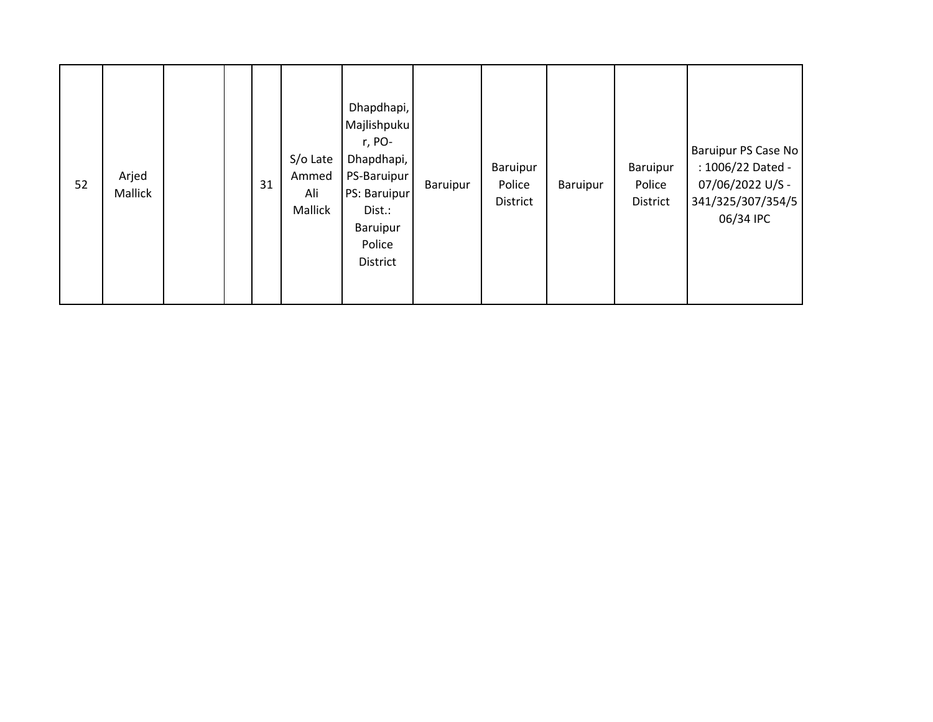| 52 | Arjed<br>Mallick |  |  | 31 | S/o Late<br>Ammed<br>Ali<br>Mallick | Dhapdhapi,<br>Majlishpuku<br>r, PO-<br>Dhapdhapi,<br>PS-Baruipur<br>PS: Baruipur<br>Dist.:<br>Baruipur<br>Police<br>District | Baruipur | Baruipur<br>Police<br>District | Baruipur | Baruipur<br>Police<br>District | Baruipur PS Case No<br>: 1006/22 Dated -<br>07/06/2022 U/S -<br>341/325/307/354/5<br>06/34 IPC |
|----|------------------|--|--|----|-------------------------------------|------------------------------------------------------------------------------------------------------------------------------|----------|--------------------------------|----------|--------------------------------|------------------------------------------------------------------------------------------------|
|----|------------------|--|--|----|-------------------------------------|------------------------------------------------------------------------------------------------------------------------------|----------|--------------------------------|----------|--------------------------------|------------------------------------------------------------------------------------------------|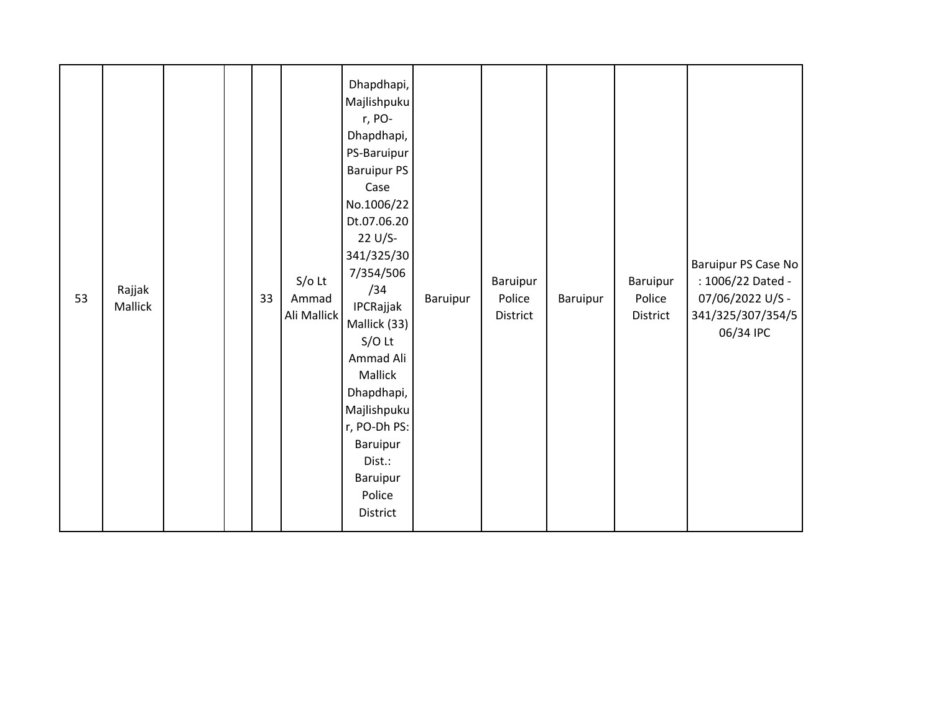| 53 | Rajjak<br>Mallick |  |  | 33 | $S/O$ Lt<br>Ammad<br>Ali Mallick | Dhapdhapi,<br>Majlishpuku<br>r, PO-<br>Dhapdhapi,<br>PS-Baruipur<br><b>Baruipur PS</b><br>Case<br>No.1006/22<br>Dt.07.06.20<br>22 U/S-<br>341/325/30<br>7/354/506<br>/34<br>IPCRajjak<br>Mallick (33)<br>$S/O$ Lt<br>Ammad Ali<br>Mallick<br>Dhapdhapi,<br>Majlishpuku<br>r, PO-Dh PS:<br>Baruipur<br>Dist.:<br>Baruipur<br>Police<br>District | Baruipur | Baruipur<br>Police<br>District | Baruipur | Baruipur<br>Police<br>District | Baruipur PS Case No<br>: 1006/22 Dated -<br>07/06/2022 U/S -<br>341/325/307/354/5<br>06/34 IPC |
|----|-------------------|--|--|----|----------------------------------|------------------------------------------------------------------------------------------------------------------------------------------------------------------------------------------------------------------------------------------------------------------------------------------------------------------------------------------------|----------|--------------------------------|----------|--------------------------------|------------------------------------------------------------------------------------------------|
|----|-------------------|--|--|----|----------------------------------|------------------------------------------------------------------------------------------------------------------------------------------------------------------------------------------------------------------------------------------------------------------------------------------------------------------------------------------------|----------|--------------------------------|----------|--------------------------------|------------------------------------------------------------------------------------------------|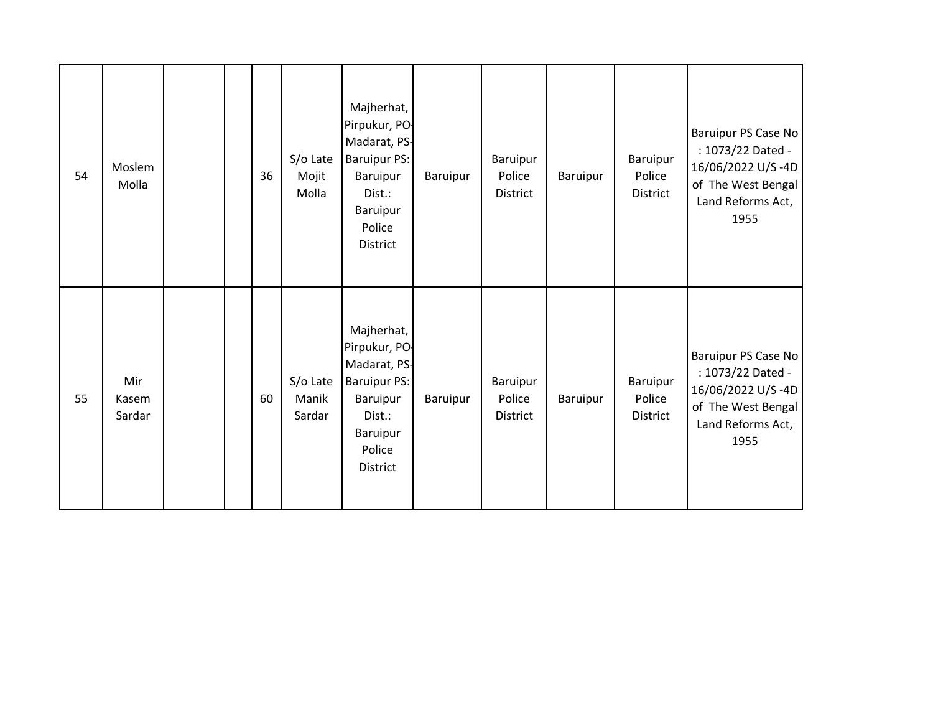| 54 | Moslem<br>Molla        |  | 36 | S/o Late<br>Mojit<br>Molla  | Majherhat,<br>Pirpukur, PO-<br>Madarat, PS-<br><b>Baruipur PS:</b><br>Baruipur<br>Dist.:<br>Baruipur<br>Police<br>District | Baruipur | Baruipur<br>Police<br><b>District</b> | Baruipur | Baruipur<br>Police<br>District | Baruipur PS Case No<br>: 1073/22 Dated -<br>16/06/2022 U/S-4D<br>of The West Bengal<br>Land Reforms Act,<br>1955 |
|----|------------------------|--|----|-----------------------------|----------------------------------------------------------------------------------------------------------------------------|----------|---------------------------------------|----------|--------------------------------|------------------------------------------------------------------------------------------------------------------|
| 55 | Mir<br>Kasem<br>Sardar |  | 60 | S/o Late<br>Manik<br>Sardar | Majherhat,<br>Pirpukur, PO-<br>Madarat, PS-<br><b>Baruipur PS:</b><br>Baruipur<br>Dist.:<br>Baruipur<br>Police<br>District | Baruipur | Baruipur<br>Police<br>District        | Baruipur | Baruipur<br>Police<br>District | Baruipur PS Case No<br>: 1073/22 Dated -<br>16/06/2022 U/S-4D<br>of The West Bengal<br>Land Reforms Act,<br>1955 |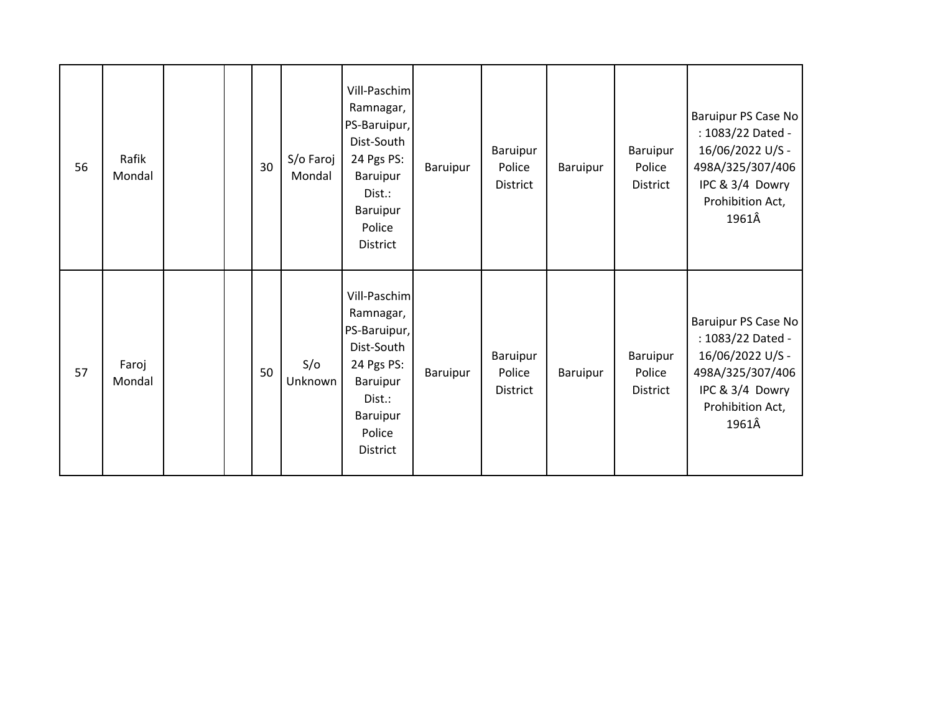| 56 | Rafik<br>Mondal |  | 30 | S/o Faroj<br>Mondal | Vill-Paschim<br>Ramnagar,<br>PS-Baruipur,<br>Dist-South<br>24 Pgs PS:<br>Baruipur<br>Dist.:<br>Baruipur<br>Police<br><b>District</b> | Baruipur | Baruipur<br>Police<br><b>District</b> | Baruipur | Baruipur<br>Police<br>District | Baruipur PS Case No<br>: 1083/22 Dated -<br>16/06/2022 U/S -<br>498A/325/307/406<br>IPC & 3/4 Dowry<br>Prohibition Act,<br>1961Â |
|----|-----------------|--|----|---------------------|--------------------------------------------------------------------------------------------------------------------------------------|----------|---------------------------------------|----------|--------------------------------|----------------------------------------------------------------------------------------------------------------------------------|
| 57 | Faroj<br>Mondal |  | 50 | S/O<br>Unknown      | Vill-Paschim<br>Ramnagar,<br>PS-Baruipur,<br>Dist-South<br>24 Pgs PS:<br>Baruipur<br>Dist.:<br>Baruipur<br>Police<br><b>District</b> | Baruipur | Baruipur<br>Police<br>District        | Baruipur | Baruipur<br>Police<br>District | Baruipur PS Case No<br>: 1083/22 Dated -<br>16/06/2022 U/S -<br>498A/325/307/406<br>IPC & 3/4 Dowry<br>Prohibition Act,<br>1961Â |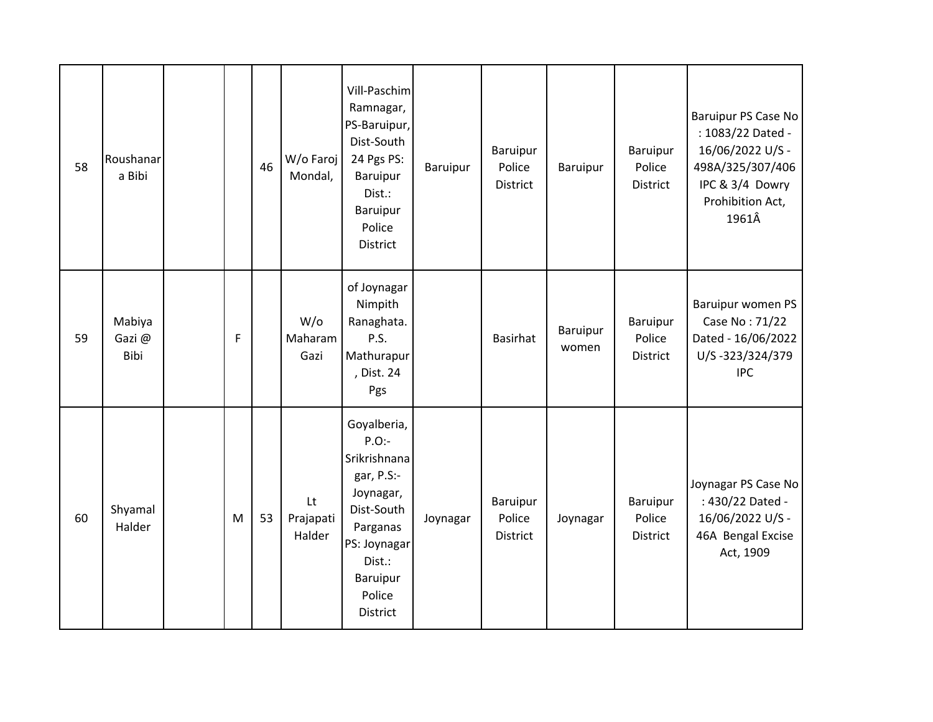| 58 | Roushanar<br>a Bibi     |   | 46 | W/o Faroj<br>Mondal,      | Vill-Paschim<br>Ramnagar,<br>PS-Baruipur,<br>Dist-South<br>24 Pgs PS:<br>Baruipur<br>Dist.:<br>Baruipur<br>Police<br>District                            | Baruipur | Baruipur<br>Police<br>District        | <b>Baruipur</b>   | Baruipur<br>Police<br>District        | Baruipur PS Case No<br>: 1083/22 Dated -<br>16/06/2022 U/S -<br>498A/325/307/406<br>IPC & 3/4 Dowry<br>Prohibition Act,<br>1961Â |
|----|-------------------------|---|----|---------------------------|----------------------------------------------------------------------------------------------------------------------------------------------------------|----------|---------------------------------------|-------------------|---------------------------------------|----------------------------------------------------------------------------------------------------------------------------------|
| 59 | Mabiya<br>Gazi@<br>Bibi | F |    | $W$ /0<br>Maharam<br>Gazi | of Joynagar<br>Nimpith<br>Ranaghata.<br>P.S.<br>Mathurapur<br>, Dist. 24<br>Pgs                                                                          |          | <b>Basirhat</b>                       | Baruipur<br>women | Baruipur<br>Police<br><b>District</b> | Baruipur women PS<br>Case No: 71/22<br>Dated - 16/06/2022<br>U/S-323/324/379<br><b>IPC</b>                                       |
| 60 | Shyamal<br>Halder       | M | 53 | Lt<br>Prajapati<br>Halder | Goyalberia,<br>$P.O$ :-<br>Srikrishnana<br>gar, P.S:-<br>Joynagar,<br>Dist-South<br>Parganas<br>PS: Joynagar<br>Dist.:<br>Baruipur<br>Police<br>District | Joynagar | Baruipur<br>Police<br><b>District</b> | Joynagar          | Baruipur<br>Police<br>District        | Joynagar PS Case No<br>: 430/22 Dated -<br>16/06/2022 U/S -<br>46A Bengal Excise<br>Act, 1909                                    |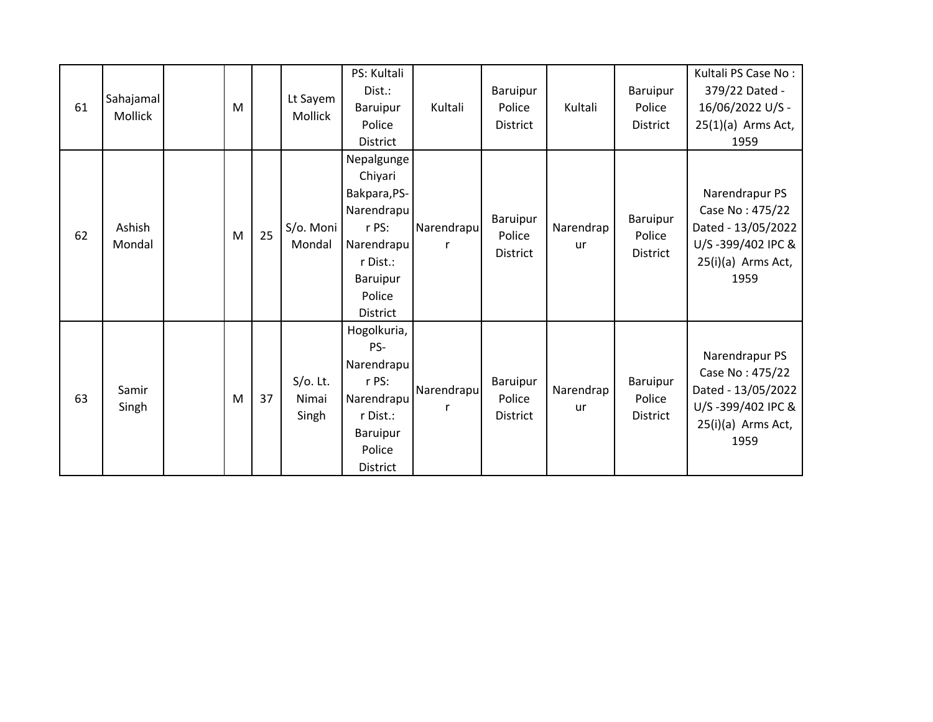| Sahajamal<br>61 |                  |  |   |    |                     | PS: Kultali<br>Dist.: |            | Baruipur        |           | Baruipur        | Kultali PS Case No:<br>379/22 Dated - |
|-----------------|------------------|--|---|----|---------------------|-----------------------|------------|-----------------|-----------|-----------------|---------------------------------------|
|                 | Mollick          |  | M |    | Lt Sayem<br>Mollick | Baruipur              | Kultali    | Police          | Kultali   | Police          | 16/06/2022 U/S -                      |
|                 |                  |  |   |    |                     | Police                |            | District        |           | District        | $25(1)(a)$ Arms Act,                  |
|                 |                  |  |   |    |                     | <b>District</b>       |            |                 |           |                 | 1959                                  |
|                 |                  |  |   |    |                     | Nepalgunge            |            |                 |           |                 |                                       |
|                 |                  |  |   |    |                     | Chiyari               |            |                 |           |                 |                                       |
|                 |                  |  |   |    |                     | Bakpara, PS-          |            |                 |           |                 | Narendrapur PS                        |
|                 |                  |  |   |    |                     | Narendrapu            |            | Baruipur        |           | Baruipur        | Case No: 475/22                       |
| 62              | Ashish<br>Mondal |  | M | 25 | S/o. Moni           | r PS:                 | Narendrapu | Police          | Narendrap | Police          | Dated - 13/05/2022                    |
|                 |                  |  |   |    | Mondal              | Narendrapu            |            | <b>District</b> | <b>ur</b> | <b>District</b> | U/S-399/402 IPC &                     |
|                 |                  |  |   |    |                     | r Dist.:              |            |                 |           |                 | 25(i)(a) Arms Act,                    |
|                 |                  |  |   |    |                     | <b>Baruipur</b>       |            |                 |           |                 | 1959                                  |
|                 |                  |  |   |    |                     | Police                |            |                 |           |                 |                                       |
|                 |                  |  |   |    |                     | <b>District</b>       |            |                 |           |                 |                                       |
|                 |                  |  |   |    |                     | Hogolkuria,           |            |                 |           |                 |                                       |
|                 |                  |  |   |    |                     | PS-                   |            |                 |           |                 | Narendrapur PS                        |
|                 |                  |  |   |    |                     | Narendrapu            |            |                 |           |                 | Case No: 475/22                       |
|                 | Samir            |  |   |    | $S/O$ . Lt.         | r PS:                 | Narendrapu | Baruipur        | Narendrap | Baruipur        | Dated - 13/05/2022                    |
| 63              | Singh            |  | M | 37 | Nimai               | Narendrapu            |            | Police          | ur        | Police          | U/S-399/402 IPC &                     |
|                 |                  |  |   |    | Singh               | r Dist.:              |            | District        |           | <b>District</b> | 25(i)(a) Arms Act,                    |
|                 |                  |  |   |    |                     | <b>Baruipur</b>       |            |                 |           |                 | 1959                                  |
|                 |                  |  |   |    |                     | Police                |            |                 |           |                 |                                       |
|                 |                  |  |   |    |                     | <b>District</b>       |            |                 |           |                 |                                       |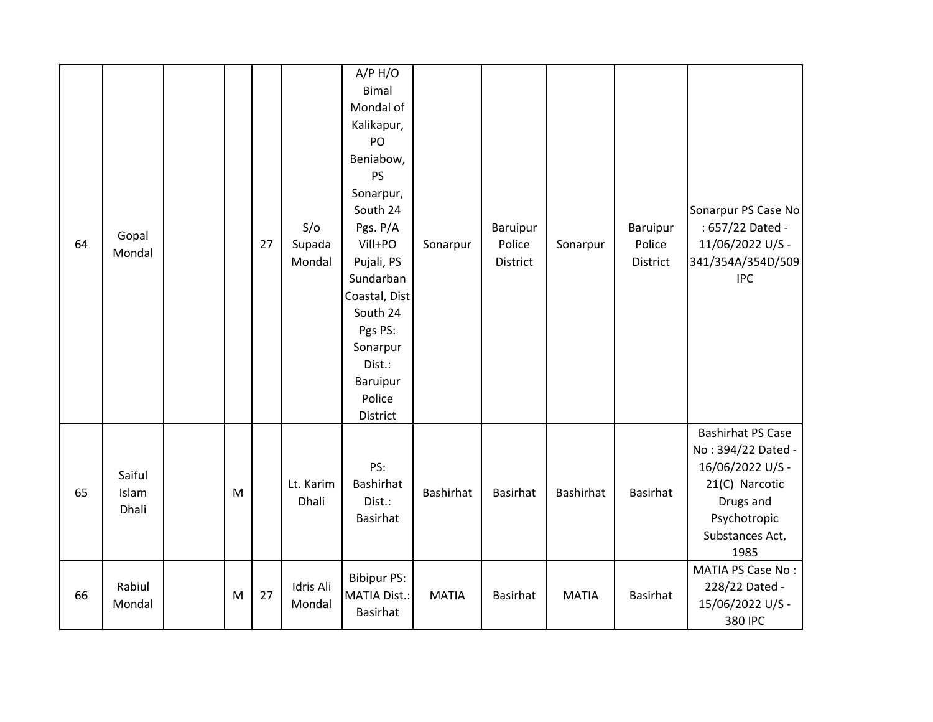| 64 | Gopal<br>Mondal          |   | 27 | S/O<br>Supada<br>Mondal | A/P H/O<br>Bimal<br>Mondal of<br>Kalikapur,<br>PO<br>Beniabow,<br>PS<br>Sonarpur,<br>South 24<br>Pgs. P/A<br>Vill+PO<br>Pujali, PS<br>Sundarban<br>Coastal, Dist<br>South 24<br>Pgs PS:<br>Sonarpur<br>Dist.:<br><b>Baruipur</b><br>Police<br>District | Sonarpur         | <b>Baruipur</b><br>Police<br><b>District</b> | Sonarpur     | <b>Baruipur</b><br>Police<br>District | Sonarpur PS Case No<br>: 657/22 Dated -<br>11/06/2022 U/S -<br>341/354A/354D/509<br><b>IPC</b>                                               |
|----|--------------------------|---|----|-------------------------|--------------------------------------------------------------------------------------------------------------------------------------------------------------------------------------------------------------------------------------------------------|------------------|----------------------------------------------|--------------|---------------------------------------|----------------------------------------------------------------------------------------------------------------------------------------------|
| 65 | Saiful<br>Islam<br>Dhali | M |    | Lt. Karim<br>Dhali      | PS:<br>Bashirhat<br>Dist.:<br>Basirhat                                                                                                                                                                                                                 | <b>Bashirhat</b> | <b>Basirhat</b>                              | Bashirhat    | Basirhat                              | <b>Bashirhat PS Case</b><br>No: 394/22 Dated -<br>16/06/2022 U/S -<br>21(C) Narcotic<br>Drugs and<br>Psychotropic<br>Substances Act,<br>1985 |
| 66 | Rabiul<br>Mondal         | M | 27 | Idris Ali<br>Mondal     | <b>Bibipur PS:</b><br><b>MATIA Dist.:</b><br>Basirhat                                                                                                                                                                                                  | <b>MATIA</b>     | Basirhat                                     | <b>MATIA</b> | <b>Basirhat</b>                       | MATIA PS Case No:<br>228/22 Dated -<br>15/06/2022 U/S -<br>380 IPC                                                                           |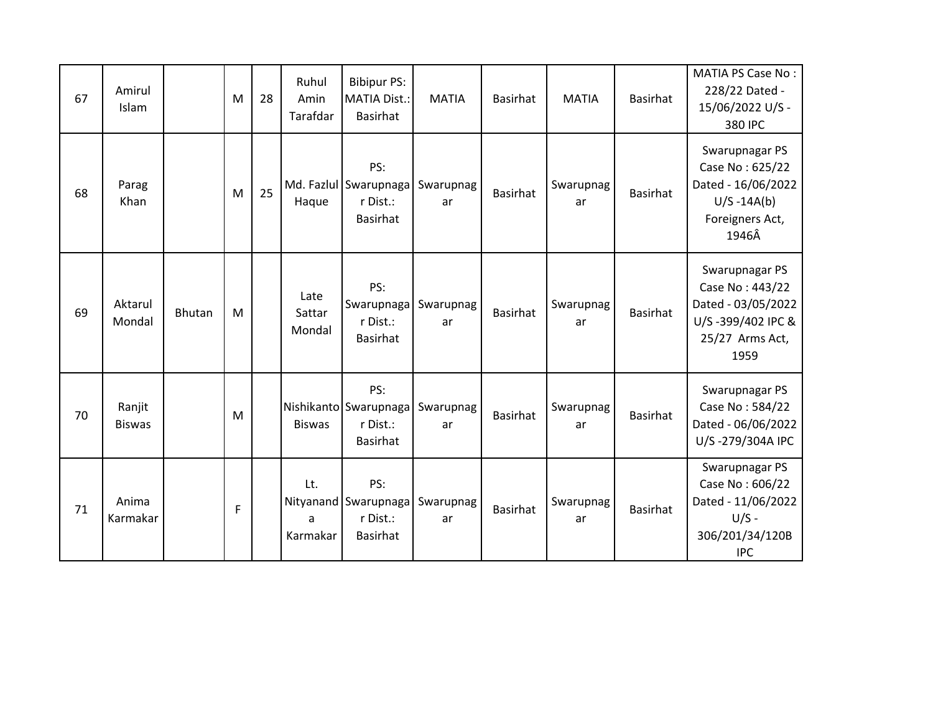| 67 | Amirul<br>Islam         |        | M | 28 | Ruhul<br>Amin<br>Tarafdar | <b>Bibipur PS:</b><br><b>MATIA Dist.:</b><br><b>Basirhat</b>          | <b>MATIA</b>    | <b>Basirhat</b> | <b>MATIA</b>    | <b>Basirhat</b> | <b>MATIA PS Case No:</b><br>228/22 Dated -<br>15/06/2022 U/S -<br>380 IPC                               |
|----|-------------------------|--------|---|----|---------------------------|-----------------------------------------------------------------------|-----------------|-----------------|-----------------|-----------------|---------------------------------------------------------------------------------------------------------|
| 68 | Parag<br>Khan           |        | M | 25 | Haque                     | PS:<br>Md. Fazlul Swarupnaga Swarupnag<br>r Dist.:<br><b>Basirhat</b> | ar              | <b>Basirhat</b> | Swarupnag<br>ar | Basirhat        | Swarupnagar PS<br>Case No: 625/22<br>Dated - 16/06/2022<br>$U/S - 14A(b)$<br>Foreigners Act,<br>1946Â   |
| 69 | Aktarul<br>Mondal       | Bhutan | M |    | Late<br>Sattar<br>Mondal  | PS:<br>Swarupnaga<br>r Dist.:<br>Basirhat                             | Swarupnag<br>ar | <b>Basirhat</b> | Swarupnag<br>ar | <b>Basirhat</b> | Swarupnagar PS<br>Case No: 443/22<br>Dated - 03/05/2022<br>U/S-399/402 IPC &<br>25/27 Arms Act,<br>1959 |
| 70 | Ranjit<br><b>Biswas</b> |        | M |    | <b>Biswas</b>             | PS:<br>Nishikanto Swarupnaga<br>r Dist.:<br>Basirhat                  | Swarupnag<br>ar | <b>Basirhat</b> | Swarupnag<br>ar | <b>Basirhat</b> | Swarupnagar PS<br>Case No: 584/22<br>Dated - 06/06/2022<br>U/S-279/304A IPC                             |
| 71 | Anima<br>Karmakar       |        | F |    | Lt.<br>a<br>Karmakar      | PS:<br>Nityanand Swarupnaga<br>r Dist.:<br>Basirhat                   | Swarupnag<br>ar | <b>Basirhat</b> | Swarupnag<br>ar | <b>Basirhat</b> | Swarupnagar PS<br>Case No: 606/22<br>Dated - 11/06/2022<br>$U/S -$<br>306/201/34/120B<br><b>IPC</b>     |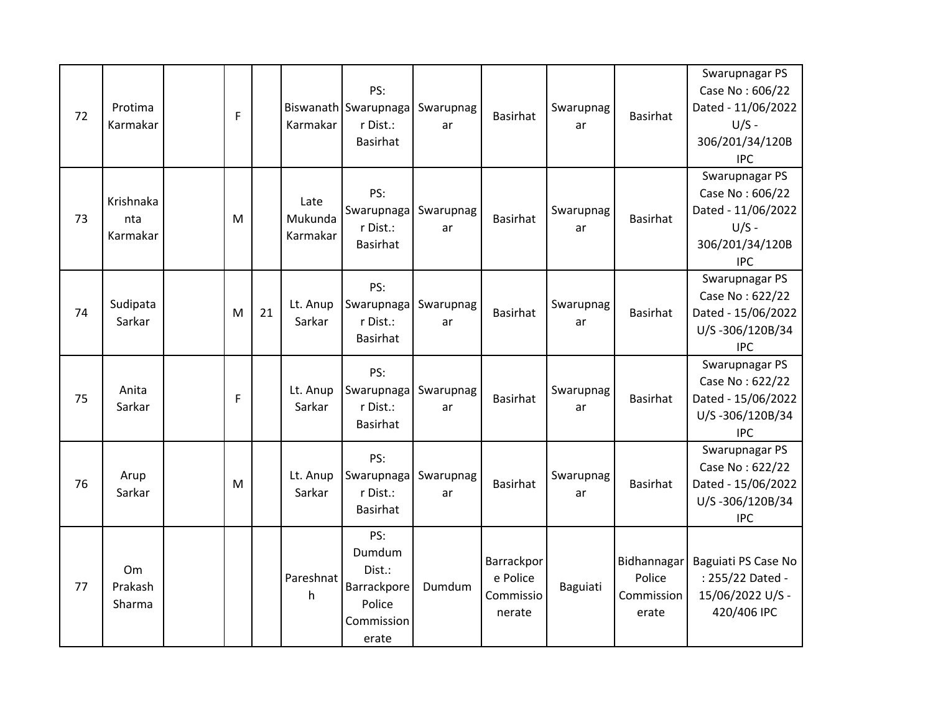| 72 | Protima<br>Karmakar          | F |    | Karmakar                    | PS:<br>Biswanath Swarupnaga<br>r Dist.:<br><b>Basirhat</b>              | Swarupnag<br>ar | <b>Basirhat</b>                               | Swarupnag<br>ar | <b>Basirhat</b>                              | Swarupnagar PS<br>Case No: 606/22<br>Dated - 11/06/2022<br>$U/S -$<br>306/201/34/120B<br><b>IPC</b> |
|----|------------------------------|---|----|-----------------------------|-------------------------------------------------------------------------|-----------------|-----------------------------------------------|-----------------|----------------------------------------------|-----------------------------------------------------------------------------------------------------|
| 73 | Krishnaka<br>nta<br>Karmakar | M |    | Late<br>Mukunda<br>Karmakar | PS:<br>Swarupnaga<br>r Dist.:<br><b>Basirhat</b>                        | Swarupnag<br>ar | <b>Basirhat</b>                               | Swarupnag<br>ar | <b>Basirhat</b>                              | Swarupnagar PS<br>Case No: 606/22<br>Dated - 11/06/2022<br>$U/S -$<br>306/201/34/120B<br><b>IPC</b> |
| 74 | Sudipata<br>Sarkar           | M | 21 | Lt. Anup<br>Sarkar          | PS:<br>Swarupnaga<br>r Dist.:<br><b>Basirhat</b>                        | Swarupnag<br>ar | <b>Basirhat</b>                               | Swarupnag<br>ar | <b>Basirhat</b>                              | Swarupnagar PS<br>Case No: 622/22<br>Dated - 15/06/2022<br>U/S-306/120B/34<br><b>IPC</b>            |
| 75 | Anita<br>Sarkar              | F |    | Lt. Anup<br>Sarkar          | PS:<br>Swarupnaga<br>r Dist.:<br><b>Basirhat</b>                        | Swarupnag<br>ar | <b>Basirhat</b>                               | Swarupnag<br>ar | <b>Basirhat</b>                              | Swarupnagar PS<br>Case No: 622/22<br>Dated - 15/06/2022<br>U/S-306/120B/34<br><b>IPC</b>            |
| 76 | Arup<br>Sarkar               | M |    | Lt. Anup<br>Sarkar          | PS:<br>Swarupnaga<br>r Dist.:<br><b>Basirhat</b>                        | Swarupnag<br>ar | <b>Basirhat</b>                               | Swarupnag<br>ar | <b>Basirhat</b>                              | Swarupnagar PS<br>Case No: 622/22<br>Dated - 15/06/2022<br>U/S-306/120B/34<br><b>IPC</b>            |
| 77 | Om<br>Prakash<br>Sharma      |   |    | Pareshnat<br>h              | PS:<br>Dumdum<br>Dist.:<br>Barrackpore<br>Police<br>Commission<br>erate | Dumdum          | Barrackpor<br>e Police<br>Commissio<br>nerate | Baguiati        | Bidhannagar<br>Police<br>Commission<br>erate | Baguiati PS Case No<br>: 255/22 Dated -<br>15/06/2022 U/S -<br>420/406 IPC                          |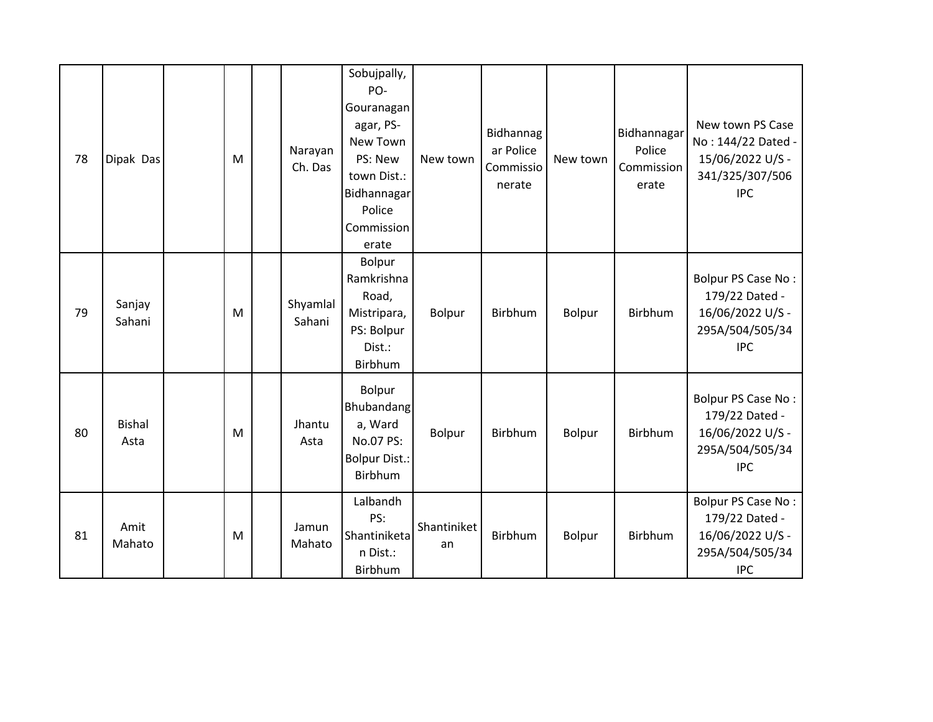| 78 | Dipak Das             | M | Narayan<br>Ch. Das | Sobujpally,<br>PO-<br>Gouranagan<br>agar, PS-<br>New Town<br>PS: New<br>town Dist.:<br><b>Bidhannagar</b><br>Police<br>Commission<br>erate | New town          | Bidhannag<br>ar Police<br>Commissio<br>nerate | New town | Bidhannagar<br>Police<br>Commission<br>erate | New town PS Case<br>No: 144/22 Dated -<br>15/06/2022 U/S -<br>341/325/307/506<br><b>IPC</b> |
|----|-----------------------|---|--------------------|--------------------------------------------------------------------------------------------------------------------------------------------|-------------------|-----------------------------------------------|----------|----------------------------------------------|---------------------------------------------------------------------------------------------|
| 79 | Sanjay<br>Sahani      | M | Shyamlal<br>Sahani | Bolpur<br>Ramkrishna<br>Road,<br>Mistripara,<br>PS: Bolpur<br>Dist.:<br>Birbhum                                                            | Bolpur            | Birbhum                                       | Bolpur   | Birbhum                                      | Bolpur PS Case No:<br>179/22 Dated -<br>16/06/2022 U/S -<br>295A/504/505/34<br><b>IPC</b>   |
| 80 | <b>Bishal</b><br>Asta | M | Jhantu<br>Asta     | Bolpur<br>Bhubandang<br>a, Ward<br>No.07 PS:<br><b>Bolpur Dist.:</b><br>Birbhum                                                            | Bolpur            | Birbhum                                       | Bolpur   | <b>Birbhum</b>                               | Bolpur PS Case No:<br>179/22 Dated -<br>16/06/2022 U/S -<br>295A/504/505/34<br><b>IPC</b>   |
| 81 | Amit<br>Mahato        | M | Jamun<br>Mahato    | Lalbandh<br>PS:<br>Shantiniketa<br>n Dist.:<br>Birbhum                                                                                     | Shantiniket<br>an | Birbhum                                       | Bolpur   | Birbhum                                      | Bolpur PS Case No:<br>179/22 Dated -<br>16/06/2022 U/S -<br>295A/504/505/34<br><b>IPC</b>   |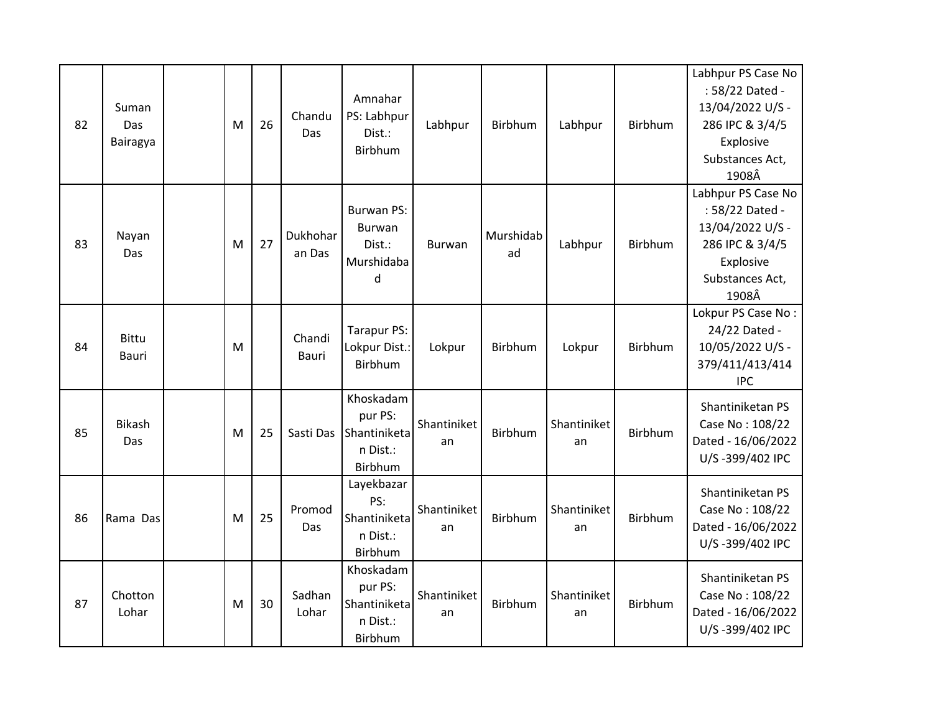| 82 | Suman<br>Das<br>Bairagya | M | 26 | Chandu<br>Das          | Amnahar<br>PS: Labhpur<br>Dist.:<br>Birbhum                        | Labhpur           | Birbhum         | Labhpur           | Birbhum        | Labhpur PS Case No<br>: 58/22 Dated -<br>13/04/2022 U/S -<br>286 IPC & 3/4/5<br>Explosive<br>Substances Act,<br>1908Â |
|----|--------------------------|---|----|------------------------|--------------------------------------------------------------------|-------------------|-----------------|-------------------|----------------|-----------------------------------------------------------------------------------------------------------------------|
| 83 | Nayan<br>Das             | M | 27 | Dukhohar<br>an Das     | <b>Burwan PS:</b><br><b>Burwan</b><br>Dist.:<br>Murshidaba<br>d    | Burwan            | Murshidab<br>ad | Labhpur           | Birbhum        | Labhpur PS Case No<br>: 58/22 Dated -<br>13/04/2022 U/S -<br>286 IPC & 3/4/5<br>Explosive<br>Substances Act,<br>1908Â |
| 84 | <b>Bittu</b><br>Bauri    | M |    | Chandi<br><b>Bauri</b> | Tarapur PS:<br>Lokpur Dist.:<br><b>Birbhum</b>                     | Lokpur            | Birbhum         | Lokpur            | Birbhum        | Lokpur PS Case No:<br>24/22 Dated -<br>10/05/2022 U/S -<br>379/411/413/414<br><b>IPC</b>                              |
| 85 | <b>Bikash</b><br>Das     | M | 25 | Sasti Das              | Khoskadam<br>pur PS:<br>Shantiniketa<br>n Dist.:<br><b>Birbhum</b> | Shantiniket<br>an | Birbhum         | Shantiniket<br>an | <b>Birbhum</b> | Shantiniketan PS<br>Case No: 108/22<br>Dated - 16/06/2022<br>U/S-399/402 IPC                                          |
| 86 | Rama Das                 | M | 25 | Promod<br>Das          | Layekbazar<br>PS:<br>Shantiniketa<br>n Dist.:<br>Birbhum           | Shantiniket<br>an | Birbhum         | Shantiniket<br>an | Birbhum        | Shantiniketan PS<br>Case No: 108/22<br>Dated - 16/06/2022<br>U/S-399/402 IPC                                          |
| 87 | Chotton<br>Lohar         | M | 30 | Sadhan<br>Lohar        | Khoskadam<br>pur PS:<br>Shantiniketa<br>n Dist.:<br>Birbhum        | Shantiniket<br>an | Birbhum         | Shantiniket<br>an | Birbhum        | Shantiniketan PS<br>Case No: 108/22<br>Dated - 16/06/2022<br>U/S-399/402 IPC                                          |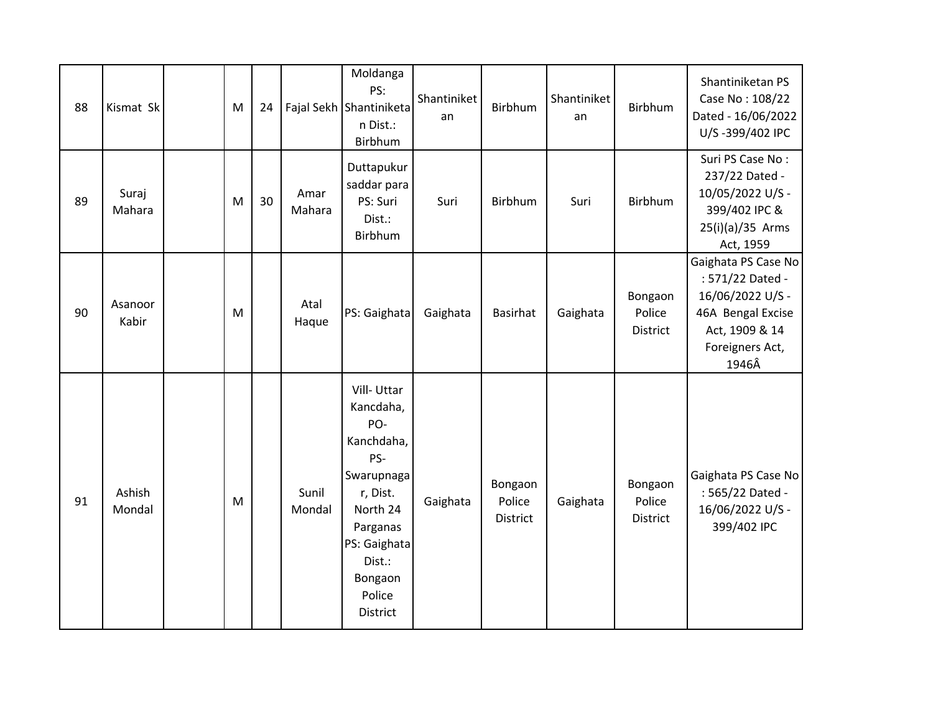| 88 | Kismat Sk        | M | 24 |                 | Moldanga<br>PS:<br>Fajal Sekh Shantiniketa<br>n Dist.:<br>Birbhum                                                                                                | Shantiniket<br>an | Birbhum                              | Shantiniket<br>an | Birbhum                       | Shantiniketan PS<br>Case No: 108/22<br>Dated - 16/06/2022<br>U/S-399/402 IPC                                                   |
|----|------------------|---|----|-----------------|------------------------------------------------------------------------------------------------------------------------------------------------------------------|-------------------|--------------------------------------|-------------------|-------------------------------|--------------------------------------------------------------------------------------------------------------------------------|
| 89 | Suraj<br>Mahara  | M | 30 | Amar<br>Mahara  | Duttapukur<br>saddar para<br>PS: Suri<br>Dist.:<br>Birbhum                                                                                                       | Suri              | Birbhum                              | Suri              | Birbhum                       | Suri PS Case No:<br>237/22 Dated -<br>10/05/2022 U/S -<br>399/402 IPC &<br>25(i)(a)/35 Arms<br>Act, 1959                       |
| 90 | Asanoor<br>Kabir | M |    | Atal<br>Haque   | PS: Gaighata                                                                                                                                                     | Gaighata          | <b>Basirhat</b>                      | Gaighata          | Bongaon<br>Police<br>District | Gaighata PS Case No<br>: 571/22 Dated -<br>16/06/2022 U/S -<br>46A Bengal Excise<br>Act, 1909 & 14<br>Foreigners Act,<br>1946Â |
| 91 | Ashish<br>Mondal | M |    | Sunil<br>Mondal | Vill-Uttar<br>Kancdaha,<br>PO-<br>Kanchdaha,<br>PS-<br>Swarupnaga<br>r, Dist.<br>North 24<br>Parganas<br>PS: Gaighata<br>Dist.:<br>Bongaon<br>Police<br>District | Gaighata          | Bongaon<br>Police<br><b>District</b> | Gaighata          | Bongaon<br>Police<br>District | Gaighata PS Case No<br>: 565/22 Dated -<br>16/06/2022 U/S -<br>399/402 IPC                                                     |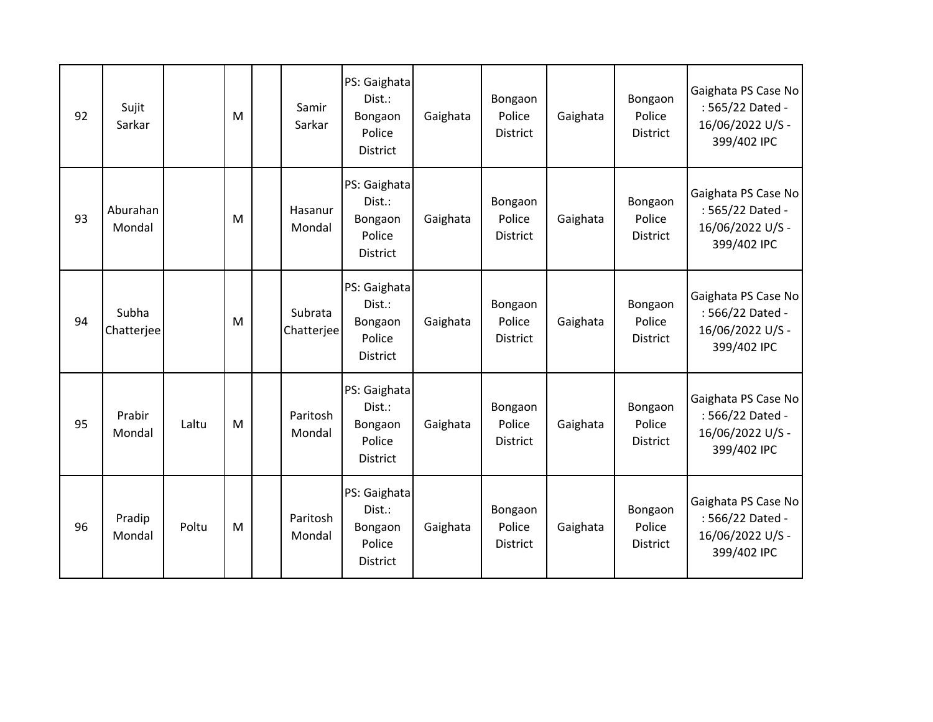| 92 | Sujit<br>Sarkar     |       | M | Samir<br>Sarkar       | PS: Gaighata<br>Dist.:<br>Bongaon<br>Police<br><b>District</b> | Gaighata | Bongaon<br>Police<br><b>District</b> | Gaighata | Bongaon<br>Police<br><b>District</b> | Gaighata PS Case No<br>: 565/22 Dated -<br>16/06/2022 U/S -<br>399/402 IPC |
|----|---------------------|-------|---|-----------------------|----------------------------------------------------------------|----------|--------------------------------------|----------|--------------------------------------|----------------------------------------------------------------------------|
| 93 | Aburahan<br>Mondal  |       | M | Hasanur<br>Mondal     | PS: Gaighata<br>Dist.:<br>Bongaon<br>Police<br><b>District</b> | Gaighata | Bongaon<br>Police<br><b>District</b> | Gaighata | Bongaon<br>Police<br><b>District</b> | Gaighata PS Case No<br>: 565/22 Dated -<br>16/06/2022 U/S -<br>399/402 IPC |
| 94 | Subha<br>Chatterjee |       | M | Subrata<br>Chatterjee | PS: Gaighata<br>Dist.:<br>Bongaon<br>Police<br><b>District</b> | Gaighata | Bongaon<br>Police<br><b>District</b> | Gaighata | Bongaon<br>Police<br><b>District</b> | Gaighata PS Case No<br>: 566/22 Dated -<br>16/06/2022 U/S -<br>399/402 IPC |
| 95 | Prabir<br>Mondal    | Laltu | M | Paritosh<br>Mondal    | PS: Gaighata<br>Dist.:<br>Bongaon<br>Police<br><b>District</b> | Gaighata | Bongaon<br>Police<br><b>District</b> | Gaighata | Bongaon<br>Police<br><b>District</b> | Gaighata PS Case No<br>: 566/22 Dated -<br>16/06/2022 U/S -<br>399/402 IPC |
| 96 | Pradip<br>Mondal    | Poltu | M | Paritosh<br>Mondal    | PS: Gaighata<br>Dist.:<br>Bongaon<br>Police<br>District        | Gaighata | Bongaon<br>Police<br><b>District</b> | Gaighata | Bongaon<br>Police<br><b>District</b> | Gaighata PS Case No<br>: 566/22 Dated -<br>16/06/2022 U/S -<br>399/402 IPC |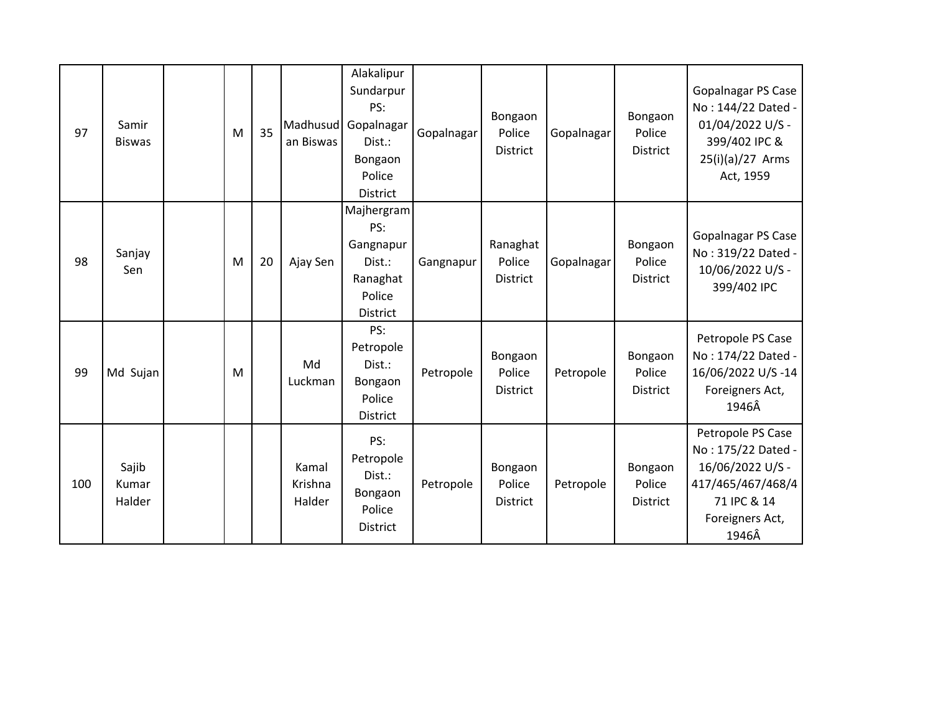| 97  | Samir<br><b>Biswas</b>   | M | 35 | an Biswas                  | Alakalipur<br>Sundarpur<br>PS:<br>Madhusud Gopalnagar<br>Dist.:<br>Bongaon<br>Police<br><b>District</b> | Gopalnagar | Bongaon<br>Police<br><b>District</b>  | Gopalnagar | Bongaon<br>Police<br><b>District</b> | <b>Gopalnagar PS Case</b><br>No: 144/22 Dated -<br>01/04/2022 U/S -<br>399/402 IPC &<br>$25(i)(a)/27$ Arms<br>Act, 1959     |
|-----|--------------------------|---|----|----------------------------|---------------------------------------------------------------------------------------------------------|------------|---------------------------------------|------------|--------------------------------------|-----------------------------------------------------------------------------------------------------------------------------|
| 98  | Sanjay<br>Sen            | M | 20 | Ajay Sen                   | Majhergram<br>PS:<br>Gangnapur<br>Dist.:<br>Ranaghat<br>Police<br><b>District</b>                       | Gangnapur  | Ranaghat<br>Police<br><b>District</b> | Gopalnagar | Bongaon<br>Police<br><b>District</b> | <b>Gopalnagar PS Case</b><br>No: 319/22 Dated -<br>10/06/2022 U/S -<br>399/402 IPC                                          |
| 99  | Md Sujan                 | M |    | Md<br>Luckman              | PS:<br>Petropole<br>Dist.:<br>Bongaon<br>Police<br><b>District</b>                                      | Petropole  | Bongaon<br>Police<br>District         | Petropole  | Bongaon<br>Police<br><b>District</b> | Petropole PS Case<br>No: 174/22 Dated -<br>16/06/2022 U/S-14<br>Foreigners Act,<br>1946Â                                    |
| 100 | Sajib<br>Kumar<br>Halder |   |    | Kamal<br>Krishna<br>Halder | PS:<br>Petropole<br>Dist.:<br>Bongaon<br>Police<br><b>District</b>                                      | Petropole  | Bongaon<br>Police<br><b>District</b>  | Petropole  | Bongaon<br>Police<br><b>District</b> | Petropole PS Case<br>No: 175/22 Dated -<br>16/06/2022 U/S -<br>417/465/467/468/4<br>71 IPC & 14<br>Foreigners Act,<br>1946Â |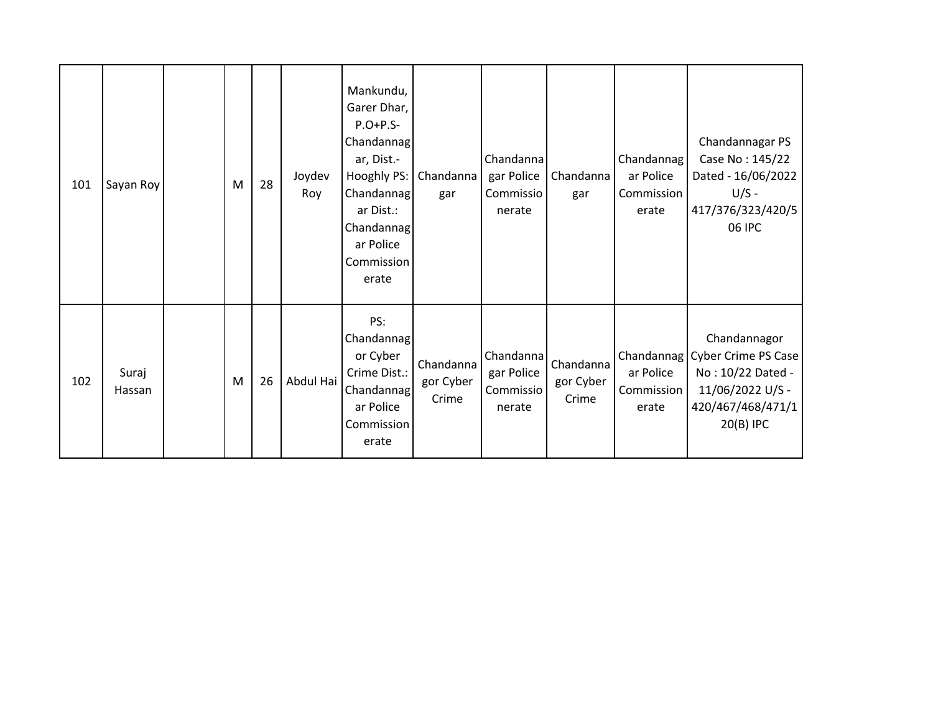| 101 | Sayan Roy       | M | 28 | Joydev<br>Roy | Mankundu,<br>Garer Dhar,<br>$P.O+P.S-$<br>Chandannag<br>ar, Dist.-<br>Hooghly PS:<br>Chandannag<br>ar Dist.:<br>Chandannag<br>ar Police<br>Commission<br>erate | Chandanna<br>gar                | Chandanna<br>gar Police<br>Commissio<br>nerate | Chandanna<br>gar                | Chandannag<br>ar Police<br>Commission<br>erate | Chandannagar PS<br>Case No: 145/22<br>Dated - 16/06/2022<br>$U/S -$<br>417/376/323/420/5<br>06 IPC                        |
|-----|-----------------|---|----|---------------|----------------------------------------------------------------------------------------------------------------------------------------------------------------|---------------------------------|------------------------------------------------|---------------------------------|------------------------------------------------|---------------------------------------------------------------------------------------------------------------------------|
| 102 | Suraj<br>Hassan | M | 26 | Abdul Hai     | PS:<br>Chandannag<br>or Cyber<br>Crime Dist.:<br>Chandannag<br>ar Police<br>Commission<br>erate                                                                | Chandanna<br>gor Cyber<br>Crime | Chandanna<br>gar Police<br>Commissio<br>nerate | Chandanna<br>gor Cyber<br>Crime | ar Police<br>Commission<br>erate               | Chandannagor<br>Chandannag Cyber Crime PS Case<br>No: 10/22 Dated -<br>11/06/2022 U/S -<br>420/467/468/471/1<br>20(B) IPC |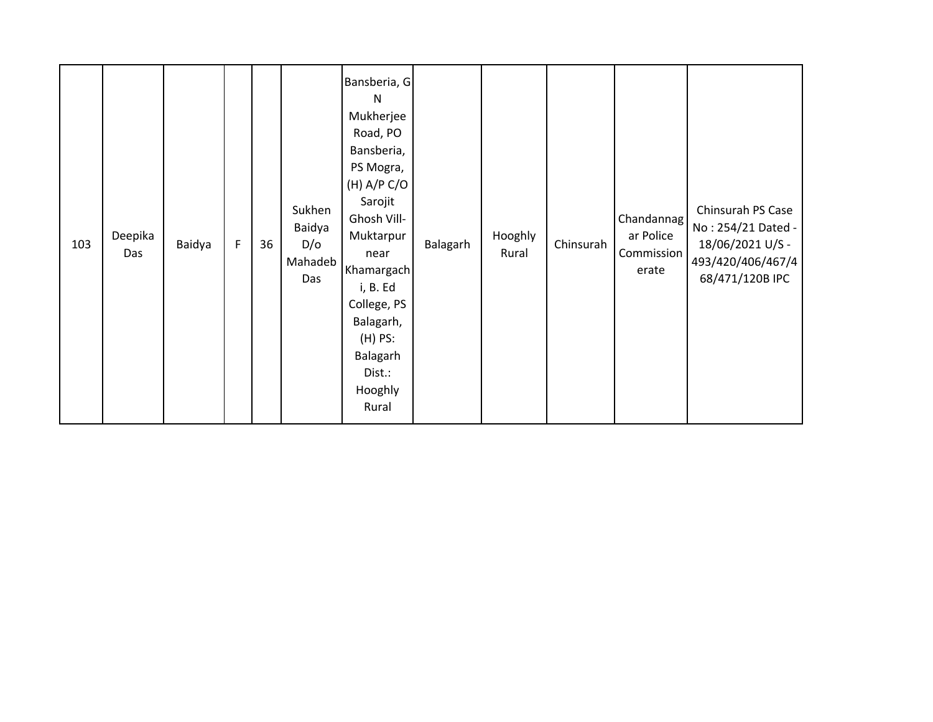| 103 | Deepika<br>Das | Baidya | F | 36 | Sukhen<br>Baidya<br>D/O<br>Mahadeb<br>Das | Bansberia, G<br>N<br>Mukherjee<br>Road, PO<br>Bansberia,<br>PS Mogra,<br>(H) A/P C/O<br>Sarojit<br>Ghosh Vill-<br>Muktarpur<br>near<br>Khamargach<br>i, B. Ed<br>College, PS<br>Balagarh,<br>$(H)$ PS:<br>Balagarh<br>Dist.:<br>Hooghly<br>Rural | Balagarh | Hooghly<br>Rural | Chinsurah | Chandannag<br>ar Police<br>Commission<br>erate | Chinsurah PS Case<br>No: 254/21 Dated -<br>18/06/2021 U/S -<br>493/420/406/467/4<br>68/471/120B IPC |
|-----|----------------|--------|---|----|-------------------------------------------|--------------------------------------------------------------------------------------------------------------------------------------------------------------------------------------------------------------------------------------------------|----------|------------------|-----------|------------------------------------------------|-----------------------------------------------------------------------------------------------------|
|-----|----------------|--------|---|----|-------------------------------------------|--------------------------------------------------------------------------------------------------------------------------------------------------------------------------------------------------------------------------------------------------|----------|------------------|-----------|------------------------------------------------|-----------------------------------------------------------------------------------------------------|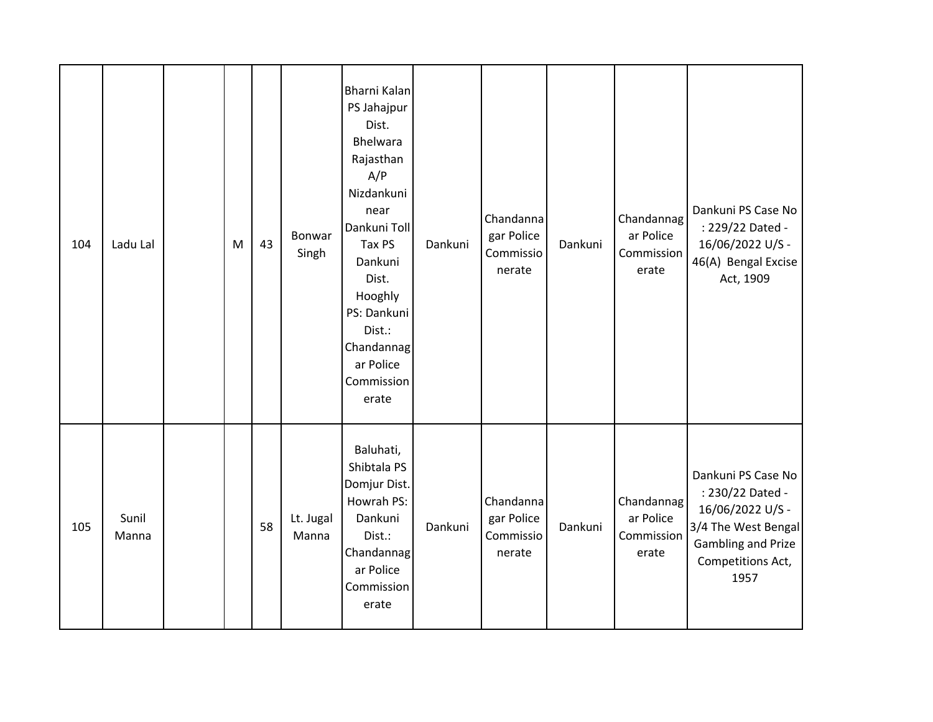| 104 | Ladu Lal       | M | 43 | Bonwar<br>Singh    | Bharni Kalan<br>PS Jahajpur<br>Dist.<br>Bhelwara<br>Rajasthan<br>A/P<br>Nizdankuni<br>near<br>Dankuni Toll<br>Tax PS<br>Dankuni<br>Dist.<br>Hooghly<br>PS: Dankuni<br>Dist.:<br>Chandannag<br>ar Police<br>Commission<br>erate | Dankuni | Chandanna<br>gar Police<br>Commissio<br>nerate | Dankuni | Chandannag<br>ar Police<br>Commission<br>erate | Dankuni PS Case No<br>: 229/22 Dated -<br>16/06/2022 U/S -<br>46(A) Bengal Excise<br>Act, 1909                                              |
|-----|----------------|---|----|--------------------|--------------------------------------------------------------------------------------------------------------------------------------------------------------------------------------------------------------------------------|---------|------------------------------------------------|---------|------------------------------------------------|---------------------------------------------------------------------------------------------------------------------------------------------|
| 105 | Sunil<br>Manna |   | 58 | Lt. Jugal<br>Manna | Baluhati,<br>Shibtala PS<br>Domjur Dist.<br>Howrah PS:<br>Dankuni<br>Dist.:<br>Chandannag<br>ar Police<br>Commission<br>erate                                                                                                  | Dankuni | Chandanna<br>gar Police<br>Commissio<br>nerate | Dankuni | Chandannag<br>ar Police<br>Commission<br>erate | Dankuni PS Case No<br>: 230/22 Dated -<br>16/06/2022 U/S -<br>3/4 The West Bengal<br><b>Gambling and Prize</b><br>Competitions Act,<br>1957 |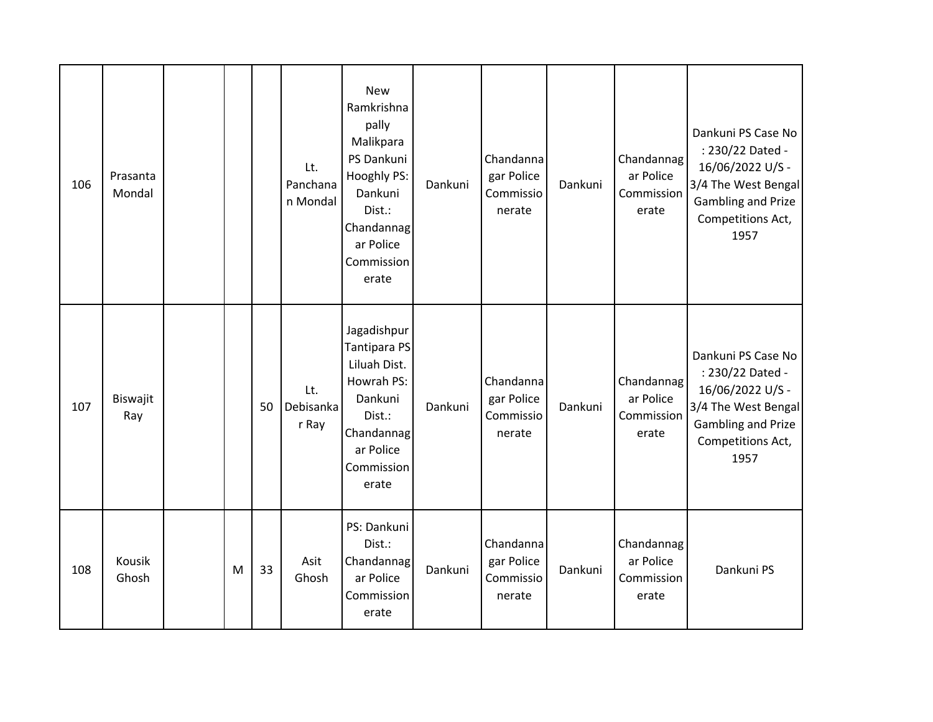| 106 | Prasanta<br>Mondal |   |    | Lt.<br>Panchana<br>n Mondal | <b>New</b><br>Ramkrishna<br>pally<br>Malikpara<br>PS Dankuni<br>Hooghly PS:<br>Dankuni<br>Dist.:<br>Chandannag<br>ar Police<br>Commission<br>erate | Dankuni | Chandanna<br>gar Police<br>Commissio<br>nerate | Dankuni | Chandannag<br>ar Police<br>Commission<br>erate | Dankuni PS Case No<br>: 230/22 Dated -<br>16/06/2022 U/S -<br>3/4 The West Bengal<br>Gambling and Prize<br>Competitions Act,<br>1957        |
|-----|--------------------|---|----|-----------------------------|----------------------------------------------------------------------------------------------------------------------------------------------------|---------|------------------------------------------------|---------|------------------------------------------------|---------------------------------------------------------------------------------------------------------------------------------------------|
| 107 | Biswajit<br>Ray    |   | 50 | Lt.<br>Debisanka<br>r Ray   | Jagadishpur<br><b>Tantipara PS</b><br>Liluah Dist.<br>Howrah PS:<br>Dankuni<br>Dist.:<br>Chandannag<br>ar Police<br>Commission<br>erate            | Dankuni | Chandanna<br>gar Police<br>Commissio<br>nerate | Dankuni | Chandannag<br>ar Police<br>Commission<br>erate | Dankuni PS Case No<br>: 230/22 Dated -<br>16/06/2022 U/S -<br>3/4 The West Bengal<br><b>Gambling and Prize</b><br>Competitions Act,<br>1957 |
| 108 | Kousik<br>Ghosh    | M | 33 | Asit<br>Ghosh               | PS: Dankuni<br>Dist.:<br>Chandannag<br>ar Police<br>Commission<br>erate                                                                            | Dankuni | Chandanna<br>gar Police<br>Commissio<br>nerate | Dankuni | Chandannag<br>ar Police<br>Commission<br>erate | Dankuni PS                                                                                                                                  |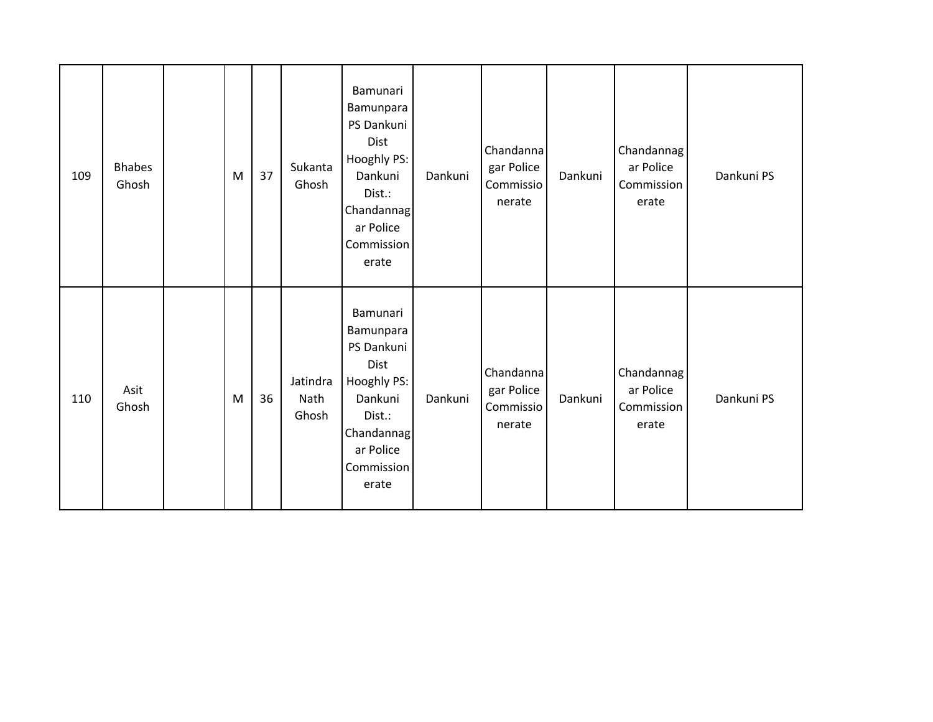| 109 | <b>Bhabes</b><br>Ghosh | ${\sf M}$ | 37 | Sukanta<br>Ghosh          | Bamunari<br>Bamunpara<br>PS Dankuni<br>Dist<br>Hooghly PS:<br>Dankuni<br>Dist.:<br>Chandannag<br>ar Police<br>Commission<br>erate | Dankuni | Chandanna<br>gar Police<br>Commissio<br>nerate | Dankuni | Chandannag<br>ar Police<br>Commission<br>erate | Dankuni PS |
|-----|------------------------|-----------|----|---------------------------|-----------------------------------------------------------------------------------------------------------------------------------|---------|------------------------------------------------|---------|------------------------------------------------|------------|
| 110 | Asit<br>Ghosh          | ${\sf M}$ | 36 | Jatindra<br>Nath<br>Ghosh | Bamunari<br>Bamunpara<br>PS Dankuni<br>Dist<br>Hooghly PS:<br>Dankuni<br>Dist.:<br>Chandannag<br>ar Police<br>Commission<br>erate | Dankuni | Chandanna<br>gar Police<br>Commissio<br>nerate | Dankuni | Chandannag<br>ar Police<br>Commission<br>erate | Dankuni PS |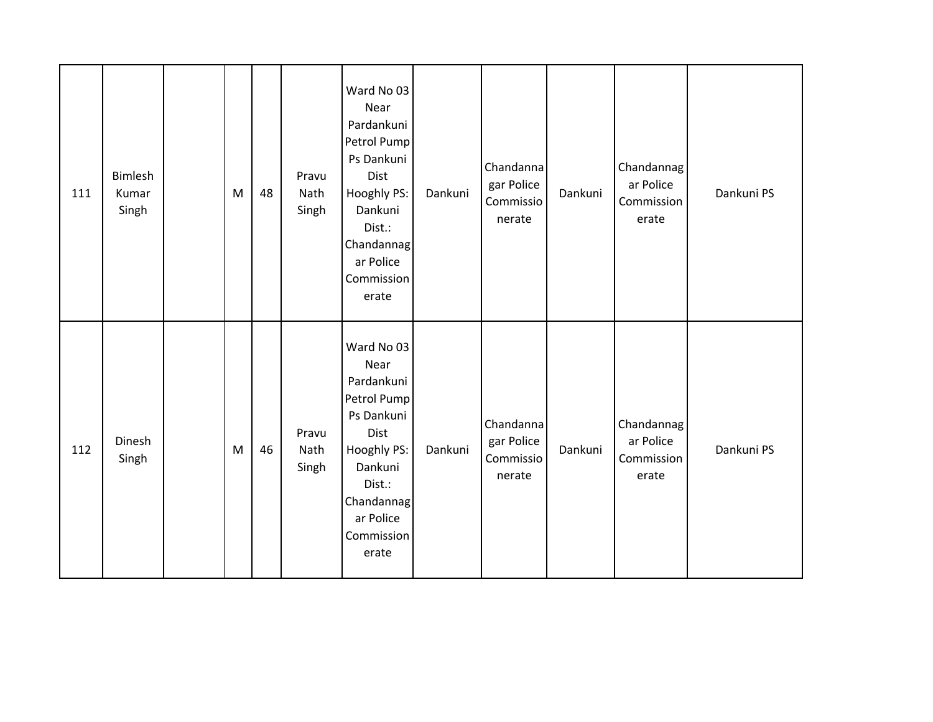| 111 | <b>Bimlesh</b><br>Kumar<br>Singh | ${\sf M}$ | 48 | Pravu<br>Nath<br>Singh | Ward No 03<br>Near<br>Pardankuni<br>Petrol Pump<br>Ps Dankuni<br>Dist<br>Hooghly PS:<br>Dankuni<br>Dist.:<br>Chandannag<br>ar Police<br>Commission<br>erate | Dankuni | Chandanna<br>gar Police<br>Commissio<br>nerate | Dankuni | Chandannag<br>ar Police<br>Commission<br>erate | Dankuni PS |
|-----|----------------------------------|-----------|----|------------------------|-------------------------------------------------------------------------------------------------------------------------------------------------------------|---------|------------------------------------------------|---------|------------------------------------------------|------------|
| 112 | Dinesh<br>Singh                  | M         | 46 | Pravu<br>Nath<br>Singh | Ward No 03<br>Near<br>Pardankuni<br>Petrol Pump<br>Ps Dankuni<br>Dist<br>Hooghly PS:<br>Dankuni<br>Dist.:<br>Chandannag<br>ar Police<br>Commission<br>erate | Dankuni | Chandanna<br>gar Police<br>Commissio<br>nerate | Dankuni | Chandannag<br>ar Police<br>Commission<br>erate | Dankuni PS |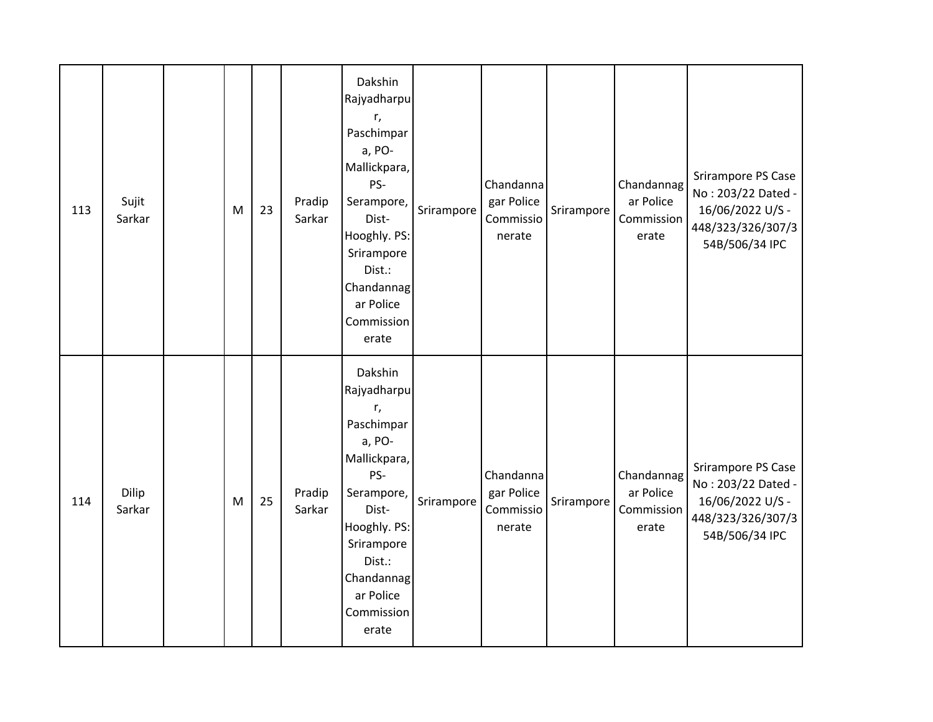| 113 | Sujit<br>Sarkar | M | 23 | Pradip<br>Sarkar | Dakshin<br>Rajyadharpu<br>r,<br>Paschimpar<br>a, PO-<br>Mallickpara,<br>PS-<br>Serampore,<br>Dist-<br>Hooghly. PS:<br>Srirampore<br>Dist.:<br>Chandannag<br>ar Police<br>Commission<br>erate | Srirampore | Chandanna<br>gar Police<br>Commissio<br>nerate | Srirampore | Chandannag<br>ar Police<br>Commission<br>erate | Srirampore PS Case<br>No: 203/22 Dated -<br>16/06/2022 U/S -<br>448/323/326/307/3<br>54B/506/34 IPC |
|-----|-----------------|---|----|------------------|----------------------------------------------------------------------------------------------------------------------------------------------------------------------------------------------|------------|------------------------------------------------|------------|------------------------------------------------|-----------------------------------------------------------------------------------------------------|
| 114 | Dilip<br>Sarkar | M | 25 | Pradip<br>Sarkar | Dakshin<br>Rajyadharpu<br>r,<br>Paschimpar<br>a, PO-<br>Mallickpara,<br>PS-<br>Serampore,<br>Dist-<br>Hooghly. PS:<br>Srirampore<br>Dist.:<br>Chandannag<br>ar Police<br>Commission<br>erate | Srirampore | Chandanna<br>gar Police<br>Commissio<br>nerate | Srirampore | Chandannag<br>ar Police<br>Commission<br>erate | Srirampore PS Case<br>No: 203/22 Dated -<br>16/06/2022 U/S -<br>448/323/326/307/3<br>54B/506/34 IPC |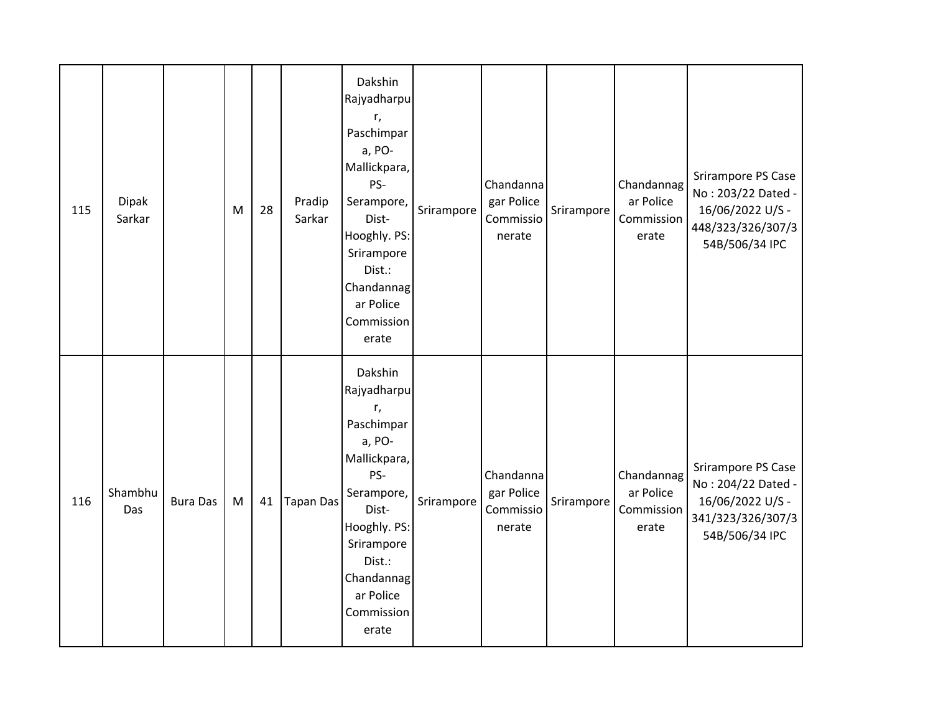| 115 | <b>Dipak</b><br>Sarkar |                 | M | 28 | Pradip<br>Sarkar | Dakshin<br>Rajyadharpu<br>r,<br>Paschimpar<br>a, PO-<br>Mallickpara,<br>PS-<br>Serampore,<br>Dist-<br>Hooghly. PS:<br>Srirampore<br>Dist.:<br>Chandannag<br>ar Police<br>Commission<br>erate | Srirampore | Chandanna<br>gar Police<br>Commissio<br>nerate | Srirampore | Chandannag<br>ar Police<br>Commission<br>erate | Srirampore PS Case<br>No: 203/22 Dated -<br>16/06/2022 U/S -<br>448/323/326/307/3<br>54B/506/34 IPC |
|-----|------------------------|-----------------|---|----|------------------|----------------------------------------------------------------------------------------------------------------------------------------------------------------------------------------------|------------|------------------------------------------------|------------|------------------------------------------------|-----------------------------------------------------------------------------------------------------|
| 116 | Shambhu<br>Das         | <b>Bura Das</b> | M | 41 | <b>Tapan Das</b> | Dakshin<br>Rajyadharpu<br>r,<br>Paschimpar<br>a, PO-<br>Mallickpara,<br>PS-<br>Serampore,<br>Dist-<br>Hooghly. PS:<br>Srirampore<br>Dist.:<br>Chandannag<br>ar Police<br>Commission<br>erate | Srirampore | Chandanna<br>gar Police<br>Commissio<br>nerate | Srirampore | Chandannag<br>ar Police<br>Commission<br>erate | Srirampore PS Case<br>No: 204/22 Dated -<br>16/06/2022 U/S -<br>341/323/326/307/3<br>54B/506/34 IPC |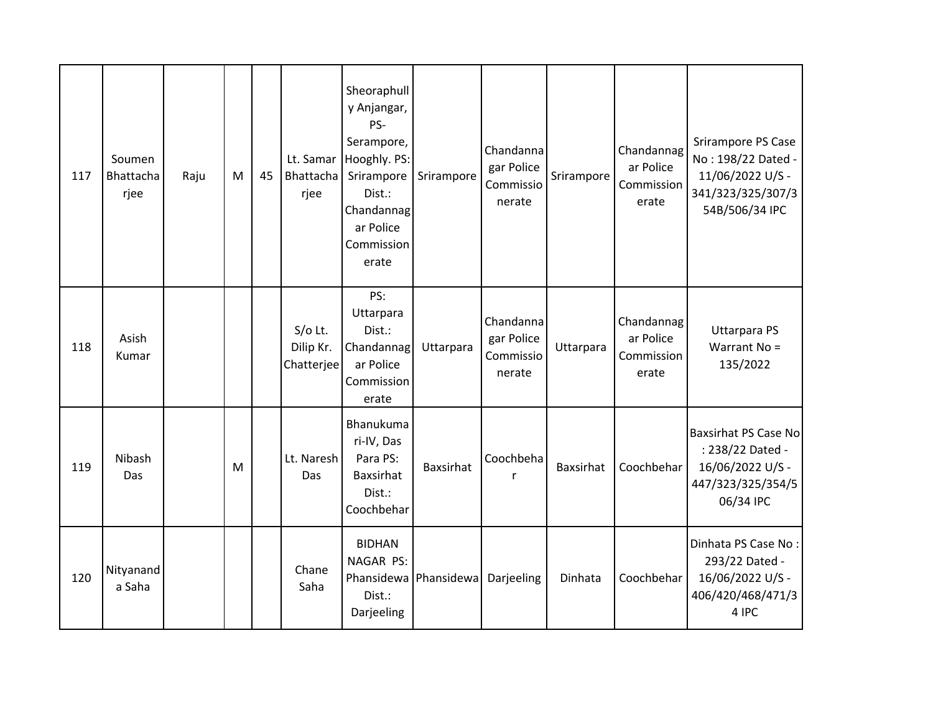| 117 | Soumen<br>Bhattacha<br>rjee | Raju | M | 45 | Lt. Samar<br>Bhattacha<br>rjee       | Sheoraphull<br>y Anjangar,<br>PS-<br>Serampore,<br>Hooghly. PS:<br>Srirampore<br>Dist.:<br>Chandannag<br>ar Police<br>Commission<br>erate | Srirampore       | Chandanna<br>gar Police<br>Commissio<br>nerate | Srirampore | Chandannag<br>ar Police<br>Commission<br>erate | Srirampore PS Case<br>No: 198/22 Dated -<br>11/06/2022 U/S -<br>341/323/325/307/3<br>54B/506/34 IPC   |
|-----|-----------------------------|------|---|----|--------------------------------------|-------------------------------------------------------------------------------------------------------------------------------------------|------------------|------------------------------------------------|------------|------------------------------------------------|-------------------------------------------------------------------------------------------------------|
| 118 | Asish<br>Kumar              |      |   |    | $S/O$ Lt.<br>Dilip Kr.<br>Chatterjee | PS:<br>Uttarpara<br>Dist.:<br>Chandannag<br>ar Police<br>Commission<br>erate                                                              | Uttarpara        | Chandanna<br>gar Police<br>Commissio<br>nerate | Uttarpara  | Chandannag<br>ar Police<br>Commission<br>erate | <b>Uttarpara PS</b><br>Warrant No =<br>135/2022                                                       |
| 119 | Nibash<br>Das               |      | M |    | Lt. Naresh<br>Das                    | Bhanukuma<br>ri-IV, Das<br>Para PS:<br><b>Baxsirhat</b><br>Dist.:<br>Coochbehar                                                           | <b>Baxsirhat</b> | Coochbeha<br>r                                 | Baxsirhat  | Coochbehar                                     | <b>Baxsirhat PS Case No</b><br>: 238/22 Dated -<br>16/06/2022 U/S -<br>447/323/325/354/5<br>06/34 IPC |
| 120 | Nityanand<br>a Saha         |      |   |    | Chane<br>Saha                        | <b>BIDHAN</b><br>NAGAR PS:<br>Phansidewa Phansidewa<br>Dist.:<br>Darjeeling                                                               |                  | Darjeeling                                     | Dinhata    | Coochbehar                                     | Dinhata PS Case No:<br>293/22 Dated -<br>16/06/2022 U/S -<br>406/420/468/471/3<br>4 IPC               |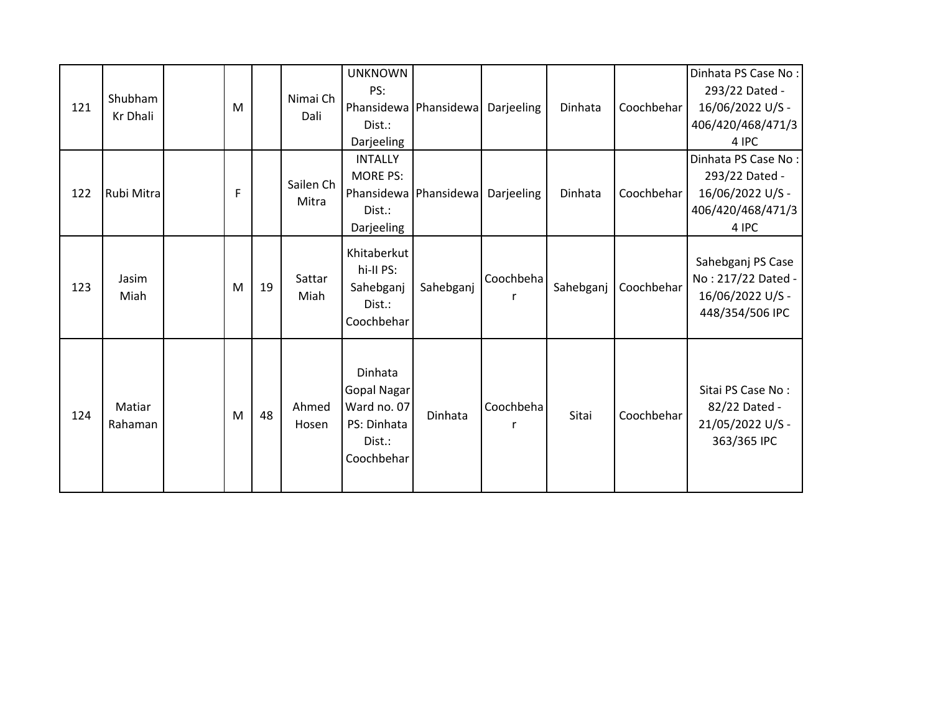| 121 | Shubham<br>Kr Dhali | M |    | Nimai Ch<br>Dali   | <b>UNKNOWN</b><br>PS:<br>Dist.:<br>Darjeeling                                | Phansidewa   Phansidewa | Darjeeling | Dinhata   | Coochbehar | Dinhata PS Case No:<br>293/22 Dated -<br>16/06/2022 U/S -<br>406/420/468/471/3<br>4 IPC |
|-----|---------------------|---|----|--------------------|------------------------------------------------------------------------------|-------------------------|------------|-----------|------------|-----------------------------------------------------------------------------------------|
| 122 | Rubi Mitra          | F |    | Sailen Ch<br>Mitra | <b>INTALLY</b><br>MORE PS:<br>Dist.:<br>Darjeeling                           | Phansidewa Phansidewa   | Darjeeling | Dinhata   | Coochbehar | Dinhata PS Case No:<br>293/22 Dated -<br>16/06/2022 U/S -<br>406/420/468/471/3<br>4 IPC |
| 123 | Jasim<br>Miah       | M | 19 | Sattar<br>Miah     | Khitaberkut<br>hi-II PS:<br>Sahebganj<br>Dist.:<br>Coochbehar                | Sahebganj               | Coochbeha  | Sahebganj | Coochbehar | Sahebganj PS Case<br>No: 217/22 Dated -<br>16/06/2022 U/S -<br>448/354/506 IPC          |
| 124 | Matiar<br>Rahaman   | M | 48 | Ahmed<br>Hosen     | Dinhata<br>Gopal Nagar<br>Ward no. 07<br>PS: Dinhata<br>Dist.:<br>Coochbehar | Dinhata                 | Coochbeha  | Sitai     | Coochbehar | Sitai PS Case No:<br>82/22 Dated -<br>21/05/2022 U/S -<br>363/365 IPC                   |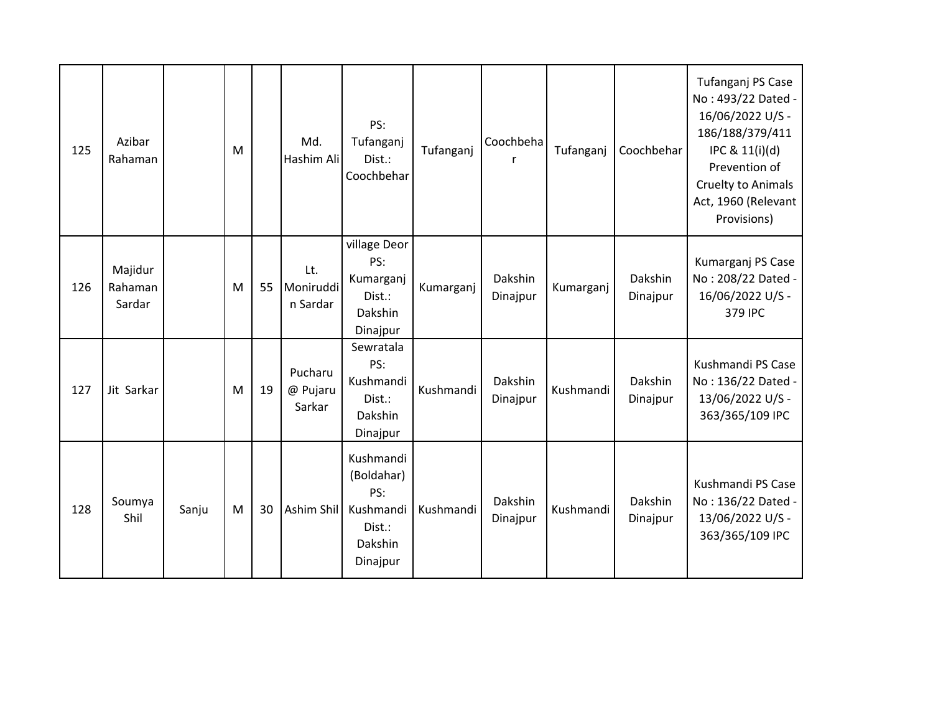| 125 | Azibar<br>Rahaman            |       | M |    | Md.<br>Hashim Ali             | PS:<br>Tufanganj<br>Dist.:<br>Coochbehar                                     | Tufanganj | Coochbeha<br>r      | Tufanganj | Coochbehar          | Tufanganj PS Case<br>No: 493/22 Dated -<br>16/06/2022 U/S -<br>186/188/379/411<br>IPC & 11(i)(d)<br>Prevention of<br>Cruelty to Animals<br>Act, 1960 (Relevant<br>Provisions) |
|-----|------------------------------|-------|---|----|-------------------------------|------------------------------------------------------------------------------|-----------|---------------------|-----------|---------------------|-------------------------------------------------------------------------------------------------------------------------------------------------------------------------------|
| 126 | Majidur<br>Rahaman<br>Sardar |       | M | 55 | Lt.<br>Moniruddi<br>n Sardar  | village Deor<br>PS:<br>Kumarganj<br>Dist.:<br>Dakshin<br>Dinajpur            | Kumarganj | Dakshin<br>Dinajpur | Kumarganj | Dakshin<br>Dinajpur | Kumarganj PS Case<br>No: 208/22 Dated -<br>16/06/2022 U/S -<br>379 IPC                                                                                                        |
| 127 | Jit Sarkar                   |       | M | 19 | Pucharu<br>@ Pujaru<br>Sarkar | Sewratala<br>PS:<br>Kushmandi<br>Dist.:<br>Dakshin<br>Dinajpur               | Kushmandi | Dakshin<br>Dinajpur | Kushmandi | Dakshin<br>Dinajpur | Kushmandi PS Case<br>No: 136/22 Dated -<br>13/06/2022 U/S -<br>363/365/109 IPC                                                                                                |
| 128 | Soumya<br>Shil               | Sanju | M | 30 | Ashim Shil                    | Kushmandi<br>(Boldahar)<br>PS:<br>Kushmandi<br>Dist.:<br>Dakshin<br>Dinajpur | Kushmandi | Dakshin<br>Dinajpur | Kushmandi | Dakshin<br>Dinajpur | Kushmandi PS Case<br>No: 136/22 Dated -<br>13/06/2022 U/S -<br>363/365/109 IPC                                                                                                |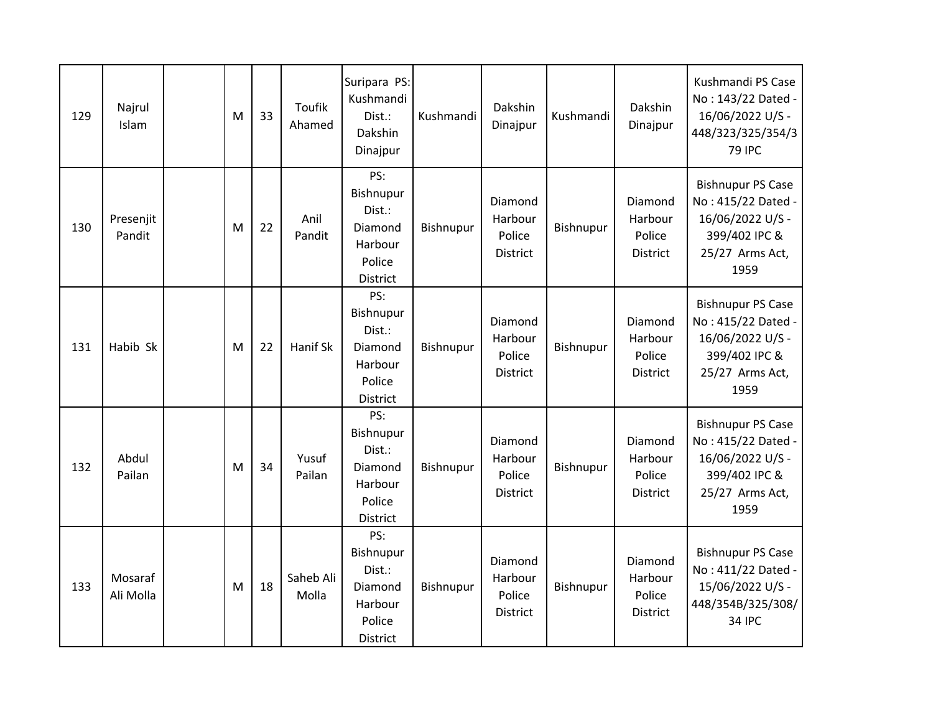| 129 | Najrul<br>Islam      | M | 33 | <b>Toufik</b><br>Ahamed | Suripara PS:<br>Kushmandi<br>Dist.:<br>Dakshin<br>Dinajpur                    | Kushmandi | Dakshin<br>Dinajpur                      | Kushmandi | Dakshin<br>Dinajpur                      | Kushmandi PS Case<br>No: 143/22 Dated -<br>16/06/2022 U/S -<br>448/323/325/354/3<br><b>79 IPC</b>              |
|-----|----------------------|---|----|-------------------------|-------------------------------------------------------------------------------|-----------|------------------------------------------|-----------|------------------------------------------|----------------------------------------------------------------------------------------------------------------|
| 130 | Presenjit<br>Pandit  | M | 22 | Anil<br>Pandit          | PS:<br>Bishnupur<br>Dist.:<br>Diamond<br>Harbour<br>Police<br>District        | Bishnupur | Diamond<br>Harbour<br>Police<br>District | Bishnupur | Diamond<br>Harbour<br>Police<br>District | <b>Bishnupur PS Case</b><br>No: 415/22 Dated -<br>16/06/2022 U/S -<br>399/402 IPC &<br>25/27 Arms Act,<br>1959 |
| 131 | Habib Sk             | M | 22 | Hanif Sk                | PS:<br>Bishnupur<br>Dist.:<br>Diamond<br>Harbour<br>Police<br><b>District</b> | Bishnupur | Diamond<br>Harbour<br>Police<br>District | Bishnupur | Diamond<br>Harbour<br>Police<br>District | <b>Bishnupur PS Case</b><br>No: 415/22 Dated -<br>16/06/2022 U/S -<br>399/402 IPC &<br>25/27 Arms Act,<br>1959 |
| 132 | Abdul<br>Pailan      | M | 34 | Yusuf<br>Pailan         | PS:<br>Bishnupur<br>Dist.:<br>Diamond<br>Harbour<br>Police<br>District        | Bishnupur | Diamond<br>Harbour<br>Police<br>District | Bishnupur | Diamond<br>Harbour<br>Police<br>District | <b>Bishnupur PS Case</b><br>No: 415/22 Dated -<br>16/06/2022 U/S -<br>399/402 IPC &<br>25/27 Arms Act,<br>1959 |
| 133 | Mosaraf<br>Ali Molla | M | 18 | Saheb Ali<br>Molla      | PS:<br>Bishnupur<br>Dist.:<br>Diamond<br>Harbour<br>Police<br><b>District</b> | Bishnupur | Diamond<br>Harbour<br>Police<br>District | Bishnupur | Diamond<br>Harbour<br>Police<br>District | <b>Bishnupur PS Case</b><br>No: 411/22 Dated -<br>15/06/2022 U/S -<br>448/354B/325/308/<br><b>34 IPC</b>       |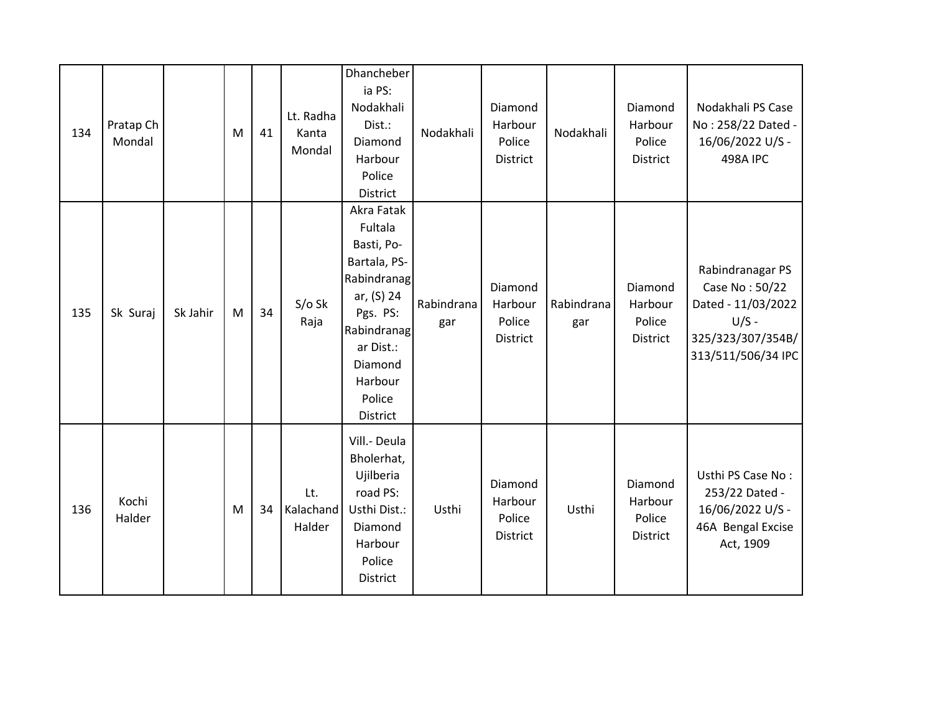| 134 | Pratap Ch<br>Mondal |          | M | 41 | Lt. Radha<br>Kanta<br>Mondal | Dhancheber<br>ia PS:<br>Nodakhali<br>Dist.:<br>Diamond<br>Harbour<br>Police<br>District                                                                              | Nodakhali         | Diamond<br>Harbour<br>Police<br>District        | Nodakhali         | Diamond<br>Harbour<br>Police<br>District | Nodakhali PS Case<br>No: 258/22 Dated -<br>16/06/2022 U/S -<br><b>498A IPC</b>                                 |
|-----|---------------------|----------|---|----|------------------------------|----------------------------------------------------------------------------------------------------------------------------------------------------------------------|-------------------|-------------------------------------------------|-------------------|------------------------------------------|----------------------------------------------------------------------------------------------------------------|
| 135 | Sk Suraj            | Sk Jahir | M | 34 | $S/O$ Sk<br>Raja             | Akra Fatak<br>Fultala<br>Basti, Po-<br>Bartala, PS-<br>Rabindranag<br>ar, (S) 24<br>Pgs. PS:<br>Rabindranag<br>ar Dist.:<br>Diamond<br>Harbour<br>Police<br>District | Rabindrana<br>gar | Diamond<br>Harbour<br>Police<br>District        | Rabindrana<br>gar | Diamond<br>Harbour<br>Police<br>District | Rabindranagar PS<br>Case No: 50/22<br>Dated - 11/03/2022<br>$U/S -$<br>325/323/307/354B/<br>313/511/506/34 IPC |
| 136 | Kochi<br>Halder     |          | M | 34 | Lt.<br>Kalachand<br>Halder   | Vill.- Deula<br>Bholerhat,<br>Ujilberia<br>road PS:<br>Usthi Dist.:<br>Diamond<br>Harbour<br>Police<br>District                                                      | Usthi             | Diamond<br>Harbour<br>Police<br><b>District</b> | Usthi             | Diamond<br>Harbour<br>Police<br>District | Usthi PS Case No:<br>253/22 Dated -<br>16/06/2022 U/S -<br>46A Bengal Excise<br>Act, 1909                      |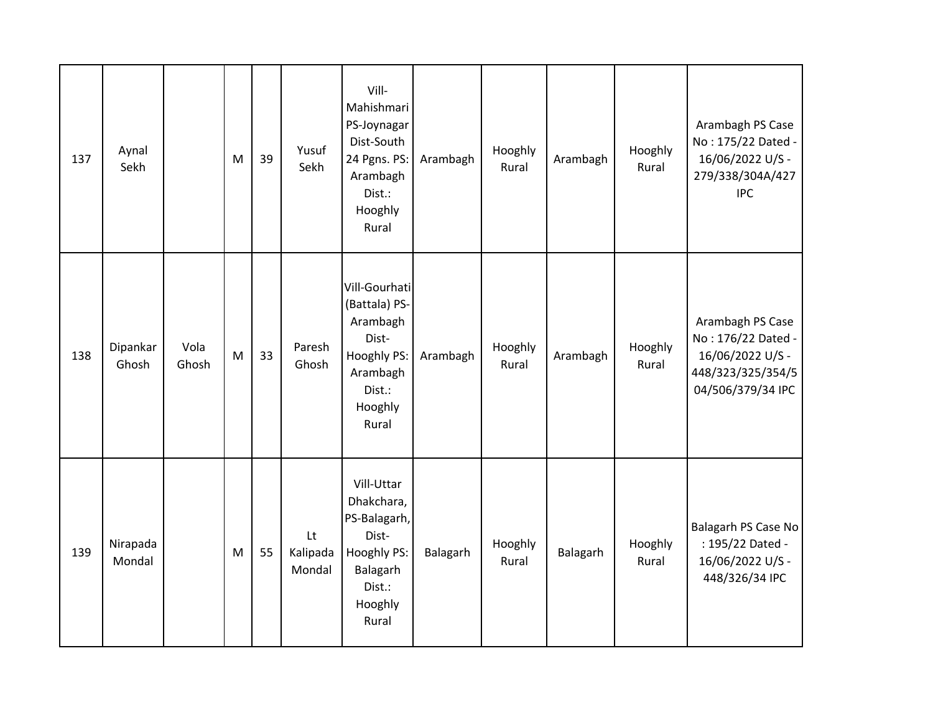| 137 | Aynal<br>Sekh      |               | M | 39 | Yusuf<br>Sekh            | Vill-<br>Mahishmari<br>PS-Joynagar<br>Dist-South<br>24 Pgns. PS:<br>Arambagh<br>Dist.:<br>Hooghly<br>Rural   | Arambagh | Hooghly<br>Rural | Arambagh | Hooghly<br>Rural | Arambagh PS Case<br>No: 175/22 Dated -<br>16/06/2022 U/S -<br>279/338/304A/427<br><b>IPC</b>         |
|-----|--------------------|---------------|---|----|--------------------------|--------------------------------------------------------------------------------------------------------------|----------|------------------|----------|------------------|------------------------------------------------------------------------------------------------------|
| 138 | Dipankar<br>Ghosh  | Vola<br>Ghosh | M | 33 | Paresh<br>Ghosh          | Vill-Gourhati<br>(Battala) PS-<br>Arambagh<br>Dist-<br>Hooghly PS:<br>Arambagh<br>Dist.:<br>Hooghly<br>Rural | Arambagh | Hooghly<br>Rural | Arambagh | Hooghly<br>Rural | Arambagh PS Case<br>No: 176/22 Dated -<br>16/06/2022 U/S -<br>448/323/325/354/5<br>04/506/379/34 IPC |
| 139 | Nirapada<br>Mondal |               | M | 55 | Lt<br>Kalipada<br>Mondal | Vill-Uttar<br>Dhakchara,<br>PS-Balagarh,<br>Dist-<br>Hooghly PS:<br>Balagarh<br>Dist.:<br>Hooghly<br>Rural   | Balagarh | Hooghly<br>Rural | Balagarh | Hooghly<br>Rural | Balagarh PS Case No<br>: 195/22 Dated -<br>16/06/2022 U/S -<br>448/326/34 IPC                        |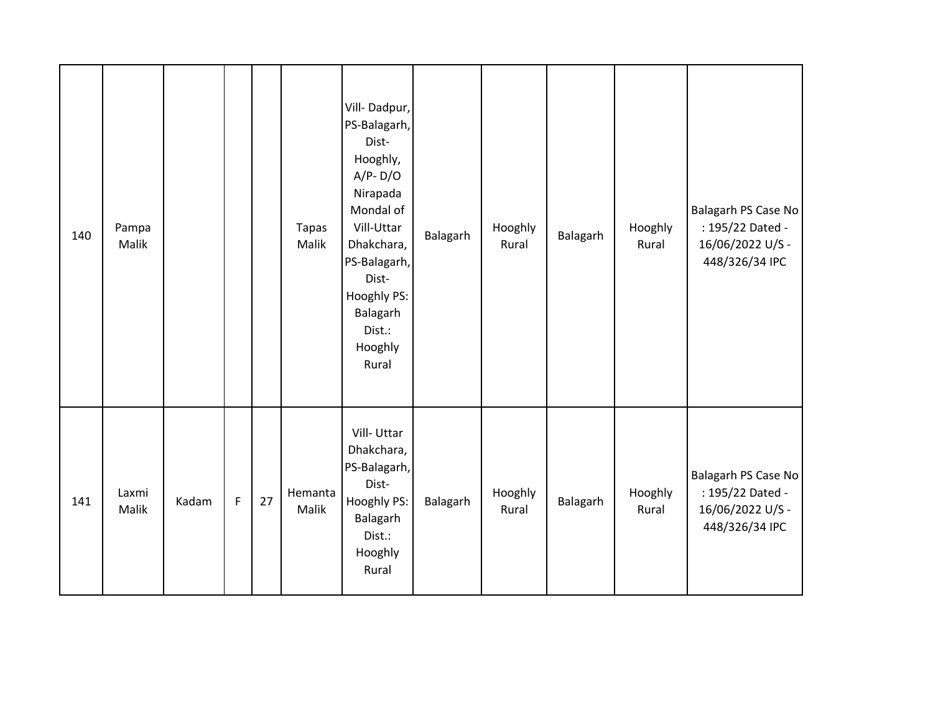| 140 | Pampa<br>Malik |       |             |    | <b>Tapas</b><br>Malik | Vill-Dadpur,<br>PS-Balagarh,<br>Dist-<br>Hooghly,<br>$A/P - D/O$<br>Nirapada<br>Mondal of<br>Vill-Uttar<br>Dhakchara,<br>PS-Balagarh,<br>Dist-<br>Hooghly PS:<br>Balagarh<br>Dist.:<br>Hooghly<br>Rural | Balagarh | Hooghly<br>Rural | Balagarh | Hooghly<br>Rural | Balagarh PS Case No<br>: 195/22 Dated -<br>16/06/2022 U/S -<br>448/326/34 IPC |
|-----|----------------|-------|-------------|----|-----------------------|---------------------------------------------------------------------------------------------------------------------------------------------------------------------------------------------------------|----------|------------------|----------|------------------|-------------------------------------------------------------------------------|
| 141 | Laxmi<br>Malik | Kadam | $\mathsf F$ | 27 | Hemanta<br>Malik      | Vill-Uttar<br>Dhakchara,<br>PS-Balagarh,<br>Dist-<br>Hooghly PS:<br>Balagarh<br>Dist.:<br>Hooghly<br>Rural                                                                                              | Balagarh | Hooghly<br>Rural | Balagarh | Hooghly<br>Rural | Balagarh PS Case No<br>: 195/22 Dated -<br>16/06/2022 U/S -<br>448/326/34 IPC |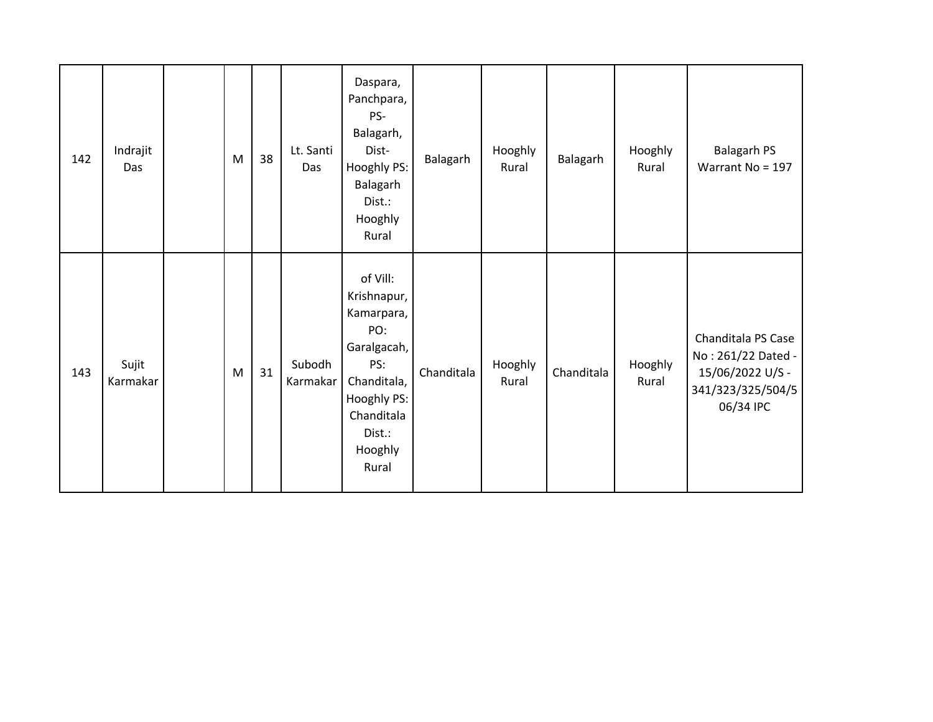| 142 | Indrajit<br>Das   | M | 38 | Lt. Santi<br>Das   | Daspara,<br>Panchpara,<br>PS-<br>Balagarh,<br>Dist-<br>Hooghly PS:<br>Balagarh<br>Dist.:<br>Hooghly<br>Rural                                 | Balagarh   | Hooghly<br>Rural | Balagarh   | Hooghly<br>Rural | <b>Balagarh PS</b><br>Warrant No = 197                                                         |
|-----|-------------------|---|----|--------------------|----------------------------------------------------------------------------------------------------------------------------------------------|------------|------------------|------------|------------------|------------------------------------------------------------------------------------------------|
| 143 | Sujit<br>Karmakar | M | 31 | Subodh<br>Karmakar | of Vill:<br>Krishnapur,<br>Kamarpara,<br>PO:<br>Garalgacah,<br>PS:<br>Chanditala,<br>Hooghly PS:<br>Chanditala<br>Dist.:<br>Hooghly<br>Rural | Chanditala | Hooghly<br>Rural | Chanditala | Hooghly<br>Rural | Chanditala PS Case<br>No: 261/22 Dated -<br>15/06/2022 U/S -<br>341/323/325/504/5<br>06/34 IPC |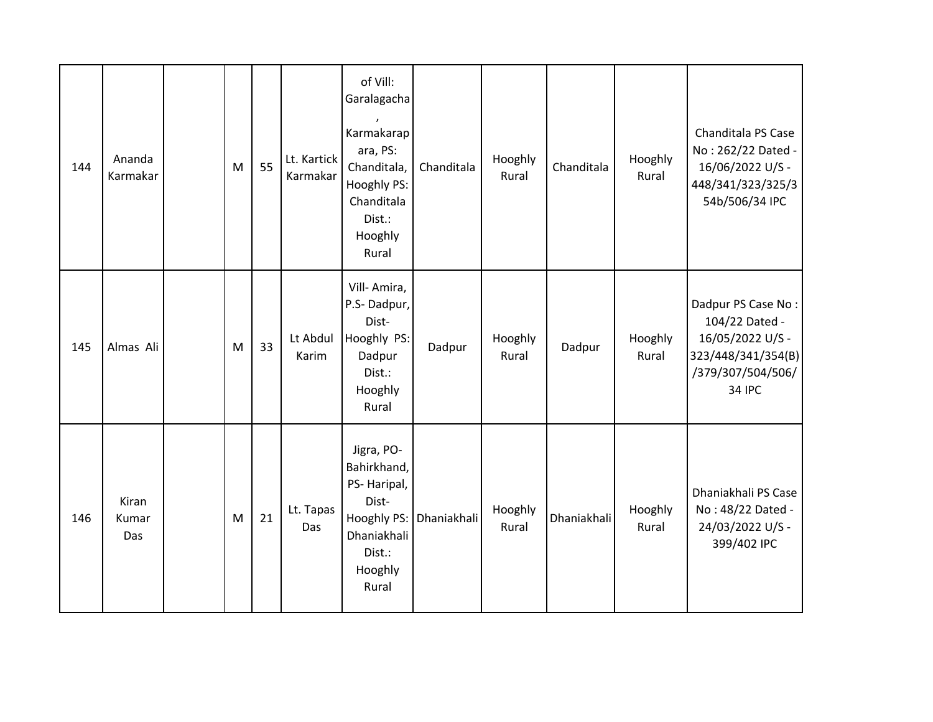| 144 | Ananda<br>Karmakar    | M | 55 | Lt. Kartick<br>Karmakar | of Vill:<br>Garalagacha<br>Karmakarap<br>ara, PS:<br>Chanditala,<br>Hooghly PS:<br>Chanditala<br>Dist.:<br>Hooghly<br>Rural | Chanditala  | Hooghly<br>Rural | Chanditala  | Hooghly<br>Rural | Chanditala PS Case<br>No: 262/22 Dated -<br>16/06/2022 U/S -<br>448/341/323/325/3<br>54b/506/34 IPC                  |
|-----|-----------------------|---|----|-------------------------|-----------------------------------------------------------------------------------------------------------------------------|-------------|------------------|-------------|------------------|----------------------------------------------------------------------------------------------------------------------|
| 145 | Almas Ali             | M | 33 | Lt Abdul<br>Karim       | Vill-Amira,<br>P.S-Dadpur,<br>Dist-<br>Hooghly PS:<br>Dadpur<br>Dist.:<br>Hooghly<br>Rural                                  | Dadpur      | Hooghly<br>Rural | Dadpur      | Hooghly<br>Rural | Dadpur PS Case No:<br>104/22 Dated -<br>16/05/2022 U/S -<br>323/448/341/354(B)<br>/379/307/504/506/<br><b>34 IPC</b> |
| 146 | Kiran<br>Kumar<br>Das | M | 21 | Lt. Tapas<br>Das        | Jigra, PO-<br>Bahirkhand,<br>PS-Haripal,<br>Dist-<br>Hooghly PS:<br>Dhaniakhali<br>Dist.:<br>Hooghly<br>Rural               | Dhaniakhali | Hooghly<br>Rural | Dhaniakhali | Hooghly<br>Rural | Dhaniakhali PS Case<br>No: 48/22 Dated -<br>24/03/2022 U/S -<br>399/402 IPC                                          |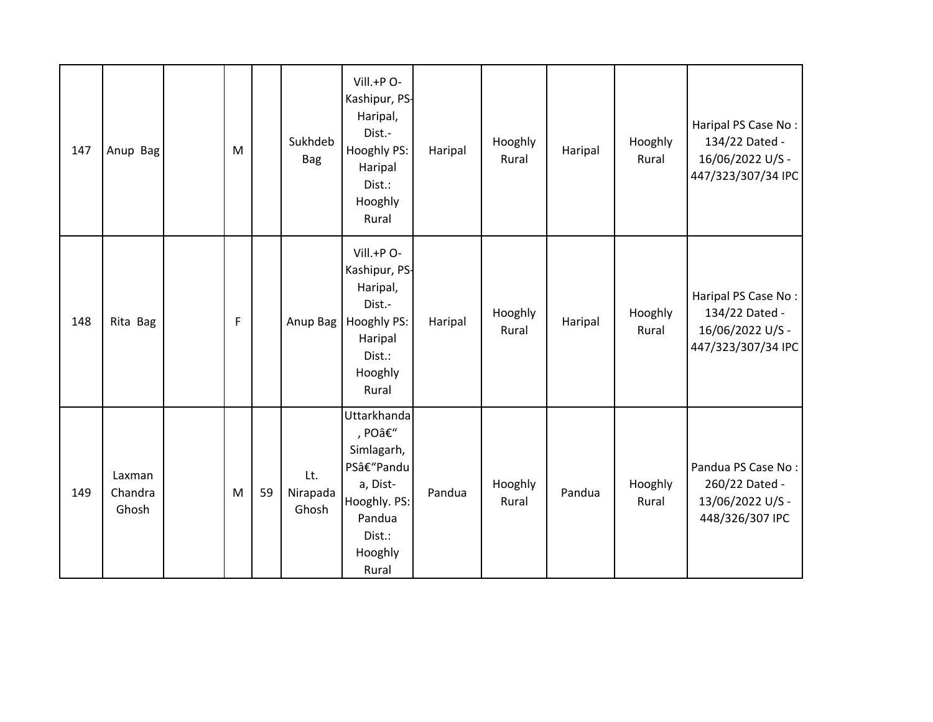| 147 | Anup Bag                   | M         |    | Sukhdeb<br><b>Bag</b>    | Vill.+P O-<br>Kashipur, PS-<br>Haripal,<br>Dist.-<br>Hooghly PS:<br>Haripal<br>Dist.:<br>Hooghly<br>Rural          | Haripal | Hooghly<br>Rural | Haripal | Hooghly<br>Rural | Haripal PS Case No:<br>134/22 Dated -<br>16/06/2022 U/S -<br>447/323/307/34 IPC |
|-----|----------------------------|-----------|----|--------------------------|--------------------------------------------------------------------------------------------------------------------|---------|------------------|---------|------------------|---------------------------------------------------------------------------------|
| 148 | Rita Bag                   | F         |    | Anup Bag                 | Vill.+P O-<br>Kashipur, PS-<br>Haripal,<br>Dist.-<br>Hooghly PS:<br>Haripal<br>Dist.:<br>Hooghly<br>Rural          | Haripal | Hooghly<br>Rural | Haripal | Hooghly<br>Rural | Haripal PS Case No:<br>134/22 Dated -<br>16/06/2022 U/S -<br>447/323/307/34 IPC |
| 149 | Laxman<br>Chandra<br>Ghosh | ${\sf M}$ | 59 | Lt.<br>Nirapada<br>Ghosh | Uttarkhanda<br>, PO–<br>Simlagarh,<br>PS–Pandu<br>a, Dist-<br>Hooghly. PS:<br>Pandua<br>Dist.:<br>Hooghly<br>Rural | Pandua  | Hooghly<br>Rural | Pandua  | Hooghly<br>Rural | Pandua PS Case No:<br>260/22 Dated -<br>13/06/2022 U/S -<br>448/326/307 IPC     |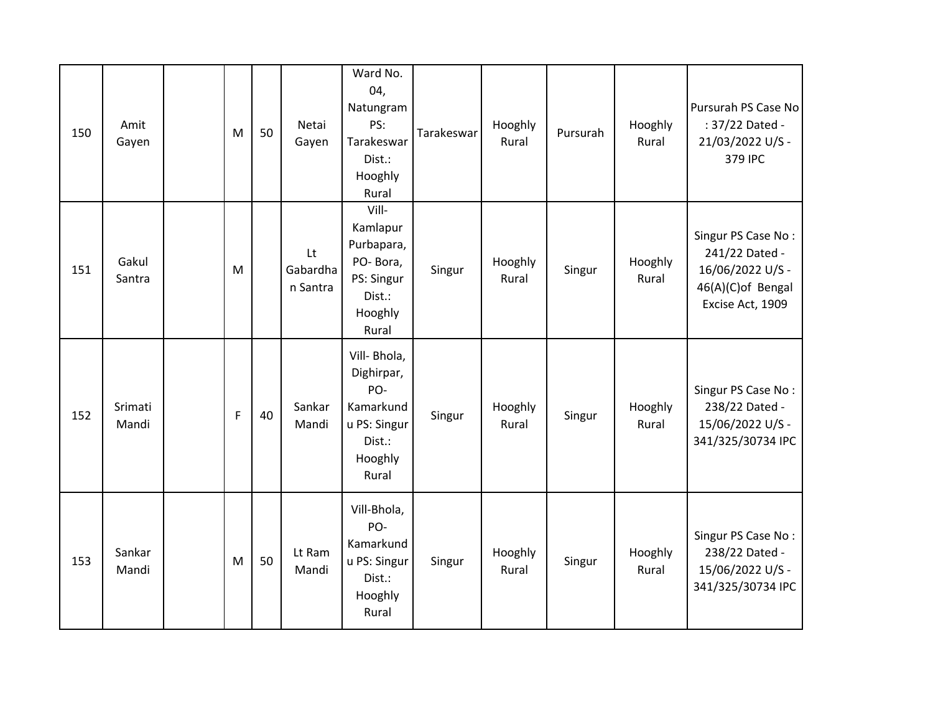| 150 | Amit<br>Gayen    | M              | 50 | Netai<br>Gayen             | Ward No.<br>04,<br>Natungram<br>PS:<br>Tarakeswar<br>Dist.:<br>Hooghly<br>Rural              | Tarakeswar | Hooghly<br>Rural | Pursurah | Hooghly<br>Rural | Pursurah PS Case No<br>: 37/22 Dated -<br>21/03/2022 U/S -<br>379 IPC                             |
|-----|------------------|----------------|----|----------------------------|----------------------------------------------------------------------------------------------|------------|------------------|----------|------------------|---------------------------------------------------------------------------------------------------|
| 151 | Gakul<br>Santra  | M              |    | Lt<br>Gabardha<br>n Santra | Vill-<br>Kamlapur<br>Purbapara,<br>PO-Bora,<br>PS: Singur<br>Dist.:<br>Hooghly<br>Rural      | Singur     | Hooghly<br>Rural | Singur   | Hooghly<br>Rural | Singur PS Case No:<br>241/22 Dated -<br>16/06/2022 U/S -<br>46(A)(C)of Bengal<br>Excise Act, 1909 |
| 152 | Srimati<br>Mandi | $\overline{F}$ | 40 | Sankar<br>Mandi            | Vill- Bhola,<br>Dighirpar,<br>PO-<br>Kamarkund<br>u PS: Singur<br>Dist.:<br>Hooghly<br>Rural | Singur     | Hooghly<br>Rural | Singur   | Hooghly<br>Rural | Singur PS Case No:<br>238/22 Dated -<br>15/06/2022 U/S -<br>341/325/30734 IPC                     |
| 153 | Sankar<br>Mandi  | M              | 50 | Lt Ram<br>Mandi            | Vill-Bhola,<br>PO-<br>Kamarkund<br>u PS: Singur<br>Dist.:<br>Hooghly<br>Rural                | Singur     | Hooghly<br>Rural | Singur   | Hooghly<br>Rural | Singur PS Case No:<br>238/22 Dated -<br>15/06/2022 U/S -<br>341/325/30734 IPC                     |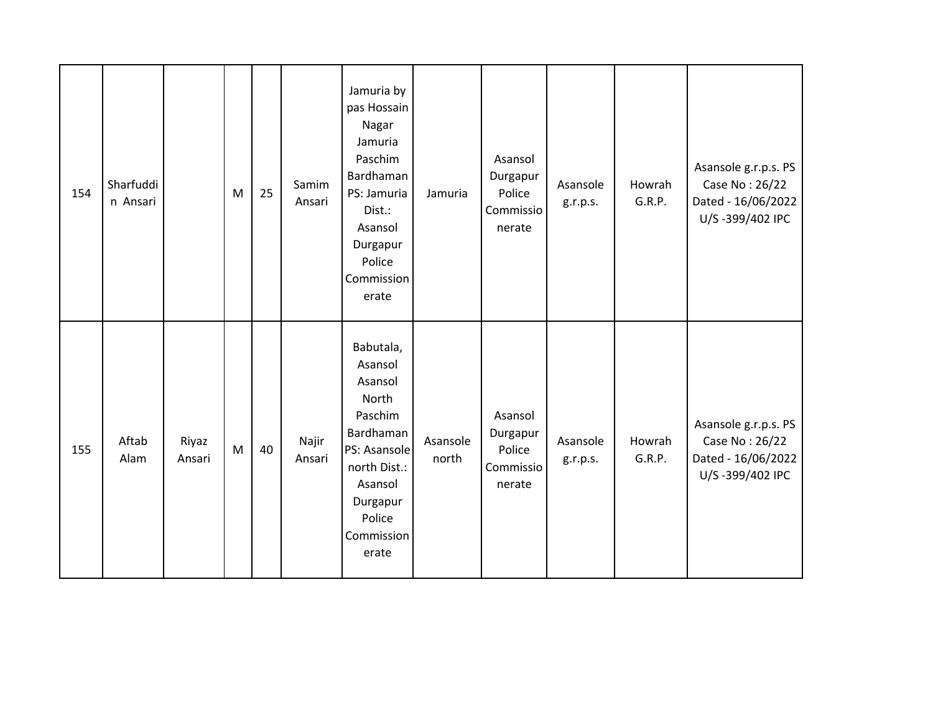| 154 | Sharfuddi<br>n Ansari |                 | M | 25 | Samim<br>Ansari | Jamuria by<br>pas Hossain<br>Nagar<br>Jamuria<br>Paschim<br>Bardhaman<br>PS: Jamuria<br>Dist.:<br>Asansol<br>Durgapur<br>Police<br>Commission<br>erate   | Jamuria           | Asansol<br>Durgapur<br>Police<br>Commissio<br>nerate | Asansole<br>g.r.p.s. | Howrah<br>G.R.P. | Asansole g.r.p.s. PS<br>Case No: 26/22<br>Dated - 16/06/2022<br>U/S-399/402 IPC |
|-----|-----------------------|-----------------|---|----|-----------------|----------------------------------------------------------------------------------------------------------------------------------------------------------|-------------------|------------------------------------------------------|----------------------|------------------|---------------------------------------------------------------------------------|
| 155 | Aftab<br>Alam         | Riyaz<br>Ansari | M | 40 | Najir<br>Ansari | Babutala,<br>Asansol<br>Asansol<br>North<br>Paschim<br>Bardhaman<br>PS: Asansole<br>north Dist.:<br>Asansol<br>Durgapur<br>Police<br>Commission<br>erate | Asansole<br>north | Asansol<br>Durgapur<br>Police<br>Commissio<br>nerate | Asansole<br>g.r.p.s. | Howrah<br>G.R.P. | Asansole g.r.p.s. PS<br>Case No: 26/22<br>Dated - 16/06/2022<br>U/S-399/402 IPC |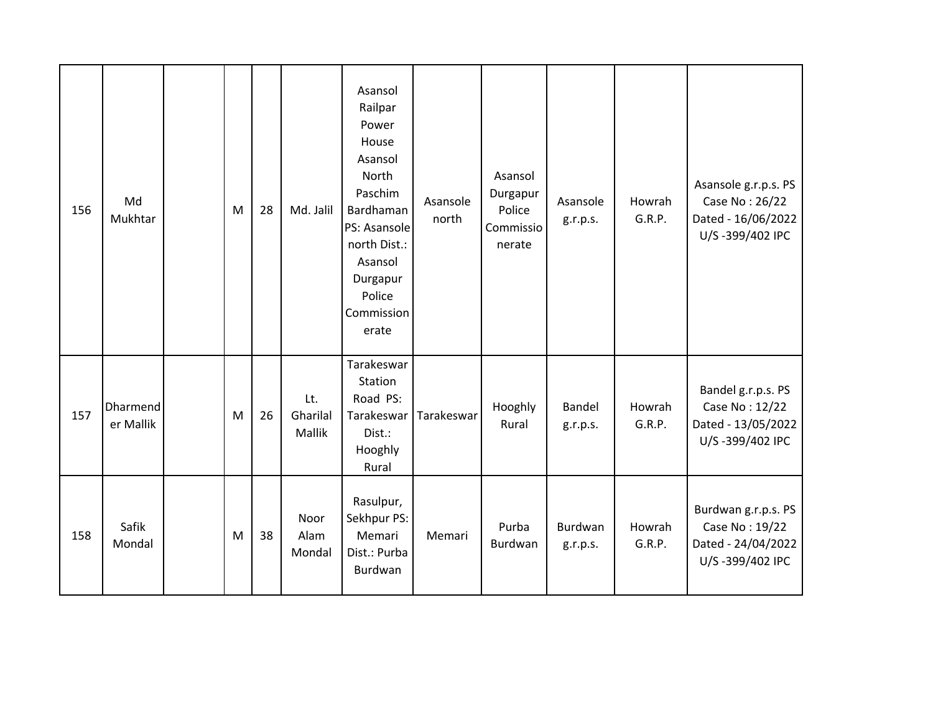| 156 | Md<br>Mukhtar         | M | 28 | Md. Jalil                 | Asansol<br>Railpar<br>Power<br>House<br>Asansol<br>North<br>Paschim<br>Bardhaman<br>PS: Asansole<br>north Dist.:<br>Asansol<br>Durgapur<br>Police<br>Commission<br>erate | Asansole<br>north | Asansol<br>Durgapur<br>Police<br>Commissio<br>nerate | Asansole<br>g.r.p.s. | Howrah<br>G.R.P. | Asansole g.r.p.s. PS<br>Case No: 26/22<br>Dated - 16/06/2022<br>U/S-399/402 IPC |
|-----|-----------------------|---|----|---------------------------|--------------------------------------------------------------------------------------------------------------------------------------------------------------------------|-------------------|------------------------------------------------------|----------------------|------------------|---------------------------------------------------------------------------------|
| 157 | Dharmend<br>er Mallik | M | 26 | Lt.<br>Gharilal<br>Mallik | Tarakeswar<br>Station<br>Road PS:<br>Tarakeswar<br>Dist.:<br>Hooghly<br>Rural                                                                                            | Tarakeswar        | Hooghly<br>Rural                                     | Bandel<br>g.r.p.s.   | Howrah<br>G.R.P. | Bandel g.r.p.s. PS<br>Case No: 12/22<br>Dated - 13/05/2022<br>U/S-399/402 IPC   |
| 158 | Safik<br>Mondal       | M | 38 | Noor<br>Alam<br>Mondal    | Rasulpur,<br>Sekhpur PS:<br>Memari<br>Dist.: Purba<br>Burdwan                                                                                                            | Memari            | Purba<br>Burdwan                                     | Burdwan<br>g.r.p.s.  | Howrah<br>G.R.P. | Burdwan g.r.p.s. PS<br>Case No: 19/22<br>Dated - 24/04/2022<br>U/S-399/402 IPC  |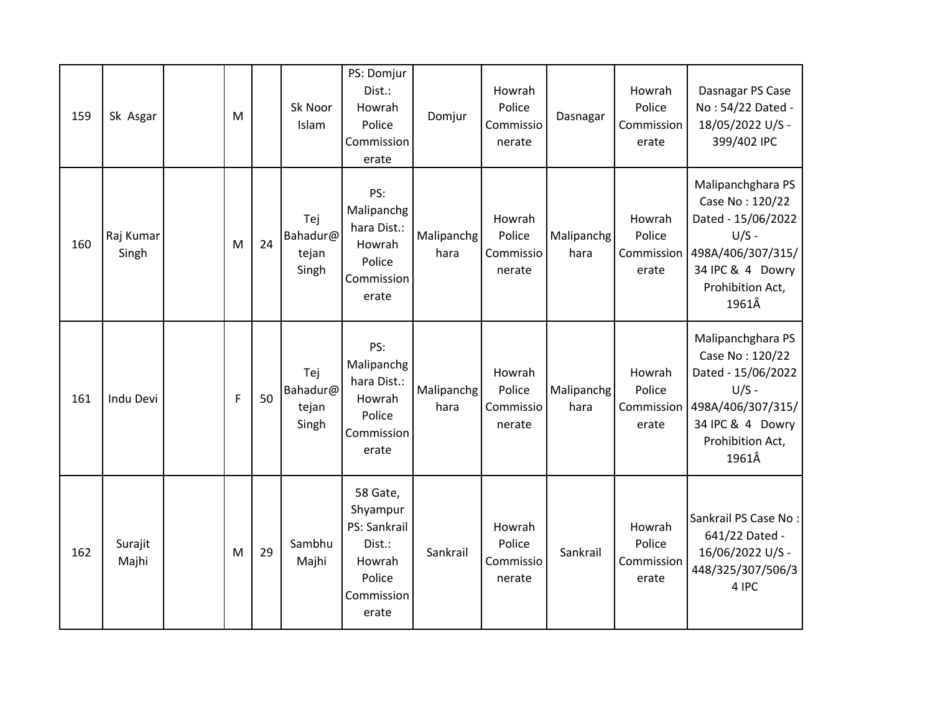| 159 | Sk Asgar           | M |    | Sk Noor<br>Islam                  | PS: Domjur<br>Dist.:<br>Howrah<br>Police<br>Commission<br>erate                           | Domjur             | Howrah<br>Police<br>Commissio<br>nerate | Dasnagar           | Howrah<br>Police<br>Commission<br>erate | Dasnagar PS Case<br>No: 54/22 Dated -<br>18/05/2022 U/S -<br>399/402 IPC                                                                    |
|-----|--------------------|---|----|-----------------------------------|-------------------------------------------------------------------------------------------|--------------------|-----------------------------------------|--------------------|-----------------------------------------|---------------------------------------------------------------------------------------------------------------------------------------------|
| 160 | Raj Kumar<br>Singh | M | 24 | Tej<br>Bahadur@<br>tejan<br>Singh | PS:<br>Malipanchg<br>hara Dist.:<br>Howrah<br>Police<br>Commission<br>erate               | Malipanchg<br>hara | Howrah<br>Police<br>Commissio<br>nerate | Malipanchg<br>hara | Howrah<br>Police<br>Commission<br>erate | Malipanchghara PS<br>Case No: 120/22<br>Dated - 15/06/2022<br>$U/S -$<br>498A/406/307/315/<br>34 IPC & 4 Dowry<br>Prohibition Act,<br>1961Â |
| 161 | Indu Devi          | F | 50 | Tej<br>Bahadur@<br>tejan<br>Singh | PS:<br>Malipanchg<br>hara Dist.:<br>Howrah<br>Police<br>Commission<br>erate               | Malipanchg<br>hara | Howrah<br>Police<br>Commissio<br>nerate | Malipanchg<br>hara | Howrah<br>Police<br>Commission<br>erate | Malipanchghara PS<br>Case No: 120/22<br>Dated - 15/06/2022<br>$U/S -$<br>498A/406/307/315/<br>34 IPC & 4 Dowry<br>Prohibition Act,<br>1961Â |
| 162 | Surajit<br>Majhi   | M | 29 | Sambhu<br>Majhi                   | 58 Gate,<br>Shyampur<br>PS: Sankrail<br>Dist.:<br>Howrah<br>Police<br>Commission<br>erate | Sankrail           | Howrah<br>Police<br>Commissio<br>nerate | Sankrail           | Howrah<br>Police<br>Commission<br>erate | Sankrail PS Case No:<br>641/22 Dated -<br>16/06/2022 U/S -<br>448/325/307/506/3<br>4 IPC                                                    |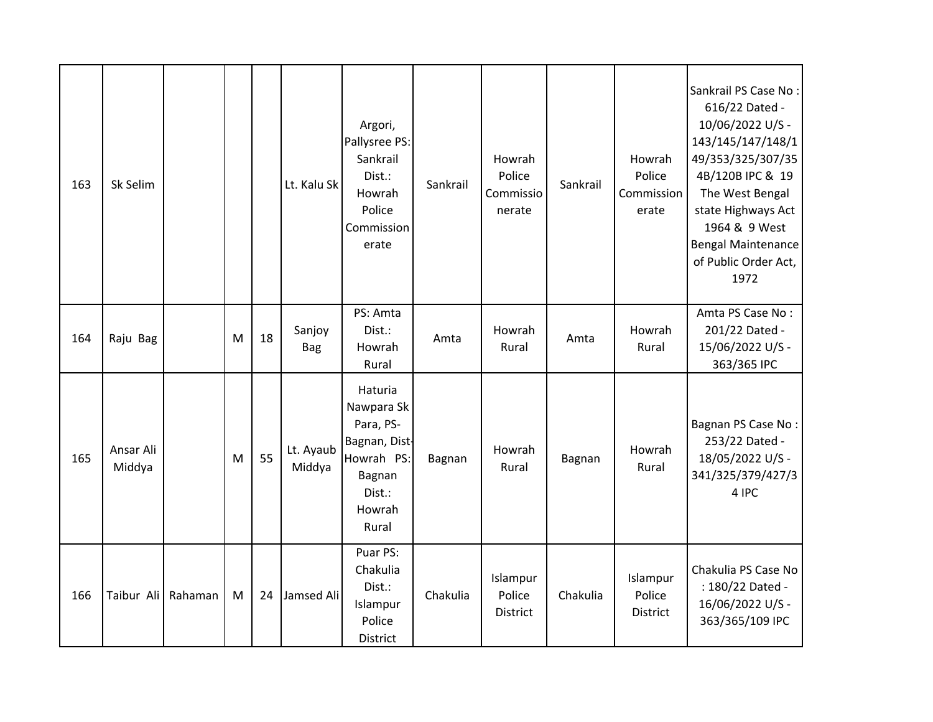| 163 | Sk Selim            |         |   |    | Lt. Kalu Sk          | Argori,<br>Pallysree PS:<br>Sankrail<br>Dist.:<br>Howrah<br>Police<br>Commission<br>erate                | Sankrail | Howrah<br>Police<br>Commissio<br>nerate | Sankrail | Howrah<br>Police<br>Commission<br>erate | Sankrail PS Case No:<br>616/22 Dated -<br>10/06/2022 U/S -<br>143/145/147/148/1<br>49/353/325/307/35<br>4B/120B IPC & 19<br>The West Bengal<br>state Highways Act<br>1964 & 9 West<br><b>Bengal Maintenance</b><br>of Public Order Act,<br>1972 |
|-----|---------------------|---------|---|----|----------------------|----------------------------------------------------------------------------------------------------------|----------|-----------------------------------------|----------|-----------------------------------------|-------------------------------------------------------------------------------------------------------------------------------------------------------------------------------------------------------------------------------------------------|
| 164 | Raju Bag            |         | M | 18 | Sanjoy<br><b>Bag</b> | PS: Amta<br>Dist.:<br>Howrah<br>Rural                                                                    | Amta     | Howrah<br>Rural                         | Amta     | Howrah<br>Rural                         | Amta PS Case No:<br>201/22 Dated -<br>15/06/2022 U/S -<br>363/365 IPC                                                                                                                                                                           |
| 165 | Ansar Ali<br>Middya |         | M | 55 | Lt. Ayaub<br>Middya  | Haturia<br>Nawpara Sk<br>Para, PS-<br>Bagnan, Dist-<br>Howrah PS:<br>Bagnan<br>Dist.:<br>Howrah<br>Rural | Bagnan   | Howrah<br>Rural                         | Bagnan   | Howrah<br>Rural                         | Bagnan PS Case No:<br>253/22 Dated -<br>18/05/2022 U/S -<br>341/325/379/427/3<br>4 IPC                                                                                                                                                          |
| 166 | Taibur Ali          | Rahaman | M | 24 | Jamsed Ali           | Puar PS:<br>Chakulia<br>Dist.:<br>Islampur<br>Police<br>District                                         | Chakulia | Islampur<br>Police<br>District          | Chakulia | Islampur<br>Police<br>District          | Chakulia PS Case No<br>: 180/22 Dated -<br>16/06/2022 U/S -<br>363/365/109 IPC                                                                                                                                                                  |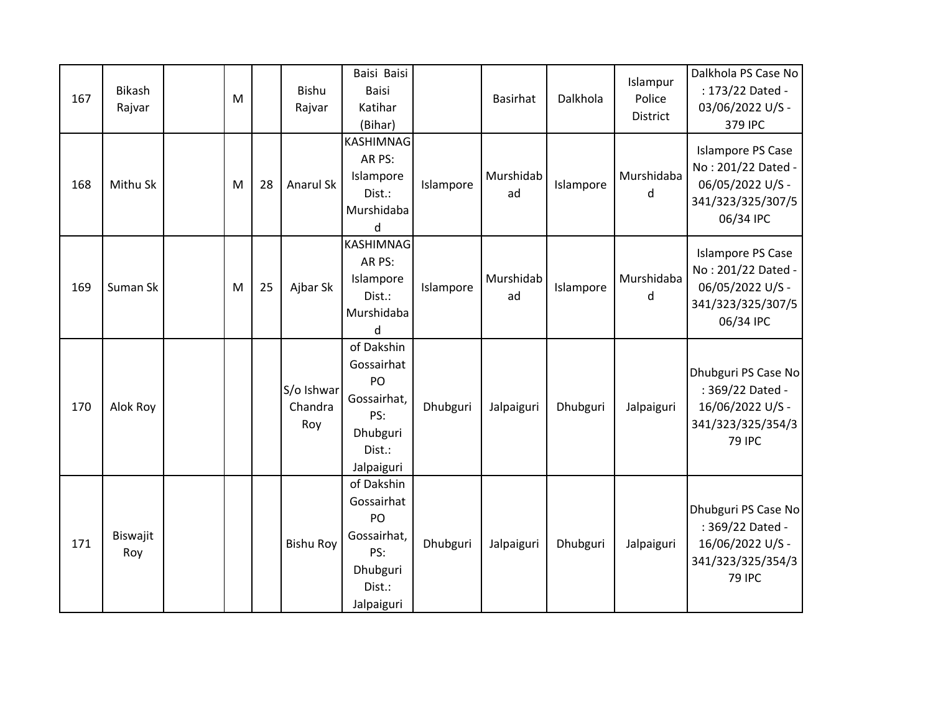| 167 | <b>Bikash</b><br>Rajvar | M         |    | Bishu<br>Rajvar              | Baisi Baisi<br><b>Baisi</b><br>Katihar<br>(Bihar)                                        |           | <b>Basirhat</b> | Dalkhola  | Islampur<br>Police<br>District | Dalkhola PS Case No<br>: 173/22 Dated -<br>03/06/2022 U/S -<br>379 IPC                               |
|-----|-------------------------|-----------|----|------------------------------|------------------------------------------------------------------------------------------|-----------|-----------------|-----------|--------------------------------|------------------------------------------------------------------------------------------------------|
| 168 | Mithu Sk                | M         | 28 | Anarul Sk                    | KASHIMNAG<br>AR PS:<br>Islampore<br>Dist.:<br>Murshidaba<br>d                            | Islampore | Murshidab<br>ad | Islampore | Murshidaba<br>d                | <b>Islampore PS Case</b><br>No: 201/22 Dated -<br>06/05/2022 U/S -<br>341/323/325/307/5<br>06/34 IPC |
| 169 | Suman Sk                | ${\sf M}$ | 25 | Ajbar Sk                     | KASHIMNAG<br>AR PS:<br>Islampore<br>Dist.:<br>Murshidaba<br>d                            | Islampore | Murshidab<br>ad | Islampore | Murshidaba<br>d                | <b>Islampore PS Case</b><br>No: 201/22 Dated -<br>06/05/2022 U/S -<br>341/323/325/307/5<br>06/34 IPC |
| 170 | Alok Roy                |           |    | S/o Ishwar<br>Chandra<br>Roy | of Dakshin<br>Gossairhat<br>PO<br>Gossairhat,<br>PS:<br>Dhubguri<br>Dist.:<br>Jalpaiguri | Dhubguri  | Jalpaiguri      | Dhubguri  | Jalpaiguri                     | Dhubguri PS Case No<br>: 369/22 Dated -<br>16/06/2022 U/S -<br>341/323/325/354/3<br><b>79 IPC</b>    |
| 171 | Biswajit<br>Roy         |           |    | <b>Bishu Roy</b>             | of Dakshin<br>Gossairhat<br>PO<br>Gossairhat,<br>PS:<br>Dhubguri<br>Dist.:<br>Jalpaiguri | Dhubguri  | Jalpaiguri      | Dhubguri  | Jalpaiguri                     | Dhubguri PS Case No<br>: 369/22 Dated -<br>16/06/2022 U/S -<br>341/323/325/354/3<br><b>79 IPC</b>    |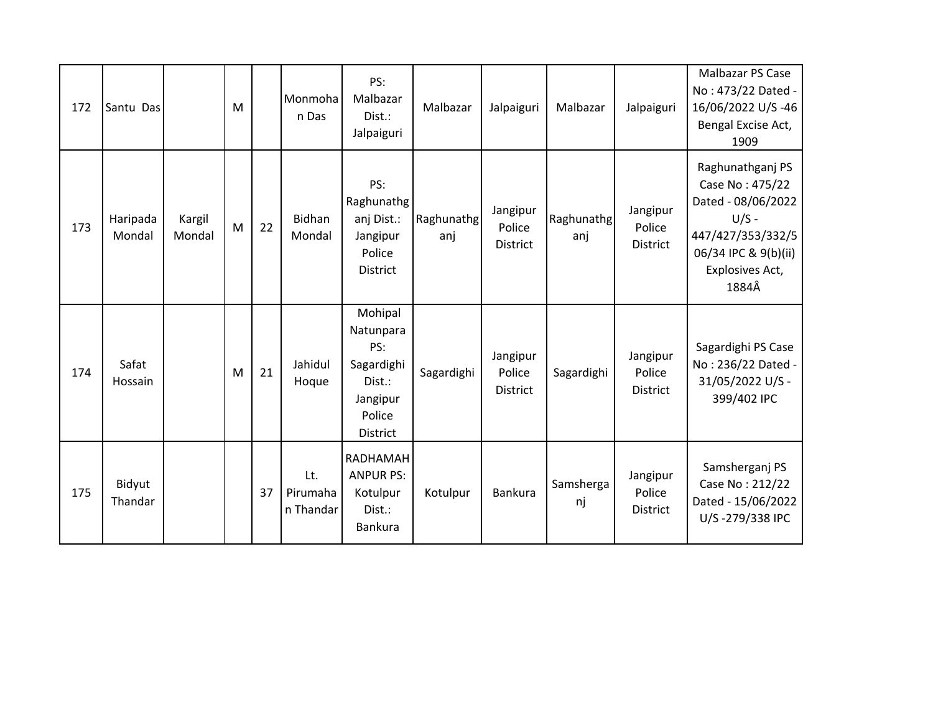| 172 | Santu Das          |                  | M |    | Monmoha<br>n Das             | PS:<br>Malbazar<br>Dist.:<br>Jalpaiguri                                               | Malbazar          | Jalpaiguri                            | Malbazar          | Jalpaiguri                            | Malbazar PS Case<br>No: 473/22 Dated -<br>16/06/2022 U/S-46<br>Bengal Excise Act,<br>1909                                                     |
|-----|--------------------|------------------|---|----|------------------------------|---------------------------------------------------------------------------------------|-------------------|---------------------------------------|-------------------|---------------------------------------|-----------------------------------------------------------------------------------------------------------------------------------------------|
| 173 | Haripada<br>Mondal | Kargil<br>Mondal | M | 22 | Bidhan<br>Mondal             | PS:<br>Raghunathg<br>anj Dist.:<br>Jangipur<br>Police<br><b>District</b>              | Raghunathg<br>anj | Jangipur<br>Police<br><b>District</b> | Raghunathg<br>anj | Jangipur<br>Police<br><b>District</b> | Raghunathganj PS<br>Case No: 475/22<br>Dated - 08/06/2022<br>$U/S -$<br>447/427/353/332/5<br>06/34 IPC & 9(b)(ii)<br>Explosives Act,<br>1884Â |
| 174 | Safat<br>Hossain   |                  | M | 21 | Jahidul<br>Hoque             | Mohipal<br>Natunpara<br>PS:<br>Sagardighi<br>Dist.:<br>Jangipur<br>Police<br>District | Sagardighi        | Jangipur<br>Police<br>District        | Sagardighi        | Jangipur<br>Police<br><b>District</b> | Sagardighi PS Case<br>No: 236/22 Dated -<br>31/05/2022 U/S -<br>399/402 IPC                                                                   |
| 175 | Bidyut<br>Thandar  |                  |   | 37 | Lt.<br>Pirumaha<br>n Thandar | RADHAMAH<br><b>ANPUR PS:</b><br>Kotulpur<br>Dist.:<br>Bankura                         | Kotulpur          | Bankura                               | Samsherga<br>nj   | Jangipur<br>Police<br><b>District</b> | Samsherganj PS<br>Case No: 212/22<br>Dated - 15/06/2022<br>U/S-279/338 IPC                                                                    |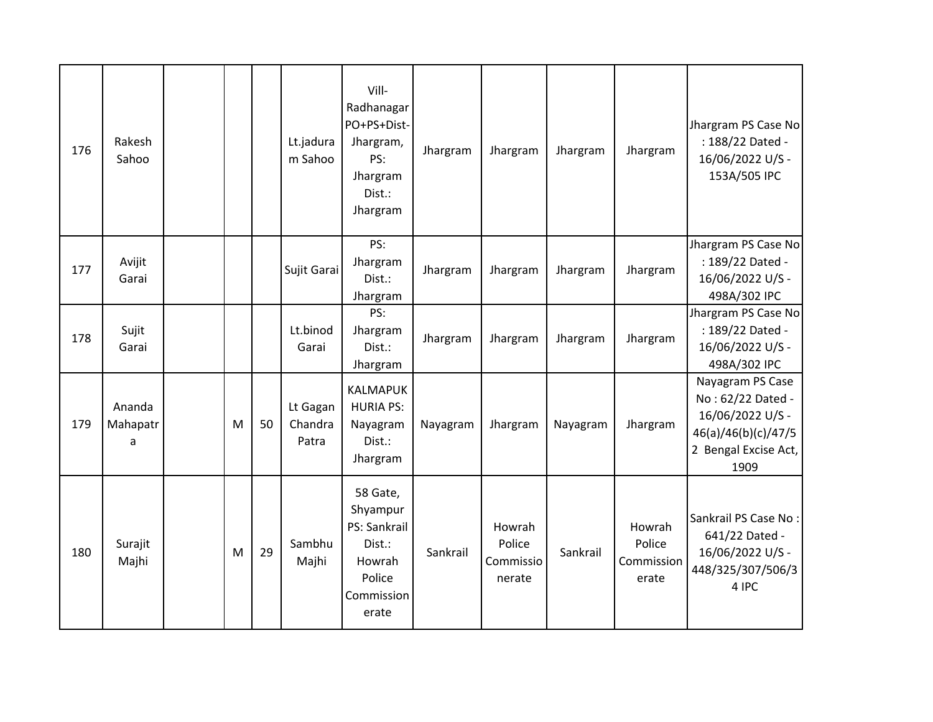| 176 | Rakesh<br>Sahoo         |   |    | Lt.jadura<br>m Sahoo         | Vill-<br>Radhanagar<br>PO+PS+Dist-<br>Jhargram,<br>PS:<br>Jhargram<br>Dist.:<br>Jhargram  | Jhargram | Jhargram                                | Jhargram | Jhargram                                | Jhargram PS Case No<br>: 188/22 Dated -<br>16/06/2022 U/S -<br>153A/505 IPC                                      |
|-----|-------------------------|---|----|------------------------------|-------------------------------------------------------------------------------------------|----------|-----------------------------------------|----------|-----------------------------------------|------------------------------------------------------------------------------------------------------------------|
| 177 | Avijit<br>Garai         |   |    | Sujit Garai                  | PS:<br>Jhargram<br>Dist.:<br>Jhargram                                                     | Jhargram | Jhargram                                | Jhargram | Jhargram                                | Jhargram PS Case No<br>: 189/22 Dated -<br>16/06/2022 U/S -<br>498A/302 IPC                                      |
| 178 | Sujit<br>Garai          |   |    | Lt.binod<br>Garai            | PS:<br>Jhargram<br>Dist.:<br>Jhargram                                                     | Jhargram | Jhargram                                | Jhargram | Jhargram                                | Jhargram PS Case No<br>: 189/22 Dated -<br>16/06/2022 U/S -<br>498A/302 IPC                                      |
| 179 | Ananda<br>Mahapatr<br>a | M | 50 | Lt Gagan<br>Chandra<br>Patra | <b>KALMAPUK</b><br><b>HURIA PS:</b><br>Nayagram<br>Dist.:<br>Jhargram                     | Nayagram | Jhargram                                | Nayagram | Jhargram                                | Nayagram PS Case<br>No: 62/22 Dated -<br>16/06/2022 U/S -<br>46(a)/46(b)(c)/47/5<br>2 Bengal Excise Act,<br>1909 |
| 180 | Surajit<br>Majhi        | M | 29 | Sambhu<br>Majhi              | 58 Gate,<br>Shyampur<br>PS: Sankrail<br>Dist.:<br>Howrah<br>Police<br>Commission<br>erate | Sankrail | Howrah<br>Police<br>Commissio<br>nerate | Sankrail | Howrah<br>Police<br>Commission<br>erate | Sankrail PS Case No:<br>641/22 Dated -<br>16/06/2022 U/S -<br>448/325/307/506/3<br>4 IPC                         |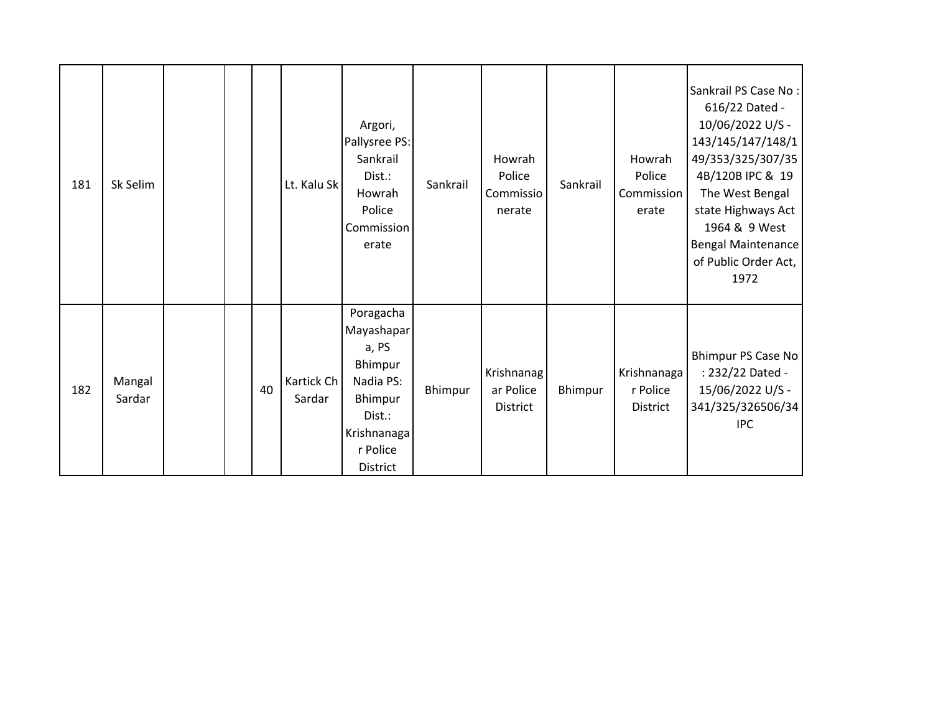| 181 | Sk Selim         |  |    | Lt. Kalu Sk          | Argori,<br>Pallysree PS:<br>Sankrail<br>Dist.:<br>Howrah<br>Police<br>Commission<br>erate                            | Sankrail | Howrah<br>Police<br>Commissio<br>nerate    | Sankrail | Howrah<br>Police<br>Commission<br>erate    | Sankrail PS Case No:<br>616/22 Dated -<br>10/06/2022 U/S -<br>143/145/147/148/1<br>49/353/325/307/35<br>4B/120B IPC & 19<br>The West Bengal<br>state Highways Act<br>1964 & 9 West<br><b>Bengal Maintenance</b><br>of Public Order Act,<br>1972 |
|-----|------------------|--|----|----------------------|----------------------------------------------------------------------------------------------------------------------|----------|--------------------------------------------|----------|--------------------------------------------|-------------------------------------------------------------------------------------------------------------------------------------------------------------------------------------------------------------------------------------------------|
| 182 | Mangal<br>Sardar |  | 40 | Kartick Ch<br>Sardar | Poragacha<br>Mayashapar<br>a, PS<br>Bhimpur<br>Nadia PS:<br>Bhimpur<br>Dist.:<br>Krishnanaga<br>r Police<br>District | Bhimpur  | Krishnanag<br>ar Police<br><b>District</b> | Bhimpur  | Krishnanaga<br>r Police<br><b>District</b> | Bhimpur PS Case No<br>: 232/22 Dated -<br>15/06/2022 U/S -<br>341/325/326506/34<br><b>IPC</b>                                                                                                                                                   |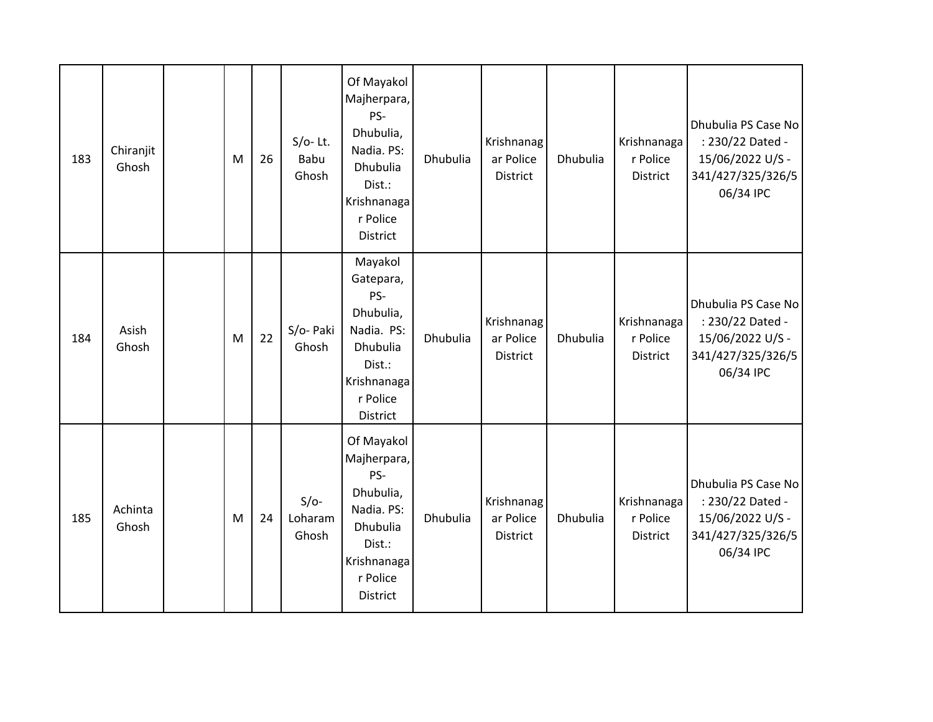| 183 | Chiranjit<br>Ghosh | M | 26 | $S/O-$ Lt.<br><b>Babu</b><br>Ghosh | Of Mayakol<br>Majherpara,<br>PS-<br>Dhubulia,<br>Nadia. PS:<br>Dhubulia<br>Dist.:<br>Krishnanaga<br>r Police<br>District | Dhubulia | Krishnanag<br>ar Police<br>District        | Dhubulia | Krishnanaga<br>r Police<br><b>District</b> | Dhubulia PS Case No<br>: 230/22 Dated -<br>15/06/2022 U/S -<br>341/427/325/326/5<br>06/34 IPC |
|-----|--------------------|---|----|------------------------------------|--------------------------------------------------------------------------------------------------------------------------|----------|--------------------------------------------|----------|--------------------------------------------|-----------------------------------------------------------------------------------------------|
| 184 | Asish<br>Ghosh     | M | 22 | S/o- Paki<br>Ghosh                 | Mayakol<br>Gatepara,<br>PS-<br>Dhubulia,<br>Nadia. PS:<br>Dhubulia<br>Dist.:<br>Krishnanaga<br>r Police<br>District      | Dhubulia | Krishnanag<br>ar Police<br>District        | Dhubulia | Krishnanaga<br>r Police<br>District        | Dhubulia PS Case No<br>: 230/22 Dated -<br>15/06/2022 U/S -<br>341/427/325/326/5<br>06/34 IPC |
| 185 | Achinta<br>Ghosh   | M | 24 | $S/O-$<br>Loharam<br>Ghosh         | Of Mayakol<br>Majherpara,<br>PS-<br>Dhubulia,<br>Nadia. PS:<br>Dhubulia<br>Dist.:<br>Krishnanaga<br>r Police<br>District | Dhubulia | Krishnanag<br>ar Police<br><b>District</b> | Dhubulia | Krishnanaga<br>r Police<br><b>District</b> | Dhubulia PS Case No<br>: 230/22 Dated -<br>15/06/2022 U/S -<br>341/427/325/326/5<br>06/34 IPC |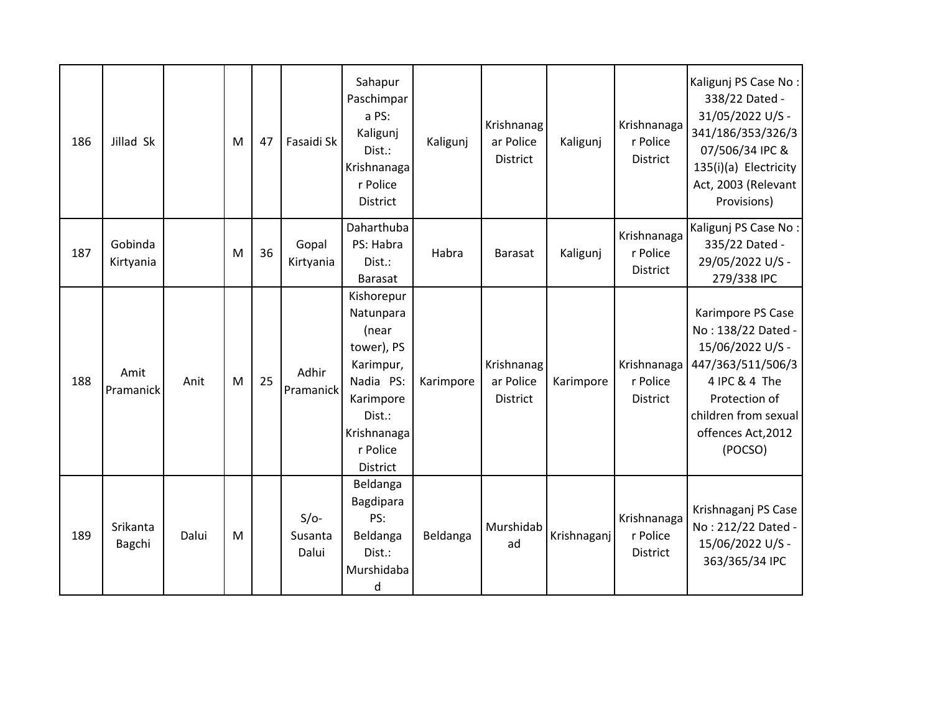| 186 | Jillad Sk            |       | M | 47 | Fasaidi Sk                 | Sahapur<br>Paschimpar<br>a PS:<br>Kaligunj<br>Dist.:<br>Krishnanaga<br>r Police<br><b>District</b>                                     | Kaligunj  | Krishnanag<br>ar Police<br>District | Kaligunj    | Krishnanaga<br>r Police<br><b>District</b> | Kaligunj PS Case No:<br>338/22 Dated -<br>31/05/2022 U/S -<br>341/186/353/326/3<br>07/506/34 IPC &<br>135(i)(a) Electricity<br>Act, 2003 (Relevant<br>Provisions)           |
|-----|----------------------|-------|---|----|----------------------------|----------------------------------------------------------------------------------------------------------------------------------------|-----------|-------------------------------------|-------------|--------------------------------------------|-----------------------------------------------------------------------------------------------------------------------------------------------------------------------------|
| 187 | Gobinda<br>Kirtyania |       | M | 36 | Gopal<br>Kirtyania         | Daharthuba<br>PS: Habra<br>Dist.:<br><b>Barasat</b>                                                                                    | Habra     | <b>Barasat</b>                      | Kaligunj    | Krishnanaga<br>r Police<br><b>District</b> | Kaligunj PS Case No:<br>335/22 Dated -<br>29/05/2022 U/S -<br>279/338 IPC                                                                                                   |
| 188 | Amit<br>Pramanick    | Anit  | M | 25 | Adhir<br>Pramanick         | Kishorepur<br>Natunpara<br>(near<br>tower), PS<br>Karimpur,<br>Nadia PS:<br>Karimpore<br>Dist.:<br>Krishnanaga<br>r Police<br>District | Karimpore | Krishnanag<br>ar Police<br>District | Karimpore   | Krishnanaga<br>r Police<br><b>District</b> | Karimpore PS Case<br>No: 138/22 Dated -<br>15/06/2022 U/S -<br>447/363/511/506/3<br>4 IPC & 4 The<br>Protection of<br>children from sexual<br>offences Act, 2012<br>(POCSO) |
| 189 | Srikanta<br>Bagchi   | Dalui | M |    | $S/O-$<br>Susanta<br>Dalui | Beldanga<br>Bagdipara<br>PS:<br>Beldanga<br>Dist.:<br>Murshidaba<br>d                                                                  | Beldanga  | Murshidab<br>ad                     | Krishnaganj | Krishnanaga<br>r Police<br><b>District</b> | Krishnaganj PS Case<br>No: 212/22 Dated -<br>15/06/2022 U/S -<br>363/365/34 IPC                                                                                             |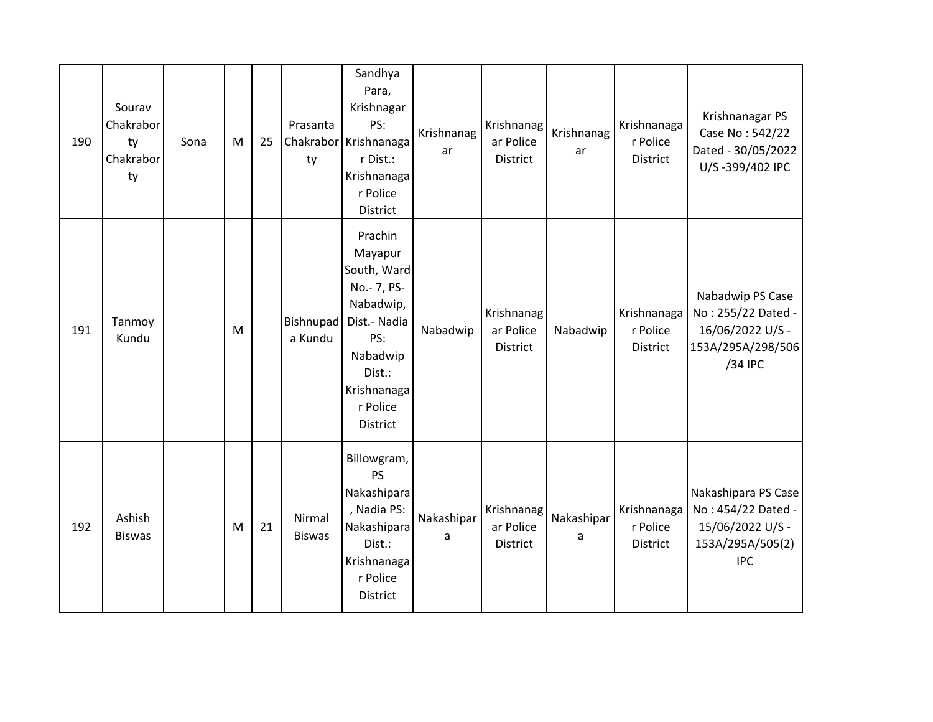| 190 | Sourav<br>Chakrabor<br>ty<br>Chakrabor<br>ty | Sona | M | 25 | Prasanta<br>ty          | Sandhya<br>Para,<br>Krishnagar<br>PS:<br>Chakrabor Krishnanaga<br>r Dist.:<br>Krishnanaga<br>r Police<br>District                                 | Krishnanag<br>ar | Krishnanag<br>ar Police<br>District | Krishnanag<br>ar | Krishnanaga<br>r Police<br><b>District</b> | Krishnanagar PS<br>Case No: 542/22<br>Dated - 30/05/2022<br>U/S-399/402 IPC                     |
|-----|----------------------------------------------|------|---|----|-------------------------|---------------------------------------------------------------------------------------------------------------------------------------------------|------------------|-------------------------------------|------------------|--------------------------------------------|-------------------------------------------------------------------------------------------------|
| 191 | Tanmoy<br>Kundu                              |      | M |    | Bishnupad<br>a Kundu    | Prachin<br>Mayapur<br>South, Ward<br>No.- 7, PS-<br>Nabadwip,<br>Dist.- Nadia<br>PS:<br>Nabadwip<br>Dist.:<br>Krishnanaga<br>r Police<br>District | Nabadwip         | Krishnanag<br>ar Police<br>District | Nabadwip         | Krishnanaga<br>r Police<br>District        | Nabadwip PS Case<br>No: 255/22 Dated -<br>16/06/2022 U/S -<br>153A/295A/298/506<br>/34 IPC      |
| 192 | Ashish<br><b>Biswas</b>                      |      | M | 21 | Nirmal<br><b>Biswas</b> | Billowgram,<br><b>PS</b><br>Nakashipara<br>, Nadia PS:<br>Nakashipara<br>Dist.:<br>Krishnanaga<br>r Police<br>District                            | Nakashipar<br>a  | Krishnanag<br>ar Police<br>District | Nakashipar<br>a  | Krishnanaga<br>r Police<br><b>District</b> | Nakashipara PS Case<br>No: 454/22 Dated -<br>15/06/2022 U/S -<br>153A/295A/505(2)<br><b>IPC</b> |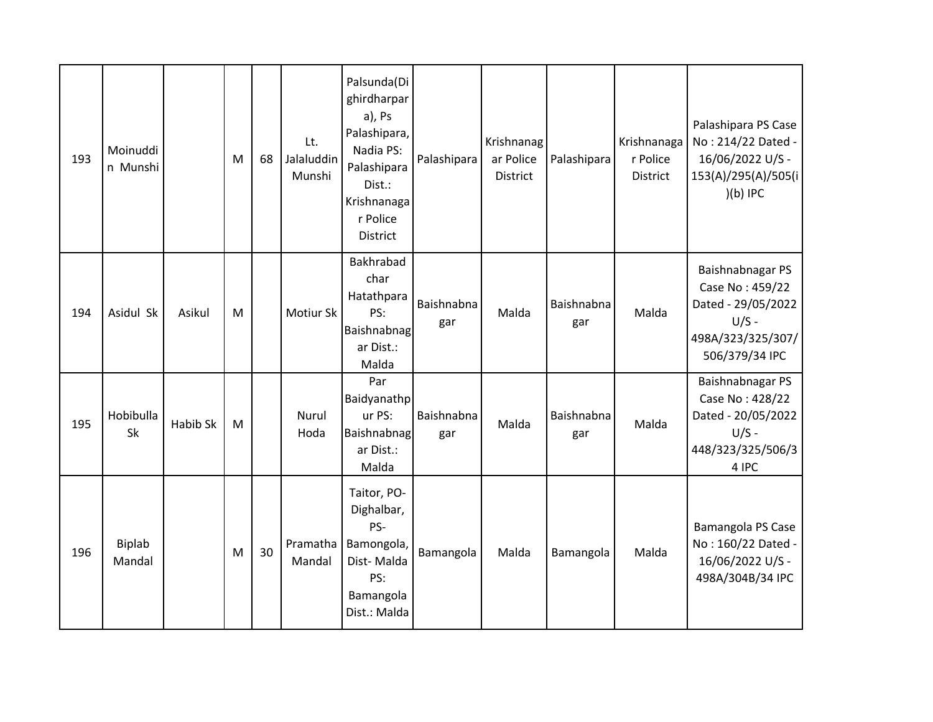| 193 | Moinuddi<br>n Munshi |          | M | 68 | Lt.<br>Jalaluddin<br>Munshi | Palsunda(Di<br>ghirdharpar<br>a), Ps<br>Palashipara,<br>Nadia PS:<br>Palashipara<br>Dist.:<br>Krishnanaga<br>r Police<br>District | Palashipara       | Krishnanag<br>ar Police<br><b>District</b> | Palashipara       | Krishnanaga<br>r Police<br><b>District</b> | Palashipara PS Case<br>No: 214/22 Dated -<br>16/06/2022 U/S -<br>153(A)/295(A)/505(i<br>$(b)$ IPC           |
|-----|----------------------|----------|---|----|-----------------------------|-----------------------------------------------------------------------------------------------------------------------------------|-------------------|--------------------------------------------|-------------------|--------------------------------------------|-------------------------------------------------------------------------------------------------------------|
| 194 | Asidul Sk            | Asikul   | M |    | Motiur Sk                   | Bakhrabad<br>char<br>Hatathpara<br>PS:<br><b>Baishnabnag</b><br>ar Dist.:<br>Malda                                                | Baishnabna<br>gar | Malda                                      | Baishnabna<br>gar | Malda                                      | Baishnabnagar PS<br>Case No: 459/22<br>Dated - 29/05/2022<br>$U/S -$<br>498A/323/325/307/<br>506/379/34 IPC |
| 195 | Hobibulla<br>Sk      | Habib Sk | M |    | Nurul<br>Hoda               | Par<br>Baidyanathp<br>ur PS:<br>Baishnabnag<br>ar Dist.:<br>Malda                                                                 | Baishnabna<br>gar | Malda                                      | Baishnabna<br>gar | Malda                                      | Baishnabnagar PS<br>Case No: 428/22<br>Dated - 20/05/2022<br>$U/S -$<br>448/323/325/506/3<br>4 IPC          |
| 196 | Biplab<br>Mandal     |          | M | 30 | Pramatha<br>Mandal          | Taitor, PO-<br>Dighalbar,<br>PS-<br>Bamongola,<br>Dist-Malda<br>PS:<br>Bamangola<br>Dist.: Malda                                  | Bamangola         | Malda                                      | Bamangola         | Malda                                      | Bamangola PS Case<br>No: 160/22 Dated -<br>16/06/2022 U/S -<br>498A/304B/34 IPC                             |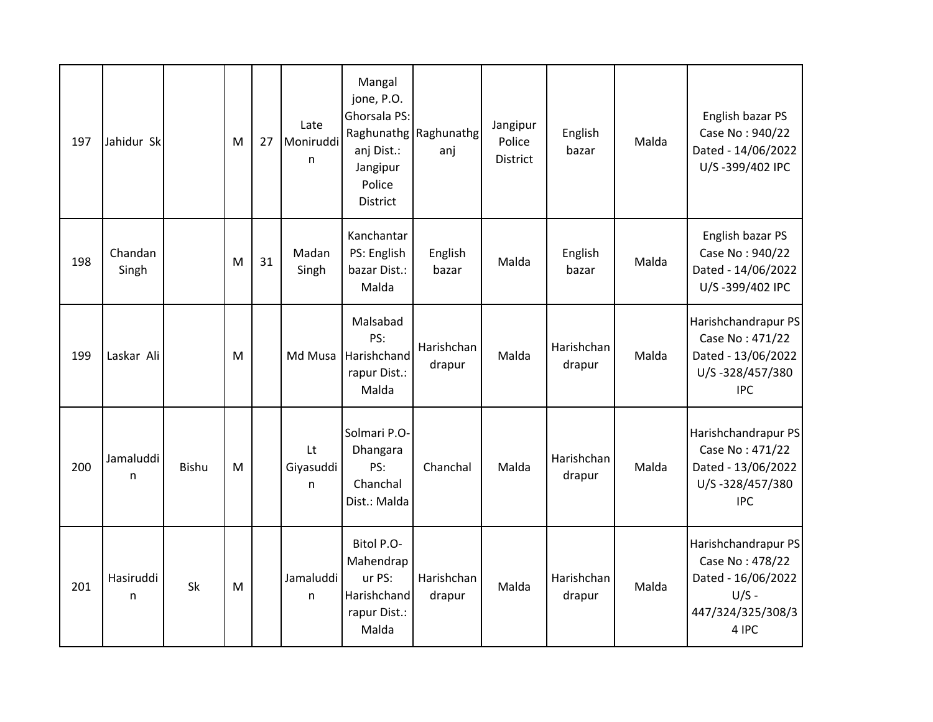| 197 | Jahidur Sk       |              | M | 27 | Late<br>Moniruddi<br>n | Mangal<br>jone, P.O.<br>Ghorsala PS:<br>anj Dist.:<br>Jangipur<br>Police<br>District | Raghunathg   Raghunathg<br>anj | Jangipur<br>Police<br><b>District</b> | English<br>bazar     | Malda | English bazar PS<br>Case No: 940/22<br>Dated - 14/06/2022<br>U/S-399/402 IPC                          |
|-----|------------------|--------------|---|----|------------------------|--------------------------------------------------------------------------------------|--------------------------------|---------------------------------------|----------------------|-------|-------------------------------------------------------------------------------------------------------|
| 198 | Chandan<br>Singh |              | M | 31 | Madan<br>Singh         | Kanchantar<br>PS: English<br>bazar Dist.:<br>Malda                                   | English<br>bazar               | Malda                                 | English<br>bazar     | Malda | English bazar PS<br>Case No: 940/22<br>Dated - 14/06/2022<br>U/S-399/402 IPC                          |
| 199 | Laskar Ali       |              | M |    | Md Musa                | Malsabad<br>PS:<br>Harishchand<br>rapur Dist.:<br>Malda                              | Harishchan<br>drapur           | Malda                                 | Harishchan<br>drapur | Malda | Harishchandrapur PS<br>Case No: 471/22<br>Dated - 13/06/2022<br>U/S-328/457/380<br><b>IPC</b>         |
| 200 | Jamaluddi<br>n   | <b>Bishu</b> | M |    | Lt<br>Giyasuddi<br>n   | Solmari P.O-<br>Dhangara<br>PS:<br>Chanchal<br>Dist.: Malda                          | Chanchal                       | Malda                                 | Harishchan<br>drapur | Malda | Harishchandrapur PS<br>Case No: 471/22<br>Dated - 13/06/2022<br>U/S-328/457/380<br><b>IPC</b>         |
| 201 | Hasiruddi<br>n   | Sk           | M |    | Jamaluddi<br>n         | Bitol P.O-<br>Mahendrap<br>ur PS:<br>Harishchand<br>rapur Dist.:<br>Malda            | Harishchan<br>drapur           | Malda                                 | Harishchan<br>drapur | Malda | Harishchandrapur PS<br>Case No: 478/22<br>Dated - 16/06/2022<br>$U/S -$<br>447/324/325/308/3<br>4 IPC |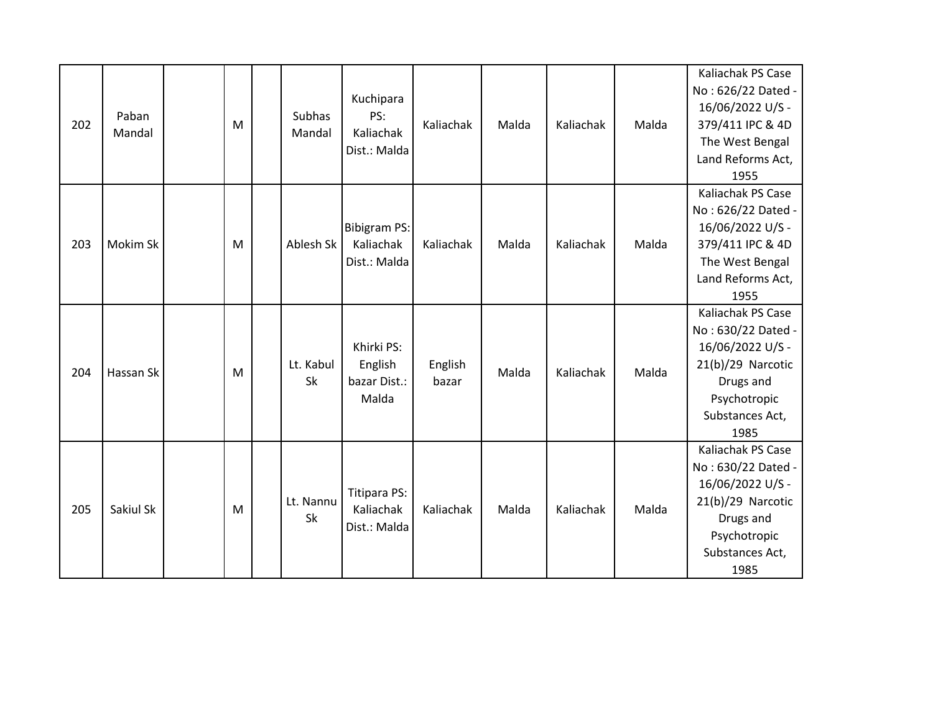| 202 | Paban<br>Mandal | M | <b>Subhas</b><br>Mandal | Kuchipara<br>PS:<br>Kaliachak<br>Dist.: Malda    | Kaliachak        | Malda | Kaliachak | Malda | Kaliachak PS Case<br>No: 626/22 Dated -<br>16/06/2022 U/S -<br>379/411 IPC & 4D<br>The West Bengal<br>Land Reforms Act,<br>1955          |
|-----|-----------------|---|-------------------------|--------------------------------------------------|------------------|-------|-----------|-------|------------------------------------------------------------------------------------------------------------------------------------------|
| 203 | Mokim Sk        | M | Ablesh Sk               | <b>Bibigram PS:</b><br>Kaliachak<br>Dist.: Malda | Kaliachak        | Malda | Kaliachak | Malda | Kaliachak PS Case<br>No: 626/22 Dated -<br>16/06/2022 U/S -<br>379/411 IPC & 4D<br>The West Bengal<br>Land Reforms Act,<br>1955          |
| 204 | Hassan Sk       | M | Lt. Kabul<br>Sk         | Khirki PS:<br>English<br>bazar Dist.:<br>Malda   | English<br>bazar | Malda | Kaliachak | Malda | Kaliachak PS Case<br>No: 630/22 Dated -<br>16/06/2022 U/S -<br>21(b)/29 Narcotic<br>Drugs and<br>Psychotropic<br>Substances Act,<br>1985 |
| 205 | Sakiul Sk       | M | Lt. Nannu<br>Sk         | <b>Titipara PS:</b><br>Kaliachak<br>Dist.: Malda | Kaliachak        | Malda | Kaliachak | Malda | Kaliachak PS Case<br>No: 630/22 Dated -<br>16/06/2022 U/S -<br>21(b)/29 Narcotic<br>Drugs and<br>Psychotropic<br>Substances Act,<br>1985 |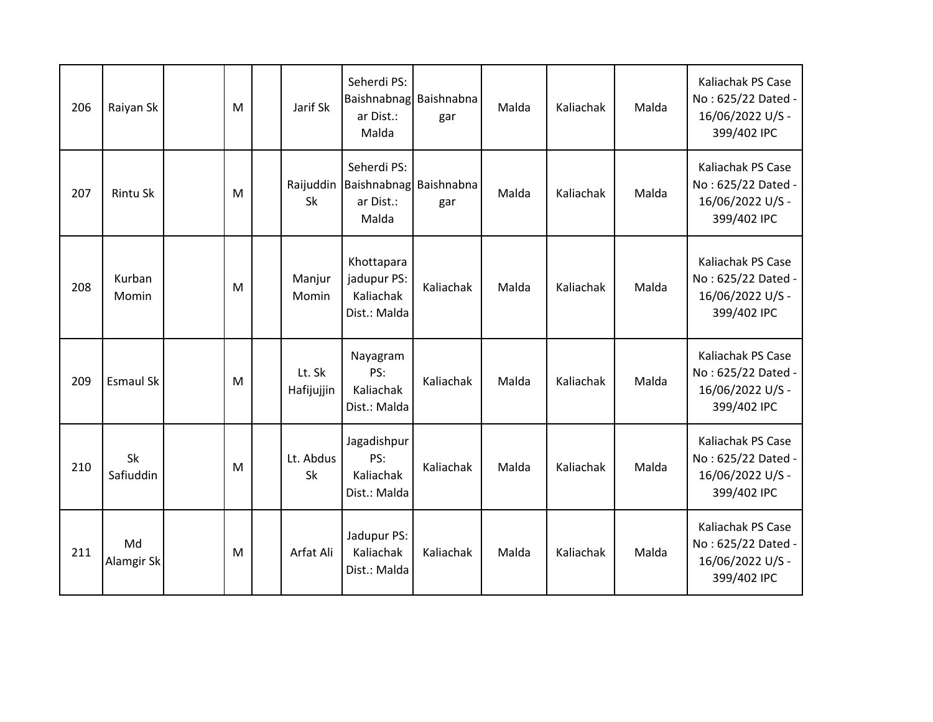| 206 | Raiyan Sk              | M | Jarif Sk               | Seherdi PS:<br>Baishnabnag Baishnabna<br>ar Dist.:<br>Malda | gar       | Malda | Kaliachak | Malda | <b>Kaliachak PS Case</b><br>No: 625/22 Dated -<br>16/06/2022 U/S -<br>399/402 IPC |
|-----|------------------------|---|------------------------|-------------------------------------------------------------|-----------|-------|-----------|-------|-----------------------------------------------------------------------------------|
| 207 | <b>Rintu Sk</b>        | M | Raijuddin<br>Sk        | Seherdi PS:<br>Baishnabnag Baishnabna<br>ar Dist.:<br>Malda | gar       | Malda | Kaliachak | Malda | Kaliachak PS Case<br>No: 625/22 Dated -<br>16/06/2022 U/S -<br>399/402 IPC        |
| 208 | Kurban<br>Momin        | M | Manjur<br>Momin        | Khottapara<br>jadupur PS:<br>Kaliachak<br>Dist.: Malda      | Kaliachak | Malda | Kaliachak | Malda | <b>Kaliachak PS Case</b><br>No: 625/22 Dated -<br>16/06/2022 U/S -<br>399/402 IPC |
| 209 | <b>Esmaul Sk</b>       | M | Lt. Sk<br>Hafijujjin   | Nayagram<br>PS:<br>Kaliachak<br>Dist.: Malda                | Kaliachak | Malda | Kaliachak | Malda | Kaliachak PS Case<br>No: 625/22 Dated -<br>16/06/2022 U/S -<br>399/402 IPC        |
| 210 | <b>Sk</b><br>Safiuddin | M | Lt. Abdus<br><b>Sk</b> | Jagadishpur<br>PS:<br>Kaliachak<br>Dist.: Malda             | Kaliachak | Malda | Kaliachak | Malda | <b>Kaliachak PS Case</b><br>No: 625/22 Dated -<br>16/06/2022 U/S -<br>399/402 IPC |
| 211 | Md<br>Alamgir Sk       | M | Arfat Ali              | Jadupur PS:<br>Kaliachak<br>Dist.: Malda                    | Kaliachak | Malda | Kaliachak | Malda | Kaliachak PS Case<br>No: 625/22 Dated -<br>16/06/2022 U/S -<br>399/402 IPC        |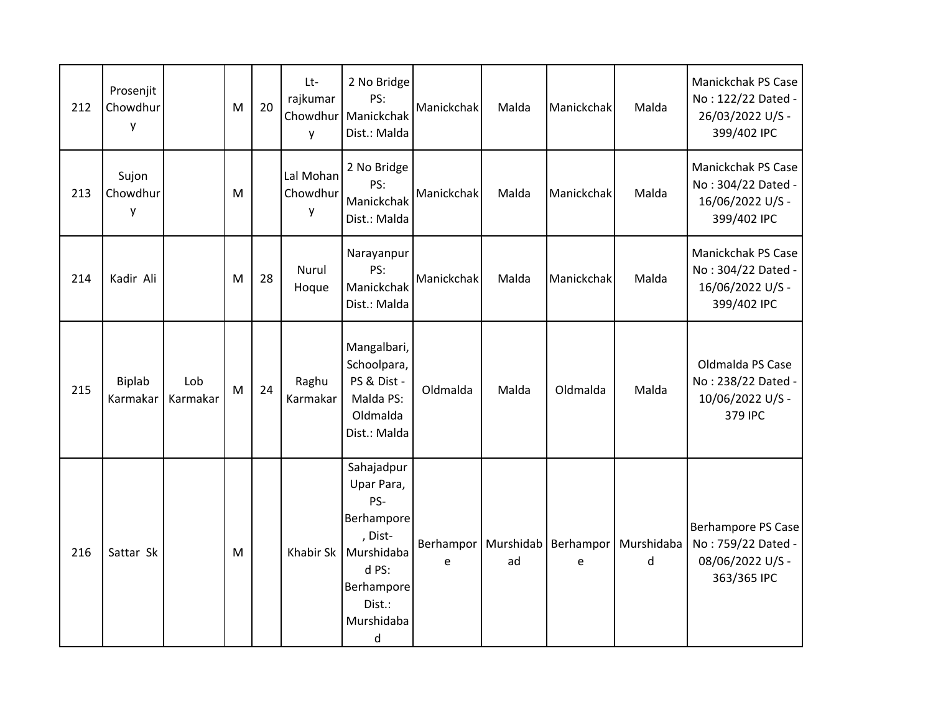| 212 | Prosenjit<br>Chowdhur<br>у |                 | M         | 20 | Lt-<br>rajkumar<br>Chowdhur<br>y | 2 No Bridge<br>PS:<br>Manickchak<br>Dist.: Malda                                                                           | Manickchak     | Malda           | Manickchak     | Malda           | Manickchak PS Case<br>No: 122/22 Dated -<br>26/03/2022 U/S -<br>399/402 IPC |
|-----|----------------------------|-----------------|-----------|----|----------------------------------|----------------------------------------------------------------------------------------------------------------------------|----------------|-----------------|----------------|-----------------|-----------------------------------------------------------------------------|
| 213 | Sujon<br>Chowdhur<br>y     |                 | M         |    | Lal Mohan<br>Chowdhur<br>у       | 2 No Bridge<br>PS:<br>Manickchak<br>Dist.: Malda                                                                           | Manickchak     | Malda           | Manickchak     | Malda           | Manickchak PS Case<br>No: 304/22 Dated -<br>16/06/2022 U/S -<br>399/402 IPC |
| 214 | Kadir Ali                  |                 | M         | 28 | Nurul<br>Hoque                   | Narayanpur<br>PS:<br>Manickchak<br>Dist.: Malda                                                                            | Manickchak     | Malda           | Manickchak     | Malda           | Manickchak PS Case<br>No: 304/22 Dated -<br>16/06/2022 U/S -<br>399/402 IPC |
| 215 | Biplab<br>Karmakar         | Lob<br>Karmakar | ${\sf M}$ | 24 | Raghu<br>Karmakar                | Mangalbari,<br>Schoolpara,<br>PS & Dist -<br>Malda PS:<br>Oldmalda<br>Dist.: Malda                                         | Oldmalda       | Malda           | Oldmalda       | Malda           | Oldmalda PS Case<br>No: 238/22 Dated -<br>10/06/2022 U/S -<br>379 IPC       |
| 216 | Sattar Sk                  |                 | M         |    | <b>Khabir Sk</b>                 | Sahajadpur<br>Upar Para,<br>PS-<br>Berhampore<br>, Dist-<br>Murshidaba<br>d PS:<br>Berhampore<br>Dist.:<br>Murshidaba<br>d | Berhampor<br>e | Murshidab<br>ad | Berhampor<br>e | Murshidaba<br>d | Berhampore PS Case<br>No: 759/22 Dated -<br>08/06/2022 U/S -<br>363/365 IPC |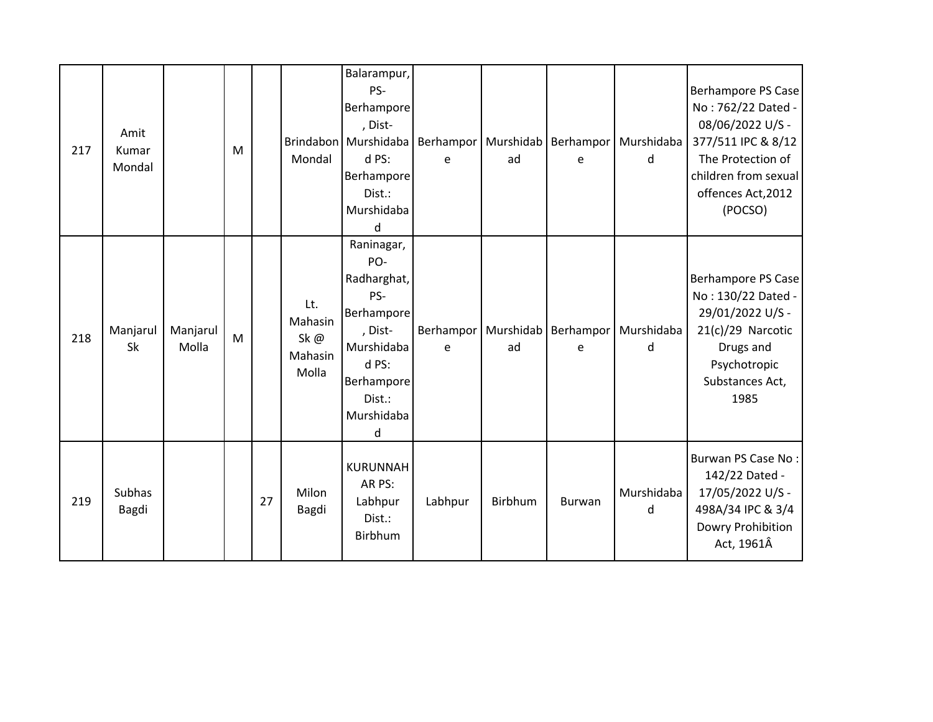| 217 | Amit<br>Kumar<br>Mondal |                   | M |    | Mondal                                    | Balarampur,<br>PS-<br>Berhampore<br>, Dist-<br>Brindabon Murshidaba<br>d PS:<br>Berhampore<br>Dist.:<br>Murshidaba<br>d            | Berhampor   Murshidab  <br>e | ad      | e      | Berhampor Murshidaba<br>d              | Berhampore PS Case<br>No: 762/22 Dated -<br>08/06/2022 U/S -<br>377/511 IPC & 8/12<br>The Protection of<br>children from sexual<br>offences Act, 2012<br>(POCSO) |
|-----|-------------------------|-------------------|---|----|-------------------------------------------|------------------------------------------------------------------------------------------------------------------------------------|------------------------------|---------|--------|----------------------------------------|------------------------------------------------------------------------------------------------------------------------------------------------------------------|
| 218 | Manjarul<br>Sk          | Manjarul<br>Molla | M |    | Lt.<br>Mahasin<br>Sk@<br>Mahasin<br>Molla | Raninagar,<br>PO-<br>Radharghat,<br>PS-<br>Berhampore<br>, Dist-<br>Murshidaba<br>d PS:<br>Berhampore<br>Dist.:<br>Murshidaba<br>d | Berhampor   Murshidab<br>e   | ad      | e      | Berhampor   Murshidaba<br><sub>d</sub> | Berhampore PS Case<br>No: 130/22 Dated -<br>29/01/2022 U/S -<br>21(c)/29 Narcotic<br>Drugs and<br>Psychotropic<br>Substances Act,<br>1985                        |
| 219 | Subhas<br>Bagdi         |                   |   | 27 | Milon<br>Bagdi                            | <b>KURUNNAH</b><br>AR PS:<br>Labhpur<br>Dist.:<br>Birbhum                                                                          | Labhpur                      | Birbhum | Burwan | Murshidaba<br>d                        | Burwan PS Case No:<br>142/22 Dated -<br>17/05/2022 U/S -<br>498A/34 IPC & 3/4<br>Dowry Prohibition<br>Act, 1961Â                                                 |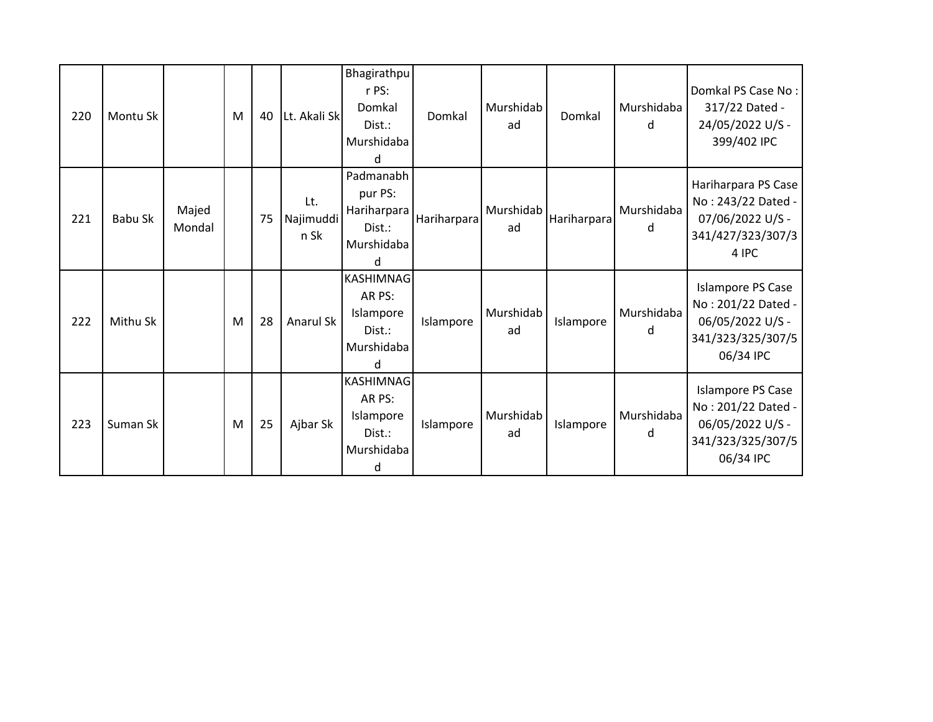| 220 | Montu Sk |                 | M | 40 | Lt. Akali Sk             | Bhagirathpu<br>r PS:<br>Domkal<br>$Dist.$ :<br>Murshidaba<br>d                     | Domkal      | Murshidab<br>ad | Domkal      | Murshidaba<br><sub>d</sub> | Domkal PS Case No:<br>317/22 Dated -<br>24/05/2022 U/S -<br>399/402 IPC                              |
|-----|----------|-----------------|---|----|--------------------------|------------------------------------------------------------------------------------|-------------|-----------------|-------------|----------------------------|------------------------------------------------------------------------------------------------------|
| 221 | Babu Sk  | Majed<br>Mondal |   | 75 | Lt.<br>Najimuddi<br>n Sk | Padmanabh<br>pur PS:<br>Hariharpara<br>Dist.:<br>Murshidaba<br>d                   | Hariharpara | Murshidab<br>ad | Hariharpara | Murshidaba<br>d            | Hariharpara PS Case<br>No: 243/22 Dated -<br>07/06/2022 U/S -<br>341/427/323/307/3<br>4 IPC          |
| 222 | Mithu Sk |                 | M | 28 | <b>Anarul Sk</b>         | <b>KASHIMNAG</b><br>AR PS:<br>Islampore<br>$Dist.$ :<br>Murshidaba<br><sub>d</sub> | Islampore   | Murshidab<br>ad | Islampore   | Murshidaba<br>d            | Islampore PS Case<br>No: 201/22 Dated -<br>06/05/2022 U/S -<br>341/323/325/307/5<br>06/34 IPC        |
| 223 | Suman Sk |                 | M | 25 | Ajbar Sk                 | KASHIMNAG<br>AR PS:<br>Islampore<br>Dist.:<br>Murshidaba<br>d                      | Islampore   | Murshidab<br>ad | Islampore   | Murshidaba<br>d            | <b>Islampore PS Case</b><br>No: 201/22 Dated -<br>06/05/2022 U/S -<br>341/323/325/307/5<br>06/34 IPC |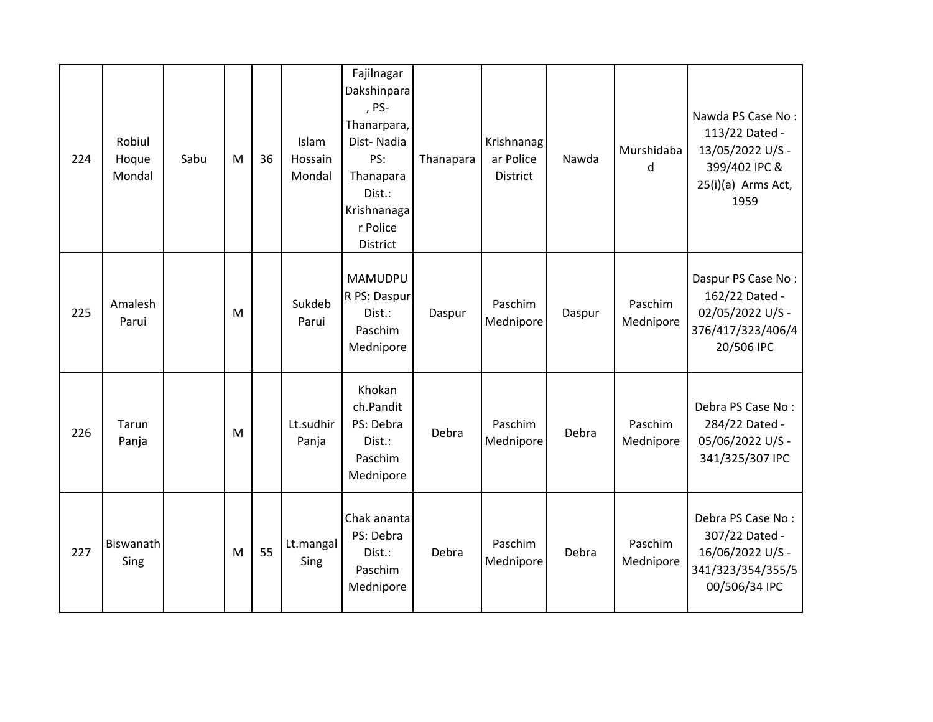| 224 | Robiul<br>Hoque<br>Mondal | Sabu | M | 36 | Islam<br>Hossain<br>Mondal | Fajilnagar<br>Dakshinpara<br>, PS-<br>Thanarpara,<br>Dist-Nadia<br>PS:<br>Thanapara<br>Dist.:<br>Krishnanaga<br>r Police<br>District | Thanapara | Krishnanag<br>ar Police<br><b>District</b> | Nawda  | Murshidaba<br>d      | Nawda PS Case No:<br>113/22 Dated -<br>13/05/2022 U/S -<br>399/402 IPC &<br>25(i)(a) Arms Act,<br>1959 |
|-----|---------------------------|------|---|----|----------------------------|--------------------------------------------------------------------------------------------------------------------------------------|-----------|--------------------------------------------|--------|----------------------|--------------------------------------------------------------------------------------------------------|
| 225 | Amalesh<br>Parui          |      | M |    | Sukdeb<br>Parui            | <b>MAMUDPU</b><br>R PS: Daspur<br>Dist.:<br>Paschim<br>Mednipore                                                                     | Daspur    | Paschim<br>Mednipore                       | Daspur | Paschim<br>Mednipore | Daspur PS Case No:<br>162/22 Dated -<br>02/05/2022 U/S -<br>376/417/323/406/4<br>20/506 IPC            |
| 226 | Tarun<br>Panja            |      | M |    | Lt.sudhir<br>Panja         | Khokan<br>ch.Pandit<br>PS: Debra<br>Dist.:<br>Paschim<br>Mednipore                                                                   | Debra     | Paschim<br>Mednipore                       | Debra  | Paschim<br>Mednipore | Debra PS Case No:<br>284/22 Dated -<br>05/06/2022 U/S -<br>341/325/307 IPC                             |
| 227 | Biswanath<br>Sing         |      | M | 55 | Lt.mangal<br>Sing          | Chak ananta<br>PS: Debra<br>Dist.:<br>Paschim<br>Mednipore                                                                           | Debra     | Paschim<br>Mednipore                       | Debra  | Paschim<br>Mednipore | Debra PS Case No:<br>307/22 Dated -<br>16/06/2022 U/S -<br>341/323/354/355/5<br>00/506/34 IPC          |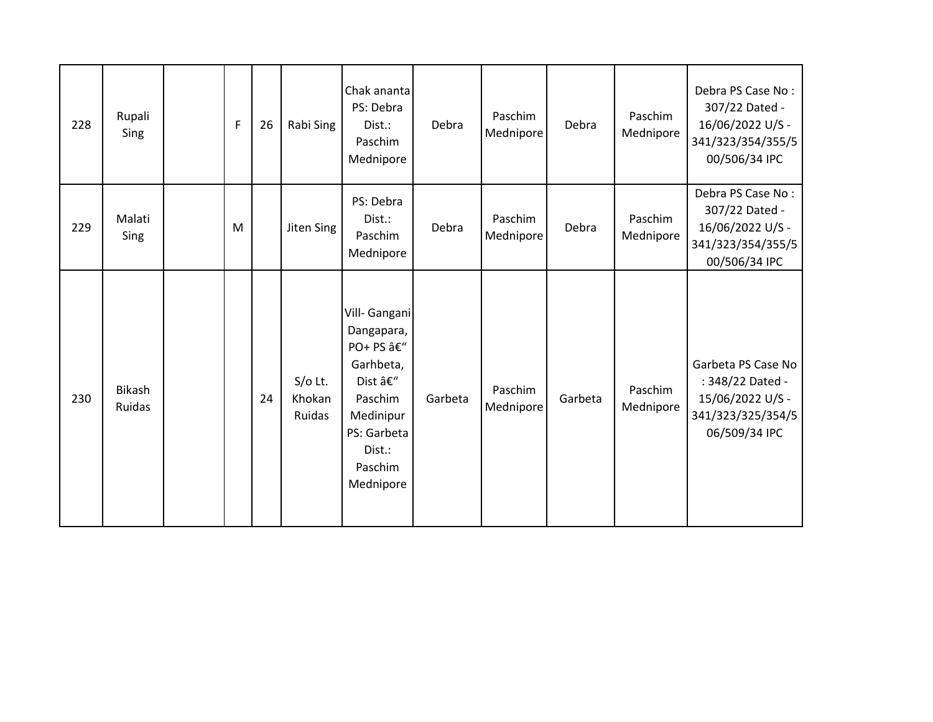| 228 | Rupali<br>Sing          | F | 26 | Rabi Sing                     | Chak ananta<br>PS: Debra<br>Dist.:<br>Paschim<br>Mednipore                                                                                | Debra   | Paschim<br>Mednipore | Debra   | Paschim<br>Mednipore | Debra PS Case No:<br>307/22 Dated -<br>16/06/2022 U/S -<br>341/323/354/355/5<br>00/506/34 IPC    |
|-----|-------------------------|---|----|-------------------------------|-------------------------------------------------------------------------------------------------------------------------------------------|---------|----------------------|---------|----------------------|--------------------------------------------------------------------------------------------------|
| 229 | Malati<br>Sing          | M |    | Jiten Sing                    | PS: Debra<br>Dist.:<br>Paschim<br>Mednipore                                                                                               | Debra   | Paschim<br>Mednipore | Debra   | Paschim<br>Mednipore | Debra PS Case No:<br>307/22 Dated -<br>16/06/2022 U/S -<br>341/323/354/355/5<br>00/506/34 IPC    |
| 230 | <b>Bikash</b><br>Ruidas |   | 24 | $S/O$ Lt.<br>Khokan<br>Ruidas | Vill- Gangani<br>Dangapara,<br>PO+ PS â€"<br>Garhbeta,<br>Dist –<br>Paschim<br>Medinipur<br>PS: Garbeta<br>Dist.:<br>Paschim<br>Mednipore | Garbeta | Paschim<br>Mednipore | Garbeta | Paschim<br>Mednipore | Garbeta PS Case No<br>: 348/22 Dated -<br>15/06/2022 U/S -<br>341/323/325/354/5<br>06/509/34 IPC |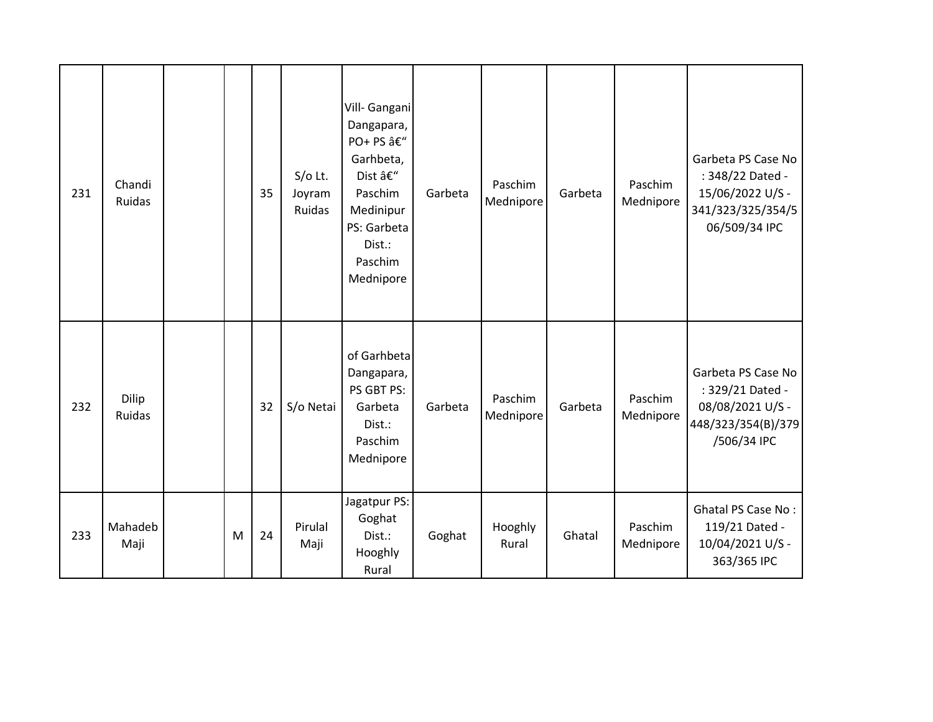| 231 | Chandi<br>Ruidas |   | 35 | $S/O$ Lt.<br>Joyram<br>Ruidas | Vill- Gangani<br>Dangapara,<br>PO+ PS â€"<br>Garhbeta,<br>Dist –<br>Paschim<br>Medinipur<br>PS: Garbeta<br>Dist.:<br>Paschim<br>Mednipore | Garbeta | Paschim<br>Mednipore | Garbeta | Paschim<br>Mednipore | Garbeta PS Case No<br>: 348/22 Dated -<br>15/06/2022 U/S -<br>341/323/325/354/5<br>06/509/34 IPC |
|-----|------------------|---|----|-------------------------------|-------------------------------------------------------------------------------------------------------------------------------------------|---------|----------------------|---------|----------------------|--------------------------------------------------------------------------------------------------|
| 232 | Dilip<br>Ruidas  |   | 32 | S/o Netai                     | of Garhbeta<br>Dangapara,<br>PS GBT PS:<br>Garbeta<br>Dist.:<br>Paschim<br>Mednipore                                                      | Garbeta | Paschim<br>Mednipore | Garbeta | Paschim<br>Mednipore | Garbeta PS Case No<br>: 329/21 Dated -<br>08/08/2021 U/S -<br>448/323/354(B)/379<br>/506/34 IPC  |
| 233 | Mahadeb<br>Maji  | M | 24 | Pirulal<br>Maji               | Jagatpur PS:<br>Goghat<br>Dist.:<br>Hooghly<br>Rural                                                                                      | Goghat  | Hooghly<br>Rural     | Ghatal  | Paschim<br>Mednipore | <b>Ghatal PS Case No:</b><br>119/21 Dated -<br>10/04/2021 U/S -<br>363/365 IPC                   |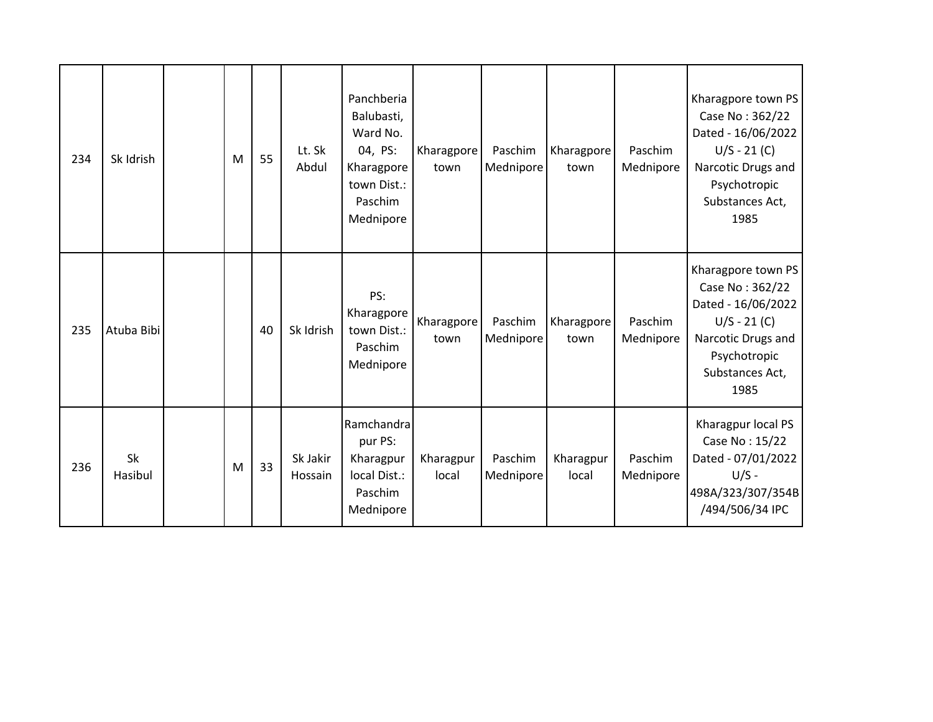| 234 | Sk Idrish            | M | 55 | Lt. Sk<br>Abdul     | Panchberia<br>Balubasti,<br>Ward No.<br>04, PS:<br>Kharagpore<br>town Dist.:<br>Paschim<br>Mednipore | Kharagpore<br>town | Paschim<br>Mednipore | Kharagpore<br>town | Paschim<br>Mednipore | Kharagpore town PS<br>Case No: 362/22<br>Dated - 16/06/2022<br>$U/S - 21 (C)$<br>Narcotic Drugs and<br>Psychotropic<br>Substances Act,<br>1985 |
|-----|----------------------|---|----|---------------------|------------------------------------------------------------------------------------------------------|--------------------|----------------------|--------------------|----------------------|------------------------------------------------------------------------------------------------------------------------------------------------|
| 235 | Atuba Bibi           |   | 40 | Sk Idrish           | PS:<br>Kharagpore<br>town Dist.:<br>Paschim<br>Mednipore                                             | Kharagpore<br>town | Paschim<br>Mednipore | Kharagpore<br>town | Paschim<br>Mednipore | Kharagpore town PS<br>Case No: 362/22<br>Dated - 16/06/2022<br>$U/S - 21 (C)$<br>Narcotic Drugs and<br>Psychotropic<br>Substances Act,<br>1985 |
| 236 | <b>Sk</b><br>Hasibul | M | 33 | Sk Jakir<br>Hossain | Ramchandra<br>pur PS:<br>Kharagpur<br>local Dist.:<br>Paschim<br>Mednipore                           | Kharagpur<br>local | Paschim<br>Mednipore | Kharagpur<br>local | Paschim<br>Mednipore | Kharagpur local PS<br>Case No: 15/22<br>Dated - 07/01/2022<br>$U/S -$<br>498A/323/307/354B<br>/494/506/34 IPC                                  |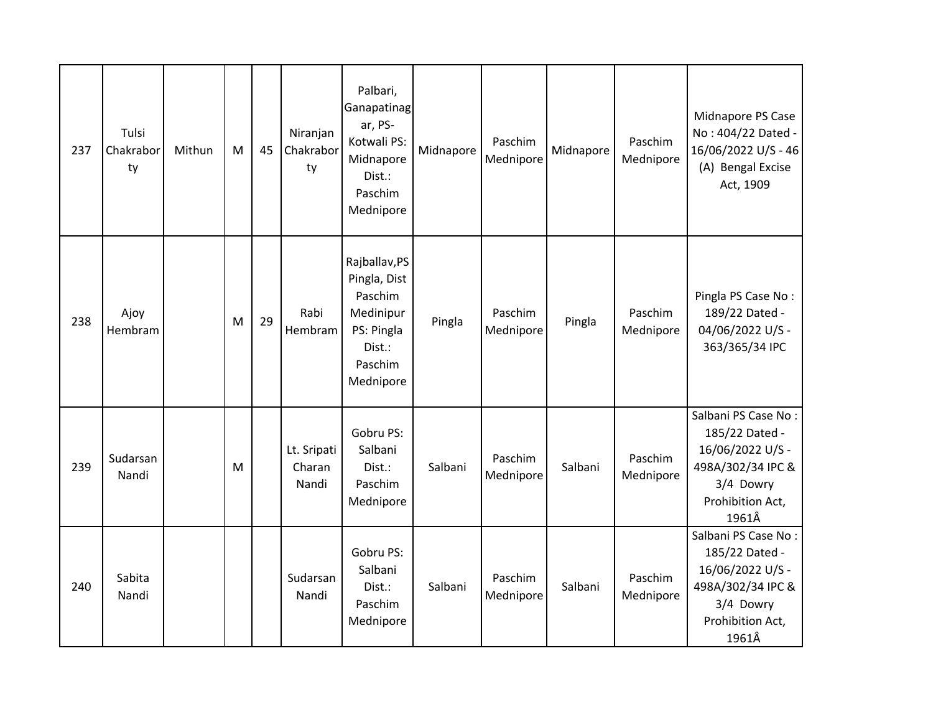| 237 | Tulsi<br>Chakrabor<br>ty | Mithun | ${\sf M}$ | 45 | Niranjan<br>Chakrabor<br>ty    | Palbari,<br>Ganapatinag<br>ar, PS-<br>Kotwali PS:<br>Midnapore<br>Dist.:<br>Paschim<br>Mednipore      | Midnapore | Paschim<br>Mednipore | Midnapore | Paschim<br>Mednipore | Midnapore PS Case<br>No: 404/22 Dated -<br>16/06/2022 U/S - 46<br>(A) Bengal Excise<br>Act, 1909                         |
|-----|--------------------------|--------|-----------|----|--------------------------------|-------------------------------------------------------------------------------------------------------|-----------|----------------------|-----------|----------------------|--------------------------------------------------------------------------------------------------------------------------|
| 238 | Ajoy<br>Hembram          |        | M         | 29 | Rabi<br>Hembram                | Rajballav, PS<br>Pingla, Dist<br>Paschim<br>Medinipur<br>PS: Pingla<br>Dist.:<br>Paschim<br>Mednipore | Pingla    | Paschim<br>Mednipore | Pingla    | Paschim<br>Mednipore | Pingla PS Case No:<br>189/22 Dated -<br>04/06/2022 U/S -<br>363/365/34 IPC                                               |
| 239 | Sudarsan<br>Nandi        |        | M         |    | Lt. Sripati<br>Charan<br>Nandi | Gobru PS:<br>Salbani<br>Dist.:<br>Paschim<br>Mednipore                                                | Salbani   | Paschim<br>Mednipore | Salbani   | Paschim<br>Mednipore | Salbani PS Case No:<br>185/22 Dated -<br>16/06/2022 U/S -<br>498A/302/34 IPC &<br>3/4 Dowry<br>Prohibition Act,<br>1961Â |
| 240 | Sabita<br>Nandi          |        |           |    | Sudarsan<br>Nandi              | Gobru PS:<br>Salbani<br>Dist.:<br>Paschim<br>Mednipore                                                | Salbani   | Paschim<br>Mednipore | Salbani   | Paschim<br>Mednipore | Salbani PS Case No:<br>185/22 Dated -<br>16/06/2022 U/S -<br>498A/302/34 IPC &<br>3/4 Dowry<br>Prohibition Act,<br>1961Â |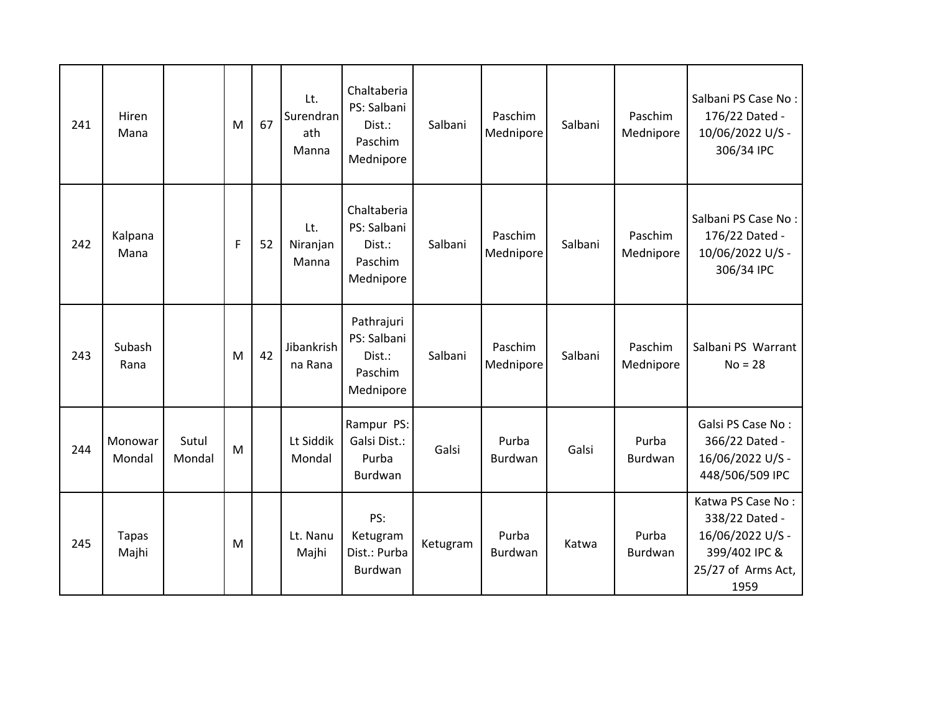| 241 | Hiren<br>Mana         |                 | M           | 67 | Lt.<br>Surendran<br>ath<br>Manna | Chaltaberia<br>PS: Salbani<br>Dist.:<br>Paschim<br>Mednipore | Salbani  | Paschim<br>Mednipore    | Salbani | Paschim<br>Mednipore | Salbani PS Case No:<br>176/22 Dated -<br>10/06/2022 U/S -<br>306/34 IPC                                |
|-----|-----------------------|-----------------|-------------|----|----------------------------------|--------------------------------------------------------------|----------|-------------------------|---------|----------------------|--------------------------------------------------------------------------------------------------------|
| 242 | Kalpana<br>Mana       |                 | $\mathsf F$ | 52 | Lt.<br>Niranjan<br>Manna         | Chaltaberia<br>PS: Salbani<br>Dist.:<br>Paschim<br>Mednipore | Salbani  | Paschim<br>Mednipore    | Salbani | Paschim<br>Mednipore | Salbani PS Case No:<br>176/22 Dated -<br>10/06/2022 U/S -<br>306/34 IPC                                |
| 243 | Subash<br>Rana        |                 | M           | 42 | Jibankrish<br>na Rana            | Pathrajuri<br>PS: Salbani<br>Dist.:<br>Paschim<br>Mednipore  | Salbani  | Paschim<br>Mednipore    | Salbani | Paschim<br>Mednipore | Salbani PS Warrant<br>$No = 28$                                                                        |
| 244 | Monowar<br>Mondal     | Sutul<br>Mondal | M           |    | Lt Siddik<br>Mondal              | Rampur PS:<br>Galsi Dist.:<br>Purba<br>Burdwan               | Galsi    | Purba<br><b>Burdwan</b> | Galsi   | Purba<br>Burdwan     | Galsi PS Case No:<br>366/22 Dated -<br>16/06/2022 U/S -<br>448/506/509 IPC                             |
| 245 | <b>Tapas</b><br>Majhi |                 | M           |    | Lt. Nanu<br>Majhi                | PS:<br>Ketugram<br>Dist.: Purba<br>Burdwan                   | Ketugram | Purba<br><b>Burdwan</b> | Katwa   | Purba<br>Burdwan     | Katwa PS Case No:<br>338/22 Dated -<br>16/06/2022 U/S -<br>399/402 IPC &<br>25/27 of Arms Act,<br>1959 |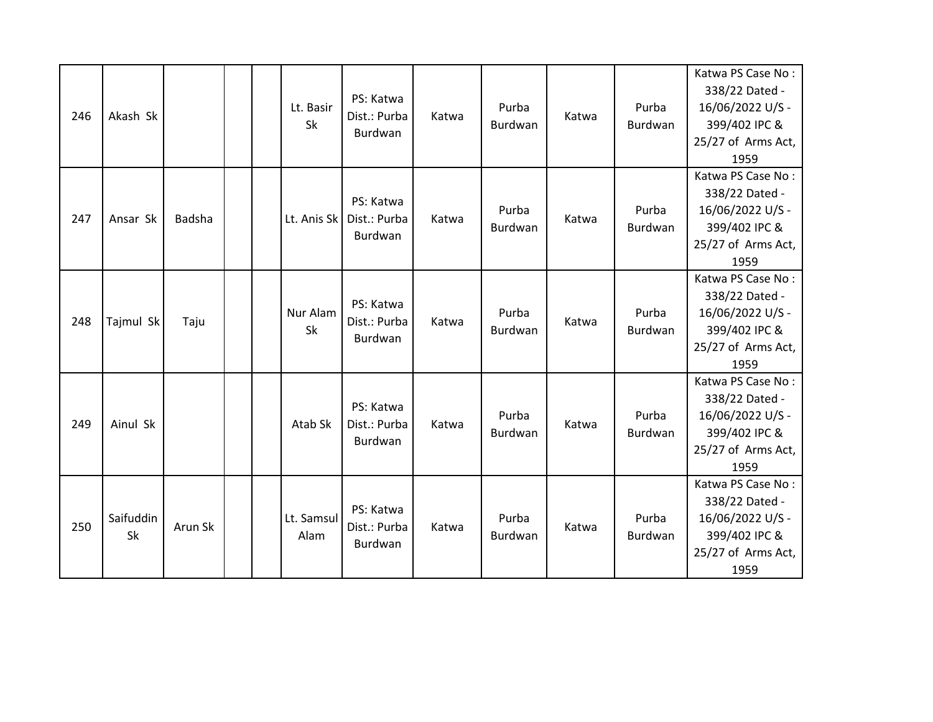| 246 | Akash Sk        |         |  | Lt. Basir<br>Sk    | PS: Katwa<br>Dist.: Purba<br>Burdwan | Katwa | Purba<br><b>Burdwan</b> | Katwa | Purba<br>Burdwan | Katwa PS Case No:<br>338/22 Dated -<br>16/06/2022 U/S -<br>399/402 IPC &<br>25/27 of Arms Act,<br>1959 |
|-----|-----------------|---------|--|--------------------|--------------------------------------|-------|-------------------------|-------|------------------|--------------------------------------------------------------------------------------------------------|
| 247 | Ansar Sk        | Badsha  |  | Lt. Anis Sk        | PS: Katwa<br>Dist.: Purba<br>Burdwan | Katwa | Purba<br>Burdwan        | Katwa | Purba<br>Burdwan | Katwa PS Case No:<br>338/22 Dated -<br>16/06/2022 U/S -<br>399/402 IPC &<br>25/27 of Arms Act,<br>1959 |
| 248 | Tajmul Sk       | Taju    |  | Nur Alam<br>Sk     | PS: Katwa<br>Dist.: Purba<br>Burdwan | Katwa | Purba<br>Burdwan        | Katwa | Purba<br>Burdwan | Katwa PS Case No:<br>338/22 Dated -<br>16/06/2022 U/S -<br>399/402 IPC &<br>25/27 of Arms Act,<br>1959 |
| 249 | Ainul Sk        |         |  | Atab Sk            | PS: Katwa<br>Dist.: Purba<br>Burdwan | Katwa | Purba<br><b>Burdwan</b> | Katwa | Purba<br>Burdwan | Katwa PS Case No:<br>338/22 Dated -<br>16/06/2022 U/S -<br>399/402 IPC &<br>25/27 of Arms Act,<br>1959 |
| 250 | Saifuddin<br>Sk | Arun Sk |  | Lt. Samsul<br>Alam | PS: Katwa<br>Dist.: Purba<br>Burdwan | Katwa | Purba<br><b>Burdwan</b> | Katwa | Purba<br>Burdwan | Katwa PS Case No:<br>338/22 Dated -<br>16/06/2022 U/S -<br>399/402 IPC &<br>25/27 of Arms Act,<br>1959 |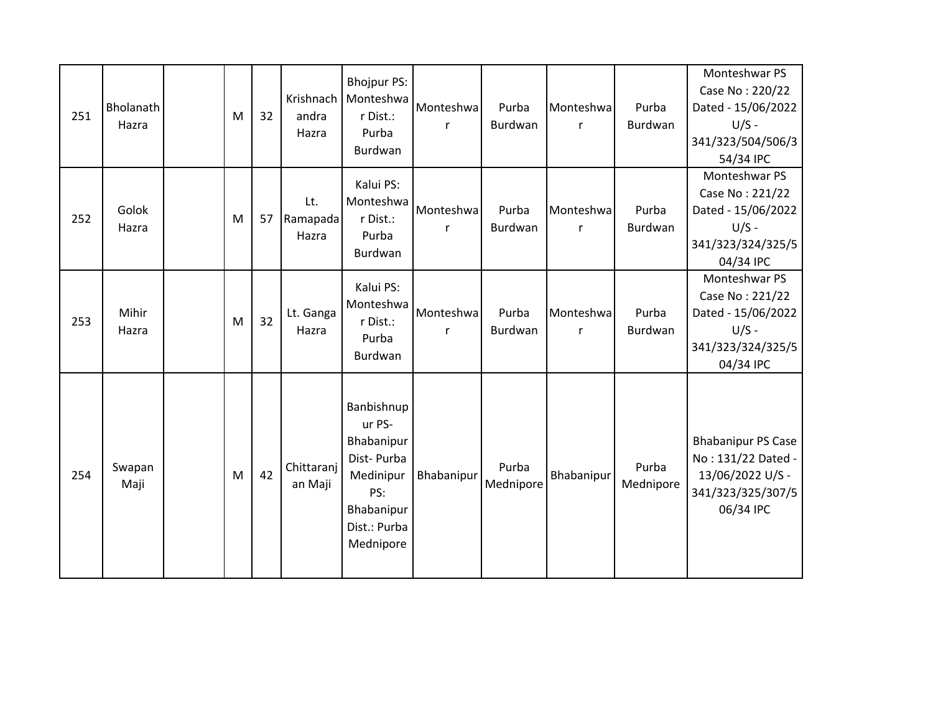| 251 | Bholanath<br>Hazra | M | 32 | Krishnach<br>andra<br>Hazra | <b>Bhojpur PS:</b><br>Monteshwa<br>r Dist.:<br>Purba<br>Burdwan                                                 | Monteshwa<br>r | Purba<br>Burdwan        | Monteshwa<br>r            | Purba<br>Burdwan   | Monteshwar PS<br>Case No: 220/22<br>Dated - 15/06/2022<br>$U/S -$<br>341/323/504/506/3<br>54/34 IPC   |
|-----|--------------------|---|----|-----------------------------|-----------------------------------------------------------------------------------------------------------------|----------------|-------------------------|---------------------------|--------------------|-------------------------------------------------------------------------------------------------------|
| 252 | Golok<br>Hazra     | M | 57 | Lt.<br>Ramapada<br>Hazra    | Kalui PS:<br>Monteshwa<br>r Dist.:<br>Purba<br>Burdwan                                                          | Monteshwa<br>r | Purba<br>Burdwan        | Monteshwa<br>$\mathsf{r}$ | Purba<br>Burdwan   | Monteshwar PS<br>Case No: 221/22<br>Dated - 15/06/2022<br>$U/S -$<br>341/323/324/325/5<br>04/34 IPC   |
| 253 | Mihir<br>Hazra     | M | 32 | Lt. Ganga<br>Hazra          | Kalui PS:<br>Monteshwa<br>r Dist.:<br>Purba<br>Burdwan                                                          | Monteshwa<br>r | Purba<br><b>Burdwan</b> | Monteshwa<br>r            | Purba<br>Burdwan   | Monteshwar PS<br>Case No: 221/22<br>Dated - 15/06/2022<br>$U/S -$<br>341/323/324/325/5<br>04/34 IPC   |
| 254 | Swapan<br>Maji     | M | 42 | Chittaranj<br>an Maji       | Banbishnup<br>ur PS-<br>Bhabanipur<br>Dist-Purba<br>Medinipur<br>PS:<br>Bhabanipur<br>Dist.: Purba<br>Mednipore | Bhabanipur     | Purba<br>Mednipore      | Bhabanipur                | Purba<br>Mednipore | <b>Bhabanipur PS Case</b><br>No: 131/22 Dated -<br>13/06/2022 U/S -<br>341/323/325/307/5<br>06/34 IPC |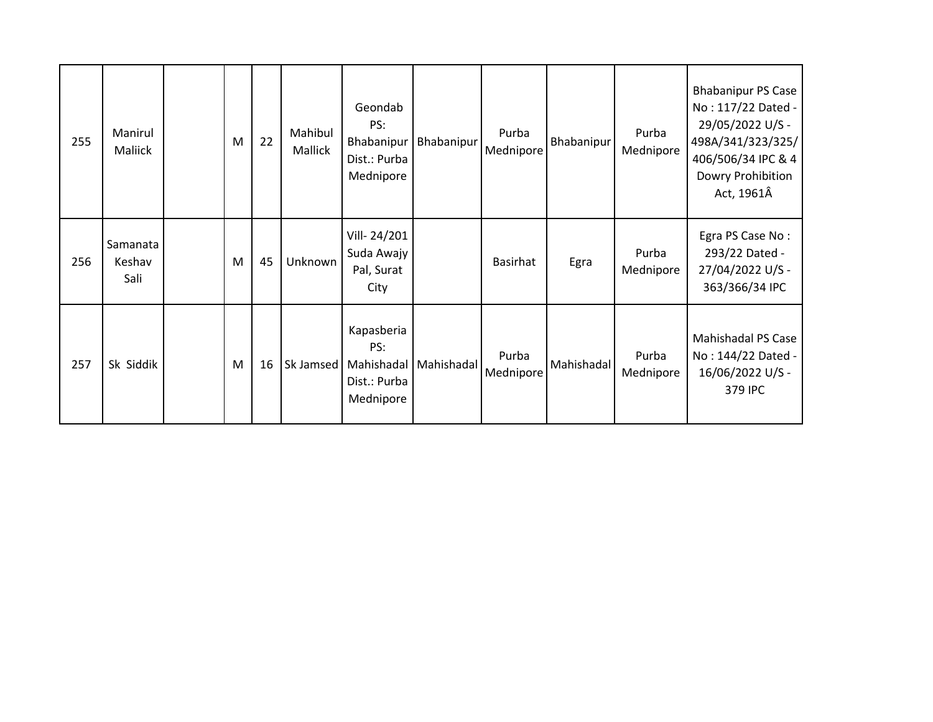| 255 | Manirul<br>Maliick         | M | 22 | Mahibul<br>Mallick | Geondab<br>PS:<br>Bhabanipur<br>Dist.: Purba<br>Mednipore    | Bhabanipur | Purba<br>Mednipore | Bhabanipur | Purba<br>Mednipore | <b>Bhabanipur PS Case</b><br>No: 117/22 Dated -<br>29/05/2022 U/S -<br>498A/341/323/325/<br>406/506/34 IPC & 4<br>Dowry Prohibition<br>Act, 1961Â |
|-----|----------------------------|---|----|--------------------|--------------------------------------------------------------|------------|--------------------|------------|--------------------|---------------------------------------------------------------------------------------------------------------------------------------------------|
| 256 | Samanata<br>Keshav<br>Sali | M | 45 | Unknown            | Vill-24/201<br>Suda Awajy<br>Pal, Surat<br>City              |            | Basirhat           | Egra       | Purba<br>Mednipore | Egra PS Case No:<br>293/22 Dated -<br>27/04/2022 U/S -<br>363/366/34 IPC                                                                          |
| 257 | Sk Siddik                  | M | 16 | Sk Jamsed          | Kapasberia<br>PS:<br>Mahishadal<br>Dist.: Purba<br>Mednipore | Mahishadal | Purba<br>Mednipore | Mahishadal | Purba<br>Mednipore | Mahishadal PS Case<br>No: 144/22 Dated -<br>16/06/2022 U/S -<br>379 IPC                                                                           |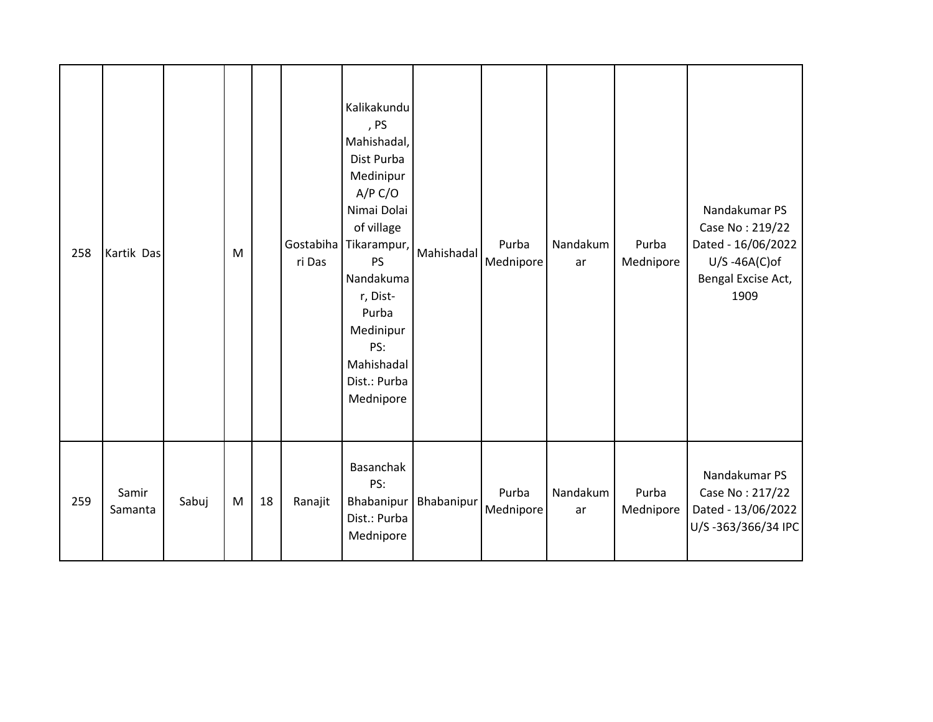| 258 | Kartik Das       |       | M |    | Gostabiha<br>ri Das | Kalikakundu<br>, PS<br>Mahishadal,<br>Dist Purba<br>Medinipur<br>A/P C/O<br>Nimai Dolai<br>of village<br>Tikarampur,<br><b>PS</b><br>Nandakuma<br>r, Dist-<br>Purba<br>Medinipur<br>PS:<br>Mahishadal<br>Dist.: Purba<br>Mednipore | Mahishadal | Purba<br>Mednipore | Nandakum<br>ar | Purba<br>Mednipore | Nandakumar PS<br>Case No: 219/22<br>Dated - 16/06/2022<br>$U/S - 46A(C)$ of<br>Bengal Excise Act,<br>1909 |
|-----|------------------|-------|---|----|---------------------|------------------------------------------------------------------------------------------------------------------------------------------------------------------------------------------------------------------------------------|------------|--------------------|----------------|--------------------|-----------------------------------------------------------------------------------------------------------|
| 259 | Samir<br>Samanta | Sabuj | M | 18 | Ranajit             | Basanchak<br>PS:<br>Bhabanipur<br>Dist.: Purba<br>Mednipore                                                                                                                                                                        | Bhabanipur | Purba<br>Mednipore | Nandakum<br>ar | Purba<br>Mednipore | Nandakumar PS<br>Case No: 217/22<br>Dated - 13/06/2022<br>U/S-363/366/34 IPC                              |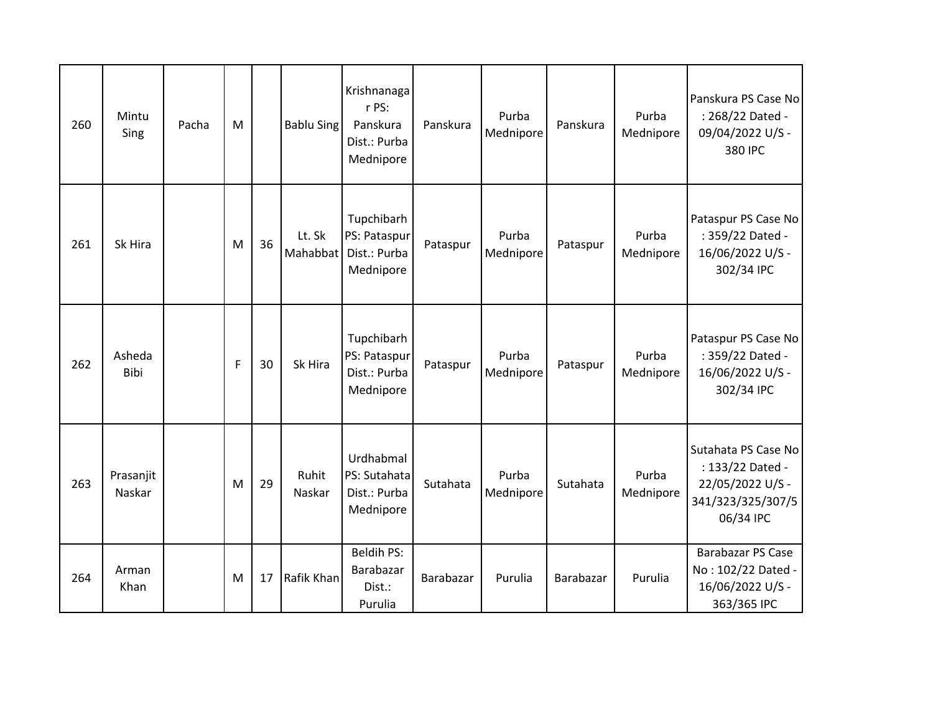| 260 | Mintu<br>Sing         | Pacha | M           |    | <b>Bablu Sing</b>  | Krishnanaga<br>r PS:<br>Panskura<br>Dist.: Purba<br>Mednipore | Panskura  | Purba<br>Mednipore | Panskura         | Purba<br>Mednipore | Panskura PS Case No<br>: 268/22 Dated -<br>09/04/2022 U/S -<br>380 IPC                        |
|-----|-----------------------|-------|-------------|----|--------------------|---------------------------------------------------------------|-----------|--------------------|------------------|--------------------|-----------------------------------------------------------------------------------------------|
| 261 | Sk Hira               |       | M           | 36 | Lt. Sk<br>Mahabbat | Tupchibarh<br>PS: Pataspur<br>Dist.: Purba<br>Mednipore       | Pataspur  | Purba<br>Mednipore | Pataspur         | Purba<br>Mednipore | Pataspur PS Case No<br>: 359/22 Dated -<br>16/06/2022 U/S -<br>302/34 IPC                     |
| 262 | Asheda<br><b>Bibi</b> |       | $\mathsf F$ | 30 | Sk Hira            | Tupchibarh<br>PS: Pataspur<br>Dist.: Purba<br>Mednipore       | Pataspur  | Purba<br>Mednipore | Pataspur         | Purba<br>Mednipore | Pataspur PS Case No<br>: 359/22 Dated -<br>16/06/2022 U/S -<br>302/34 IPC                     |
| 263 | Prasanjit<br>Naskar   |       | M           | 29 | Ruhit<br>Naskar    | Urdhabmal<br>PS: Sutahata<br>Dist.: Purba<br>Mednipore        | Sutahata  | Purba<br>Mednipore | Sutahata         | Purba<br>Mednipore | Sutahata PS Case No<br>: 133/22 Dated -<br>22/05/2022 U/S -<br>341/323/325/307/5<br>06/34 IPC |
| 264 | Arman<br>Khan         |       | M           | 17 | Rafik Khan         | <b>Beldih PS:</b><br>Barabazar<br>Dist.:<br>Purulia           | Barabazar | Purulia            | <b>Barabazar</b> | Purulia            | <b>Barabazar PS Case</b><br>No: 102/22 Dated -<br>16/06/2022 U/S -<br>363/365 IPC             |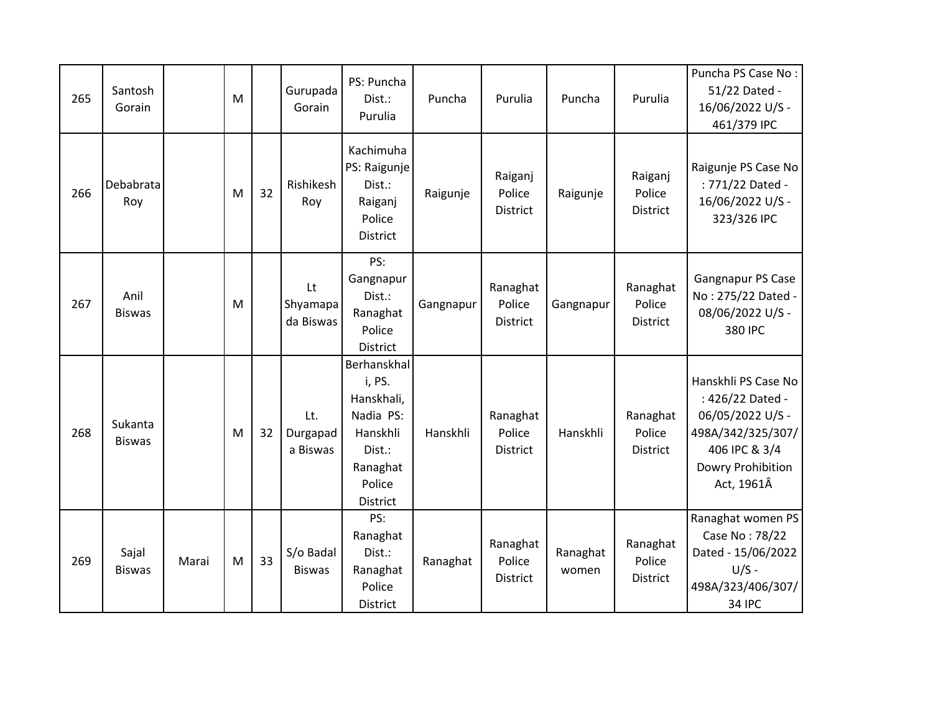| 265 | Santosh<br>Gorain        |       | M |    | Gurupada<br>Gorain          | PS: Puncha<br>Dist.:<br>Purulia                                                                          | Puncha    | Purulia                        | Puncha            | Purulia                              | Puncha PS Case No:<br>51/22 Dated -<br>16/06/2022 U/S -<br>461/379 IPC                                                               |
|-----|--------------------------|-------|---|----|-----------------------------|----------------------------------------------------------------------------------------------------------|-----------|--------------------------------|-------------------|--------------------------------------|--------------------------------------------------------------------------------------------------------------------------------------|
| 266 | Debabrata<br>Roy         |       | M | 32 | Rishikesh<br>Roy            | Kachimuha<br>PS: Raigunje<br>Dist.:<br>Raiganj<br>Police<br>District                                     | Raigunje  | Raiganj<br>Police<br>District  | Raigunje          | Raiganj<br>Police<br><b>District</b> | Raigunje PS Case No<br>: 771/22 Dated -<br>16/06/2022 U/S -<br>323/326 IPC                                                           |
| 267 | Anil<br><b>Biswas</b>    |       | M |    | Lt<br>Shyamapa<br>da Biswas | PS:<br>Gangnapur<br>Dist.:<br>Ranaghat<br>Police<br>District                                             | Gangnapur | Ranaghat<br>Police<br>District | Gangnapur         | Ranaghat<br>Police<br>District       | Gangnapur PS Case<br>No: 275/22 Dated -<br>08/06/2022 U/S -<br>380 IPC                                                               |
| 268 | Sukanta<br><b>Biswas</b> |       | M | 32 | Lt.<br>Durgapad<br>a Biswas | Berhanskhal<br>i, PS.<br>Hanskhali,<br>Nadia PS:<br>Hanskhli<br>Dist.:<br>Ranaghat<br>Police<br>District | Hanskhli  | Ranaghat<br>Police<br>District | Hanskhli          | Ranaghat<br>Police<br>District       | Hanskhli PS Case No<br>: 426/22 Dated -<br>06/05/2022 U/S -<br>498A/342/325/307/<br>406 IPC & 3/4<br>Dowry Prohibition<br>Act, 1961Â |
| 269 | Sajal<br><b>Biswas</b>   | Marai | M | 33 | S/o Badal<br><b>Biswas</b>  | PS:<br>Ranaghat<br>Dist.:<br>Ranaghat<br>Police<br>District                                              | Ranaghat  | Ranaghat<br>Police<br>District | Ranaghat<br>women | Ranaghat<br>Police<br>District       | Ranaghat women PS<br>Case No: 78/22<br>Dated - 15/06/2022<br>$U/S -$<br>498A/323/406/307/<br><b>34 IPC</b>                           |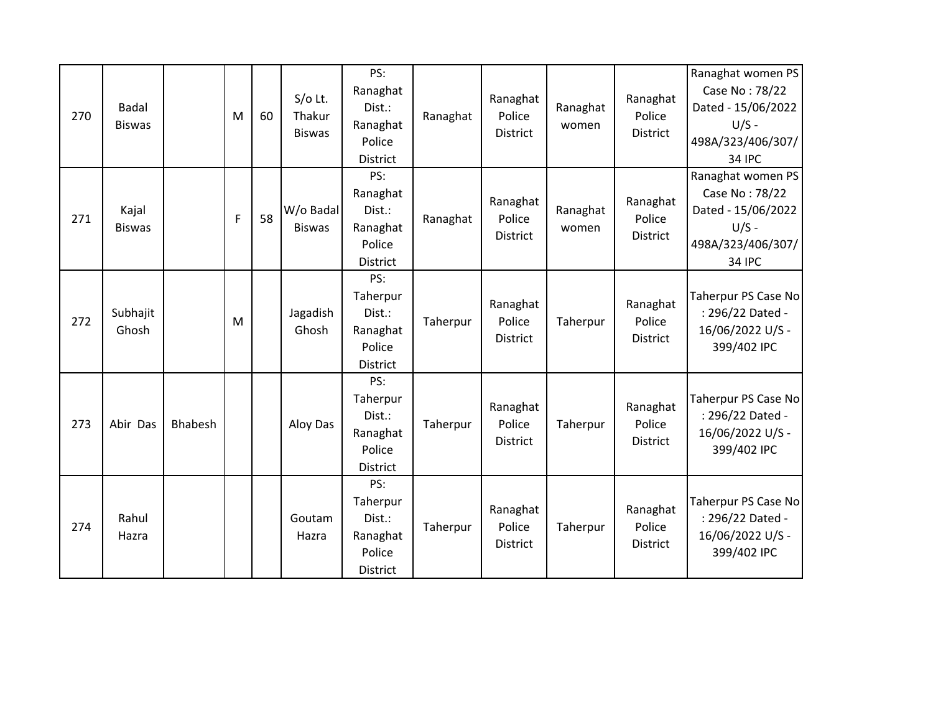| 270 | <b>Badal</b><br><b>Biswas</b> |         | M | 60 | $S/O$ Lt.<br>Thakur<br><b>Biswas</b> | PS:<br>Ranaghat<br>Dist.:<br>Ranaghat<br>Police<br><b>District</b> | Ranaghat | Ranaghat<br>Police<br><b>District</b> | Ranaghat<br>women | Ranaghat<br>Police<br><b>District</b> | Ranaghat women PS<br>Case No: 78/22<br>Dated - 15/06/2022<br>$U/S -$<br>498A/323/406/307/<br><b>34 IPC</b> |
|-----|-------------------------------|---------|---|----|--------------------------------------|--------------------------------------------------------------------|----------|---------------------------------------|-------------------|---------------------------------------|------------------------------------------------------------------------------------------------------------|
| 271 | Kajal<br><b>Biswas</b>        |         | F | 58 | W/o Badal<br><b>Biswas</b>           | PS:<br>Ranaghat<br>Dist.:<br>Ranaghat<br>Police<br>District        | Ranaghat | Ranaghat<br>Police<br>District        | Ranaghat<br>women | Ranaghat<br>Police<br>District        | Ranaghat women PS<br>Case No: 78/22<br>Dated - 15/06/2022<br>$U/S -$<br>498A/323/406/307/<br><b>34 IPC</b> |
| 272 | Subhajit<br>Ghosh             |         | M |    | Jagadish<br>Ghosh                    | PS:<br>Taherpur<br>Dist.:<br>Ranaghat<br>Police<br>District        | Taherpur | Ranaghat<br>Police<br>District        | Taherpur          | Ranaghat<br>Police<br>District        | Taherpur PS Case No<br>: 296/22 Dated -<br>16/06/2022 U/S -<br>399/402 IPC                                 |
| 273 | Abir Das                      | Bhabesh |   |    | Aloy Das                             | PS:<br>Taherpur<br>Dist.:<br>Ranaghat<br>Police<br>District        | Taherpur | Ranaghat<br>Police<br><b>District</b> | Taherpur          | Ranaghat<br>Police<br><b>District</b> | Taherpur PS Case No<br>: 296/22 Dated -<br>16/06/2022 U/S -<br>399/402 IPC                                 |
| 274 | Rahul<br>Hazra                |         |   |    | Goutam<br>Hazra                      | PS:<br>Taherpur<br>Dist.:<br>Ranaghat<br>Police<br>District        | Taherpur | Ranaghat<br>Police<br><b>District</b> | Taherpur          | Ranaghat<br>Police<br>District        | Taherpur PS Case No<br>: 296/22 Dated -<br>16/06/2022 U/S -<br>399/402 IPC                                 |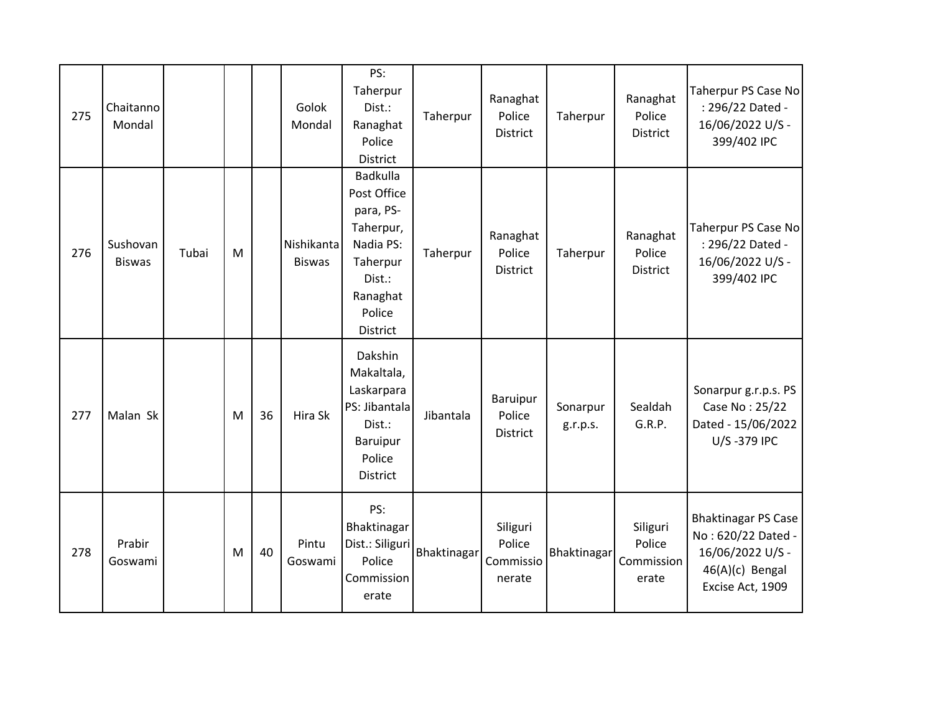| 275 | Chaitanno<br>Mondal       |       |   |    | Golok<br>Mondal             | PS:<br>Taherpur<br>Dist.:<br>Ranaghat<br>Police<br>District                                                            | Taherpur    | Ranaghat<br>Police<br><b>District</b>     | Taherpur             | Ranaghat<br>Police<br><b>District</b>     | Taherpur PS Case No<br>: 296/22 Dated -<br>16/06/2022 U/S -<br>399/402 IPC                                  |
|-----|---------------------------|-------|---|----|-----------------------------|------------------------------------------------------------------------------------------------------------------------|-------------|-------------------------------------------|----------------------|-------------------------------------------|-------------------------------------------------------------------------------------------------------------|
| 276 | Sushovan<br><b>Biswas</b> | Tubai | M |    | Nishikanta<br><b>Biswas</b> | Badkulla<br>Post Office<br>para, PS-<br>Taherpur,<br>Nadia PS:<br>Taherpur<br>Dist.:<br>Ranaghat<br>Police<br>District | Taherpur    | Ranaghat<br>Police<br><b>District</b>     | Taherpur             | Ranaghat<br>Police<br><b>District</b>     | Taherpur PS Case No<br>: 296/22 Dated -<br>16/06/2022 U/S -<br>399/402 IPC                                  |
| 277 | Malan Sk                  |       | M | 36 | Hira Sk                     | Dakshin<br>Makaltala,<br>Laskarpara<br>PS: Jibantala<br>Dist.:<br>Baruipur<br>Police<br>District                       | Jibantala   | Baruipur<br>Police<br>District            | Sonarpur<br>g.r.p.s. | Sealdah<br>G.R.P.                         | Sonarpur g.r.p.s. PS<br>Case No: 25/22<br>Dated - 15/06/2022<br>U/S-379 IPC                                 |
| 278 | Prabir<br>Goswami         |       | M | 40 | Pintu<br>Goswami            | PS:<br>Bhaktinagar<br>Dist.: Siliguri<br>Police<br>Commission<br>erate                                                 | Bhaktinagar | Siliguri<br>Police<br>Commissio<br>nerate | Bhaktinagar          | Siliguri<br>Police<br>Commission<br>erate | <b>Bhaktinagar PS Case</b><br>No: 620/22 Dated -<br>16/06/2022 U/S -<br>46(A)(c) Bengal<br>Excise Act, 1909 |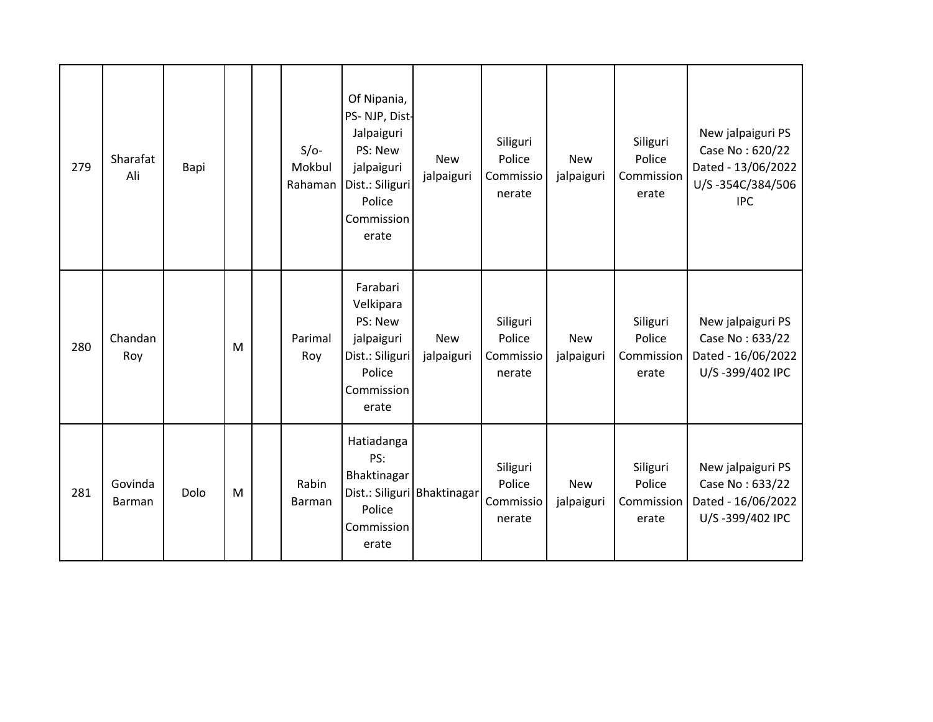| 279 | Sharafat<br>Ali   | Bapi |   | $S/O-$<br>Mokbul<br>Rahaman | Of Nipania,<br>PS-NJP, Dist-<br>Jalpaiguri<br>PS: New<br>jalpaiguri<br>Dist.: Siliguri<br>Police<br>Commission<br>erate | <b>New</b><br>jalpaiguri    | Siliguri<br>Police<br>Commissio<br>nerate | <b>New</b><br>jalpaiguri | Siliguri<br>Police<br>Commission<br>erate | New jalpaiguri PS<br>Case No: 620/22<br>Dated - 13/06/2022<br>U/S-354C/384/506<br><b>IPC</b> |
|-----|-------------------|------|---|-----------------------------|-------------------------------------------------------------------------------------------------------------------------|-----------------------------|-------------------------------------------|--------------------------|-------------------------------------------|----------------------------------------------------------------------------------------------|
| 280 | Chandan<br>Roy    |      | M | Parimal<br>Roy              | Farabari<br>Velkipara<br>PS: New<br>jalpaiguri<br>Dist.: Siliguri<br>Police<br>Commission<br>erate                      | <b>New</b><br>jalpaiguri    | Siliguri<br>Police<br>Commissio<br>nerate | <b>New</b><br>jalpaiguri | Siliguri<br>Police<br>Commission<br>erate | New jalpaiguri PS<br>Case No: 633/22<br>Dated - 16/06/2022<br>U/S-399/402 IPC                |
| 281 | Govinda<br>Barman | Dolo | M | Rabin<br>Barman             | Hatiadanga<br>PS:<br>Bhaktinagar<br>Police<br>Commission<br>erate                                                       | Dist.: Siliguri Bhaktinagar | Siliguri<br>Police<br>Commissio<br>nerate | <b>New</b><br>jalpaiguri | Siliguri<br>Police<br>Commission<br>erate | New jalpaiguri PS<br>Case No: 633/22<br>Dated - 16/06/2022<br>U/S-399/402 IPC                |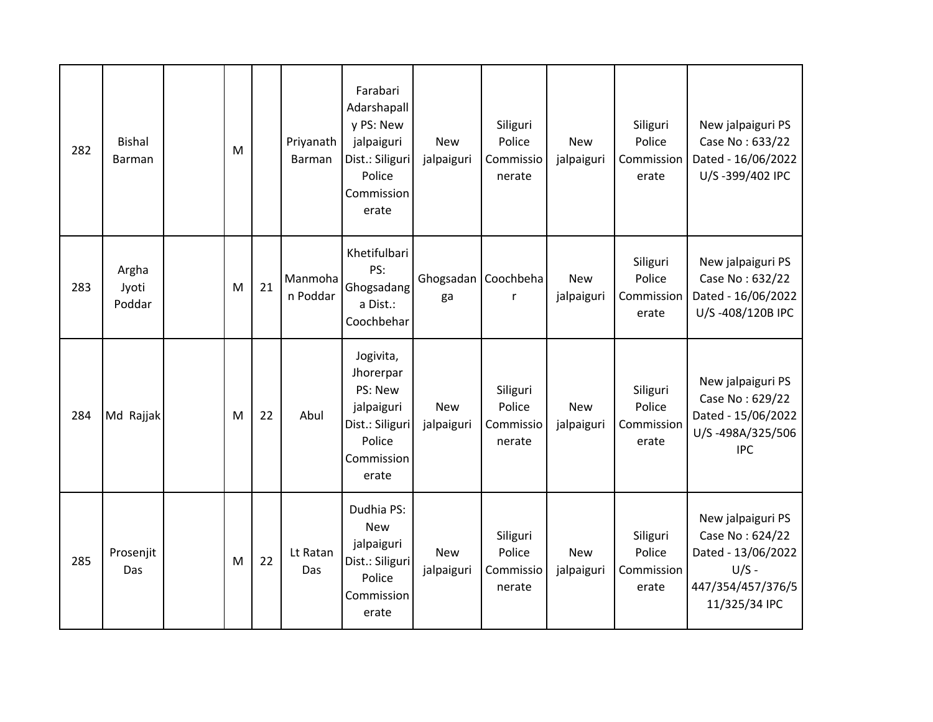| 282 | <b>Bishal</b><br><b>Barman</b> | M |    | Priyanath<br><b>Barman</b> | Farabari<br>Adarshapall<br>y PS: New<br>jalpaiguri<br>Dist.: Siliguri<br>Police<br>Commission<br>erate | <b>New</b><br>jalpaiguri | Siliguri<br>Police<br>Commissio<br>nerate | <b>New</b><br>jalpaiguri | Siliguri<br>Police<br>Commission<br>erate | New jalpaiguri PS<br>Case No: 633/22<br>Dated - 16/06/2022<br>U/S-399/402 IPC                               |
|-----|--------------------------------|---|----|----------------------------|--------------------------------------------------------------------------------------------------------|--------------------------|-------------------------------------------|--------------------------|-------------------------------------------|-------------------------------------------------------------------------------------------------------------|
| 283 | Argha<br>Jyoti<br>Poddar       | M | 21 | Manmoha<br>n Poddar        | Khetifulbari<br>PS:<br>Ghogsadang<br>a Dist.:<br>Coochbehar                                            | ga                       | Ghogsadan Coochbeha<br>r                  | <b>New</b><br>jalpaiguri | Siliguri<br>Police<br>Commission<br>erate | New jalpaiguri PS<br>Case No: 632/22<br>Dated - 16/06/2022<br>U/S-408/120B IPC                              |
| 284 | Md Rajjak                      | M | 22 | Abul                       | Jogivita,<br>Jhorerpar<br>PS: New<br>jalpaiguri<br>Dist.: Siliguri<br>Police<br>Commission<br>erate    | <b>New</b><br>jalpaiguri | Siliguri<br>Police<br>Commissio<br>nerate | <b>New</b><br>jalpaiguri | Siliguri<br>Police<br>Commission<br>erate | New jalpaiguri PS<br>Case No: 629/22<br>Dated - 15/06/2022<br>U/S-498A/325/506<br><b>IPC</b>                |
| 285 | Prosenjit<br>Das               | M | 22 | Lt Ratan<br>Das            | Dudhia PS:<br><b>New</b><br>jalpaiguri<br>Dist.: Siliguri<br>Police<br>Commission<br>erate             | <b>New</b><br>jalpaiguri | Siliguri<br>Police<br>Commissio<br>nerate | <b>New</b><br>jalpaiguri | Siliguri<br>Police<br>Commission<br>erate | New jalpaiguri PS<br>Case No: 624/22<br>Dated - 13/06/2022<br>$U/S -$<br>447/354/457/376/5<br>11/325/34 IPC |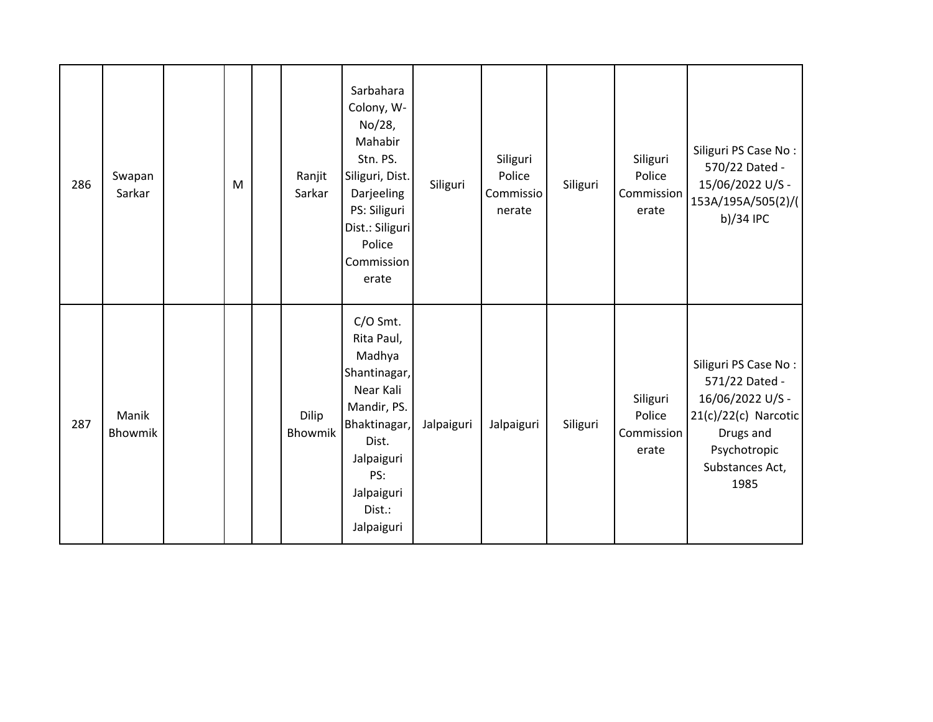| 286 | Swapan<br>Sarkar | M | Ranjit<br>Sarkar | Sarbahara<br>Colony, W-<br>No/28,<br>Mahabir<br>Stn. PS.<br>Siliguri, Dist.<br>Darjeeling<br>PS: Siliguri<br>Dist.: Siliguri<br>Police<br>Commission<br>erate    | Siliguri   | Siliguri<br>Police<br>Commissio<br>nerate | Siliguri | Siliguri<br>Police<br>Commission<br>erate | Siliguri PS Case No:<br>570/22 Dated -<br>15/06/2022 U/S -<br>153A/195A/505(2)/(<br>b)/34 IPC                                              |
|-----|------------------|---|------------------|------------------------------------------------------------------------------------------------------------------------------------------------------------------|------------|-------------------------------------------|----------|-------------------------------------------|--------------------------------------------------------------------------------------------------------------------------------------------|
| 287 | Manik<br>Bhowmik |   | Dilip<br>Bhowmik | C/O Smt.<br>Rita Paul,<br>Madhya<br>Shantinagar,<br>Near Kali<br>Mandir, PS.<br>Bhaktinagar,<br>Dist.<br>Jalpaiguri<br>PS:<br>Jalpaiguri<br>Dist.:<br>Jalpaiguri | Jalpaiguri | Jalpaiguri                                | Siliguri | Siliguri<br>Police<br>Commission<br>erate | Siliguri PS Case No:<br>571/22 Dated -<br>16/06/2022 U/S -<br>21(c)/22(c) Narcotic<br>Drugs and<br>Psychotropic<br>Substances Act,<br>1985 |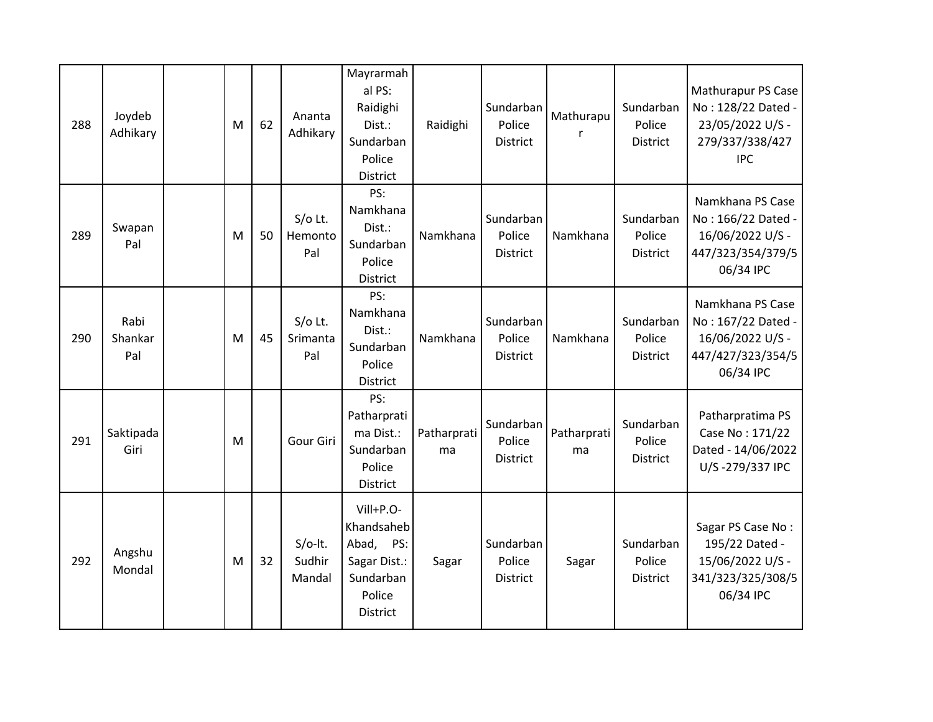| 288 | Joydeb<br>Adhikary     | M | 62 | Ananta<br>Adhikary            | Mayrarmah<br>al PS:<br>Raidighi<br>Dist.:<br>Sundarban<br>Police<br>District            | Raidighi          | Sundarban<br>Police<br>District        | Mathurapu         | Sundarban<br>Police<br><b>District</b> | Mathurapur PS Case<br>No: 128/22 Dated -<br>23/05/2022 U/S -<br>279/337/338/427<br><b>IPC</b> |
|-----|------------------------|---|----|-------------------------------|-----------------------------------------------------------------------------------------|-------------------|----------------------------------------|-------------------|----------------------------------------|-----------------------------------------------------------------------------------------------|
| 289 | Swapan<br>Pal          | M | 50 | $S/O$ Lt.<br>Hemonto<br>Pal   | PS:<br>Namkhana<br>Dist.:<br>Sundarban<br>Police<br><b>District</b>                     | Namkhana          | Sundarban<br>Police<br><b>District</b> | Namkhana          | Sundarban<br>Police<br>District        | Namkhana PS Case<br>No: 166/22 Dated -<br>16/06/2022 U/S -<br>447/323/354/379/5<br>06/34 IPC  |
| 290 | Rabi<br>Shankar<br>Pal | M | 45 | $S/O$ Lt.<br>Srimanta<br>Pal  | PS:<br>Namkhana<br>Dist.:<br>Sundarban<br>Police<br>District                            | Namkhana          | Sundarban<br>Police<br><b>District</b> | Namkhana          | Sundarban<br>Police<br><b>District</b> | Namkhana PS Case<br>No: 167/22 Dated -<br>16/06/2022 U/S -<br>447/427/323/354/5<br>06/34 IPC  |
| 291 | Saktipada<br>Giri      | M |    | Gour Giri                     | PS:<br>Patharprati<br>ma Dist.:<br>Sundarban<br>Police<br>District                      | Patharprati<br>ma | Sundarban<br>Police<br><b>District</b> | Patharprati<br>ma | Sundarban<br>Police<br><b>District</b> | Patharpratima PS<br>Case No: 171/22<br>Dated - 14/06/2022<br>U/S-279/337 IPC                  |
| 292 | Angshu<br>Mondal       | M | 32 | $S/O-It.$<br>Sudhir<br>Mandal | Vill+P.O-<br>Khandsaheb<br>Abad, PS:<br>Sagar Dist.:<br>Sundarban<br>Police<br>District | Sagar             | Sundarban<br>Police<br>District        | Sagar             | Sundarban<br>Police<br>District        | Sagar PS Case No:<br>195/22 Dated -<br>15/06/2022 U/S -<br>341/323/325/308/5<br>06/34 IPC     |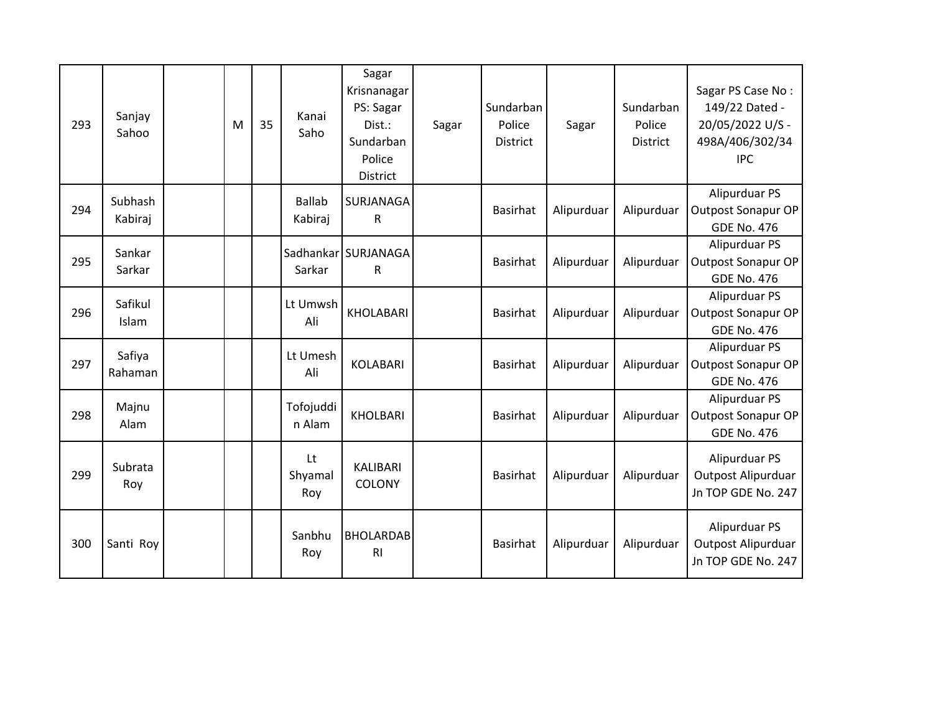| 293 | Sanjay<br>Sahoo    | M | 35 | Kanai<br>Saho            | Sagar<br>Krisnanagar<br>PS: Sagar<br>Dist.:<br>Sundarban<br>Police<br>District | Sagar | Sundarban<br>Police<br><b>District</b> | Sagar      | Sundarban<br>Police<br><b>District</b> | Sagar PS Case No:<br>149/22 Dated -<br>20/05/2022 U/S -<br>498A/406/302/34<br><b>IPC</b> |
|-----|--------------------|---|----|--------------------------|--------------------------------------------------------------------------------|-------|----------------------------------------|------------|----------------------------------------|------------------------------------------------------------------------------------------|
| 294 | Subhash<br>Kabiraj |   |    | <b>Ballab</b><br>Kabiraj | SURJANAGA<br>R                                                                 |       | <b>Basirhat</b>                        | Alipurduar | Alipurduar                             | Alipurduar PS<br><b>Outpost Sonapur OP</b><br><b>GDE No. 476</b>                         |
| 295 | Sankar<br>Sarkar   |   |    | Sarkar                   | Sadhankar SURJANAGA<br>R                                                       |       | <b>Basirhat</b>                        | Alipurduar | Alipurduar                             | Alipurduar PS<br>Outpost Sonapur OP<br><b>GDE No. 476</b>                                |
| 296 | Safikul<br>Islam   |   |    | Lt Umwsh<br>Ali          | <b>KHOLABARI</b>                                                               |       | <b>Basirhat</b>                        | Alipurduar | Alipurduar                             | Alipurduar PS<br><b>Outpost Sonapur OP</b><br><b>GDE No. 476</b>                         |
| 297 | Safiya<br>Rahaman  |   |    | Lt Umesh<br>Ali          | <b>KOLABARI</b>                                                                |       | <b>Basirhat</b>                        | Alipurduar | Alipurduar                             | Alipurduar PS<br>Outpost Sonapur OP<br><b>GDE No. 476</b>                                |
| 298 | Majnu<br>Alam      |   |    | Tofojuddi<br>n Alam      | <b>KHOLBARI</b>                                                                |       | <b>Basirhat</b>                        | Alipurduar | Alipurduar                             | Alipurduar PS<br><b>Outpost Sonapur OP</b><br><b>GDE No. 476</b>                         |
| 299 | Subrata<br>Roy     |   |    | Lt<br>Shyamal<br>Roy     | <b>KALIBARI</b><br>COLONY                                                      |       | <b>Basirhat</b>                        | Alipurduar | Alipurduar                             | Alipurduar PS<br>Outpost Alipurduar<br>Jn TOP GDE No. 247                                |
| 300 | Santi Roy          |   |    | Sanbhu<br>Roy            | <b>BHOLARDAB</b><br>R <sub>l</sub>                                             |       | <b>Basirhat</b>                        | Alipurduar | Alipurduar                             | Alipurduar PS<br>Outpost Alipurduar<br>Jn TOP GDE No. 247                                |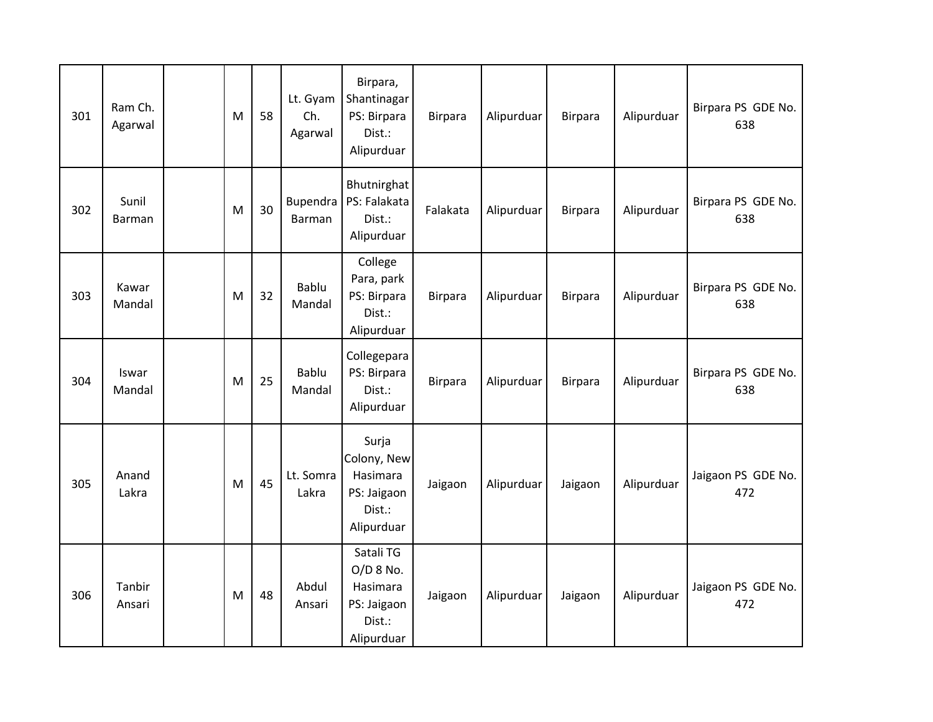| 301 | Ram Ch.<br>Agarwal | M | 58 | Lt. Gyam<br>Ch.<br>Agarwal | Birpara,<br>Shantinagar<br>PS: Birpara<br>Dist.:<br>Alipurduar            | Birpara        | Alipurduar | <b>Birpara</b> | Alipurduar | Birpara PS GDE No.<br>638 |
|-----|--------------------|---|----|----------------------------|---------------------------------------------------------------------------|----------------|------------|----------------|------------|---------------------------|
| 302 | Sunil<br>Barman    | M | 30 | Bupendra<br><b>Barman</b>  | Bhutnirghat<br>PS: Falakata<br>Dist.:<br>Alipurduar                       | Falakata       | Alipurduar | <b>Birpara</b> | Alipurduar | Birpara PS GDE No.<br>638 |
| 303 | Kawar<br>Mandal    | M | 32 | Bablu<br>Mandal            | College<br>Para, park<br>PS: Birpara<br>Dist.:<br>Alipurduar              | <b>Birpara</b> | Alipurduar | <b>Birpara</b> | Alipurduar | Birpara PS GDE No.<br>638 |
| 304 | Iswar<br>Mandal    | M | 25 | <b>Bablu</b><br>Mandal     | Collegepara<br>PS: Birpara<br>Dist.:<br>Alipurduar                        | <b>Birpara</b> | Alipurduar | <b>Birpara</b> | Alipurduar | Birpara PS GDE No.<br>638 |
| 305 | Anand<br>Lakra     | M | 45 | Lt. Somra<br>Lakra         | Surja<br>Colony, New<br>Hasimara<br>PS: Jaigaon<br>Dist.:<br>Alipurduar   | Jaigaon        | Alipurduar | Jaigaon        | Alipurduar | Jaigaon PS GDE No.<br>472 |
| 306 | Tanbir<br>Ansari   | M | 48 | Abdul<br>Ansari            | Satali TG<br>O/D 8 No.<br>Hasimara<br>PS: Jaigaon<br>Dist.:<br>Alipurduar | Jaigaon        | Alipurduar | Jaigaon        | Alipurduar | Jaigaon PS GDE No.<br>472 |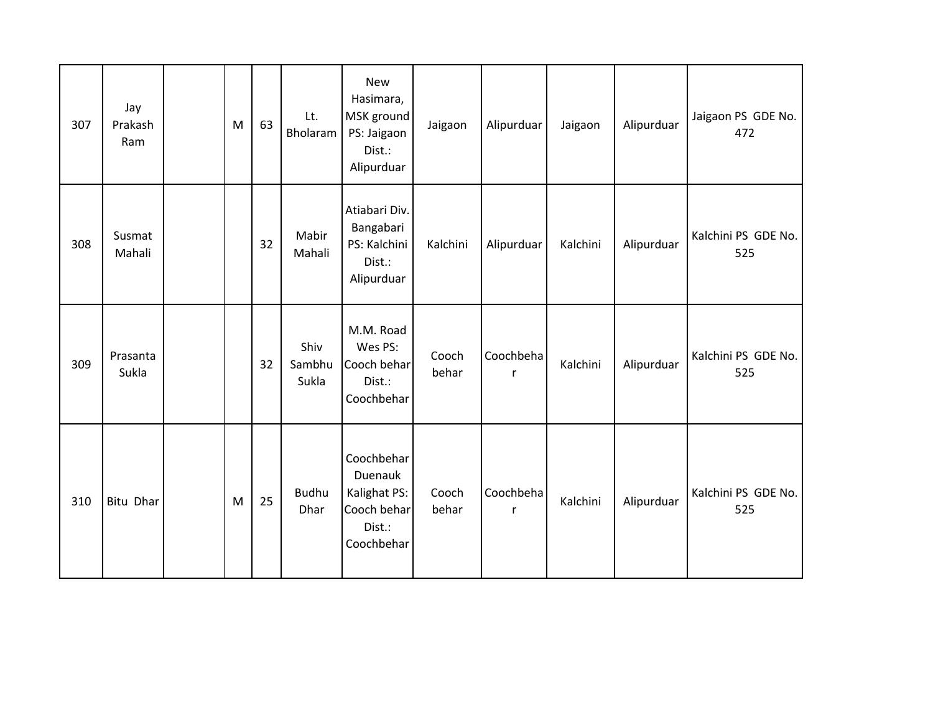| 307 | Jay<br>Prakash<br>Ram | M | 63 | Lt.<br>Bholaram         | <b>New</b><br>Hasimara,<br>MSK ground<br>PS: Jaigaon<br>Dist.:<br>Alipurduar | Jaigaon        | Alipurduar     | Jaigaon  | Alipurduar | Jaigaon PS GDE No.<br>472  |
|-----|-----------------------|---|----|-------------------------|------------------------------------------------------------------------------|----------------|----------------|----------|------------|----------------------------|
| 308 | Susmat<br>Mahali      |   | 32 | Mabir<br>Mahali         | Atiabari Div.<br>Bangabari<br>PS: Kalchini<br>Dist.:<br>Alipurduar           | Kalchini       | Alipurduar     | Kalchini | Alipurduar | Kalchini PS GDE No.<br>525 |
| 309 | Prasanta<br>Sukla     |   | 32 | Shiv<br>Sambhu<br>Sukla | M.M. Road<br>Wes PS:<br>Cooch behar<br>Dist.:<br>Coochbehar                  | Cooch<br>behar | Coochbeha<br>r | Kalchini | Alipurduar | Kalchini PS GDE No.<br>525 |
| 310 | <b>Bitu Dhar</b>      | M | 25 | <b>Budhu</b><br>Dhar    | Coochbehar<br>Duenauk<br>Kalighat PS:<br>Cooch behar<br>Dist.:<br>Coochbehar | Cooch<br>behar | Coochbeha<br>r | Kalchini | Alipurduar | Kalchini PS GDE No.<br>525 |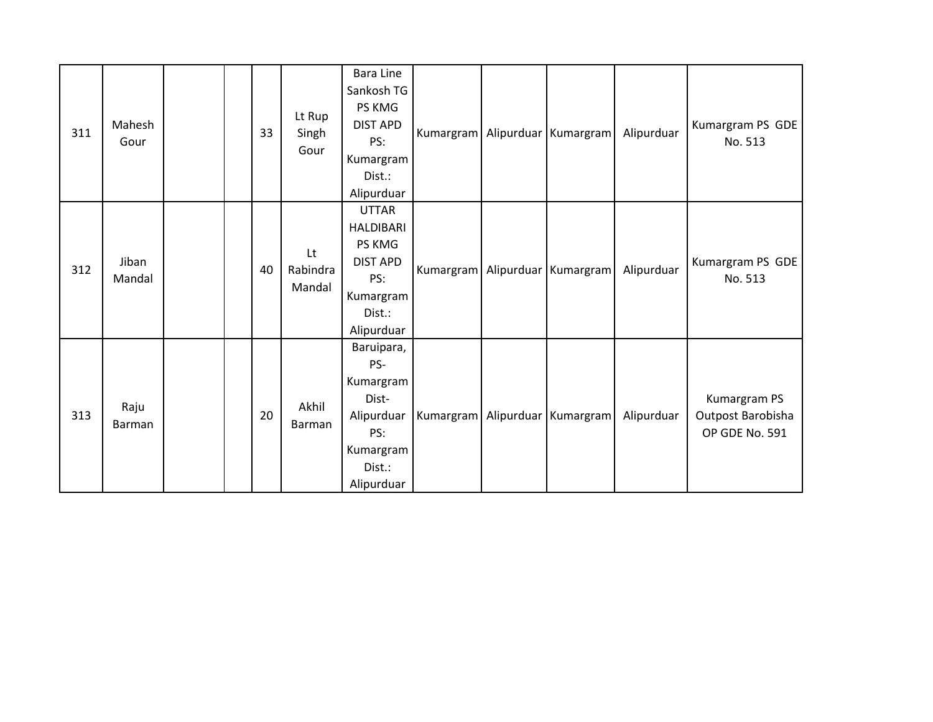| 311 | Mahesh<br>Gour  |  | 33 | Lt Rup<br>Singh<br>Gour  | <b>Bara Line</b><br>Sankosh TG<br>PS KMG<br><b>DIST APD</b><br>PS:<br>Kumargram<br>Dist.:<br>Alipurduar   |  | Kumargram Alipurduar Kumargram     | Alipurduar | Kumargram PS GDE<br>No. 513                         |
|-----|-----------------|--|----|--------------------------|-----------------------------------------------------------------------------------------------------------|--|------------------------------------|------------|-----------------------------------------------------|
| 312 | Jiban<br>Mandal |  | 40 | Lt<br>Rabindra<br>Mandal | <b>UTTAR</b><br><b>HALDIBARI</b><br>PS KMG<br><b>DIST APD</b><br>PS:<br>Kumargram<br>Dist.:<br>Alipurduar |  | Kumargram Alipurduar Kumargram     | Alipurduar | Kumargram PS GDE<br>No. 513                         |
| 313 | Raju<br>Barman  |  | 20 | Akhil<br>Barman          | Baruipara,<br>PS-<br>Kumargram<br>Dist-<br>Alipurduar<br>PS:<br>Kumargram<br>Dist.:<br>Alipurduar         |  | Kumargram   Alipurduar   Kumargram | Alipurduar | Kumargram PS<br>Outpost Barobisha<br>OP GDE No. 591 |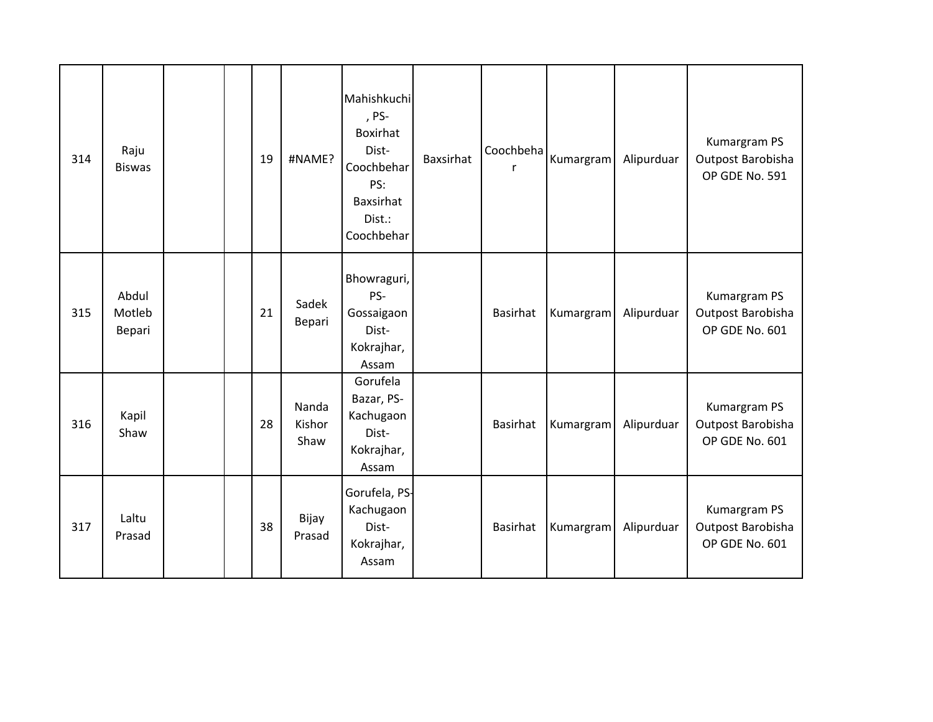| 314 | Raju<br><b>Biswas</b>     |  | 19 | #NAME?                  | Mahishkuchi<br>, PS-<br>Boxirhat<br>Dist-<br>Coochbehar<br>PS:<br>Baxsirhat<br>Dist.:<br>Coochbehar | <b>Baxsirhat</b> | Coochbeha       | Kumargram | Alipurduar | Kumargram PS<br>Outpost Barobisha<br>OP GDE No. 591 |
|-----|---------------------------|--|----|-------------------------|-----------------------------------------------------------------------------------------------------|------------------|-----------------|-----------|------------|-----------------------------------------------------|
| 315 | Abdul<br>Motleb<br>Bepari |  | 21 | Sadek<br>Bepari         | Bhowraguri,<br>PS-<br>Gossaigaon<br>Dist-<br>Kokrajhar,<br>Assam                                    |                  | Basirhat        | Kumargram | Alipurduar | Kumargram PS<br>Outpost Barobisha<br>OP GDE No. 601 |
| 316 | Kapil<br>Shaw             |  | 28 | Nanda<br>Kishor<br>Shaw | Gorufela<br>Bazar, PS-<br>Kachugaon<br>Dist-<br>Kokrajhar,<br>Assam                                 |                  | Basirhat        | Kumargram | Alipurduar | Kumargram PS<br>Outpost Barobisha<br>OP GDE No. 601 |
| 317 | Laltu<br>Prasad           |  | 38 | Bijay<br>Prasad         | Gorufela, PS-<br>Kachugaon<br>Dist-<br>Kokrajhar,<br>Assam                                          |                  | <b>Basirhat</b> | Kumargram | Alipurduar | Kumargram PS<br>Outpost Barobisha<br>OP GDE No. 601 |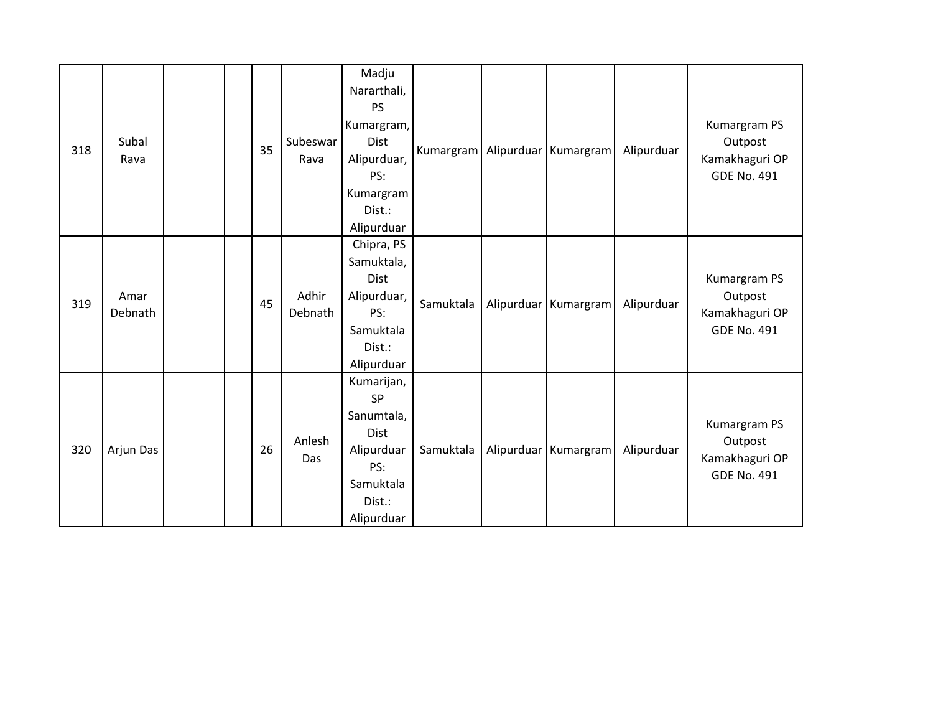| 318 | Subal<br>Rava   |  | 35 | Subeswar<br>Rava | Madju<br>Nararthali,<br><b>PS</b><br>Kumargram,<br><b>Dist</b><br>Alipurduar,<br>PS:<br>Kumargram<br>Dist.:<br>Alipurduar |           | Kumargram   Alipurduar   Kumargram | Alipurduar | Kumargram PS<br>Outpost<br>Kamakhaguri OP<br><b>GDE No. 491</b> |
|-----|-----------------|--|----|------------------|---------------------------------------------------------------------------------------------------------------------------|-----------|------------------------------------|------------|-----------------------------------------------------------------|
| 319 | Amar<br>Debnath |  | 45 | Adhir<br>Debnath | Chipra, PS<br>Samuktala,<br><b>Dist</b><br>Alipurduar,<br>PS:<br>Samuktala<br>Dist.:<br>Alipurduar                        | Samuktala | Alipurduar Kumargram               | Alipurduar | Kumargram PS<br>Outpost<br>Kamakhaguri OP<br><b>GDE No. 491</b> |
| 320 | Arjun Das       |  | 26 | Anlesh<br>Das    | Kumarijan,<br>SP<br>Sanumtala,<br>Dist<br>Alipurduar<br>PS:<br>Samuktala<br>Dist.:<br>Alipurduar                          | Samuktala | Alipurduar Kumargram               | Alipurduar | Kumargram PS<br>Outpost<br>Kamakhaguri OP<br><b>GDE No. 491</b> |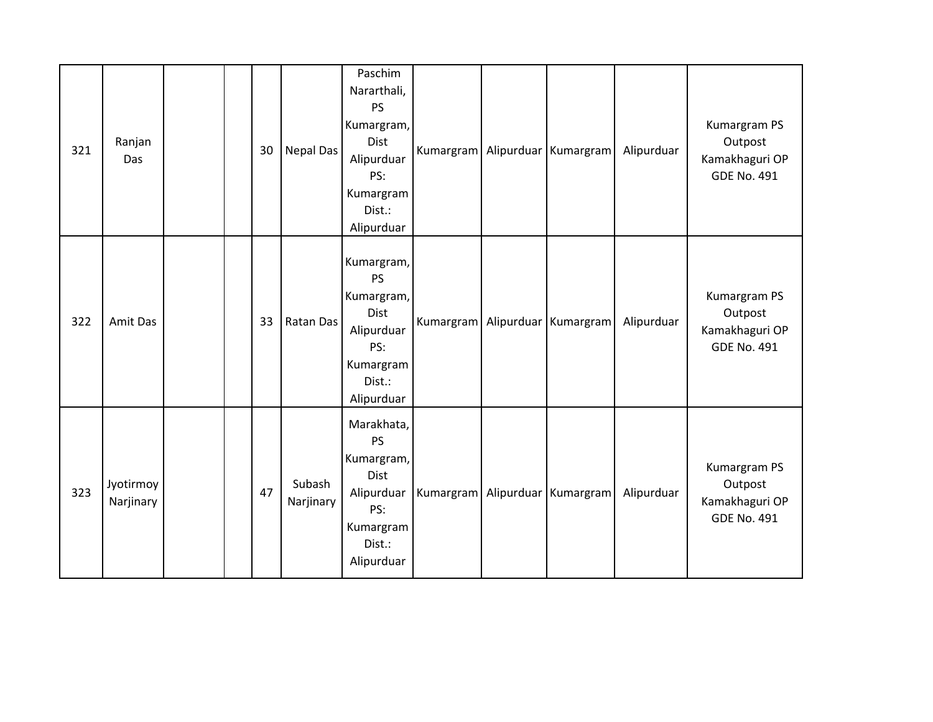| 321 | Ranjan<br>Das          |  | 30 | <b>Nepal Das</b>    | Paschim<br>Nararthali,<br><b>PS</b><br>Kumargram,<br><b>Dist</b><br>Alipurduar<br>PS:<br>Kumargram<br>Dist.:<br>Alipurduar |  | Kumargram Alipurduar Kumargram     | Alipurduar | Kumargram PS<br>Outpost<br>Kamakhaguri OP<br><b>GDE No. 491</b> |
|-----|------------------------|--|----|---------------------|----------------------------------------------------------------------------------------------------------------------------|--|------------------------------------|------------|-----------------------------------------------------------------|
| 322 | Amit Das               |  | 33 | Ratan Das           | Kumargram,<br><b>PS</b><br>Kumargram,<br><b>Dist</b><br>Alipurduar<br>PS:<br>Kumargram<br>Dist.:<br>Alipurduar             |  | Kumargram   Alipurduar   Kumargram | Alipurduar | Kumargram PS<br>Outpost<br>Kamakhaguri OP<br><b>GDE No. 491</b> |
| 323 | Jyotirmoy<br>Narjinary |  | 47 | Subash<br>Narjinary | Marakhata,<br><b>PS</b><br>Kumargram,<br><b>Dist</b><br>Alipurduar<br>PS:<br>Kumargram<br>Dist.:<br>Alipurduar             |  | Kumargram   Alipurduar   Kumargram | Alipurduar | Kumargram PS<br>Outpost<br>Kamakhaguri OP<br><b>GDE No. 491</b> |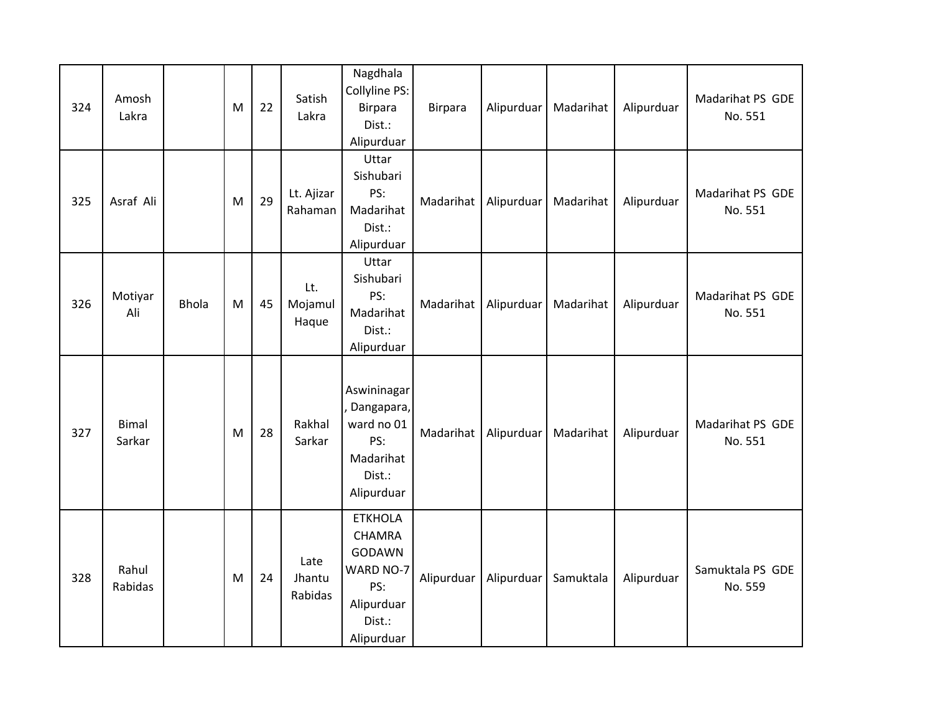| 324 | Amosh<br>Lakra         |              | M         | 22 | Satish<br>Lakra           | Nagdhala<br>Collyline PS:<br><b>Birpara</b><br>Dist.:<br>Alipurduar                                        | Birpara    | Alipurduar | Madarihat | Alipurduar | Madarihat PS GDE<br>No. 551 |
|-----|------------------------|--------------|-----------|----|---------------------------|------------------------------------------------------------------------------------------------------------|------------|------------|-----------|------------|-----------------------------|
| 325 | Asraf Ali              |              | M         | 29 | Lt. Ajizar<br>Rahaman     | Uttar<br>Sishubari<br>PS:<br>Madarihat<br>Dist.:<br>Alipurduar                                             | Madarihat  | Alipurduar | Madarihat | Alipurduar | Madarihat PS GDE<br>No. 551 |
| 326 | Motiyar<br>Ali         | <b>Bhola</b> | ${\sf M}$ | 45 | Lt.<br>Mojamul<br>Haque   | Uttar<br>Sishubari<br>PS:<br>Madarihat<br>Dist.:<br>Alipurduar                                             | Madarihat  | Alipurduar | Madarihat | Alipurduar | Madarihat PS GDE<br>No. 551 |
| 327 | <b>Bimal</b><br>Sarkar |              | M         | 28 | Rakhal<br>Sarkar          | Aswininagar<br>Dangapara,<br>ward no 01<br>PS:<br>Madarihat<br>Dist.:<br>Alipurduar                        | Madarihat  | Alipurduar | Madarihat | Alipurduar | Madarihat PS GDE<br>No. 551 |
| 328 | Rahul<br>Rabidas       |              | M         | 24 | Late<br>Jhantu<br>Rabidas | <b>ETKHOLA</b><br><b>CHAMRA</b><br><b>GODAWN</b><br>WARD NO-7<br>PS:<br>Alipurduar<br>Dist.:<br>Alipurduar | Alipurduar | Alipurduar | Samuktala | Alipurduar | Samuktala PS GDE<br>No. 559 |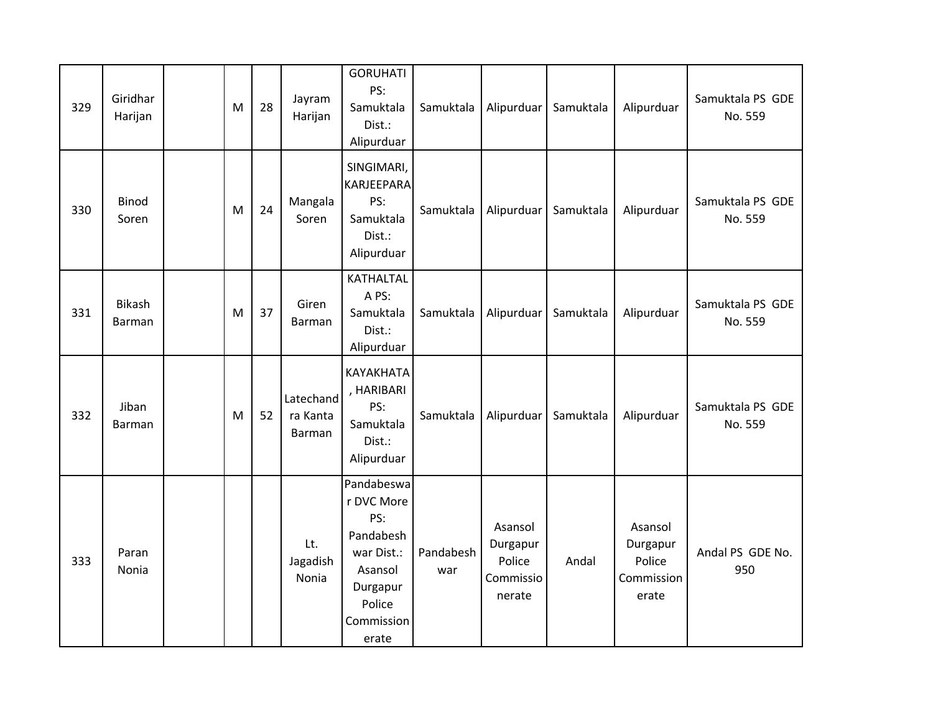| 329 | Giridhar<br>Harijan     | M | 28 | Jayram<br>Harijan               | <b>GORUHATI</b><br>PS:<br>Samuktala<br>Dist.:<br>Alipurduar                                                        | Samuktala        | Alipurduar                                           | Samuktala | Alipurduar                                           | Samuktala PS GDE<br>No. 559 |
|-----|-------------------------|---|----|---------------------------------|--------------------------------------------------------------------------------------------------------------------|------------------|------------------------------------------------------|-----------|------------------------------------------------------|-----------------------------|
| 330 | <b>Binod</b><br>Soren   | M | 24 | Mangala<br>Soren                | SINGIMARI,<br><b>KARJEEPARA</b><br>PS:<br>Samuktala<br>Dist.:<br>Alipurduar                                        | Samuktala        | Alipurduar                                           | Samuktala | Alipurduar                                           | Samuktala PS GDE<br>No. 559 |
| 331 | Bikash<br><b>Barman</b> | M | 37 | Giren<br>Barman                 | <b>KATHALTAL</b><br>A PS:<br>Samuktala<br>Dist.:<br>Alipurduar                                                     | Samuktala        | Alipurduar                                           | Samuktala | Alipurduar                                           | Samuktala PS GDE<br>No. 559 |
| 332 | Jiban<br>Barman         | M | 52 | Latechand<br>ra Kanta<br>Barman | KAYAKHATA<br>, HARIBARI<br>PS:<br>Samuktala<br>Dist.:<br>Alipurduar                                                | Samuktala        | Alipurduar                                           | Samuktala | Alipurduar                                           | Samuktala PS GDE<br>No. 559 |
| 333 | Paran<br><b>Nonia</b>   |   |    | Lt.<br>Jagadish<br>Nonia        | Pandabeswa<br>r DVC More<br>PS:<br>Pandabesh<br>war Dist.:<br>Asansol<br>Durgapur<br>Police<br>Commission<br>erate | Pandabesh<br>war | Asansol<br>Durgapur<br>Police<br>Commissio<br>nerate | Andal     | Asansol<br>Durgapur<br>Police<br>Commission<br>erate | Andal PS GDE No.<br>950     |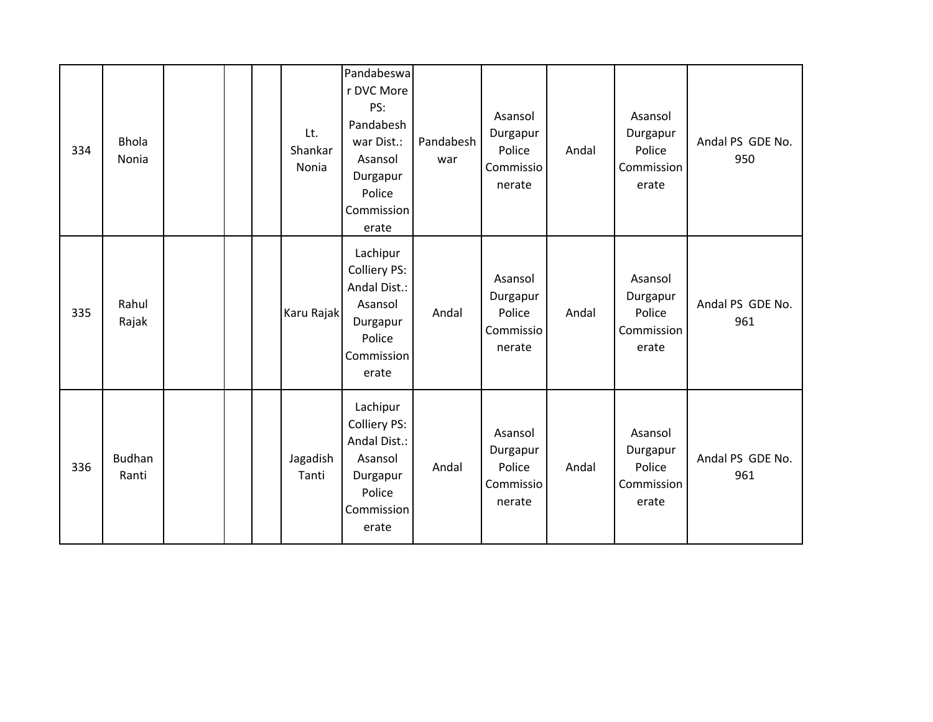| 334 | <b>Bhola</b><br>Nonia |  | Lt.<br>Shankar<br>Nonia | Pandabeswa<br>r DVC More<br>PS:<br>Pandabesh<br>war Dist.:<br>Asansol<br>Durgapur<br>Police<br>Commission<br>erate | Pandabesh<br>war | Asansol<br>Durgapur<br>Police<br>Commissio<br>nerate | Andal | Asansol<br>Durgapur<br>Police<br>Commission<br>erate | Andal PS GDE No.<br>950 |
|-----|-----------------------|--|-------------------------|--------------------------------------------------------------------------------------------------------------------|------------------|------------------------------------------------------|-------|------------------------------------------------------|-------------------------|
| 335 | Rahul<br>Rajak        |  | Karu Rajak              | Lachipur<br>Colliery PS:<br>Andal Dist.:<br>Asansol<br>Durgapur<br>Police<br>Commission<br>erate                   | Andal            | Asansol<br>Durgapur<br>Police<br>Commissio<br>nerate | Andal | Asansol<br>Durgapur<br>Police<br>Commission<br>erate | Andal PS GDE No.<br>961 |
| 336 | Budhan<br>Ranti       |  | Jagadish<br>Tanti       | Lachipur<br><b>Colliery PS:</b><br>Andal Dist.:<br>Asansol<br>Durgapur<br>Police<br>Commission<br>erate            | Andal            | Asansol<br>Durgapur<br>Police<br>Commissio<br>nerate | Andal | Asansol<br>Durgapur<br>Police<br>Commission<br>erate | Andal PS GDE No.<br>961 |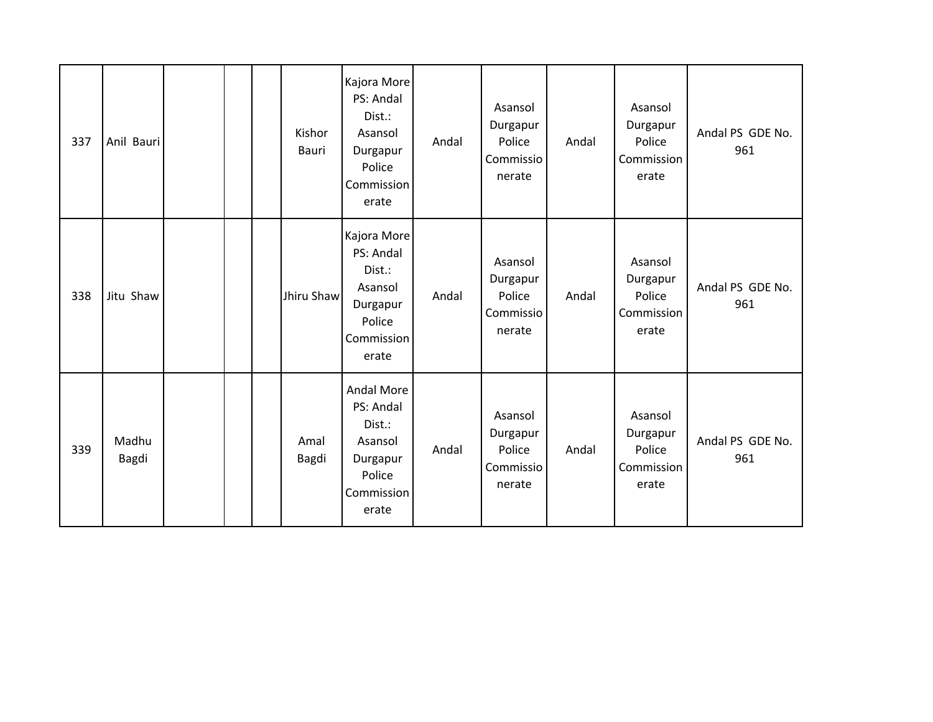| 337 | Anil Bauri     |  | Kishor<br>Bauri | Kajora More<br>PS: Andal<br>Dist.:<br>Asansol<br>Durgapur<br>Police<br>Commission<br>erate | Andal | Asansol<br>Durgapur<br>Police<br>Commissio<br>nerate | Andal | Asansol<br>Durgapur<br>Police<br>Commission<br>erate | Andal PS GDE No.<br>961 |
|-----|----------------|--|-----------------|--------------------------------------------------------------------------------------------|-------|------------------------------------------------------|-------|------------------------------------------------------|-------------------------|
| 338 | Jitu Shaw      |  | Jhiru Shaw      | Kajora More<br>PS: Andal<br>Dist.:<br>Asansol<br>Durgapur<br>Police<br>Commission<br>erate | Andal | Asansol<br>Durgapur<br>Police<br>Commissio<br>nerate | Andal | Asansol<br>Durgapur<br>Police<br>Commission<br>erate | Andal PS GDE No.<br>961 |
| 339 | Madhu<br>Bagdi |  | Amal<br>Bagdi   | Andal More<br>PS: Andal<br>Dist.:<br>Asansol<br>Durgapur<br>Police<br>Commission<br>erate  | Andal | Asansol<br>Durgapur<br>Police<br>Commissio<br>nerate | Andal | Asansol<br>Durgapur<br>Police<br>Commission<br>erate | Andal PS GDE No.<br>961 |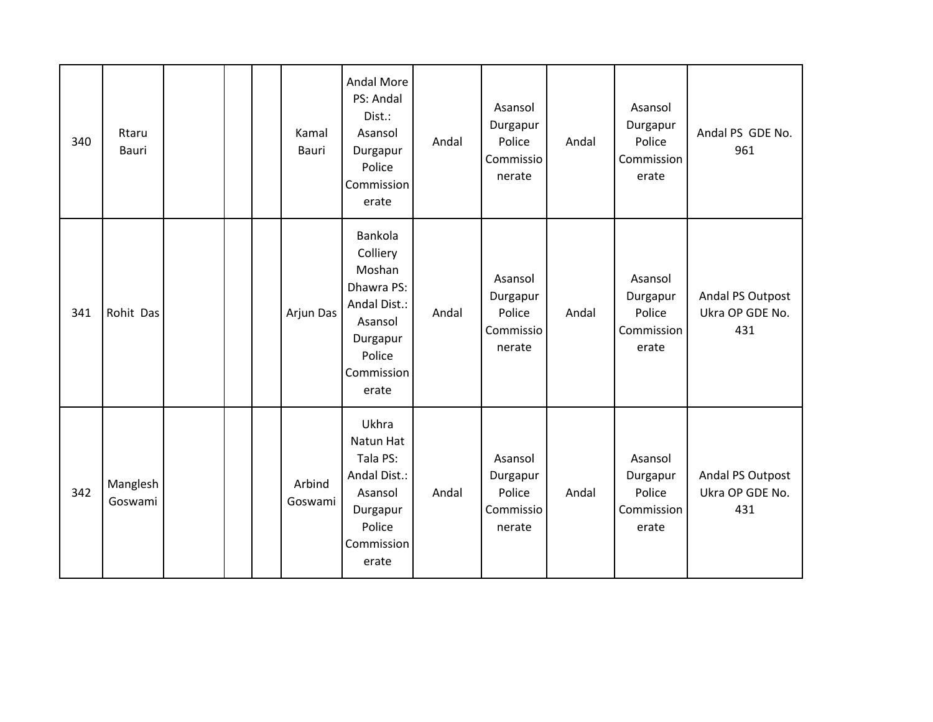| 340 | Rtaru<br><b>Bauri</b> |  | Kamal<br><b>Bauri</b> | <b>Andal More</b><br>PS: Andal<br>Dist.:<br>Asansol<br>Durgapur<br>Police<br>Commission<br>erate                    | Andal | Asansol<br>Durgapur<br>Police<br>Commissio<br>nerate | Andal | Asansol<br>Durgapur<br>Police<br>Commission<br>erate | Andal PS GDE No.<br>961                    |
|-----|-----------------------|--|-----------------------|---------------------------------------------------------------------------------------------------------------------|-------|------------------------------------------------------|-------|------------------------------------------------------|--------------------------------------------|
| 341 | Rohit Das             |  | Arjun Das             | Bankola<br>Colliery<br>Moshan<br>Dhawra PS:<br>Andal Dist.:<br>Asansol<br>Durgapur<br>Police<br>Commission<br>erate | Andal | Asansol<br>Durgapur<br>Police<br>Commissio<br>nerate | Andal | Asansol<br>Durgapur<br>Police<br>Commission<br>erate | Andal PS Outpost<br>Ukra OP GDE No.<br>431 |
| 342 | Manglesh<br>Goswami   |  | Arbind<br>Goswami     | Ukhra<br>Natun Hat<br>Tala PS:<br>Andal Dist.:<br>Asansol<br>Durgapur<br>Police<br>Commission<br>erate              | Andal | Asansol<br>Durgapur<br>Police<br>Commissio<br>nerate | Andal | Asansol<br>Durgapur<br>Police<br>Commission<br>erate | Andal PS Outpost<br>Ukra OP GDE No.<br>431 |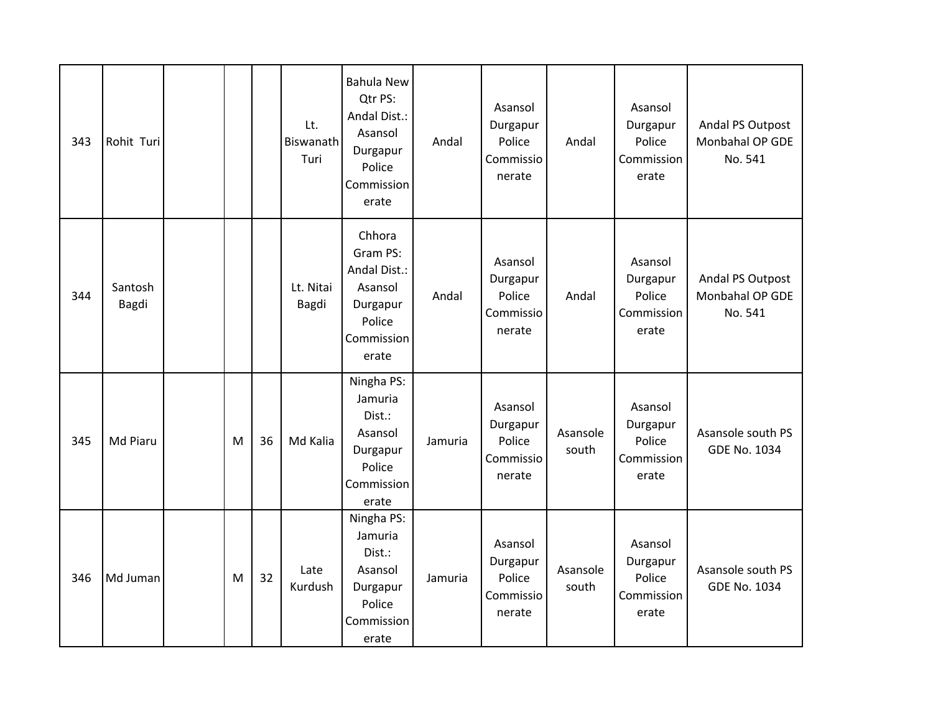| 343 | Rohit Turi       |   |    | Lt.<br>Biswanath<br>Turi | <b>Bahula New</b><br>Qtr PS:<br>Andal Dist.:<br>Asansol<br>Durgapur<br>Police<br>Commission<br>erate | Andal   | Asansol<br>Durgapur<br>Police<br>Commissio<br>nerate | Andal             | Asansol<br>Durgapur<br>Police<br>Commission<br>erate | Andal PS Outpost<br>Monbahal OP GDE<br>No. 541 |
|-----|------------------|---|----|--------------------------|------------------------------------------------------------------------------------------------------|---------|------------------------------------------------------|-------------------|------------------------------------------------------|------------------------------------------------|
| 344 | Santosh<br>Bagdi |   |    | Lt. Nitai<br>Bagdi       | Chhora<br>Gram PS:<br>Andal Dist.:<br>Asansol<br>Durgapur<br>Police<br>Commission<br>erate           | Andal   | Asansol<br>Durgapur<br>Police<br>Commissio<br>nerate | Andal             | Asansol<br>Durgapur<br>Police<br>Commission<br>erate | Andal PS Outpost<br>Monbahal OP GDE<br>No. 541 |
| 345 | Md Piaru         | M | 36 | Md Kalia                 | Ningha PS:<br>Jamuria<br>Dist.:<br>Asansol<br>Durgapur<br>Police<br>Commission<br>erate              | Jamuria | Asansol<br>Durgapur<br>Police<br>Commissio<br>nerate | Asansole<br>south | Asansol<br>Durgapur<br>Police<br>Commission<br>erate | Asansole south PS<br><b>GDE No. 1034</b>       |
| 346 | Md Juman         | M | 32 | Late<br>Kurdush          | Ningha PS:<br>Jamuria<br>Dist.:<br>Asansol<br>Durgapur<br>Police<br>Commission<br>erate              | Jamuria | Asansol<br>Durgapur<br>Police<br>Commissio<br>nerate | Asansole<br>south | Asansol<br>Durgapur<br>Police<br>Commission<br>erate | Asansole south PS<br><b>GDE No. 1034</b>       |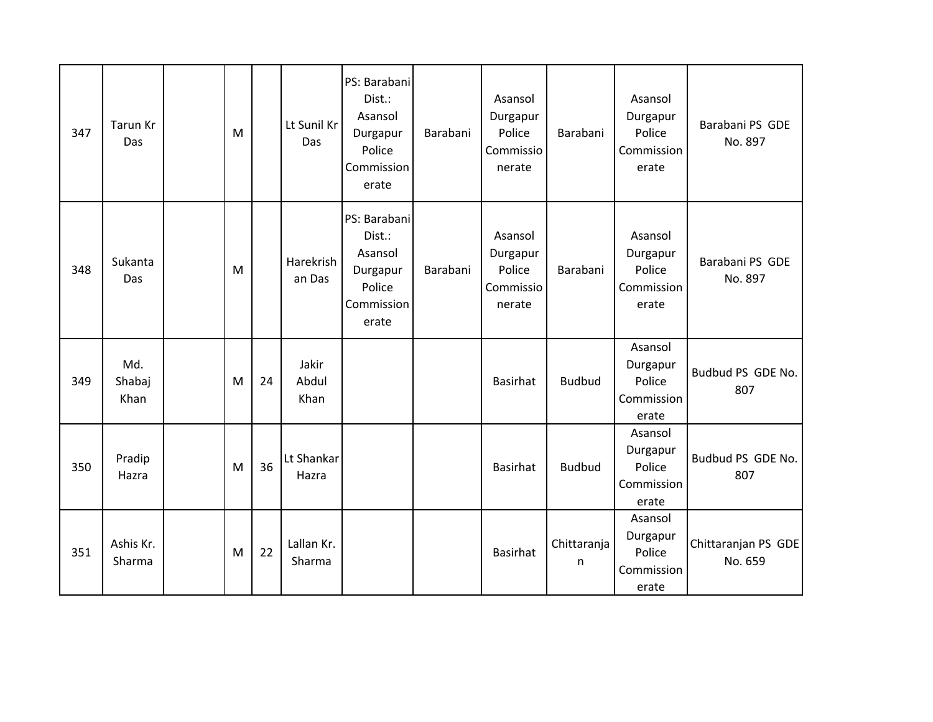| 347 | Tarun Kr<br>Das       | M |    | Lt Sunil Kr<br>Das     | PS: Barabani<br>Dist.:<br>Asansol<br>Durgapur<br>Police<br>Commission<br>erate | Barabani | Asansol<br>Durgapur<br>Police<br>Commissio<br>nerate | Barabani         | Asansol<br>Durgapur<br>Police<br>Commission<br>erate | Barabani PS GDE<br>No. 897     |
|-----|-----------------------|---|----|------------------------|--------------------------------------------------------------------------------|----------|------------------------------------------------------|------------------|------------------------------------------------------|--------------------------------|
| 348 | Sukanta<br>Das        | M |    | Harekrish<br>an Das    | PS: Barabani<br>Dist.:<br>Asansol<br>Durgapur<br>Police<br>Commission<br>erate | Barabani | Asansol<br>Durgapur<br>Police<br>Commissio<br>nerate | Barabani         | Asansol<br>Durgapur<br>Police<br>Commission<br>erate | Barabani PS GDE<br>No. 897     |
| 349 | Md.<br>Shabaj<br>Khan | M | 24 | Jakir<br>Abdul<br>Khan |                                                                                |          | Basirhat                                             | <b>Budbud</b>    | Asansol<br>Durgapur<br>Police<br>Commission<br>erate | Budbud PS GDE No.<br>807       |
| 350 | Pradip<br>Hazra       | M | 36 | Lt Shankar<br>Hazra    |                                                                                |          | <b>Basirhat</b>                                      | <b>Budbud</b>    | Asansol<br>Durgapur<br>Police<br>Commission<br>erate | Budbud PS GDE No.<br>807       |
| 351 | Ashis Kr.<br>Sharma   | M | 22 | Lallan Kr.<br>Sharma   |                                                                                |          | <b>Basirhat</b>                                      | Chittaranja<br>n | Asansol<br>Durgapur<br>Police<br>Commission<br>erate | Chittaranjan PS GDE<br>No. 659 |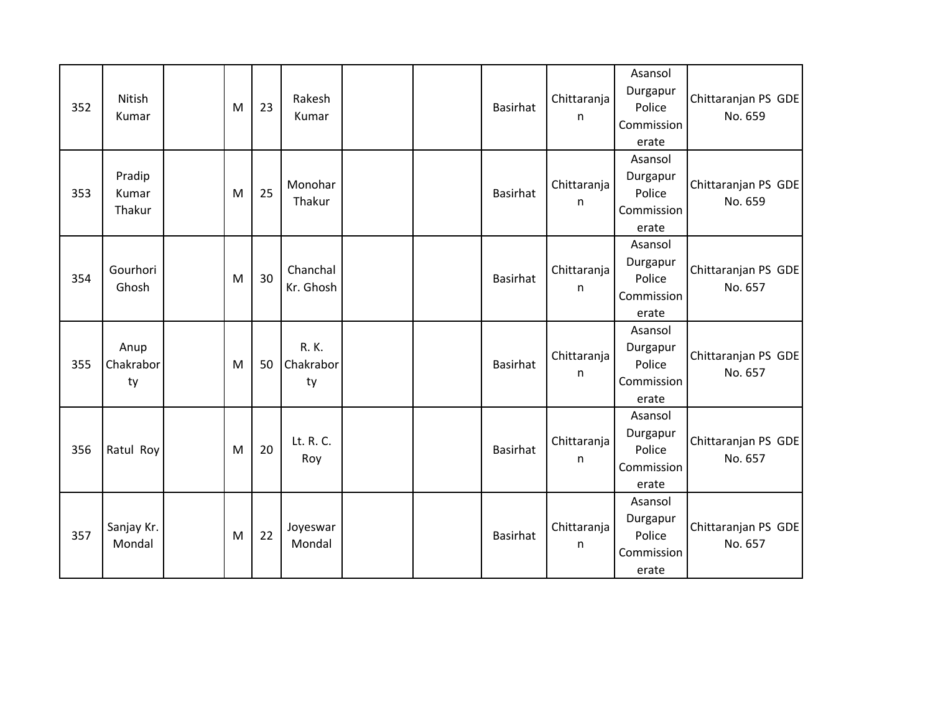| 352 | Nitish<br>Kumar           | M | 23 | Rakesh<br>Kumar          |  | <b>Basirhat</b> | Chittaranja<br>n | Asansol<br>Durgapur<br>Police<br>Commission<br>erate | Chittaranjan PS GDE<br>No. 659 |
|-----|---------------------------|---|----|--------------------------|--|-----------------|------------------|------------------------------------------------------|--------------------------------|
| 353 | Pradip<br>Kumar<br>Thakur | M | 25 | Monohar<br>Thakur        |  | <b>Basirhat</b> | Chittaranja<br>n | Asansol<br>Durgapur<br>Police<br>Commission<br>erate | Chittaranjan PS GDE<br>No. 659 |
| 354 | Gourhori<br>Ghosh         | M | 30 | Chanchal<br>Kr. Ghosh    |  | <b>Basirhat</b> | Chittaranja<br>n | Asansol<br>Durgapur<br>Police<br>Commission<br>erate | Chittaranjan PS GDE<br>No. 657 |
| 355 | Anup<br>Chakrabor<br>ty   | M | 50 | R. K.<br>Chakrabor<br>ty |  | <b>Basirhat</b> | Chittaranja<br>n | Asansol<br>Durgapur<br>Police<br>Commission<br>erate | Chittaranjan PS GDE<br>No. 657 |
| 356 | Ratul Roy                 | M | 20 | Lt. R. C.<br>Roy         |  | <b>Basirhat</b> | Chittaranja<br>n | Asansol<br>Durgapur<br>Police<br>Commission<br>erate | Chittaranjan PS GDE<br>No. 657 |
| 357 | Sanjay Kr.<br>Mondal      | M | 22 | Joyeswar<br>Mondal       |  | <b>Basirhat</b> | Chittaranja<br>n | Asansol<br>Durgapur<br>Police<br>Commission<br>erate | Chittaranjan PS GDE<br>No. 657 |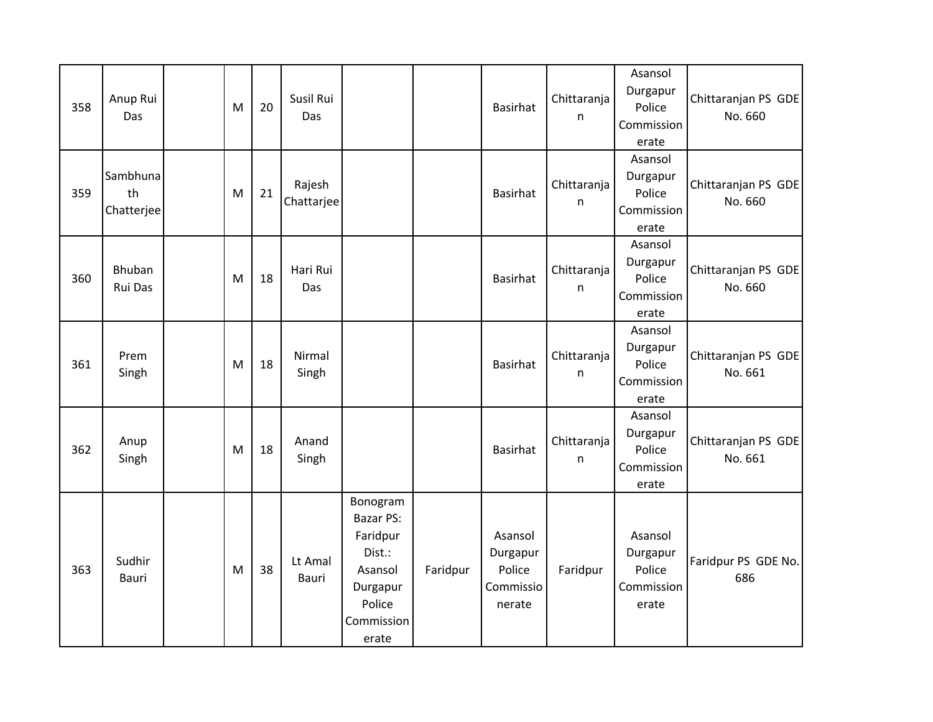| 358 | Anup Rui<br>Das              | M | 20 | Susil Rui<br>Das     |                                                                                                            |          | Basirhat                                             | Chittaranja<br>n | Asansol<br>Durgapur<br>Police<br>Commission<br>erate | Chittaranjan PS GDE<br>No. 660 |
|-----|------------------------------|---|----|----------------------|------------------------------------------------------------------------------------------------------------|----------|------------------------------------------------------|------------------|------------------------------------------------------|--------------------------------|
| 359 | Sambhuna<br>th<br>Chatterjee | M | 21 | Rajesh<br>Chattarjee |                                                                                                            |          | <b>Basirhat</b>                                      | Chittaranja<br>n | Asansol<br>Durgapur<br>Police<br>Commission<br>erate | Chittaranjan PS GDE<br>No. 660 |
| 360 | Bhuban<br>Rui Das            | M | 18 | Hari Rui<br>Das      |                                                                                                            |          | Basirhat                                             | Chittaranja<br>n | Asansol<br>Durgapur<br>Police<br>Commission<br>erate | Chittaranjan PS GDE<br>No. 660 |
| 361 | Prem<br>Singh                | M | 18 | Nirmal<br>Singh      |                                                                                                            |          | <b>Basirhat</b>                                      | Chittaranja<br>n | Asansol<br>Durgapur<br>Police<br>Commission<br>erate | Chittaranjan PS GDE<br>No. 661 |
| 362 | Anup<br>Singh                | M | 18 | Anand<br>Singh       |                                                                                                            |          | Basirhat                                             | Chittaranja<br>n | Asansol<br>Durgapur<br>Police<br>Commission<br>erate | Chittaranjan PS GDE<br>No. 661 |
| 363 | Sudhir<br>Bauri              | M | 38 | Lt Amal<br>Bauri     | Bonogram<br><b>Bazar PS:</b><br>Faridpur<br>Dist.:<br>Asansol<br>Durgapur<br>Police<br>Commission<br>erate | Faridpur | Asansol<br>Durgapur<br>Police<br>Commissio<br>nerate | Faridpur         | Asansol<br>Durgapur<br>Police<br>Commission<br>erate | Faridpur PS GDE No.<br>686     |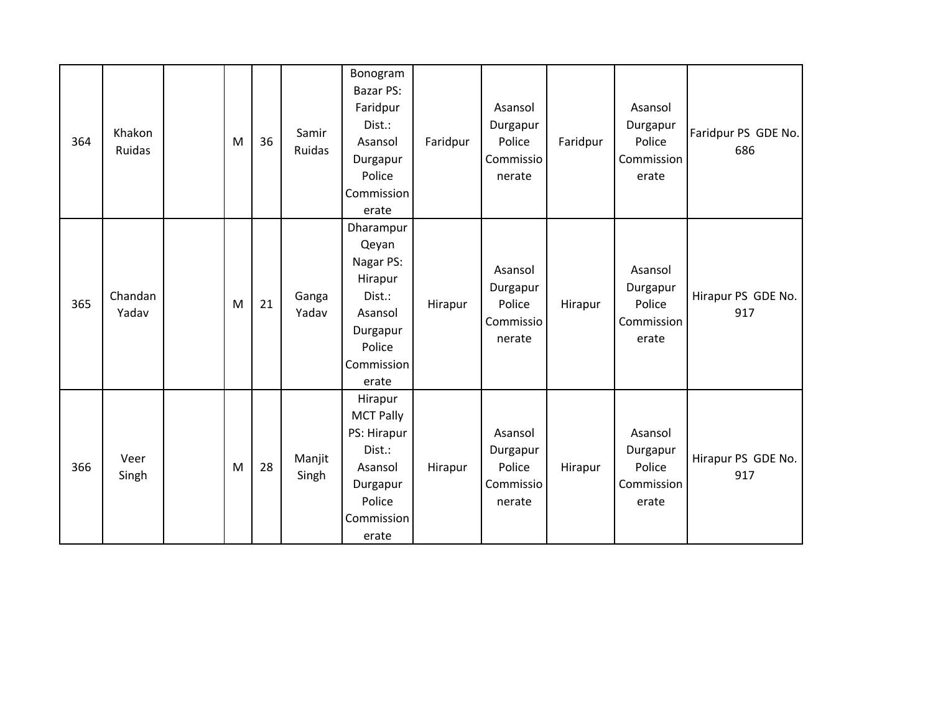| 364 | Khakon<br>Ruidas | M | 36 | Samir<br>Ruidas | Bonogram<br>Bazar PS:<br>Faridpur<br>Dist.:<br>Asansol<br>Durgapur<br>Police<br>Commission<br>erate          | Faridpur | Asansol<br>Durgapur<br>Police<br>Commissio<br>nerate | Faridpur | Asansol<br>Durgapur<br>Police<br>Commission<br>erate | Faridpur PS GDE No.<br>686 |
|-----|------------------|---|----|-----------------|--------------------------------------------------------------------------------------------------------------|----------|------------------------------------------------------|----------|------------------------------------------------------|----------------------------|
| 365 | Chandan<br>Yadav | M | 21 | Ganga<br>Yadav  | Dharampur<br>Qeyan<br>Nagar PS:<br>Hirapur<br>Dist.:<br>Asansol<br>Durgapur<br>Police<br>Commission<br>erate | Hirapur  | Asansol<br>Durgapur<br>Police<br>Commissio<br>nerate | Hirapur  | Asansol<br>Durgapur<br>Police<br>Commission<br>erate | Hirapur PS GDE No.<br>917  |
| 366 | Veer<br>Singh    | M | 28 | Manjit<br>Singh | Hirapur<br><b>MCT Pally</b><br>PS: Hirapur<br>Dist.:<br>Asansol<br>Durgapur<br>Police<br>Commission<br>erate | Hirapur  | Asansol<br>Durgapur<br>Police<br>Commissio<br>nerate | Hirapur  | Asansol<br>Durgapur<br>Police<br>Commission<br>erate | Hirapur PS GDE No.<br>917  |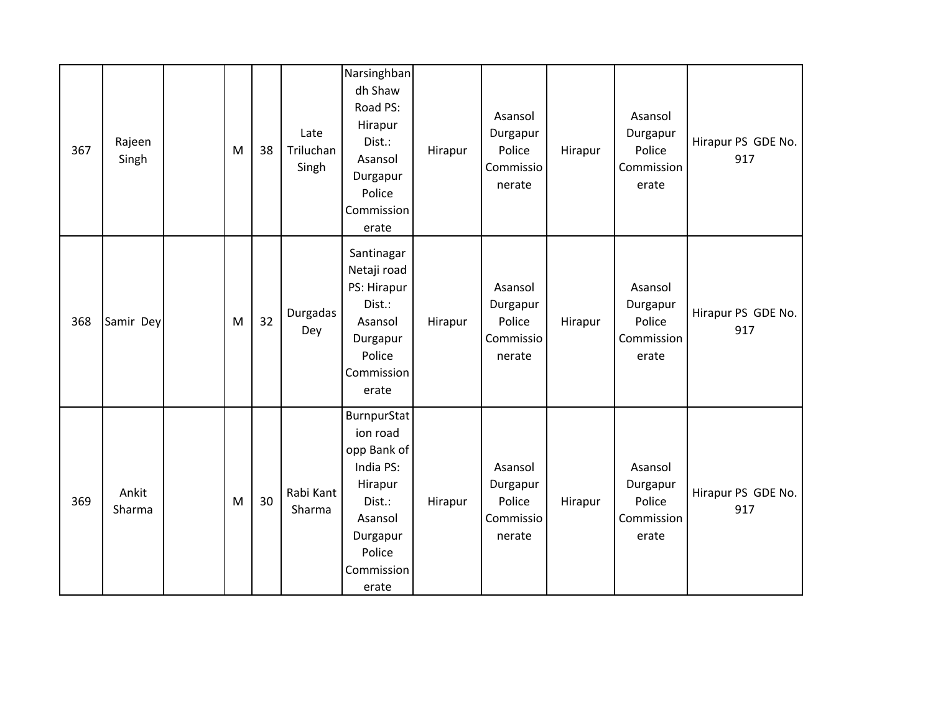| 367 | Rajeen<br>Singh | M | 38 | Late<br>Triluchan<br>Singh | Narsinghban<br>dh Shaw<br>Road PS:<br>Hirapur<br>Dist.:<br>Asansol<br>Durgapur<br>Police<br>Commission<br>erate                  | Hirapur | Asansol<br>Durgapur<br>Police<br>Commissio<br>nerate | Hirapur | Asansol<br>Durgapur<br>Police<br>Commission<br>erate | Hirapur PS GDE No.<br>917 |
|-----|-----------------|---|----|----------------------------|----------------------------------------------------------------------------------------------------------------------------------|---------|------------------------------------------------------|---------|------------------------------------------------------|---------------------------|
| 368 | Samir Dey       | M | 32 | Durgadas<br>Dey            | Santinagar<br>Netaji road<br>PS: Hirapur<br>Dist.:<br>Asansol<br>Durgapur<br>Police<br>Commission<br>erate                       | Hirapur | Asansol<br>Durgapur<br>Police<br>Commissio<br>nerate | Hirapur | Asansol<br>Durgapur<br>Police<br>Commission<br>erate | Hirapur PS GDE No.<br>917 |
| 369 | Ankit<br>Sharma | M | 30 | Rabi Kant<br>Sharma        | BurnpurStat<br>ion road<br>opp Bank of<br>India PS:<br>Hirapur<br>Dist.:<br>Asansol<br>Durgapur<br>Police<br>Commission<br>erate | Hirapur | Asansol<br>Durgapur<br>Police<br>Commissio<br>nerate | Hirapur | Asansol<br>Durgapur<br>Police<br>Commission<br>erate | Hirapur PS GDE No.<br>917 |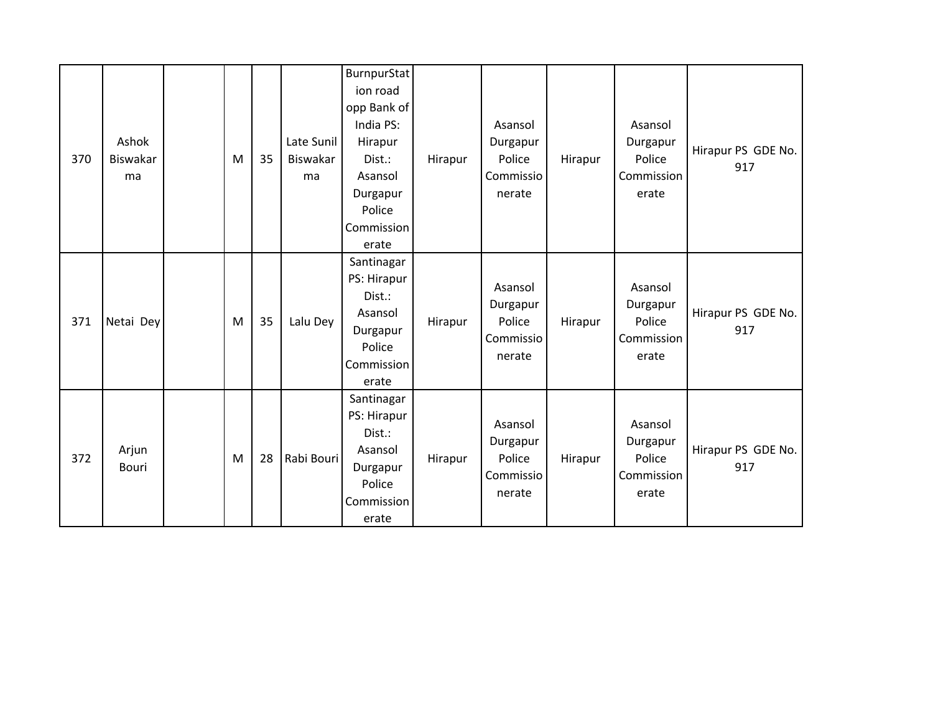| 370 | Ashok<br><b>Biswakar</b><br>ma | M | 35 | Late Sunil<br>Biswakar<br>ma | <b>BurnpurStat</b><br>ion road<br>opp Bank of<br>India PS:<br>Hirapur<br>Dist.:<br>Asansol<br>Durgapur<br>Police<br>Commission<br>erate | Hirapur | Asansol<br>Durgapur<br>Police<br>Commissio<br>nerate | Hirapur | Asansol<br>Durgapur<br>Police<br>Commission<br>erate | Hirapur PS GDE No.<br>917 |
|-----|--------------------------------|---|----|------------------------------|-----------------------------------------------------------------------------------------------------------------------------------------|---------|------------------------------------------------------|---------|------------------------------------------------------|---------------------------|
| 371 | Netai Dey                      | M | 35 | Lalu Dey                     | Santinagar<br>PS: Hirapur<br>Dist.:<br>Asansol<br>Durgapur<br>Police<br>Commission<br>erate                                             | Hirapur | Asansol<br>Durgapur<br>Police<br>Commissio<br>nerate | Hirapur | Asansol<br>Durgapur<br>Police<br>Commission<br>erate | Hirapur PS GDE No.<br>917 |
| 372 | Arjun<br><b>Bouri</b>          | M | 28 | Rabi Bouri                   | Santinagar<br>PS: Hirapur<br>Dist.:<br>Asansol<br>Durgapur<br>Police<br>Commission<br>erate                                             | Hirapur | Asansol<br>Durgapur<br>Police<br>Commissio<br>nerate | Hirapur | Asansol<br>Durgapur<br>Police<br>Commission<br>erate | Hirapur PS GDE No.<br>917 |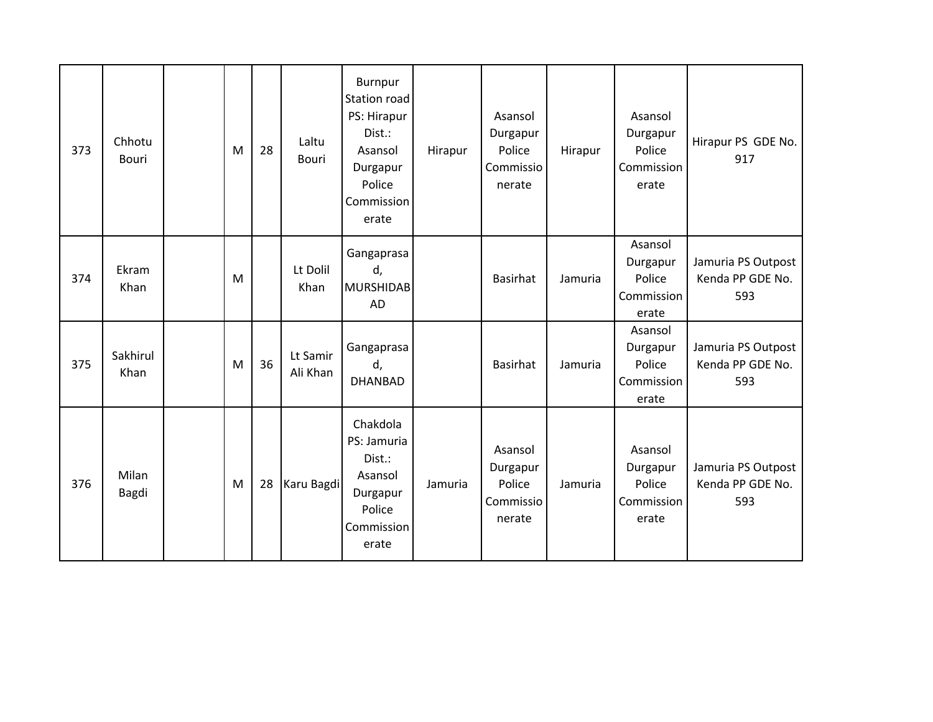| 373 | Chhotu<br><b>Bouri</b> | M | 28 | Laltu<br><b>Bouri</b> | Burnpur<br>Station road<br>PS: Hirapur<br>Dist.:<br>Asansol<br>Durgapur<br>Police<br>Commission<br>erate | Hirapur | Asansol<br>Durgapur<br>Police<br>Commissio<br>nerate | Hirapur | Asansol<br>Durgapur<br>Police<br>Commission<br>erate | Hirapur PS GDE No.<br>917                     |
|-----|------------------------|---|----|-----------------------|----------------------------------------------------------------------------------------------------------|---------|------------------------------------------------------|---------|------------------------------------------------------|-----------------------------------------------|
| 374 | Ekram<br>Khan          | M |    | Lt Dolil<br>Khan      | Gangaprasa<br>d,<br><b>MURSHIDAB</b><br>AD                                                               |         | <b>Basirhat</b>                                      | Jamuria | Asansol<br>Durgapur<br>Police<br>Commission<br>erate | Jamuria PS Outpost<br>Kenda PP GDE No.<br>593 |
| 375 | Sakhirul<br>Khan       | M | 36 | Lt Samir<br>Ali Khan  | Gangaprasa<br>d,<br><b>DHANBAD</b>                                                                       |         | <b>Basirhat</b>                                      | Jamuria | Asansol<br>Durgapur<br>Police<br>Commission<br>erate | Jamuria PS Outpost<br>Kenda PP GDE No.<br>593 |
| 376 | Milan<br>Bagdi         | M | 28 | Karu Bagdi            | Chakdola<br>PS: Jamuria<br>Dist.:<br>Asansol<br>Durgapur<br>Police<br>Commission<br>erate                | Jamuria | Asansol<br>Durgapur<br>Police<br>Commissio<br>nerate | Jamuria | Asansol<br>Durgapur<br>Police<br>Commission<br>erate | Jamuria PS Outpost<br>Kenda PP GDE No.<br>593 |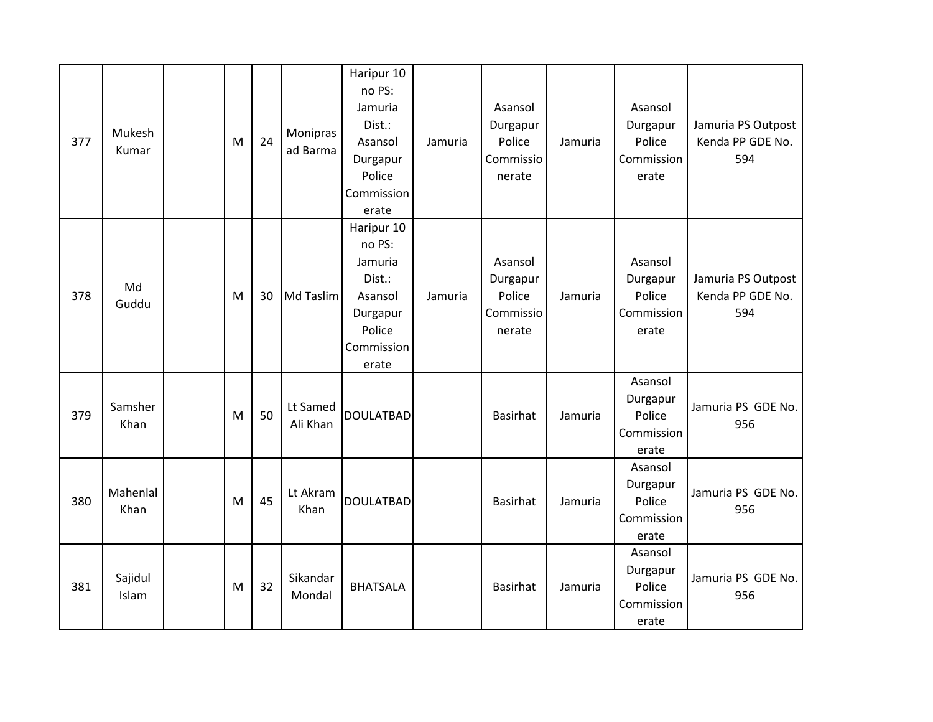| 377 | Mukesh<br>Kumar  | M | 24 | Monipras<br>ad Barma | Haripur 10<br>no PS:<br>Jamuria<br>Dist.:<br>Asansol<br>Durgapur<br>Police<br>Commission<br>erate | Jamuria | Asansol<br>Durgapur<br>Police<br>Commissio<br>nerate | Jamuria | Asansol<br>Durgapur<br>Police<br>Commission<br>erate | Jamuria PS Outpost<br>Kenda PP GDE No.<br>594 |
|-----|------------------|---|----|----------------------|---------------------------------------------------------------------------------------------------|---------|------------------------------------------------------|---------|------------------------------------------------------|-----------------------------------------------|
| 378 | Md<br>Guddu      | M | 30 | Md Taslim            | Haripur 10<br>no PS:<br>Jamuria<br>Dist.:<br>Asansol<br>Durgapur<br>Police<br>Commission<br>erate | Jamuria | Asansol<br>Durgapur<br>Police<br>Commissio<br>nerate | Jamuria | Asansol<br>Durgapur<br>Police<br>Commission<br>erate | Jamuria PS Outpost<br>Kenda PP GDE No.<br>594 |
| 379 | Samsher<br>Khan  | M | 50 | Lt Samed<br>Ali Khan | <b>DOULATBAD</b>                                                                                  |         | <b>Basirhat</b>                                      | Jamuria | Asansol<br>Durgapur<br>Police<br>Commission<br>erate | Jamuria PS GDE No.<br>956                     |
| 380 | Mahenlal<br>Khan | M | 45 | Lt Akram<br>Khan     | <b>DOULATBAD</b>                                                                                  |         | <b>Basirhat</b>                                      | Jamuria | Asansol<br>Durgapur<br>Police<br>Commission<br>erate | Jamuria PS GDE No.<br>956                     |
| 381 | Sajidul<br>Islam | M | 32 | Sikandar<br>Mondal   | <b>BHATSALA</b>                                                                                   |         | <b>Basirhat</b>                                      | Jamuria | Asansol<br>Durgapur<br>Police<br>Commission<br>erate | Jamuria PS GDE No.<br>956                     |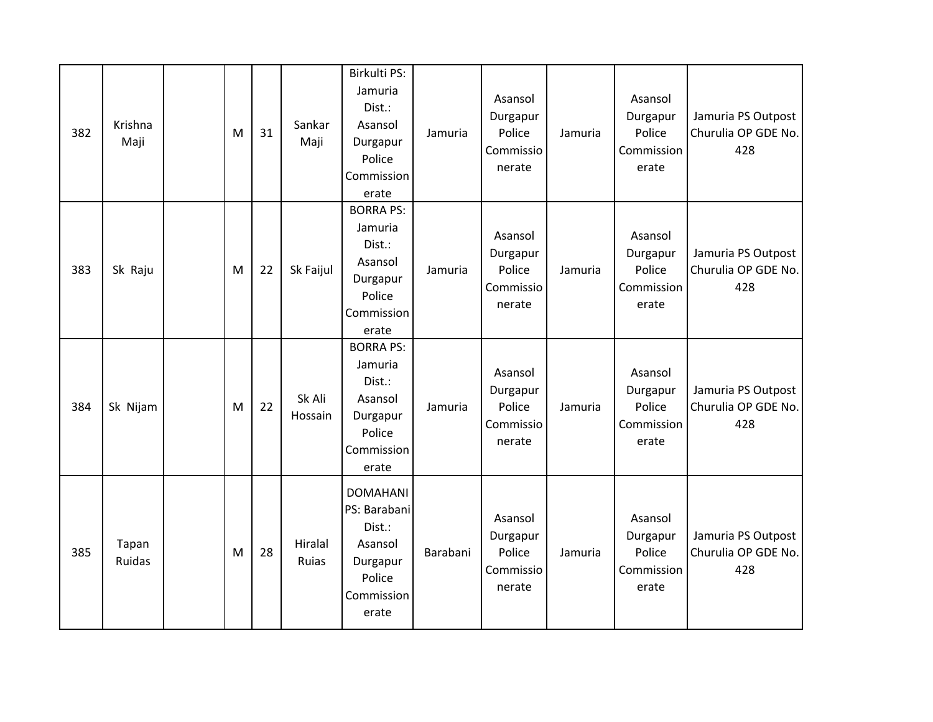| 382 | Krishna<br>Maji | M | 31 | Sankar<br>Maji    | Birkulti PS:<br>Jamuria<br>Dist.:<br>Asansol<br>Durgapur<br>Police<br>Commission<br>erate         | Jamuria  | Asansol<br>Durgapur<br>Police<br>Commissio<br>nerate | Jamuria | Asansol<br>Durgapur<br>Police<br>Commission<br>erate | Jamuria PS Outpost<br>Churulia OP GDE No.<br>428 |
|-----|-----------------|---|----|-------------------|---------------------------------------------------------------------------------------------------|----------|------------------------------------------------------|---------|------------------------------------------------------|--------------------------------------------------|
| 383 | Sk Raju         | M | 22 | Sk Faijul         | <b>BORRA PS:</b><br>Jamuria<br>Dist.:<br>Asansol<br>Durgapur<br>Police<br>Commission<br>erate     | Jamuria  | Asansol<br>Durgapur<br>Police<br>Commissio<br>nerate | Jamuria | Asansol<br>Durgapur<br>Police<br>Commission<br>erate | Jamuria PS Outpost<br>Churulia OP GDE No.<br>428 |
| 384 | Sk Nijam        | M | 22 | Sk Ali<br>Hossain | <b>BORRA PS:</b><br>Jamuria<br>Dist.:<br>Asansol<br>Durgapur<br>Police<br>Commission<br>erate     | Jamuria  | Asansol<br>Durgapur<br>Police<br>Commissio<br>nerate | Jamuria | Asansol<br>Durgapur<br>Police<br>Commission<br>erate | Jamuria PS Outpost<br>Churulia OP GDE No.<br>428 |
| 385 | Tapan<br>Ruidas | M | 28 | Hiralal<br>Ruias  | <b>DOMAHANI</b><br>PS: Barabani<br>Dist.:<br>Asansol<br>Durgapur<br>Police<br>Commission<br>erate | Barabani | Asansol<br>Durgapur<br>Police<br>Commissio<br>nerate | Jamuria | Asansol<br>Durgapur<br>Police<br>Commission<br>erate | Jamuria PS Outpost<br>Churulia OP GDE No.<br>428 |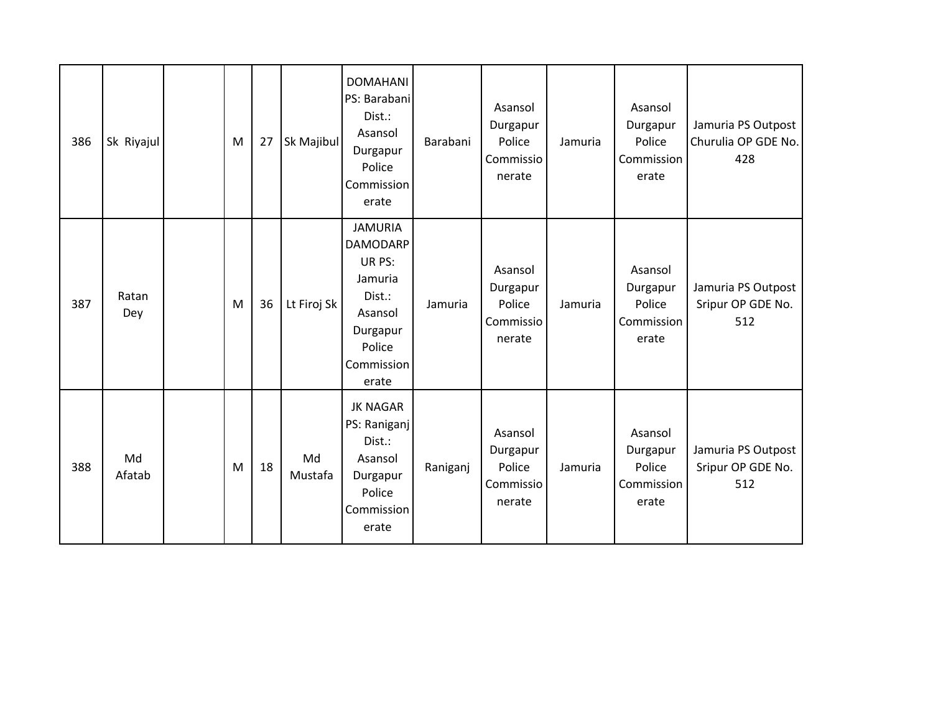| 386 | Sk Riyajul   | M | 27 | Sk Majibul    | <b>DOMAHANI</b><br>PS: Barabani<br>Dist.:<br>Asansol<br>Durgapur<br>Police<br>Commission<br>erate                        | Barabani | Asansol<br>Durgapur<br>Police<br>Commissio<br>nerate | Jamuria | Asansol<br>Durgapur<br>Police<br>Commission<br>erate | Jamuria PS Outpost<br>Churulia OP GDE No.<br>428 |
|-----|--------------|---|----|---------------|--------------------------------------------------------------------------------------------------------------------------|----------|------------------------------------------------------|---------|------------------------------------------------------|--------------------------------------------------|
| 387 | Ratan<br>Dey | M | 36 | Lt Firoj Sk   | <b>JAMURIA</b><br><b>DAMODARP</b><br>UR PS:<br>Jamuria<br>Dist.:<br>Asansol<br>Durgapur<br>Police<br>Commission<br>erate | Jamuria  | Asansol<br>Durgapur<br>Police<br>Commissio<br>nerate | Jamuria | Asansol<br>Durgapur<br>Police<br>Commission<br>erate | Jamuria PS Outpost<br>Sripur OP GDE No.<br>512   |
| 388 | Md<br>Afatab | M | 18 | Md<br>Mustafa | <b>JK NAGAR</b><br>PS: Raniganj<br>Dist.:<br>Asansol<br>Durgapur<br>Police<br>Commission<br>erate                        | Raniganj | Asansol<br>Durgapur<br>Police<br>Commissio<br>nerate | Jamuria | Asansol<br>Durgapur<br>Police<br>Commission<br>erate | Jamuria PS Outpost<br>Sripur OP GDE No.<br>512   |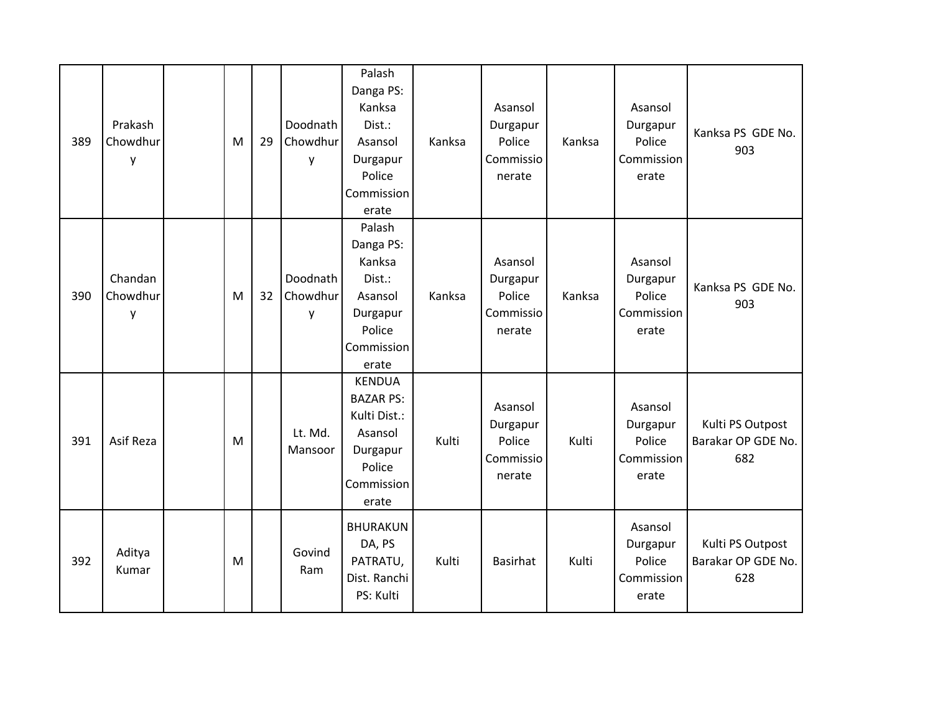| 389 | Prakash<br>Chowdhur<br>y | M | 29 | Doodnath<br>Chowdhur<br>y | Palash<br>Danga PS:<br>Kanksa<br>Dist.:<br>Asansol<br>Durgapur<br>Police<br>Commission<br>erate           | Kanksa | Asansol<br>Durgapur<br>Police<br>Commissio<br>nerate | Kanksa | Asansol<br>Durgapur<br>Police<br>Commission<br>erate | Kanksa PS GDE No.<br>903                      |
|-----|--------------------------|---|----|---------------------------|-----------------------------------------------------------------------------------------------------------|--------|------------------------------------------------------|--------|------------------------------------------------------|-----------------------------------------------|
| 390 | Chandan<br>Chowdhur<br>y | M | 32 | Doodnath<br>Chowdhur<br>y | Palash<br>Danga PS:<br>Kanksa<br>Dist.:<br>Asansol<br>Durgapur<br>Police<br>Commission<br>erate           | Kanksa | Asansol<br>Durgapur<br>Police<br>Commissio<br>nerate | Kanksa | Asansol<br>Durgapur<br>Police<br>Commission<br>erate | Kanksa PS GDE No.<br>903                      |
| 391 | Asif Reza                | M |    | Lt. Md.<br>Mansoor        | <b>KENDUA</b><br><b>BAZAR PS:</b><br>Kulti Dist.:<br>Asansol<br>Durgapur<br>Police<br>Commission<br>erate | Kulti  | Asansol<br>Durgapur<br>Police<br>Commissio<br>nerate | Kulti  | Asansol<br>Durgapur<br>Police<br>Commission<br>erate | Kulti PS Outpost<br>Barakar OP GDE No.<br>682 |
| 392 | Aditya<br>Kumar          | M |    | Govind<br>Ram             | <b>BHURAKUN</b><br>DA, PS<br>PATRATU,<br>Dist. Ranchi<br>PS: Kulti                                        | Kulti  | <b>Basirhat</b>                                      | Kulti  | Asansol<br>Durgapur<br>Police<br>Commission<br>erate | Kulti PS Outpost<br>Barakar OP GDE No.<br>628 |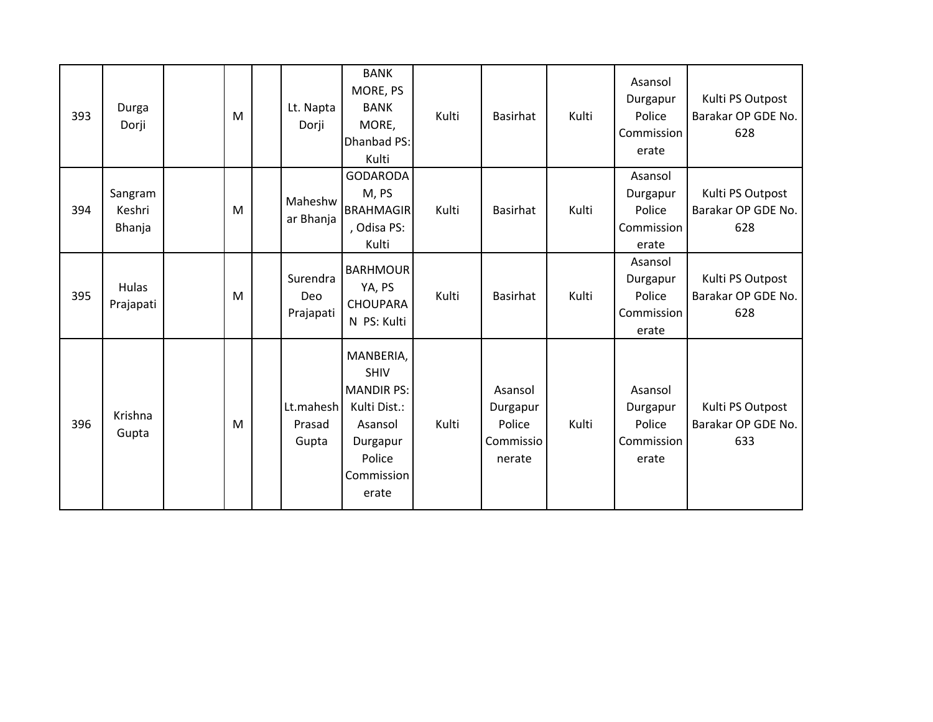| 393 | Durga<br>Dorji              | M | Lt. Napta<br>Dorji           | <b>BANK</b><br>MORE, PS<br><b>BANK</b><br>MORE,<br>Dhanbad PS:<br>Kulti                                               | Kulti | <b>Basirhat</b>                                      | Kulti | Asansol<br>Durgapur<br>Police<br>Commission<br>erate | Kulti PS Outpost<br>Barakar OP GDE No.<br>628 |
|-----|-----------------------------|---|------------------------------|-----------------------------------------------------------------------------------------------------------------------|-------|------------------------------------------------------|-------|------------------------------------------------------|-----------------------------------------------|
| 394 | Sangram<br>Keshri<br>Bhanja | M | Maheshw<br>ar Bhanja         | <b>GODARODA</b><br>M, PS<br><b>BRAHMAGIR</b><br>, Odisa PS:<br>Kulti                                                  | Kulti | Basirhat                                             | Kulti | Asansol<br>Durgapur<br>Police<br>Commission<br>erate | Kulti PS Outpost<br>Barakar OP GDE No.<br>628 |
| 395 | Hulas<br>Prajapati          | M | Surendra<br>Deo<br>Prajapati | <b>BARHMOUR</b><br>YA, PS<br><b>CHOUPARA</b><br>N PS: Kulti                                                           | Kulti | <b>Basirhat</b>                                      | Kulti | Asansol<br>Durgapur<br>Police<br>Commission<br>erate | Kulti PS Outpost<br>Barakar OP GDE No.<br>628 |
| 396 | Krishna<br>Gupta            | M | Lt.mahesh<br>Prasad<br>Gupta | MANBERIA,<br><b>SHIV</b><br><b>MANDIR PS:</b><br>Kulti Dist.:<br>Asansol<br>Durgapur<br>Police<br>Commission<br>erate | Kulti | Asansol<br>Durgapur<br>Police<br>Commissio<br>nerate | Kulti | Asansol<br>Durgapur<br>Police<br>Commission<br>erate | Kulti PS Outpost<br>Barakar OP GDE No.<br>633 |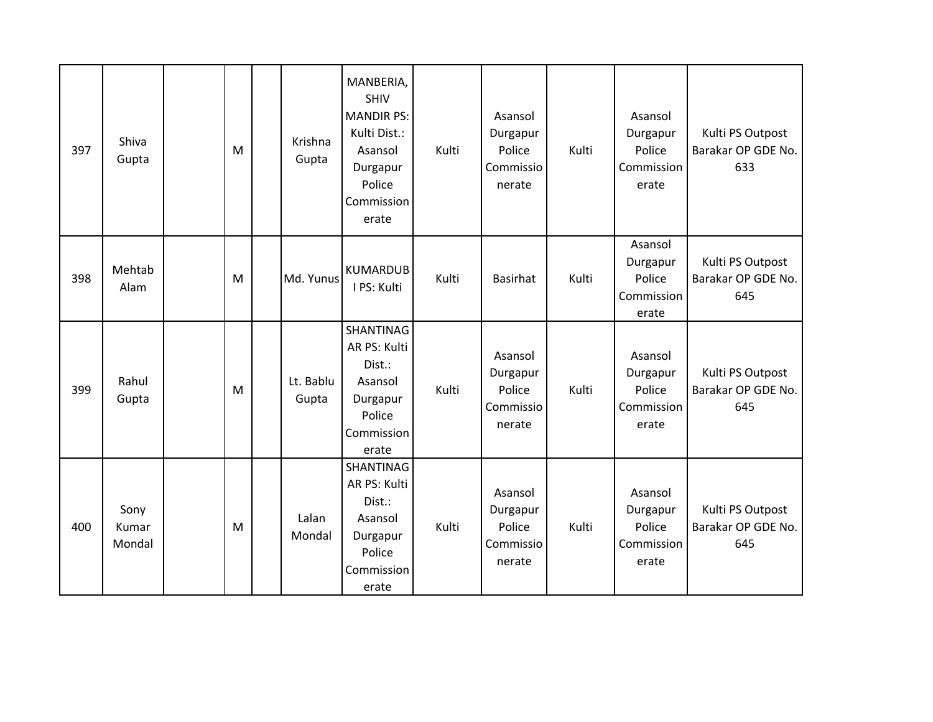| 397 | Shiva<br>Gupta          | M | Krishna<br>Gupta   | MANBERIA,<br><b>SHIV</b><br><b>MANDIR PS:</b><br>Kulti Dist.:<br>Asansol<br>Durgapur<br>Police<br>Commission<br>erate | Kulti | Asansol<br>Durgapur<br>Police<br>Commissio<br>nerate | Kulti | Asansol<br>Durgapur<br>Police<br>Commission<br>erate | Kulti PS Outpost<br>Barakar OP GDE No.<br>633 |
|-----|-------------------------|---|--------------------|-----------------------------------------------------------------------------------------------------------------------|-------|------------------------------------------------------|-------|------------------------------------------------------|-----------------------------------------------|
| 398 | Mehtab<br>Alam          | M | Md. Yunus          | <b>KUMARDUB</b><br>I PS: Kulti                                                                                        | Kulti | Basirhat                                             | Kulti | Asansol<br>Durgapur<br>Police<br>Commission<br>erate | Kulti PS Outpost<br>Barakar OP GDE No.<br>645 |
| 399 | Rahul<br>Gupta          | M | Lt. Bablu<br>Gupta | SHANTINAG<br>AR PS: Kulti<br>Dist.:<br>Asansol<br>Durgapur<br>Police<br>Commission<br>erate                           | Kulti | Asansol<br>Durgapur<br>Police<br>Commissio<br>nerate | Kulti | Asansol<br>Durgapur<br>Police<br>Commission<br>erate | Kulti PS Outpost<br>Barakar OP GDE No.<br>645 |
| 400 | Sony<br>Kumar<br>Mondal | M | Lalan<br>Mondal    | SHANTINAG<br>AR PS: Kulti<br>Dist.:<br>Asansol<br>Durgapur<br>Police<br>Commission<br>erate                           | Kulti | Asansol<br>Durgapur<br>Police<br>Commissio<br>nerate | Kulti | Asansol<br>Durgapur<br>Police<br>Commission<br>erate | Kulti PS Outpost<br>Barakar OP GDE No.<br>645 |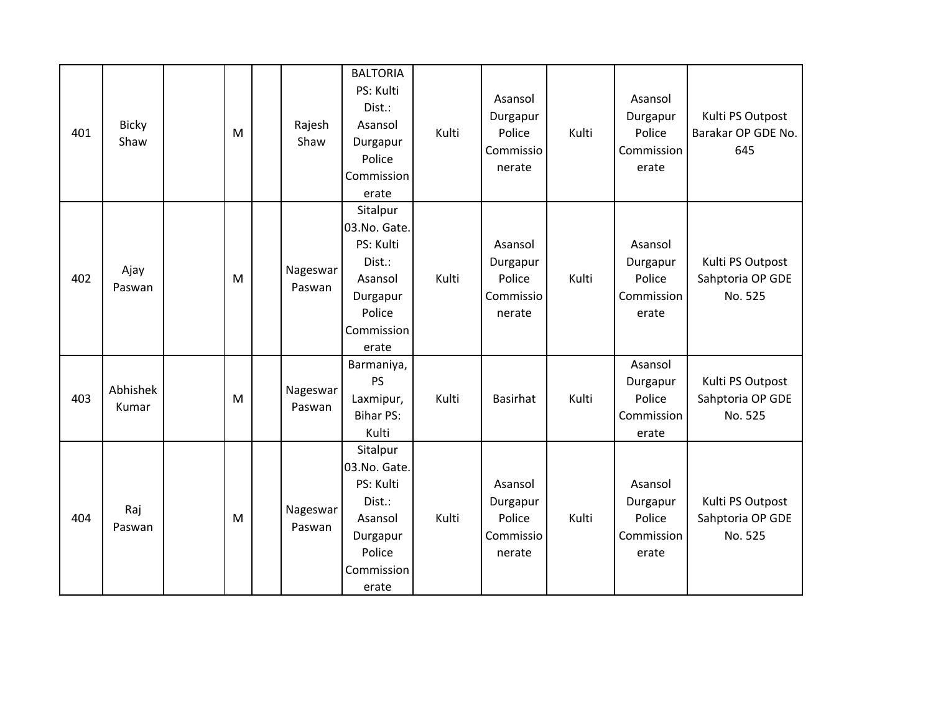| 401 | <b>Bicky</b><br>Shaw | M | Rajesh<br>Shaw     | <b>BALTORIA</b><br>PS: Kulti<br>Dist.:<br>Asansol<br>Durgapur<br>Police<br>Commission<br>erate          | Kulti | Asansol<br>Durgapur<br>Police<br>Commissio<br>nerate | Kulti | Asansol<br>Durgapur<br>Police<br>Commission<br>erate | Kulti PS Outpost<br>Barakar OP GDE No.<br>645   |
|-----|----------------------|---|--------------------|---------------------------------------------------------------------------------------------------------|-------|------------------------------------------------------|-------|------------------------------------------------------|-------------------------------------------------|
| 402 | Ajay<br>Paswan       | M | Nageswar<br>Paswan | Sitalpur<br>03.No. Gate.<br>PS: Kulti<br>Dist.:<br>Asansol<br>Durgapur<br>Police<br>Commission<br>erate | Kulti | Asansol<br>Durgapur<br>Police<br>Commissio<br>nerate | Kulti | Asansol<br>Durgapur<br>Police<br>Commission<br>erate | Kulti PS Outpost<br>Sahptoria OP GDE<br>No. 525 |
| 403 | Abhishek<br>Kumar    | M | Nageswar<br>Paswan | Barmaniya,<br><b>PS</b><br>Laxmipur,<br><b>Bihar PS:</b><br>Kulti                                       | Kulti | <b>Basirhat</b>                                      | Kulti | Asansol<br>Durgapur<br>Police<br>Commission<br>erate | Kulti PS Outpost<br>Sahptoria OP GDE<br>No. 525 |
| 404 | Raj<br>Paswan        | M | Nageswar<br>Paswan | Sitalpur<br>03.No. Gate.<br>PS: Kulti<br>Dist.:<br>Asansol<br>Durgapur<br>Police<br>Commission<br>erate | Kulti | Asansol<br>Durgapur<br>Police<br>Commissio<br>nerate | Kulti | Asansol<br>Durgapur<br>Police<br>Commission<br>erate | Kulti PS Outpost<br>Sahptoria OP GDE<br>No. 525 |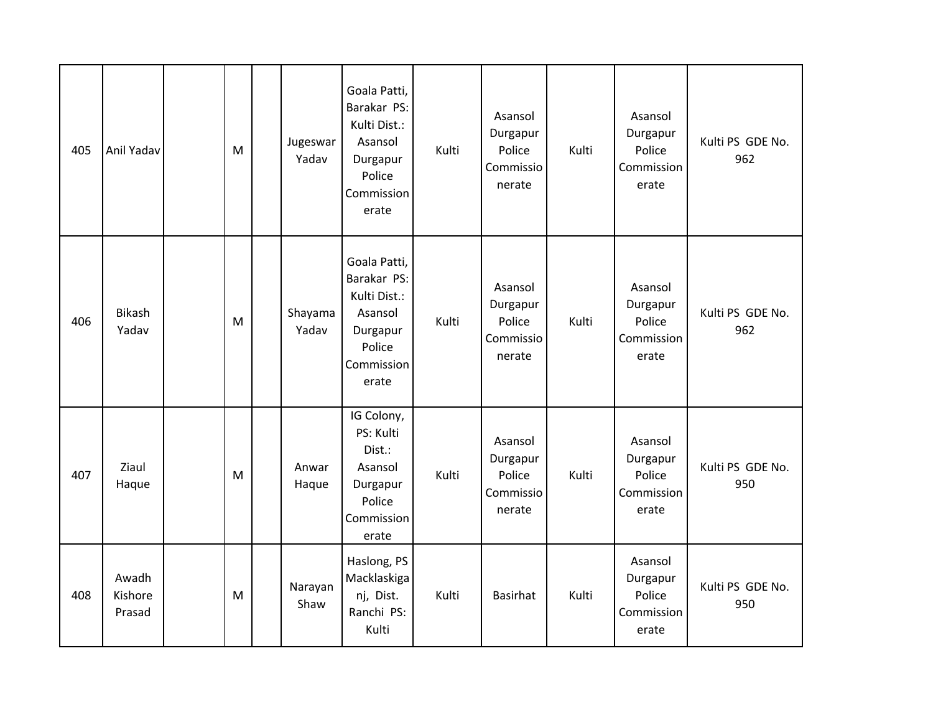| 405 | Anil Yadav                 | M | Jugeswar<br>Yadav | Goala Patti,<br>Barakar PS:<br>Kulti Dist.:<br>Asansol<br>Durgapur<br>Police<br>Commission<br>erate | Kulti | Asansol<br>Durgapur<br>Police<br>Commissio<br>nerate | Kulti | Asansol<br>Durgapur<br>Police<br>Commission<br>erate | Kulti PS GDE No.<br>962 |
|-----|----------------------------|---|-------------------|-----------------------------------------------------------------------------------------------------|-------|------------------------------------------------------|-------|------------------------------------------------------|-------------------------|
| 406 | <b>Bikash</b><br>Yadav     | M | Shayama<br>Yadav  | Goala Patti,<br>Barakar PS:<br>Kulti Dist.:<br>Asansol<br>Durgapur<br>Police<br>Commission<br>erate | Kulti | Asansol<br>Durgapur<br>Police<br>Commissio<br>nerate | Kulti | Asansol<br>Durgapur<br>Police<br>Commission<br>erate | Kulti PS GDE No.<br>962 |
| 407 | Ziaul<br>Haque             | M | Anwar<br>Haque    | IG Colony,<br>PS: Kulti<br>Dist.:<br>Asansol<br>Durgapur<br>Police<br>Commission<br>erate           | Kulti | Asansol<br>Durgapur<br>Police<br>Commissio<br>nerate | Kulti | Asansol<br>Durgapur<br>Police<br>Commission<br>erate | Kulti PS GDE No.<br>950 |
| 408 | Awadh<br>Kishore<br>Prasad | M | Narayan<br>Shaw   | Haslong, PS<br>Macklaskiga<br>nj, Dist.<br>Ranchi PS:<br>Kulti                                      | Kulti | <b>Basirhat</b>                                      | Kulti | Asansol<br>Durgapur<br>Police<br>Commission<br>erate | Kulti PS GDE No.<br>950 |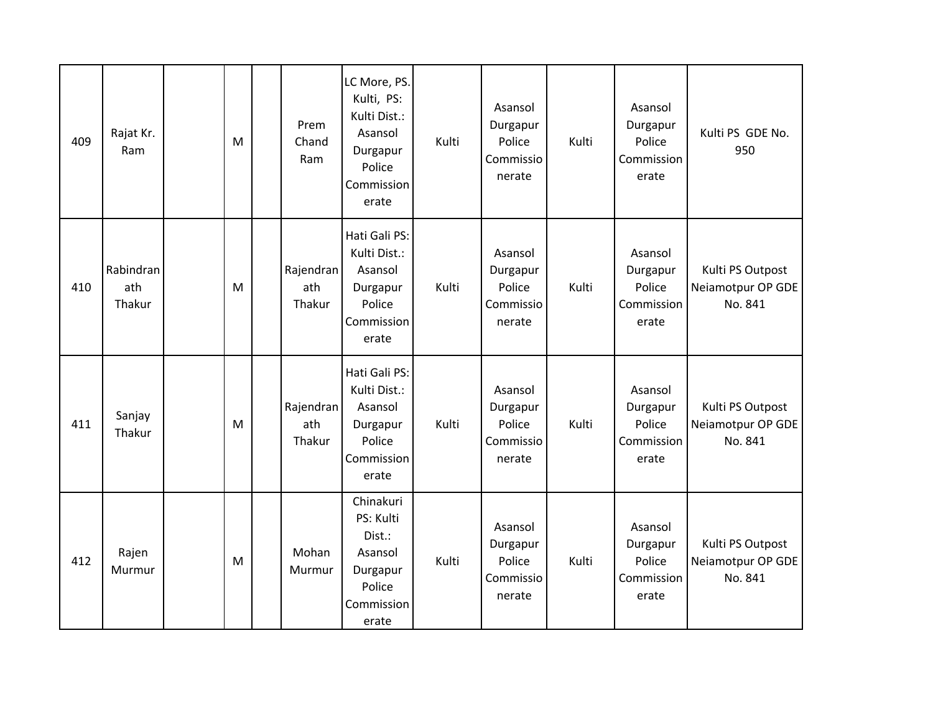| 409 | Rajat Kr.<br>Ram           | M | Prem<br>Chand<br>Ram       | LC More, PS.<br>Kulti, PS:<br>Kulti Dist.:<br>Asansol<br>Durgapur<br>Police<br>Commission<br>erate | Kulti | Asansol<br>Durgapur<br>Police<br>Commissio<br>nerate | Kulti | Asansol<br>Durgapur<br>Police<br>Commission<br>erate | Kulti PS GDE No.<br>950                          |
|-----|----------------------------|---|----------------------------|----------------------------------------------------------------------------------------------------|-------|------------------------------------------------------|-------|------------------------------------------------------|--------------------------------------------------|
| 410 | Rabindran<br>ath<br>Thakur | M | Rajendran<br>ath<br>Thakur | Hati Gali PS:<br>Kulti Dist.:<br>Asansol<br>Durgapur<br>Police<br>Commission<br>erate              | Kulti | Asansol<br>Durgapur<br>Police<br>Commissio<br>nerate | Kulti | Asansol<br>Durgapur<br>Police<br>Commission<br>erate | Kulti PS Outpost<br>Neiamotpur OP GDE<br>No. 841 |
| 411 | Sanjay<br>Thakur           | M | Rajendran<br>ath<br>Thakur | Hati Gali PS:<br>Kulti Dist.:<br>Asansol<br>Durgapur<br>Police<br>Commission<br>erate              | Kulti | Asansol<br>Durgapur<br>Police<br>Commissio<br>nerate | Kulti | Asansol<br>Durgapur<br>Police<br>Commission<br>erate | Kulti PS Outpost<br>Neiamotpur OP GDE<br>No. 841 |
| 412 | Rajen<br>Murmur            | M | Mohan<br>Murmur            | Chinakuri<br>PS: Kulti<br>Dist.:<br>Asansol<br>Durgapur<br>Police<br>Commission<br>erate           | Kulti | Asansol<br>Durgapur<br>Police<br>Commissio<br>nerate | Kulti | Asansol<br>Durgapur<br>Police<br>Commission<br>erate | Kulti PS Outpost<br>Neiamotpur OP GDE<br>No. 841 |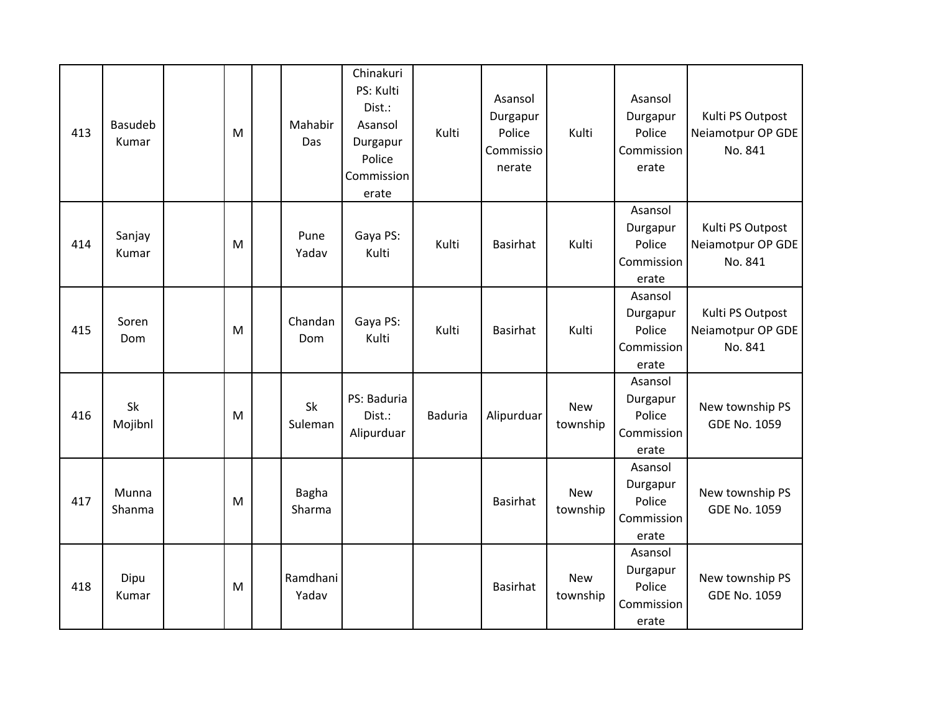| 413 | <b>Basudeb</b><br>Kumar | M | Mahabir<br>Das         | Chinakuri<br>PS: Kulti<br>Dist.:<br>Asansol<br>Durgapur<br>Police<br>Commission<br>erate | Kulti          | Asansol<br>Durgapur<br>Police<br>Commissio<br>nerate | Kulti                  | Asansol<br>Durgapur<br>Police<br>Commission<br>erate | Kulti PS Outpost<br>Neiamotpur OP GDE<br>No. 841 |
|-----|-------------------------|---|------------------------|------------------------------------------------------------------------------------------|----------------|------------------------------------------------------|------------------------|------------------------------------------------------|--------------------------------------------------|
| 414 | Sanjay<br>Kumar         | M | Pune<br>Yadav          | Gaya PS:<br>Kulti                                                                        | Kulti          | <b>Basirhat</b>                                      | Kulti                  | Asansol<br>Durgapur<br>Police<br>Commission<br>erate | Kulti PS Outpost<br>Neiamotpur OP GDE<br>No. 841 |
| 415 | Soren<br>Dom            | M | Chandan<br>Dom         | Gaya PS:<br>Kulti                                                                        | Kulti          | <b>Basirhat</b>                                      | Kulti                  | Asansol<br>Durgapur<br>Police<br>Commission<br>erate | Kulti PS Outpost<br>Neiamotpur OP GDE<br>No. 841 |
| 416 | Sk<br>Mojibnl           | M | Sk<br>Suleman          | PS: Baduria<br>Dist.:<br>Alipurduar                                                      | <b>Baduria</b> | Alipurduar                                           | <b>New</b><br>township | Asansol<br>Durgapur<br>Police<br>Commission<br>erate | New township PS<br><b>GDE No. 1059</b>           |
| 417 | Munna<br>Shanma         | M | <b>Bagha</b><br>Sharma |                                                                                          |                | <b>Basirhat</b>                                      | <b>New</b><br>township | Asansol<br>Durgapur<br>Police<br>Commission<br>erate | New township PS<br>GDE No. 1059                  |
| 418 | Dipu<br>Kumar           | M | Ramdhani<br>Yadav      |                                                                                          |                | <b>Basirhat</b>                                      | <b>New</b><br>township | Asansol<br>Durgapur<br>Police<br>Commission<br>erate | New township PS<br><b>GDE No. 1059</b>           |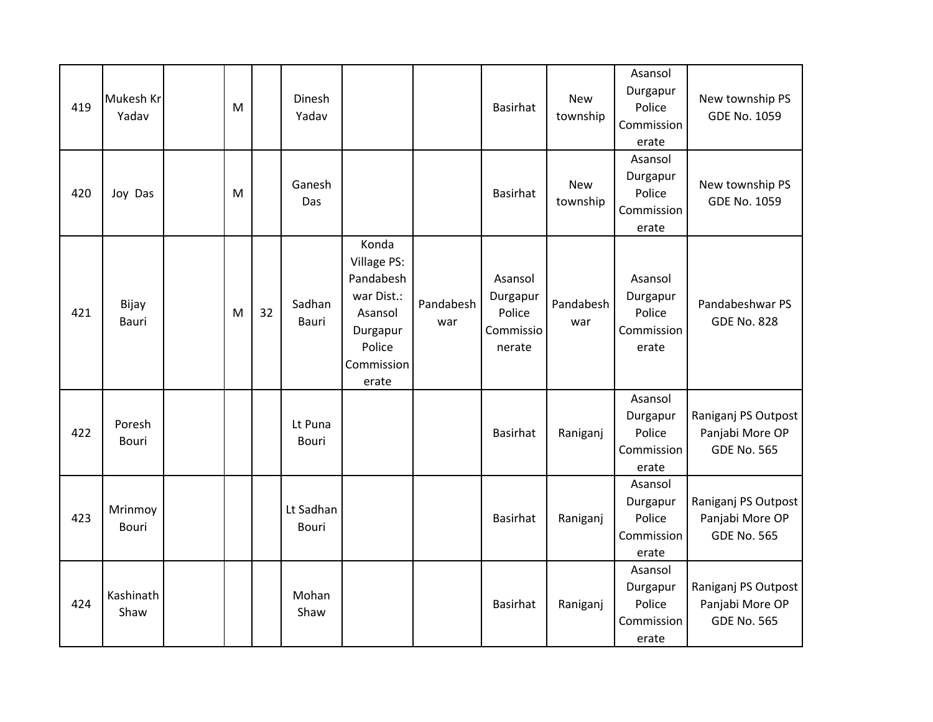| 419 | Mukesh Kr<br>Yadav      | M |    | Dinesh<br>Yadav           |                                                                                                         |                  | Basirhat                                             | <b>New</b><br>township | Asansol<br>Durgapur<br>Police<br>Commission<br>erate | New township PS<br><b>GDE No. 1059</b>                       |
|-----|-------------------------|---|----|---------------------------|---------------------------------------------------------------------------------------------------------|------------------|------------------------------------------------------|------------------------|------------------------------------------------------|--------------------------------------------------------------|
| 420 | Joy Das                 | M |    | Ganesh<br>Das             |                                                                                                         |                  | <b>Basirhat</b>                                      | <b>New</b><br>township | Asansol<br>Durgapur<br>Police<br>Commission<br>erate | New township PS<br><b>GDE No. 1059</b>                       |
| 421 | Bijay<br>Bauri          | M | 32 | Sadhan<br><b>Bauri</b>    | Konda<br>Village PS:<br>Pandabesh<br>war Dist.:<br>Asansol<br>Durgapur<br>Police<br>Commission<br>erate | Pandabesh<br>war | Asansol<br>Durgapur<br>Police<br>Commissio<br>nerate | Pandabesh<br>war       | Asansol<br>Durgapur<br>Police<br>Commission<br>erate | Pandabeshwar PS<br><b>GDE No. 828</b>                        |
| 422 | Poresh<br><b>Bouri</b>  |   |    | Lt Puna<br><b>Bouri</b>   |                                                                                                         |                  | <b>Basirhat</b>                                      | Raniganj               | Asansol<br>Durgapur<br>Police<br>Commission<br>erate | Raniganj PS Outpost<br>Panjabi More OP<br><b>GDE No. 565</b> |
| 423 | Mrinmoy<br><b>Bouri</b> |   |    | Lt Sadhan<br><b>Bouri</b> |                                                                                                         |                  | Basirhat                                             | Raniganj               | Asansol<br>Durgapur<br>Police<br>Commission<br>erate | Raniganj PS Outpost<br>Panjabi More OP<br><b>GDE No. 565</b> |
| 424 | Kashinath<br>Shaw       |   |    | Mohan<br>Shaw             |                                                                                                         |                  | Basirhat                                             | Raniganj               | Asansol<br>Durgapur<br>Police<br>Commission<br>erate | Raniganj PS Outpost<br>Panjabi More OP<br><b>GDE No. 565</b> |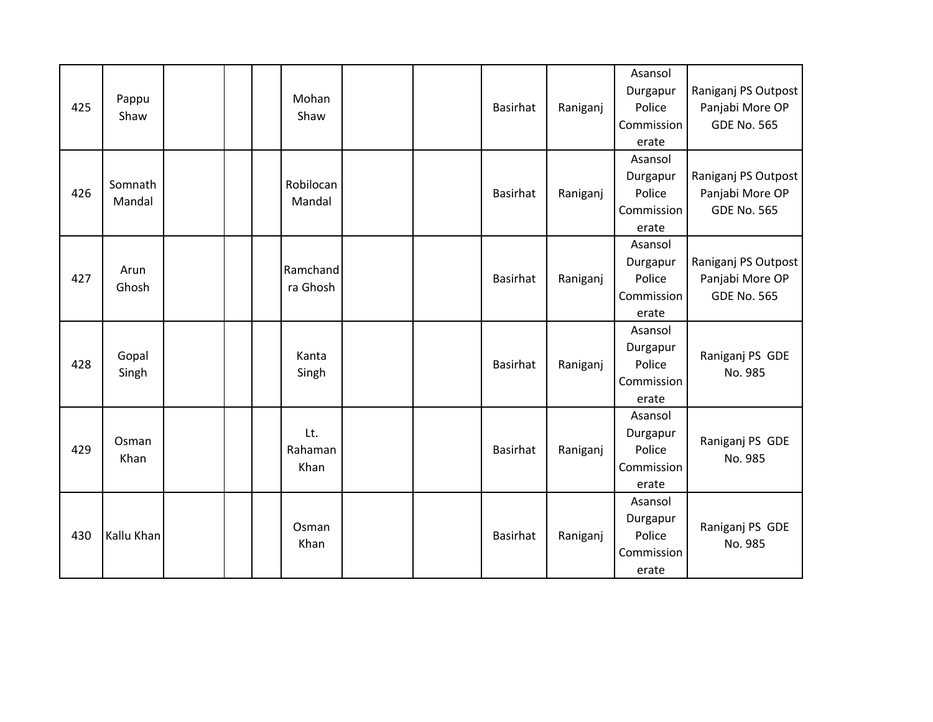| 425 | Pappu<br>Shaw     |  | Mohan<br>Shaw          |  | Basirhat | Raniganj | Asansol<br>Durgapur<br>Police<br>Commission<br>erate | Raniganj PS Outpost<br>Panjabi More OP<br><b>GDE No. 565</b> |
|-----|-------------------|--|------------------------|--|----------|----------|------------------------------------------------------|--------------------------------------------------------------|
| 426 | Somnath<br>Mandal |  | Robilocan<br>Mandal    |  | Basirhat | Raniganj | Asansol<br>Durgapur<br>Police<br>Commission<br>erate | Raniganj PS Outpost<br>Panjabi More OP<br><b>GDE No. 565</b> |
| 427 | Arun<br>Ghosh     |  | Ramchand<br>ra Ghosh   |  | Basirhat | Raniganj | Asansol<br>Durgapur<br>Police<br>Commission<br>erate | Raniganj PS Outpost<br>Panjabi More OP<br><b>GDE No. 565</b> |
| 428 | Gopal<br>Singh    |  | Kanta<br>Singh         |  | Basirhat | Raniganj | Asansol<br>Durgapur<br>Police<br>Commission<br>erate | Raniganj PS GDE<br>No. 985                                   |
| 429 | Osman<br>Khan     |  | Lt.<br>Rahaman<br>Khan |  | Basirhat | Raniganj | Asansol<br>Durgapur<br>Police<br>Commission<br>erate | Raniganj PS GDE<br>No. 985                                   |
| 430 | Kallu Khan        |  | Osman<br>Khan          |  | Basirhat | Raniganj | Asansol<br>Durgapur<br>Police<br>Commission<br>erate | Raniganj PS GDE<br>No. 985                                   |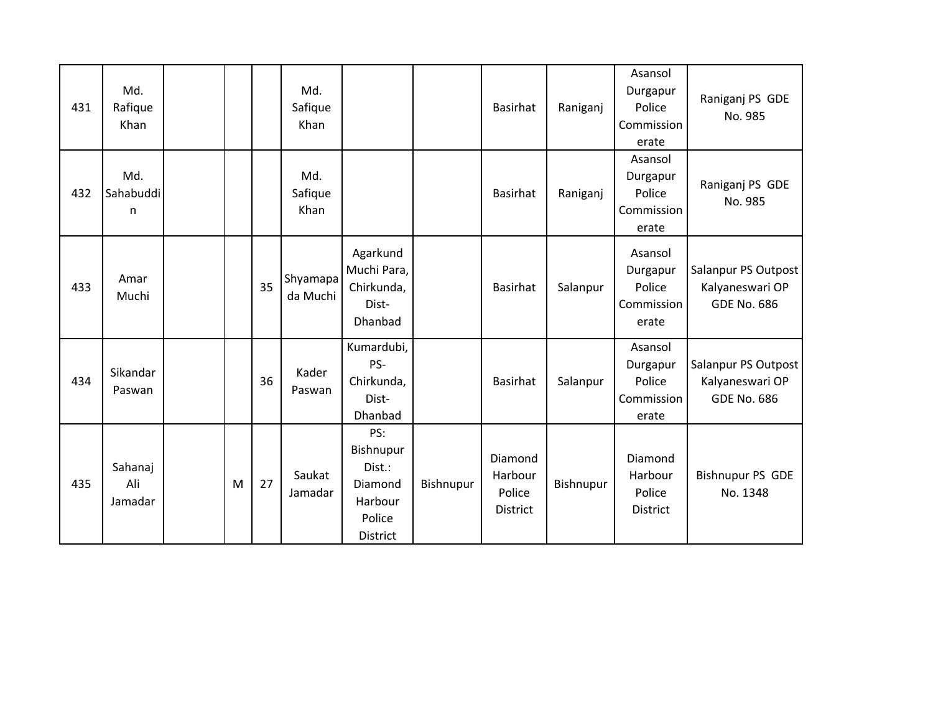| 431 | Md.<br>Rafique<br>Khan    |   |    | Md.<br>Safique<br>Khan |                                                                               |           | Basirhat                                        | Raniganj  | Asansol<br>Durgapur<br>Police<br>Commission<br>erate | Raniganj PS GDE<br>No. 985                                   |
|-----|---------------------------|---|----|------------------------|-------------------------------------------------------------------------------|-----------|-------------------------------------------------|-----------|------------------------------------------------------|--------------------------------------------------------------|
| 432 | Md.<br>Sahabuddi<br>n     |   |    | Md.<br>Safique<br>Khan |                                                                               |           | Basirhat                                        | Raniganj  | Asansol<br>Durgapur<br>Police<br>Commission<br>erate | Raniganj PS GDE<br>No. 985                                   |
| 433 | Amar<br>Muchi             |   | 35 | Shyamapa<br>da Muchi   | Agarkund<br>Muchi Para,<br>Chirkunda,<br>Dist-<br>Dhanbad                     |           | Basirhat                                        | Salanpur  | Asansol<br>Durgapur<br>Police<br>Commission<br>erate | Salanpur PS Outpost<br>Kalyaneswari OP<br><b>GDE No. 686</b> |
| 434 | Sikandar<br>Paswan        |   | 36 | Kader<br>Paswan        | Kumardubi,<br>PS-<br>Chirkunda,<br>Dist-<br>Dhanbad                           |           | Basirhat                                        | Salanpur  | Asansol<br>Durgapur<br>Police<br>Commission<br>erate | Salanpur PS Outpost<br>Kalyaneswari OP<br><b>GDE No. 686</b> |
| 435 | Sahanaj<br>Ali<br>Jamadar | M | 27 | Saukat<br>Jamadar      | PS:<br>Bishnupur<br>Dist.:<br>Diamond<br>Harbour<br>Police<br><b>District</b> | Bishnupur | Diamond<br>Harbour<br>Police<br><b>District</b> | Bishnupur | Diamond<br>Harbour<br>Police<br><b>District</b>      | <b>Bishnupur PS GDE</b><br>No. 1348                          |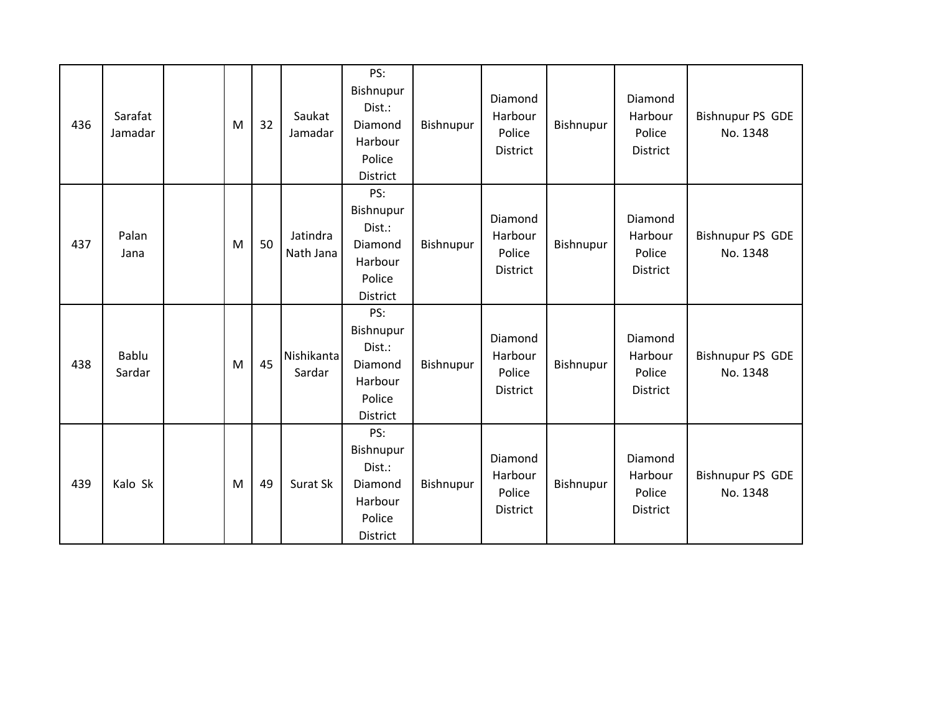| 436 | Sarafat<br>Jamadar | M | 32 | Saukat<br>Jamadar     | PS:<br>Bishnupur<br>Dist.:<br>Diamond<br>Harbour<br>Police<br>District | Bishnupur | Diamond<br>Harbour<br>Police<br>District | Bishnupur | Diamond<br>Harbour<br>Police<br>District | <b>Bishnupur PS GDE</b><br>No. 1348 |
|-----|--------------------|---|----|-----------------------|------------------------------------------------------------------------|-----------|------------------------------------------|-----------|------------------------------------------|-------------------------------------|
| 437 | Palan<br>Jana      | M | 50 | Jatindra<br>Nath Jana | PS:<br>Bishnupur<br>Dist.:<br>Diamond<br>Harbour<br>Police<br>District | Bishnupur | Diamond<br>Harbour<br>Police<br>District | Bishnupur | Diamond<br>Harbour<br>Police<br>District | <b>Bishnupur PS GDE</b><br>No. 1348 |
| 438 | Bablu<br>Sardar    | M | 45 | Nishikanta<br>Sardar  | PS:<br>Bishnupur<br>Dist.:<br>Diamond<br>Harbour<br>Police<br>District | Bishnupur | Diamond<br>Harbour<br>Police<br>District | Bishnupur | Diamond<br>Harbour<br>Police<br>District | <b>Bishnupur PS GDE</b><br>No. 1348 |
| 439 | Kalo Sk            | M | 49 | Surat Sk              | PS:<br>Bishnupur<br>Dist.:<br>Diamond<br>Harbour<br>Police<br>District | Bishnupur | Diamond<br>Harbour<br>Police<br>District | Bishnupur | Diamond<br>Harbour<br>Police<br>District | <b>Bishnupur PS GDE</b><br>No. 1348 |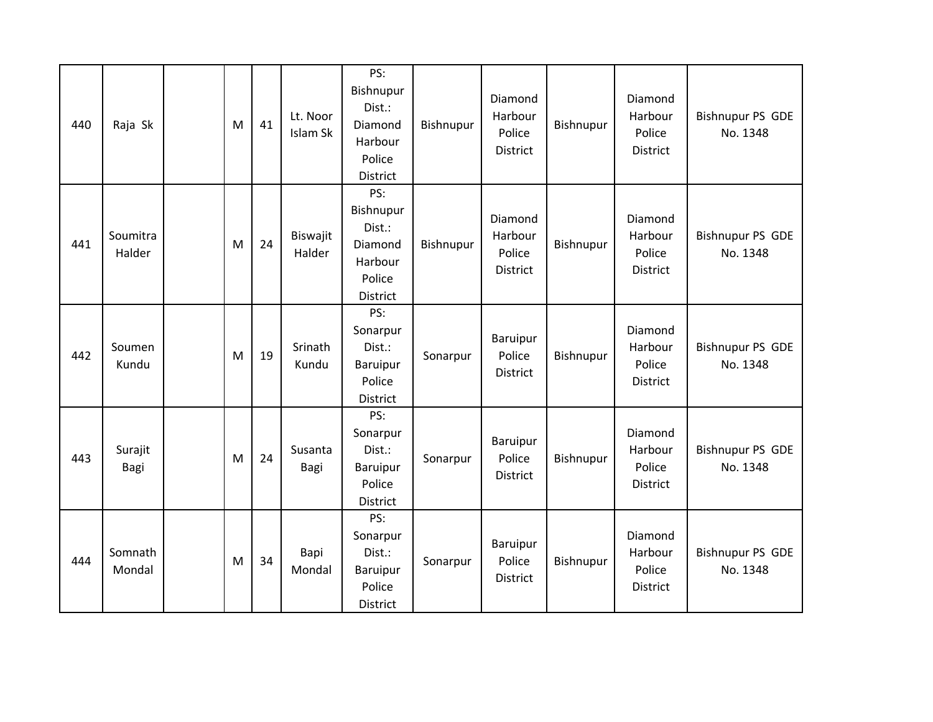| 440 | Raja Sk            | M | 41 | Lt. Noor<br>Islam Sk | PS:<br>Bishnupur<br>Dist.:<br>Diamond<br>Harbour<br>Police<br>District        | Bishnupur | Diamond<br>Harbour<br>Police<br><b>District</b> | Bishnupur | Diamond<br>Harbour<br>Police<br>District | <b>Bishnupur PS GDE</b><br>No. 1348 |
|-----|--------------------|---|----|----------------------|-------------------------------------------------------------------------------|-----------|-------------------------------------------------|-----------|------------------------------------------|-------------------------------------|
| 441 | Soumitra<br>Halder | M | 24 | Biswajit<br>Halder   | PS:<br>Bishnupur<br>Dist.:<br>Diamond<br>Harbour<br>Police<br><b>District</b> | Bishnupur | Diamond<br>Harbour<br>Police<br>District        | Bishnupur | Diamond<br>Harbour<br>Police<br>District | <b>Bishnupur PS GDE</b><br>No. 1348 |
| 442 | Soumen<br>Kundu    | M | 19 | Srinath<br>Kundu     | PS:<br>Sonarpur<br>Dist.:<br>Baruipur<br>Police<br>District                   | Sonarpur  | Baruipur<br>Police<br><b>District</b>           | Bishnupur | Diamond<br>Harbour<br>Police<br>District | <b>Bishnupur PS GDE</b><br>No. 1348 |
| 443 | Surajit<br>Bagi    | M | 24 | Susanta<br>Bagi      | PS:<br>Sonarpur<br>Dist.:<br>Baruipur<br>Police<br>District                   | Sonarpur  | Baruipur<br>Police<br>District                  | Bishnupur | Diamond<br>Harbour<br>Police<br>District | <b>Bishnupur PS GDE</b><br>No. 1348 |
| 444 | Somnath<br>Mondal  | M | 34 | Bapi<br>Mondal       | PS:<br>Sonarpur<br>Dist.:<br>Baruipur<br>Police<br>District                   | Sonarpur  | Baruipur<br>Police<br>District                  | Bishnupur | Diamond<br>Harbour<br>Police<br>District | <b>Bishnupur PS GDE</b><br>No. 1348 |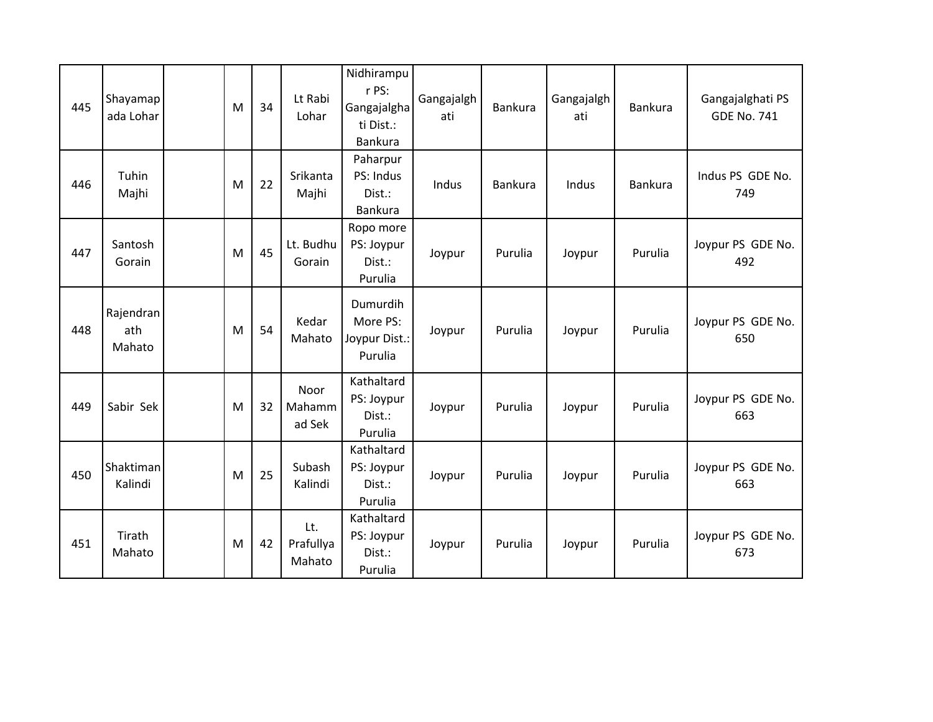| 445 | Shayamap<br>ada Lohar      | M | 34 | Lt Rabi<br>Lohar           | Nidhirampu<br>r PS:<br>Gangajalgha<br>ti Dist.:<br>Bankura | Gangajalgh<br>ati | <b>Bankura</b> | Gangajalgh<br>ati | <b>Bankura</b> | Gangajalghati PS<br><b>GDE No. 741</b> |
|-----|----------------------------|---|----|----------------------------|------------------------------------------------------------|-------------------|----------------|-------------------|----------------|----------------------------------------|
| 446 | Tuhin<br>Majhi             | M | 22 | Srikanta<br>Majhi          | Paharpur<br>PS: Indus<br>Dist.:<br>Bankura                 | Indus             | <b>Bankura</b> | Indus             | <b>Bankura</b> | Indus PS GDE No.<br>749                |
| 447 | Santosh<br>Gorain          | M | 45 | Lt. Budhu<br>Gorain        | Ropo more<br>PS: Joypur<br>Dist.:<br>Purulia               | Joypur            | Purulia        | Joypur            | Purulia        | Joypur PS GDE No.<br>492               |
| 448 | Rajendran<br>ath<br>Mahato | M | 54 | Kedar<br>Mahato            | Dumurdih<br>More PS:<br>Joypur Dist.:<br>Purulia           | Joypur            | Purulia        | Joypur            | Purulia        | Joypur PS GDE No.<br>650               |
| 449 | Sabir Sek                  | M | 32 | Noor<br>Mahamm<br>ad Sek   | Kathaltard<br>PS: Joypur<br>Dist.:<br>Purulia              | Joypur            | Purulia        | Joypur            | Purulia        | Joypur PS GDE No.<br>663               |
| 450 | Shaktiman<br>Kalindi       | M | 25 | Subash<br>Kalindi          | Kathaltard<br>PS: Joypur<br>Dist.:<br>Purulia              | Joypur            | Purulia        | Joypur            | Purulia        | Joypur PS GDE No.<br>663               |
| 451 | Tirath<br>Mahato           | M | 42 | Lt.<br>Prafullya<br>Mahato | Kathaltard<br>PS: Joypur<br>Dist.:<br>Purulia              | Joypur            | Purulia        | Joypur            | Purulia        | Joypur PS GDE No.<br>673               |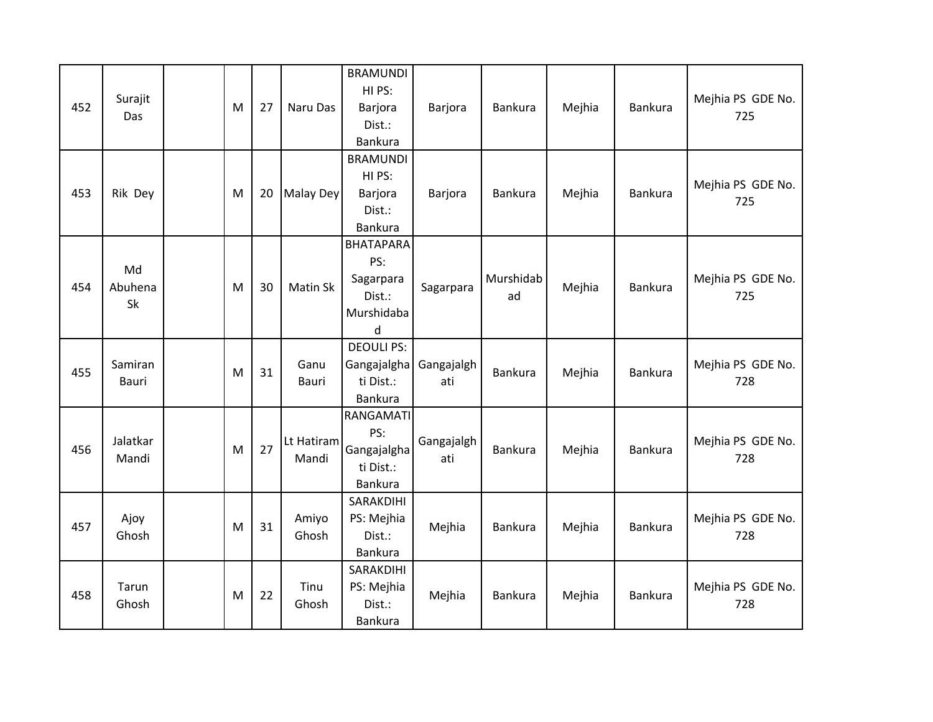| 452 | Surajit<br>Das      | M | 27 | Naru Das            | <b>BRAMUNDI</b><br>HI PS:<br>Barjora<br>Dist.:<br>Bankura         | Barjora           | <b>Bankura</b>  | Mejhia | Bankura        | Mejhia PS GDE No.<br>725 |
|-----|---------------------|---|----|---------------------|-------------------------------------------------------------------|-------------------|-----------------|--------|----------------|--------------------------|
| 453 | Rik Dey             | M | 20 | Malay Dey           | <b>BRAMUNDI</b><br>HI PS:<br>Barjora<br>Dist.:<br>Bankura         | Barjora           | <b>Bankura</b>  | Mejhia | Bankura        | Mejhia PS GDE No.<br>725 |
| 454 | Md<br>Abuhena<br>Sk | M | 30 | Matin Sk            | <b>BHATAPARA</b><br>PS:<br>Sagarpara<br>Dist.:<br>Murshidaba<br>d | Sagarpara         | Murshidab<br>ad | Mejhia | <b>Bankura</b> | Mejhia PS GDE No.<br>725 |
| 455 | Samiran<br>Bauri    | M | 31 | Ganu<br>Bauri       | <b>DEOULI PS:</b><br>Gangajalgha<br>ti Dist.:<br>Bankura          | Gangajalgh<br>ati | Bankura         | Mejhia | <b>Bankura</b> | Mejhia PS GDE No.<br>728 |
| 456 | Jalatkar<br>Mandi   | M | 27 | Lt Hatiram<br>Mandi | RANGAMATI<br>PS:<br>Gangajalgha<br>ti Dist.:<br>Bankura           | Gangajalgh<br>ati | Bankura         | Mejhia | Bankura        | Mejhia PS GDE No.<br>728 |
| 457 | Ajoy<br>Ghosh       | M | 31 | Amiyo<br>Ghosh      | SARAKDIHI<br>PS: Mejhia<br>Dist.:<br>Bankura                      | Mejhia            | <b>Bankura</b>  | Mejhia | Bankura        | Mejhia PS GDE No.<br>728 |
| 458 | Tarun<br>Ghosh      | M | 22 | Tinu<br>Ghosh       | SARAKDIHI<br>PS: Mejhia<br>Dist.:<br>Bankura                      | Mejhia            | Bankura         | Mejhia | Bankura        | Mejhia PS GDE No.<br>728 |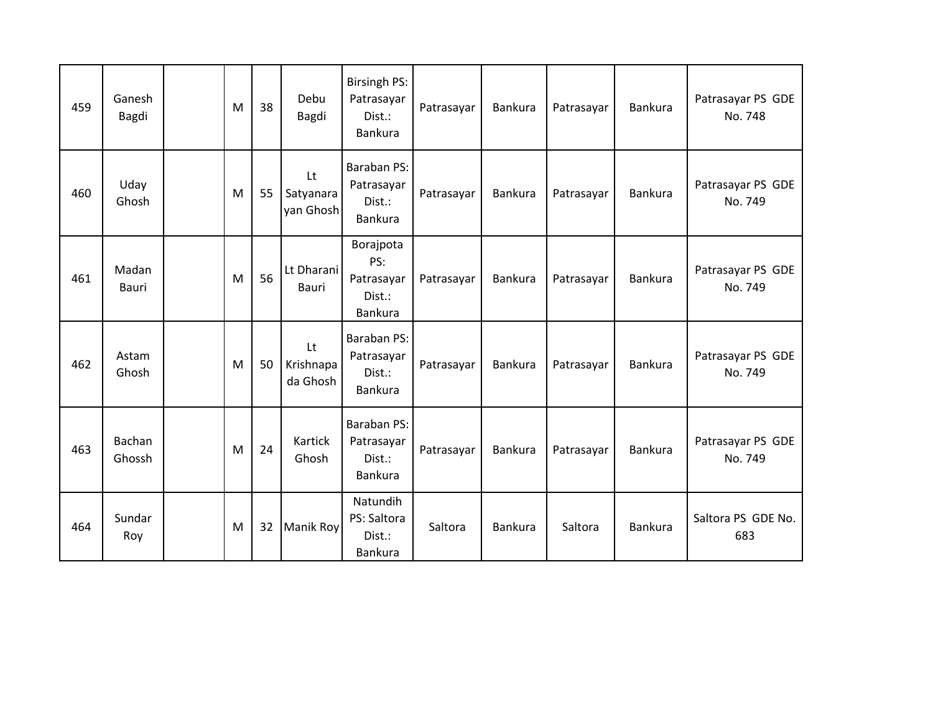| 459 | Ganesh<br>Bagdi  | M | 38 | Debu<br>Bagdi                | <b>Birsingh PS:</b><br>Patrasayar<br>Dist.:<br>Bankura | Patrasayar | <b>Bankura</b> | Patrasayar | <b>Bankura</b> | Patrasayar PS GDE<br>No. 748 |
|-----|------------------|---|----|------------------------------|--------------------------------------------------------|------------|----------------|------------|----------------|------------------------------|
| 460 | Uday<br>Ghosh    | M | 55 | Lt<br>Satyanara<br>yan Ghosh | Baraban PS:<br>Patrasayar<br>Dist.:<br>Bankura         | Patrasayar | Bankura        | Patrasayar | Bankura        | Patrasayar PS GDE<br>No. 749 |
| 461 | Madan<br>Bauri   | M | 56 | Lt Dharani<br>Bauri          | Borajpota<br>PS:<br>Patrasayar<br>Dist.:<br>Bankura    | Patrasayar | <b>Bankura</b> | Patrasayar | Bankura        | Patrasayar PS GDE<br>No. 749 |
| 462 | Astam<br>Ghosh   | M | 50 | Lt<br>Krishnapa<br>da Ghosh  | Baraban PS:<br>Patrasayar<br>Dist.:<br>Bankura         | Patrasayar | Bankura        | Patrasayar | Bankura        | Patrasayar PS GDE<br>No. 749 |
| 463 | Bachan<br>Ghossh | M | 24 | Kartick<br>Ghosh             | Baraban PS:<br>Patrasayar<br>Dist.:<br><b>Bankura</b>  | Patrasayar | Bankura        | Patrasayar | <b>Bankura</b> | Patrasayar PS GDE<br>No. 749 |
| 464 | Sundar<br>Roy    | M | 32 | Manik Roy                    | Natundih<br>PS: Saltora<br>Dist.:<br>Bankura           | Saltora    | <b>Bankura</b> | Saltora    | Bankura        | Saltora PS GDE No.<br>683    |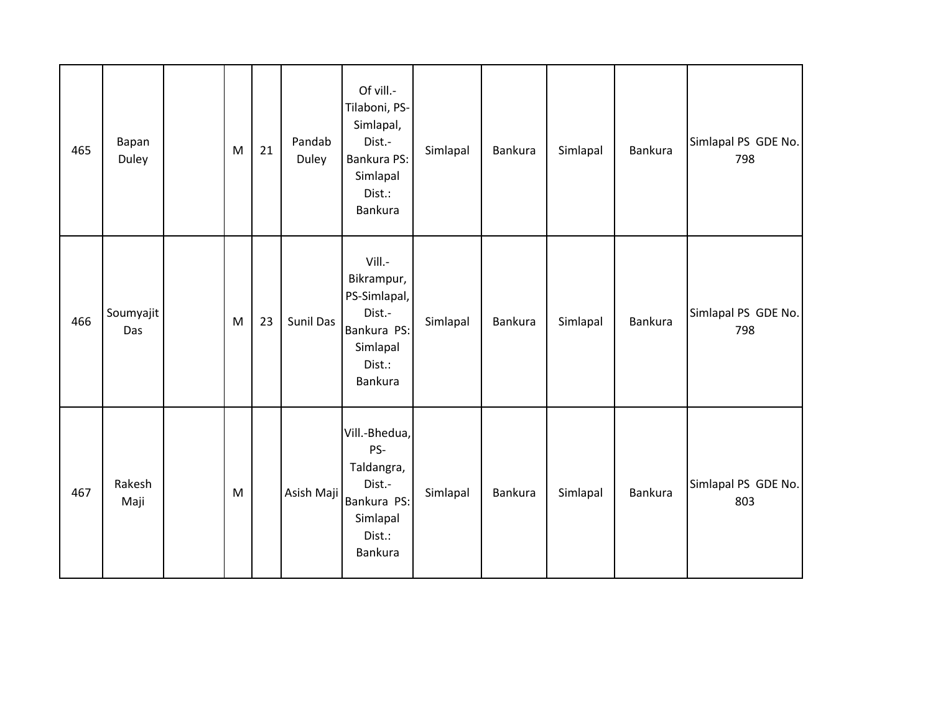| 465 | Bapan<br>Duley   | M | 21 | Pandab<br>Duley  | Of vill .-<br>Tilaboni, PS-<br>Simlapal,<br>Dist.-<br>Bankura PS:<br>Simlapal<br>Dist.:<br>Bankura | Simlapal | <b>Bankura</b> | Simlapal | <b>Bankura</b> | Simlapal PS GDE No.<br>798 |
|-----|------------------|---|----|------------------|----------------------------------------------------------------------------------------------------|----------|----------------|----------|----------------|----------------------------|
| 466 | Soumyajit<br>Das | M | 23 | <b>Sunil Das</b> | Vill.-<br>Bikrampur,<br>PS-Simlapal,<br>Dist.-<br>Bankura PS:<br>Simlapal<br>Dist.:<br>Bankura     | Simlapal | <b>Bankura</b> | Simlapal | <b>Bankura</b> | Simlapal PS GDE No.<br>798 |
| 467 | Rakesh<br>Maji   | M |    | Asish Maji       | Vill.-Bhedua,<br>PS-<br>Taldangra,<br>Dist.-<br>Bankura PS:<br>Simlapal<br>Dist.:<br>Bankura       | Simlapal | Bankura        | Simlapal | <b>Bankura</b> | Simlapal PS GDE No.<br>803 |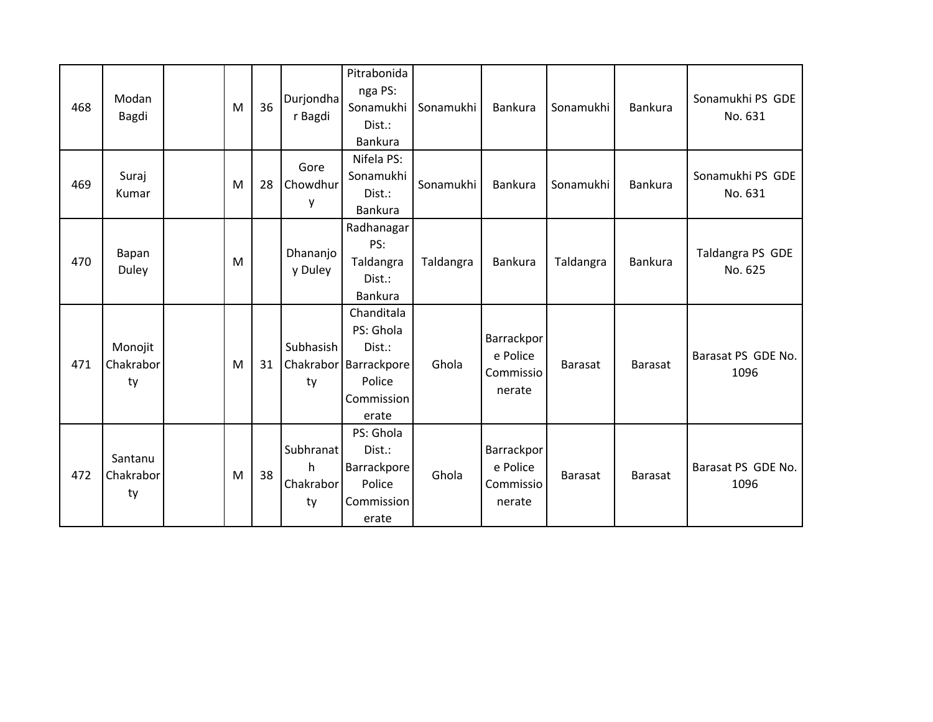| 468 | Modan<br><b>Bagdi</b>      | M | 36 | Durjondha<br>r Bagdi              | Pitrabonida<br>nga PS:<br>Sonamukhi<br>Dist.:<br>Bankura                          | Sonamukhi | Bankura                                       | Sonamukhi      | Bankura        | Sonamukhi PS GDE<br>No. 631 |
|-----|----------------------------|---|----|-----------------------------------|-----------------------------------------------------------------------------------|-----------|-----------------------------------------------|----------------|----------------|-----------------------------|
| 469 | Suraj<br>Kumar             | M | 28 | Gore<br>Chowdhur<br>у             | Nifela PS:<br>Sonamukhi<br>Dist.:<br>Bankura                                      | Sonamukhi | Bankura                                       | Sonamukhi      | <b>Bankura</b> | Sonamukhi PS GDE<br>No. 631 |
| 470 | Bapan<br>Duley             | M |    | Dhananjo<br>y Duley               | Radhanagar<br>PS:<br>Taldangra<br>Dist.:<br>Bankura                               | Taldangra | <b>Bankura</b>                                | Taldangra      | <b>Bankura</b> | Taldangra PS GDE<br>No. 625 |
| 471 | Monojit<br>Chakrabor<br>ty | M | 31 | Subhasish<br>Chakrabor<br>ty      | Chanditala<br>PS: Ghola<br>Dist.:<br>Barrackpore<br>Police<br>Commission<br>erate | Ghola     | Barrackpor<br>e Police<br>Commissio<br>nerate | <b>Barasat</b> | <b>Barasat</b> | Barasat PS GDE No.<br>1096  |
| 472 | Santanu<br>Chakrabor<br>ty | M | 38 | Subhranat<br>h<br>Chakrabor<br>ty | PS: Ghola<br>Dist.:<br>Barrackpore<br>Police<br>Commission<br>erate               | Ghola     | Barrackpor<br>e Police<br>Commissio<br>nerate | <b>Barasat</b> | <b>Barasat</b> | Barasat PS GDE No.<br>1096  |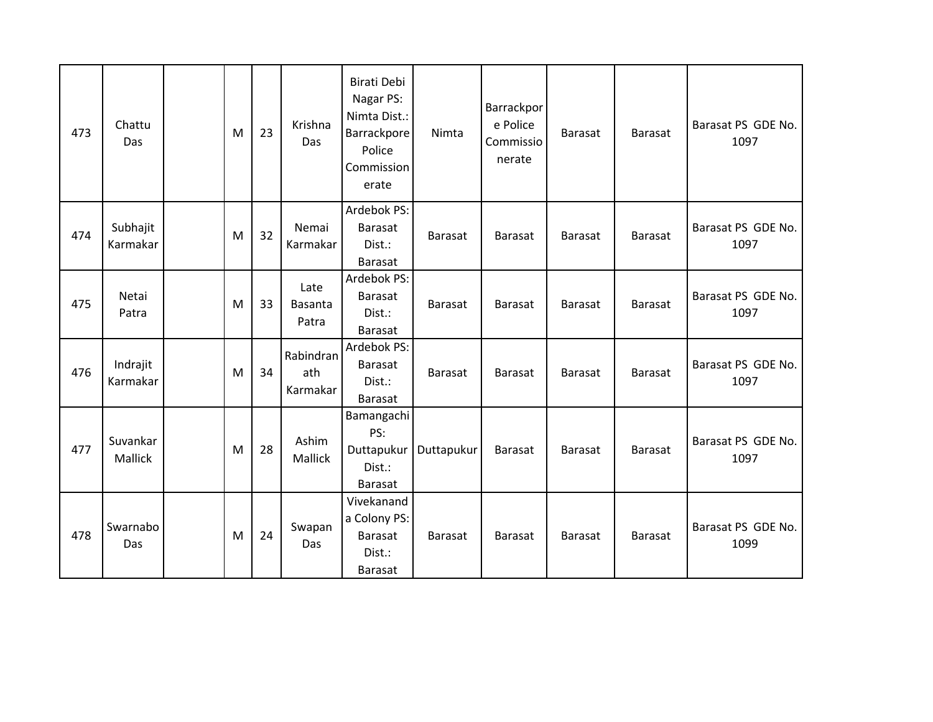| 473 | Chattu<br>Das        | M | 23 | Krishna<br>Das               | Birati Debi<br>Nagar PS:<br>Nimta Dist.:<br>Barrackpore<br>Police<br>Commission<br>erate | Nimta          | Barrackpor<br>e Police<br>Commissio<br>nerate | <b>Barasat</b> | <b>Barasat</b> | Barasat PS GDE No.<br>1097 |
|-----|----------------------|---|----|------------------------------|------------------------------------------------------------------------------------------|----------------|-----------------------------------------------|----------------|----------------|----------------------------|
| 474 | Subhajit<br>Karmakar | M | 32 | Nemai<br>Karmakar            | Ardebok PS:<br><b>Barasat</b><br>Dist.:<br><b>Barasat</b>                                | Barasat        | <b>Barasat</b>                                | <b>Barasat</b> | <b>Barasat</b> | Barasat PS GDE No.<br>1097 |
| 475 | Netai<br>Patra       | M | 33 | Late<br>Basanta<br>Patra     | Ardebok PS:<br><b>Barasat</b><br>Dist.:<br><b>Barasat</b>                                | <b>Barasat</b> | <b>Barasat</b>                                | <b>Barasat</b> | <b>Barasat</b> | Barasat PS GDE No.<br>1097 |
| 476 | Indrajit<br>Karmakar | M | 34 | Rabindran<br>ath<br>Karmakar | Ardebok PS:<br><b>Barasat</b><br>Dist.:<br>Barasat                                       | <b>Barasat</b> | <b>Barasat</b>                                | Barasat        | <b>Barasat</b> | Barasat PS GDE No.<br>1097 |
| 477 | Suvankar<br>Mallick  | M | 28 | Ashim<br>Mallick             | Bamangachi<br>PS:<br>Duttapukur<br>Dist.:<br><b>Barasat</b>                              | Duttapukur     | <b>Barasat</b>                                | <b>Barasat</b> | <b>Barasat</b> | Barasat PS GDE No.<br>1097 |
| 478 | Swarnabo<br>Das      | M | 24 | Swapan<br>Das                | Vivekanand<br>a Colony PS:<br><b>Barasat</b><br>Dist.:<br><b>Barasat</b>                 | Barasat        | <b>Barasat</b>                                | <b>Barasat</b> | <b>Barasat</b> | Barasat PS GDE No.<br>1099 |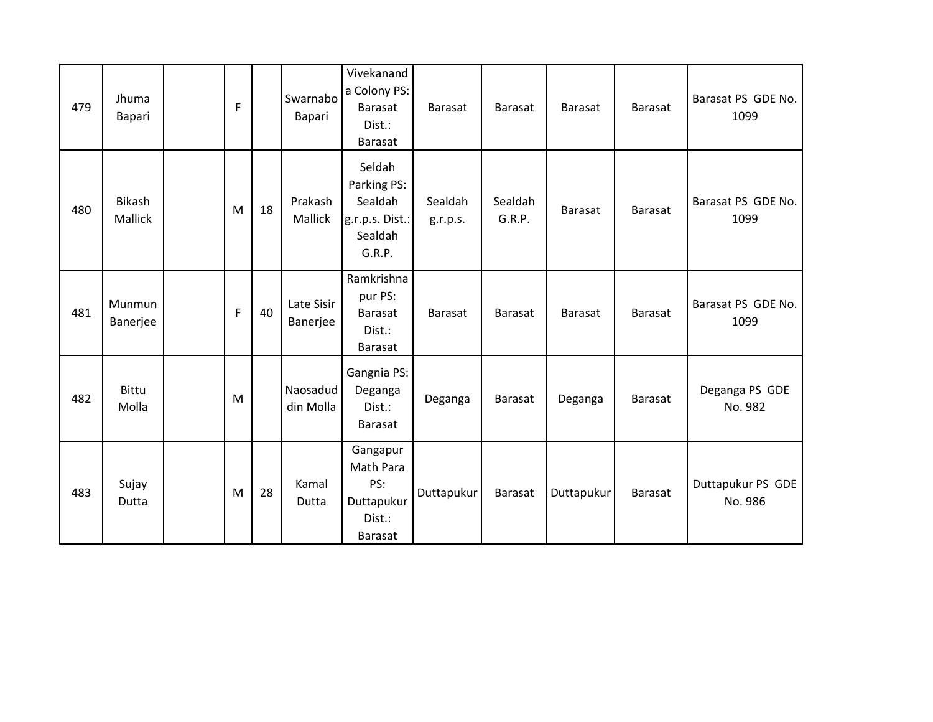| 479 | Jhuma<br>Bapari       | F           |    | Swarnabo<br>Bapari     | Vivekanand<br>a Colony PS:<br><b>Barasat</b><br>Dist.:<br><b>Barasat</b> | <b>Barasat</b>      | <b>Barasat</b>    | <b>Barasat</b> | <b>Barasat</b> | Barasat PS GDE No.<br>1099   |
|-----|-----------------------|-------------|----|------------------------|--------------------------------------------------------------------------|---------------------|-------------------|----------------|----------------|------------------------------|
| 480 | Bikash<br>Mallick     | M           | 18 | Prakash<br>Mallick     | Seldah<br>Parking PS:<br>Sealdah<br>g.r.p.s. Dist.:<br>Sealdah<br>G.R.P. | Sealdah<br>g.r.p.s. | Sealdah<br>G.R.P. | <b>Barasat</b> | <b>Barasat</b> | Barasat PS GDE No.<br>1099   |
| 481 | Munmun<br>Banerjee    | $\mathsf F$ | 40 | Late Sisir<br>Banerjee | Ramkrishna<br>pur PS:<br><b>Barasat</b><br>Dist.:<br><b>Barasat</b>      | <b>Barasat</b>      | Barasat           | <b>Barasat</b> | <b>Barasat</b> | Barasat PS GDE No.<br>1099   |
| 482 | <b>Bittu</b><br>Molla | M           |    | Naosadud<br>din Molla  | Gangnia PS:<br>Deganga<br>Dist.:<br><b>Barasat</b>                       | Deganga             | Barasat           | Deganga        | <b>Barasat</b> | Deganga PS GDE<br>No. 982    |
| 483 | Sujay<br>Dutta        | M           | 28 | Kamal<br>Dutta         | Gangapur<br>Math Para<br>PS:<br>Duttapukur<br>Dist.:<br><b>Barasat</b>   | Duttapukur          | Barasat           | Duttapukur     | <b>Barasat</b> | Duttapukur PS GDE<br>No. 986 |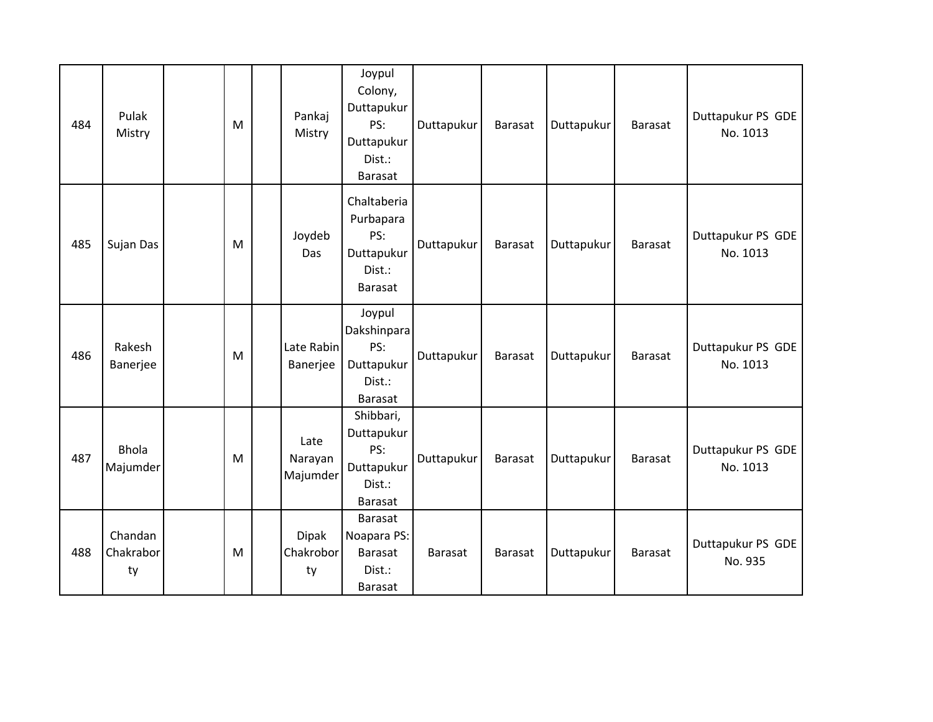| 484 | Pulak<br>Mistry            | M | Pankaj<br>Mistry                | Joypul<br>Colony,<br>Duttapukur<br>PS:<br>Duttapukur<br>Dist.:<br>Barasat | Duttapukur | <b>Barasat</b> | Duttapukur | <b>Barasat</b> | Duttapukur PS GDE<br>No. 1013 |
|-----|----------------------------|---|---------------------------------|---------------------------------------------------------------------------|------------|----------------|------------|----------------|-------------------------------|
| 485 | Sujan Das                  | M | Joydeb<br>Das                   | Chaltaberia<br>Purbapara<br>PS:<br>Duttapukur<br>Dist.:<br>Barasat        | Duttapukur | <b>Barasat</b> | Duttapukur | <b>Barasat</b> | Duttapukur PS GDE<br>No. 1013 |
| 486 | Rakesh<br>Banerjee         | M | Late Rabin<br>Banerjee          | Joypul<br>Dakshinpara<br>PS:<br>Duttapukur<br>Dist.:<br><b>Barasat</b>    | Duttapukur | Barasat        | Duttapukur | <b>Barasat</b> | Duttapukur PS GDE<br>No. 1013 |
| 487 | <b>Bhola</b><br>Majumder   | M | Late<br>Narayan<br>Majumder     | Shibbari,<br>Duttapukur<br>PS:<br>Duttapukur<br>Dist.:<br><b>Barasat</b>  | Duttapukur | <b>Barasat</b> | Duttapukur | <b>Barasat</b> | Duttapukur PS GDE<br>No. 1013 |
| 488 | Chandan<br>Chakrabor<br>ty | M | <b>Dipak</b><br>Chakrobor<br>ty | Barasat<br>Noapara PS:<br><b>Barasat</b><br>Dist.:<br><b>Barasat</b>      | Barasat    | Barasat        | Duttapukur | <b>Barasat</b> | Duttapukur PS GDE<br>No. 935  |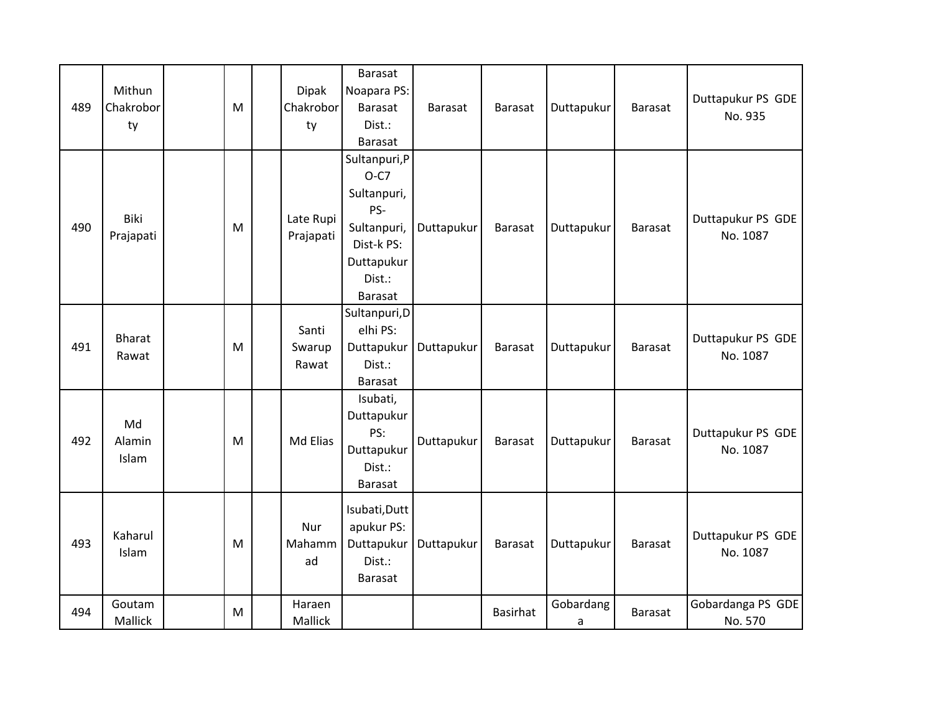| 489 | Mithun<br>Chakrobor<br>ty | M | <b>Dipak</b><br>Chakrobor<br>ty | <b>Barasat</b><br>Noapara PS:<br><b>Barasat</b><br>Dist.:<br><b>Barasat</b>                                          | Barasat    | <b>Barasat</b>  | Duttapukur     | <b>Barasat</b> | Duttapukur PS GDE<br>No. 935  |
|-----|---------------------------|---|---------------------------------|----------------------------------------------------------------------------------------------------------------------|------------|-----------------|----------------|----------------|-------------------------------|
| 490 | Biki<br>Prajapati         | M | Late Rupi<br>Prajapati          | Sultanpuri, P<br>$O-C7$<br>Sultanpuri,<br>PS-<br>Sultanpuri,<br>Dist-k PS:<br>Duttapukur<br>Dist.:<br><b>Barasat</b> | Duttapukur | <b>Barasat</b>  | Duttapukur     | Barasat        | Duttapukur PS GDE<br>No. 1087 |
| 491 | <b>Bharat</b><br>Rawat    | M | Santi<br>Swarup<br>Rawat        | Sultanpuri, D<br>elhi PS:<br>Duttapukur<br>Dist.:<br><b>Barasat</b>                                                  | Duttapukur | <b>Barasat</b>  | Duttapukur     | <b>Barasat</b> | Duttapukur PS GDE<br>No. 1087 |
| 492 | Md<br>Alamin<br>Islam     | M | Md Elias                        | Isubati,<br>Duttapukur<br>PS:<br>Duttapukur<br>Dist.:<br><b>Barasat</b>                                              | Duttapukur | Barasat         | Duttapukur     | <b>Barasat</b> | Duttapukur PS GDE<br>No. 1087 |
| 493 | Kaharul<br>Islam          | M | Nur<br>Mahamm<br>ad             | Isubati, Dutt<br>apukur PS:<br>Duttapukur<br>Dist.:<br>Barasat                                                       | Duttapukur | <b>Barasat</b>  | Duttapukur     | <b>Barasat</b> | Duttapukur PS GDE<br>No. 1087 |
| 494 | Goutam<br>Mallick         | М | Haraen<br>Mallick               |                                                                                                                      |            | <b>Basirhat</b> | Gobardang<br>a | <b>Barasat</b> | Gobardanga PS GDE<br>No. 570  |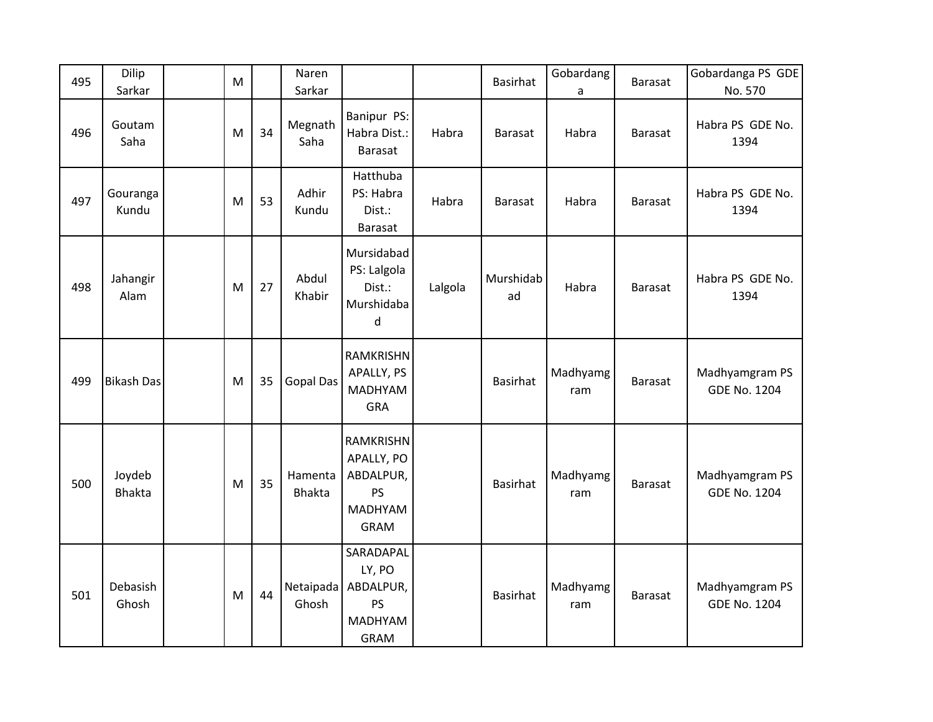| 495 | Dilip<br>Sarkar         | M |    | Naren<br>Sarkar          |                                                                             |         | <b>Basirhat</b> | Gobardang<br>a  | <b>Barasat</b> | Gobardanga PS GDE<br>No. 570          |
|-----|-------------------------|---|----|--------------------------|-----------------------------------------------------------------------------|---------|-----------------|-----------------|----------------|---------------------------------------|
| 496 | Goutam<br>Saha          | M | 34 | Megnath<br>Saha          | Banipur PS:<br>Habra Dist.:<br>Barasat                                      | Habra   | <b>Barasat</b>  | Habra           | <b>Barasat</b> | Habra PS GDE No.<br>1394              |
| 497 | Gouranga<br>Kundu       | M | 53 | Adhir<br>Kundu           | Hatthuba<br>PS: Habra<br>Dist.:<br>Barasat                                  | Habra   | <b>Barasat</b>  | Habra           | Barasat        | Habra PS GDE No.<br>1394              |
| 498 | Jahangir<br>Alam        | M | 27 | Abdul<br>Khabir          | Mursidabad<br>PS: Lalgola<br>Dist.:<br>Murshidaba<br>d                      | Lalgola | Murshidab<br>ad | Habra           | <b>Barasat</b> | Habra PS GDE No.<br>1394              |
| 499 | <b>Bikash Das</b>       | M | 35 | <b>Gopal Das</b>         | RAMKRISHN<br>APALLY, PS<br><b>MADHYAM</b><br>GRA                            |         | <b>Basirhat</b> | Madhyamg<br>ram | <b>Barasat</b> | Madhyamgram PS<br><b>GDE No. 1204</b> |
| 500 | Joydeb<br><b>Bhakta</b> | M | 35 | Hamenta<br><b>Bhakta</b> | RAMKRISHN<br>APALLY, PO<br>ABDALPUR,<br><b>PS</b><br>MADHYAM<br><b>GRAM</b> |         | <b>Basirhat</b> | Madhyamg<br>ram | <b>Barasat</b> | Madhyamgram PS<br><b>GDE No. 1204</b> |
| 501 | Debasish<br>Ghosh       | M | 44 | Netaipada<br>Ghosh       | SARADAPAL<br>LY, PO<br>ABDALPUR,<br>PS<br><b>MADHYAM</b><br><b>GRAM</b>     |         | <b>Basirhat</b> | Madhyamg<br>ram | <b>Barasat</b> | Madhyamgram PS<br><b>GDE No. 1204</b> |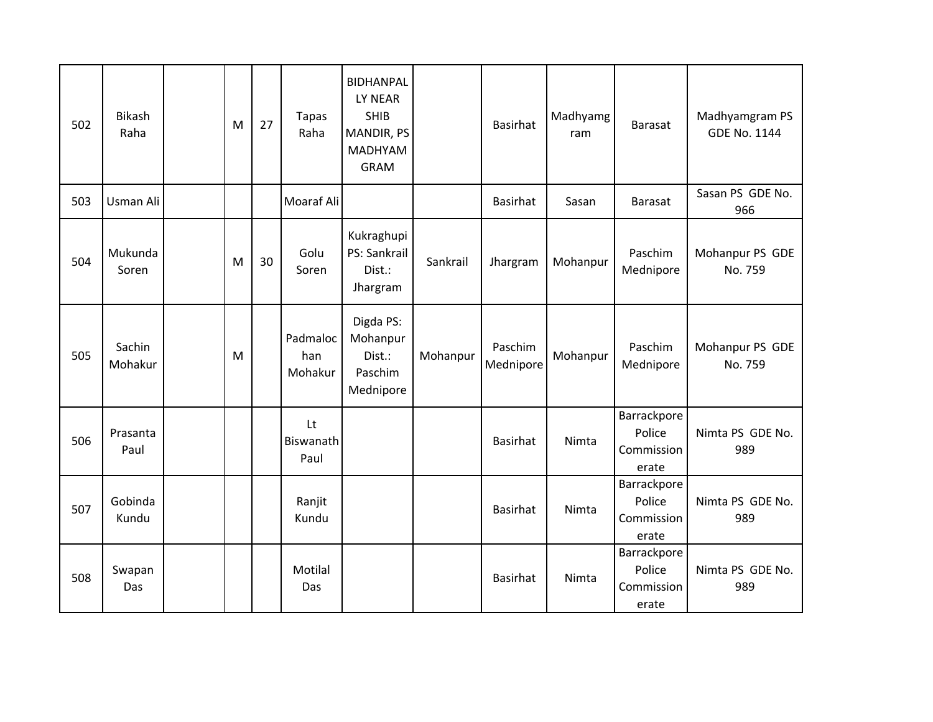| 502 | <b>Bikash</b><br>Raha | M | 27 | <b>Tapas</b><br>Raha       | <b>BIDHANPAL</b><br>LY NEAR<br><b>SHIB</b><br>MANDIR, PS<br><b>MADHYAM</b><br><b>GRAM</b> |          | <b>Basirhat</b>      | Madhyamg<br>ram | <b>Barasat</b>                               | Madhyamgram PS<br><b>GDE No. 1144</b> |
|-----|-----------------------|---|----|----------------------------|-------------------------------------------------------------------------------------------|----------|----------------------|-----------------|----------------------------------------------|---------------------------------------|
| 503 | Usman Ali             |   |    | Moaraf Ali                 |                                                                                           |          | <b>Basirhat</b>      | Sasan           | <b>Barasat</b>                               | Sasan PS GDE No.<br>966               |
| 504 | Mukunda<br>Soren      | M | 30 | Golu<br>Soren              | Kukraghupi<br>PS: Sankrail<br>Dist.:<br>Jhargram                                          | Sankrail | Jhargram             | Mohanpur        | Paschim<br>Mednipore                         | Mohanpur PS GDE<br>No. 759            |
| 505 | Sachin<br>Mohakur     | M |    | Padmaloc<br>han<br>Mohakur | Digda PS:<br>Mohanpur<br>Dist.:<br>Paschim<br>Mednipore                                   | Mohanpur | Paschim<br>Mednipore | Mohanpur        | Paschim<br>Mednipore                         | Mohanpur PS GDE<br>No. 759            |
| 506 | Prasanta<br>Paul      |   |    | Lt<br>Biswanath<br>Paul    |                                                                                           |          | <b>Basirhat</b>      | Nimta           | Barrackpore<br>Police<br>Commission<br>erate | Nimta PS GDE No.<br>989               |
| 507 | Gobinda<br>Kundu      |   |    | Ranjit<br>Kundu            |                                                                                           |          | Basirhat             | Nimta           | Barrackpore<br>Police<br>Commission<br>erate | Nimta PS GDE No.<br>989               |
| 508 | Swapan<br>Das         |   |    | Motilal<br>Das             |                                                                                           |          | <b>Basirhat</b>      | Nimta           | Barrackpore<br>Police<br>Commission<br>erate | Nimta PS GDE No.<br>989               |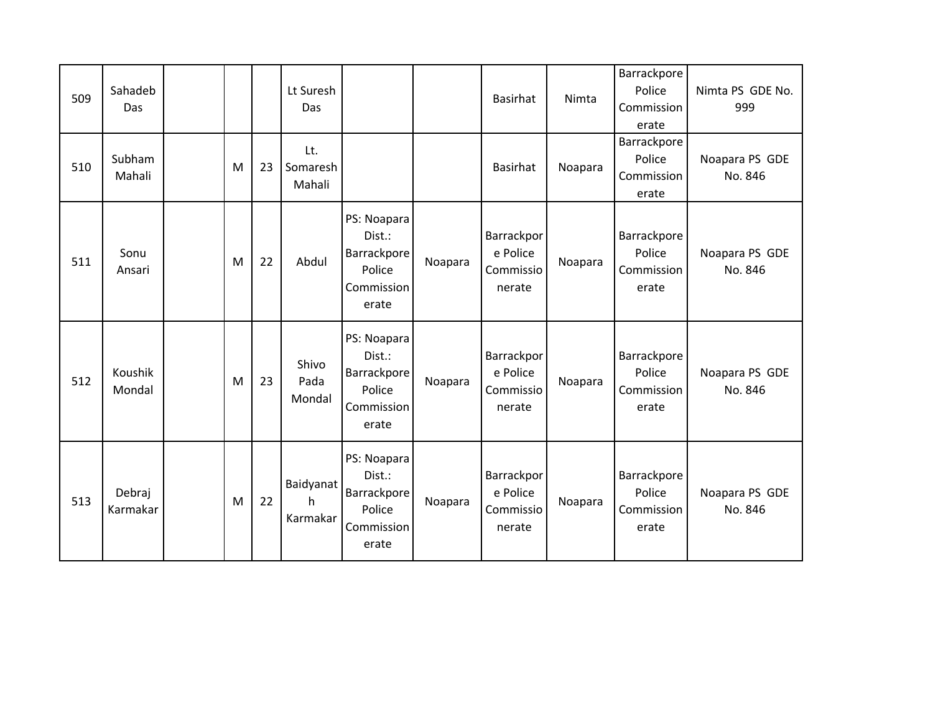| 509 | Sahadeb<br>Das     |   |    | Lt Suresh<br>Das           |                                                                              |         | Basirhat                                      | Nimta   | Barrackpore<br>Police<br>Commission<br>erate | Nimta PS GDE No.<br>999   |
|-----|--------------------|---|----|----------------------------|------------------------------------------------------------------------------|---------|-----------------------------------------------|---------|----------------------------------------------|---------------------------|
| 510 | Subham<br>Mahali   | M | 23 | Lt.<br>Somaresh<br>Mahali  |                                                                              |         | Basirhat                                      | Noapara | Barrackpore<br>Police<br>Commission<br>erate | Noapara PS GDE<br>No. 846 |
| 511 | Sonu<br>Ansari     | M | 22 | Abdul                      | PS: Noapara<br>Dist.:<br><b>Barrackpore</b><br>Police<br>Commission<br>erate | Noapara | Barrackpor<br>e Police<br>Commissio<br>nerate | Noapara | Barrackpore<br>Police<br>Commission<br>erate | Noapara PS GDE<br>No. 846 |
| 512 | Koushik<br>Mondal  | M | 23 | Shivo<br>Pada<br>Mondal    | PS: Noapara<br>Dist.:<br>Barrackpore<br>Police<br>Commission<br>erate        | Noapara | Barrackpor<br>e Police<br>Commissio<br>nerate | Noapara | Barrackpore<br>Police<br>Commission<br>erate | Noapara PS GDE<br>No. 846 |
| 513 | Debraj<br>Karmakar | M | 22 | Baidyanat<br>h<br>Karmakar | PS: Noapara<br>Dist.:<br>Barrackpore<br>Police<br>Commission<br>erate        | Noapara | Barrackpor<br>e Police<br>Commissio<br>nerate | Noapara | Barrackpore<br>Police<br>Commission<br>erate | Noapara PS GDE<br>No. 846 |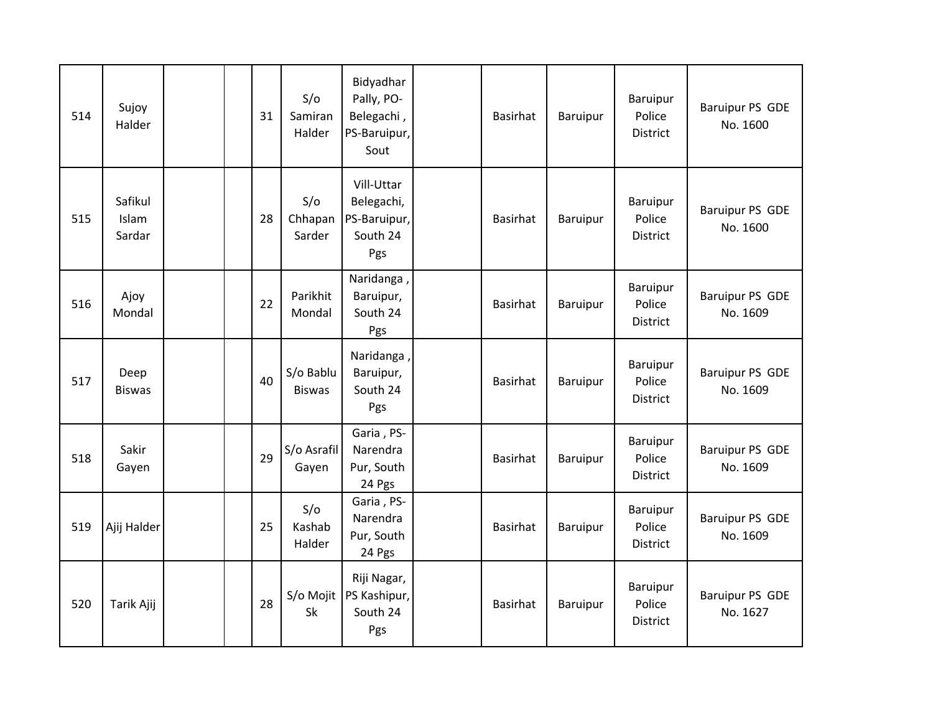| 514 | Sujoy<br>Halder            | 31 | S/O<br>Samiran<br>Halder   | Bidyadhar<br>Pally, PO-<br>Belegachi,<br>PS-Baruipur,<br>Sout | Basirhat        | Baruipur | Baruipur<br>Police<br><b>District</b> | <b>Baruipur PS GDE</b><br>No. 1600 |
|-----|----------------------------|----|----------------------------|---------------------------------------------------------------|-----------------|----------|---------------------------------------|------------------------------------|
| 515 | Safikul<br>Islam<br>Sardar | 28 | S/O<br>Chhapan<br>Sarder   | Vill-Uttar<br>Belegachi,<br>PS-Baruipur,<br>South 24<br>Pgs   | <b>Basirhat</b> | Baruipur | Baruipur<br>Police<br><b>District</b> | <b>Baruipur PS GDE</b><br>No. 1600 |
| 516 | Ajoy<br>Mondal             | 22 | Parikhit<br>Mondal         | Naridanga,<br>Baruipur,<br>South 24<br>Pgs                    | <b>Basirhat</b> | Baruipur | Baruipur<br>Police<br>District        | <b>Baruipur PS GDE</b><br>No. 1609 |
| 517 | Deep<br><b>Biswas</b>      | 40 | S/o Bablu<br><b>Biswas</b> | Naridanga,<br>Baruipur,<br>South 24<br>Pgs                    | Basirhat        | Baruipur | Baruipur<br>Police<br><b>District</b> | <b>Baruipur PS GDE</b><br>No. 1609 |
| 518 | Sakir<br>Gayen             | 29 | S/o Asrafil<br>Gayen       | Garia, PS-<br>Narendra<br>Pur, South<br>24 Pgs                | Basirhat        | Baruipur | Baruipur<br>Police<br><b>District</b> | <b>Baruipur PS GDE</b><br>No. 1609 |
| 519 | Ajij Halder                | 25 | S/O<br>Kashab<br>Halder    | Garia, PS-<br>Narendra<br>Pur, South<br>24 Pgs                | Basirhat        | Baruipur | Baruipur<br>Police<br>District        | <b>Baruipur PS GDE</b><br>No. 1609 |
| 520 | Tarik Ajij                 | 28 | S/o Mojit<br>Sk            | Riji Nagar,<br>PS Kashipur,<br>South 24<br>Pgs                | Basirhat        | Baruipur | Baruipur<br>Police<br>District        | <b>Baruipur PS GDE</b><br>No. 1627 |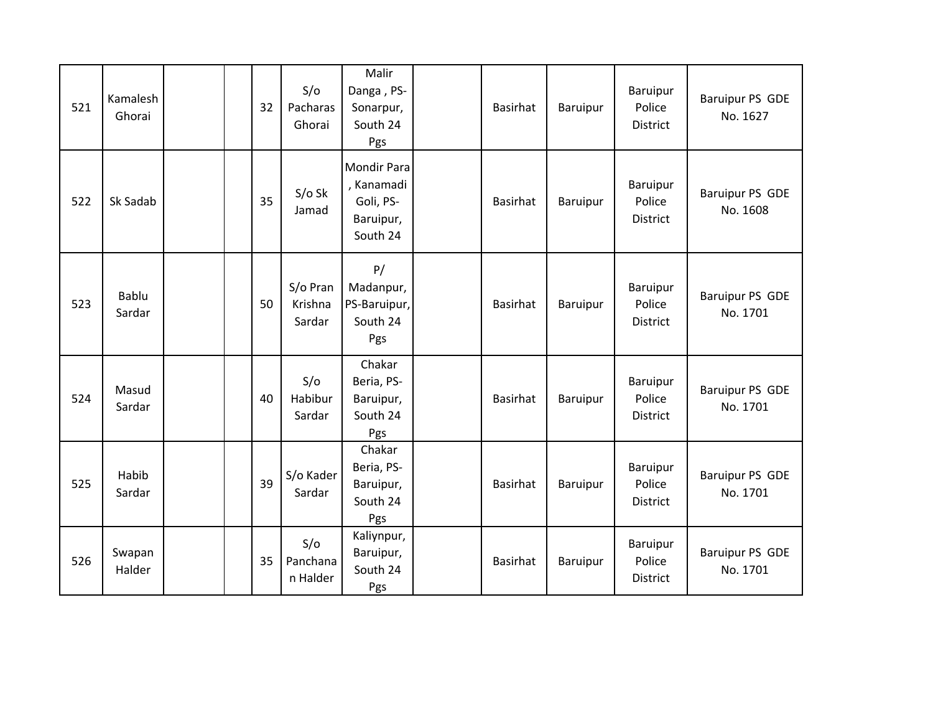| 521 | Kamalesh<br>Ghorai | 32 | S/O<br>Pacharas<br>Ghorai     | Malir<br>Danga, PS-<br>Sonarpur,<br>South 24<br>Pgs                    | Basirhat        | Baruipur | Baruipur<br>Police<br>District        | Baruipur PS GDE<br>No. 1627 |
|-----|--------------------|----|-------------------------------|------------------------------------------------------------------------|-----------------|----------|---------------------------------------|-----------------------------|
| 522 | Sk Sadab           | 35 | $S/O$ Sk<br>Jamad             | <b>Mondir Para</b><br>, Kanamadi<br>Goli, PS-<br>Baruipur,<br>South 24 | <b>Basirhat</b> | Baruipur | Baruipur<br>Police<br>District        | Baruipur PS GDE<br>No. 1608 |
| 523 | Bablu<br>Sardar    | 50 | S/o Pran<br>Krishna<br>Sardar | P/<br>Madanpur,<br>PS-Baruipur,<br>South 24<br>Pgs                     | <b>Basirhat</b> | Baruipur | Baruipur<br>Police<br><b>District</b> | Baruipur PS GDE<br>No. 1701 |
| 524 | Masud<br>Sardar    | 40 | S/O<br>Habibur<br>Sardar      | Chakar<br>Beria, PS-<br>Baruipur,<br>South 24<br>Pgs                   | Basirhat        | Baruipur | Baruipur<br>Police<br>District        | Baruipur PS GDE<br>No. 1701 |
| 525 | Habib<br>Sardar    | 39 | S/o Kader<br>Sardar           | Chakar<br>Beria, PS-<br>Baruipur,<br>South 24<br>Pgs                   | Basirhat        | Baruipur | Baruipur<br>Police<br>District        | Baruipur PS GDE<br>No. 1701 |
| 526 | Swapan<br>Halder   | 35 | S/O<br>Panchana<br>n Halder   | Kaliynpur,<br>Baruipur,<br>South 24<br>Pgs                             | Basirhat        | Baruipur | Baruipur<br>Police<br><b>District</b> | Baruipur PS GDE<br>No. 1701 |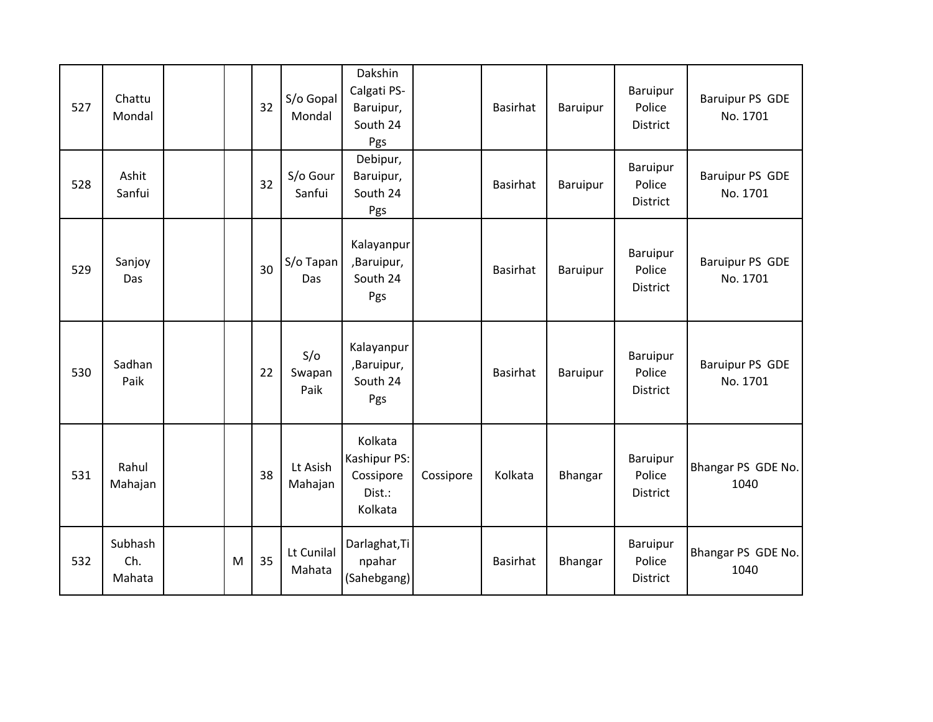| 527 | Chattu<br>Mondal         |   | 32 | S/o Gopal<br>Mondal   | Dakshin<br>Calgati PS-<br>Baruipur,<br>South 24<br>Pgs    |           | <b>Basirhat</b> | Baruipur | Baruipur<br>Police<br><b>District</b> | Baruipur PS GDE<br>No. 1701        |
|-----|--------------------------|---|----|-----------------------|-----------------------------------------------------------|-----------|-----------------|----------|---------------------------------------|------------------------------------|
| 528 | Ashit<br>Sanfui          |   | 32 | S/o Gour<br>Sanfui    | Debipur,<br>Baruipur,<br>South 24<br>Pgs                  |           | Basirhat        | Baruipur | Baruipur<br>Police<br>District        | <b>Baruipur PS GDE</b><br>No. 1701 |
| 529 | Sanjoy<br>Das            |   | 30 | S/o Tapan<br>Das      | Kalayanpur<br>,Baruipur,<br>South 24<br>Pgs               |           | <b>Basirhat</b> | Baruipur | Baruipur<br>Police<br><b>District</b> | <b>Baruipur PS GDE</b><br>No. 1701 |
| 530 | Sadhan<br>Paik           |   | 22 | S/O<br>Swapan<br>Paik | Kalayanpur<br>,Baruipur,<br>South 24<br>Pgs               |           | Basirhat        | Baruipur | Baruipur<br>Police<br>District        | <b>Baruipur PS GDE</b><br>No. 1701 |
| 531 | Rahul<br>Mahajan         |   | 38 | Lt Asish<br>Mahajan   | Kolkata<br>Kashipur PS:<br>Cossipore<br>Dist.:<br>Kolkata | Cossipore | Kolkata         | Bhangar  | Baruipur<br>Police<br>District        | Bhangar PS GDE No.<br>1040         |
| 532 | Subhash<br>Ch.<br>Mahata | M | 35 | Lt Cunilal<br>Mahata  | Darlaghat, Ti<br>npahar<br>(Sahebgang)                    |           | <b>Basirhat</b> | Bhangar  | Baruipur<br>Police<br><b>District</b> | Bhangar PS GDE No.<br>1040         |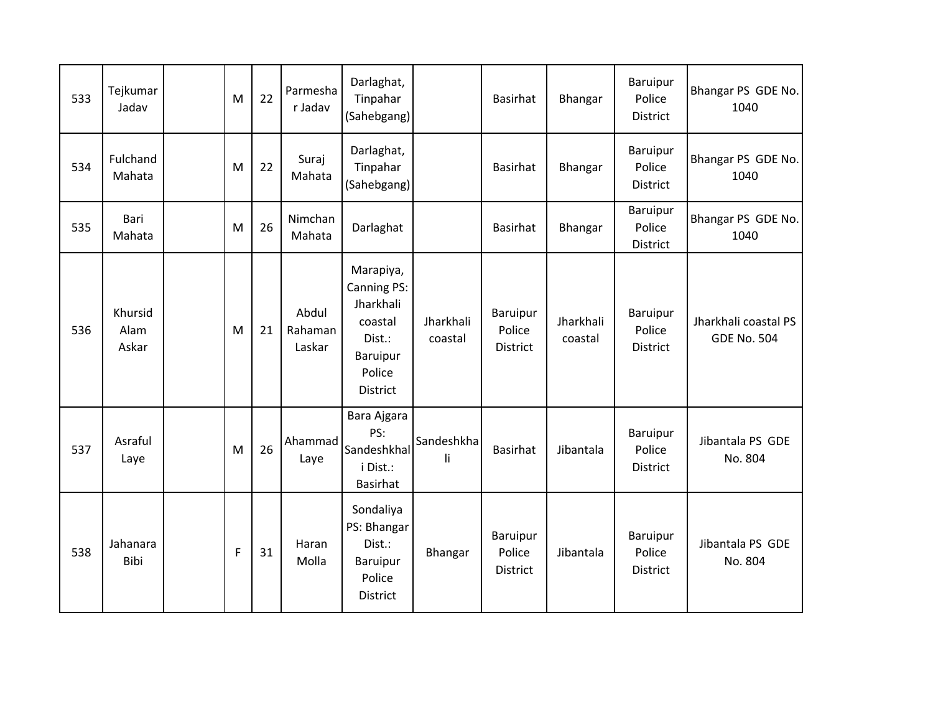| 533 | Tejkumar<br>Jadav        | M           | 22 | Parmesha<br>r Jadav        | Darlaghat,<br>Tinpahar<br>(Sahebgang)                                                               |                      | Basirhat                              | Bhangar              | Baruipur<br>Police<br><b>District</b> | Bhangar PS GDE No.<br>1040                 |
|-----|--------------------------|-------------|----|----------------------------|-----------------------------------------------------------------------------------------------------|----------------------|---------------------------------------|----------------------|---------------------------------------|--------------------------------------------|
| 534 | Fulchand<br>Mahata       | M           | 22 | Suraj<br>Mahata            | Darlaghat,<br>Tinpahar<br>(Sahebgang)                                                               |                      | Basirhat                              | <b>Bhangar</b>       | Baruipur<br>Police<br>District        | Bhangar PS GDE No.<br>1040                 |
| 535 | Bari<br>Mahata           | M           | 26 | Nimchan<br>Mahata          | Darlaghat                                                                                           |                      | Basirhat                              | Bhangar              | Baruipur<br>Police<br>District        | Bhangar PS GDE No.<br>1040                 |
| 536 | Khursid<br>Alam<br>Askar | M           | 21 | Abdul<br>Rahaman<br>Laskar | Marapiya,<br>Canning PS:<br>Jharkhali<br>coastal<br>Dist.:<br>Baruipur<br>Police<br><b>District</b> | Jharkhali<br>coastal | Baruipur<br>Police<br>District        | Jharkhali<br>coastal | Baruipur<br>Police<br><b>District</b> | Jharkhali coastal PS<br><b>GDE No. 504</b> |
| 537 | Asraful<br>Laye          | M           | 26 | Ahammad<br>Laye            | Bara Ajgara<br>PS:<br>Sandeshkhal<br>i Dist.:<br><b>Basirhat</b>                                    | Sandeshkha<br>li     | <b>Basirhat</b>                       | Jibantala            | Baruipur<br>Police<br><b>District</b> | Jibantala PS GDE<br>No. 804                |
| 538 | Jahanara<br>Bibi         | $\mathsf F$ | 31 | Haran<br>Molla             | Sondaliya<br>PS: Bhangar<br>Dist.:<br>Baruipur<br>Police<br><b>District</b>                         | Bhangar              | Baruipur<br>Police<br><b>District</b> | Jibantala            | Baruipur<br>Police<br><b>District</b> | Jibantala PS GDE<br>No. 804                |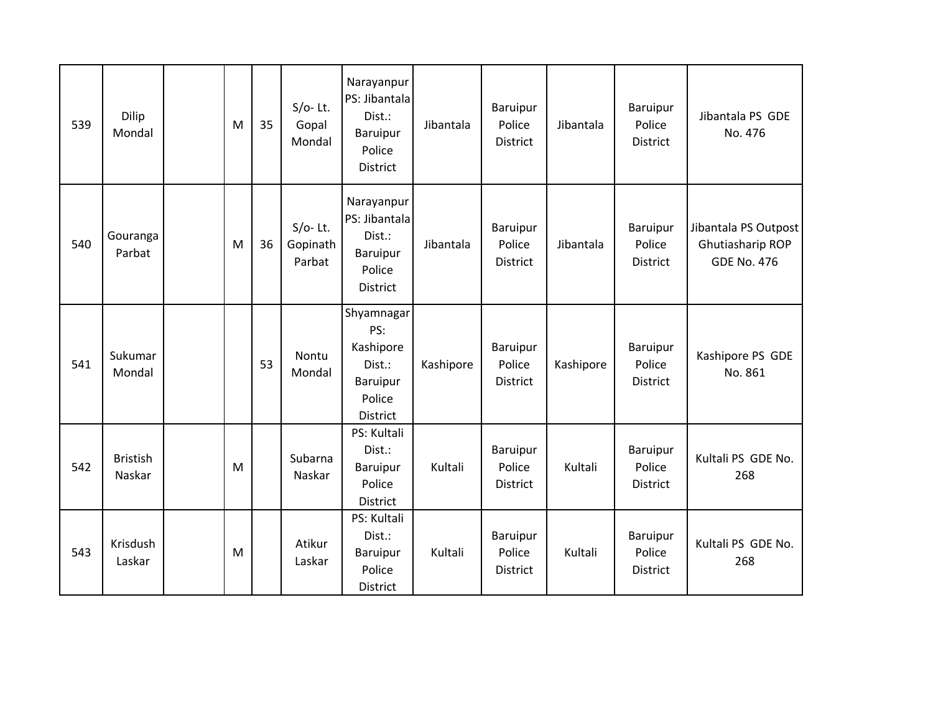| 539 | Dilip<br>Mondal           | M | 35 | $S/O-$ Lt.<br>Gopal<br>Mondal   | Narayanpur<br>PS: Jibantala<br>Dist.:<br>Baruipur<br>Police<br><b>District</b>    | Jibantala | Baruipur<br>Police<br><b>District</b> | Jibantala | Baruipur<br>Police<br>District        | Jibantala PS GDE<br>No. 476                                    |
|-----|---------------------------|---|----|---------------------------------|-----------------------------------------------------------------------------------|-----------|---------------------------------------|-----------|---------------------------------------|----------------------------------------------------------------|
| 540 | Gouranga<br>Parbat        | M | 36 | $S/O-Lt.$<br>Gopinath<br>Parbat | Narayanpur<br>PS: Jibantala<br>Dist.:<br>Baruipur<br>Police<br>District           | Jibantala | Baruipur<br>Police<br>District        | Jibantala | Baruipur<br>Police<br><b>District</b> | Jibantala PS Outpost<br>Ghutiasharip ROP<br><b>GDE No. 476</b> |
| 541 | Sukumar<br>Mondal         |   | 53 | Nontu<br>Mondal                 | Shyamnagar<br>PS:<br>Kashipore<br>Dist.:<br>Baruipur<br>Police<br><b>District</b> | Kashipore | Baruipur<br>Police<br>District        | Kashipore | Baruipur<br>Police<br>District        | Kashipore PS GDE<br>No. 861                                    |
| 542 | <b>Bristish</b><br>Naskar | M |    | Subarna<br>Naskar               | PS: Kultali<br>Dist.:<br>Baruipur<br>Police<br>District                           | Kultali   | Baruipur<br>Police<br>District        | Kultali   | <b>Baruipur</b><br>Police<br>District | Kultali PS GDE No.<br>268                                      |
| 543 | Krisdush<br>Laskar        | M |    | Atikur<br>Laskar                | PS: Kultali<br>Dist.:<br>Baruipur<br>Police<br>District                           | Kultali   | Baruipur<br>Police<br>District        | Kultali   | Baruipur<br>Police<br>District        | Kultali PS GDE No.<br>268                                      |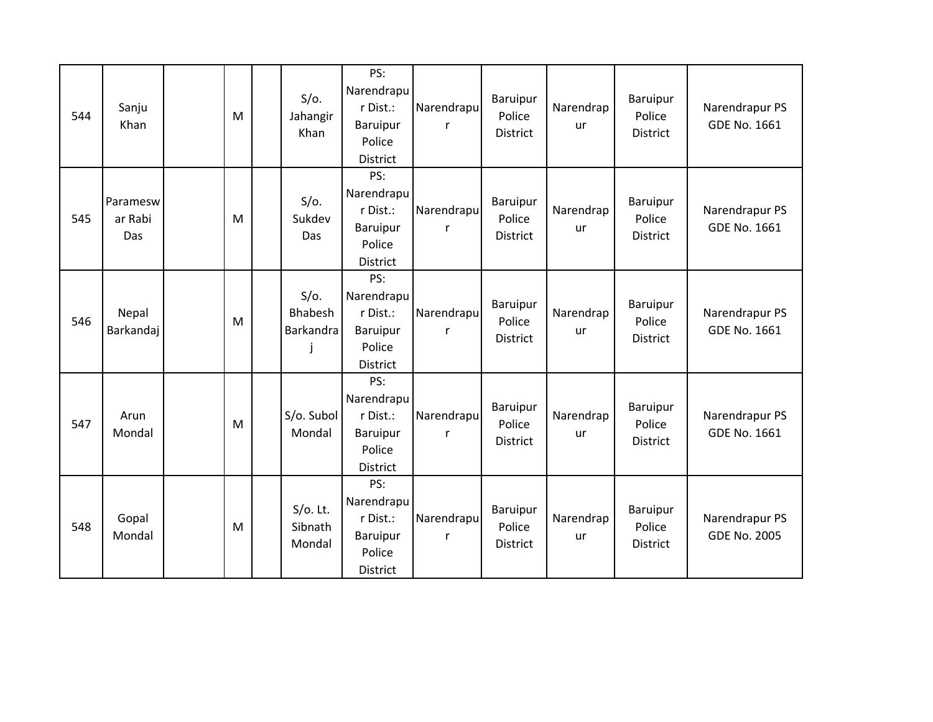| 544 | Sanju<br>Khan              | M | $S/O$ .<br>Jahangir<br>Khan          | PS:<br>Narendrapu<br>r Dist.:<br>Baruipur<br>Police<br>District        | Narendrapu      | Baruipur<br>Police<br><b>District</b>        | Narendrap<br>ur        | Baruipur<br>Police<br><b>District</b> | Narendrapur PS<br>GDE No. 1661        |
|-----|----------------------------|---|--------------------------------------|------------------------------------------------------------------------|-----------------|----------------------------------------------|------------------------|---------------------------------------|---------------------------------------|
| 545 | Paramesw<br>ar Rabi<br>Das | M | $S/O$ .<br>Sukdev<br>Das             | PS:<br>Narendrapu<br>r Dist.:<br>Baruipur<br>Police<br><b>District</b> | Narendrapu<br>r | Baruipur<br>Police<br><b>District</b>        | Narendrap<br>ur        | Baruipur<br>Police<br><b>District</b> | Narendrapur PS<br>GDE No. 1661        |
| 546 | Nepal<br>Barkandaj         | M | $S/O$ .<br>Bhabesh<br>Barkandra<br>J | PS:<br>Narendrapu<br>r Dist.:<br>Baruipur<br>Police<br><b>District</b> | Narendrapu      | Baruipur<br>Police<br>District               | Narendrap<br>ur        | Baruipur<br>Police<br><b>District</b> | Narendrapur PS<br>GDE No. 1661        |
| 547 | Arun<br>Mondal             | M | S/o. Subol<br>Mondal                 | PS:<br>Narendrapu<br>r Dist.:<br>Baruipur<br>Police<br>District        | Narendrapu<br>r | Baruipur<br>Police<br><b>District</b>        | Narendrap<br>ur        | Baruipur<br>Police<br><b>District</b> | Narendrapur PS<br>GDE No. 1661        |
| 548 | Gopal<br>Mondal            | M | $S/O$ . Lt.<br>Sibnath<br>Mondal     | PS:<br>Narendrapu<br>r Dist.:<br>Baruipur<br>Police<br>District        | Narendrapu<br>r | <b>Baruipur</b><br>Police<br><b>District</b> | Narendrap<br><b>ur</b> | Baruipur<br>Police<br><b>District</b> | Narendrapur PS<br><b>GDE No. 2005</b> |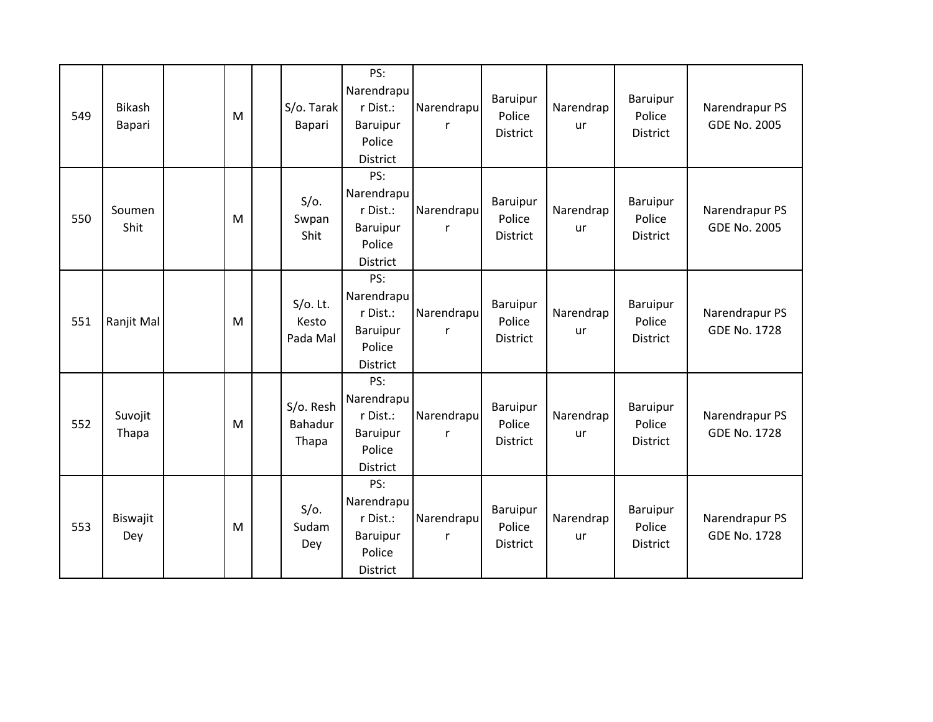| 549 | <b>Bikash</b><br>Bapari | M | S/o. Tarak<br>Bapari             | PS:<br>Narendrapu<br>r Dist.:<br>Baruipur<br>Police<br>District        | Narendrapu      | Baruipur<br>Police<br><b>District</b> | Narendrap<br>ur | Baruipur<br>Police<br><b>District</b> | Narendrapur PS<br><b>GDE No. 2005</b> |
|-----|-------------------------|---|----------------------------------|------------------------------------------------------------------------|-----------------|---------------------------------------|-----------------|---------------------------------------|---------------------------------------|
| 550 | Soumen<br>Shit          | M | $S/O$ .<br>Swpan<br>Shit         | PS:<br>Narendrapu<br>r Dist.:<br>Baruipur<br>Police<br><b>District</b> | Narendrapu<br>r | Baruipur<br>Police<br><b>District</b> | Narendrap<br>ur | Baruipur<br>Police<br><b>District</b> | Narendrapur PS<br><b>GDE No. 2005</b> |
| 551 | Ranjit Mal              | M | $S/O$ . Lt.<br>Kesto<br>Pada Mal | PS:<br>Narendrapu<br>r Dist.:<br>Baruipur<br>Police<br>District        | Narendrapu      | Baruipur<br>Police<br>District        | Narendrap<br>ur | Baruipur<br>Police<br>District        | Narendrapur PS<br><b>GDE No. 1728</b> |
| 552 | Suvojit<br>Thapa        | M | S/o. Resh<br>Bahadur<br>Thapa    | PS:<br>Narendrapu<br>r Dist.:<br><b>Baruipur</b><br>Police<br>District | Narendrapu<br>r | Baruipur<br>Police<br><b>District</b> | Narendrap<br>ur | Baruipur<br>Police<br>District        | Narendrapur PS<br><b>GDE No. 1728</b> |
| 553 | Biswajit<br>Dey         | M | $S/O$ .<br>Sudam<br>Dey          | PS:<br>Narendrapu<br>r Dist.:<br>Baruipur<br>Police<br><b>District</b> | Narendrapu<br>r | Baruipur<br>Police<br><b>District</b> | Narendrap<br>ur | Baruipur<br>Police<br>District        | Narendrapur PS<br><b>GDE No. 1728</b> |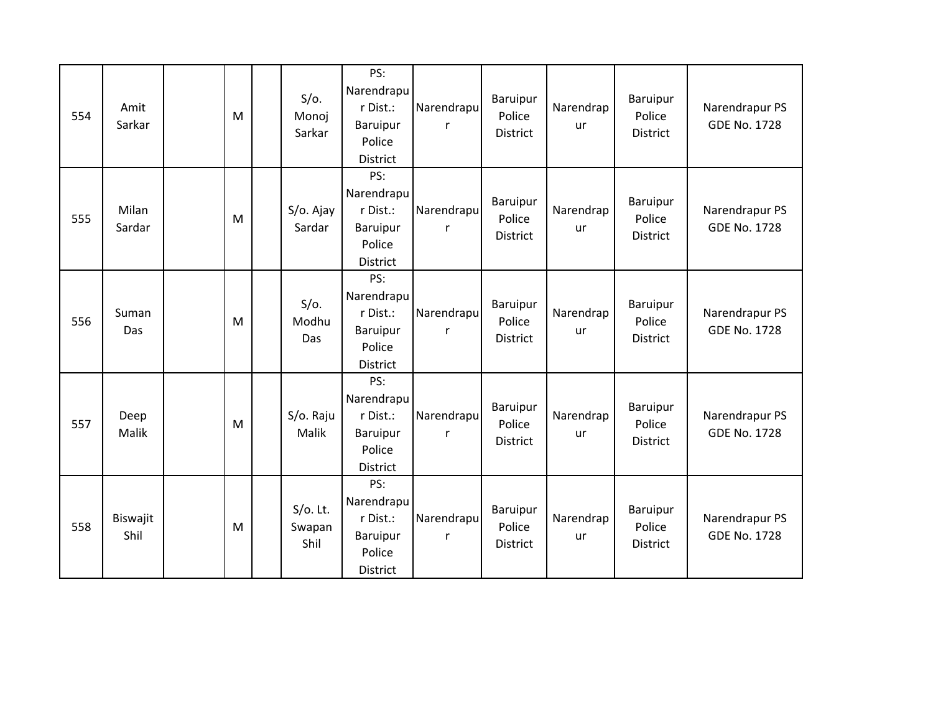| 554 | Amit<br>Sarkar   | M | $S/O$ .<br>Monoj<br>Sarkar    | PS:<br>Narendrapu<br>r Dist.:<br>Baruipur<br>Police<br>District        | Narendrapu      | Baruipur<br>Police<br><b>District</b> | Narendrap<br>ur | Baruipur<br>Police<br>District        | Narendrapur PS<br><b>GDE No. 1728</b> |
|-----|------------------|---|-------------------------------|------------------------------------------------------------------------|-----------------|---------------------------------------|-----------------|---------------------------------------|---------------------------------------|
| 555 | Milan<br>Sardar  | M | S/o. Ajay<br>Sardar           | PS:<br>Narendrapu<br>r Dist.:<br>Baruipur<br>Police<br><b>District</b> | Narendrapu<br>r | Baruipur<br>Police<br><b>District</b> | Narendrap<br>ur | Baruipur<br>Police<br>District        | Narendrapur PS<br><b>GDE No. 1728</b> |
| 556 | Suman<br>Das     | M | $S/O$ .<br>Modhu<br>Das       | PS:<br>Narendrapu<br>r Dist.:<br>Baruipur<br>Police<br>District        | Narendrapu      | Baruipur<br>Police<br><b>District</b> | Narendrap<br>ur | Baruipur<br>Police<br>District        | Narendrapur PS<br><b>GDE No. 1728</b> |
| 557 | Deep<br>Malik    | M | S/o. Raju<br>Malik            | PS:<br>Narendrapu<br>r Dist.:<br>Baruipur<br>Police<br>District        | Narendrapu<br>r | Baruipur<br>Police<br><b>District</b> | Narendrap<br>ur | Baruipur<br>Police<br><b>District</b> | Narendrapur PS<br><b>GDE No. 1728</b> |
| 558 | Biswajit<br>Shil | M | $S/O$ . Lt.<br>Swapan<br>Shil | PS:<br>Narendrapu<br>r Dist.:<br>Baruipur<br>Police<br>District        | Narendrapu<br>r | Baruipur<br>Police<br><b>District</b> | Narendrap<br>ur | Baruipur<br>Police<br>District        | Narendrapur PS<br><b>GDE No. 1728</b> |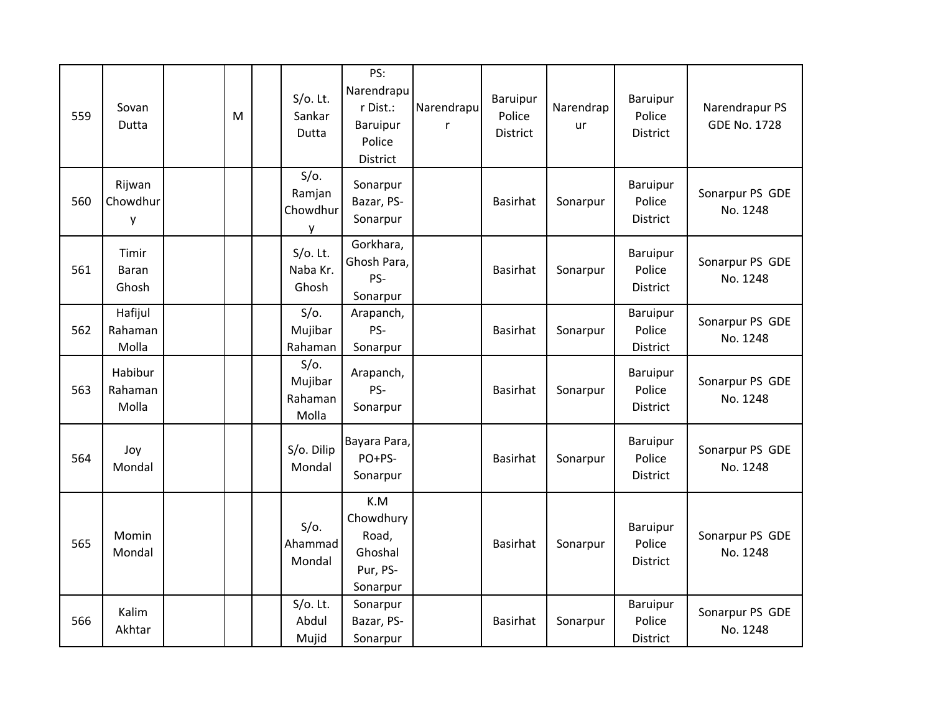| 559 | Sovan<br>Dutta              | M | $S/O$ . Lt.<br>Sankar<br>Dutta         | PS:<br>Narendrapu<br>r Dist.:<br>Baruipur<br>Police<br>District | Narendrapu<br>r | Baruipur<br>Police<br>District | Narendrap<br>ur | Baruipur<br>Police<br>District        | Narendrapur PS<br><b>GDE No. 1728</b> |
|-----|-----------------------------|---|----------------------------------------|-----------------------------------------------------------------|-----------------|--------------------------------|-----------------|---------------------------------------|---------------------------------------|
| 560 | Rijwan<br>Chowdhur<br>у     |   | $S/O$ .<br>Ramjan<br>Chowdhur<br>У     | Sonarpur<br>Bazar, PS-<br>Sonarpur                              |                 | <b>Basirhat</b>                | Sonarpur        | Baruipur<br>Police<br>District        | Sonarpur PS GDE<br>No. 1248           |
| 561 | Timir<br>Baran<br>Ghosh     |   | $S/O$ . Lt.<br>Naba Kr.<br>Ghosh       | Gorkhara,<br>Ghosh Para,<br>PS-<br>Sonarpur                     |                 | <b>Basirhat</b>                | Sonarpur        | Baruipur<br>Police<br><b>District</b> | Sonarpur PS GDE<br>No. 1248           |
| 562 | Hafijul<br>Rahaman<br>Molla |   | $S/O$ .<br>Mujibar<br>Rahaman          | Arapanch,<br>PS-<br>Sonarpur                                    |                 | <b>Basirhat</b>                | Sonarpur        | Baruipur<br>Police<br>District        | Sonarpur PS GDE<br>No. 1248           |
| 563 | Habibur<br>Rahaman<br>Molla |   | $S/O$ .<br>Mujibar<br>Rahaman<br>Molla | Arapanch,<br>PS-<br>Sonarpur                                    |                 | <b>Basirhat</b>                | Sonarpur        | Baruipur<br>Police<br>District        | Sonarpur PS GDE<br>No. 1248           |
| 564 | Joy<br>Mondal               |   | S/o. Dilip<br>Mondal                   | Bayara Para,<br>PO+PS-<br>Sonarpur                              |                 | <b>Basirhat</b>                | Sonarpur        | Baruipur<br>Police<br><b>District</b> | Sonarpur PS GDE<br>No. 1248           |
| 565 | Momin<br>Mondal             |   | $S/O$ .<br>Ahammad<br>Mondal           | K.M<br>Chowdhury<br>Road,<br>Ghoshal<br>Pur, PS-<br>Sonarpur    |                 | <b>Basirhat</b>                | Sonarpur        | Baruipur<br>Police<br>District        | Sonarpur PS GDE<br>No. 1248           |
| 566 | Kalim<br>Akhtar             |   | $S/O$ . Lt.<br>Abdul<br>Mujid          | Sonarpur<br>Bazar, PS-<br>Sonarpur                              |                 | <b>Basirhat</b>                | Sonarpur        | Baruipur<br>Police<br>District        | Sonarpur PS GDE<br>No. 1248           |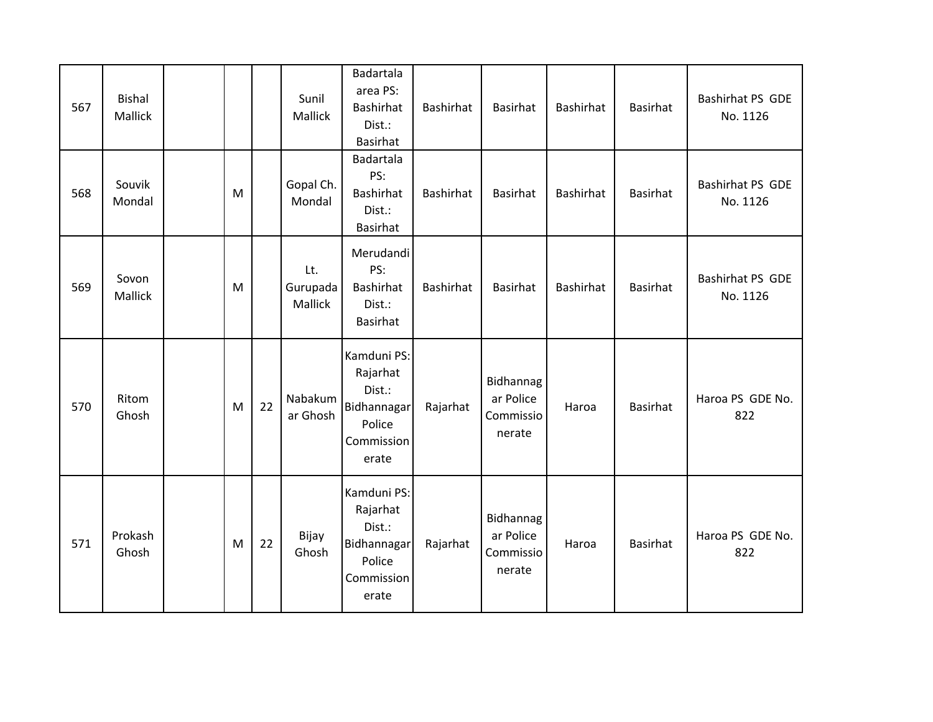| 567 | <b>Bishal</b><br>Mallick |   |    | Sunil<br><b>Mallick</b>    | Badartala<br>area PS:<br><b>Bashirhat</b><br>Dist.:<br>Basirhat                          | Bashirhat | <b>Basirhat</b>                               | Bashirhat | <b>Basirhat</b> | Bashirhat PS GDE<br>No. 1126 |
|-----|--------------------------|---|----|----------------------------|------------------------------------------------------------------------------------------|-----------|-----------------------------------------------|-----------|-----------------|------------------------------|
| 568 | Souvik<br>Mondal         | M |    | Gopal Ch.<br>Mondal        | Badartala<br>PS:<br><b>Bashirhat</b><br>Dist.:<br><b>Basirhat</b>                        | Bashirhat | <b>Basirhat</b>                               | Bashirhat | Basirhat        | Bashirhat PS GDE<br>No. 1126 |
| 569 | Sovon<br>Mallick         | M |    | Lt.<br>Gurupada<br>Mallick | Merudandi<br>PS:<br><b>Bashirhat</b><br>Dist.:<br><b>Basirhat</b>                        | Bashirhat | <b>Basirhat</b>                               | Bashirhat | Basirhat        | Bashirhat PS GDE<br>No. 1126 |
| 570 | Ritom<br>Ghosh           | M | 22 | Nabakum<br>ar Ghosh        | Kamduni PS:<br>Rajarhat<br>Dist.:<br>Bidhannagar<br>Police<br>Commission<br>erate        | Rajarhat  | Bidhannag<br>ar Police<br>Commissio<br>nerate | Haroa     | <b>Basirhat</b> | Haroa PS GDE No.<br>822      |
| 571 | Prokash<br>Ghosh         | M | 22 | Bijay<br>Ghosh             | Kamduni PS:<br>Rajarhat<br>Dist.:<br><b>Bidhannagar</b><br>Police<br>Commission<br>erate | Rajarhat  | Bidhannag<br>ar Police<br>Commissio<br>nerate | Haroa     | <b>Basirhat</b> | Haroa PS GDE No.<br>822      |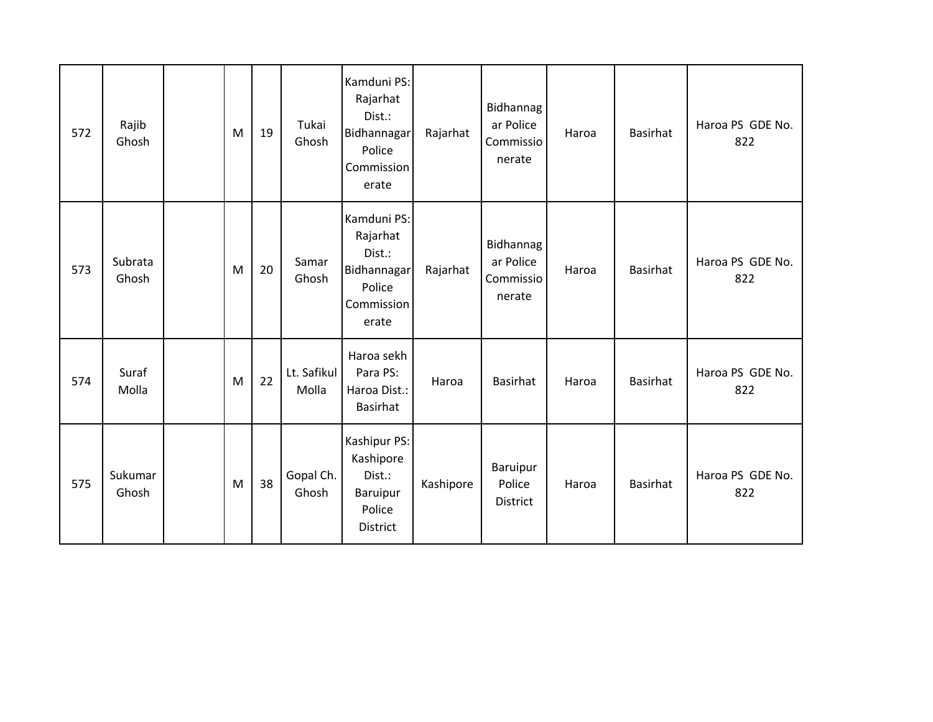| 572 | Rajib<br>Ghosh   | M | 19 | Tukai<br>Ghosh       | Kamduni PS:<br>Rajarhat<br>Dist.:<br>Bidhannagar<br>Police<br>Commission<br>erate | Rajarhat  | Bidhannag<br>ar Police<br>Commissio<br>nerate | Haroa | <b>Basirhat</b> | Haroa PS GDE No.<br>822 |
|-----|------------------|---|----|----------------------|-----------------------------------------------------------------------------------|-----------|-----------------------------------------------|-------|-----------------|-------------------------|
| 573 | Subrata<br>Ghosh | M | 20 | Samar<br>Ghosh       | Kamduni PS:<br>Rajarhat<br>Dist.:<br>Bidhannagar<br>Police<br>Commission<br>erate | Rajarhat  | Bidhannag<br>ar Police<br>Commissio<br>nerate | Haroa | <b>Basirhat</b> | Haroa PS GDE No.<br>822 |
| 574 | Suraf<br>Molla   | M | 22 | Lt. Safikul<br>Molla | Haroa sekh<br>Para PS:<br>Haroa Dist.:<br>Basirhat                                | Haroa     | <b>Basirhat</b>                               | Haroa | <b>Basirhat</b> | Haroa PS GDE No.<br>822 |
| 575 | Sukumar<br>Ghosh | M | 38 | Gopal Ch.<br>Ghosh   | Kashipur PS:<br>Kashipore<br>Dist.:<br>Baruipur<br>Police<br>District             | Kashipore | Baruipur<br>Police<br>District                | Haroa | <b>Basirhat</b> | Haroa PS GDE No.<br>822 |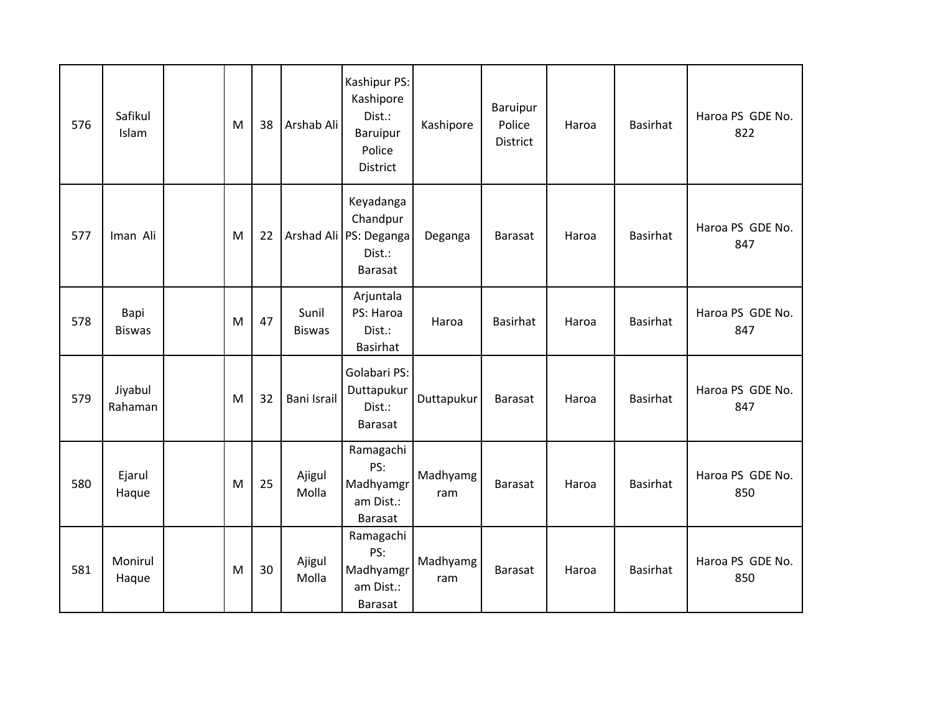| 576 | Safikul<br>Islam      | M | 38 | Arshab Ali             | Kashipur PS:<br>Kashipore<br>Dist.:<br>Baruipur<br>Police<br><b>District</b>  | Kashipore       | Baruipur<br>Police<br><b>District</b> | Haroa | <b>Basirhat</b> | Haroa PS GDE No.<br>822 |
|-----|-----------------------|---|----|------------------------|-------------------------------------------------------------------------------|-----------------|---------------------------------------|-------|-----------------|-------------------------|
| 577 | Iman Ali              | M | 22 |                        | Keyadanga<br>Chandpur<br>Arshad Ali   PS: Deganga<br>Dist.:<br><b>Barasat</b> | Deganga         | <b>Barasat</b>                        | Haroa | <b>Basirhat</b> | Haroa PS GDE No.<br>847 |
| 578 | Bapi<br><b>Biswas</b> | M | 47 | Sunil<br><b>Biswas</b> | Arjuntala<br>PS: Haroa<br>Dist.:<br><b>Basirhat</b>                           | Haroa           | <b>Basirhat</b>                       | Haroa | <b>Basirhat</b> | Haroa PS GDE No.<br>847 |
| 579 | Jiyabul<br>Rahaman    | M | 32 | <b>Bani Israil</b>     | Golabari PS:<br>Duttapukur<br>Dist.:<br><b>Barasat</b>                        | Duttapukur      | <b>Barasat</b>                        | Haroa | <b>Basirhat</b> | Haroa PS GDE No.<br>847 |
| 580 | Ejarul<br>Haque       | M | 25 | Ajigul<br>Molla        | Ramagachi<br>PS:<br>Madhyamgr<br>am Dist.:<br>Barasat                         | Madhyamg<br>ram | Barasat                               | Haroa | <b>Basirhat</b> | Haroa PS GDE No.<br>850 |
| 581 | Monirul<br>Haque      | M | 30 | Ajigul<br>Molla        | Ramagachi<br>PS:<br>Madhyamgr<br>am Dist.:<br><b>Barasat</b>                  | Madhyamg<br>ram | Barasat                               | Haroa | <b>Basirhat</b> | Haroa PS GDE No.<br>850 |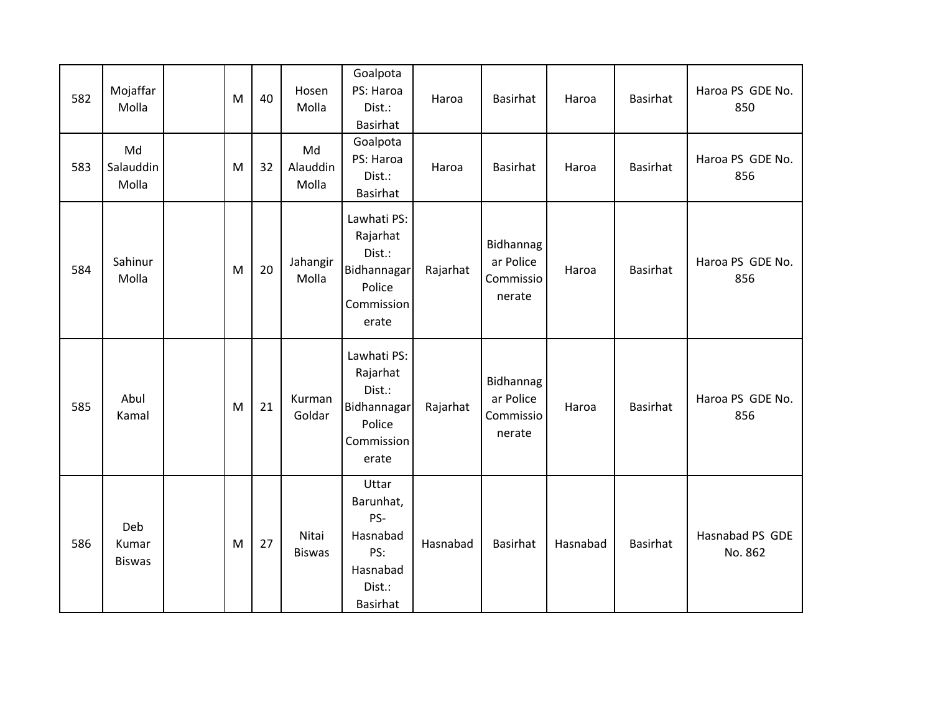| 582 | Mojaffar<br>Molla             | M | 40 | Hosen<br>Molla          | Goalpota<br>PS: Haroa<br>Dist.:<br><b>Basirhat</b>                                       | Haroa    | Basirhat                                      | Haroa    | Basirhat        | Haroa PS GDE No.<br>850    |
|-----|-------------------------------|---|----|-------------------------|------------------------------------------------------------------------------------------|----------|-----------------------------------------------|----------|-----------------|----------------------------|
| 583 | Md<br>Salauddin<br>Molla      | M | 32 | Md<br>Alauddin<br>Molla | Goalpota<br>PS: Haroa<br>Dist.:<br>Basirhat                                              | Haroa    | Basirhat                                      | Haroa    | Basirhat        | Haroa PS GDE No.<br>856    |
| 584 | Sahinur<br>Molla              | M | 20 | Jahangir<br>Molla       | Lawhati PS:<br>Rajarhat<br>Dist.:<br><b>Bidhannagar</b><br>Police<br>Commission<br>erate | Rajarhat | Bidhannag<br>ar Police<br>Commissio<br>nerate | Haroa    | <b>Basirhat</b> | Haroa PS GDE No.<br>856    |
| 585 | Abul<br>Kamal                 | M | 21 | Kurman<br>Goldar        | Lawhati PS:<br>Rajarhat<br>Dist.:<br>Bidhannagar<br>Police<br>Commission<br>erate        | Rajarhat | Bidhannag<br>ar Police<br>Commissio<br>nerate | Haroa    | Basirhat        | Haroa PS GDE No.<br>856    |
| 586 | Deb<br>Kumar<br><b>Biswas</b> | M | 27 | Nitai<br><b>Biswas</b>  | Uttar<br>Barunhat,<br>PS-<br>Hasnabad<br>PS:<br>Hasnabad<br>Dist.:<br><b>Basirhat</b>    | Hasnabad | Basirhat                                      | Hasnabad | <b>Basirhat</b> | Hasnabad PS GDE<br>No. 862 |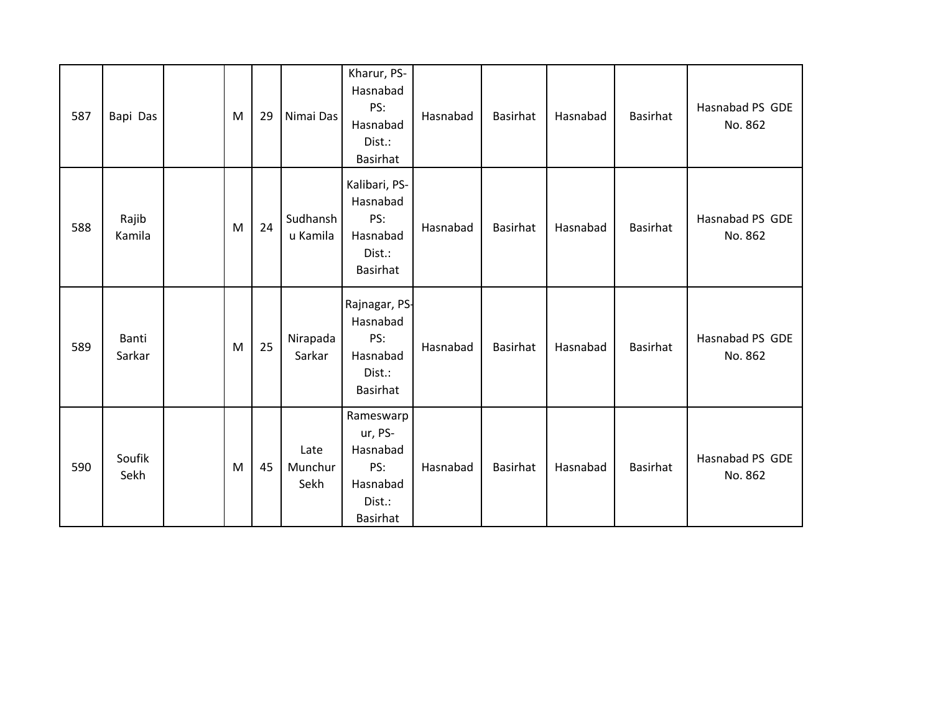| 587 | Bapi Das        | M | 29 | Nimai Das               | Kharur, PS-<br>Hasnabad<br>PS:<br>Hasnabad<br>Dist.:<br><b>Basirhat</b>          | Hasnabad | <b>Basirhat</b> | Hasnabad | <b>Basirhat</b> | Hasnabad PS GDE<br>No. 862 |
|-----|-----------------|---|----|-------------------------|----------------------------------------------------------------------------------|----------|-----------------|----------|-----------------|----------------------------|
| 588 | Rajib<br>Kamila | M | 24 | Sudhansh<br>u Kamila    | Kalibari, PS-<br>Hasnabad<br>PS:<br>Hasnabad<br>Dist.:<br><b>Basirhat</b>        | Hasnabad | <b>Basirhat</b> | Hasnabad | <b>Basirhat</b> | Hasnabad PS GDE<br>No. 862 |
| 589 | Banti<br>Sarkar | M | 25 | Nirapada<br>Sarkar      | Rajnagar, PS-<br>Hasnabad<br>PS:<br>Hasnabad<br>Dist.:<br><b>Basirhat</b>        | Hasnabad | <b>Basirhat</b> | Hasnabad | Basirhat        | Hasnabad PS GDE<br>No. 862 |
| 590 | Soufik<br>Sekh  | M | 45 | Late<br>Munchur<br>Sekh | Rameswarp<br>ur, PS-<br>Hasnabad<br>PS:<br>Hasnabad<br>Dist.:<br><b>Basirhat</b> | Hasnabad | Basirhat        | Hasnabad | Basirhat        | Hasnabad PS GDE<br>No. 862 |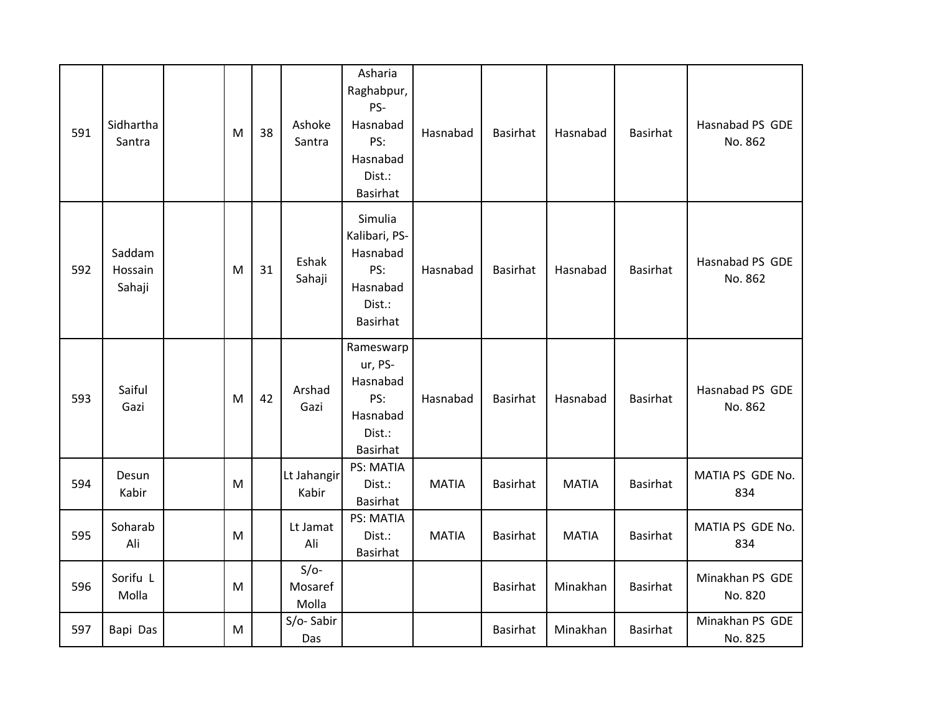| 591 | Sidhartha<br>Santra         | M | 38 | Ashoke<br>Santra           | Asharia<br>Raghabpur,<br>PS-<br>Hasnabad<br>PS:<br>Hasnabad<br>Dist.:<br>Basirhat    | Hasnabad     | <b>Basirhat</b> | Hasnabad     | <b>Basirhat</b> | Hasnabad PS GDE<br>No. 862 |
|-----|-----------------------------|---|----|----------------------------|--------------------------------------------------------------------------------------|--------------|-----------------|--------------|-----------------|----------------------------|
| 592 | Saddam<br>Hossain<br>Sahaji | M | 31 | Eshak<br>Sahaji            | Simulia<br>Kalibari, PS-<br>Hasnabad<br>PS:<br>Hasnabad<br>Dist.:<br><b>Basirhat</b> | Hasnabad     | <b>Basirhat</b> | Hasnabad     | <b>Basirhat</b> | Hasnabad PS GDE<br>No. 862 |
| 593 | Saiful<br>Gazi              | M | 42 | Arshad<br>Gazi             | Rameswarp<br>ur, PS-<br>Hasnabad<br>PS:<br>Hasnabad<br>Dist.:<br><b>Basirhat</b>     | Hasnabad     | <b>Basirhat</b> | Hasnabad     | <b>Basirhat</b> | Hasnabad PS GDE<br>No. 862 |
| 594 | Desun<br>Kabir              | M |    | Lt Jahangir<br>Kabir       | PS: MATIA<br>Dist.:<br><b>Basirhat</b>                                               | <b>MATIA</b> | <b>Basirhat</b> | <b>MATIA</b> | <b>Basirhat</b> | MATIA PS GDE No.<br>834    |
| 595 | Soharab<br>Ali              | M |    | Lt Jamat<br>Ali            | <b>PS: MATIA</b><br>Dist.:<br>Basirhat                                               | <b>MATIA</b> | <b>Basirhat</b> | <b>MATIA</b> | <b>Basirhat</b> | MATIA PS GDE No.<br>834    |
| 596 | Sorifu L<br>Molla           | M |    | $S/O-$<br>Mosaref<br>Molla |                                                                                      |              | <b>Basirhat</b> | Minakhan     | <b>Basirhat</b> | Minakhan PS GDE<br>No. 820 |
| 597 | Bapi Das                    | M |    | S/o-Sabir<br>Das           |                                                                                      |              | <b>Basirhat</b> | Minakhan     | <b>Basirhat</b> | Minakhan PS GDE<br>No. 825 |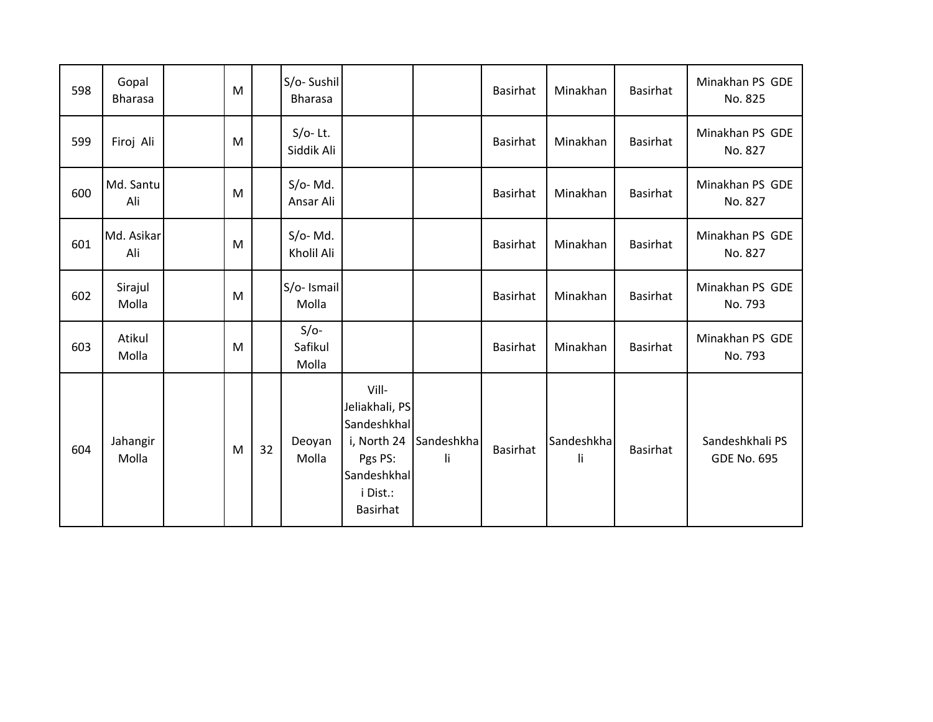| 598 | Gopal<br><b>Bharasa</b> | M |    | S/o-Sushil<br><b>Bharasa</b> |                                                                                                                |                   | <b>Basirhat</b> | Minakhan         | <b>Basirhat</b> | Minakhan PS GDE<br>No. 825            |
|-----|-------------------------|---|----|------------------------------|----------------------------------------------------------------------------------------------------------------|-------------------|-----------------|------------------|-----------------|---------------------------------------|
| 599 | Firoj Ali               | M |    | $S/O-$ Lt.<br>Siddik Ali     |                                                                                                                |                   | <b>Basirhat</b> | Minakhan         | <b>Basirhat</b> | Minakhan PS GDE<br>No. 827            |
| 600 | Md. Santu<br>Ali        | M |    | $S/O-Md.$<br>Ansar Ali       |                                                                                                                |                   | <b>Basirhat</b> | Minakhan         | <b>Basirhat</b> | Minakhan PS GDE<br>No. 827            |
| 601 | Md. Asikar<br>Ali       | M |    | $S/O-Md.$<br>Kholil Ali      |                                                                                                                |                   | Basirhat        | Minakhan         | Basirhat        | Minakhan PS GDE<br>No. 827            |
| 602 | Sirajul<br>Molla        | M |    | S/o- Ismail<br>Molla         |                                                                                                                |                   | Basirhat        | Minakhan         | Basirhat        | Minakhan PS GDE<br>No. 793            |
| 603 | Atikul<br>Molla         | M |    | $S/O-$<br>Safikul<br>Molla   |                                                                                                                |                   | <b>Basirhat</b> | Minakhan         | <b>Basirhat</b> | Minakhan PS GDE<br>No. 793            |
| 604 | Jahangir<br>Molla       | M | 32 | Deoyan<br>Molla              | Vill-<br>Jeliakhali, PS<br>Sandeshkhal<br>i, North 24<br>Pgs PS:<br>Sandeshkhal<br>i Dist.:<br><b>Basirhat</b> | Sandeshkha<br>li. | Basirhat        | Sandeshkha<br>li | <b>Basirhat</b> | Sandeshkhali PS<br><b>GDE No. 695</b> |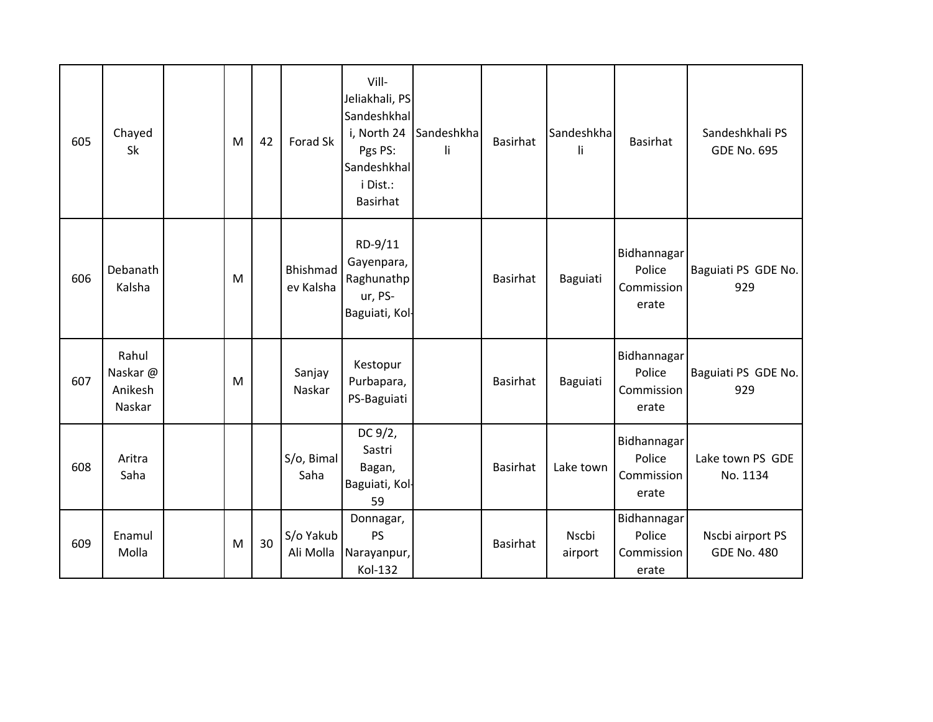| 605 | Chayed<br>Sk                          | M | 42 | Forad Sk               | Vill-<br>Jeliakhali, PS<br>Sandeshkhal<br>i, North 24<br>Pgs PS:<br>Sandeshkhal<br>i Dist.:<br>Basirhat | Sandeshkha<br>li. | <b>Basirhat</b> | Sandeshkha<br>li | <b>Basirhat</b>                              | Sandeshkhali PS<br><b>GDE No. 695</b>  |
|-----|---------------------------------------|---|----|------------------------|---------------------------------------------------------------------------------------------------------|-------------------|-----------------|------------------|----------------------------------------------|----------------------------------------|
| 606 | Debanath<br>Kalsha                    | M |    | Bhishmad<br>ev Kalsha  | RD-9/11<br>Gayenpara,<br>Raghunathp<br>ur, PS-<br>Baguiati, Kol-                                        |                   | <b>Basirhat</b> | Baguiati         | Bidhannagar<br>Police<br>Commission<br>erate | Baguiati PS GDE No.<br>929             |
| 607 | Rahul<br>Naskar@<br>Anikesh<br>Naskar | M |    | Sanjay<br>Naskar       | Kestopur<br>Purbapara,<br>PS-Baguiati                                                                   |                   | Basirhat        | Baguiati         | Bidhannagar<br>Police<br>Commission<br>erate | Baguiati PS GDE No.<br>929             |
| 608 | Aritra<br>Saha                        |   |    | S/o, Bimal<br>Saha     | DC 9/2,<br>Sastri<br>Bagan,<br>Baguiati, Kol-<br>59                                                     |                   | <b>Basirhat</b> | Lake town        | Bidhannagar<br>Police<br>Commission<br>erate | Lake town PS GDE<br>No. 1134           |
| 609 | Enamul<br>Molla                       | M | 30 | S/o Yakub<br>Ali Molla | Donnagar,<br><b>PS</b><br>Narayanpur,<br>Kol-132                                                        |                   | <b>Basirhat</b> | Nscbi<br>airport | Bidhannagar<br>Police<br>Commission<br>erate | Nscbi airport PS<br><b>GDE No. 480</b> |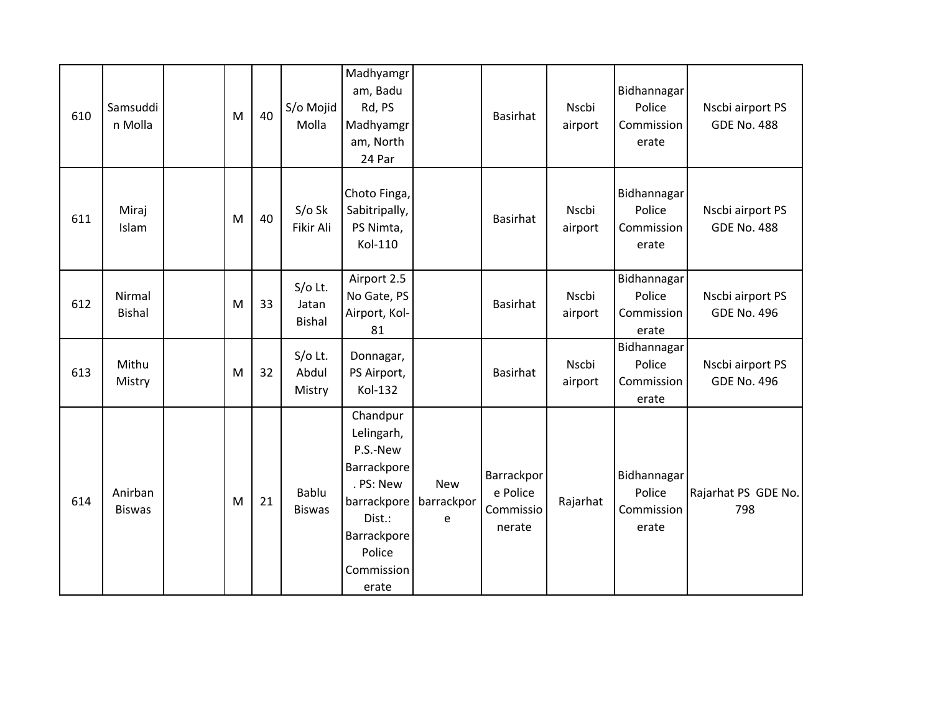| 610 | Samsuddi<br>n Molla      | M | 40 | S/o Mojid<br>Molla                  | Madhyamgr<br>am, Badu<br>Rd, PS<br>Madhyamgr<br>am, North<br>24 Par                                                                     |                               | <b>Basirhat</b>                               | Nscbi<br>airport | Bidhannagar<br>Police<br>Commission<br>erate | Nscbi airport PS<br><b>GDE No. 488</b> |
|-----|--------------------------|---|----|-------------------------------------|-----------------------------------------------------------------------------------------------------------------------------------------|-------------------------------|-----------------------------------------------|------------------|----------------------------------------------|----------------------------------------|
| 611 | Miraj<br>Islam           | M | 40 | $S/O$ Sk<br>Fikir Ali               | Choto Finga,<br>Sabitripally,<br>PS Nimta,<br>Kol-110                                                                                   |                               | <b>Basirhat</b>                               | Nscbi<br>airport | Bidhannagar<br>Police<br>Commission<br>erate | Nscbi airport PS<br><b>GDE No. 488</b> |
| 612 | Nirmal<br><b>Bishal</b>  | M | 33 | $S/O$ Lt.<br>Jatan<br><b>Bishal</b> | Airport 2.5<br>No Gate, PS<br>Airport, Kol-<br>81                                                                                       |                               | <b>Basirhat</b>                               | Nscbi<br>airport | Bidhannagar<br>Police<br>Commission<br>erate | Nscbi airport PS<br><b>GDE No. 496</b> |
| 613 | Mithu<br>Mistry          | M | 32 | $S/O$ Lt.<br>Abdul<br>Mistry        | Donnagar,<br>PS Airport,<br>Kol-132                                                                                                     |                               | <b>Basirhat</b>                               | Nscbi<br>airport | Bidhannagar<br>Police<br>Commission<br>erate | Nscbi airport PS<br><b>GDE No. 496</b> |
| 614 | Anirban<br><b>Biswas</b> | M | 21 | Bablu<br><b>Biswas</b>              | Chandpur<br>Lelingarh,<br>P.S.-New<br>Barrackpore<br>. PS: New<br>barrackpore<br>Dist.:<br>Barrackpore<br>Police<br>Commission<br>erate | <b>New</b><br>barrackpor<br>e | Barrackpor<br>e Police<br>Commissio<br>nerate | Rajarhat         | Bidhannagar<br>Police<br>Commission<br>erate | Rajarhat PS GDE No.<br>798             |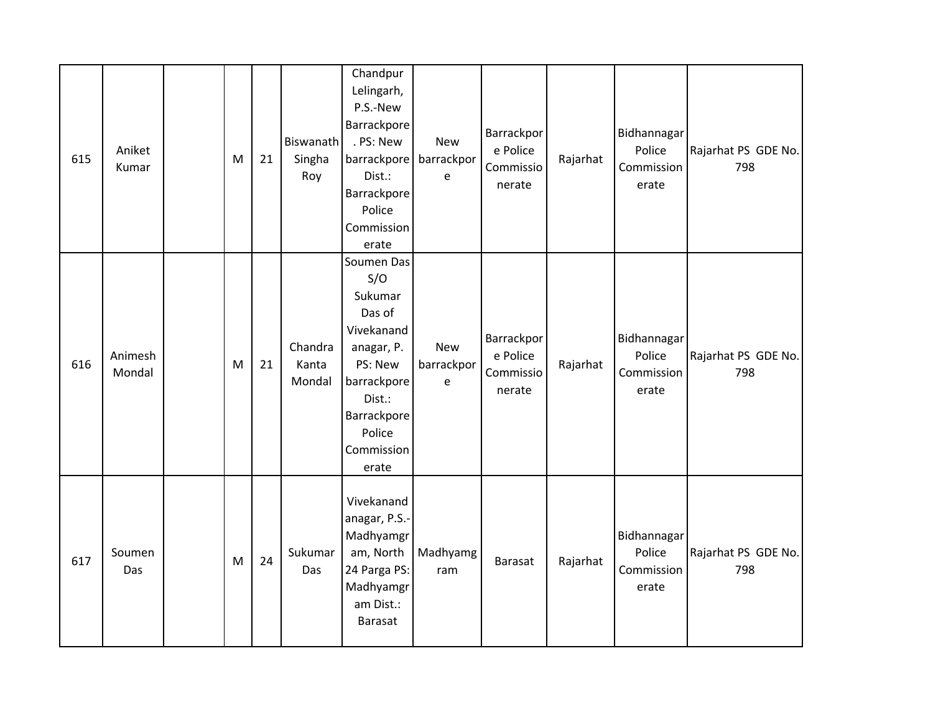| 615 | Aniket<br>Kumar   | M | 21 | Biswanath<br>Singha<br>Roy | Chandpur<br>Lelingarh,<br>P.S.-New<br>Barrackpore<br>. PS: New<br>barrackpore<br>Dist.:<br>Barrackpore<br>Police<br>Commission<br>erate                | <b>New</b><br>barrackpor<br>e | Barrackpor<br>e Police<br>Commissio<br>nerate | Rajarhat | Bidhannagar<br>Police<br>Commission<br>erate | Rajarhat PS GDE No.<br>798 |
|-----|-------------------|---|----|----------------------------|--------------------------------------------------------------------------------------------------------------------------------------------------------|-------------------------------|-----------------------------------------------|----------|----------------------------------------------|----------------------------|
| 616 | Animesh<br>Mondal | M | 21 | Chandra<br>Kanta<br>Mondal | Soumen Das<br>S/O<br>Sukumar<br>Das of<br>Vivekanand<br>anagar, P.<br>PS: New<br>barrackpore<br>Dist.:<br>Barrackpore<br>Police<br>Commission<br>erate | <b>New</b><br>barrackpor<br>e | Barrackpor<br>e Police<br>Commissio<br>nerate | Rajarhat | Bidhannagar<br>Police<br>Commission<br>erate | Rajarhat PS GDE No.<br>798 |
| 617 | Soumen<br>Das     | M | 24 | Sukumar<br>Das             | Vivekanand<br>anagar, P.S.-<br>Madhyamgr<br>am, North<br>24 Parga PS:<br>Madhyamgr<br>am Dist.:<br>Barasat                                             | Madhyamg<br>ram               | Barasat                                       | Rajarhat | Bidhannagar<br>Police<br>Commission<br>erate | Rajarhat PS GDE No.<br>798 |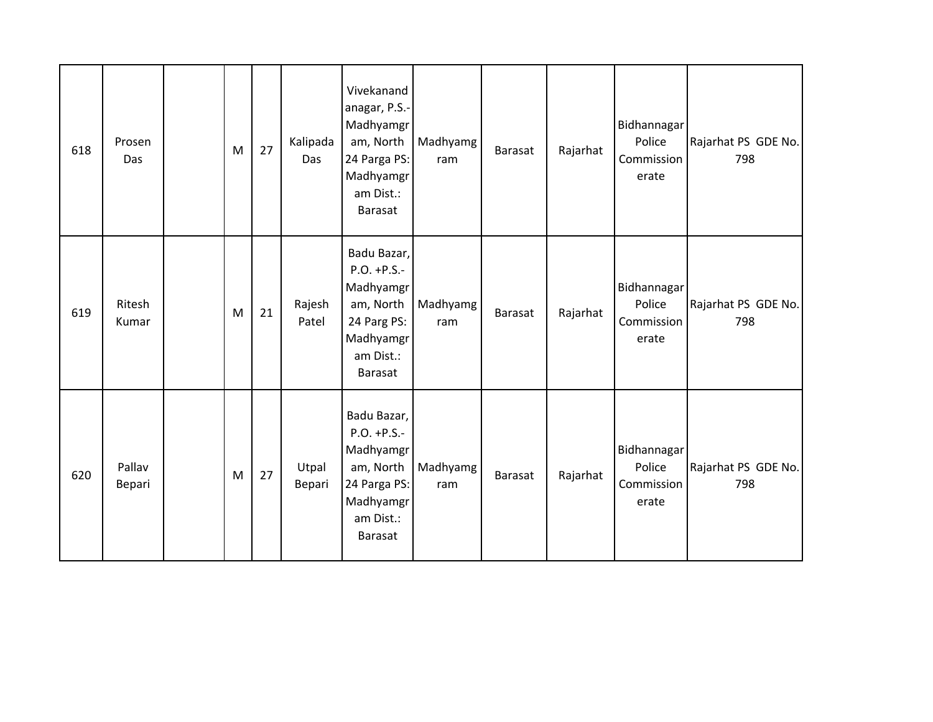| 618 | Prosen<br>Das    | M | 27 | Kalipada<br>Das | Vivekanand<br>anagar, P.S.-<br>Madhyamgr<br>am, North<br>24 Parga PS:<br>Madhyamgr<br>am Dist.:<br>Barasat           | Madhyamg<br>ram | <b>Barasat</b> | Rajarhat | Bidhannagar<br>Police<br>Commission<br>erate | Rajarhat PS GDE No.<br>798 |
|-----|------------------|---|----|-----------------|----------------------------------------------------------------------------------------------------------------------|-----------------|----------------|----------|----------------------------------------------|----------------------------|
| 619 | Ritesh<br>Kumar  | M | 21 | Rajesh<br>Patel | Badu Bazar,<br>$P.O. + P.S. -$<br>Madhyamgr<br>am, North<br>24 Parg PS:<br>Madhyamgr<br>am Dist.:<br>Barasat         | Madhyamg<br>ram | Barasat        | Rajarhat | Bidhannagar<br>Police<br>Commission<br>erate | Rajarhat PS GDE No.<br>798 |
| 620 | Pallav<br>Bepari | M | 27 | Utpal<br>Bepari | Badu Bazar,<br>$P.O. + P.S. -$<br>Madhyamgr<br>am, North<br>24 Parga PS:<br>Madhyamgr<br>am Dist.:<br><b>Barasat</b> | Madhyamg<br>ram | Barasat        | Rajarhat | Bidhannagar<br>Police<br>Commission<br>erate | Rajarhat PS GDE No.<br>798 |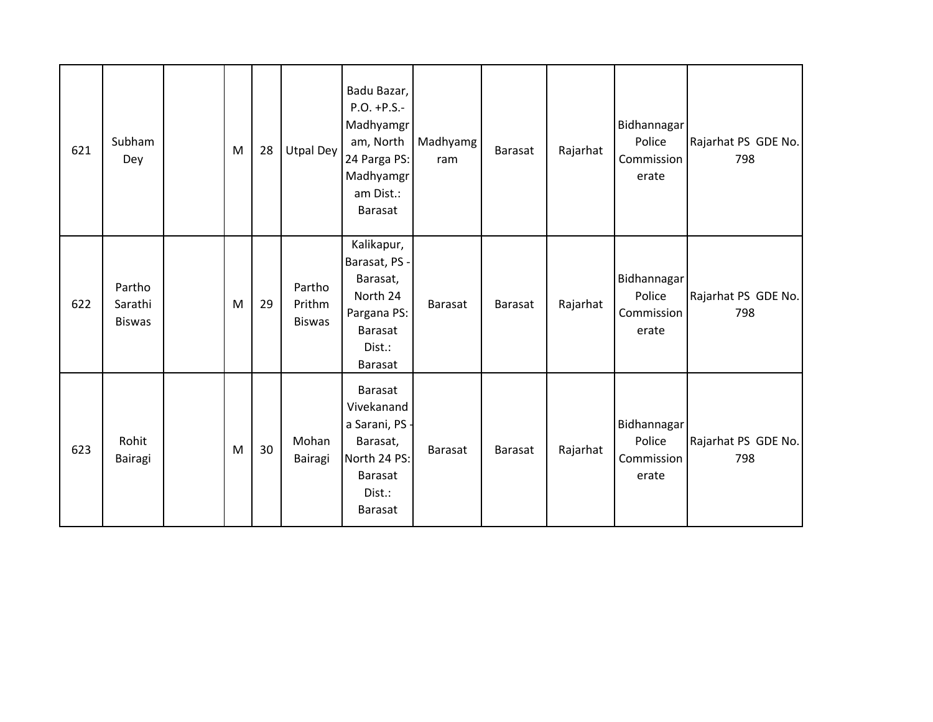| 621 | Subham<br>Dey                      | M | 28 | <b>Utpal Dey</b>                  | Badu Bazar,<br>$P.O. + P.S. -$<br>Madhyamgr<br>am, North<br>24 Parga PS:<br>Madhyamgr<br>am Dist.:<br>Barasat    | Madhyamg<br>ram | Barasat        | Rajarhat | Bidhannagar<br>Police<br>Commission<br>erate | Rajarhat PS GDE No.<br>798 |
|-----|------------------------------------|---|----|-----------------------------------|------------------------------------------------------------------------------------------------------------------|-----------------|----------------|----------|----------------------------------------------|----------------------------|
| 622 | Partho<br>Sarathi<br><b>Biswas</b> | M | 29 | Partho<br>Prithm<br><b>Biswas</b> | Kalikapur,<br>Barasat, PS -<br>Barasat,<br>North 24<br>Pargana PS:<br><b>Barasat</b><br>Dist.:<br><b>Barasat</b> | Barasat         | <b>Barasat</b> | Rajarhat | Bidhannagar<br>Police<br>Commission<br>erate | Rajarhat PS GDE No.<br>798 |
| 623 | Rohit<br>Bairagi                   | M | 30 | Mohan<br>Bairagi                  | <b>Barasat</b><br>Vivekanand<br>a Sarani, PS<br>Barasat,<br>North 24 PS:<br>Barasat<br>Dist.:<br>Barasat         | Barasat         | Barasat        | Rajarhat | Bidhannagar<br>Police<br>Commission<br>erate | Rajarhat PS GDE No.<br>798 |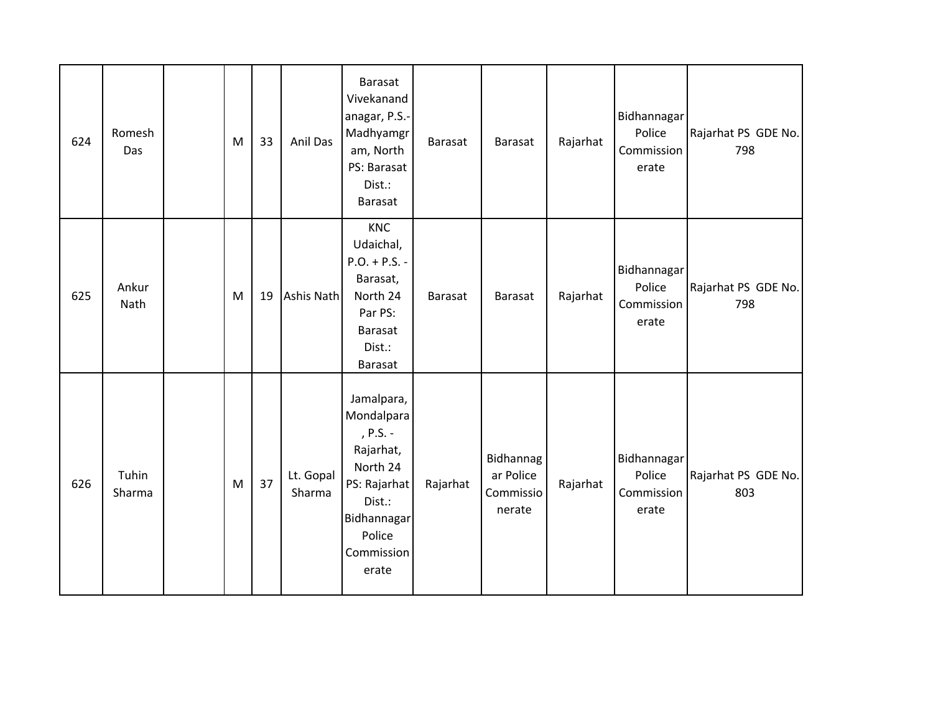| 624 | Romesh<br>Das   | M | 33 | Anil Das            | Barasat<br>Vivekanand<br>anagar, P.S.-<br>Madhyamgr<br>am, North<br>PS: Barasat<br>Dist.:<br><b>Barasat</b>                             | <b>Barasat</b> | Barasat                                       | Rajarhat | Bidhannagar<br>Police<br>Commission<br>erate        | Rajarhat PS GDE No.<br>798 |
|-----|-----------------|---|----|---------------------|-----------------------------------------------------------------------------------------------------------------------------------------|----------------|-----------------------------------------------|----------|-----------------------------------------------------|----------------------------|
| 625 | Ankur<br>Nath   | M | 19 | Ashis Nath          | KNC<br>Udaichal,<br>$P.O. + P.S. -$<br>Barasat,<br>North 24<br>Par PS:<br><b>Barasat</b><br>Dist.:<br><b>Barasat</b>                    | <b>Barasat</b> | Barasat                                       | Rajarhat | Bidhannagar<br>Police<br>Commission<br>erate        | Rajarhat PS GDE No.<br>798 |
| 626 | Tuhin<br>Sharma | M | 37 | Lt. Gopal<br>Sharma | Jamalpara,<br>Mondalpara<br>, P.S. -<br>Rajarhat,<br>North 24<br>PS: Rajarhat<br>Dist.:<br>Bidhannagar<br>Police<br>Commission<br>erate | Rajarhat       | Bidhannag<br>ar Police<br>Commissio<br>nerate | Rajarhat | <b>Bidhannagar</b><br>Police<br>Commission<br>erate | Rajarhat PS GDE No.<br>803 |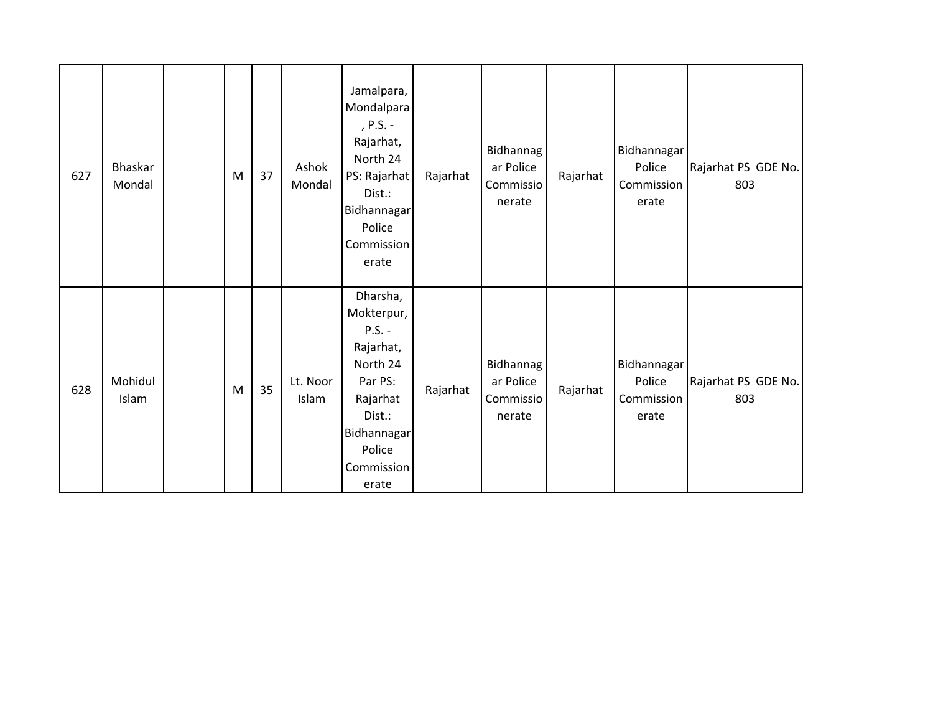| 627 | Bhaskar<br>Mondal | M | 37 | Ashok<br>Mondal   | Jamalpara,<br>Mondalpara<br>, P.S. -<br>Rajarhat,<br>North 24<br>PS: Rajarhat<br>Dist.:<br>Bidhannagar<br>Police<br>Commission<br>erate      | Rajarhat | Bidhannag<br>ar Police<br>Commissio<br>nerate | Rajarhat | Bidhannagar<br>Police<br>Commission<br>erate | Rajarhat PS GDE No.<br>803 |
|-----|-------------------|---|----|-------------------|----------------------------------------------------------------------------------------------------------------------------------------------|----------|-----------------------------------------------|----------|----------------------------------------------|----------------------------|
| 628 | Mohidul<br>Islam  | M | 35 | Lt. Noor<br>Islam | Dharsha,<br>Mokterpur,<br>$P.S. -$<br>Rajarhat,<br>North 24<br>Par PS:<br>Rajarhat<br>Dist.:<br>Bidhannagar<br>Police<br>Commission<br>erate | Rajarhat | Bidhannag<br>ar Police<br>Commissio<br>nerate | Rajarhat | Bidhannagar<br>Police<br>Commission<br>erate | Rajarhat PS GDE No.<br>803 |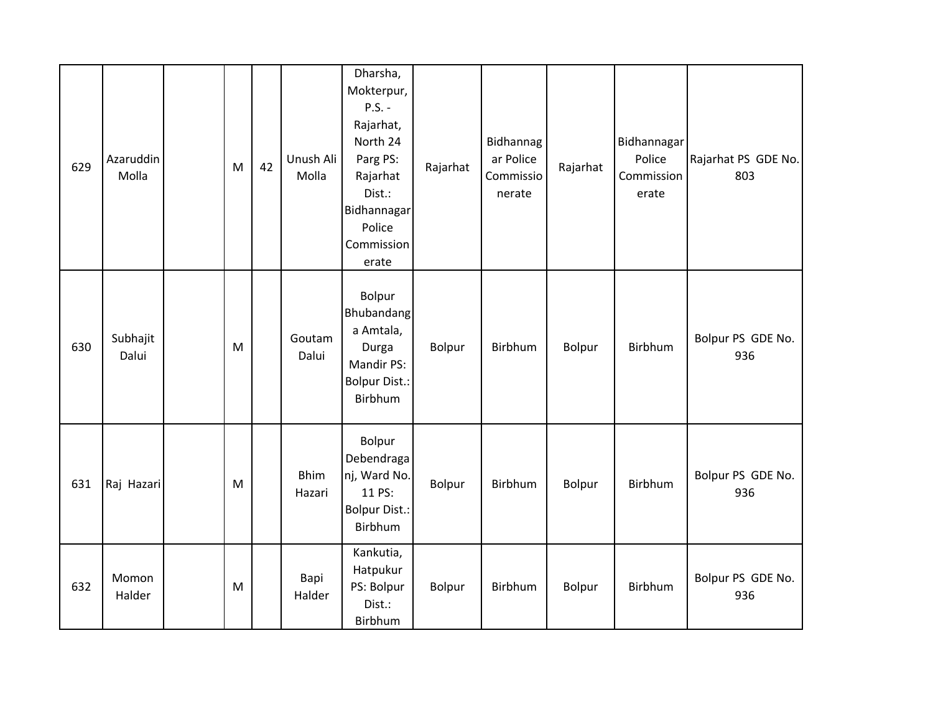| 629 | Azaruddin<br>Molla | M         | 42 | Unush Ali<br>Molla    | Dharsha,<br>Mokterpur,<br>$P.S. -$<br>Rajarhat,<br>North 24<br>Parg PS:<br>Rajarhat<br>Dist.:<br>Bidhannagar<br>Police<br>Commission<br>erate | Rajarhat | Bidhannag<br>ar Police<br>Commissio<br>nerate | Rajarhat | Bidhannagar<br>Police<br>Commission<br>erate | Rajarhat PS GDE No.<br>803 |
|-----|--------------------|-----------|----|-----------------------|-----------------------------------------------------------------------------------------------------------------------------------------------|----------|-----------------------------------------------|----------|----------------------------------------------|----------------------------|
| 630 | Subhajit<br>Dalui  | ${\sf M}$ |    | Goutam<br>Dalui       | Bolpur<br>Bhubandang<br>a Amtala,<br>Durga<br>Mandir PS:<br><b>Bolpur Dist.:</b><br>Birbhum                                                   | Bolpur   | Birbhum                                       | Bolpur   | Birbhum                                      | Bolpur PS GDE No.<br>936   |
| 631 | Raj Hazari         | ${\sf M}$ |    | <b>Bhim</b><br>Hazari | Bolpur<br>Debendraga<br>nj, Ward No.<br>11 PS:<br><b>Bolpur Dist.:</b><br>Birbhum                                                             | Bolpur   | Birbhum                                       | Bolpur   | Birbhum                                      | Bolpur PS GDE No.<br>936   |
| 632 | Momon<br>Halder    | ${\sf M}$ |    | Bapi<br>Halder        | Kankutia,<br>Hatpukur<br>PS: Bolpur<br>Dist.:<br>Birbhum                                                                                      | Bolpur   | Birbhum                                       | Bolpur   | Birbhum                                      | Bolpur PS GDE No.<br>936   |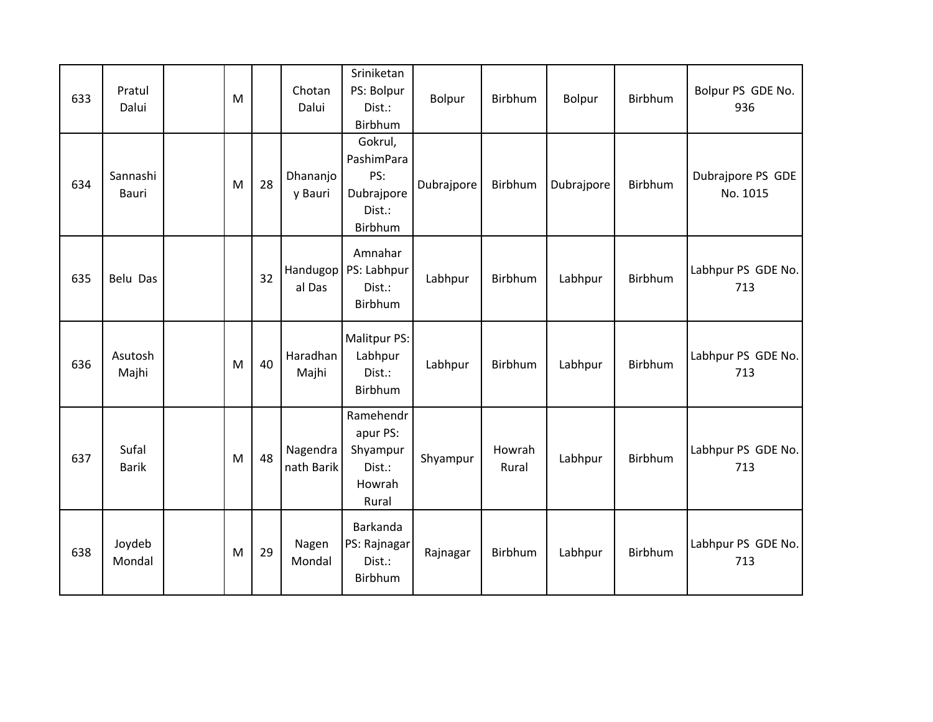| 633 | Pratul<br>Dalui       | M |    | Chotan<br>Dalui        | Sriniketan<br>PS: Bolpur<br>Dist.:<br>Birbhum                   | Bolpur     | Birbhum         | Bolpur     | Birbhum        | Bolpur PS GDE No.<br>936      |
|-----|-----------------------|---|----|------------------------|-----------------------------------------------------------------|------------|-----------------|------------|----------------|-------------------------------|
| 634 | Sannashi<br>Bauri     | M | 28 | Dhananjo<br>y Bauri    | Gokrul,<br>PashimPara<br>PS:<br>Dubrajpore<br>Dist.:<br>Birbhum | Dubrajpore | Birbhum         | Dubrajpore | Birbhum        | Dubrajpore PS GDE<br>No. 1015 |
| 635 | Belu Das              |   | 32 | Handugop<br>al Das     | Amnahar<br>PS: Labhpur<br>Dist.:<br>Birbhum                     | Labhpur    | Birbhum         | Labhpur    | Birbhum        | Labhpur PS GDE No.<br>713     |
| 636 | Asutosh<br>Majhi      | M | 40 | Haradhan<br>Majhi      | Malitpur PS:<br>Labhpur<br>Dist.:<br>Birbhum                    | Labhpur    | Birbhum         | Labhpur    | Birbhum        | Labhpur PS GDE No.<br>713     |
| 637 | Sufal<br><b>Barik</b> | M | 48 | Nagendra<br>nath Barik | Ramehendr<br>apur PS:<br>Shyampur<br>Dist.:<br>Howrah<br>Rural  | Shyampur   | Howrah<br>Rural | Labhpur    | <b>Birbhum</b> | Labhpur PS GDE No.<br>713     |
| 638 | Joydeb<br>Mondal      | M | 29 | Nagen<br>Mondal        | Barkanda<br>PS: Rajnagar<br>Dist.:<br>Birbhum                   | Rajnagar   | Birbhum         | Labhpur    | Birbhum        | Labhpur PS GDE No.<br>713     |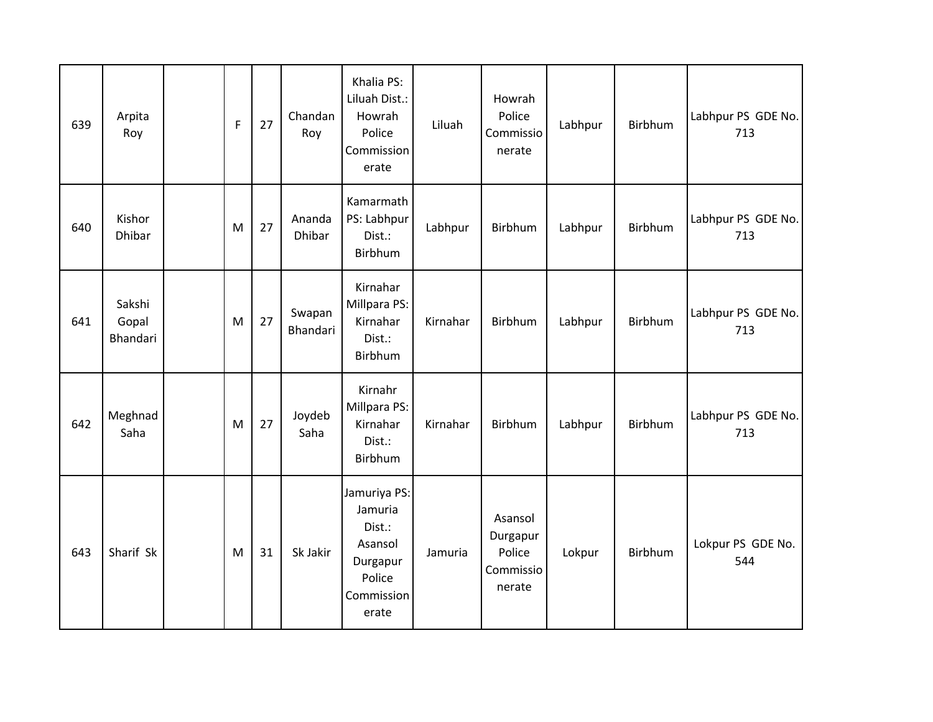| 639 | Arpita<br>Roy               | $\mathsf F$ | 27 | Chandan<br>Roy          | Khalia PS:<br>Liluah Dist.:<br>Howrah<br>Police<br>Commission<br>erate                    | Liluah   | Howrah<br>Police<br>Commissio<br>nerate              | Labhpur | Birbhum | Labhpur PS GDE No.<br>713 |
|-----|-----------------------------|-------------|----|-------------------------|-------------------------------------------------------------------------------------------|----------|------------------------------------------------------|---------|---------|---------------------------|
| 640 | Kishor<br>Dhibar            | ${\sf M}$   | 27 | Ananda<br><b>Dhibar</b> | Kamarmath<br>PS: Labhpur<br>Dist.:<br>Birbhum                                             | Labhpur  | Birbhum                                              | Labhpur | Birbhum | Labhpur PS GDE No.<br>713 |
| 641 | Sakshi<br>Gopal<br>Bhandari | ${\sf M}$   | 27 | Swapan<br>Bhandari      | Kirnahar<br>Millpara PS:<br>Kirnahar<br>Dist.:<br>Birbhum                                 | Kirnahar | Birbhum                                              | Labhpur | Birbhum | Labhpur PS GDE No.<br>713 |
| 642 | Meghnad<br>Saha             | M           | 27 | Joydeb<br>Saha          | Kirnahr<br>Millpara PS:<br>Kirnahar<br>Dist.:<br>Birbhum                                  | Kirnahar | Birbhum                                              | Labhpur | Birbhum | Labhpur PS GDE No.<br>713 |
| 643 | Sharif Sk                   | M           | 31 | Sk Jakir                | Jamuriya PS:<br>Jamuria<br>Dist.:<br>Asansol<br>Durgapur<br>Police<br>Commission<br>erate | Jamuria  | Asansol<br>Durgapur<br>Police<br>Commissio<br>nerate | Lokpur  | Birbhum | Lokpur PS GDE No.<br>544  |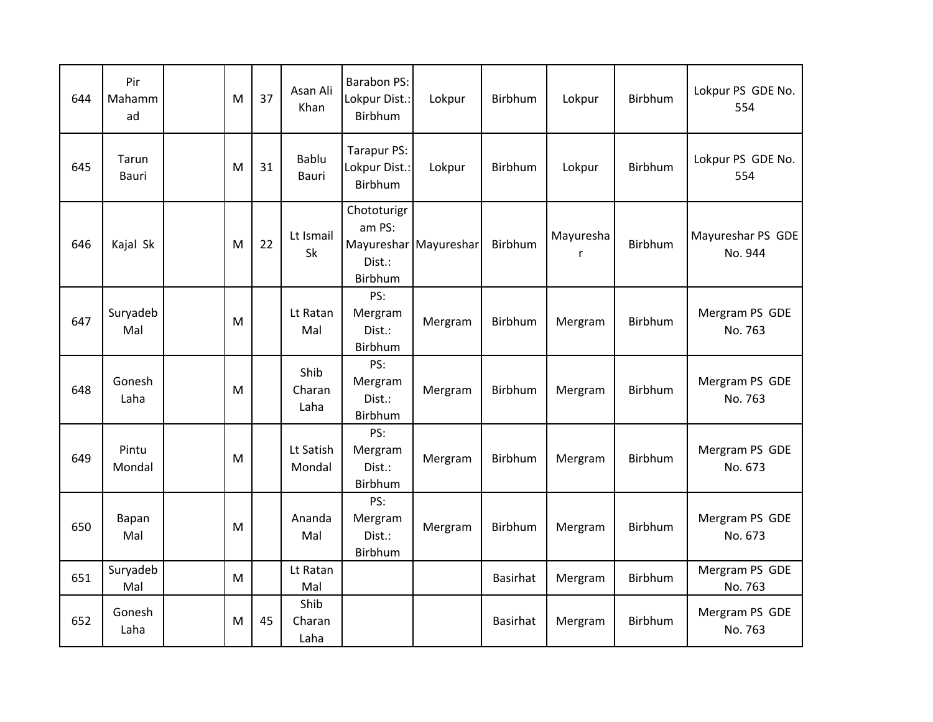| 644 | Pir<br>Mahamm<br>ad | M | 37 | Asan Ali<br>Khan       | <b>Barabon PS:</b><br>Lokpur Dist.:<br>Birbhum | Lokpur                | Birbhum  | Lokpur         | <b>Birbhum</b> | Lokpur PS GDE No.<br>554     |
|-----|---------------------|---|----|------------------------|------------------------------------------------|-----------------------|----------|----------------|----------------|------------------------------|
| 645 | Tarun<br>Bauri      | M | 31 | Bablu<br>Bauri         | Tarapur PS:<br>Lokpur Dist.:<br>Birbhum        | Lokpur                | Birbhum  | Lokpur         | Birbhum        | Lokpur PS GDE No.<br>554     |
| 646 | Kajal Sk            | M | 22 | Lt Ismail<br>Sk        | Chototurigr<br>am PS:<br>Dist.:<br>Birbhum     | Mayureshar Mayureshar | Birbhum  | Mayuresha<br>r | <b>Birbhum</b> | Mayureshar PS GDE<br>No. 944 |
| 647 | Suryadeb<br>Mal     | M |    | Lt Ratan<br>Mal        | PS:<br>Mergram<br>Dist.:<br>Birbhum            | Mergram               | Birbhum  | Mergram        | Birbhum        | Mergram PS GDE<br>No. 763    |
| 648 | Gonesh<br>Laha      | M |    | Shib<br>Charan<br>Laha | PS:<br>Mergram<br>Dist.:<br>Birbhum            | Mergram               | Birbhum  | Mergram        | Birbhum        | Mergram PS GDE<br>No. 763    |
| 649 | Pintu<br>Mondal     | M |    | Lt Satish<br>Mondal    | PS:<br>Mergram<br>Dist.:<br>Birbhum            | Mergram               | Birbhum  | Mergram        | Birbhum        | Mergram PS GDE<br>No. 673    |
| 650 | Bapan<br>Mal        | M |    | Ananda<br>Mal          | PS:<br>Mergram<br>Dist.:<br>Birbhum            | Mergram               | Birbhum  | Mergram        | <b>Birbhum</b> | Mergram PS GDE<br>No. 673    |
| 651 | Suryadeb<br>Mal     | M |    | Lt Ratan<br>Mal        |                                                |                       | Basirhat | Mergram        | Birbhum        | Mergram PS GDE<br>No. 763    |
| 652 | Gonesh<br>Laha      | M | 45 | Shib<br>Charan<br>Laha |                                                |                       | Basirhat | Mergram        | Birbhum        | Mergram PS GDE<br>No. 763    |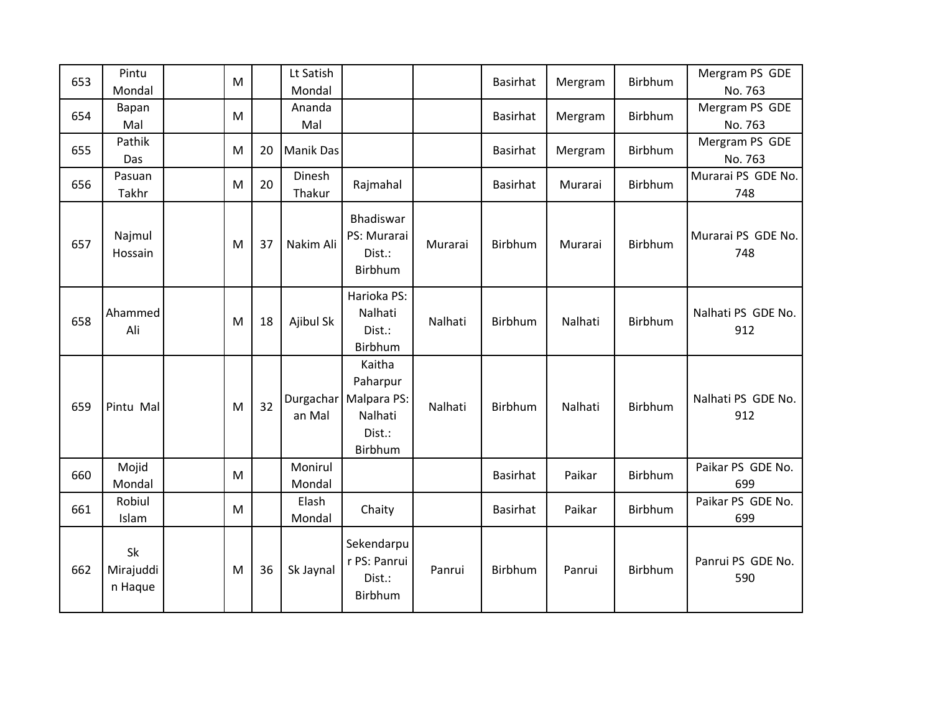| 653 | Pintu<br>Mondal            | M         |    | Lt Satish<br>Mondal |                                                                   |         | <b>Basirhat</b> | Mergram | Birbhum | Mergram PS GDE<br>No. 763 |
|-----|----------------------------|-----------|----|---------------------|-------------------------------------------------------------------|---------|-----------------|---------|---------|---------------------------|
| 654 | Bapan<br>Mal               | M         |    | Ananda<br>Mal       |                                                                   |         | <b>Basirhat</b> | Mergram | Birbhum | Mergram PS GDE<br>No. 763 |
| 655 | Pathik<br>Das              | M         | 20 | <b>Manik Das</b>    |                                                                   |         | <b>Basirhat</b> | Mergram | Birbhum | Mergram PS GDE<br>No. 763 |
| 656 | Pasuan<br>Takhr            | M         | 20 | Dinesh<br>Thakur    | Rajmahal                                                          |         | <b>Basirhat</b> | Murarai | Birbhum | Murarai PS GDE No.<br>748 |
| 657 | Najmul<br>Hossain          | M         | 37 | Nakim Ali           | Bhadiswar<br>PS: Murarai<br>Dist.:<br>Birbhum                     | Murarai | Birbhum         | Murarai | Birbhum | Murarai PS GDE No.<br>748 |
| 658 | Ahammed<br>Ali             | M         | 18 | Ajibul Sk           | Harioka PS:<br>Nalhati<br>Dist.:<br>Birbhum                       | Nalhati | Birbhum         | Nalhati | Birbhum | Nalhati PS GDE No.<br>912 |
| 659 | Pintu Mal                  | M         | 32 | Durgachar<br>an Mal | Kaitha<br>Paharpur<br>Malpara PS:<br>Nalhati<br>Dist.:<br>Birbhum | Nalhati | Birbhum         | Nalhati | Birbhum | Nalhati PS GDE No.<br>912 |
| 660 | Mojid<br>Mondal            | ${\sf M}$ |    | Monirul<br>Mondal   |                                                                   |         | <b>Basirhat</b> | Paikar  | Birbhum | Paikar PS GDE No.<br>699  |
| 661 | Robiul<br>Islam            | M         |    | Elash<br>Mondal     | Chaity                                                            |         | <b>Basirhat</b> | Paikar  | Birbhum | Paikar PS GDE No.<br>699  |
| 662 | Sk<br>Mirajuddi<br>n Haque | M         | 36 | Sk Jaynal           | Sekendarpu<br>r PS: Panrui<br>Dist.:<br>Birbhum                   | Panrui  | Birbhum         | Panrui  | Birbhum | Panrui PS GDE No.<br>590  |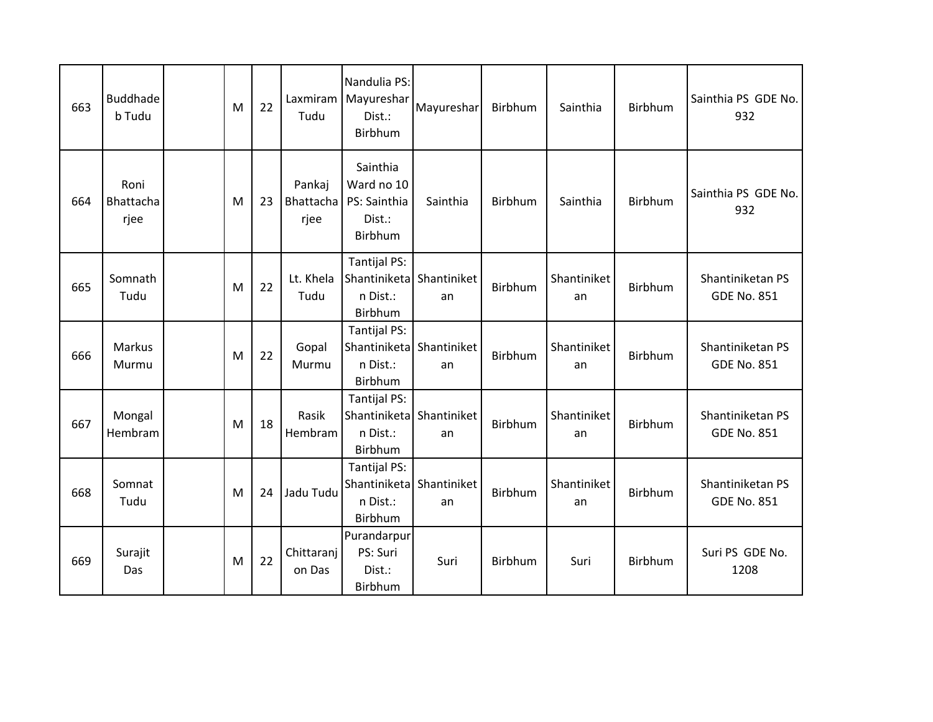| 663 | <b>Buddhade</b><br>b Tudu | M | 22 | Laxmiram<br>Tudu            | Nandulia PS:<br>Mayureshar<br>Dist.:<br>Birbhum                        | Mayureshar | Birbhum        | Sainthia          | <b>Birbhum</b> | Sainthia PS GDE No.<br>932             |
|-----|---------------------------|---|----|-----------------------------|------------------------------------------------------------------------|------------|----------------|-------------------|----------------|----------------------------------------|
| 664 | Roni<br>Bhattacha<br>rjee | M | 23 | Pankaj<br>Bhattacha<br>rjee | Sainthia<br>Ward no 10<br>PS: Sainthia<br>Dist.:<br>Birbhum            | Sainthia   | <b>Birbhum</b> | Sainthia          | <b>Birbhum</b> | Sainthia PS GDE No.<br>932             |
| 665 | Somnath<br>Tudu           | M | 22 | Lt. Khela<br>Tudu           | <b>Tantijal PS:</b><br>Shantiniketa Shantiniket<br>n Dist.:<br>Birbhum | an         | <b>Birbhum</b> | Shantiniket<br>an | Birbhum        | Shantiniketan PS<br><b>GDE No. 851</b> |
| 666 | Markus<br>Murmu           | M | 22 | Gopal<br>Murmu              | Tantijal PS:<br>Shantiniketa Shantiniket<br>n Dist.:<br>Birbhum        | an         | Birbhum        | Shantiniket<br>an | <b>Birbhum</b> | Shantiniketan PS<br><b>GDE No. 851</b> |
| 667 | Mongal<br>Hembram         | M | 18 | Rasik<br>Hembram            | <b>Tantijal PS:</b><br>Shantiniketa Shantiniket<br>n Dist.:<br>Birbhum | an         | <b>Birbhum</b> | Shantiniket<br>an | <b>Birbhum</b> | Shantiniketan PS<br><b>GDE No. 851</b> |
| 668 | Somnat<br>Tudu            | M | 24 | Jadu Tudu                   | <b>Tantijal PS:</b><br>Shantiniketa Shantiniket<br>n Dist.:<br>Birbhum | an         | Birbhum        | Shantiniket<br>an | Birbhum        | Shantiniketan PS<br><b>GDE No. 851</b> |
| 669 | Surajit<br>Das            | M | 22 | Chittaranj<br>on Das        | Purandarpur<br>PS: Suri<br>Dist.:<br>Birbhum                           | Suri       | Birbhum        | Suri              | <b>Birbhum</b> | Suri PS GDE No.<br>1208                |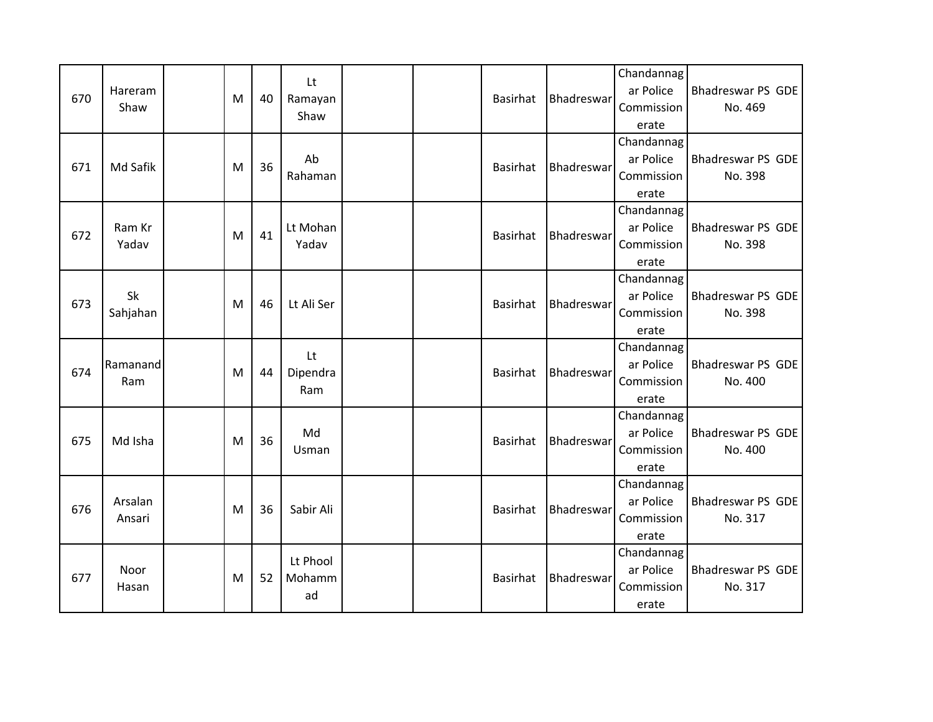| 670 | Hareram<br>Shaw   | M | 40 | Lt<br>Ramayan<br>Shaw | <b>Basirhat</b> | Bhadreswar        | Chandannag<br>ar Police<br>Commission<br>erate | Bhadreswar PS GDE<br>No. 469 |
|-----|-------------------|---|----|-----------------------|-----------------|-------------------|------------------------------------------------|------------------------------|
| 671 | Md Safik          | M | 36 | Ab<br>Rahaman         | <b>Basirhat</b> | Bhadreswar        | Chandannag<br>ar Police<br>Commission<br>erate | Bhadreswar PS GDE<br>No. 398 |
| 672 | Ram Kr<br>Yadav   | M | 41 | Lt Mohan<br>Yadav     | <b>Basirhat</b> | <b>Bhadreswar</b> | Chandannag<br>ar Police<br>Commission<br>erate | Bhadreswar PS GDE<br>No. 398 |
| 673 | Sk<br>Sahjahan    | M | 46 | Lt Ali Ser            | <b>Basirhat</b> | <b>Bhadreswar</b> | Chandannag<br>ar Police<br>Commission<br>erate | Bhadreswar PS GDE<br>No. 398 |
| 674 | Ramanand<br>Ram   | M | 44 | Lt<br>Dipendra<br>Ram | <b>Basirhat</b> | Bhadreswar        | Chandannag<br>ar Police<br>Commission<br>erate | Bhadreswar PS GDE<br>No. 400 |
| 675 | Md Isha           | M | 36 | Md<br><b>Usman</b>    | <b>Basirhat</b> | Bhadreswar        | Chandannag<br>ar Police<br>Commission<br>erate | Bhadreswar PS GDE<br>No. 400 |
| 676 | Arsalan<br>Ansari | M | 36 | Sabir Ali             | <b>Basirhat</b> | Bhadreswar        | Chandannag<br>ar Police<br>Commission<br>erate | Bhadreswar PS GDE<br>No. 317 |
|     |                   |   |    | Lt Phool              |                 |                   | Chandannag                                     |                              |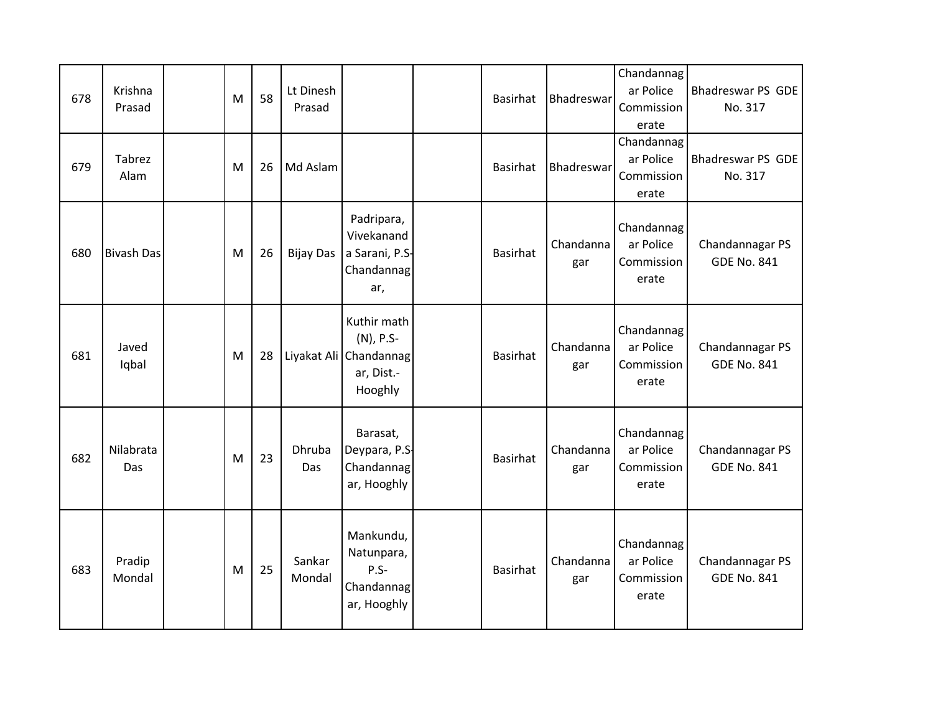| 678 | Krishna<br>Prasad | M | 58 | Lt Dinesh<br>Prasad |                                                                             | <b>Basirhat</b> | <b>Bhadreswar</b> | Chandannag<br>ar Police<br>Commission<br>erate | Bhadreswar PS GDE<br>No. 317          |
|-----|-------------------|---|----|---------------------|-----------------------------------------------------------------------------|-----------------|-------------------|------------------------------------------------|---------------------------------------|
| 679 | Tabrez<br>Alam    | M | 26 | Md Aslam            |                                                                             | <b>Basirhat</b> | Bhadreswar        | Chandannag<br>ar Police<br>Commission<br>erate | <b>Bhadreswar PS GDE</b><br>No. 317   |
| 680 | <b>Bivash Das</b> | M | 26 | <b>Bijay Das</b>    | Padripara,<br>Vivekanand<br>a Sarani, P.S-<br>Chandannag<br>ar,             | <b>Basirhat</b> | Chandanna<br>gar  | Chandannag<br>ar Police<br>Commission<br>erate | Chandannagar PS<br><b>GDE No. 841</b> |
| 681 | Javed<br>Iqbal    | M | 28 |                     | Kuthir math<br>(N), P.S-<br>Liyakat Ali Chandannag<br>ar, Dist.-<br>Hooghly | <b>Basirhat</b> | Chandanna<br>gar  | Chandannag<br>ar Police<br>Commission<br>erate | Chandannagar PS<br><b>GDE No. 841</b> |
| 682 | Nilabrata<br>Das  | M | 23 | Dhruba<br>Das       | Barasat,<br>Deypara, P.S.<br>Chandannag<br>ar, Hooghly                      | <b>Basirhat</b> | Chandanna<br>gar  | Chandannag<br>ar Police<br>Commission<br>erate | Chandannagar PS<br><b>GDE No. 841</b> |
| 683 | Pradip<br>Mondal  | M | 25 | Sankar<br>Mondal    | Mankundu,<br>Natunpara,<br>$P.S -$<br>Chandannag<br>ar, Hooghly             | <b>Basirhat</b> | Chandanna<br>gar  | Chandannag<br>ar Police<br>Commission<br>erate | Chandannagar PS<br><b>GDE No. 841</b> |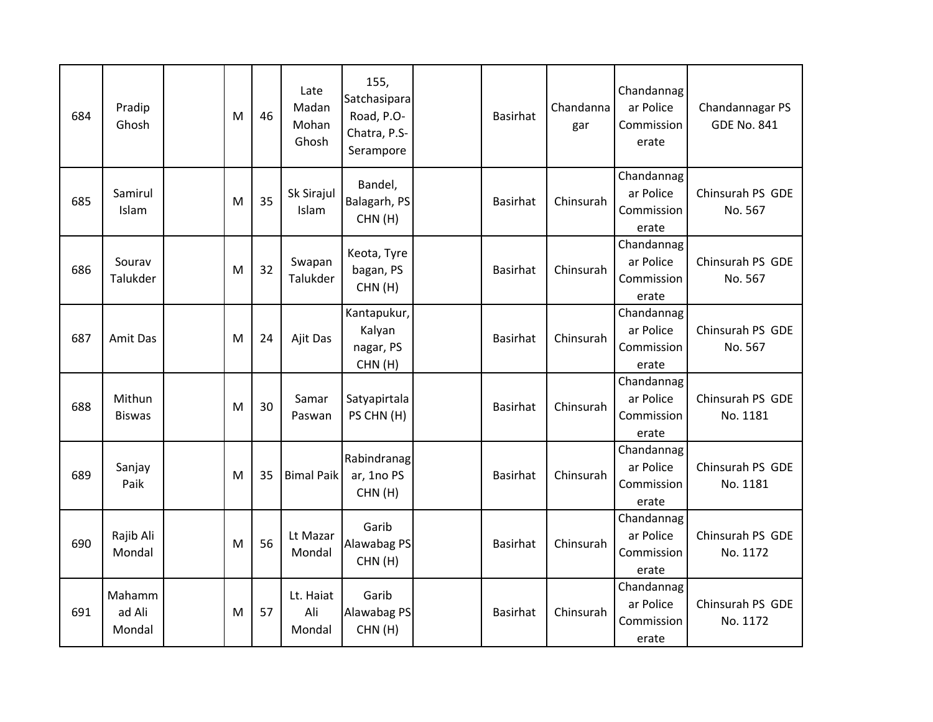| 684 | Pradip<br>Ghosh            | M | 46 | Late<br>Madan<br>Mohan<br>Ghosh | 155,<br>Satchasipara<br>Road, P.O-<br>Chatra, P.S-<br>Serampore | <b>Basirhat</b> | Chandanna<br>gar | Chandannag<br>ar Police<br>Commission<br>erate | Chandannagar PS<br><b>GDE No. 841</b> |
|-----|----------------------------|---|----|---------------------------------|-----------------------------------------------------------------|-----------------|------------------|------------------------------------------------|---------------------------------------|
| 685 | Samirul<br>Islam           | M | 35 | Sk Sirajul<br>Islam             | Bandel,<br>Balagarh, PS<br>CHN(H)                               | <b>Basirhat</b> | Chinsurah        | Chandannag<br>ar Police<br>Commission<br>erate | Chinsurah PS GDE<br>No. 567           |
| 686 | Sourav<br>Talukder         | M | 32 | Swapan<br>Talukder              | Keota, Tyre<br>bagan, PS<br>CHN(H)                              | <b>Basirhat</b> | Chinsurah        | Chandannag<br>ar Police<br>Commission<br>erate | Chinsurah PS GDE<br>No. 567           |
| 687 | Amit Das                   | M | 24 | Ajit Das                        | Kantapukur,<br>Kalyan<br>nagar, PS<br>CHN(H)                    | <b>Basirhat</b> | Chinsurah        | Chandannag<br>ar Police<br>Commission<br>erate | Chinsurah PS GDE<br>No. 567           |
| 688 | Mithun<br><b>Biswas</b>    | M | 30 | Samar<br>Paswan                 | Satyapirtala<br>PS CHN (H)                                      | <b>Basirhat</b> | Chinsurah        | Chandannag<br>ar Police<br>Commission<br>erate | Chinsurah PS GDE<br>No. 1181          |
| 689 | Sanjay<br>Paik             | M | 35 | <b>Bimal Paik</b>               | Rabindranag<br>ar, 1no PS<br>CHN(H)                             | <b>Basirhat</b> | Chinsurah        | Chandannag<br>ar Police<br>Commission<br>erate | Chinsurah PS GDE<br>No. 1181          |
| 690 | Rajib Ali<br>Mondal        | M | 56 | Lt Mazar<br>Mondal              | Garib<br>Alawabag PS<br>CHN(H)                                  | <b>Basirhat</b> | Chinsurah        | Chandannag<br>ar Police<br>Commission<br>erate | Chinsurah PS GDE<br>No. 1172          |
| 691 | Mahamm<br>ad Ali<br>Mondal | M | 57 | Lt. Haiat<br>Ali<br>Mondal      | Garib<br>Alawabag PS<br>CHN(H)                                  | <b>Basirhat</b> | Chinsurah        | Chandannag<br>ar Police<br>Commission<br>erate | Chinsurah PS GDE<br>No. 1172          |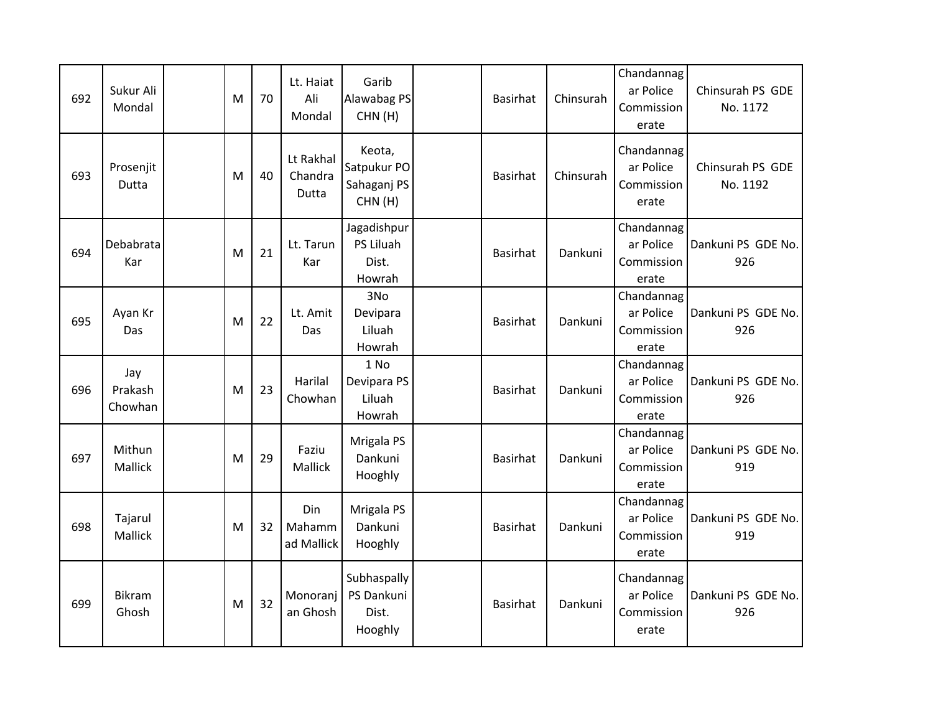| 692 | Sukur Ali<br>Mondal       | M | 70 | Lt. Haiat<br>Ali<br>Mondal    | Garib<br>Alawabag PS<br>CHN(H)                 | <b>Basirhat</b> | Chinsurah | Chandannag<br>ar Police<br>Commission<br>erate | Chinsurah PS GDE<br>No. 1172 |
|-----|---------------------------|---|----|-------------------------------|------------------------------------------------|-----------------|-----------|------------------------------------------------|------------------------------|
| 693 | Prosenjit<br>Dutta        | M | 40 | Lt Rakhal<br>Chandra<br>Dutta | Keota,<br>Satpukur PO<br>Sahaganj PS<br>CHN(H) | <b>Basirhat</b> | Chinsurah | Chandannag<br>ar Police<br>Commission<br>erate | Chinsurah PS GDE<br>No. 1192 |
| 694 | Debabrata<br>Kar          | M | 21 | Lt. Tarun<br>Kar              | Jagadishpur<br>PS Liluah<br>Dist.<br>Howrah    | <b>Basirhat</b> | Dankuni   | Chandannag<br>ar Police<br>Commission<br>erate | Dankuni PS GDE No.<br>926    |
| 695 | Ayan Kr<br>Das            | M | 22 | Lt. Amit<br>Das               | 3No<br>Devipara<br>Liluah<br>Howrah            | <b>Basirhat</b> | Dankuni   | Chandannag<br>ar Police<br>Commission<br>erate | Dankuni PS GDE No.<br>926    |
| 696 | Jay<br>Prakash<br>Chowhan | M | 23 | Harilal<br>Chowhan            | 1 No<br>Devipara PS<br>Liluah<br>Howrah        | <b>Basirhat</b> | Dankuni   | Chandannag<br>ar Police<br>Commission<br>erate | Dankuni PS GDE No.<br>926    |
| 697 | Mithun<br>Mallick         | M | 29 | Faziu<br>Mallick              | Mrigala PS<br>Dankuni<br>Hooghly               | <b>Basirhat</b> | Dankuni   | Chandannag<br>ar Police<br>Commission<br>erate | Dankuni PS GDE No.<br>919    |
| 698 | Tajarul<br>Mallick        | M | 32 | Din<br>Mahamm<br>ad Mallick   | Mrigala PS<br>Dankuni<br>Hooghly               | <b>Basirhat</b> | Dankuni   | Chandannag<br>ar Police<br>Commission<br>erate | Dankuni PS GDE No.<br>919    |
| 699 | <b>Bikram</b><br>Ghosh    | M | 32 | Monoranj<br>an Ghosh          | Subhaspally<br>PS Dankuni<br>Dist.<br>Hooghly  | <b>Basirhat</b> | Dankuni   | Chandannag<br>ar Police<br>Commission<br>erate | Dankuni PS GDE No.<br>926    |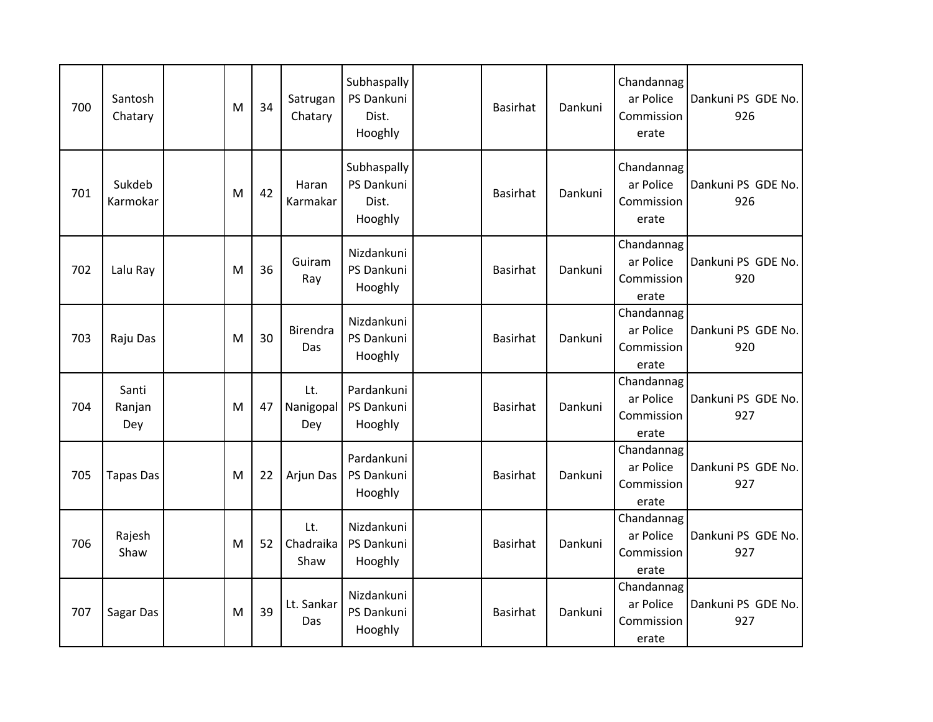| 700 | Santosh<br>Chatary     | M | 34 | Satrugan<br>Chatary      | Subhaspally<br>PS Dankuni<br>Dist.<br>Hooghly | <b>Basirhat</b> | Dankuni | Chandannag<br>ar Police<br>Commission<br>erate | Dankuni PS GDE No.<br>926 |
|-----|------------------------|---|----|--------------------------|-----------------------------------------------|-----------------|---------|------------------------------------------------|---------------------------|
| 701 | Sukdeb<br>Karmokar     | M | 42 | Haran<br>Karmakar        | Subhaspally<br>PS Dankuni<br>Dist.<br>Hooghly | <b>Basirhat</b> | Dankuni | Chandannag<br>ar Police<br>Commission<br>erate | Dankuni PS GDE No.<br>926 |
| 702 | Lalu Ray               | M | 36 | Guiram<br>Ray            | Nizdankuni<br>PS Dankuni<br>Hooghly           | <b>Basirhat</b> | Dankuni | Chandannag<br>ar Police<br>Commission<br>erate | Dankuni PS GDE No.<br>920 |
| 703 | Raju Das               | м | 30 | Birendra<br>Das          | Nizdankuni<br>PS Dankuni<br>Hooghly           | <b>Basirhat</b> | Dankuni | Chandannag<br>ar Police<br>Commission<br>erate | Dankuni PS GDE No.<br>920 |
| 704 | Santi<br>Ranjan<br>Dey | м | 47 | Lt.<br>Nanigopal<br>Dey  | Pardankuni<br>PS Dankuni<br>Hooghly           | <b>Basirhat</b> | Dankuni | Chandannag<br>ar Police<br>Commission<br>erate | Dankuni PS GDE No.<br>927 |
| 705 | <b>Tapas Das</b>       | M | 22 | Arjun Das                | Pardankuni<br>PS Dankuni<br>Hooghly           | <b>Basirhat</b> | Dankuni | Chandannag<br>ar Police<br>Commission<br>erate | Dankuni PS GDE No.<br>927 |
| 706 | Rajesh<br>Shaw         | M | 52 | Lt.<br>Chadraika<br>Shaw | Nizdankuni<br>PS Dankuni<br>Hooghly           | <b>Basirhat</b> | Dankuni | Chandannag<br>ar Police<br>Commission<br>erate | Dankuni PS GDE No.<br>927 |
| 707 | Sagar Das              | M | 39 | Lt. Sankar<br>Das        | Nizdankuni<br>PS Dankuni<br>Hooghly           | <b>Basirhat</b> | Dankuni | Chandannag<br>ar Police<br>Commission<br>erate | Dankuni PS GDE No.<br>927 |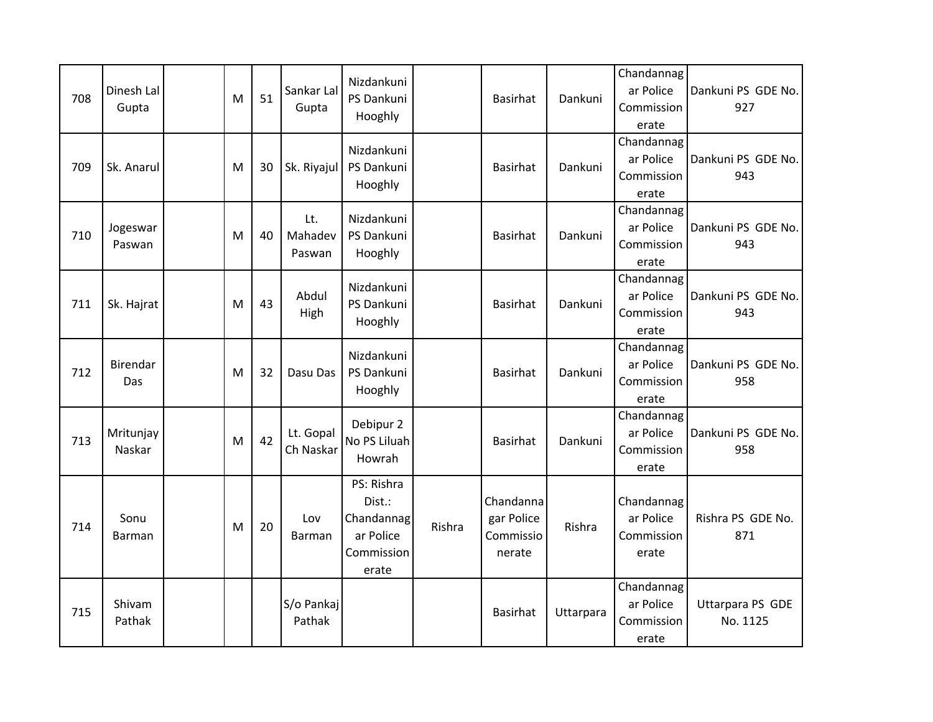| 708 | Dinesh Lal<br>Gupta | M | 51 | Sankar Lal<br>Gupta      | Nizdankuni<br>PS Dankuni<br>Hooghly                                    |        | <b>Basirhat</b>                                | Dankuni   | Chandannag<br>ar Police<br>Commission<br>erate | Dankuni PS GDE No.<br>927    |
|-----|---------------------|---|----|--------------------------|------------------------------------------------------------------------|--------|------------------------------------------------|-----------|------------------------------------------------|------------------------------|
| 709 | Sk. Anarul          | M | 30 | Sk. Riyajul              | Nizdankuni<br>PS Dankuni<br>Hooghly                                    |        | <b>Basirhat</b>                                | Dankuni   | Chandannag<br>ar Police<br>Commission<br>erate | Dankuni PS GDE No.<br>943    |
| 710 | Jogeswar<br>Paswan  | M | 40 | Lt.<br>Mahadev<br>Paswan | Nizdankuni<br>PS Dankuni<br>Hooghly                                    |        | <b>Basirhat</b>                                | Dankuni   | Chandannag<br>ar Police<br>Commission<br>erate | Dankuni PS GDE No.<br>943    |
| 711 | Sk. Hajrat          | M | 43 | Abdul<br>High            | Nizdankuni<br>PS Dankuni<br>Hooghly                                    |        | <b>Basirhat</b>                                | Dankuni   | Chandannag<br>ar Police<br>Commission<br>erate | Dankuni PS GDE No.<br>943    |
| 712 | Birendar<br>Das     | M | 32 | Dasu Das                 | Nizdankuni<br>PS Dankuni<br>Hooghly                                    |        | <b>Basirhat</b>                                | Dankuni   | Chandannag<br>ar Police<br>Commission<br>erate | Dankuni PS GDE No.<br>958    |
| 713 | Mritunjay<br>Naskar | M | 42 | Lt. Gopal<br>Ch Naskar   | Debipur 2<br>No PS Liluah<br>Howrah                                    |        | <b>Basirhat</b>                                | Dankuni   | Chandannag<br>ar Police<br>Commission<br>erate | Dankuni PS GDE No.<br>958    |
| 714 | Sonu<br>Barman      | M | 20 | Lov<br>Barman            | PS: Rishra<br>Dist.:<br>Chandannag<br>ar Police<br>Commission<br>erate | Rishra | Chandanna<br>gar Police<br>Commissio<br>nerate | Rishra    | Chandannag<br>ar Police<br>Commission<br>erate | Rishra PS GDE No.<br>871     |
| 715 | Shivam<br>Pathak    |   |    | S/o Pankaj<br>Pathak     |                                                                        |        | <b>Basirhat</b>                                | Uttarpara | Chandannag<br>ar Police<br>Commission<br>erate | Uttarpara PS GDE<br>No. 1125 |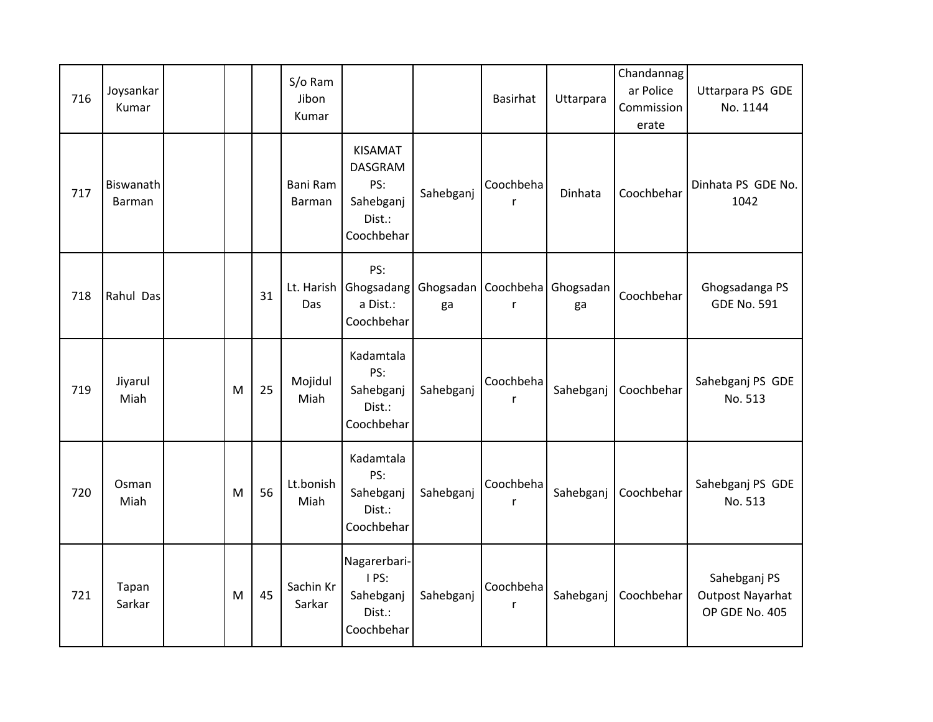| 716 | Joysankar<br>Kumar  |   |    | S/o Ram<br>Jibon<br>Kumar |                                                                                 |           | <b>Basirhat</b>           | Uttarpara | Chandannag<br>ar Police<br>Commission<br>erate | Uttarpara PS GDE<br>No. 1144                              |
|-----|---------------------|---|----|---------------------------|---------------------------------------------------------------------------------|-----------|---------------------------|-----------|------------------------------------------------|-----------------------------------------------------------|
| 717 | Biswanath<br>Barman |   |    | Bani Ram<br><b>Barman</b> | <b>KISAMAT</b><br><b>DASGRAM</b><br>PS:<br>Sahebganj<br>Dist.:<br>Coochbehar    | Sahebganj | Coochbeha<br>$\mathsf{r}$ | Dinhata   | Coochbehar                                     | Dinhata PS GDE No.<br>1042                                |
| 718 | Rahul Das           |   | 31 | Lt. Harish<br>Das         | PS:<br>Ghogsadang   Ghogsadan   Coochbeha   Ghogsadan<br>a Dist.:<br>Coochbehar | ga        | $\mathsf{r}$              | ga        | Coochbehar                                     | Ghogsadanga PS<br><b>GDE No. 591</b>                      |
| 719 | Jiyarul<br>Miah     | M | 25 | Mojidul<br>Miah           | Kadamtala<br>PS:<br>Sahebganj<br>Dist.:<br>Coochbehar                           | Sahebganj | Coochbeha<br>$\mathsf{r}$ | Sahebganj | Coochbehar                                     | Sahebganj PS GDE<br>No. 513                               |
| 720 | Osman<br>Miah       | M | 56 | Lt.bonish<br>Miah         | Kadamtala<br>PS:<br>Sahebganj<br>Dist.:<br>Coochbehar                           | Sahebganj | Coochbeha<br>$\mathsf{r}$ | Sahebganj | Coochbehar                                     | Sahebganj PS GDE<br>No. 513                               |
| 721 | Tapan<br>Sarkar     | M | 45 | Sachin Kr<br>Sarkar       | Nagarerbari-<br>IPS:<br>Sahebganj<br>Dist.:<br>Coochbehar                       | Sahebganj | Coochbeha<br>$\mathsf{r}$ | Sahebganj | Coochbehar                                     | Sahebganj PS<br><b>Outpost Nayarhat</b><br>OP GDE No. 405 |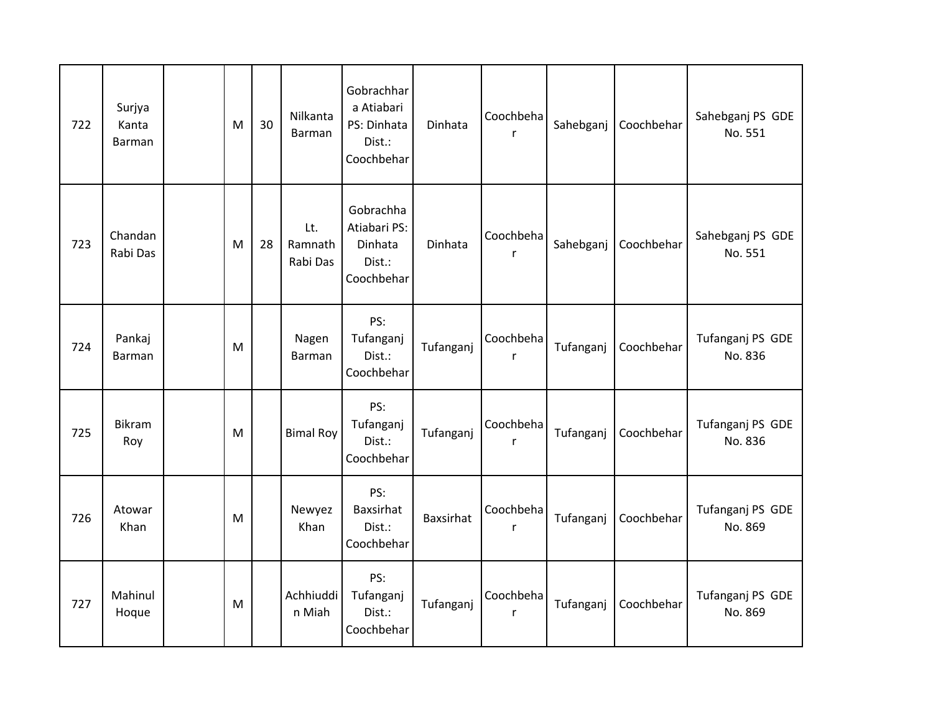| 722 | Surjya<br>Kanta<br>Barman | M | 30 | Nilkanta<br>Barman         | Gobrachhar<br>a Atiabari<br>PS: Dinhata<br>Dist.:<br>Coochbehar | Dinhata          | Coochbeha      | Sahebganj | Coochbehar | Sahebganj PS GDE<br>No. 551 |
|-----|---------------------------|---|----|----------------------------|-----------------------------------------------------------------|------------------|----------------|-----------|------------|-----------------------------|
| 723 | Chandan<br>Rabi Das       | M | 28 | Lt.<br>Ramnath<br>Rabi Das | Gobrachha<br>Atiabari PS:<br>Dinhata<br>Dist.:<br>Coochbehar    | Dinhata          | Coochbeha<br>r | Sahebganj | Coochbehar | Sahebganj PS GDE<br>No. 551 |
| 724 | Pankaj<br>Barman          | M |    | Nagen<br>Barman            | PS:<br>Tufanganj<br>Dist.:<br>Coochbehar                        | Tufanganj        | Coochbeha<br>r | Tufanganj | Coochbehar | Tufanganj PS GDE<br>No. 836 |
| 725 | Bikram<br>Roy             | M |    | <b>Bimal Roy</b>           | PS:<br>Tufanganj<br>Dist.:<br>Coochbehar                        | Tufanganj        | Coochbeha<br>r | Tufanganj | Coochbehar | Tufanganj PS GDE<br>No. 836 |
| 726 | Atowar<br>Khan            | M |    | Newyez<br>Khan             | PS:<br><b>Baxsirhat</b><br>Dist.:<br>Coochbehar                 | <b>Baxsirhat</b> | Coochbeha<br>r | Tufanganj | Coochbehar | Tufanganj PS GDE<br>No. 869 |
| 727 | Mahinul<br>Hoque          | M |    | Achhiuddi<br>n Miah        | PS:<br>Tufanganj<br>Dist.:<br>Coochbehar                        | Tufanganj        | Coochbeha<br>r | Tufanganj | Coochbehar | Tufanganj PS GDE<br>No. 869 |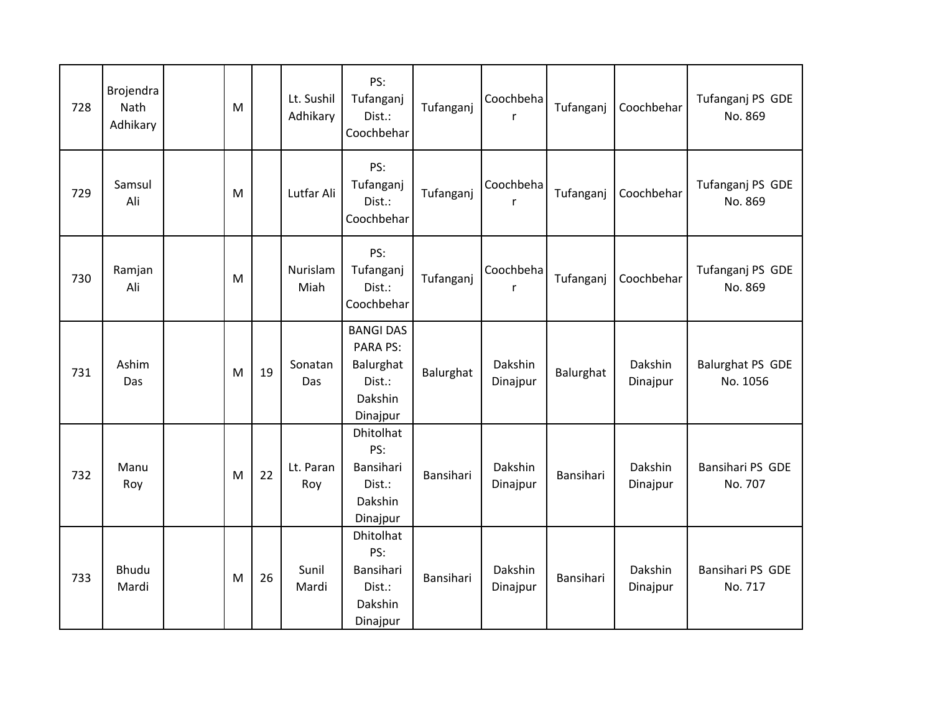| 728 | Brojendra<br>Nath<br>Adhikary | M |    | Lt. Sushil<br>Adhikary | PS:<br>Tufanganj<br>Dist.:<br>Coochbehar                                          | Tufanganj | Coochbeha<br>r      | Tufanganj | Coochbehar          | Tufanganj PS GDE<br>No. 869         |
|-----|-------------------------------|---|----|------------------------|-----------------------------------------------------------------------------------|-----------|---------------------|-----------|---------------------|-------------------------------------|
| 729 | Samsul<br>Ali                 | M |    | Lutfar Ali             | PS:<br>Tufanganj<br>Dist.:<br>Coochbehar                                          | Tufanganj | Coochbeha<br>r      | Tufanganj | Coochbehar          | Tufanganj PS GDE<br>No. 869         |
| 730 | Ramjan<br>Ali                 | M |    | Nurislam<br>Miah       | PS:<br>Tufanganj<br>Dist.:<br>Coochbehar                                          | Tufanganj | Coochbeha<br>r      | Tufanganj | Coochbehar          | Tufanganj PS GDE<br>No. 869         |
| 731 | Ashim<br>Das                  | M | 19 | Sonatan<br>Das         | <b>BANGI DAS</b><br><b>PARA PS:</b><br>Balurghat<br>Dist.:<br>Dakshin<br>Dinajpur | Balurghat | Dakshin<br>Dinajpur | Balurghat | Dakshin<br>Dinajpur | <b>Balurghat PS GDE</b><br>No. 1056 |
| 732 | Manu<br>Roy                   | M | 22 | Lt. Paran<br>Roy       | Dhitolhat<br>PS:<br>Bansihari<br>Dist.:<br>Dakshin<br>Dinajpur                    | Bansihari | Dakshin<br>Dinajpur | Bansihari | Dakshin<br>Dinajpur | Bansihari PS GDE<br>No. 707         |
| 733 | Bhudu<br>Mardi                | M | 26 | Sunil<br>Mardi         | Dhitolhat<br>PS:<br>Bansihari<br>Dist.:<br>Dakshin<br>Dinajpur                    | Bansihari | Dakshin<br>Dinajpur | Bansihari | Dakshin<br>Dinajpur | Bansihari PS GDE<br>No. 717         |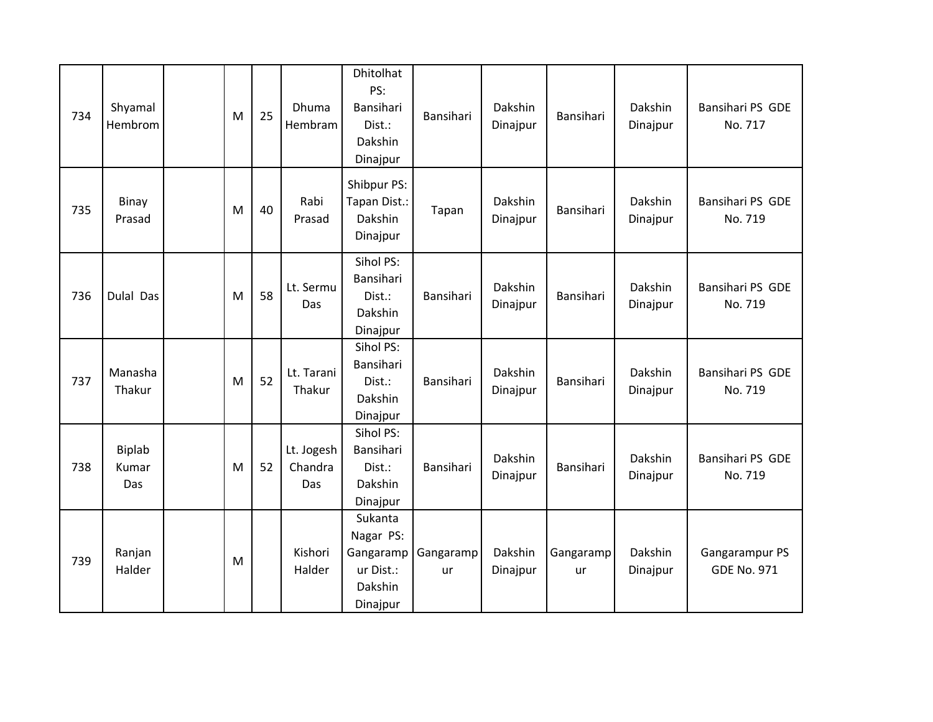| 734 | Shyamal<br>Hembrom     | M | 25 | <b>Dhuma</b><br>Hembram      | <b>Dhitolhat</b><br>PS:<br>Bansihari<br>Dist.:<br>Dakshin<br>Dinajpur | Bansihari       | Dakshin<br>Dinajpur | Bansihari       | Dakshin<br>Dinajpur | Bansihari PS GDE<br>No. 717          |
|-----|------------------------|---|----|------------------------------|-----------------------------------------------------------------------|-----------------|---------------------|-----------------|---------------------|--------------------------------------|
| 735 | Binay<br>Prasad        | M | 40 | Rabi<br>Prasad               | Shibpur PS:<br>Tapan Dist.:<br>Dakshin<br>Dinajpur                    | Tapan           | Dakshin<br>Dinajpur | Bansihari       | Dakshin<br>Dinajpur | Bansihari PS GDE<br>No. 719          |
| 736 | Dulal Das              | M | 58 | Lt. Sermu<br>Das             | Sihol PS:<br>Bansihari<br>Dist.:<br>Dakshin<br>Dinajpur               | Bansihari       | Dakshin<br>Dinajpur | Bansihari       | Dakshin<br>Dinajpur | Bansihari PS GDE<br>No. 719          |
| 737 | Manasha<br>Thakur      | M | 52 | Lt. Tarani<br>Thakur         | Sihol PS:<br>Bansihari<br>Dist.:<br>Dakshin<br>Dinajpur               | Bansihari       | Dakshin<br>Dinajpur | Bansihari       | Dakshin<br>Dinajpur | Bansihari PS GDE<br>No. 719          |
| 738 | Biplab<br>Kumar<br>Das | M | 52 | Lt. Jogesh<br>Chandra<br>Das | Sihol PS:<br>Bansihari<br>Dist.:<br>Dakshin<br>Dinajpur               | Bansihari       | Dakshin<br>Dinajpur | Bansihari       | Dakshin<br>Dinajpur | Bansihari PS GDE<br>No. 719          |
| 739 | Ranjan<br>Halder       | M |    | Kishori<br>Halder            | Sukanta<br>Nagar PS:<br>Gangaramp<br>ur Dist.:<br>Dakshin<br>Dinajpur | Gangaramp<br>ur | Dakshin<br>Dinajpur | Gangaramp<br>ur | Dakshin<br>Dinajpur | Gangarampur PS<br><b>GDE No. 971</b> |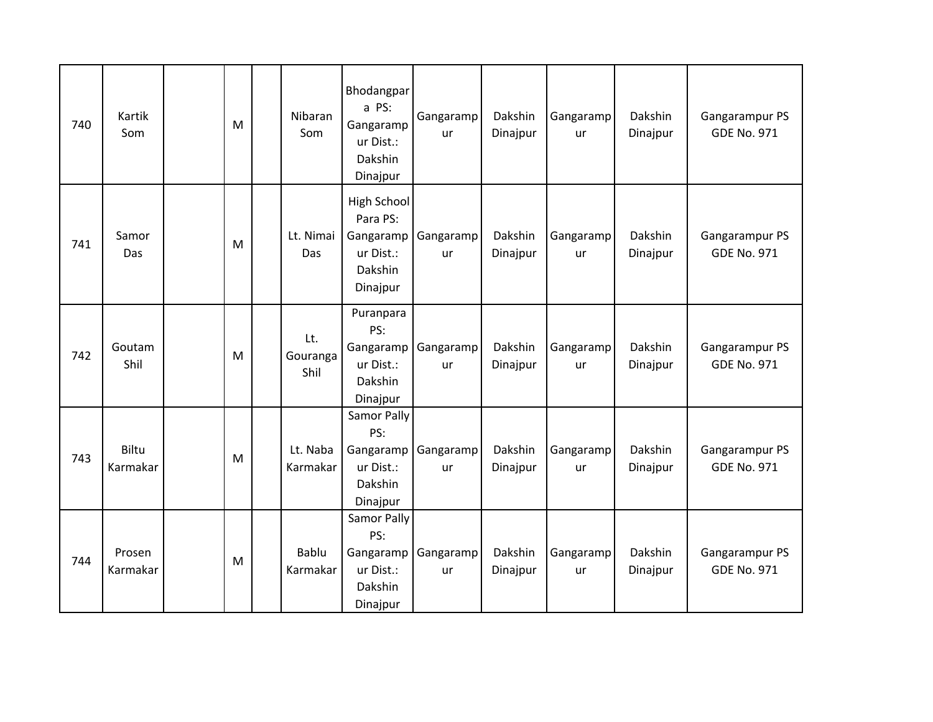| 740 | Kartik<br>Som      | M | Nibaran<br>Som           | Bhodangpar<br>a PS:<br>Gangaramp<br>ur Dist.:<br>Dakshin<br>Dinajpur     | Gangaramp<br>ur | Dakshin<br>Dinajpur | Gangaramp<br>ur | Dakshin<br>Dinajpur | Gangarampur PS<br><b>GDE No. 971</b> |
|-----|--------------------|---|--------------------------|--------------------------------------------------------------------------|-----------------|---------------------|-----------------|---------------------|--------------------------------------|
| 741 | Samor<br>Das       | M | Lt. Nimai<br>Das         | High School<br>Para PS:<br>Gangaramp<br>ur Dist.:<br>Dakshin<br>Dinajpur | Gangaramp<br>ur | Dakshin<br>Dinajpur | Gangaramp<br>ur | Dakshin<br>Dinajpur | Gangarampur PS<br><b>GDE No. 971</b> |
| 742 | Goutam<br>Shil     | M | Lt.<br>Gouranga<br>Shil  | Puranpara<br>PS:<br>Gangaramp<br>ur Dist.:<br>Dakshin<br>Dinajpur        | Gangaramp<br>ur | Dakshin<br>Dinajpur | Gangaramp<br>ur | Dakshin<br>Dinajpur | Gangarampur PS<br><b>GDE No. 971</b> |
| 743 | Biltu<br>Karmakar  | M | Lt. Naba<br>Karmakar     | Samor Pally<br>PS:<br>Gangaramp<br>ur Dist.:<br>Dakshin<br>Dinajpur      | Gangaramp<br>ur | Dakshin<br>Dinajpur | Gangaramp<br>ur | Dakshin<br>Dinajpur | Gangarampur PS<br><b>GDE No. 971</b> |
| 744 | Prosen<br>Karmakar | M | <b>Bablu</b><br>Karmakar | Samor Pally<br>PS:<br>Gangaramp<br>ur Dist.:<br>Dakshin<br>Dinajpur      | Gangaramp<br>ur | Dakshin<br>Dinajpur | Gangaramp<br>ur | Dakshin<br>Dinajpur | Gangarampur PS<br><b>GDE No. 971</b> |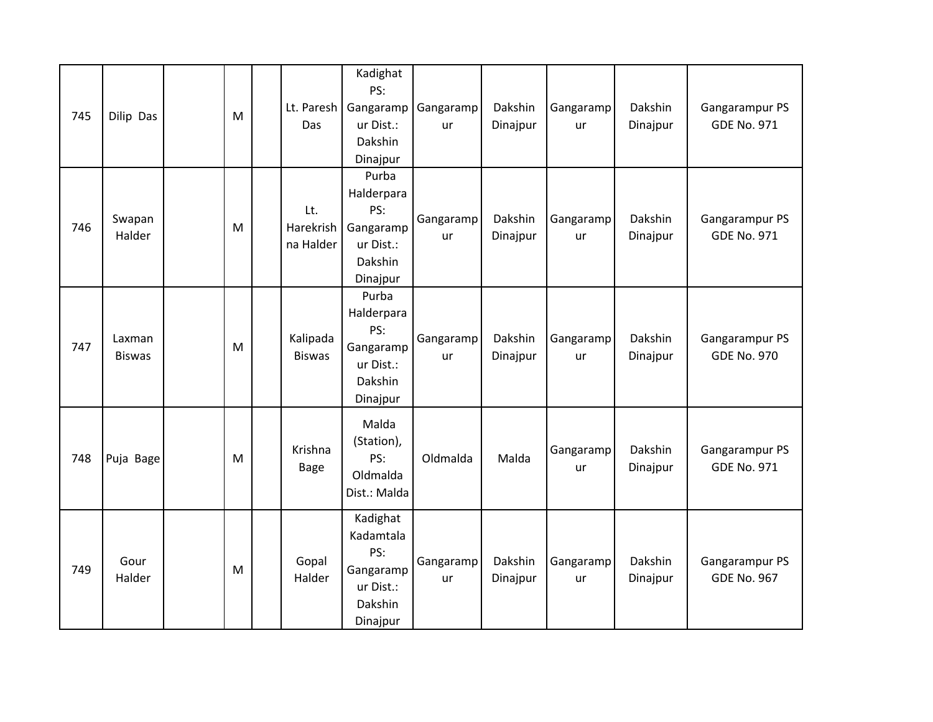| 745 | Dilip Das               | ${\sf M}$ | Lt. Paresh<br>Das             | Kadighat<br>PS:<br>Gangaramp<br>ur Dist.:<br>Dakshin<br>Dinajpur              | Gangaramp<br>ur | Dakshin<br>Dinajpur | Gangaramp<br>ur | Dakshin<br>Dinajpur | Gangarampur PS<br><b>GDE No. 971</b> |
|-----|-------------------------|-----------|-------------------------------|-------------------------------------------------------------------------------|-----------------|---------------------|-----------------|---------------------|--------------------------------------|
| 746 | Swapan<br>Halder        | M         | Lt.<br>Harekrish<br>na Halder | Purba<br>Halderpara<br>PS:<br>Gangaramp<br>ur Dist.:<br>Dakshin<br>Dinajpur   | Gangaramp<br>ur | Dakshin<br>Dinajpur | Gangaramp<br>ur | Dakshin<br>Dinajpur | Gangarampur PS<br><b>GDE No. 971</b> |
| 747 | Laxman<br><b>Biswas</b> | M         | Kalipada<br><b>Biswas</b>     | Purba<br>Halderpara<br>PS:<br>Gangaramp<br>ur Dist.:<br>Dakshin<br>Dinajpur   | Gangaramp<br>ur | Dakshin<br>Dinajpur | Gangaramp<br>ur | Dakshin<br>Dinajpur | Gangarampur PS<br><b>GDE No. 970</b> |
| 748 | Puja Bage               | M         | Krishna<br><b>Bage</b>        | Malda<br>(Station),<br>PS:<br>Oldmalda<br>Dist.: Malda                        | Oldmalda        | Malda               | Gangaramp<br>ur | Dakshin<br>Dinajpur | Gangarampur PS<br><b>GDE No. 971</b> |
| 749 | Gour<br>Halder          | ${\sf M}$ | Gopal<br>Halder               | Kadighat<br>Kadamtala<br>PS:<br>Gangaramp<br>ur Dist.:<br>Dakshin<br>Dinajpur | Gangaramp<br>ur | Dakshin<br>Dinajpur | Gangaramp<br>ur | Dakshin<br>Dinajpur | Gangarampur PS<br><b>GDE No. 967</b> |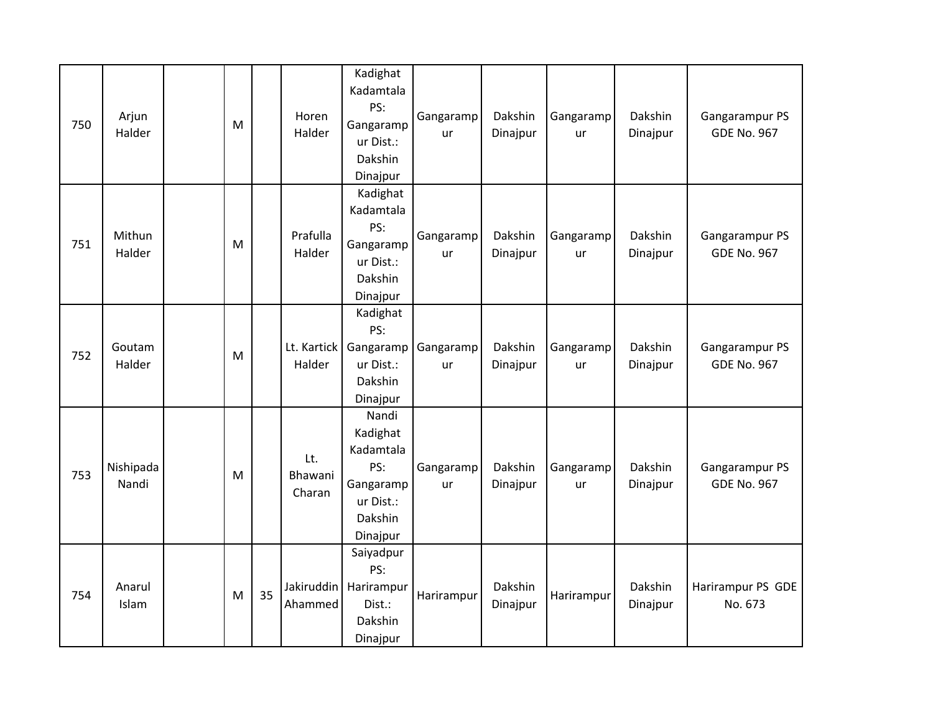| 750 | Arjun<br>Halder    | M         |    | Horen<br>Halder          | Kadighat<br>Kadamtala<br>PS:<br>Gangaramp<br>ur Dist.:<br>Dakshin<br>Dinajpur          | Gangaramp<br>ur | Dakshin<br>Dinajpur | Gangaramp<br>ur | Dakshin<br>Dinajpur | Gangarampur PS<br><b>GDE No. 967</b> |
|-----|--------------------|-----------|----|--------------------------|----------------------------------------------------------------------------------------|-----------------|---------------------|-----------------|---------------------|--------------------------------------|
| 751 | Mithun<br>Halder   | M         |    | Prafulla<br>Halder       | Kadighat<br>Kadamtala<br>PS:<br>Gangaramp<br>ur Dist.:<br>Dakshin<br>Dinajpur          | Gangaramp<br>ur | Dakshin<br>Dinajpur | Gangaramp<br>ur | Dakshin<br>Dinajpur | Gangarampur PS<br><b>GDE No. 967</b> |
| 752 | Goutam<br>Halder   | ${\sf M}$ |    | Lt. Kartick<br>Halder    | Kadighat<br>PS:<br>Gangaramp<br>ur Dist.:<br>Dakshin<br>Dinajpur                       | Gangaramp<br>ur | Dakshin<br>Dinajpur | Gangaramp<br>ur | Dakshin<br>Dinajpur | Gangarampur PS<br><b>GDE No. 967</b> |
| 753 | Nishipada<br>Nandi | M         |    | Lt.<br>Bhawani<br>Charan | Nandi<br>Kadighat<br>Kadamtala<br>PS:<br>Gangaramp<br>ur Dist.:<br>Dakshin<br>Dinajpur | Gangaramp<br>ur | Dakshin<br>Dinajpur | Gangaramp<br>ur | Dakshin<br>Dinajpur | Gangarampur PS<br><b>GDE No. 967</b> |
| 754 | Anarul<br>Islam    | M         | 35 | Ahammed                  | Saiyadpur<br>PS:<br>Jakiruddin   Harirampur<br>Dist.:<br>Dakshin<br>Dinajpur           | Harirampur      | Dakshin<br>Dinajpur | Harirampur      | Dakshin<br>Dinajpur | Harirampur PS GDE<br>No. 673         |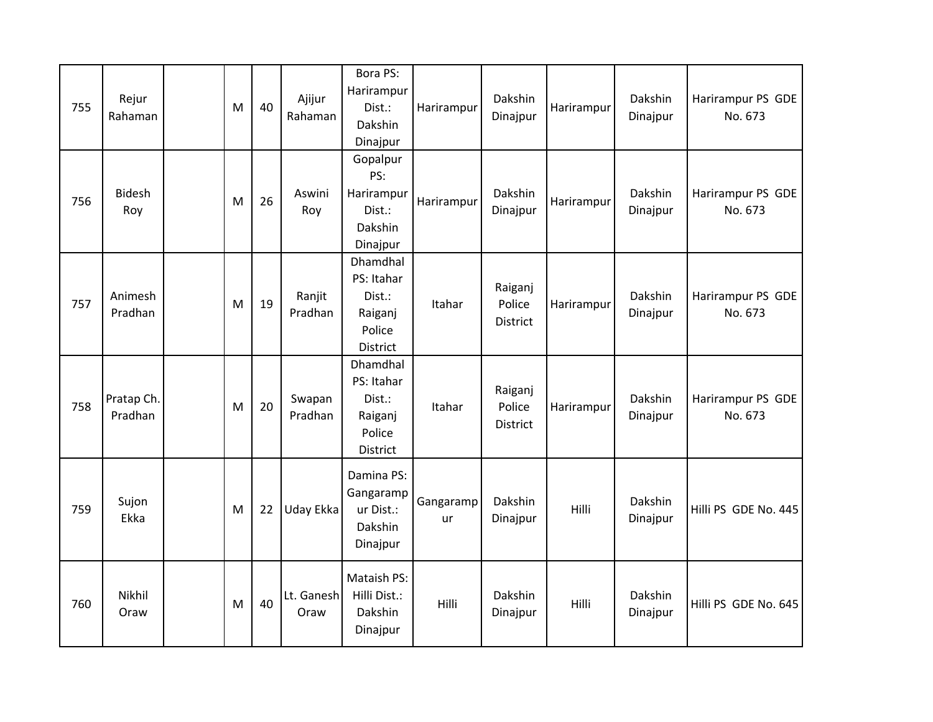| 755 | Rejur<br>Rahaman      | M | 40 | Ajijur<br>Rahaman  | Bora PS:<br>Harirampur<br>Dist.:<br>Dakshin<br>Dinajpur           | Harirampur      | Dakshin<br>Dinajpur           | Harirampur | Dakshin<br>Dinajpur | Harirampur PS GDE<br>No. 673 |
|-----|-----------------------|---|----|--------------------|-------------------------------------------------------------------|-----------------|-------------------------------|------------|---------------------|------------------------------|
| 756 | <b>Bidesh</b><br>Roy  | M | 26 | Aswini<br>Roy      | Gopalpur<br>PS:<br>Harirampur<br>Dist.:<br>Dakshin<br>Dinajpur    | Harirampur      | Dakshin<br>Dinajpur           | Harirampur | Dakshin<br>Dinajpur | Harirampur PS GDE<br>No. 673 |
| 757 | Animesh<br>Pradhan    | M | 19 | Ranjit<br>Pradhan  | Dhamdhal<br>PS: Itahar<br>Dist.:<br>Raiganj<br>Police<br>District | Itahar          | Raiganj<br>Police<br>District | Harirampur | Dakshin<br>Dinajpur | Harirampur PS GDE<br>No. 673 |
| 758 | Pratap Ch.<br>Pradhan | M | 20 | Swapan<br>Pradhan  | Dhamdhal<br>PS: Itahar<br>Dist.:<br>Raiganj<br>Police<br>District | Itahar          | Raiganj<br>Police<br>District | Harirampur | Dakshin<br>Dinajpur | Harirampur PS GDE<br>No. 673 |
| 759 | Sujon<br>Ekka         | M | 22 | Uday Ekka          | Damina PS:<br>Gangaramp<br>ur Dist.:<br>Dakshin<br>Dinajpur       | Gangaramp<br>ur | Dakshin<br>Dinajpur           | Hilli      | Dakshin<br>Dinajpur | Hilli PS GDE No. 445         |
| 760 | Nikhil<br>Oraw        | M | 40 | Lt. Ganesh<br>Oraw | Mataish PS:<br>Hilli Dist.:<br>Dakshin<br>Dinajpur                | Hilli           | Dakshin<br>Dinajpur           | Hilli      | Dakshin<br>Dinajpur | Hilli PS GDE No. 645         |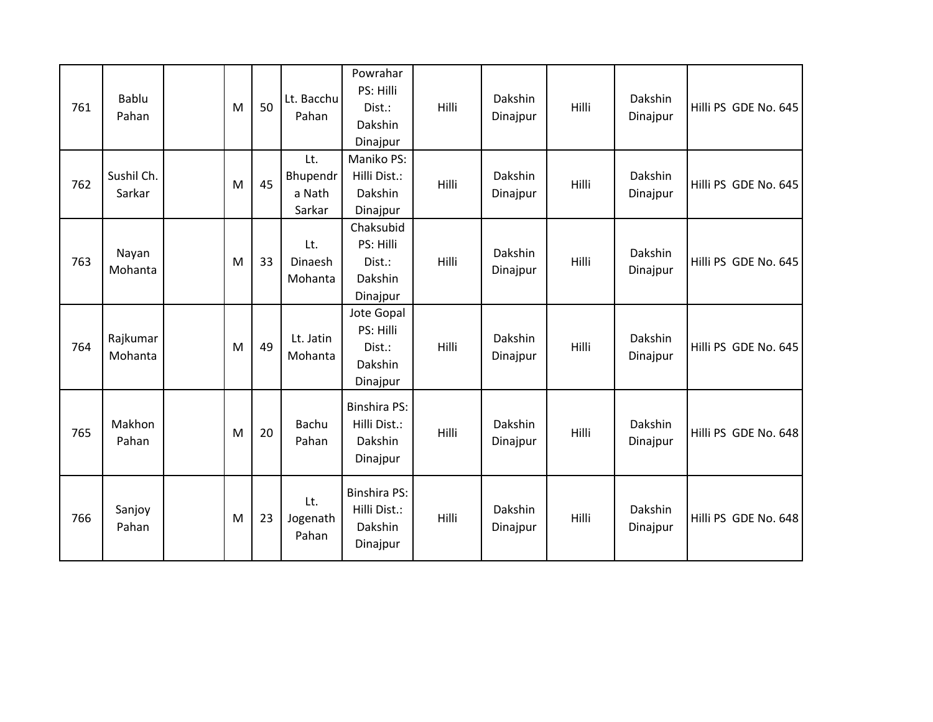| 761 | Bablu<br>Pahan       | M | 50 | Lt. Bacchu<br>Pahan                 | Powrahar<br>PS: Hilli<br>Dist.:<br>Dakshin<br>Dinajpur     | Hilli | Dakshin<br>Dinajpur | Hilli | Dakshin<br>Dinajpur | Hilli PS GDE No. 645 |
|-----|----------------------|---|----|-------------------------------------|------------------------------------------------------------|-------|---------------------|-------|---------------------|----------------------|
| 762 | Sushil Ch.<br>Sarkar | M | 45 | Lt.<br>Bhupendr<br>a Nath<br>Sarkar | Maniko PS:<br>Hilli Dist.:<br>Dakshin<br>Dinajpur          | Hilli | Dakshin<br>Dinajpur | Hilli | Dakshin<br>Dinajpur | Hilli PS GDE No. 645 |
| 763 | Nayan<br>Mohanta     | M | 33 | Lt.<br>Dinaesh<br>Mohanta           | Chaksubid<br>PS: Hilli<br>Dist.:<br>Dakshin<br>Dinajpur    | Hilli | Dakshin<br>Dinajpur | Hilli | Dakshin<br>Dinajpur | Hilli PS GDE No. 645 |
| 764 | Rajkumar<br>Mohanta  | M | 49 | Lt. Jatin<br>Mohanta                | Jote Gopal<br>PS: Hilli<br>Dist.:<br>Dakshin<br>Dinajpur   | Hilli | Dakshin<br>Dinajpur | Hilli | Dakshin<br>Dinajpur | Hilli PS GDE No. 645 |
| 765 | Makhon<br>Pahan      | M | 20 | <b>Bachu</b><br>Pahan               | <b>Binshira PS:</b><br>Hilli Dist.:<br>Dakshin<br>Dinajpur | Hilli | Dakshin<br>Dinajpur | Hilli | Dakshin<br>Dinajpur | Hilli PS GDE No. 648 |
| 766 | Sanjoy<br>Pahan      | M | 23 | Lt.<br>Jogenath<br>Pahan            | <b>Binshira PS:</b><br>Hilli Dist.:<br>Dakshin<br>Dinajpur | Hilli | Dakshin<br>Dinajpur | Hilli | Dakshin<br>Dinajpur | Hilli PS GDE No. 648 |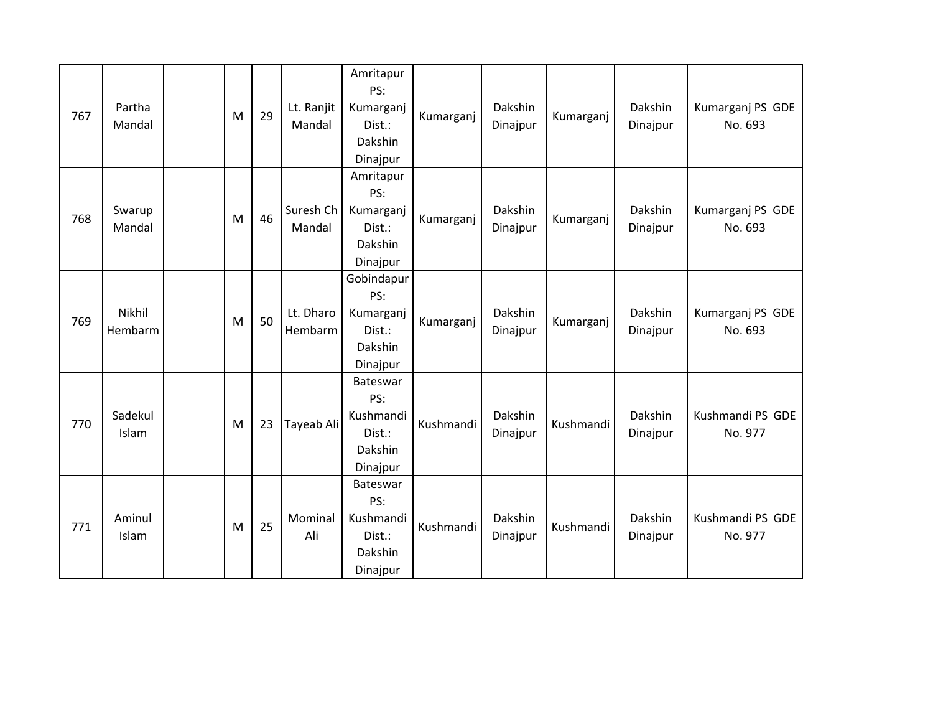| 767 | Partha<br>Mandal  | M | 29 | Lt. Ranjit<br>Mandal | Amritapur<br>PS:<br>Kumarganj<br>Dist.:<br>Dakshin<br>Dinajpur  | Kumarganj | Dakshin<br>Dinajpur | Kumarganj | Dakshin<br>Dinajpur | Kumarganj PS GDE<br>No. 693 |
|-----|-------------------|---|----|----------------------|-----------------------------------------------------------------|-----------|---------------------|-----------|---------------------|-----------------------------|
| 768 | Swarup<br>Mandal  | M | 46 | Suresh Ch<br>Mandal  | Amritapur<br>PS:<br>Kumarganj<br>Dist.:<br>Dakshin<br>Dinajpur  | Kumarganj | Dakshin<br>Dinajpur | Kumarganj | Dakshin<br>Dinajpur | Kumarganj PS GDE<br>No. 693 |
| 769 | Nikhil<br>Hembarm | M | 50 | Lt. Dharo<br>Hembarm | Gobindapur<br>PS:<br>Kumarganj<br>Dist.:<br>Dakshin<br>Dinajpur | Kumarganj | Dakshin<br>Dinajpur | Kumarganj | Dakshin<br>Dinajpur | Kumarganj PS GDE<br>No. 693 |
| 770 | Sadekul<br>Islam  | M | 23 | Tayeab Ali           | Bateswar<br>PS:<br>Kushmandi<br>Dist.:<br>Dakshin<br>Dinajpur   | Kushmandi | Dakshin<br>Dinajpur | Kushmandi | Dakshin<br>Dinajpur | Kushmandi PS GDE<br>No. 977 |
| 771 | Aminul<br>Islam   | M | 25 | Mominal<br>Ali       | Bateswar<br>PS:<br>Kushmandi<br>Dist.:<br>Dakshin<br>Dinajpur   | Kushmandi | Dakshin<br>Dinajpur | Kushmandi | Dakshin<br>Dinajpur | Kushmandi PS GDE<br>No. 977 |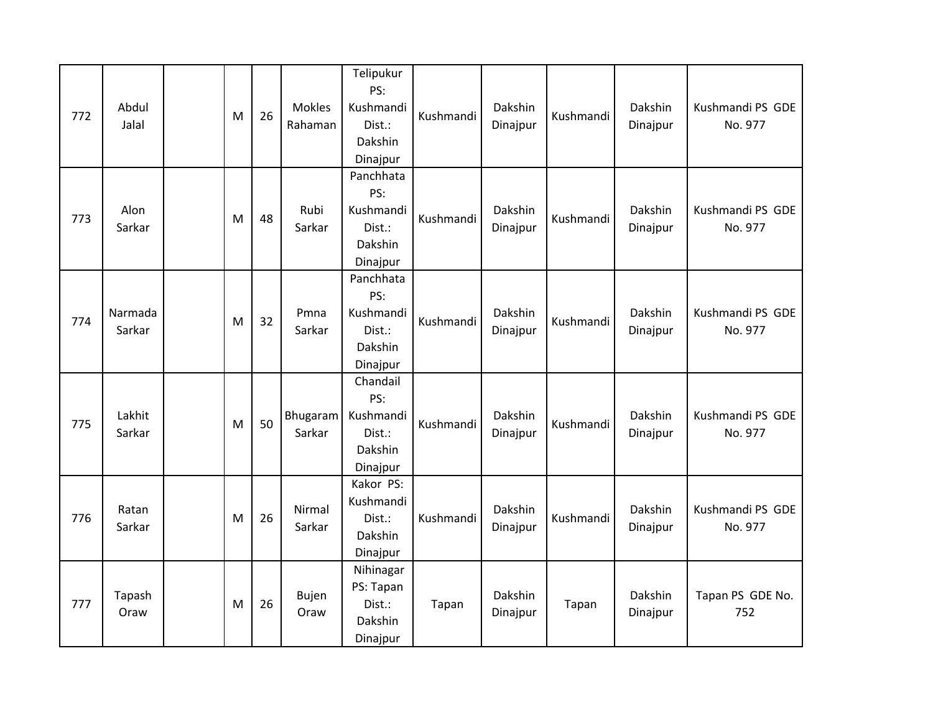| 772 | Abdul<br>Jalal    | M | 26 | <b>Mokles</b><br>Rahaman | Telipukur<br>PS:<br>Kushmandi<br>Dist.:<br>Dakshin<br>Dinajpur | Kushmandi | Dakshin<br>Dinajpur | Kushmandi | Dakshin<br>Dinajpur | Kushmandi PS GDE<br>No. 977 |
|-----|-------------------|---|----|--------------------------|----------------------------------------------------------------|-----------|---------------------|-----------|---------------------|-----------------------------|
| 773 | Alon<br>Sarkar    | M | 48 | Rubi<br>Sarkar           | Panchhata<br>PS:<br>Kushmandi<br>Dist.:<br>Dakshin<br>Dinajpur | Kushmandi | Dakshin<br>Dinajpur | Kushmandi | Dakshin<br>Dinajpur | Kushmandi PS GDE<br>No. 977 |
| 774 | Narmada<br>Sarkar | M | 32 | Pmna<br>Sarkar           | Panchhata<br>PS:<br>Kushmandi<br>Dist.:<br>Dakshin<br>Dinajpur | Kushmandi | Dakshin<br>Dinajpur | Kushmandi | Dakshin<br>Dinajpur | Kushmandi PS GDE<br>No. 977 |
| 775 | Lakhit<br>Sarkar  | M | 50 | Bhugaram<br>Sarkar       | Chandail<br>PS:<br>Kushmandi<br>Dist.:<br>Dakshin<br>Dinajpur  | Kushmandi | Dakshin<br>Dinajpur | Kushmandi | Dakshin<br>Dinajpur | Kushmandi PS GDE<br>No. 977 |
| 776 | Ratan<br>Sarkar   | M | 26 | Nirmal<br>Sarkar         | Kakor PS:<br>Kushmandi<br>Dist.:<br>Dakshin<br>Dinajpur        | Kushmandi | Dakshin<br>Dinajpur | Kushmandi | Dakshin<br>Dinajpur | Kushmandi PS GDE<br>No. 977 |
| 777 | Tapash<br>Oraw    | M | 26 | <b>Bujen</b><br>Oraw     | Nihinagar<br>PS: Tapan<br>Dist.:<br>Dakshin<br>Dinajpur        | Tapan     | Dakshin<br>Dinajpur | Tapan     | Dakshin<br>Dinajpur | Tapan PS GDE No.<br>752     |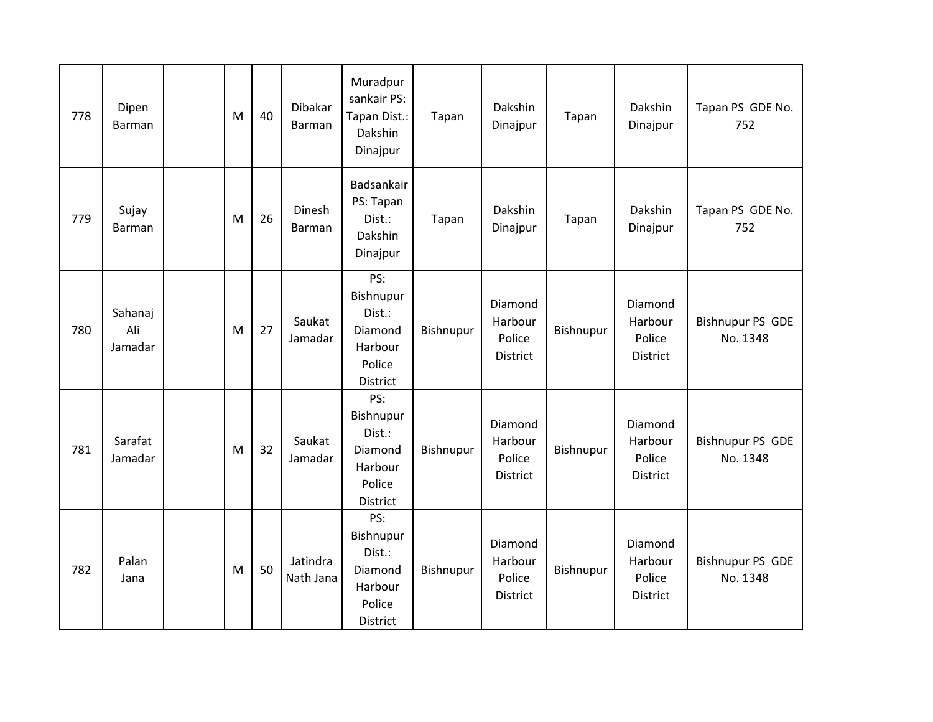| 778 | Dipen<br>Barman           | M         | 40 | Dibakar<br>Barman     | Muradpur<br>sankair PS:<br>Tapan Dist.:<br>Dakshin<br>Dinajpur         | Tapan     | Dakshin<br>Dinajpur                             | Tapan     | Dakshin<br>Dinajpur                      | Tapan PS GDE No.<br>752             |
|-----|---------------------------|-----------|----|-----------------------|------------------------------------------------------------------------|-----------|-------------------------------------------------|-----------|------------------------------------------|-------------------------------------|
| 779 | Sujay<br>Barman           | M         | 26 | Dinesh<br>Barman      | Badsankair<br>PS: Tapan<br>Dist.:<br>Dakshin<br>Dinajpur               | Tapan     | Dakshin<br>Dinajpur                             | Tapan     | Dakshin<br>Dinajpur                      | Tapan PS GDE No.<br>752             |
| 780 | Sahanaj<br>Ali<br>Jamadar | ${\sf M}$ | 27 | Saukat<br>Jamadar     | PS:<br>Bishnupur<br>Dist.:<br>Diamond<br>Harbour<br>Police<br>District | Bishnupur | Diamond<br>Harbour<br>Police<br>District        | Bishnupur | Diamond<br>Harbour<br>Police<br>District | <b>Bishnupur PS GDE</b><br>No. 1348 |
| 781 | Sarafat<br>Jamadar        | M         | 32 | Saukat<br>Jamadar     | PS:<br>Bishnupur<br>Dist.:<br>Diamond<br>Harbour<br>Police<br>District | Bishnupur | Diamond<br>Harbour<br>Police<br>District        | Bishnupur | Diamond<br>Harbour<br>Police<br>District | <b>Bishnupur PS GDE</b><br>No. 1348 |
| 782 | Palan<br>Jana             | M         | 50 | Jatindra<br>Nath Jana | PS:<br>Bishnupur<br>Dist.:<br>Diamond<br>Harbour<br>Police<br>District | Bishnupur | Diamond<br>Harbour<br>Police<br><b>District</b> | Bishnupur | Diamond<br>Harbour<br>Police<br>District | <b>Bishnupur PS GDE</b><br>No. 1348 |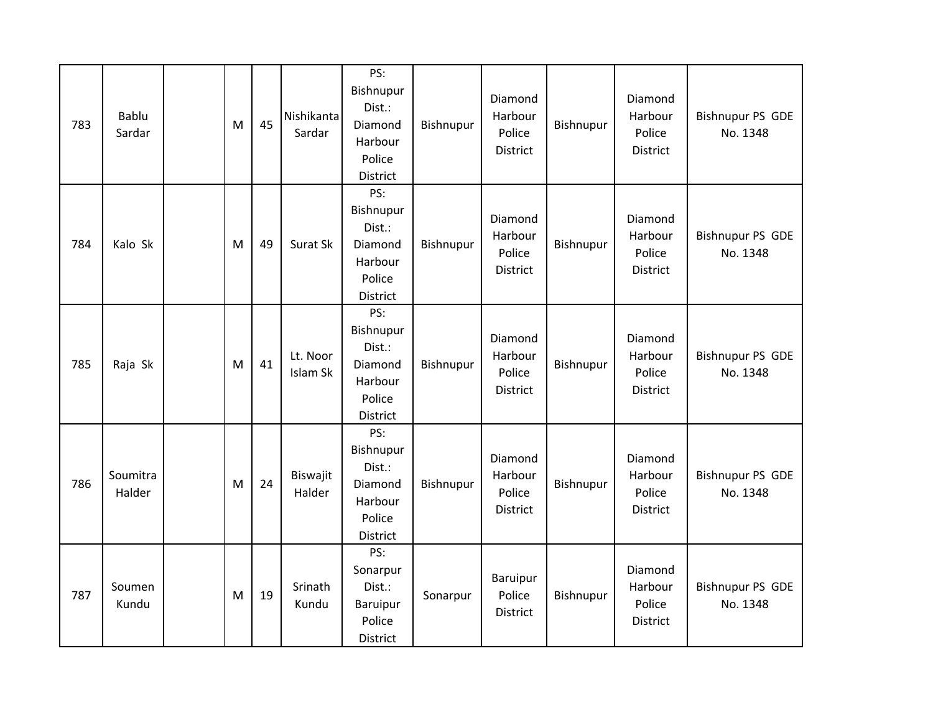| 783 | Bablu<br>Sardar    | M | 45 | Nishikanta<br>Sardar | PS:<br>Bishnupur<br>Dist.:<br>Diamond<br>Harbour<br>Police<br>District | Bishnupur | Diamond<br>Harbour<br>Police<br><b>District</b> | Bishnupur | Diamond<br>Harbour<br>Police<br><b>District</b> | <b>Bishnupur PS GDE</b><br>No. 1348 |
|-----|--------------------|---|----|----------------------|------------------------------------------------------------------------|-----------|-------------------------------------------------|-----------|-------------------------------------------------|-------------------------------------|
| 784 | Kalo Sk            | M | 49 | Surat Sk             | PS:<br>Bishnupur<br>Dist.:<br>Diamond<br>Harbour<br>Police<br>District | Bishnupur | Diamond<br>Harbour<br>Police<br>District        | Bishnupur | Diamond<br>Harbour<br>Police<br>District        | <b>Bishnupur PS GDE</b><br>No. 1348 |
| 785 | Raja Sk            | M | 41 | Lt. Noor<br>Islam Sk | PS:<br>Bishnupur<br>Dist.:<br>Diamond<br>Harbour<br>Police<br>District | Bishnupur | Diamond<br>Harbour<br>Police<br>District        | Bishnupur | Diamond<br>Harbour<br>Police<br>District        | <b>Bishnupur PS GDE</b><br>No. 1348 |
| 786 | Soumitra<br>Halder | M | 24 | Biswajit<br>Halder   | PS:<br>Bishnupur<br>Dist.:<br>Diamond<br>Harbour<br>Police<br>District | Bishnupur | Diamond<br>Harbour<br>Police<br><b>District</b> | Bishnupur | Diamond<br>Harbour<br>Police<br>District        | <b>Bishnupur PS GDE</b><br>No. 1348 |
| 787 | Soumen<br>Kundu    | M | 19 | Srinath<br>Kundu     | PS:<br>Sonarpur<br>Dist.:<br><b>Baruipur</b><br>Police<br>District     | Sonarpur  | Baruipur<br>Police<br>District                  | Bishnupur | Diamond<br>Harbour<br>Police<br>District        | <b>Bishnupur PS GDE</b><br>No. 1348 |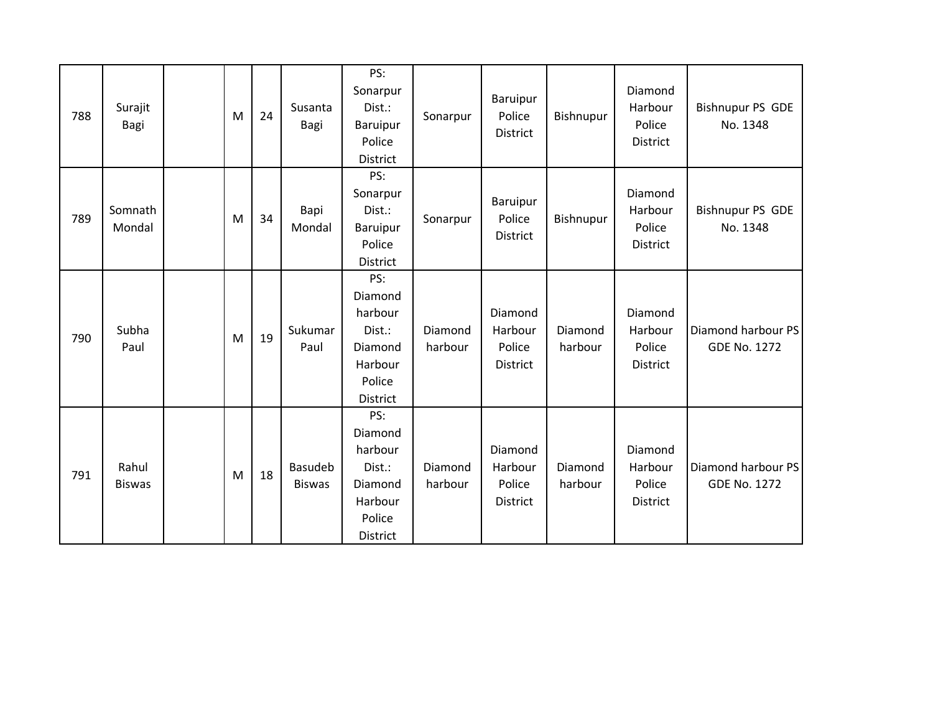| 788 | Surajit<br>Bagi        | M | 24 | Susanta<br>Bagi          | PS:<br>Sonarpur<br>Dist.:<br>Baruipur<br>Police<br>District                            | Sonarpur           | Baruipur<br>Police<br>District                  | Bishnupur          | Diamond<br>Harbour<br>Police<br><b>District</b> | <b>Bishnupur PS GDE</b><br>No. 1348       |
|-----|------------------------|---|----|--------------------------|----------------------------------------------------------------------------------------|--------------------|-------------------------------------------------|--------------------|-------------------------------------------------|-------------------------------------------|
| 789 | Somnath<br>Mondal      | M | 34 | Bapi<br>Mondal           | PS:<br>Sonarpur<br>Dist.:<br>Baruipur<br>Police<br>District                            | Sonarpur           | Baruipur<br>Police<br>District                  | Bishnupur          | Diamond<br>Harbour<br>Police<br><b>District</b> | <b>Bishnupur PS GDE</b><br>No. 1348       |
| 790 | Subha<br>Paul          | M | 19 | Sukumar<br>Paul          | PS:<br>Diamond<br>harbour<br>Dist.:<br>Diamond<br>Harbour<br>Police<br>District        | Diamond<br>harbour | Diamond<br>Harbour<br>Police<br><b>District</b> | Diamond<br>harbour | Diamond<br>Harbour<br>Police<br><b>District</b> | Diamond harbour PS<br><b>GDE No. 1272</b> |
| 791 | Rahul<br><b>Biswas</b> | M | 18 | Basudeb<br><b>Biswas</b> | PS:<br>Diamond<br>harbour<br>Dist.:<br>Diamond<br>Harbour<br>Police<br><b>District</b> | Diamond<br>harbour | Diamond<br>Harbour<br>Police<br><b>District</b> | Diamond<br>harbour | Diamond<br>Harbour<br>Police<br><b>District</b> | Diamond harbour PS<br><b>GDE No. 1272</b> |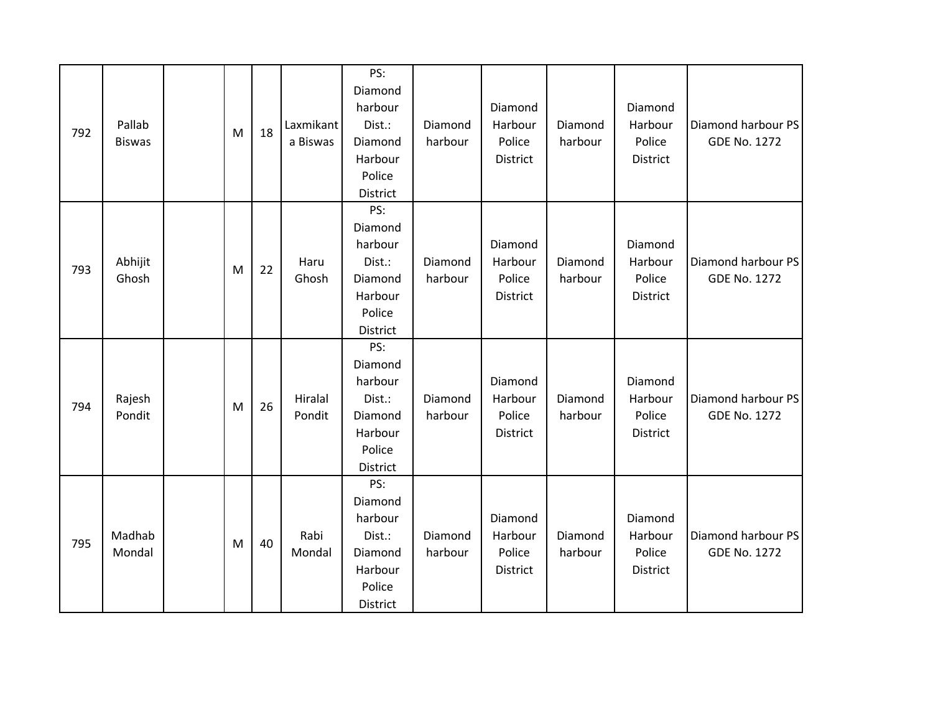| 792 | Pallab<br><b>Biswas</b> | M | 18 | Laxmikant<br>a Biswas | PS:<br>Diamond<br>harbour<br>Dist.:<br>Diamond<br>Harbour<br>Police<br>District | Diamond<br>harbour | Diamond<br>Harbour<br>Police<br>District        | Diamond<br>harbour | Diamond<br>Harbour<br>Police<br>District | Diamond harbour PS<br><b>GDE No. 1272</b> |
|-----|-------------------------|---|----|-----------------------|---------------------------------------------------------------------------------|--------------------|-------------------------------------------------|--------------------|------------------------------------------|-------------------------------------------|
| 793 | Abhijit<br>Ghosh        | M | 22 | Haru<br>Ghosh         | PS:<br>Diamond<br>harbour<br>Dist.:<br>Diamond<br>Harbour<br>Police<br>District | Diamond<br>harbour | Diamond<br>Harbour<br>Police<br><b>District</b> | Diamond<br>harbour | Diamond<br>Harbour<br>Police<br>District | Diamond harbour PS<br><b>GDE No. 1272</b> |
| 794 | Rajesh<br>Pondit        | M | 26 | Hiralal<br>Pondit     | PS:<br>Diamond<br>harbour<br>Dist.:<br>Diamond<br>Harbour<br>Police<br>District | Diamond<br>harbour | Diamond<br>Harbour<br>Police<br>District        | Diamond<br>harbour | Diamond<br>Harbour<br>Police<br>District | Diamond harbour PS<br><b>GDE No. 1272</b> |
| 795 | Madhab<br>Mondal        | M | 40 | Rabi<br>Mondal        | PS:<br>Diamond<br>harbour<br>Dist.:<br>Diamond<br>Harbour<br>Police<br>District | Diamond<br>harbour | Diamond<br>Harbour<br>Police<br>District        | Diamond<br>harbour | Diamond<br>Harbour<br>Police<br>District | Diamond harbour PS<br><b>GDE No. 1272</b> |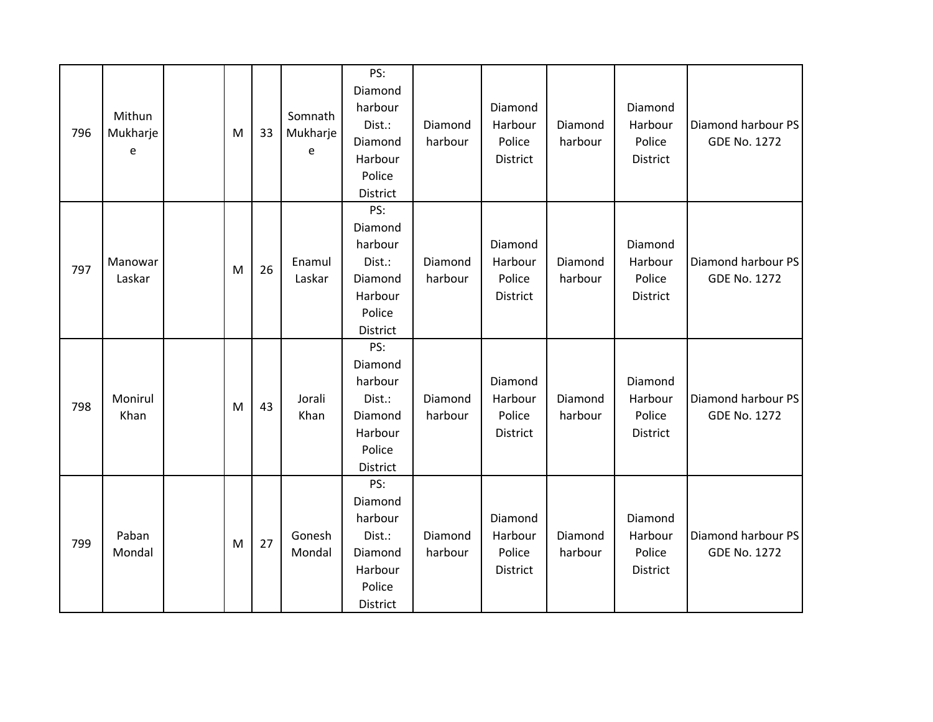| 796 | Mithun<br>Mukharje<br>e | M | 33 | Somnath<br>Mukharje<br>e | PS:<br>Diamond<br>harbour<br>Dist.:<br>Diamond<br>Harbour<br>Police<br>District | Diamond<br>harbour | Diamond<br>Harbour<br>Police<br>District | Diamond<br>harbour | Diamond<br>Harbour<br>Police<br>District        | Diamond harbour PS<br><b>GDE No. 1272</b> |
|-----|-------------------------|---|----|--------------------------|---------------------------------------------------------------------------------|--------------------|------------------------------------------|--------------------|-------------------------------------------------|-------------------------------------------|
| 797 | Manowar<br>Laskar       | M | 26 | Enamul<br>Laskar         | PS:<br>Diamond<br>harbour<br>Dist.:<br>Diamond<br>Harbour<br>Police<br>District | Diamond<br>harbour | Diamond<br>Harbour<br>Police<br>District | Diamond<br>harbour | Diamond<br>Harbour<br>Police<br>District        | Diamond harbour PS<br><b>GDE No. 1272</b> |
| 798 | Monirul<br>Khan         | M | 43 | Jorali<br>Khan           | PS:<br>Diamond<br>harbour<br>Dist.:<br>Diamond<br>Harbour<br>Police<br>District | Diamond<br>harbour | Diamond<br>Harbour<br>Police<br>District | Diamond<br>harbour | Diamond<br>Harbour<br>Police<br>District        | Diamond harbour PS<br><b>GDE No. 1272</b> |
| 799 | Paban<br>Mondal         | M | 27 | Gonesh<br>Mondal         | PS:<br>Diamond<br>harbour<br>Dist.:<br>Diamond<br>Harbour<br>Police<br>District | Diamond<br>harbour | Diamond<br>Harbour<br>Police<br>District | Diamond<br>harbour | Diamond<br>Harbour<br>Police<br><b>District</b> | Diamond harbour PS<br><b>GDE No. 1272</b> |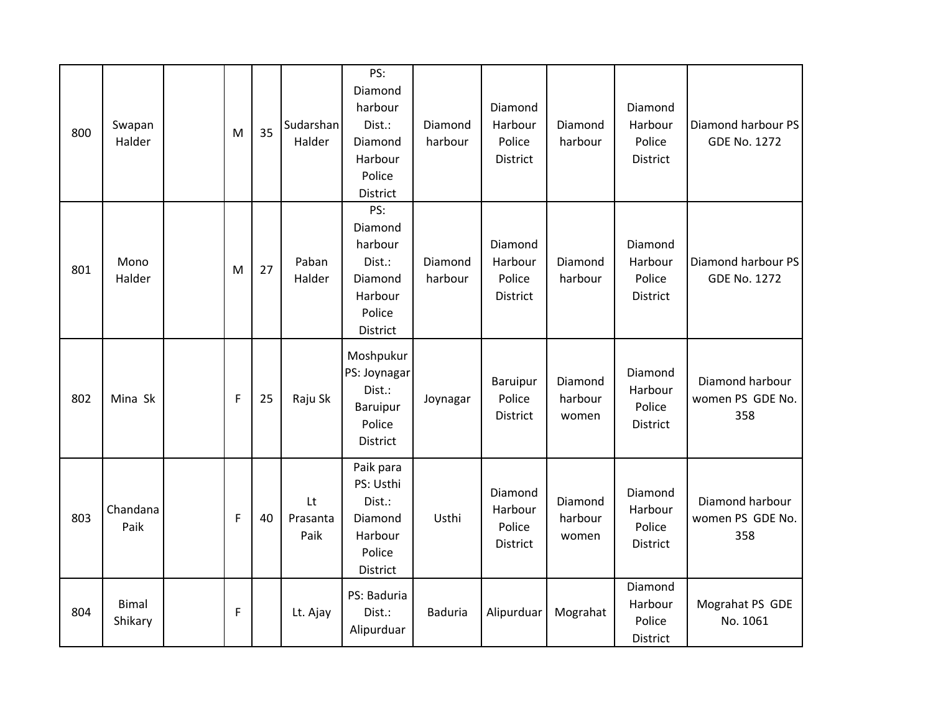| 800 | Swapan<br>Halder        | M           | 35 | Sudarshan<br>Halder    | PS:<br>Diamond<br>harbour<br>Dist.:<br>Diamond<br>Harbour<br>Police<br>District | Diamond<br>harbour | Diamond<br>Harbour<br>Police<br><b>District</b> | Diamond<br>harbour          | Diamond<br>Harbour<br>Police<br>District | Diamond harbour PS<br><b>GDE No. 1272</b>  |
|-----|-------------------------|-------------|----|------------------------|---------------------------------------------------------------------------------|--------------------|-------------------------------------------------|-----------------------------|------------------------------------------|--------------------------------------------|
| 801 | Mono<br>Halder          | M           | 27 | Paban<br>Halder        | PS:<br>Diamond<br>harbour<br>Dist.:<br>Diamond<br>Harbour<br>Police<br>District | Diamond<br>harbour | Diamond<br>Harbour<br>Police<br>District        | Diamond<br>harbour          | Diamond<br>Harbour<br>Police<br>District | Diamond harbour PS<br><b>GDE No. 1272</b>  |
| 802 | Mina Sk                 | $\mathsf F$ | 25 | Raju Sk                | Moshpukur<br>PS: Joynagar<br>Dist.:<br>Baruipur<br>Police<br>District           | Joynagar           | Baruipur<br>Police<br><b>District</b>           | Diamond<br>harbour<br>women | Diamond<br>Harbour<br>Police<br>District | Diamond harbour<br>women PS GDE No.<br>358 |
| 803 | Chandana<br>Paik        | F           | 40 | Lt<br>Prasanta<br>Paik | Paik para<br>PS: Usthi<br>Dist.:<br>Diamond<br>Harbour<br>Police<br>District    | Usthi              | Diamond<br>Harbour<br>Police<br>District        | Diamond<br>harbour<br>women | Diamond<br>Harbour<br>Police<br>District | Diamond harbour<br>women PS GDE No.<br>358 |
| 804 | <b>Bimal</b><br>Shikary | $\mathsf F$ |    | Lt. Ajay               | PS: Baduria<br>Dist.:<br>Alipurduar                                             | <b>Baduria</b>     | Alipurduar                                      | Mograhat                    | Diamond<br>Harbour<br>Police<br>District | Mograhat PS GDE<br>No. 1061                |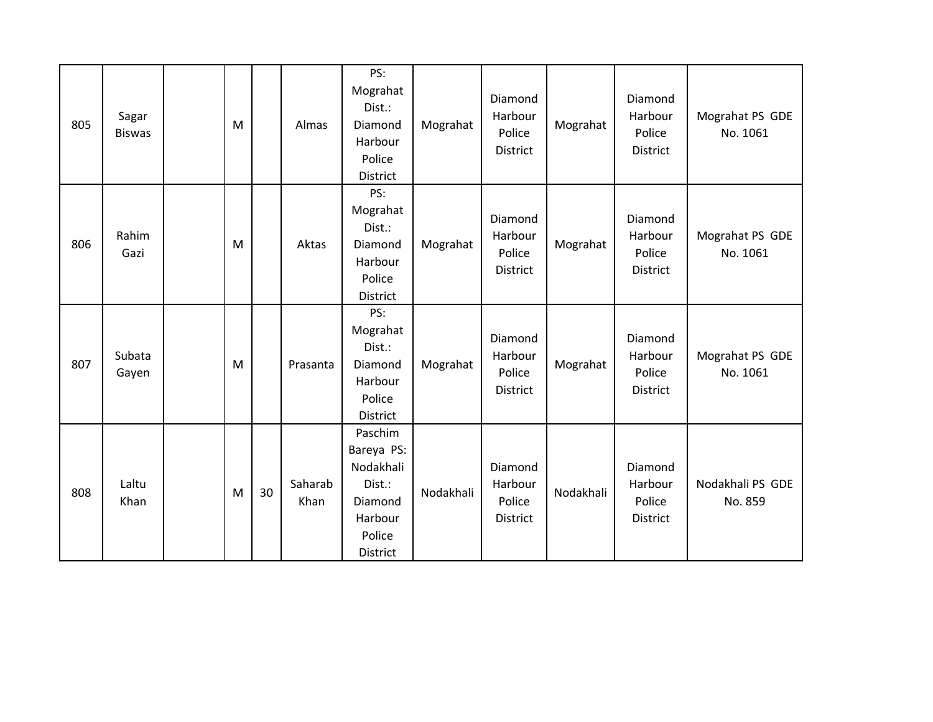| 805 | Sagar<br><b>Biswas</b> | M |    | Almas           | PS:<br>Mograhat<br>Dist.:<br>Diamond<br>Harbour<br>Police<br>District                    | Mograhat  | Diamond<br>Harbour<br>Police<br>District | Mograhat  | Diamond<br>Harbour<br>Police<br><b>District</b> | Mograhat PS GDE<br>No. 1061 |
|-----|------------------------|---|----|-----------------|------------------------------------------------------------------------------------------|-----------|------------------------------------------|-----------|-------------------------------------------------|-----------------------------|
| 806 | Rahim<br>Gazi          | M |    | Aktas           | PS:<br>Mograhat<br>Dist.:<br>Diamond<br>Harbour<br>Police<br><b>District</b>             | Mograhat  | Diamond<br>Harbour<br>Police<br>District | Mograhat  | Diamond<br>Harbour<br>Police<br>District        | Mograhat PS GDE<br>No. 1061 |
| 807 | Subata<br>Gayen        | M |    | Prasanta        | PS:<br>Mograhat<br>Dist.:<br>Diamond<br>Harbour<br>Police<br><b>District</b>             | Mograhat  | Diamond<br>Harbour<br>Police<br>District | Mograhat  | Diamond<br>Harbour<br>Police<br>District        | Mograhat PS GDE<br>No. 1061 |
| 808 | Laltu<br>Khan          | M | 30 | Saharab<br>Khan | Paschim<br>Bareya PS:<br>Nodakhali<br>Dist.:<br>Diamond<br>Harbour<br>Police<br>District | Nodakhali | Diamond<br>Harbour<br>Police<br>District | Nodakhali | Diamond<br>Harbour<br>Police<br>District        | Nodakhali PS GDE<br>No. 859 |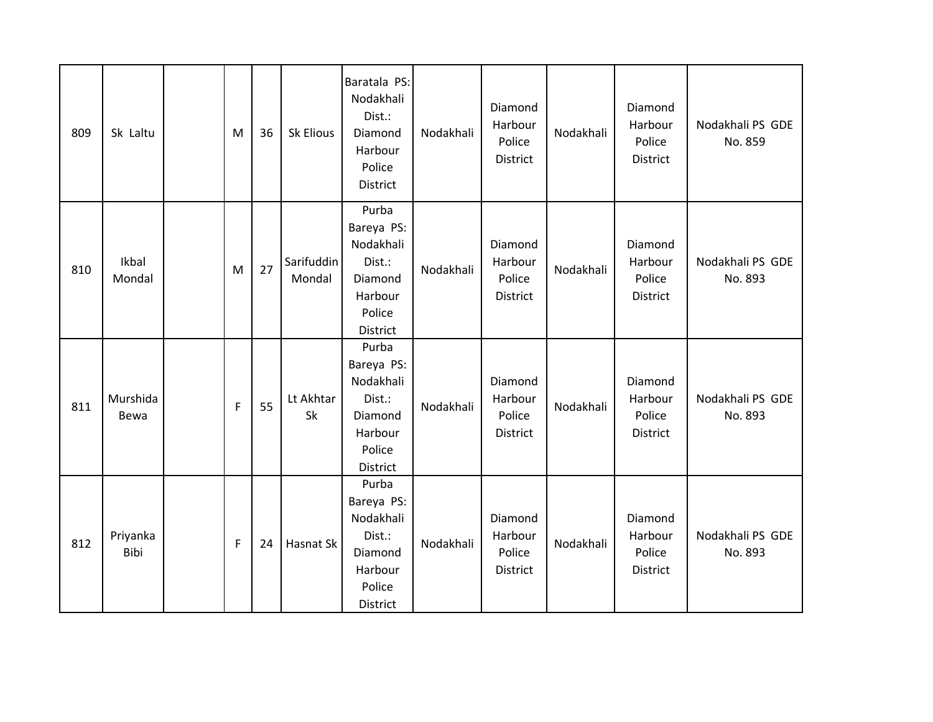| 809 | Sk Laltu         | M           | 36 | Sk Elious            | Baratala PS:<br>Nodakhali<br>Dist.:<br>Diamond<br>Harbour<br>Police<br>District        | Nodakhali | Diamond<br>Harbour<br>Police<br>District | Nodakhali | Diamond<br>Harbour<br>Police<br>District | Nodakhali PS GDE<br>No. 859 |
|-----|------------------|-------------|----|----------------------|----------------------------------------------------------------------------------------|-----------|------------------------------------------|-----------|------------------------------------------|-----------------------------|
| 810 | Ikbal<br>Mondal  | M           | 27 | Sarifuddin<br>Mondal | Purba<br>Bareya PS:<br>Nodakhali<br>Dist.:<br>Diamond<br>Harbour<br>Police<br>District | Nodakhali | Diamond<br>Harbour<br>Police<br>District | Nodakhali | Diamond<br>Harbour<br>Police<br>District | Nodakhali PS GDE<br>No. 893 |
| 811 | Murshida<br>Bewa | $\mathsf F$ | 55 | Lt Akhtar<br>Sk      | Purba<br>Bareya PS:<br>Nodakhali<br>Dist.:<br>Diamond<br>Harbour<br>Police<br>District | Nodakhali | Diamond<br>Harbour<br>Police<br>District | Nodakhali | Diamond<br>Harbour<br>Police<br>District | Nodakhali PS GDE<br>No. 893 |
| 812 | Priyanka<br>Bibi | F.          | 24 | Hasnat Sk            | Purba<br>Bareya PS:<br>Nodakhali<br>Dist.:<br>Diamond<br>Harbour<br>Police<br>District | Nodakhali | Diamond<br>Harbour<br>Police<br>District | Nodakhali | Diamond<br>Harbour<br>Police<br>District | Nodakhali PS GDE<br>No. 893 |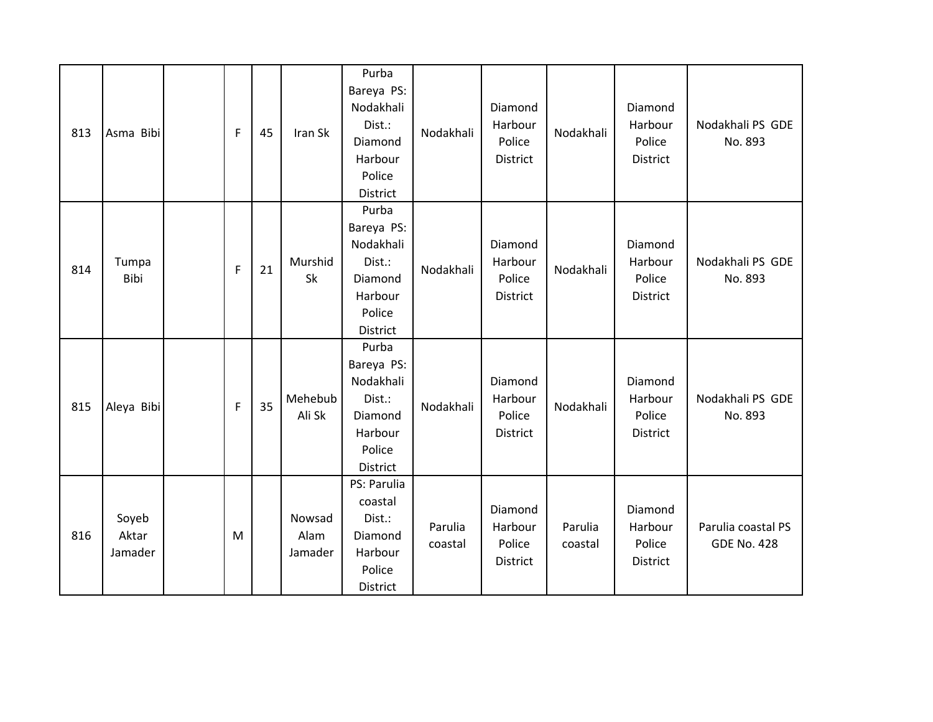| 813 | Asma Bibi                 | F | 45 | Iran Sk                   | Purba<br>Bareya PS:<br>Nodakhali<br>Dist.:<br>Diamond<br>Harbour<br>Police<br>District | Nodakhali          | Diamond<br>Harbour<br>Police<br>District        | Nodakhali          | Diamond<br>Harbour<br>Police<br>District | Nodakhali PS GDE<br>No. 893              |
|-----|---------------------------|---|----|---------------------------|----------------------------------------------------------------------------------------|--------------------|-------------------------------------------------|--------------------|------------------------------------------|------------------------------------------|
| 814 | Tumpa<br>Bibi             | F | 21 | Murshid<br>Sk             | Purba<br>Bareya PS:<br>Nodakhali<br>Dist.:<br>Diamond<br>Harbour<br>Police<br>District | Nodakhali          | Diamond<br>Harbour<br>Police<br>District        | Nodakhali          | Diamond<br>Harbour<br>Police<br>District | Nodakhali PS GDE<br>No. 893              |
| 815 | Aleya Bibi                | F | 35 | Mehebub<br>Ali Sk         | Purba<br>Bareya PS:<br>Nodakhali<br>Dist.:<br>Diamond<br>Harbour<br>Police<br>District | Nodakhali          | Diamond<br>Harbour<br>Police<br><b>District</b> | Nodakhali          | Diamond<br>Harbour<br>Police<br>District | Nodakhali PS GDE<br>No. 893              |
| 816 | Soyeb<br>Aktar<br>Jamader | M |    | Nowsad<br>Alam<br>Jamader | PS: Parulia<br>coastal<br>Dist.:<br>Diamond<br>Harbour<br>Police<br>District           | Parulia<br>coastal | Diamond<br>Harbour<br>Police<br>District        | Parulia<br>coastal | Diamond<br>Harbour<br>Police<br>District | Parulia coastal PS<br><b>GDE No. 428</b> |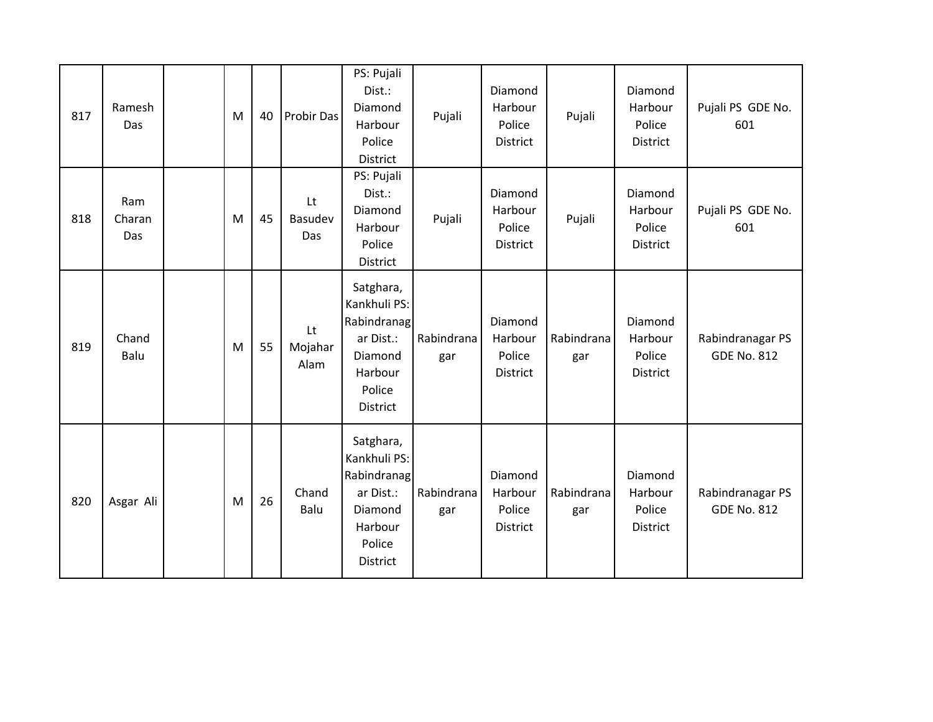| 817 | Ramesh<br>Das        | M | 40 | <b>Probir Das</b>     | PS: Pujali<br>Dist.:<br>Diamond<br>Harbour<br>Police<br>District                                         | Pujali            | Diamond<br>Harbour<br>Police<br>District | Pujali            | Diamond<br>Harbour<br>Police<br>District        | Pujali PS GDE No.<br>601               |
|-----|----------------------|---|----|-----------------------|----------------------------------------------------------------------------------------------------------|-------------------|------------------------------------------|-------------------|-------------------------------------------------|----------------------------------------|
| 818 | Ram<br>Charan<br>Das | M | 45 | Lt<br>Basudev<br>Das  | PS: Pujali<br>Dist.:<br>Diamond<br>Harbour<br>Police<br>District                                         | Pujali            | Diamond<br>Harbour<br>Police<br>District | Pujali            | Diamond<br>Harbour<br>Police<br><b>District</b> | Pujali PS GDE No.<br>601               |
| 819 | Chand<br>Balu        | M | 55 | Lt<br>Mojahar<br>Alam | Satghara,<br>Kankhuli PS:<br>Rabindranag<br>ar Dist.:<br>Diamond<br>Harbour<br>Police<br><b>District</b> | Rabindrana<br>gar | Diamond<br>Harbour<br>Police<br>District | Rabindrana<br>gar | Diamond<br>Harbour<br>Police<br>District        | Rabindranagar PS<br><b>GDE No. 812</b> |
| 820 | Asgar Ali            | M | 26 | Chand<br>Balu         | Satghara,<br>Kankhuli PS:<br>Rabindranag<br>ar Dist.:<br>Diamond<br>Harbour<br>Police<br><b>District</b> | Rabindrana<br>gar | Diamond<br>Harbour<br>Police<br>District | Rabindrana<br>gar | Diamond<br>Harbour<br>Police<br>District        | Rabindranagar PS<br><b>GDE No. 812</b> |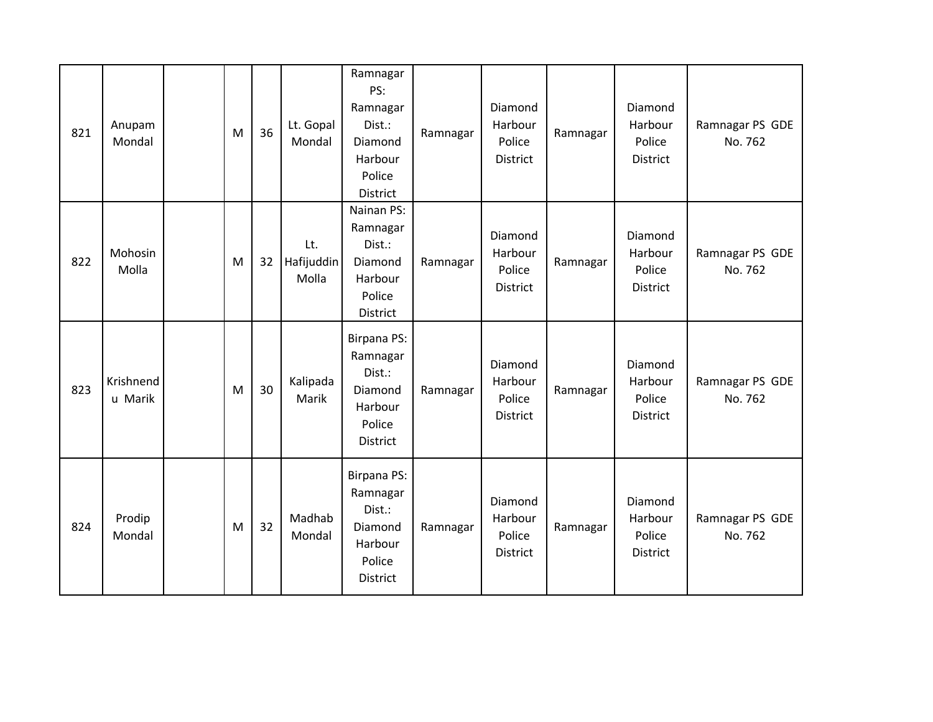| 821 | Anupam<br>Mondal     | M | 36 | Lt. Gopal<br>Mondal        | Ramnagar<br>PS:<br>Ramnagar<br>Dist.:<br>Diamond<br>Harbour<br>Police<br>District    | Ramnagar | Diamond<br>Harbour<br>Police<br>District        | Ramnagar | Diamond<br>Harbour<br>Police<br>District | Ramnagar PS GDE<br>No. 762 |
|-----|----------------------|---|----|----------------------------|--------------------------------------------------------------------------------------|----------|-------------------------------------------------|----------|------------------------------------------|----------------------------|
| 822 | Mohosin<br>Molla     | M | 32 | Lt.<br>Hafijuddin<br>Molla | Nainan PS:<br>Ramnagar<br>Dist.:<br>Diamond<br>Harbour<br>Police<br>District         | Ramnagar | Diamond<br>Harbour<br>Police<br><b>District</b> | Ramnagar | Diamond<br>Harbour<br>Police<br>District | Ramnagar PS GDE<br>No. 762 |
| 823 | Krishnend<br>u Marik | M | 30 | Kalipada<br>Marik          | <b>Birpana PS:</b><br>Ramnagar<br>Dist.:<br>Diamond<br>Harbour<br>Police<br>District | Ramnagar | Diamond<br>Harbour<br>Police<br><b>District</b> | Ramnagar | Diamond<br>Harbour<br>Police<br>District | Ramnagar PS GDE<br>No. 762 |
| 824 | Prodip<br>Mondal     | M | 32 | Madhab<br>Mondal           | <b>Birpana PS:</b><br>Ramnagar<br>Dist.:<br>Diamond<br>Harbour<br>Police<br>District | Ramnagar | Diamond<br>Harbour<br>Police<br>District        | Ramnagar | Diamond<br>Harbour<br>Police<br>District | Ramnagar PS GDE<br>No. 762 |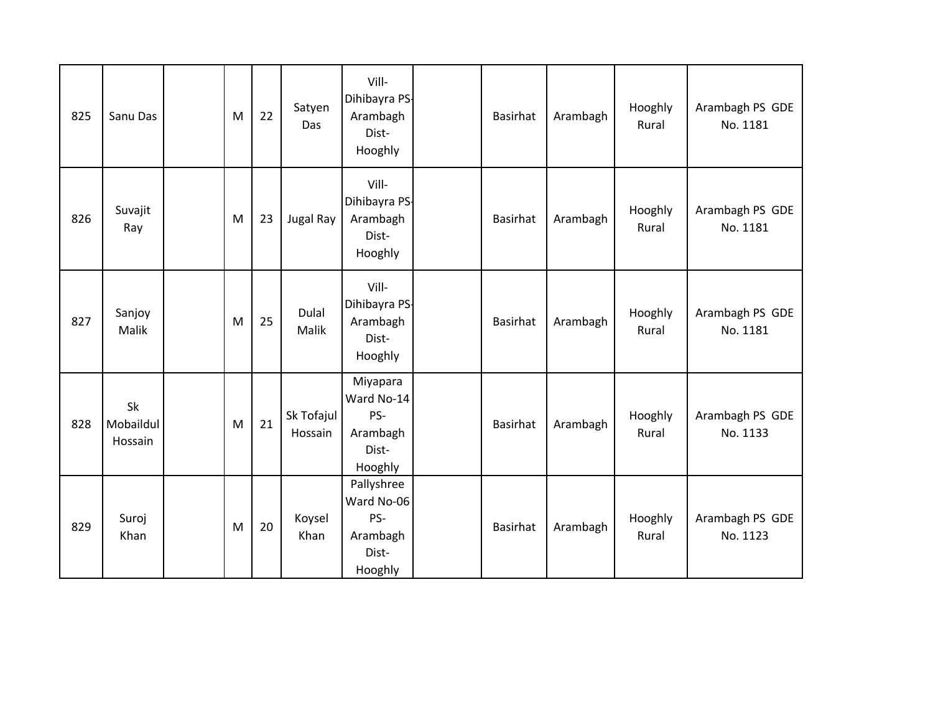| 825 | Sanu Das                   | M | 22 | Satyen<br>Das         | Vill-<br>Dihibayra PS-<br>Arambagh<br>Dist-<br>Hooghly          | <b>Basirhat</b> | Arambagh | Hooghly<br>Rural | Arambagh PS GDE<br>No. 1181 |
|-----|----------------------------|---|----|-----------------------|-----------------------------------------------------------------|-----------------|----------|------------------|-----------------------------|
| 826 | Suvajit<br>Ray             | M | 23 | <b>Jugal Ray</b>      | Vill-<br>Dihibayra PS-<br>Arambagh<br>Dist-<br>Hooghly          | Basirhat        | Arambagh | Hooghly<br>Rural | Arambagh PS GDE<br>No. 1181 |
| 827 | Sanjoy<br>Malik            | M | 25 | Dulal<br>Malik        | Vill-<br>Dihibayra PS-<br>Arambagh<br>Dist-<br>Hooghly          | Basirhat        | Arambagh | Hooghly<br>Rural | Arambagh PS GDE<br>No. 1181 |
| 828 | Sk<br>Mobaildul<br>Hossain | M | 21 | Sk Tofajul<br>Hossain | Miyapara<br>Ward No-14<br>PS-<br>Arambagh<br>Dist-<br>Hooghly   | Basirhat        | Arambagh | Hooghly<br>Rural | Arambagh PS GDE<br>No. 1133 |
| 829 | Suroj<br>Khan              | M | 20 | Koysel<br>Khan        | Pallyshree<br>Ward No-06<br>PS-<br>Arambagh<br>Dist-<br>Hooghly | Basirhat        | Arambagh | Hooghly<br>Rural | Arambagh PS GDE<br>No. 1123 |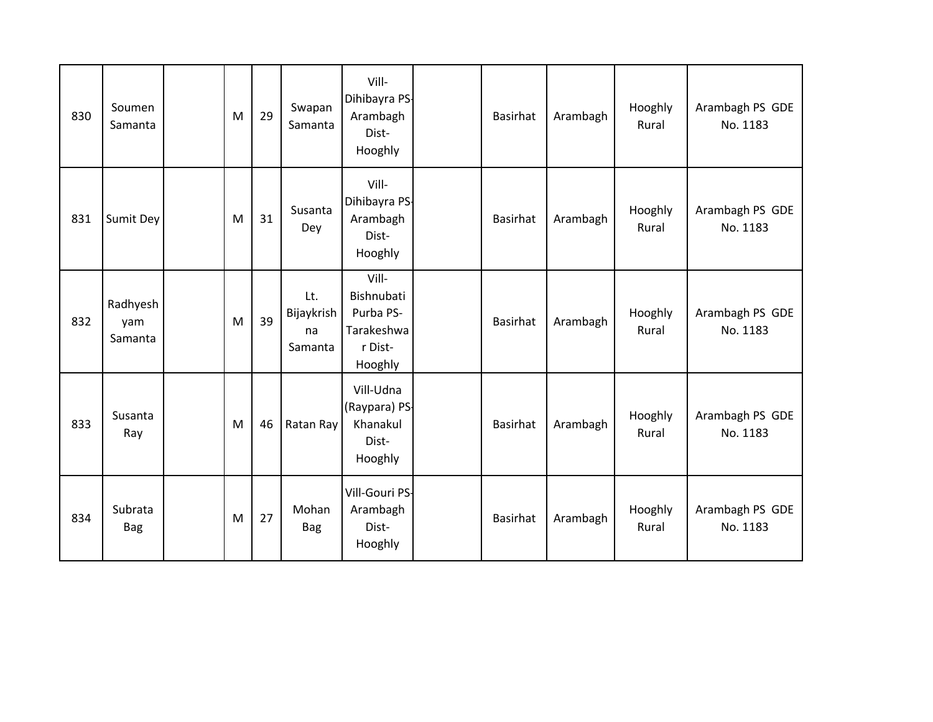| 830 | Soumen<br>Samanta          | M | 29 | Swapan<br>Samanta                  | Vill-<br>Dihibayra PS-<br>Arambagh<br>Dist-<br>Hooghly               | Basirhat | Arambagh | Hooghly<br>Rural | Arambagh PS GDE<br>No. 1183 |
|-----|----------------------------|---|----|------------------------------------|----------------------------------------------------------------------|----------|----------|------------------|-----------------------------|
| 831 | Sumit Dey                  | M | 31 | Susanta<br>Dey                     | Vill-<br>Dihibayra PS-<br>Arambagh<br>Dist-<br>Hooghly               | Basirhat | Arambagh | Hooghly<br>Rural | Arambagh PS GDE<br>No. 1183 |
| 832 | Radhyesh<br>yam<br>Samanta | M | 39 | Lt.<br>Bijaykrish<br>na<br>Samanta | Vill-<br>Bishnubati<br>Purba PS-<br>Tarakeshwa<br>r Dist-<br>Hooghly | Basirhat | Arambagh | Hooghly<br>Rural | Arambagh PS GDE<br>No. 1183 |
| 833 | Susanta<br>Ray             | M | 46 | Ratan Ray                          | Vill-Udna<br>(Raypara) PS-<br>Khanakul<br>Dist-<br>Hooghly           | Basirhat | Arambagh | Hooghly<br>Rural | Arambagh PS GDE<br>No. 1183 |
| 834 | Subrata<br><b>Bag</b>      | M | 27 | Mohan<br><b>Bag</b>                | Vill-Gouri PS-<br>Arambagh<br>Dist-<br>Hooghly                       | Basirhat | Arambagh | Hooghly<br>Rural | Arambagh PS GDE<br>No. 1183 |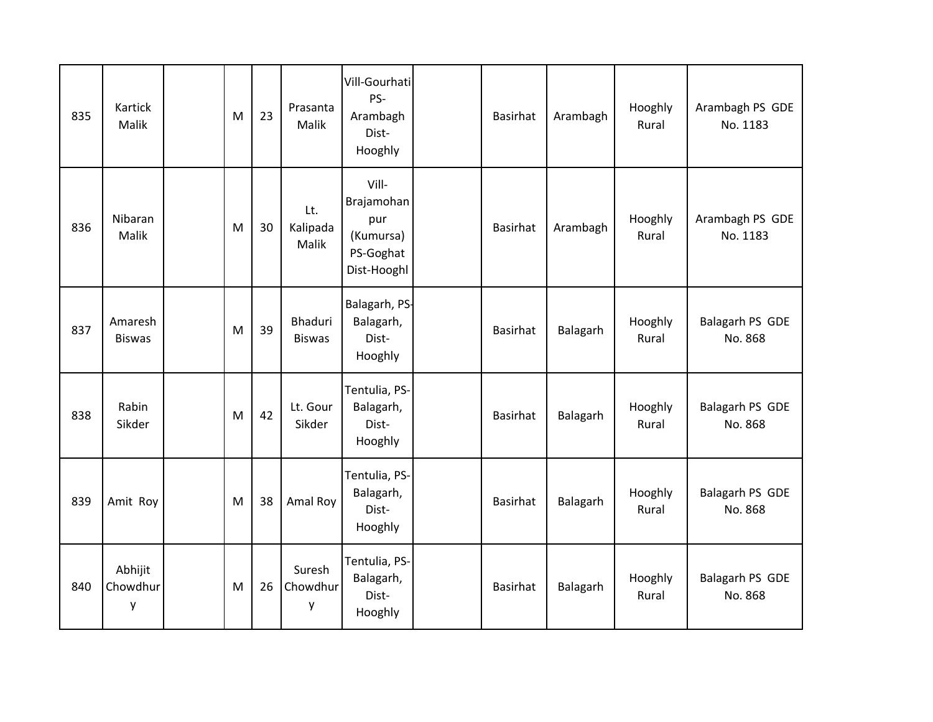| 835 | Kartick<br>Malik         | M | 23 | Prasanta<br><b>Malik</b>        | Vill-Gourhati<br>PS-<br>Arambagh<br>Dist-<br>Hooghly                | Basirhat        | Arambagh | Hooghly<br>Rural | Arambagh PS GDE<br>No. 1183 |
|-----|--------------------------|---|----|---------------------------------|---------------------------------------------------------------------|-----------------|----------|------------------|-----------------------------|
| 836 | Nibaran<br>Malik         | M | 30 | Lt.<br>Kalipada<br>Malik        | Vill-<br>Brajamohan<br>pur<br>(Kumursa)<br>PS-Goghat<br>Dist-Hooghl | <b>Basirhat</b> | Arambagh | Hooghly<br>Rural | Arambagh PS GDE<br>No. 1183 |
| 837 | Amaresh<br><b>Biswas</b> | M | 39 | <b>Bhaduri</b><br><b>Biswas</b> | Balagarh, PS-<br>Balagarh,<br>Dist-<br>Hooghly                      | Basirhat        | Balagarh | Hooghly<br>Rural | Balagarh PS GDE<br>No. 868  |
| 838 | Rabin<br>Sikder          | M | 42 | Lt. Gour<br>Sikder              | Tentulia, PS-<br>Balagarh,<br>Dist-<br>Hooghly                      | Basirhat        | Balagarh | Hooghly<br>Rural | Balagarh PS GDE<br>No. 868  |
| 839 | Amit Roy                 | M | 38 | Amal Roy                        | Tentulia, PS-<br>Balagarh,<br>Dist-<br>Hooghly                      | Basirhat        | Balagarh | Hooghly<br>Rural | Balagarh PS GDE<br>No. 868  |
| 840 | Abhijit<br>Chowdhur<br>у | M | 26 | Suresh<br>Chowdhur<br>у         | Tentulia, PS-<br>Balagarh,<br>Dist-<br>Hooghly                      | Basirhat        | Balagarh | Hooghly<br>Rural | Balagarh PS GDE<br>No. 868  |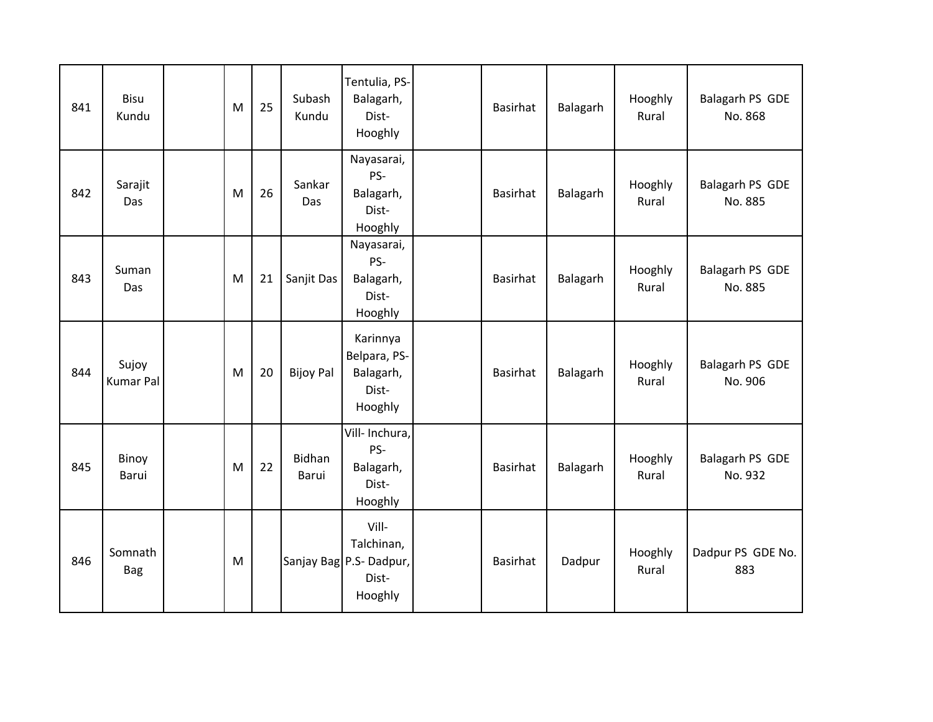| 841 | Bisu<br>Kundu             | M         | 25 | Subash<br>Kundu  | Tentulia, PS-<br>Balagarh,<br>Dist-<br>Hooghly                     | Basirhat | Balagarh | Hooghly<br>Rural | Balagarh PS GDE<br>No. 868 |
|-----|---------------------------|-----------|----|------------------|--------------------------------------------------------------------|----------|----------|------------------|----------------------------|
| 842 | Sarajit<br>Das            | M         | 26 | Sankar<br>Das    | Nayasarai,<br>PS-<br>Balagarh,<br>Dist-<br>Hooghly                 | Basirhat | Balagarh | Hooghly<br>Rural | Balagarh PS GDE<br>No. 885 |
| 843 | Suman<br>Das              | M         | 21 | Sanjit Das       | Nayasarai,<br>PS-<br>Balagarh,<br>Dist-<br>Hooghly                 | Basirhat | Balagarh | Hooghly<br>Rural | Balagarh PS GDE<br>No. 885 |
| 844 | Sujoy<br><b>Kumar Pal</b> | M         | 20 | <b>Bijoy Pal</b> | Karinnya<br>Belpara, PS-<br>Balagarh,<br>Dist-<br>Hooghly          | Basirhat | Balagarh | Hooghly<br>Rural | Balagarh PS GDE<br>No. 906 |
| 845 | Binoy<br>Barui            | M         | 22 | Bidhan<br>Barui  | Vill- Inchura,<br>PS-<br>Balagarh,<br>Dist-<br>Hooghly             | Basirhat | Balagarh | Hooghly<br>Rural | Balagarh PS GDE<br>No. 932 |
| 846 | Somnath<br><b>Bag</b>     | ${\sf M}$ |    |                  | Vill-<br>Talchinan,<br>Sanjay Bag P.S- Dadpur,<br>Dist-<br>Hooghly | Basirhat | Dadpur   | Hooghly<br>Rural | Dadpur PS GDE No.<br>883   |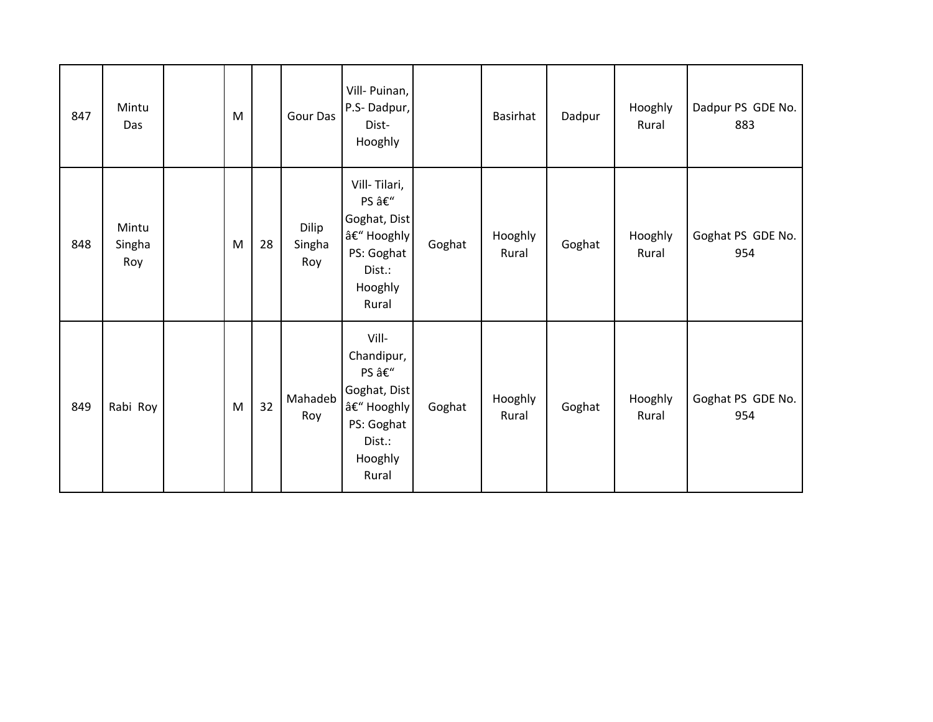| 847 | Mintu<br>Das           | ${\sf M}$ |    | Gour Das               | Vill- Puinan,<br>P.S-Dadpur,<br>Dist-<br>Hooghly                                                     |        | Basirhat         | Dadpur | Hooghly<br>Rural | Dadpur PS GDE No.<br>883 |
|-----|------------------------|-----------|----|------------------------|------------------------------------------------------------------------------------------------------|--------|------------------|--------|------------------|--------------------------|
| 848 | Mintu<br>Singha<br>Roy | M         | 28 | Dilip<br>Singha<br>Roy | Vill-Tilari,<br>PS –<br>Goghat, Dist<br>– Hooghly<br>PS: Goghat<br>Dist.:<br>Hooghly<br>Rural        | Goghat | Hooghly<br>Rural | Goghat | Hooghly<br>Rural | Goghat PS GDE No.<br>954 |
| 849 | Rabi Roy               | M         | 32 | Mahadeb<br>Roy         | Vill-<br>Chandipur,<br>PS –<br>Goghat, Dist<br>– Hooghly<br>PS: Goghat<br>Dist.:<br>Hooghly<br>Rural | Goghat | Hooghly<br>Rural | Goghat | Hooghly<br>Rural | Goghat PS GDE No.<br>954 |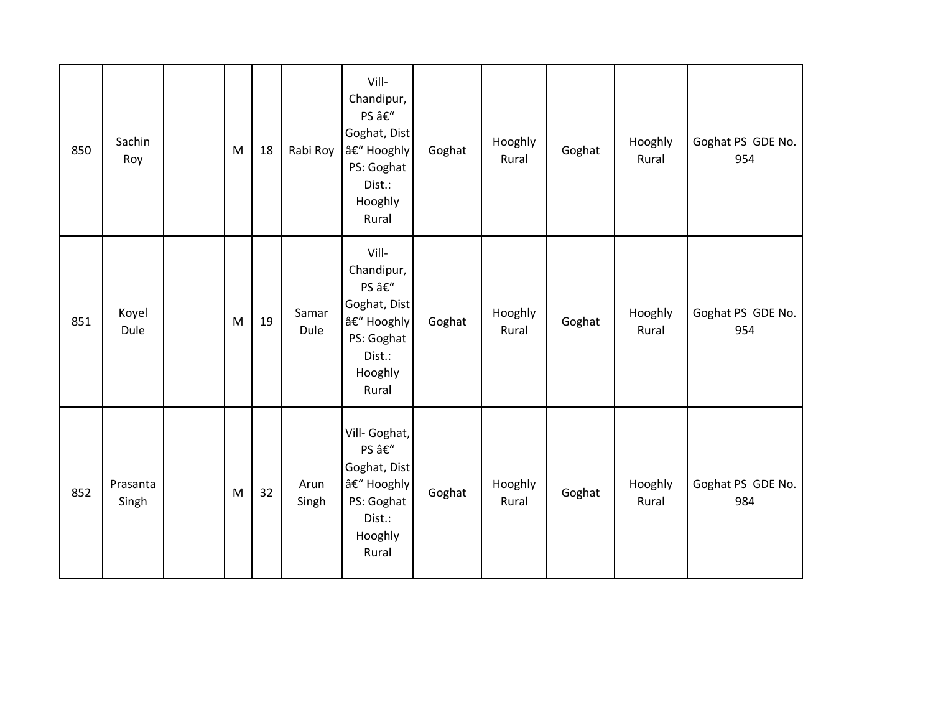| 850 | Sachin<br>Roy     | ${\sf M}$                                                                                                  | 18 | Rabi Roy      | Vill-<br>Chandipur,<br>PS –<br>Goghat, Dist<br>– Hooghly<br>PS: Goghat<br>Dist.:<br>Hooghly<br>Rural | Goghat | Hooghly<br>Rural | Goghat | Hooghly<br>Rural | Goghat PS GDE No.<br>954 |
|-----|-------------------|------------------------------------------------------------------------------------------------------------|----|---------------|------------------------------------------------------------------------------------------------------|--------|------------------|--------|------------------|--------------------------|
| 851 | Koyel<br>Dule     | $\mathsf{M}% _{T}=\mathsf{M}_{T}\!\left( a,b\right) ,\ \mathsf{M}_{T}=\mathsf{M}_{T}\!\left( a,b\right) ,$ | 19 | Samar<br>Dule | Vill-<br>Chandipur,<br>PS –<br>Goghat, Dist<br>– Hooghly<br>PS: Goghat<br>Dist.:<br>Hooghly<br>Rural | Goghat | Hooghly<br>Rural | Goghat | Hooghly<br>Rural | Goghat PS GDE No.<br>954 |
| 852 | Prasanta<br>Singh | $\mathsf{M}% _{T}=\mathsf{M}_{T}\!\left( a,b\right) ,\ \mathsf{M}_{T}=\mathsf{M}_{T}\!\left( a,b\right) ,$ | 32 | Arun<br>Singh | Vill- Goghat,<br>PS –<br>Goghat, Dist<br>– Hooghly<br>PS: Goghat<br>Dist.:<br>Hooghly<br>Rural       | Goghat | Hooghly<br>Rural | Goghat | Hooghly<br>Rural | Goghat PS GDE No.<br>984 |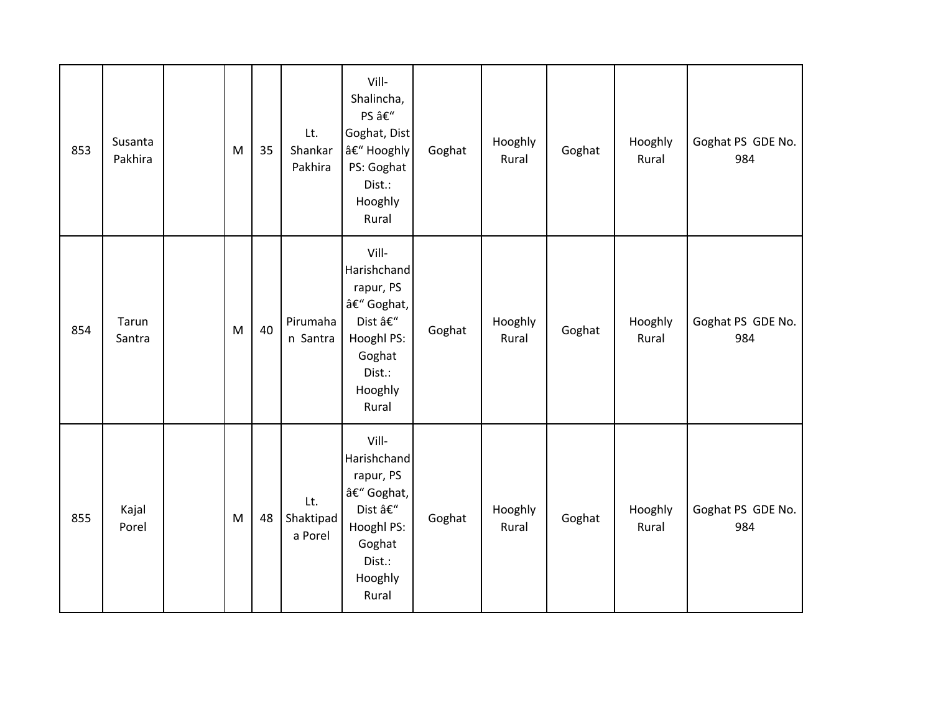| 853 | Susanta<br>Pakhira | M | 35 | Lt.<br>Shankar<br>Pakhira   | Vill-<br>Shalincha,<br>PS –<br>Goghat, Dist<br>– Hooghly<br>PS: Goghat<br>Dist.:<br>Hooghly<br>Rural           | Goghat | Hooghly<br>Rural | Goghat | Hooghly<br>Rural | Goghat PS GDE No.<br>984 |
|-----|--------------------|---|----|-----------------------------|----------------------------------------------------------------------------------------------------------------|--------|------------------|--------|------------------|--------------------------|
| 854 | Tarun<br>Santra    | M | 40 | Pirumaha<br>n Santra        | Vill-<br>Harishchand<br>rapur, PS<br>– Goghat,<br>Dist –<br>Hooghl PS:<br>Goghat<br>Dist.:<br>Hooghly<br>Rural | Goghat | Hooghly<br>Rural | Goghat | Hooghly<br>Rural | Goghat PS GDE No.<br>984 |
| 855 | Kajal<br>Porel     | M | 48 | Lt.<br>Shaktipad<br>a Porel | Vill-<br>Harishchand<br>rapur, PS<br>– Goghat,<br>Dist –<br>Hooghl PS:<br>Goghat<br>Dist.:<br>Hooghly<br>Rural | Goghat | Hooghly<br>Rural | Goghat | Hooghly<br>Rural | Goghat PS GDE No.<br>984 |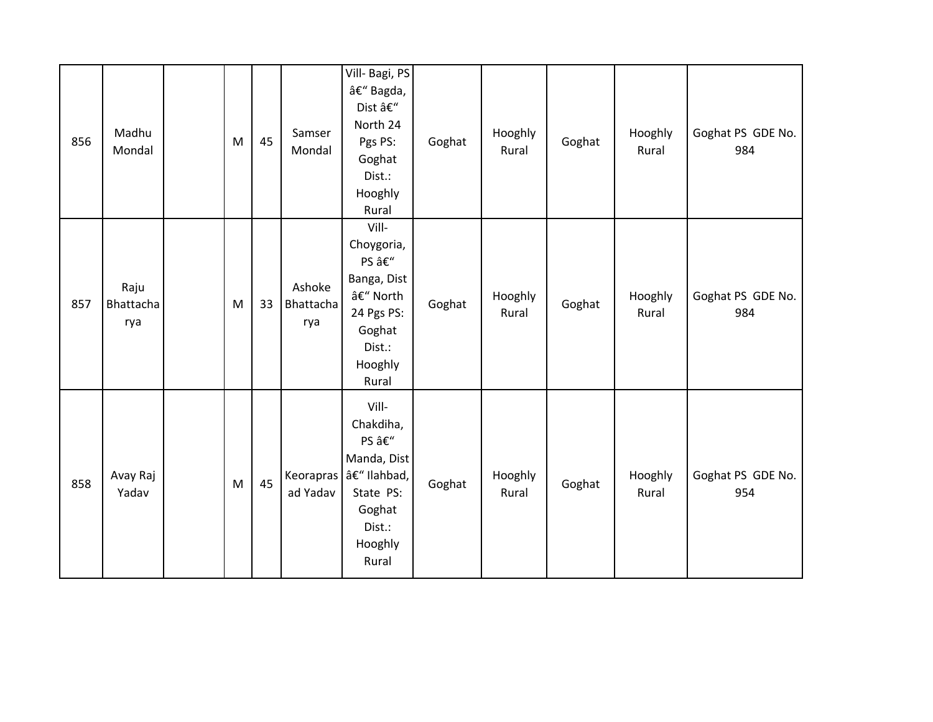| 856 | Madhu<br>Mondal          | ${\sf M}$ | 45 | Samser<br>Mondal           | Vill- Bagi, PS<br>– Bagda,<br>Dist –<br>North 24<br>Pgs PS:<br>Goghat<br>Dist.:<br>Hooghly<br>Rural          | Goghat | Hooghly<br>Rural | Goghat | Hooghly<br>Rural | Goghat PS GDE No.<br>984 |
|-----|--------------------------|-----------|----|----------------------------|--------------------------------------------------------------------------------------------------------------|--------|------------------|--------|------------------|--------------------------|
| 857 | Raju<br>Bhattacha<br>rya | M         | 33 | Ashoke<br>Bhattacha<br>rya | Vill-<br>Choygoria,<br>PS –<br>Banga, Dist<br>– North<br>24 Pgs PS:<br>Goghat<br>Dist.:<br>Hooghly<br>Rural  | Goghat | Hooghly<br>Rural | Goghat | Hooghly<br>Rural | Goghat PS GDE No.<br>984 |
| 858 | Avay Raj<br>Yadav        | M         | 45 | Keorapras<br>ad Yadav      | Vill-<br>Chakdiha,<br>PS –<br>Manda, Dist<br>– Ilahbad,<br>State PS:<br>Goghat<br>Dist.:<br>Hooghly<br>Rural | Goghat | Hooghly<br>Rural | Goghat | Hooghly<br>Rural | Goghat PS GDE No.<br>954 |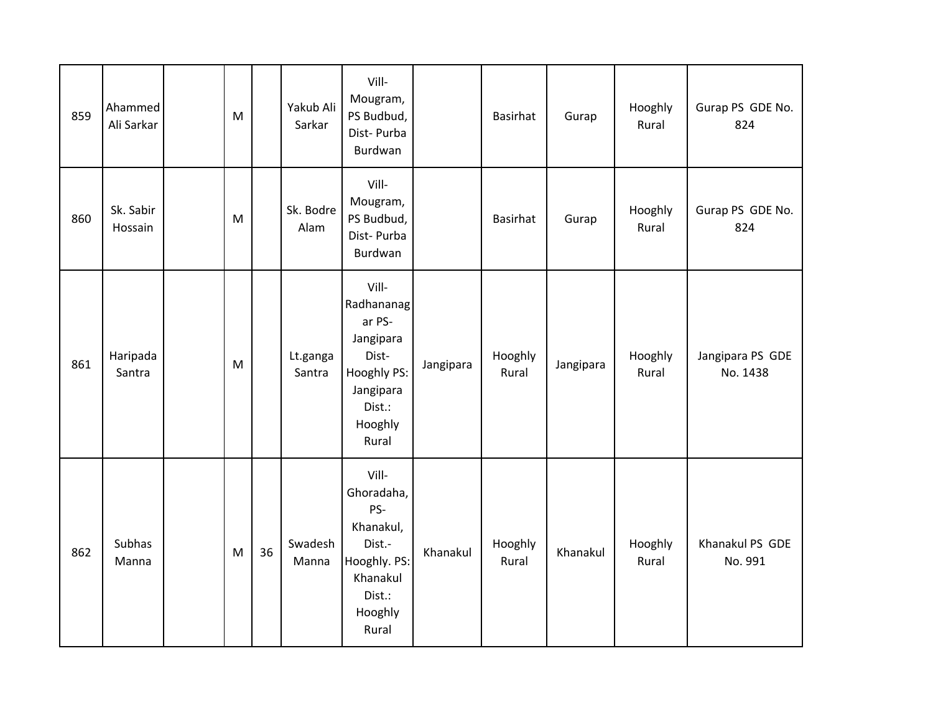| 859 | Ahammed<br>Ali Sarkar | M         |    | Yakub Ali<br>Sarkar | Vill-<br>Mougram,<br>PS Budbud,<br>Dist-Purba<br>Burdwan                                                      |           | Basirhat         | Gurap     | Hooghly<br>Rural | Gurap PS GDE No.<br>824      |
|-----|-----------------------|-----------|----|---------------------|---------------------------------------------------------------------------------------------------------------|-----------|------------------|-----------|------------------|------------------------------|
| 860 | Sk. Sabir<br>Hossain  | M         |    | Sk. Bodre<br>Alam   | Vill-<br>Mougram,<br>PS Budbud,<br>Dist-Purba<br>Burdwan                                                      |           | <b>Basirhat</b>  | Gurap     | Hooghly<br>Rural | Gurap PS GDE No.<br>824      |
| 861 | Haripada<br>Santra    | ${\sf M}$ |    | Lt.ganga<br>Santra  | Vill-<br>Radhananag<br>ar PS-<br>Jangipara<br>Dist-<br>Hooghly PS:<br>Jangipara<br>Dist.:<br>Hooghly<br>Rural | Jangipara | Hooghly<br>Rural | Jangipara | Hooghly<br>Rural | Jangipara PS GDE<br>No. 1438 |
| 862 | Subhas<br>Manna       | ${\sf M}$ | 36 | Swadesh<br>Manna    | Vill-<br>Ghoradaha,<br>PS-<br>Khanakul,<br>Dist.-<br>Hooghly. PS:<br>Khanakul<br>Dist.:<br>Hooghly<br>Rural   | Khanakul  | Hooghly<br>Rural | Khanakul  | Hooghly<br>Rural | Khanakul PS GDE<br>No. 991   |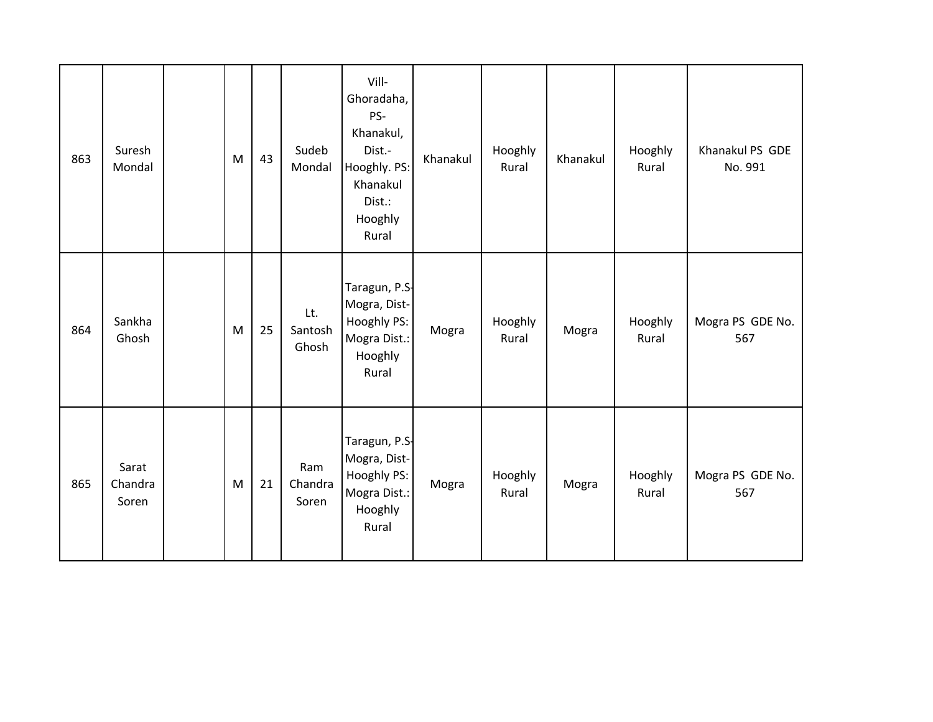| 863 | Suresh<br>Mondal          | ${\sf M}$ | 43 | Sudeb<br>Mondal         | Vill-<br>Ghoradaha,<br>PS-<br>Khanakul,<br>Dist.-<br>Hooghly. PS:<br>Khanakul<br>Dist.:<br>Hooghly<br>Rural | Khanakul | Hooghly<br>Rural | Khanakul | Hooghly<br>Rural | Khanakul PS GDE<br>No. 991 |
|-----|---------------------------|-----------|----|-------------------------|-------------------------------------------------------------------------------------------------------------|----------|------------------|----------|------------------|----------------------------|
| 864 | Sankha<br>Ghosh           | M         | 25 | Lt.<br>Santosh<br>Ghosh | Taragun, P.S-<br>Mogra, Dist-<br>Hooghly PS:<br>Mogra Dist.:<br>Hooghly<br>Rural                            | Mogra    | Hooghly<br>Rural | Mogra    | Hooghly<br>Rural | Mogra PS GDE No.<br>567    |
| 865 | Sarat<br>Chandra<br>Soren | M         | 21 | Ram<br>Chandra<br>Soren | Taragun, P.S-<br>Mogra, Dist-<br>Hooghly PS:<br>Mogra Dist.:<br>Hooghly<br>Rural                            | Mogra    | Hooghly<br>Rural | Mogra    | Hooghly<br>Rural | Mogra PS GDE No.<br>567    |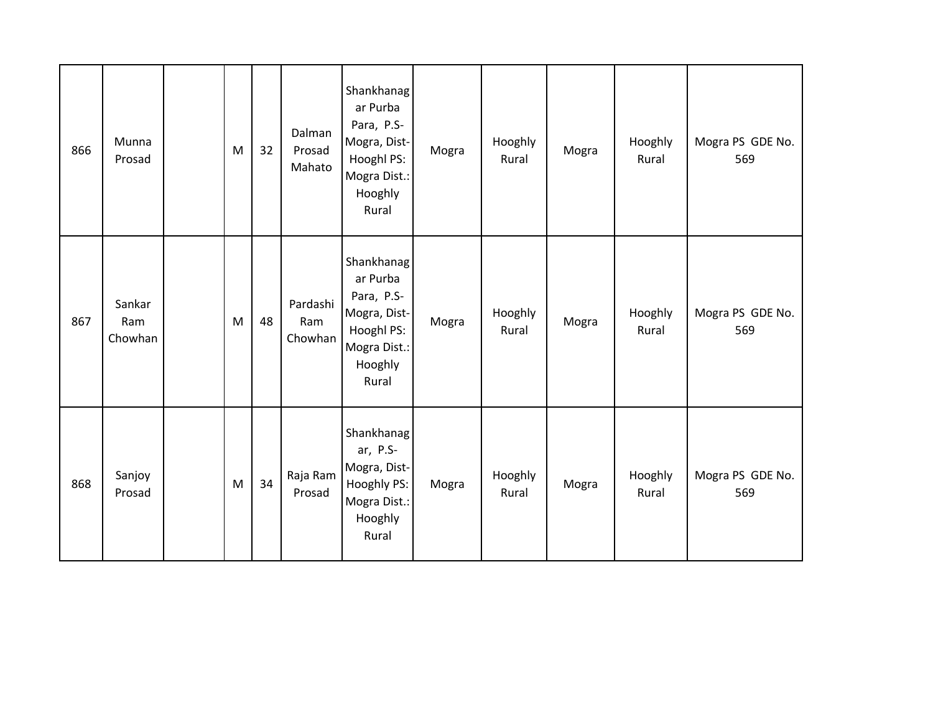| 866 | Munna<br>Prosad          | M | 32 | Dalman<br>Prosad<br>Mahato | Shankhanag<br>ar Purba<br>Para, P.S-<br>Mogra, Dist-<br>Hooghl PS:<br>Mogra Dist.:<br>Hooghly<br>Rural | Mogra | Hooghly<br>Rural | Mogra | Hooghly<br>Rural | Mogra PS GDE No.<br>569 |
|-----|--------------------------|---|----|----------------------------|--------------------------------------------------------------------------------------------------------|-------|------------------|-------|------------------|-------------------------|
| 867 | Sankar<br>Ram<br>Chowhan | M | 48 | Pardashi<br>Ram<br>Chowhan | Shankhanag<br>ar Purba<br>Para, P.S-<br>Mogra, Dist-<br>Hooghl PS:<br>Mogra Dist.:<br>Hooghly<br>Rural | Mogra | Hooghly<br>Rural | Mogra | Hooghly<br>Rural | Mogra PS GDE No.<br>569 |
| 868 | Sanjoy<br>Prosad         | M | 34 | Raja Ram<br>Prosad         | Shankhanag<br>ar, P.S-<br>Mogra, Dist-<br>Hooghly PS:<br>Mogra Dist.:<br>Hooghly<br>Rural              | Mogra | Hooghly<br>Rural | Mogra | Hooghly<br>Rural | Mogra PS GDE No.<br>569 |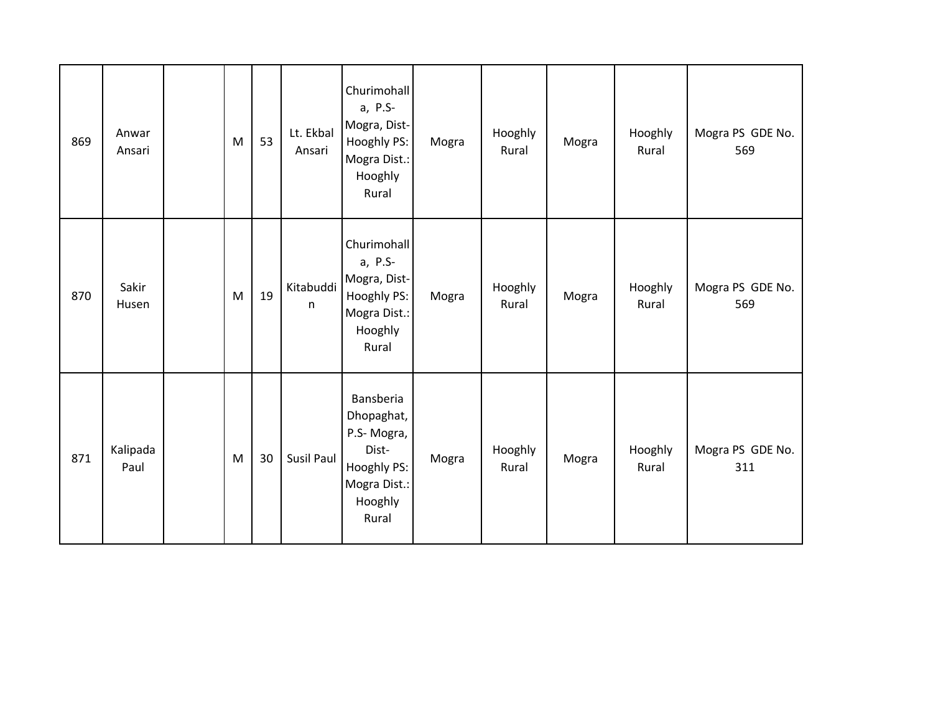| 869 | Anwar<br>Ansari  | ${\sf M}$                                                                                                  | 53 | Lt. Ekbal<br>Ansari       | Churimohall<br>a, P.S-<br>Mogra, Dist-<br>Hooghly PS:<br>Mogra Dist.:<br>Hooghly<br>Rural         | Mogra | Hooghly<br>Rural | Mogra | Hooghly<br>Rural | Mogra PS GDE No.<br>569 |
|-----|------------------|------------------------------------------------------------------------------------------------------------|----|---------------------------|---------------------------------------------------------------------------------------------------|-------|------------------|-------|------------------|-------------------------|
| 870 | Sakir<br>Husen   | $\mathsf{M}% _{T}=\mathsf{M}_{T}\!\left( a,b\right) ,\ \mathsf{M}_{T}=\mathsf{M}_{T}\!\left( a,b\right) ,$ | 19 | Kitabuddi<br>$\mathsf{n}$ | Churimohall<br>a, P.S-<br>Mogra, Dist-<br>Hooghly PS:<br>Mogra Dist.:<br>Hooghly<br>Rural         | Mogra | Hooghly<br>Rural | Mogra | Hooghly<br>Rural | Mogra PS GDE No.<br>569 |
| 871 | Kalipada<br>Paul | ${\sf M}$                                                                                                  | 30 | Susil Paul                | Bansberia<br>Dhopaghat,<br>P.S-Mogra,<br>Dist-<br>Hooghly PS:<br>Mogra Dist.:<br>Hooghly<br>Rural | Mogra | Hooghly<br>Rural | Mogra | Hooghly<br>Rural | Mogra PS GDE No.<br>311 |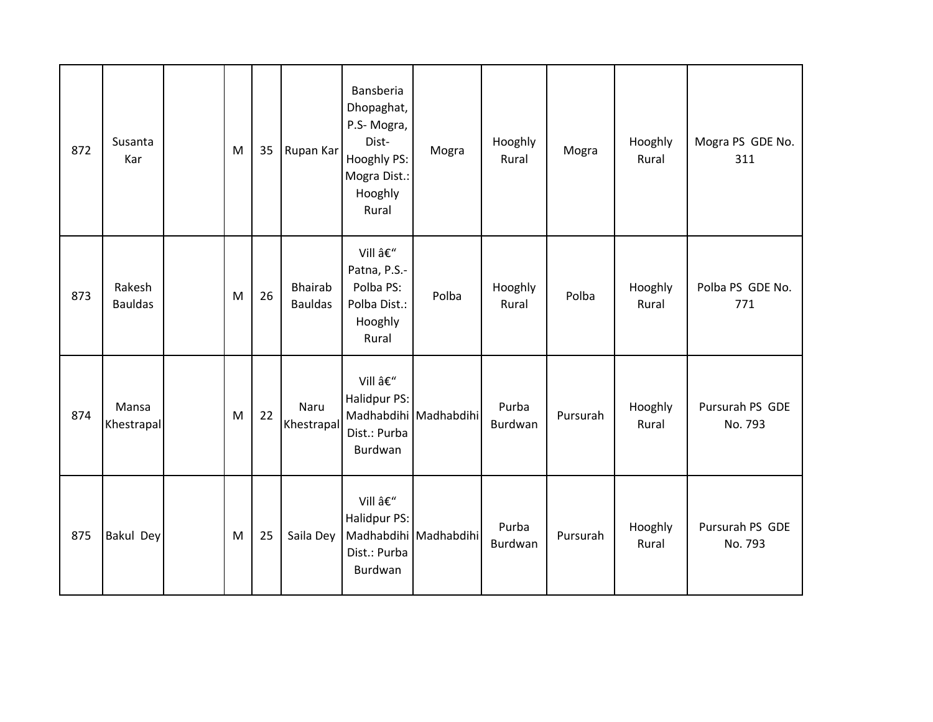| 872 | Susanta<br>Kar           | M | 35 | Rupan Kar                        | Bansberia<br>Dhopaghat,<br>P.S-Mogra,<br>Dist-<br>Hooghly PS:<br>Mogra Dist.:<br>Hooghly<br>Rural | Mogra                 | Hooghly<br>Rural | Mogra    | Hooghly<br>Rural | Mogra PS GDE No.<br>311    |
|-----|--------------------------|---|----|----------------------------------|---------------------------------------------------------------------------------------------------|-----------------------|------------------|----------|------------------|----------------------------|
| 873 | Rakesh<br><b>Bauldas</b> | M | 26 | <b>Bhairab</b><br><b>Bauldas</b> | Vill –<br>Patna, P.S.-<br>Polba PS:<br>Polba Dist.:<br>Hooghly<br>Rural                           | Polba                 | Hooghly<br>Rural | Polba    | Hooghly<br>Rural | Polba PS GDE No.<br>771    |
| 874 | Mansa<br>Khestrapal      | M | 22 | Naru<br>Khestrapal               | Vill –<br>Halidpur PS:<br>Dist.: Purba<br>Burdwan                                                 | Madhabdihi Madhabdihi | Purba<br>Burdwan | Pursurah | Hooghly<br>Rural | Pursurah PS GDE<br>No. 793 |
| 875 | <b>Bakul Dey</b>         | M | 25 | Saila Dey                        | Vill –<br>Halidpur PS:<br>Dist.: Purba<br>Burdwan                                                 | Madhabdihi Madhabdihi | Purba<br>Burdwan | Pursurah | Hooghly<br>Rural | Pursurah PS GDE<br>No. 793 |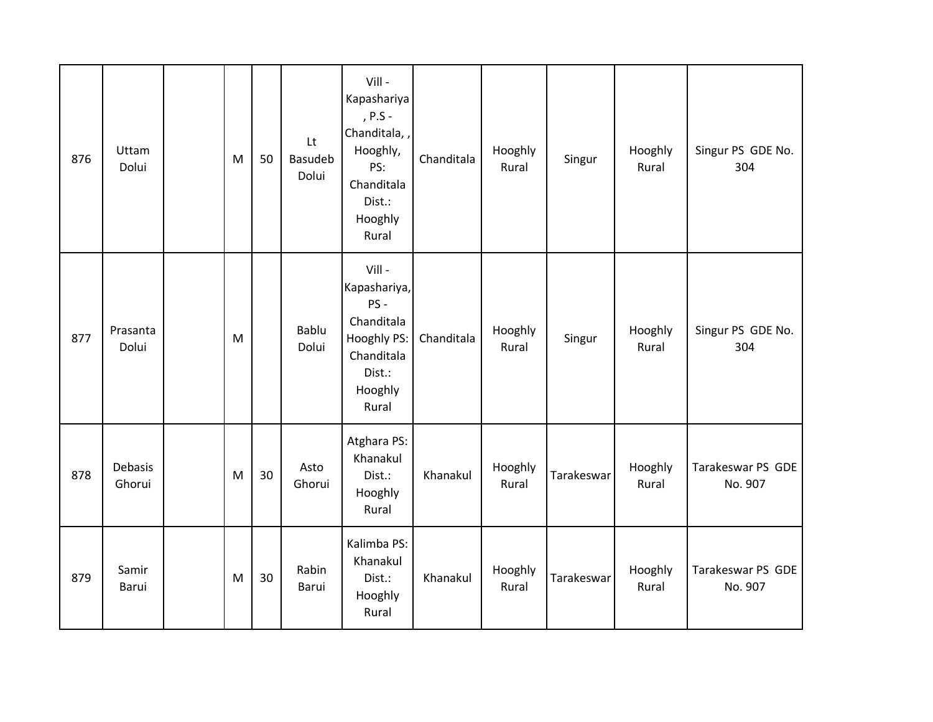| 876 | Uttam<br>Dolui    | M         | 50 | Lt<br><b>Basudeb</b><br>Dolui | Vill-<br>Kapashariya<br>, $P.S -$<br>Chanditala, ,<br>Hooghly,<br>PS:<br>Chanditala<br>Dist.:<br>Hooghly<br>Rural | Chanditala | Hooghly<br>Rural | Singur     | Hooghly<br>Rural | Singur PS GDE No.<br>304     |
|-----|-------------------|-----------|----|-------------------------------|-------------------------------------------------------------------------------------------------------------------|------------|------------------|------------|------------------|------------------------------|
| 877 | Prasanta<br>Dolui | M         |    | Bablu<br>Dolui                | Vill -<br>Kapashariya,<br>PS-<br>Chanditala<br>Hooghly PS:<br>Chanditala<br>Dist.:<br>Hooghly<br>Rural            | Chanditala | Hooghly<br>Rural | Singur     | Hooghly<br>Rural | Singur PS GDE No.<br>304     |
| 878 | Debasis<br>Ghorui | M         | 30 | Asto<br>Ghorui                | Atghara PS:<br>Khanakul<br>Dist.:<br>Hooghly<br>Rural                                                             | Khanakul   | Hooghly<br>Rural | Tarakeswar | Hooghly<br>Rural | Tarakeswar PS GDE<br>No. 907 |
| 879 | Samir<br>Barui    | ${\sf M}$ | 30 | Rabin<br>Barui                | Kalimba PS:<br>Khanakul<br>Dist.:<br>Hooghly<br>Rural                                                             | Khanakul   | Hooghly<br>Rural | Tarakeswar | Hooghly<br>Rural | Tarakeswar PS GDE<br>No. 907 |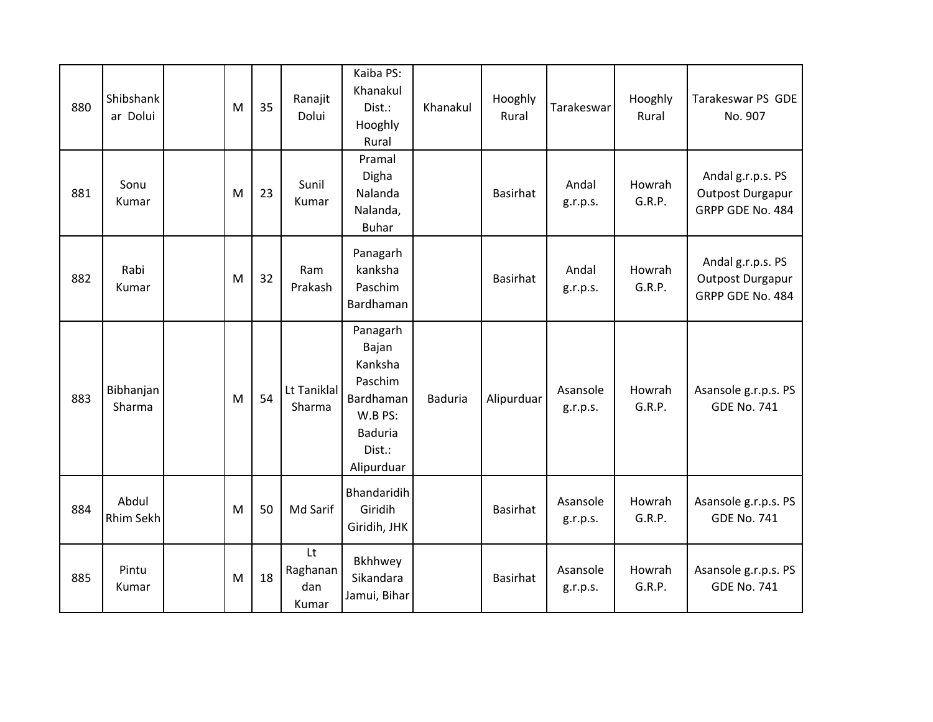| 880 | Shibshank<br>ar Dolui | M | 35 | Ranajit<br>Dolui               | Kaiba PS:<br>Khanakul<br>Dist.:<br>Hooghly<br>Rural                                                       | Khanakul       | Hooghly<br>Rural | Tarakeswar           | Hooghly<br>Rural | Tarakeswar PS GDE<br>No. 907                              |
|-----|-----------------------|---|----|--------------------------------|-----------------------------------------------------------------------------------------------------------|----------------|------------------|----------------------|------------------|-----------------------------------------------------------|
| 881 | Sonu<br>Kumar         | M | 23 | Sunil<br>Kumar                 | Pramal<br>Digha<br>Nalanda<br>Nalanda,<br><b>Buhar</b>                                                    |                | <b>Basirhat</b>  | Andal<br>g.r.p.s.    | Howrah<br>G.R.P. | Andal g.r.p.s. PS<br>Outpost Durgapur<br>GRPP GDE No. 484 |
| 882 | Rabi<br>Kumar         | M | 32 | Ram<br>Prakash                 | Panagarh<br>kanksha<br>Paschim<br>Bardhaman                                                               |                | Basirhat         | Andal<br>g.r.p.s.    | Howrah<br>G.R.P. | Andal g.r.p.s. PS<br>Outpost Durgapur<br>GRPP GDE No. 484 |
| 883 | Bibhanjan<br>Sharma   | M | 54 | Lt Taniklal<br>Sharma          | Panagarh<br>Bajan<br>Kanksha<br>Paschim<br>Bardhaman<br>W.B PS:<br><b>Baduria</b><br>Dist.:<br>Alipurduar | <b>Baduria</b> | Alipurduar       | Asansole<br>g.r.p.s. | Howrah<br>G.R.P. | Asansole g.r.p.s. PS<br><b>GDE No. 741</b>                |
| 884 | Abdul<br>Rhim Sekh    | M | 50 | Md Sarif                       | Bhandaridih<br>Giridih<br>Giridih, JHK                                                                    |                | Basirhat         | Asansole<br>g.r.p.s. | Howrah<br>G.R.P. | Asansole g.r.p.s. PS<br><b>GDE No. 741</b>                |
| 885 | Pintu<br>Kumar        | M | 18 | Lt<br>Raghanan<br>dan<br>Kumar | Bkhhwey<br>Sikandara<br>Jamui, Bihar                                                                      |                | <b>Basirhat</b>  | Asansole<br>g.r.p.s. | Howrah<br>G.R.P. | Asansole g.r.p.s. PS<br><b>GDE No. 741</b>                |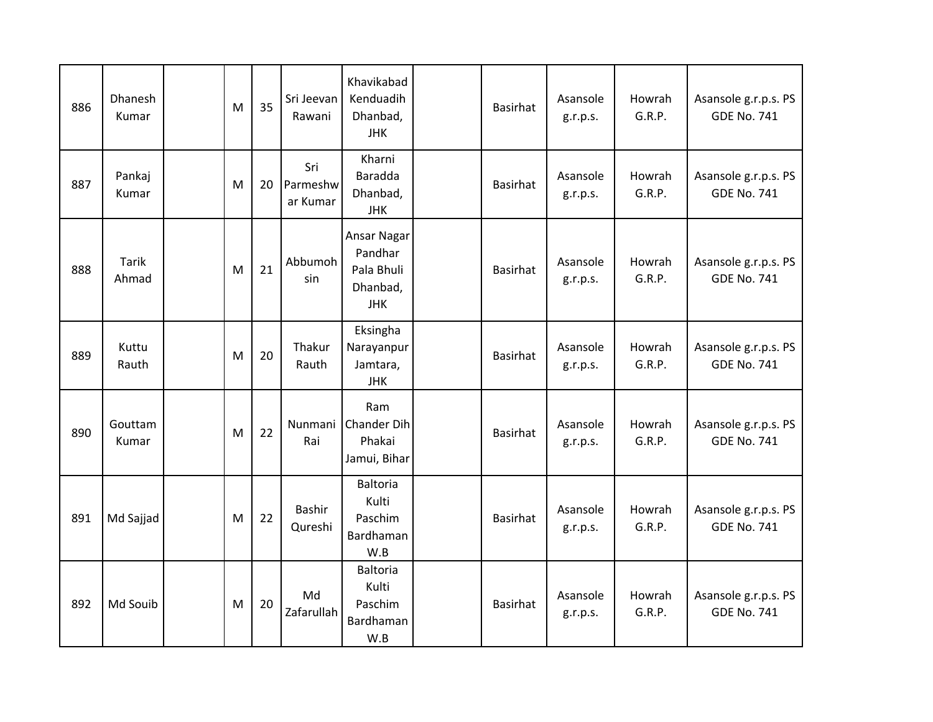| 886 | Dhanesh<br>Kumar      | M | 35 | Sri Jeevan<br>Rawani        | Khavikabad<br>Kenduadih<br>Dhanbad,<br><b>JHK</b>              | <b>Basirhat</b> | Asansole<br>g.r.p.s. | Howrah<br>G.R.P. | Asansole g.r.p.s. PS<br><b>GDE No. 741</b> |
|-----|-----------------------|---|----|-----------------------------|----------------------------------------------------------------|-----------------|----------------------|------------------|--------------------------------------------|
| 887 | Pankaj<br>Kumar       | M | 20 | Sri<br>Parmeshw<br>ar Kumar | Kharni<br>Baradda<br>Dhanbad,<br><b>JHK</b>                    | <b>Basirhat</b> | Asansole<br>g.r.p.s. | Howrah<br>G.R.P. | Asansole g.r.p.s. PS<br><b>GDE No. 741</b> |
| 888 | <b>Tarik</b><br>Ahmad | M | 21 | Abbumoh<br>sin              | Ansar Nagar<br>Pandhar<br>Pala Bhuli<br>Dhanbad,<br><b>JHK</b> | <b>Basirhat</b> | Asansole<br>g.r.p.s. | Howrah<br>G.R.P. | Asansole g.r.p.s. PS<br><b>GDE No. 741</b> |
| 889 | Kuttu<br>Rauth        | M | 20 | Thakur<br>Rauth             | Eksingha<br>Narayanpur<br>Jamtara,<br><b>JHK</b>               | Basirhat        | Asansole<br>g.r.p.s. | Howrah<br>G.R.P. | Asansole g.r.p.s. PS<br><b>GDE No. 741</b> |
| 890 | Gouttam<br>Kumar      | M | 22 | Nunmani<br>Rai              | Ram<br><b>Chander Dih</b><br>Phakai<br>Jamui, Bihar            | <b>Basirhat</b> | Asansole<br>g.r.p.s. | Howrah<br>G.R.P. | Asansole g.r.p.s. PS<br><b>GDE No. 741</b> |
| 891 | Md Sajjad             | M | 22 | <b>Bashir</b><br>Qureshi    | <b>Baltoria</b><br>Kulti<br>Paschim<br>Bardhaman<br>W.B        | <b>Basirhat</b> | Asansole<br>g.r.p.s. | Howrah<br>G.R.P. | Asansole g.r.p.s. PS<br><b>GDE No. 741</b> |
| 892 | Md Souib              | M | 20 | Md<br>Zafarullah            | <b>Baltoria</b><br>Kulti<br>Paschim<br>Bardhaman<br>W.B        | <b>Basirhat</b> | Asansole<br>g.r.p.s. | Howrah<br>G.R.P. | Asansole g.r.p.s. PS<br><b>GDE No. 741</b> |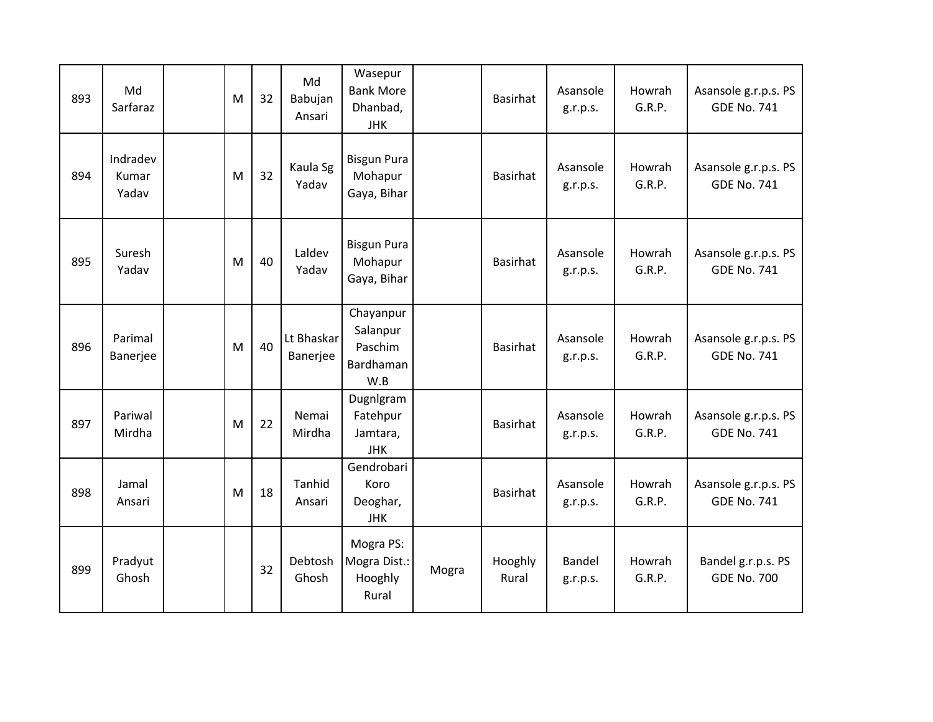| 893 | Md<br>Sarfaraz             | M | 32 | Md<br>Babujan<br>Ansari | Wasepur<br><b>Bank More</b><br>Dhanbad,<br><b>JHK</b> |       | <b>Basirhat</b>  | Asansole<br>g.r.p.s. | Howrah<br>G.R.P. | Asansole g.r.p.s. PS<br><b>GDE No. 741</b> |
|-----|----------------------------|---|----|-------------------------|-------------------------------------------------------|-------|------------------|----------------------|------------------|--------------------------------------------|
| 894 | Indradev<br>Kumar<br>Yadav | M | 32 | Kaula Sg<br>Yadav       | <b>Bisgun Pura</b><br>Mohapur<br>Gaya, Bihar          |       | Basirhat         | Asansole<br>g.r.p.s. | Howrah<br>G.R.P. | Asansole g.r.p.s. PS<br><b>GDE No. 741</b> |
| 895 | Suresh<br>Yadav            | M | 40 | Laldev<br>Yadav         | <b>Bisgun Pura</b><br>Mohapur<br>Gaya, Bihar          |       | Basirhat         | Asansole<br>g.r.p.s. | Howrah<br>G.R.P. | Asansole g.r.p.s. PS<br><b>GDE No. 741</b> |
| 896 | Parimal<br>Banerjee        | M | 40 | Lt Bhaskar<br>Banerjee  | Chayanpur<br>Salanpur<br>Paschim<br>Bardhaman<br>W.B  |       | Basirhat         | Asansole<br>g.r.p.s. | Howrah<br>G.R.P. | Asansole g.r.p.s. PS<br><b>GDE No. 741</b> |
| 897 | Pariwal<br>Mirdha          | M | 22 | Nemai<br>Mirdha         | Dugnlgram<br>Fatehpur<br>Jamtara,<br><b>JHK</b>       |       | Basirhat         | Asansole<br>g.r.p.s. | Howrah<br>G.R.P. | Asansole g.r.p.s. PS<br><b>GDE No. 741</b> |
| 898 | Jamal<br>Ansari            | M | 18 | Tanhid<br>Ansari        | Gendrobari<br>Koro<br>Deoghar,<br><b>JHK</b>          |       | Basirhat         | Asansole<br>g.r.p.s. | Howrah<br>G.R.P. | Asansole g.r.p.s. PS<br><b>GDE No. 741</b> |
| 899 | Pradyut<br>Ghosh           |   | 32 | Debtosh<br>Ghosh        | Mogra PS:<br>Mogra Dist.:<br>Hooghly<br>Rural         | Mogra | Hooghly<br>Rural | Bandel<br>g.r.p.s.   | Howrah<br>G.R.P. | Bandel g.r.p.s. PS<br><b>GDE No. 700</b>   |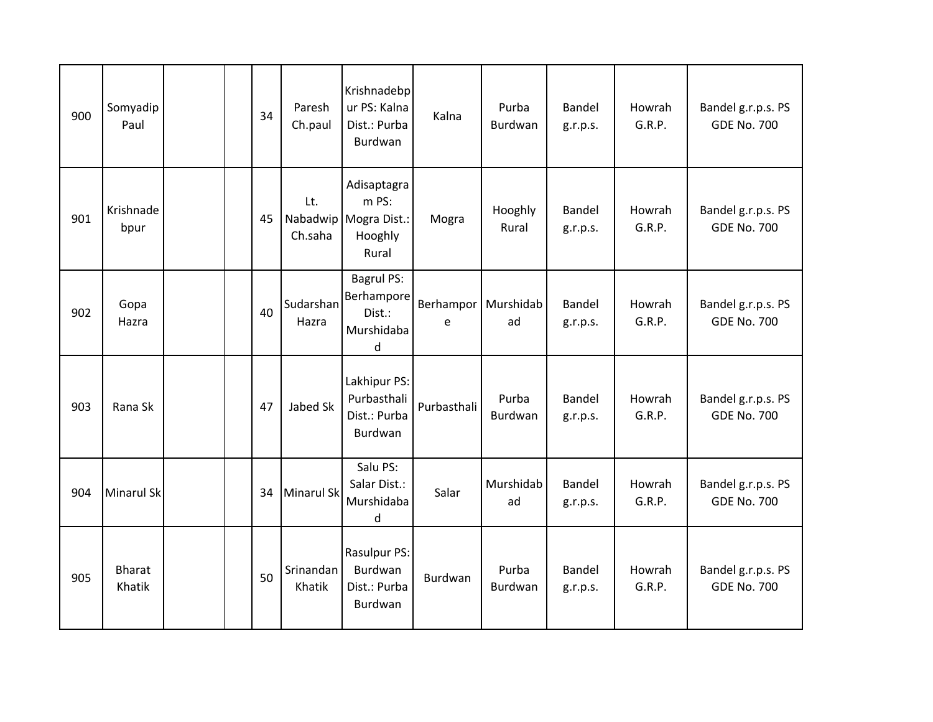| 900 | Somyadip<br>Paul        |  | 34 | Paresh<br>Ch.paul   | Krishnadebp<br>ur PS: Kalna<br>Dist.: Purba<br>Burdwan            | Kalna          | Purba<br>Burdwan | Bandel<br>g.r.p.s. | Howrah<br>G.R.P. | Bandel g.r.p.s. PS<br><b>GDE No. 700</b> |
|-----|-------------------------|--|----|---------------------|-------------------------------------------------------------------|----------------|------------------|--------------------|------------------|------------------------------------------|
| 901 | Krishnade<br>bpur       |  | 45 | Lt.<br>Ch.saha      | Adisaptagra<br>m PS:<br>Nabadwip Mogra Dist.:<br>Hooghly<br>Rural | Mogra          | Hooghly<br>Rural | Bandel<br>g.r.p.s. | Howrah<br>G.R.P. | Bandel g.r.p.s. PS<br><b>GDE No. 700</b> |
| 902 | Gopa<br>Hazra           |  | 40 | Sudarshan<br>Hazra  | Bagrul PS:<br>Berhampore<br>Dist.:<br>Murshidaba<br>d             | Berhampor<br>e | Murshidab<br>ad  | Bandel<br>g.r.p.s. | Howrah<br>G.R.P. | Bandel g.r.p.s. PS<br><b>GDE No. 700</b> |
| 903 | Rana Sk                 |  | 47 | Jabed Sk            | Lakhipur PS:<br>Purbasthali<br>Dist.: Purba<br>Burdwan            | Purbasthali    | Purba<br>Burdwan | Bandel<br>g.r.p.s. | Howrah<br>G.R.P. | Bandel g.r.p.s. PS<br><b>GDE No. 700</b> |
| 904 | <b>Minarul Sk</b>       |  | 34 | Minarul Sk          | Salu PS:<br>Salar Dist.:<br>Murshidaba<br>d                       | Salar          | Murshidab<br>ad  | Bandel<br>g.r.p.s. | Howrah<br>G.R.P. | Bandel g.r.p.s. PS<br><b>GDE No. 700</b> |
| 905 | <b>Bharat</b><br>Khatik |  | 50 | Srinandan<br>Khatik | Rasulpur PS:<br>Burdwan<br>Dist.: Purba<br>Burdwan                | Burdwan        | Purba<br>Burdwan | Bandel<br>g.r.p.s. | Howrah<br>G.R.P. | Bandel g.r.p.s. PS<br><b>GDE No. 700</b> |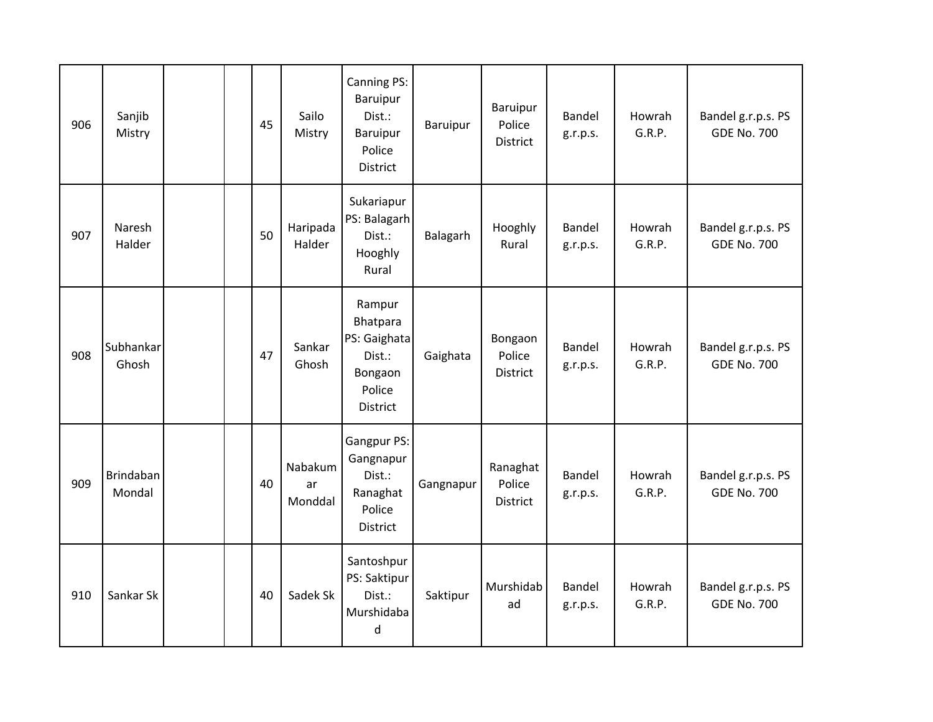| 906 | Sanjib<br>Mistry           |  | 45 | Sailo<br>Mistry          | Canning PS:<br>Baruipur<br>Dist.:<br>Baruipur<br>Police<br>District           | Baruipur  | Baruipur<br>Police<br><b>District</b> | <b>Bandel</b><br>g.r.p.s. | Howrah<br>G.R.P. | Bandel g.r.p.s. PS<br><b>GDE No. 700</b> |
|-----|----------------------------|--|----|--------------------------|-------------------------------------------------------------------------------|-----------|---------------------------------------|---------------------------|------------------|------------------------------------------|
| 907 | Naresh<br>Halder           |  | 50 | Haripada<br>Halder       | Sukariapur<br>PS: Balagarh<br>Dist.:<br>Hooghly<br>Rural                      | Balagarh  | Hooghly<br>Rural                      | Bandel<br>g.r.p.s.        | Howrah<br>G.R.P. | Bandel g.r.p.s. PS<br><b>GDE No. 700</b> |
| 908 | Subhankar<br>Ghosh         |  | 47 | Sankar<br>Ghosh          | Rampur<br>Bhatpara<br>PS: Gaighata<br>Dist.:<br>Bongaon<br>Police<br>District | Gaighata  | Bongaon<br>Police<br><b>District</b>  | Bandel<br>g.r.p.s.        | Howrah<br>G.R.P. | Bandel g.r.p.s. PS<br><b>GDE No. 700</b> |
| 909 | <b>Brindaban</b><br>Mondal |  | 40 | Nabakum<br>ar<br>Monddal | Gangpur PS:<br>Gangnapur<br>Dist.:<br>Ranaghat<br>Police<br>District          | Gangnapur | Ranaghat<br>Police<br><b>District</b> | Bandel<br>g.r.p.s.        | Howrah<br>G.R.P. | Bandel g.r.p.s. PS<br><b>GDE No. 700</b> |
| 910 | Sankar Sk                  |  | 40 | Sadek Sk                 | Santoshpur<br>PS: Saktipur<br>Dist.:<br>Murshidaba<br>d                       | Saktipur  | Murshidab<br>ad                       | Bandel<br>g.r.p.s.        | Howrah<br>G.R.P. | Bandel g.r.p.s. PS<br><b>GDE No. 700</b> |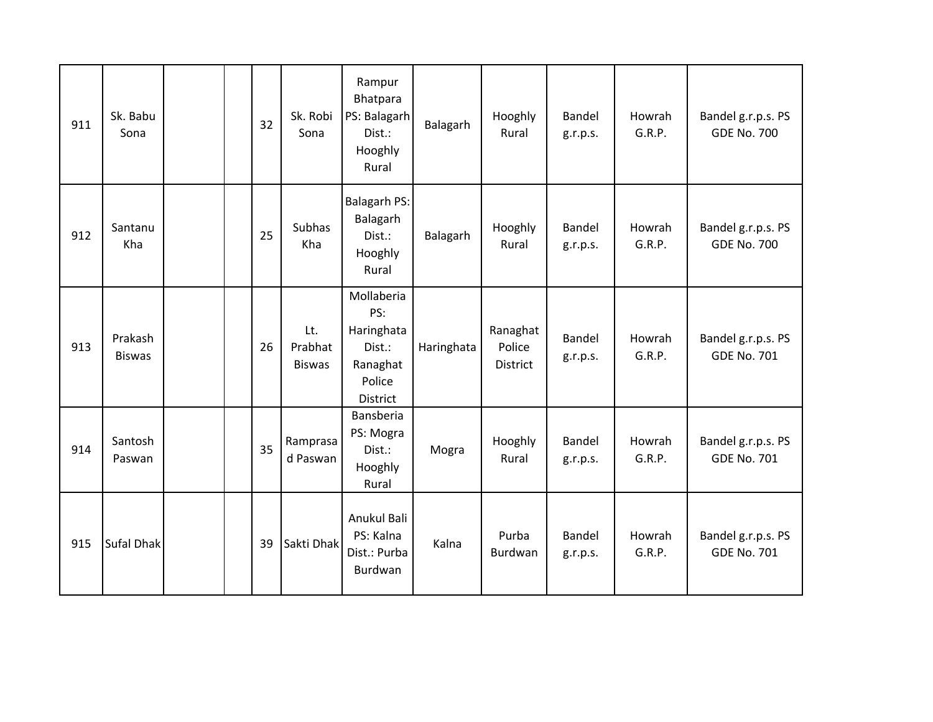| 911 | Sk. Babu<br>Sona         |  | 32 | Sk. Robi<br>Sona                | Rampur<br>Bhatpara<br>PS: Balagarh<br>Dist.:<br>Hooghly<br>Rural            | Balagarh   | Hooghly<br>Rural               | Bandel<br>g.r.p.s. | Howrah<br>G.R.P. | Bandel g.r.p.s. PS<br><b>GDE No. 700</b> |
|-----|--------------------------|--|----|---------------------------------|-----------------------------------------------------------------------------|------------|--------------------------------|--------------------|------------------|------------------------------------------|
| 912 | Santanu<br>Kha           |  | 25 | <b>Subhas</b><br>Kha            | <b>Balagarh PS:</b><br>Balagarh<br>Dist.:<br>Hooghly<br>Rural               | Balagarh   | Hooghly<br>Rural               | Bandel<br>g.r.p.s. | Howrah<br>G.R.P. | Bandel g.r.p.s. PS<br><b>GDE No. 700</b> |
| 913 | Prakash<br><b>Biswas</b> |  | 26 | Lt.<br>Prabhat<br><b>Biswas</b> | Mollaberia<br>PS:<br>Haringhata<br>Dist.:<br>Ranaghat<br>Police<br>District | Haringhata | Ranaghat<br>Police<br>District | Bandel<br>g.r.p.s. | Howrah<br>G.R.P. | Bandel g.r.p.s. PS<br><b>GDE No. 701</b> |
| 914 | Santosh<br>Paswan        |  | 35 | Ramprasa<br>d Paswan            | Bansberia<br>PS: Mogra<br>Dist.:<br>Hooghly<br>Rural                        | Mogra      | Hooghly<br>Rural               | Bandel<br>g.r.p.s. | Howrah<br>G.R.P. | Bandel g.r.p.s. PS<br><b>GDE No. 701</b> |
| 915 | <b>Sufal Dhak</b>        |  | 39 | Sakti Dhak                      | Anukul Bali<br>PS: Kalna<br>Dist.: Purba<br>Burdwan                         | Kalna      | Purba<br>Burdwan               | Bandel<br>g.r.p.s. | Howrah<br>G.R.P. | Bandel g.r.p.s. PS<br><b>GDE No. 701</b> |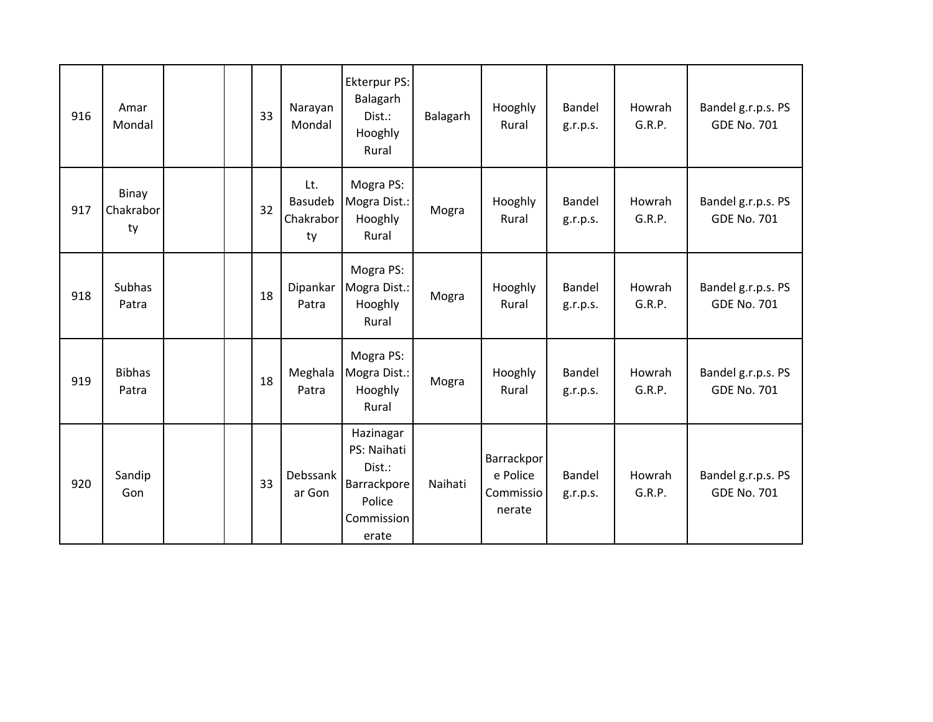| 916 | Amar<br>Mondal           |  | 33 | Narayan<br>Mondal                 | Ekterpur PS:<br>Balagarh<br>Dist.:<br>Hooghly<br>Rural                             | Balagarh | Hooghly<br>Rural                              | Bandel<br>g.r.p.s. | Howrah<br>G.R.P. | Bandel g.r.p.s. PS<br><b>GDE No. 701</b> |
|-----|--------------------------|--|----|-----------------------------------|------------------------------------------------------------------------------------|----------|-----------------------------------------------|--------------------|------------------|------------------------------------------|
| 917 | Binay<br>Chakrabor<br>ty |  | 32 | Lt.<br>Basudeb<br>Chakrabor<br>ty | Mogra PS:<br>Mogra Dist.:<br>Hooghly<br>Rural                                      | Mogra    | Hooghly<br>Rural                              | Bandel<br>g.r.p.s. | Howrah<br>G.R.P. | Bandel g.r.p.s. PS<br><b>GDE No. 701</b> |
| 918 | Subhas<br>Patra          |  | 18 | Dipankar<br>Patra                 | Mogra PS:<br>Mogra Dist.:<br>Hooghly<br>Rural                                      | Mogra    | Hooghly<br>Rural                              | Bandel<br>g.r.p.s. | Howrah<br>G.R.P. | Bandel g.r.p.s. PS<br><b>GDE No. 701</b> |
| 919 | <b>Bibhas</b><br>Patra   |  | 18 | Meghala<br>Patra                  | Mogra PS:<br>Mogra Dist.:<br>Hooghly<br>Rural                                      | Mogra    | Hooghly<br>Rural                              | Bandel<br>g.r.p.s. | Howrah<br>G.R.P. | Bandel g.r.p.s. PS<br><b>GDE No. 701</b> |
| 920 | Sandip<br>Gon            |  | 33 | Debssank<br>ar Gon                | Hazinagar<br>PS: Naihati<br>Dist.:<br>Barrackpore<br>Police<br>Commission<br>erate | Naihati  | Barrackpor<br>e Police<br>Commissio<br>nerate | Bandel<br>g.r.p.s. | Howrah<br>G.R.P. | Bandel g.r.p.s. PS<br><b>GDE No. 701</b> |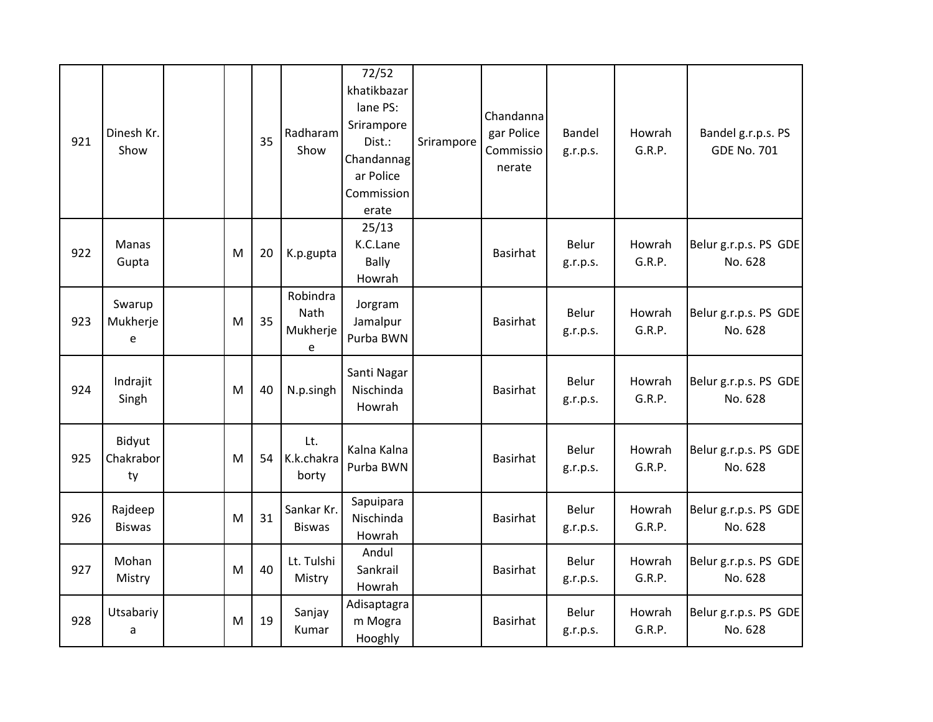| 921 | Dinesh Kr.<br>Show        |   | 35 | Radharam<br>Show                  | 72/52<br>khatikbazar<br>lane PS:<br>Srirampore<br>Dist.:<br>Chandannag<br>ar Police<br>Commission<br>erate | Srirampore | Chandanna<br>gar Police<br>Commissio<br>nerate | Bandel<br>g.r.p.s. | Howrah<br>G.R.P. | Bandel g.r.p.s. PS<br><b>GDE No. 701</b> |
|-----|---------------------------|---|----|-----------------------------------|------------------------------------------------------------------------------------------------------------|------------|------------------------------------------------|--------------------|------------------|------------------------------------------|
| 922 | Manas<br>Gupta            | M | 20 | K.p.gupta                         | 25/13<br>K.C.Lane<br><b>Bally</b><br>Howrah                                                                |            | <b>Basirhat</b>                                | Belur<br>g.r.p.s.  | Howrah<br>G.R.P. | Belur g.r.p.s. PS GDE<br>No. 628         |
| 923 | Swarup<br>Mukherje<br>e   | M | 35 | Robindra<br>Nath<br>Mukherje<br>e | Jorgram<br>Jamalpur<br>Purba BWN                                                                           |            | Basirhat                                       | Belur<br>g.r.p.s.  | Howrah<br>G.R.P. | Belur g.r.p.s. PS GDE<br>No. 628         |
| 924 | Indrajit<br>Singh         | M | 40 | N.p.singh                         | Santi Nagar<br>Nischinda<br>Howrah                                                                         |            | <b>Basirhat</b>                                | Belur<br>g.r.p.s.  | Howrah<br>G.R.P. | Belur g.r.p.s. PS GDE<br>No. 628         |
| 925 | Bidyut<br>Chakrabor<br>ty | M | 54 | Lt.<br>K.k.chakra<br>borty        | Kalna Kalna<br>Purba BWN                                                                                   |            | <b>Basirhat</b>                                | Belur<br>g.r.p.s.  | Howrah<br>G.R.P. | Belur g.r.p.s. PS GDE<br>No. 628         |
| 926 | Rajdeep<br><b>Biswas</b>  | M | 31 | Sankar Kr.<br><b>Biswas</b>       | Sapuipara<br>Nischinda<br>Howrah                                                                           |            | <b>Basirhat</b>                                | Belur<br>g.r.p.s.  | Howrah<br>G.R.P. | Belur g.r.p.s. PS GDE<br>No. 628         |
| 927 | Mohan<br>Mistry           | M | 40 | Lt. Tulshi<br>Mistry              | Andul<br>Sankrail<br>Howrah                                                                                |            | <b>Basirhat</b>                                | Belur<br>g.r.p.s.  | Howrah<br>G.R.P. | Belur g.r.p.s. PS GDE<br>No. 628         |
| 928 | Utsabariy<br>a            | M | 19 | Sanjay<br>Kumar                   | Adisaptagra<br>m Mogra<br>Hooghly                                                                          |            | <b>Basirhat</b>                                | Belur<br>g.r.p.s.  | Howrah<br>G.R.P. | Belur g.r.p.s. PS GDE<br>No. 628         |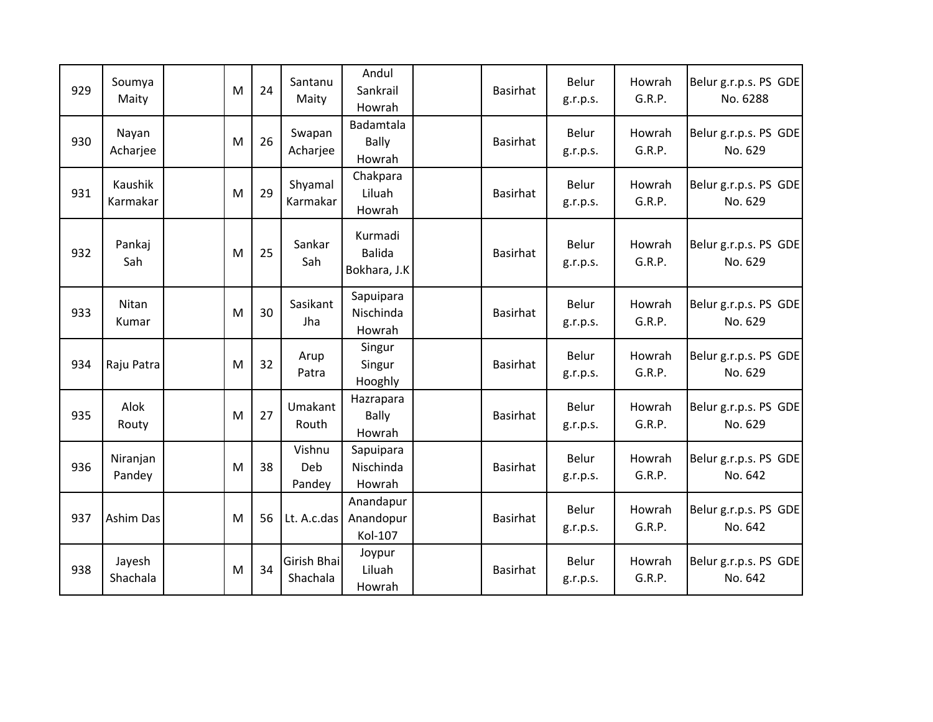| 929 | Soumya<br>Maity     | M | 24 | Santanu<br>Maity        | Andul<br>Sankrail<br>Howrah              | Basirhat        | Belur<br>g.r.p.s. | Howrah<br>G.R.P. | Belur g.r.p.s. PS GDE<br>No. 6288 |
|-----|---------------------|---|----|-------------------------|------------------------------------------|-----------------|-------------------|------------------|-----------------------------------|
| 930 | Nayan<br>Acharjee   | M | 26 | Swapan<br>Acharjee      | Badamtala<br><b>Bally</b><br>Howrah      | <b>Basirhat</b> | Belur<br>g.r.p.s. | Howrah<br>G.R.P. | Belur g.r.p.s. PS GDE<br>No. 629  |
| 931 | Kaushik<br>Karmakar | M | 29 | Shyamal<br>Karmakar     | Chakpara<br>Liluah<br>Howrah             | <b>Basirhat</b> | Belur<br>g.r.p.s. | Howrah<br>G.R.P. | Belur g.r.p.s. PS GDE<br>No. 629  |
| 932 | Pankaj<br>Sah       | M | 25 | Sankar<br>Sah           | Kurmadi<br><b>Balida</b><br>Bokhara, J.K | <b>Basirhat</b> | Belur<br>g.r.p.s. | Howrah<br>G.R.P. | Belur g.r.p.s. PS GDE<br>No. 629  |
| 933 | Nitan<br>Kumar      | M | 30 | Sasikant<br>Jha         | Sapuipara<br>Nischinda<br>Howrah         | <b>Basirhat</b> | Belur<br>g.r.p.s. | Howrah<br>G.R.P. | Belur g.r.p.s. PS GDE<br>No. 629  |
| 934 | Raju Patra          | M | 32 | Arup<br>Patra           | Singur<br>Singur<br>Hooghly              | <b>Basirhat</b> | Belur<br>g.r.p.s. | Howrah<br>G.R.P. | Belur g.r.p.s. PS GDE<br>No. 629  |
| 935 | Alok<br>Routy       | M | 27 | Umakant<br>Routh        | Hazrapara<br><b>Bally</b><br>Howrah      | Basirhat        | Belur<br>g.r.p.s. | Howrah<br>G.R.P. | Belur g.r.p.s. PS GDE<br>No. 629  |
| 936 | Niranjan<br>Pandey  | M | 38 | Vishnu<br>Deb<br>Pandey | Sapuipara<br>Nischinda<br>Howrah         | <b>Basirhat</b> | Belur<br>g.r.p.s. | Howrah<br>G.R.P. | Belur g.r.p.s. PS GDE<br>No. 642  |
| 937 | Ashim Das           | M | 56 | Lt. A.c.das             | Anandapur<br>Anandopur<br>Kol-107        | <b>Basirhat</b> | Belur<br>g.r.p.s. | Howrah<br>G.R.P. | Belur g.r.p.s. PS GDE<br>No. 642  |
| 938 | Jayesh<br>Shachala  | M | 34 | Girish Bhai<br>Shachala | Joypur<br>Liluah<br>Howrah               | <b>Basirhat</b> | Belur<br>g.r.p.s. | Howrah<br>G.R.P. | Belur g.r.p.s. PS GDE<br>No. 642  |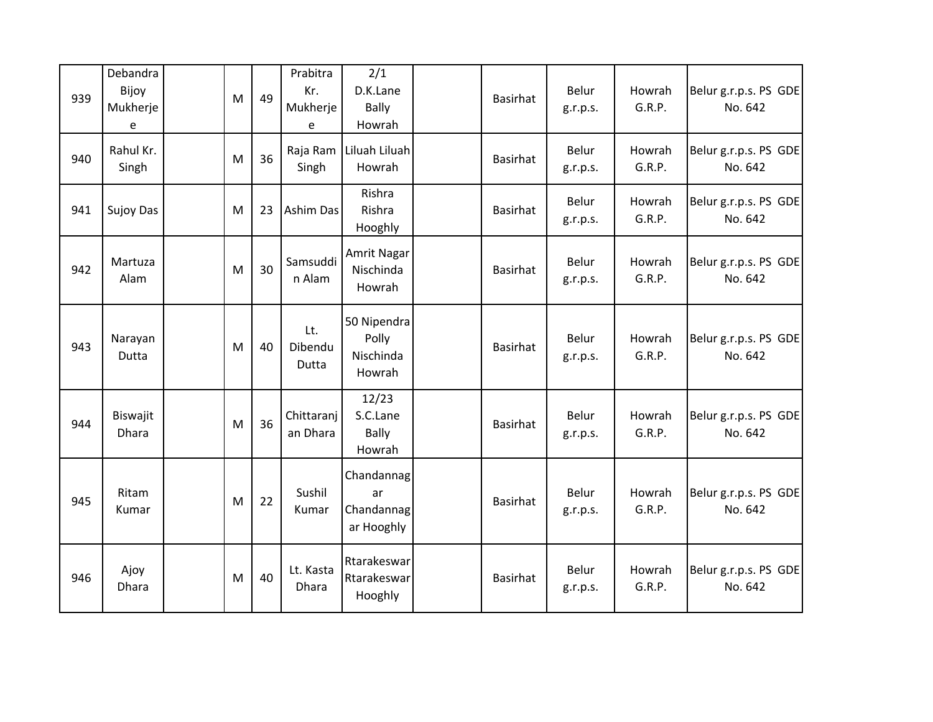| 939 | Debandra<br>Bijoy<br>Mukherje<br>e | M | 49 | Prabitra<br>Kr.<br>Mukherje<br>e | 2/1<br>D.K.Lane<br><b>Bally</b><br>Howrah    | Basirhat        | Belur<br>g.r.p.s. | Howrah<br>G.R.P. | Belur g.r.p.s. PS GDE<br>No. 642 |
|-----|------------------------------------|---|----|----------------------------------|----------------------------------------------|-----------------|-------------------|------------------|----------------------------------|
| 940 | Rahul Kr.<br>Singh                 | M | 36 | Raja Ram<br>Singh                | Liluah Liluah<br>Howrah                      | <b>Basirhat</b> | Belur<br>g.r.p.s. | Howrah<br>G.R.P. | Belur g.r.p.s. PS GDE<br>No. 642 |
| 941 | <b>Sujoy Das</b>                   | M | 23 | <b>Ashim Das</b>                 | Rishra<br>Rishra<br>Hooghly                  | Basirhat        | Belur<br>g.r.p.s. | Howrah<br>G.R.P. | Belur g.r.p.s. PS GDE<br>No. 642 |
| 942 | Martuza<br>Alam                    | M | 30 | Samsuddi<br>n Alam               | Amrit Nagar<br>Nischinda<br>Howrah           | <b>Basirhat</b> | Belur<br>g.r.p.s. | Howrah<br>G.R.P. | Belur g.r.p.s. PS GDE<br>No. 642 |
| 943 | Narayan<br>Dutta                   | M | 40 | Lt.<br>Dibendu<br>Dutta          | 50 Nipendra<br>Polly<br>Nischinda<br>Howrah  | <b>Basirhat</b> | Belur<br>g.r.p.s. | Howrah<br>G.R.P. | Belur g.r.p.s. PS GDE<br>No. 642 |
| 944 | Biswajit<br><b>Dhara</b>           | M | 36 | Chittaranj<br>an Dhara           | 12/23<br>S.C.Lane<br><b>Bally</b><br>Howrah  | <b>Basirhat</b> | Belur<br>g.r.p.s. | Howrah<br>G.R.P. | Belur g.r.p.s. PS GDE<br>No. 642 |
| 945 | Ritam<br>Kumar                     | M | 22 | Sushil<br>Kumar                  | Chandannag<br>ar<br>Chandannag<br>ar Hooghly | <b>Basirhat</b> | Belur<br>g.r.p.s. | Howrah<br>G.R.P. | Belur g.r.p.s. PS GDE<br>No. 642 |
| 946 | Ajoy<br>Dhara                      | M | 40 | Lt. Kasta<br>Dhara               | Rtarakeswar<br>Rtarakeswar<br>Hooghly        | <b>Basirhat</b> | Belur<br>g.r.p.s. | Howrah<br>G.R.P. | Belur g.r.p.s. PS GDE<br>No. 642 |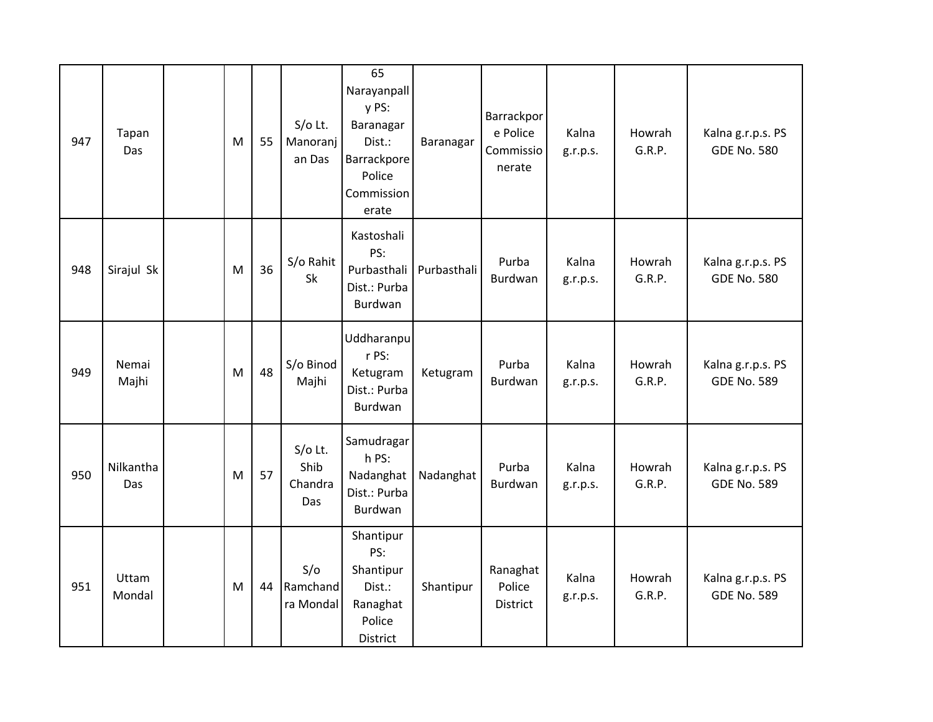| 947 | Tapan<br>Das            | M | 55 | $S/O$ Lt.<br>Manoranj<br>an Das     | 65<br>Narayanpall<br>y PS:<br>Baranagar<br>Dist.:<br>Barrackpore<br>Police<br>Commission<br>erate | Baranagar   | Barrackpor<br>e Police<br>Commissio<br>nerate | Kalna<br>g.r.p.s. | Howrah<br>G.R.P. | Kalna g.r.p.s. PS<br><b>GDE No. 580</b> |
|-----|-------------------------|---|----|-------------------------------------|---------------------------------------------------------------------------------------------------|-------------|-----------------------------------------------|-------------------|------------------|-----------------------------------------|
| 948 | Sirajul Sk              | M | 36 | S/o Rahit<br>Sk                     | Kastoshali<br>PS:<br>Purbasthali<br>Dist.: Purba<br>Burdwan                                       | Purbasthali | Purba<br>Burdwan                              | Kalna<br>g.r.p.s. | Howrah<br>G.R.P. | Kalna g.r.p.s. PS<br><b>GDE No. 580</b> |
| 949 | Nemai<br>Majhi          | M | 48 | S/o Binod<br>Majhi                  | Uddharanpu<br>r PS:<br>Ketugram<br>Dist.: Purba<br>Burdwan                                        | Ketugram    | Purba<br>Burdwan                              | Kalna<br>g.r.p.s. | Howrah<br>G.R.P. | Kalna g.r.p.s. PS<br><b>GDE No. 589</b> |
| 950 | Nilkantha<br><b>Das</b> | M | 57 | $S/O$ Lt.<br>Shib<br>Chandra<br>Das | Samudragar<br>h PS:<br>Nadanghat<br>Dist.: Purba<br>Burdwan                                       | Nadanghat   | Purba<br>Burdwan                              | Kalna<br>g.r.p.s. | Howrah<br>G.R.P. | Kalna g.r.p.s. PS<br><b>GDE No. 589</b> |
| 951 | Uttam<br>Mondal         | M | 44 | S/O<br>Ramchand<br>ra Mondal        | Shantipur<br>PS:<br>Shantipur<br>Dist.:<br>Ranaghat<br>Police<br>District                         | Shantipur   | Ranaghat<br>Police<br>District                | Kalna<br>g.r.p.s. | Howrah<br>G.R.P. | Kalna g.r.p.s. PS<br><b>GDE No. 589</b> |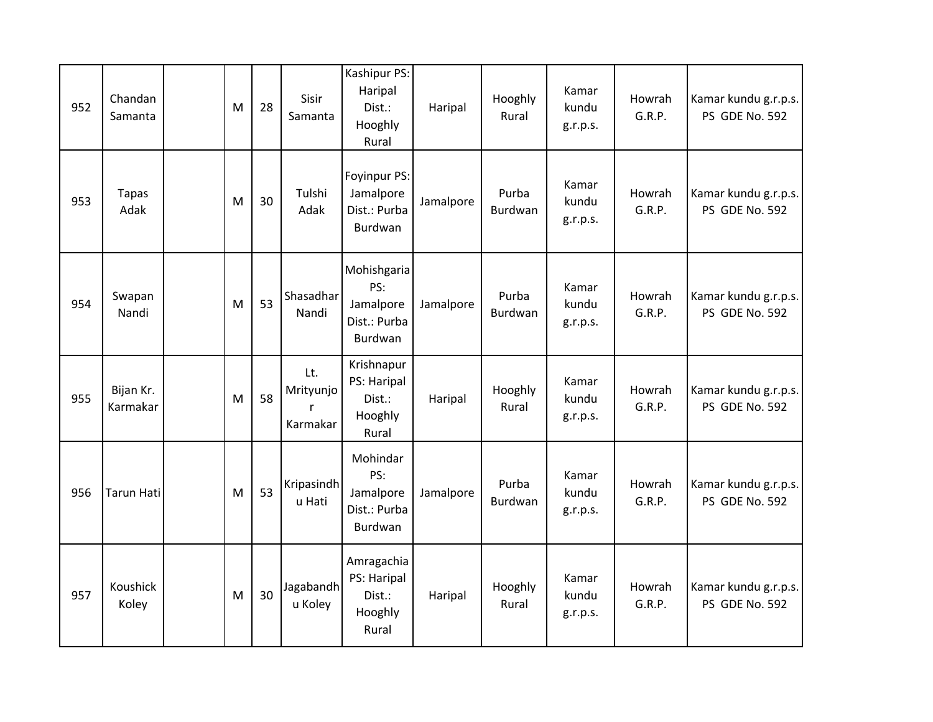| 952 | Chandan<br>Samanta    | M | 28 | Sisir<br>Samanta             | Kashipur PS:<br>Haripal<br>Dist.:<br>Hooghly<br>Rural      | Haripal   | Hooghly<br>Rural | Kamar<br>kundu<br>g.r.p.s. | Howrah<br>G.R.P. | Kamar kundu g.r.p.s.<br>PS GDE No. 592 |
|-----|-----------------------|---|----|------------------------------|------------------------------------------------------------|-----------|------------------|----------------------------|------------------|----------------------------------------|
| 953 | <b>Tapas</b><br>Adak  | M | 30 | Tulshi<br>Adak               | Foyinpur PS:<br>Jamalpore<br>Dist.: Purba<br>Burdwan       | Jamalpore | Purba<br>Burdwan | Kamar<br>kundu<br>g.r.p.s. | Howrah<br>G.R.P. | Kamar kundu g.r.p.s.<br>PS GDE No. 592 |
| 954 | Swapan<br>Nandi       | M | 53 | Shasadhar<br>Nandi           | Mohishgaria<br>PS:<br>Jamalpore<br>Dist.: Purba<br>Burdwan | Jamalpore | Purba<br>Burdwan | Kamar<br>kundu<br>g.r.p.s. | Howrah<br>G.R.P. | Kamar kundu g.r.p.s.<br>PS GDE No. 592 |
| 955 | Bijan Kr.<br>Karmakar | M | 58 | Lt.<br>Mrityunjo<br>Karmakar | Krishnapur<br>PS: Haripal<br>Dist.:<br>Hooghly<br>Rural    | Haripal   | Hooghly<br>Rural | Kamar<br>kundu<br>g.r.p.s. | Howrah<br>G.R.P. | Kamar kundu g.r.p.s.<br>PS GDE No. 592 |
| 956 | <b>Tarun Hati</b>     | M | 53 | Kripasindh<br>u Hati         | Mohindar<br>PS:<br>Jamalpore<br>Dist.: Purba<br>Burdwan    | Jamalpore | Purba<br>Burdwan | Kamar<br>kundu<br>g.r.p.s. | Howrah<br>G.R.P. | Kamar kundu g.r.p.s.<br>PS GDE No. 592 |
| 957 | Koushick<br>Koley     | M | 30 | Jagabandh<br>u Koley         | Amragachia<br>PS: Haripal<br>Dist.:<br>Hooghly<br>Rural    | Haripal   | Hooghly<br>Rural | Kamar<br>kundu<br>g.r.p.s. | Howrah<br>G.R.P. | Kamar kundu g.r.p.s.<br>PS GDE No. 592 |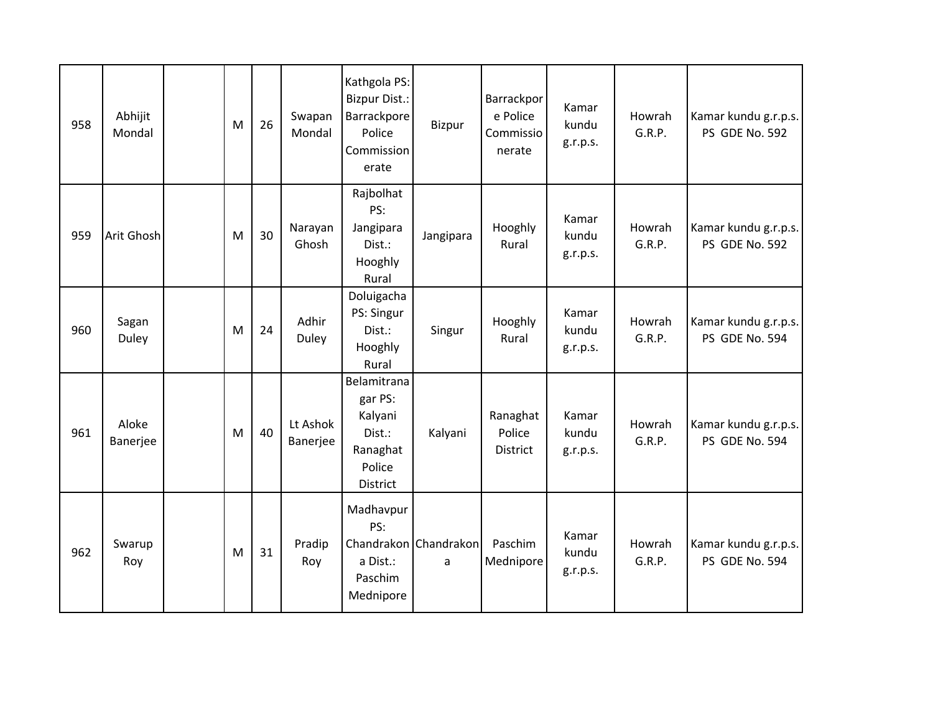| 958 | Abhijit<br>Mondal | M | 26 | Swapan<br>Mondal     | Kathgola PS:<br><b>Bizpur Dist.:</b><br>Barrackpore<br>Police<br>Commission<br>erate | Bizpur                     | Barrackpor<br>e Police<br>Commissio<br>nerate | Kamar<br>kundu<br>g.r.p.s. | Howrah<br>G.R.P. | Kamar kundu g.r.p.s.<br>PS GDE No. 592 |
|-----|-------------------|---|----|----------------------|--------------------------------------------------------------------------------------|----------------------------|-----------------------------------------------|----------------------------|------------------|----------------------------------------|
| 959 | Arit Ghosh        | M | 30 | Narayan<br>Ghosh     | Rajbolhat<br>PS:<br>Jangipara<br>Dist.:<br>Hooghly<br>Rural                          | Jangipara                  | Hooghly<br>Rural                              | Kamar<br>kundu<br>g.r.p.s. | Howrah<br>G.R.P. | Kamar kundu g.r.p.s.<br>PS GDE No. 592 |
| 960 | Sagan<br>Duley    | M | 24 | Adhir<br>Duley       | Doluigacha<br>PS: Singur<br>Dist.:<br>Hooghly<br>Rural                               | Singur                     | Hooghly<br>Rural                              | Kamar<br>kundu<br>g.r.p.s. | Howrah<br>G.R.P. | Kamar kundu g.r.p.s.<br>PS GDE No. 594 |
| 961 | Aloke<br>Banerjee | M | 40 | Lt Ashok<br>Banerjee | Belamitrana<br>gar PS:<br>Kalyani<br>Dist.:<br>Ranaghat<br>Police<br>District        | Kalyani                    | Ranaghat<br>Police<br><b>District</b>         | Kamar<br>kundu<br>g.r.p.s. | Howrah<br>G.R.P. | Kamar kundu g.r.p.s.<br>PS GDE No. 594 |
| 962 | Swarup<br>Roy     | M | 31 | Pradip<br>Roy        | Madhavpur<br>PS:<br>a Dist.:<br>Paschim<br>Mednipore                                 | Chandrakon Chandrakon<br>a | Paschim<br>Mednipore                          | Kamar<br>kundu<br>g.r.p.s. | Howrah<br>G.R.P. | Kamar kundu g.r.p.s.<br>PS GDE No. 594 |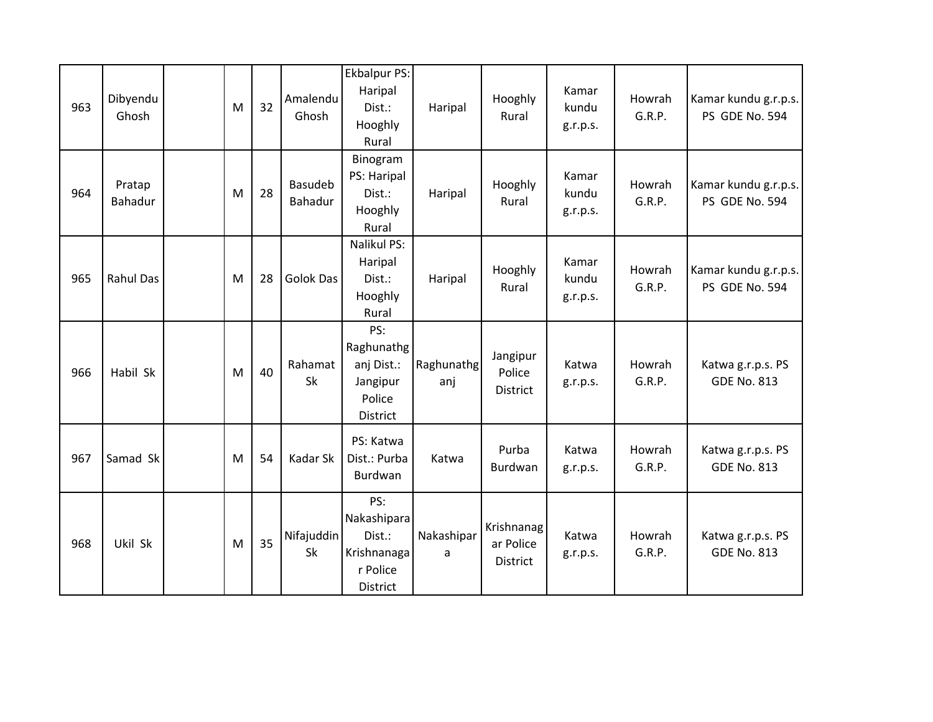| 963 | Dibyendu<br>Ghosh | M | 32 | Amalendu<br>Ghosh  | <b>Ekbalpur PS:</b><br>Haripal<br>Dist.:<br>Hooghly<br>Rural        | Haripal           | Hooghly<br>Rural                    | Kamar<br>kundu<br>g.r.p.s. | Howrah<br>G.R.P. | Kamar kundu g.r.p.s.<br>PS GDE No. 594  |
|-----|-------------------|---|----|--------------------|---------------------------------------------------------------------|-------------------|-------------------------------------|----------------------------|------------------|-----------------------------------------|
| 964 | Pratap<br>Bahadur | M | 28 | Basudeb<br>Bahadur | Binogram<br>PS: Haripal<br>Dist.:<br>Hooghly<br>Rural               | Haripal           | Hooghly<br>Rural                    | Kamar<br>kundu<br>g.r.p.s. | Howrah<br>G.R.P. | Kamar kundu g.r.p.s.<br>PS GDE No. 594  |
| 965 | <b>Rahul Das</b>  | M | 28 | <b>Golok Das</b>   | Nalikul PS:<br>Haripal<br>Dist.:<br>Hooghly<br>Rural                | Haripal           | Hooghly<br>Rural                    | Kamar<br>kundu<br>g.r.p.s. | Howrah<br>G.R.P. | Kamar kundu g.r.p.s.<br>PS GDE No. 594  |
| 966 | Habil Sk          | M | 40 | Rahamat<br>Sk      | PS:<br>Raghunathg<br>anj Dist.:<br>Jangipur<br>Police<br>District   | Raghunathg<br>anj | Jangipur<br>Police<br>District      | Katwa<br>g.r.p.s.          | Howrah<br>G.R.P. | Katwa g.r.p.s. PS<br><b>GDE No. 813</b> |
| 967 | Samad Sk          | M | 54 | Kadar Sk           | PS: Katwa<br>Dist.: Purba<br>Burdwan                                | Katwa             | Purba<br>Burdwan                    | Katwa<br>g.r.p.s.          | Howrah<br>G.R.P. | Katwa g.r.p.s. PS<br><b>GDE No. 813</b> |
| 968 | Ukil Sk           | M | 35 | Nifajuddin<br>Sk   | PS:<br>Nakashipara<br>Dist.:<br>Krishnanaga<br>r Police<br>District | Nakashipar<br>a   | Krishnanag<br>ar Police<br>District | Katwa<br>g.r.p.s.          | Howrah<br>G.R.P. | Katwa g.r.p.s. PS<br><b>GDE No. 813</b> |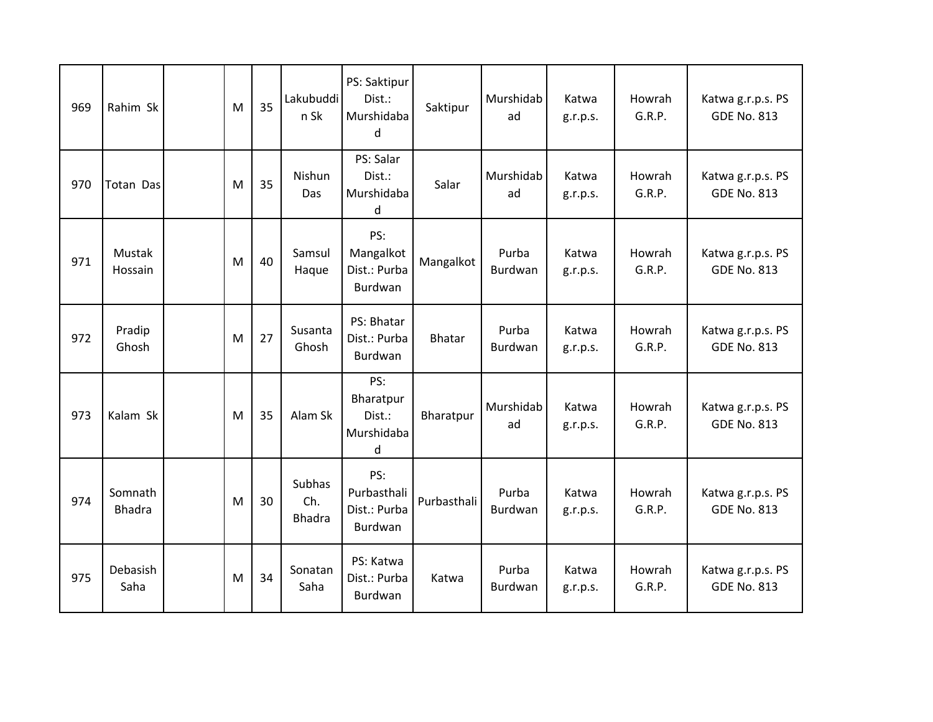| 969 | Rahim Sk                 | M | 35 | Lakubuddi<br>n Sk                     | PS: Saktipur<br>Dist.:<br>Murshidaba<br>d     | Saktipur      | Murshidab<br>ad  | Katwa<br>g.r.p.s. | Howrah<br>G.R.P. | Katwa g.r.p.s. PS<br><b>GDE No. 813</b> |
|-----|--------------------------|---|----|---------------------------------------|-----------------------------------------------|---------------|------------------|-------------------|------------------|-----------------------------------------|
| 970 | Totan Das                | M | 35 | Nishun<br>Das                         | PS: Salar<br>Dist.:<br>Murshidaba<br>d        | Salar         | Murshidab<br>ad  | Katwa<br>g.r.p.s. | Howrah<br>G.R.P. | Katwa g.r.p.s. PS<br><b>GDE No. 813</b> |
| 971 | Mustak<br>Hossain        | M | 40 | Samsul<br>Haque                       | PS:<br>Mangalkot<br>Dist.: Purba<br>Burdwan   | Mangalkot     | Purba<br>Burdwan | Katwa<br>g.r.p.s. | Howrah<br>G.R.P. | Katwa g.r.p.s. PS<br><b>GDE No. 813</b> |
| 972 | Pradip<br>Ghosh          | M | 27 | Susanta<br>Ghosh                      | PS: Bhatar<br>Dist.: Purba<br>Burdwan         | <b>Bhatar</b> | Purba<br>Burdwan | Katwa<br>g.r.p.s. | Howrah<br>G.R.P. | Katwa g.r.p.s. PS<br><b>GDE No. 813</b> |
| 973 | Kalam Sk                 | M | 35 | Alam Sk                               | PS:<br>Bharatpur<br>Dist.:<br>Murshidaba<br>d | Bharatpur     | Murshidab<br>ad  | Katwa<br>g.r.p.s. | Howrah<br>G.R.P. | Katwa g.r.p.s. PS<br><b>GDE No. 813</b> |
| 974 | Somnath<br><b>Bhadra</b> | M | 30 | <b>Subhas</b><br>Ch.<br><b>Bhadra</b> | PS:<br>Purbasthali<br>Dist.: Purba<br>Burdwan | Purbasthali   | Purba<br>Burdwan | Katwa<br>g.r.p.s. | Howrah<br>G.R.P. | Katwa g.r.p.s. PS<br><b>GDE No. 813</b> |
| 975 | Debasish<br>Saha         | M | 34 | Sonatan<br>Saha                       | PS: Katwa<br>Dist.: Purba<br>Burdwan          | Katwa         | Purba<br>Burdwan | Katwa<br>g.r.p.s. | Howrah<br>G.R.P. | Katwa g.r.p.s. PS<br><b>GDE No. 813</b> |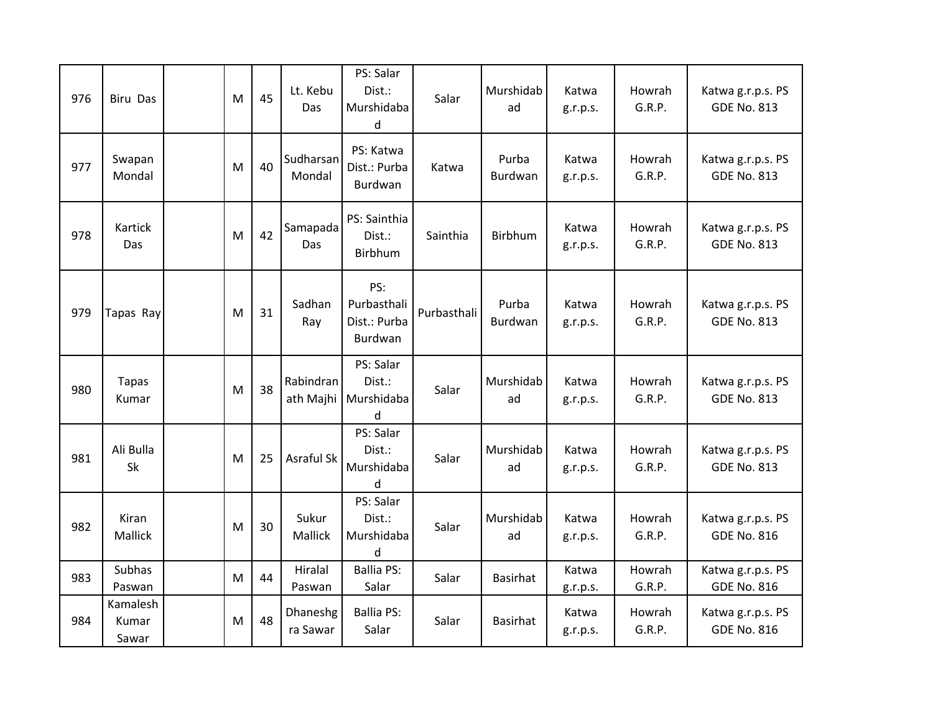| 976 | <b>Biru Das</b>            | M | 45 | Lt. Kebu<br>Das        | PS: Salar<br>Dist.:<br>Murshidaba<br>d        | Salar       | Murshidab<br>ad  | Katwa<br>g.r.p.s. | Howrah<br>G.R.P. | Katwa g.r.p.s. PS<br><b>GDE No. 813</b> |
|-----|----------------------------|---|----|------------------------|-----------------------------------------------|-------------|------------------|-------------------|------------------|-----------------------------------------|
| 977 | Swapan<br>Mondal           | M | 40 | Sudharsan<br>Mondal    | PS: Katwa<br>Dist.: Purba<br>Burdwan          | Katwa       | Purba<br>Burdwan | Katwa<br>g.r.p.s. | Howrah<br>G.R.P. | Katwa g.r.p.s. PS<br><b>GDE No. 813</b> |
| 978 | Kartick<br>Das             | M | 42 | Samapada<br>Das        | PS: Sainthia<br>Dist.:<br>Birbhum             | Sainthia    | <b>Birbhum</b>   | Katwa<br>g.r.p.s. | Howrah<br>G.R.P. | Katwa g.r.p.s. PS<br><b>GDE No. 813</b> |
| 979 | Tapas Ray                  | М | 31 | Sadhan<br>Ray          | PS:<br>Purbasthali<br>Dist.: Purba<br>Burdwan | Purbasthali | Purba<br>Burdwan | Katwa<br>g.r.p.s. | Howrah<br>G.R.P. | Katwa g.r.p.s. PS<br><b>GDE No. 813</b> |
| 980 | <b>Tapas</b><br>Kumar      | M | 38 | Rabindran<br>ath Majhi | PS: Salar<br>Dist.:<br>Murshidaba<br>d        | Salar       | Murshidab<br>ad  | Katwa<br>g.r.p.s. | Howrah<br>G.R.P. | Katwa g.r.p.s. PS<br><b>GDE No. 813</b> |
| 981 | Ali Bulla<br>Sk            | M | 25 | Asraful Sk             | PS: Salar<br>Dist.:<br>Murshidaba<br>d        | Salar       | Murshidab<br>ad  | Katwa<br>g.r.p.s. | Howrah<br>G.R.P. | Katwa g.r.p.s. PS<br><b>GDE No. 813</b> |
| 982 | Kiran<br>Mallick           | M | 30 | Sukur<br>Mallick       | PS: Salar<br>Dist.:<br>Murshidaba<br>d        | Salar       | Murshidab<br>ad  | Katwa<br>g.r.p.s. | Howrah<br>G.R.P. | Katwa g.r.p.s. PS<br><b>GDE No. 816</b> |
| 983 | Subhas<br>Paswan           | M | 44 | Hiralal<br>Paswan      | <b>Ballia PS:</b><br>Salar                    | Salar       | <b>Basirhat</b>  | Katwa<br>g.r.p.s. | Howrah<br>G.R.P. | Katwa g.r.p.s. PS<br><b>GDE No. 816</b> |
| 984 | Kamalesh<br>Kumar<br>Sawar | M | 48 | Dhaneshg<br>ra Sawar   | <b>Ballia PS:</b><br>Salar                    | Salar       | Basirhat         | Katwa<br>g.r.p.s. | Howrah<br>G.R.P. | Katwa g.r.p.s. PS<br><b>GDE No. 816</b> |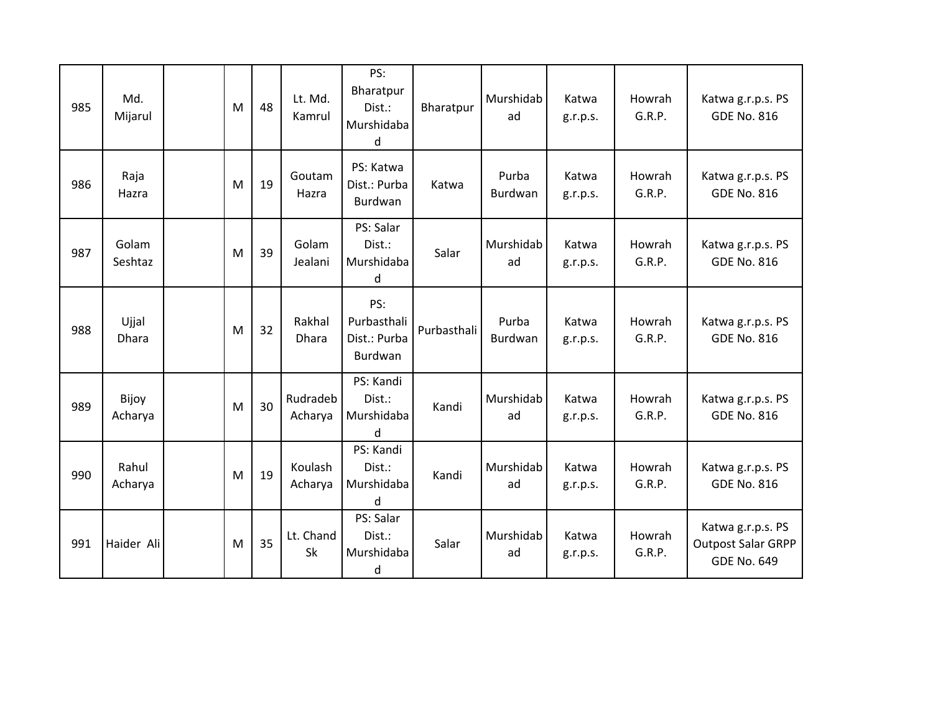| 985 | Md.<br>Mijarul        | M | 48 | Lt. Md.<br>Kamrul   | PS:<br>Bharatpur<br>Dist.:<br>Murshidaba<br>d | Bharatpur   | Murshidab<br>ad  | Katwa<br>g.r.p.s. | Howrah<br>G.R.P. | Katwa g.r.p.s. PS<br><b>GDE No. 816</b>                              |
|-----|-----------------------|---|----|---------------------|-----------------------------------------------|-------------|------------------|-------------------|------------------|----------------------------------------------------------------------|
| 986 | Raja<br>Hazra         | M | 19 | Goutam<br>Hazra     | PS: Katwa<br>Dist.: Purba<br>Burdwan          | Katwa       | Purba<br>Burdwan | Katwa<br>g.r.p.s. | Howrah<br>G.R.P. | Katwa g.r.p.s. PS<br><b>GDE No. 816</b>                              |
| 987 | Golam<br>Seshtaz      | M | 39 | Golam<br>Jealani    | PS: Salar<br>Dist.:<br>Murshidaba<br>d        | Salar       | Murshidab<br>ad  | Katwa<br>g.r.p.s. | Howrah<br>G.R.P. | Katwa g.r.p.s. PS<br><b>GDE No. 816</b>                              |
| 988 | Ujjal<br><b>Dhara</b> | M | 32 | Rakhal<br>Dhara     | PS:<br>Purbasthali<br>Dist.: Purba<br>Burdwan | Purbasthali | Purba<br>Burdwan | Katwa<br>g.r.p.s. | Howrah<br>G.R.P. | Katwa g.r.p.s. PS<br><b>GDE No. 816</b>                              |
| 989 | Bijoy<br>Acharya      | M | 30 | Rudradeb<br>Acharya | PS: Kandi<br>Dist.:<br>Murshidaba<br>d        | Kandi       | Murshidab<br>ad  | Katwa<br>g.r.p.s. | Howrah<br>G.R.P. | Katwa g.r.p.s. PS<br><b>GDE No. 816</b>                              |
| 990 | Rahul<br>Acharya      | M | 19 | Koulash<br>Acharya  | PS: Kandi<br>Dist.:<br>Murshidaba<br>d        | Kandi       | Murshidab<br>ad  | Katwa<br>g.r.p.s. | Howrah<br>G.R.P. | Katwa g.r.p.s. PS<br><b>GDE No. 816</b>                              |
| 991 | Haider Ali            | M | 35 | Lt. Chand<br>Sk     | PS: Salar<br>Dist.:<br>Murshidaba<br>d        | Salar       | Murshidab<br>ad  | Katwa<br>g.r.p.s. | Howrah<br>G.R.P. | Katwa g.r.p.s. PS<br><b>Outpost Salar GRPP</b><br><b>GDE No. 649</b> |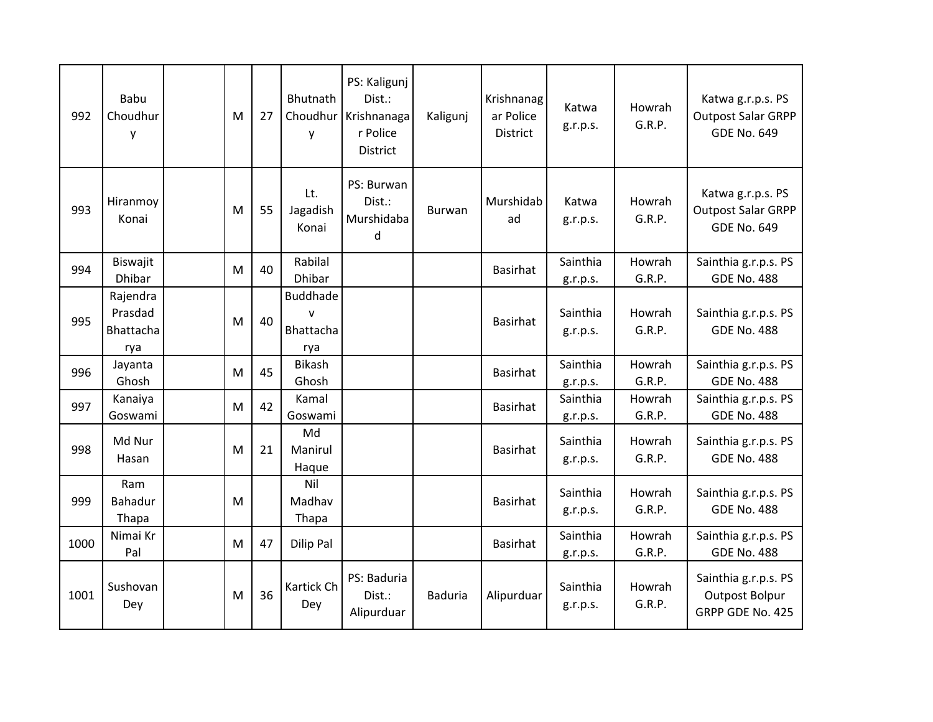| 992  | Babu<br>Choudhur<br>y          | M | 27 | Bhutnath<br>y             | PS: Kaligunj<br>Dist.:<br>Choudhur Krishnanaga<br>r Police<br><b>District</b> | Kaligunj       | Krishnanag<br>ar Police<br><b>District</b> | Katwa<br>g.r.p.s.    | Howrah<br>G.R.P. | Katwa g.r.p.s. PS<br><b>Outpost Salar GRPP</b><br><b>GDE No. 649</b> |
|------|--------------------------------|---|----|---------------------------|-------------------------------------------------------------------------------|----------------|--------------------------------------------|----------------------|------------------|----------------------------------------------------------------------|
| 993  | Hiranmoy<br>Konai              | M | 55 | Lt.<br>Jagadish<br>Konai  | PS: Burwan<br>Dist.:<br>Murshidaba<br>d                                       | <b>Burwan</b>  | Murshidab<br>ad                            | Katwa<br>g.r.p.s.    | Howrah<br>G.R.P. | Katwa g.r.p.s. PS<br><b>Outpost Salar GRPP</b><br><b>GDE No. 649</b> |
| 994  | Biswajit<br><b>Dhibar</b>      | M | 40 | Rabilal<br><b>Dhibar</b>  |                                                                               |                | <b>Basirhat</b>                            | Sainthia<br>g.r.p.s. | Howrah<br>G.R.P. | Sainthia g.r.p.s. PS<br><b>GDE No. 488</b>                           |
|      | Rajendra                       |   |    | Buddhade                  |                                                                               |                |                                            |                      |                  |                                                                      |
| 995  | Prasdad<br><b>Bhattacha</b>    | M | 40 | $\mathsf{v}$<br>Bhattacha |                                                                               |                | Basirhat                                   | Sainthia<br>g.r.p.s. | Howrah<br>G.R.P. | Sainthia g.r.p.s. PS<br><b>GDE No. 488</b>                           |
|      | rya                            |   |    | rya                       |                                                                               |                |                                            |                      |                  |                                                                      |
| 996  | Jayanta<br>Ghosh               | M | 45 | <b>Bikash</b><br>Ghosh    |                                                                               |                | Basirhat                                   | Sainthia<br>g.r.p.s. | Howrah<br>G.R.P. | Sainthia g.r.p.s. PS<br><b>GDE No. 488</b>                           |
| 997  | Kanaiya<br>Goswami             | M | 42 | Kamal<br>Goswami          |                                                                               |                | Basirhat                                   | Sainthia<br>g.r.p.s. | Howrah<br>G.R.P. | Sainthia g.r.p.s. PS<br><b>GDE No. 488</b>                           |
| 998  | Md Nur<br>Hasan                | M | 21 | Md<br>Manirul<br>Haque    |                                                                               |                | <b>Basirhat</b>                            | Sainthia<br>g.r.p.s. | Howrah<br>G.R.P. | Sainthia g.r.p.s. PS<br><b>GDE No. 488</b>                           |
| 999  | Ram<br><b>Bahadur</b><br>Thapa | M |    | Nil<br>Madhav<br>Thapa    |                                                                               |                | Basirhat                                   | Sainthia<br>g.r.p.s. | Howrah<br>G.R.P. | Sainthia g.r.p.s. PS<br><b>GDE No. 488</b>                           |
| 1000 | Nimai Kr<br>Pal                | M | 47 | <b>Dilip Pal</b>          |                                                                               |                | <b>Basirhat</b>                            | Sainthia<br>g.r.p.s. | Howrah<br>G.R.P. | Sainthia g.r.p.s. PS<br><b>GDE No. 488</b>                           |
| 1001 | Sushovan<br>Dey                | M | 36 | Kartick Ch<br>Dey         | PS: Baduria<br>Dist.:<br>Alipurduar                                           | <b>Baduria</b> | Alipurduar                                 | Sainthia<br>g.r.p.s. | Howrah<br>G.R.P. | Sainthia g.r.p.s. PS<br><b>Outpost Bolpur</b><br>GRPP GDE No. 425    |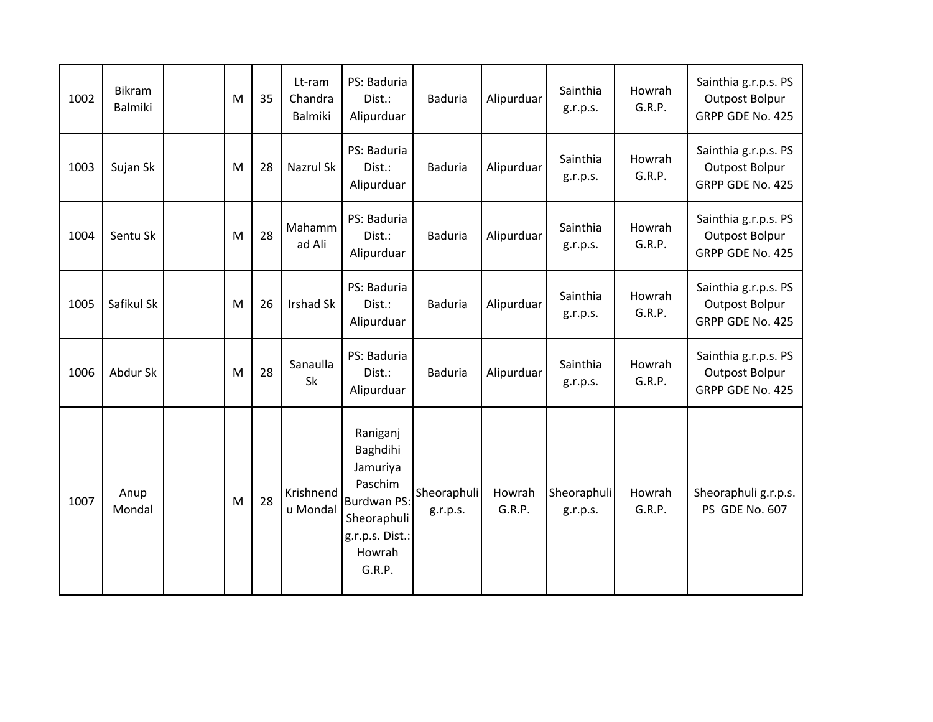| 1002 | Bikram<br>Balmiki | M | 35 | Lt-ram<br>Chandra<br><b>Balmiki</b> | PS: Baduria<br>Dist.:<br>Alipurduar                                                                                     | <b>Baduria</b>          | Alipurduar       | Sainthia<br>g.r.p.s.    | Howrah<br>G.R.P. | Sainthia g.r.p.s. PS<br><b>Outpost Bolpur</b><br>GRPP GDE No. 425 |
|------|-------------------|---|----|-------------------------------------|-------------------------------------------------------------------------------------------------------------------------|-------------------------|------------------|-------------------------|------------------|-------------------------------------------------------------------|
| 1003 | Sujan Sk          | M | 28 | Nazrul Sk                           | PS: Baduria<br>Dist.:<br>Alipurduar                                                                                     | <b>Baduria</b>          | Alipurduar       | Sainthia<br>g.r.p.s.    | Howrah<br>G.R.P. | Sainthia g.r.p.s. PS<br><b>Outpost Bolpur</b><br>GRPP GDE No. 425 |
| 1004 | Sentu Sk          | M | 28 | Mahamm<br>ad Ali                    | PS: Baduria<br>Dist.:<br>Alipurduar                                                                                     | <b>Baduria</b>          | Alipurduar       | Sainthia<br>g.r.p.s.    | Howrah<br>G.R.P. | Sainthia g.r.p.s. PS<br><b>Outpost Bolpur</b><br>GRPP GDE No. 425 |
| 1005 | Safikul Sk        | M | 26 | <b>Irshad Sk</b>                    | PS: Baduria<br>Dist.:<br>Alipurduar                                                                                     | <b>Baduria</b>          | Alipurduar       | Sainthia<br>g.r.p.s.    | Howrah<br>G.R.P. | Sainthia g.r.p.s. PS<br><b>Outpost Bolpur</b><br>GRPP GDE No. 425 |
| 1006 | Abdur Sk          | M | 28 | Sanaulla<br>Sk                      | PS: Baduria<br>Dist.:<br>Alipurduar                                                                                     | <b>Baduria</b>          | Alipurduar       | Sainthia<br>g.r.p.s.    | Howrah<br>G.R.P. | Sainthia g.r.p.s. PS<br><b>Outpost Bolpur</b><br>GRPP GDE No. 425 |
| 1007 | Anup<br>Mondal    | M | 28 | Krishnend<br>u Mondal               | Raniganj<br>Baghdihi<br>Jamuriya<br>Paschim<br><b>Burdwan PS:</b><br>Sheoraphuli<br>g.r.p.s. Dist.:<br>Howrah<br>G.R.P. | Sheoraphuli<br>g.r.p.s. | Howrah<br>G.R.P. | Sheoraphuli<br>g.r.p.s. | Howrah<br>G.R.P. | Sheoraphuli g.r.p.s.<br>PS GDE No. 607                            |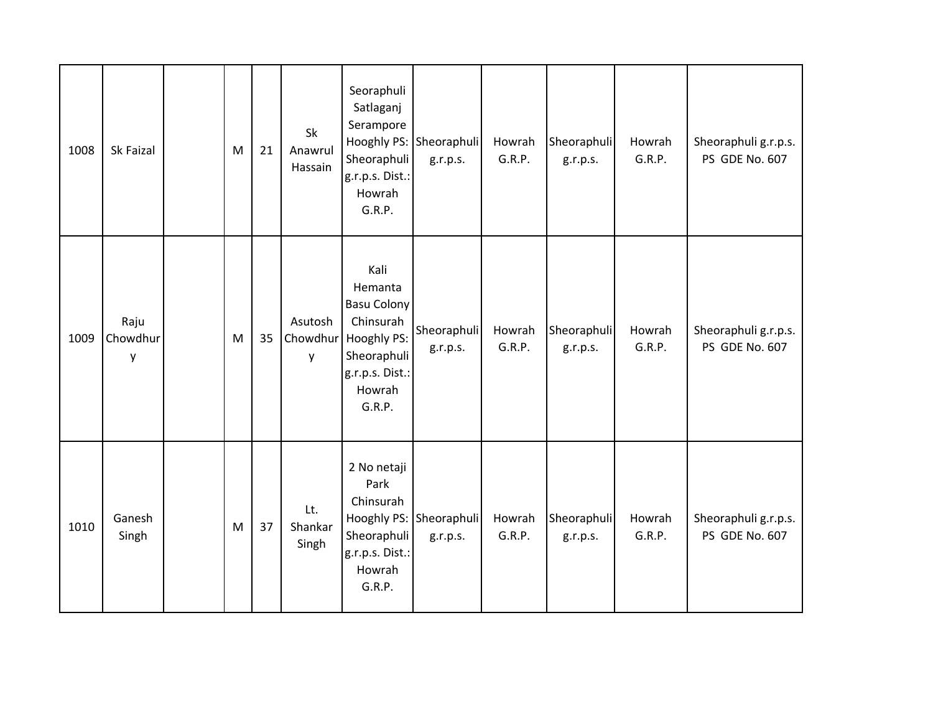| 1008 | Sk Faizal             | M         | 21 | Sk<br>Anawrul<br>Hassain | Seoraphuli<br>Satlaganj<br>Serampore<br>Sheoraphuli<br>g.r.p.s. Dist.:<br>Howrah<br>G.R.P.                                     | Hooghly PS: Sheoraphuli<br>g.r.p.s. | Howrah<br>G.R.P. | Sheoraphuli<br>g.r.p.s. | Howrah<br>G.R.P. | Sheoraphuli g.r.p.s.<br>PS GDE No. 607 |
|------|-----------------------|-----------|----|--------------------------|--------------------------------------------------------------------------------------------------------------------------------|-------------------------------------|------------------|-------------------------|------------------|----------------------------------------|
| 1009 | Raju<br>Chowdhur<br>у | ${\sf M}$ | 35 | Asutosh<br>Chowdhur<br>y | Kali<br>Hemanta<br><b>Basu Colony</b><br>Chinsurah<br><b>Hooghly PS:</b><br>Sheoraphuli<br>g.r.p.s. Dist.:<br>Howrah<br>G.R.P. | Sheoraphuli<br>g.r.p.s.             | Howrah<br>G.R.P. | Sheoraphuli<br>g.r.p.s. | Howrah<br>G.R.P. | Sheoraphuli g.r.p.s.<br>PS GDE No. 607 |
| 1010 | Ganesh<br>Singh       | ${\sf M}$ | 37 | Lt.<br>Shankar<br>Singh  | 2 No netaji<br>Park<br>Chinsurah<br>Sheoraphuli<br>g.r.p.s. Dist.:<br>Howrah<br>G.R.P.                                         | Hooghly PS: Sheoraphuli<br>g.r.p.s. | Howrah<br>G.R.P. | Sheoraphuli<br>g.r.p.s. | Howrah<br>G.R.P. | Sheoraphuli g.r.p.s.<br>PS GDE No. 607 |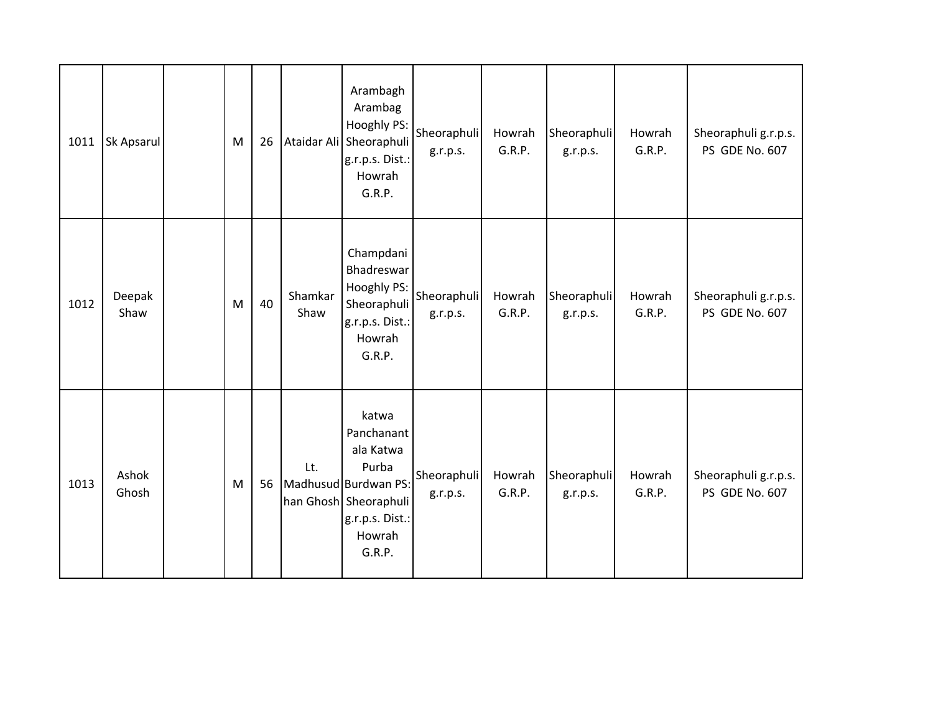| 1011 | Sk Apsarul     | ${\sf M}$ | 26 |                 | Arambagh<br>Arambag<br>Hooghly PS:<br>Ataidar Ali Sheoraphuli<br>g.r.p.s. Dist.:<br>Howrah<br>G.R.P.                              | Sheoraphuli<br>g.r.p.s. | Howrah<br>G.R.P. | Sheoraphuli<br>g.r.p.s. | Howrah<br>G.R.P. | Sheoraphuli g.r.p.s.<br>PS GDE No. 607 |
|------|----------------|-----------|----|-----------------|-----------------------------------------------------------------------------------------------------------------------------------|-------------------------|------------------|-------------------------|------------------|----------------------------------------|
| 1012 | Deepak<br>Shaw | ${\sf M}$ | 40 | Shamkar<br>Shaw | Champdani<br>Bhadreswar<br>Hooghly PS:<br>Sheoraphuli<br>g.r.p.s. Dist.:<br>Howrah<br>G.R.P.                                      | Sheoraphuli<br>g.r.p.s. | Howrah<br>G.R.P. | Sheoraphuli<br>g.r.p.s. | Howrah<br>G.R.P. | Sheoraphuli g.r.p.s.<br>PS GDE No. 607 |
| 1013 | Ashok<br>Ghosh | M         | 56 | Lt.             | katwa<br>Panchanant<br>ala Katwa<br>Purba<br>Madhusud Burdwan PS:<br>han Ghosh Sheoraphuli<br>g.r.p.s. Dist.:<br>Howrah<br>G.R.P. | Sheoraphuli<br>g.r.p.s. | Howrah<br>G.R.P. | Sheoraphuli<br>g.r.p.s. | Howrah<br>G.R.P. | Sheoraphuli g.r.p.s.<br>PS GDE No. 607 |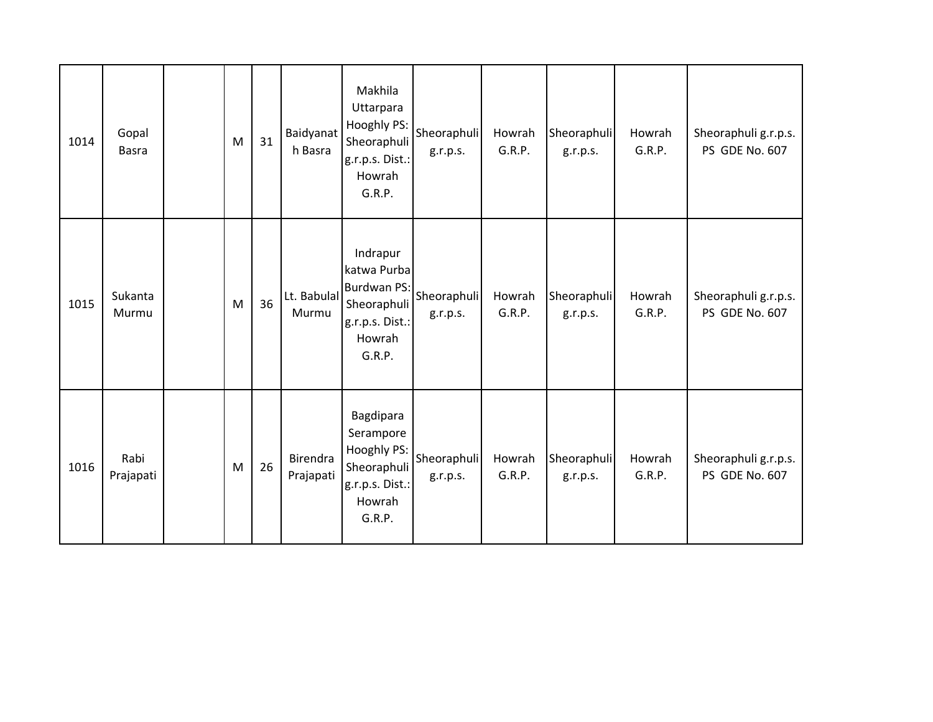| 1014 | Gopal<br><b>Basra</b> | M | 31 | Baidyanat<br>h Basra  | Makhila<br>Uttarpara<br>Hooghly PS:<br>Sheoraphuli<br>g.r.p.s. Dist.:<br>Howrah<br>G.R.P.           | Sheoraphuli<br>g.r.p.s. | Howrah<br>G.R.P. | Sheoraphuli<br>g.r.p.s. | Howrah<br>G.R.P. | Sheoraphuli g.r.p.s.<br>PS GDE No. 607 |
|------|-----------------------|---|----|-----------------------|-----------------------------------------------------------------------------------------------------|-------------------------|------------------|-------------------------|------------------|----------------------------------------|
| 1015 | Sukanta<br>Murmu      | M | 36 | Lt. Babulal<br>Murmu  | Indrapur<br>katwa Purba<br><b>Burdwan PS:</b><br>Sheoraphuli<br>g.r.p.s. Dist.:<br>Howrah<br>G.R.P. | Sheoraphuli<br>g.r.p.s. | Howrah<br>G.R.P. | Sheoraphuli<br>g.r.p.s. | Howrah<br>G.R.P. | Sheoraphuli g.r.p.s.<br>PS GDE No. 607 |
| 1016 | Rabi<br>Prajapati     | M | 26 | Birendra<br>Prajapati | Bagdipara<br>Serampore<br>Hooghly PS:<br>Sheoraphuli<br>g.r.p.s. Dist.:<br>Howrah<br>G.R.P.         | Sheoraphuli<br>g.r.p.s. | Howrah<br>G.R.P. | Sheoraphuli<br>g.r.p.s. | Howrah<br>G.R.P. | Sheoraphuli g.r.p.s.<br>PS GDE No. 607 |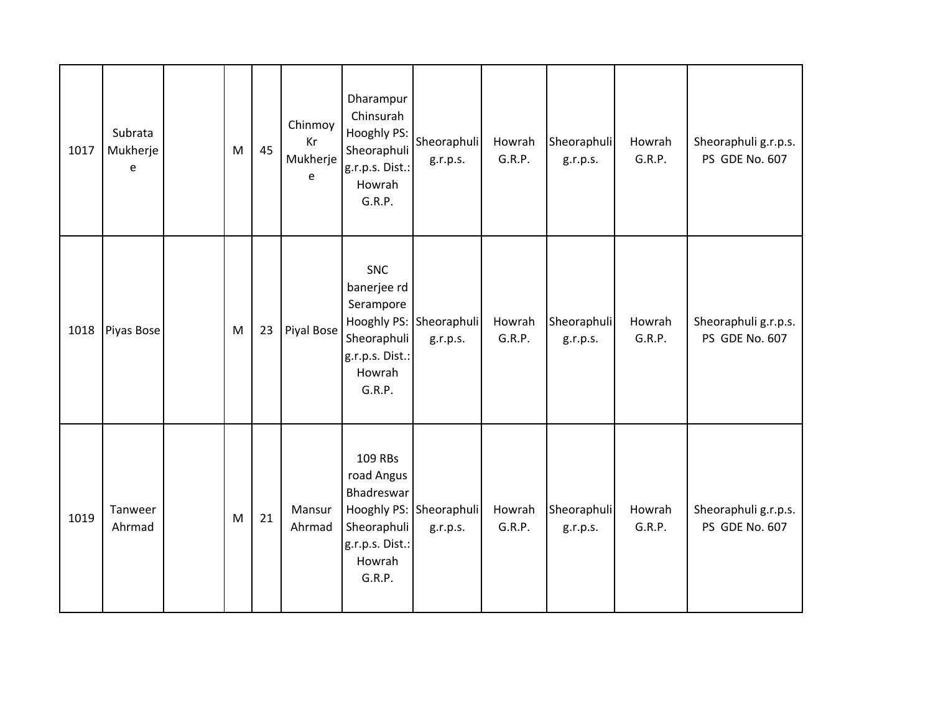| 1017 | Subrata<br>Mukherje<br>e | ${\sf M}$ | 45 | Chinmoy<br>Kr<br>Mukherje<br>e | Dharampur<br>Chinsurah<br>Hooghly PS:<br>Sheoraphuli<br>g.r.p.s. Dist.:<br>Howrah<br>G.R.P.  | Sheoraphuli<br>g.r.p.s.             | Howrah<br>G.R.P. | Sheoraphuli<br>g.r.p.s. | Howrah<br>G.R.P. | Sheoraphuli g.r.p.s.<br>PS GDE No. 607 |
|------|--------------------------|-----------|----|--------------------------------|----------------------------------------------------------------------------------------------|-------------------------------------|------------------|-------------------------|------------------|----------------------------------------|
| 1018 | Piyas Bose               | ${\sf M}$ | 23 | Piyal Bose                     | <b>SNC</b><br>banerjee rd<br>Serampore<br>Sheoraphuli<br>g.r.p.s. Dist.:<br>Howrah<br>G.R.P. | Hooghly PS: Sheoraphuli<br>g.r.p.s. | Howrah<br>G.R.P. | Sheoraphuli<br>g.r.p.s. | Howrah<br>G.R.P. | Sheoraphuli g.r.p.s.<br>PS GDE No. 607 |
| 1019 | Tanweer<br>Ahrmad        | M         | 21 | Mansur<br>Ahrmad               | 109 RBs<br>road Angus<br>Bhadreswar<br>Sheoraphuli<br>g.r.p.s. Dist.:<br>Howrah<br>G.R.P.    | Hooghly PS: Sheoraphuli<br>g.r.p.s. | Howrah<br>G.R.P. | Sheoraphuli<br>g.r.p.s. | Howrah<br>G.R.P. | Sheoraphuli g.r.p.s.<br>PS GDE No. 607 |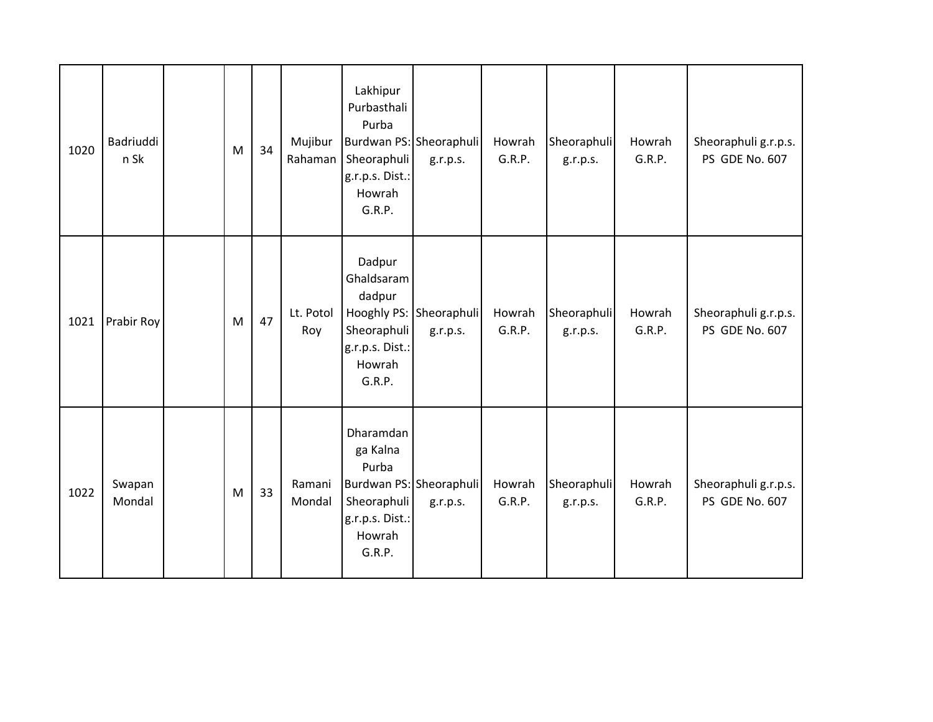| 1020 | Badriuddi<br>n Sk | M | 34 | Mujibur<br>Rahaman | Lakhipur<br>Purbasthali<br>Purba<br>Burdwan PS: Sheoraphuli<br>Sheoraphuli<br>g.r.p.s. Dist.:<br>Howrah<br>G.R.P. | g.r.p.s.                            | Howrah<br>G.R.P. | Sheoraphuli<br>g.r.p.s. | Howrah<br>G.R.P. | Sheoraphuli g.r.p.s.<br>PS GDE No. 607 |
|------|-------------------|---|----|--------------------|-------------------------------------------------------------------------------------------------------------------|-------------------------------------|------------------|-------------------------|------------------|----------------------------------------|
| 1021 | Prabir Roy        | M | 47 | Lt. Potol<br>Roy   | Dadpur<br>Ghaldsaram<br>dadpur<br>Sheoraphuli<br>g.r.p.s. Dist.:<br>Howrah<br>G.R.P.                              | Hooghly PS: Sheoraphuli<br>g.r.p.s. | Howrah<br>G.R.P. | Sheoraphuli<br>g.r.p.s. | Howrah<br>G.R.P. | Sheoraphuli g.r.p.s.<br>PS GDE No. 607 |
| 1022 | Swapan<br>Mondal  | M | 33 | Ramani<br>Mondal   | Dharamdan<br>ga Kalna<br>Purba<br>Sheoraphuli<br>g.r.p.s. Dist.:<br>Howrah<br>G.R.P.                              | Burdwan PS: Sheoraphuli<br>g.r.p.s. | Howrah<br>G.R.P. | Sheoraphuli<br>g.r.p.s. | Howrah<br>G.R.P. | Sheoraphuli g.r.p.s.<br>PS GDE No. 607 |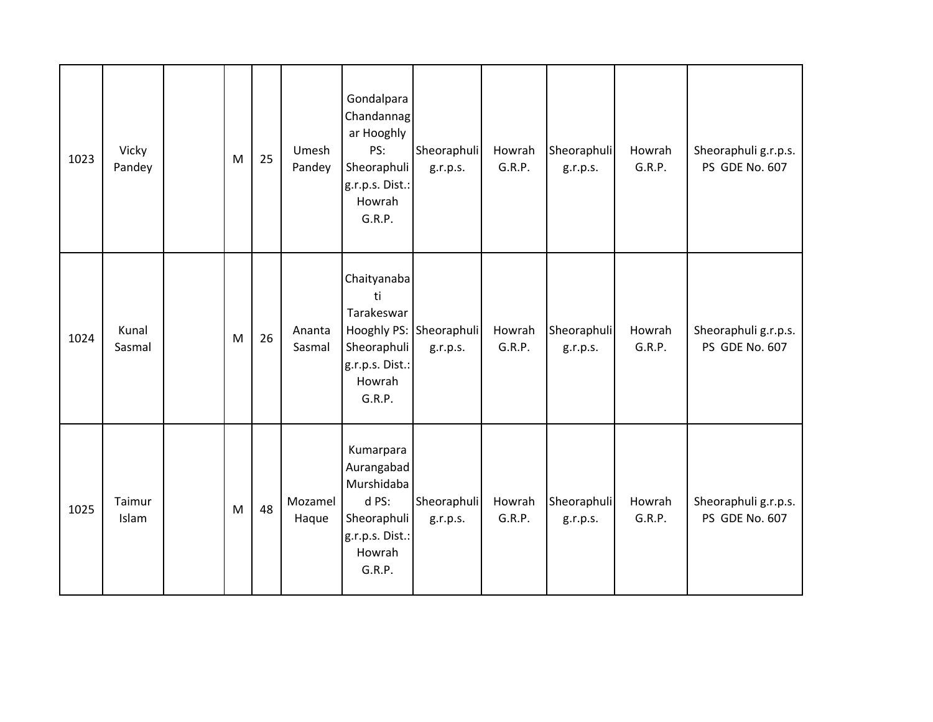| 1023 | Vicky<br>Pandey | ${\sf M}$ | 25 | Umesh<br>Pandey  | Gondalpara<br>Chandannag<br>ar Hooghly<br>PS:<br>Sheoraphuli<br>g.r.p.s. Dist.:<br>Howrah<br>G.R.P.  | Sheoraphuli<br>g.r.p.s.             | Howrah<br>G.R.P. | Sheoraphuli<br>g.r.p.s. | Howrah<br>G.R.P. | Sheoraphuli g.r.p.s.<br>PS GDE No. 607 |
|------|-----------------|-----------|----|------------------|------------------------------------------------------------------------------------------------------|-------------------------------------|------------------|-------------------------|------------------|----------------------------------------|
| 1024 | Kunal<br>Sasmal | M         | 26 | Ananta<br>Sasmal | Chaityanaba<br>ti<br>Tarakeswar<br>Sheoraphuli<br>g.r.p.s. Dist.:<br>Howrah<br>G.R.P.                | Hooghly PS: Sheoraphuli<br>g.r.p.s. | Howrah<br>G.R.P. | Sheoraphuli<br>g.r.p.s. | Howrah<br>G.R.P. | Sheoraphuli g.r.p.s.<br>PS GDE No. 607 |
| 1025 | Taimur<br>Islam | M         | 48 | Mozamel<br>Haque | Kumarpara<br>Aurangabad<br>Murshidaba<br>d PS:<br>Sheoraphuli<br>g.r.p.s. Dist.:<br>Howrah<br>G.R.P. | Sheoraphuli<br>g.r.p.s.             | Howrah<br>G.R.P. | Sheoraphuli<br>g.r.p.s. | Howrah<br>G.R.P. | Sheoraphuli g.r.p.s.<br>PS GDE No. 607 |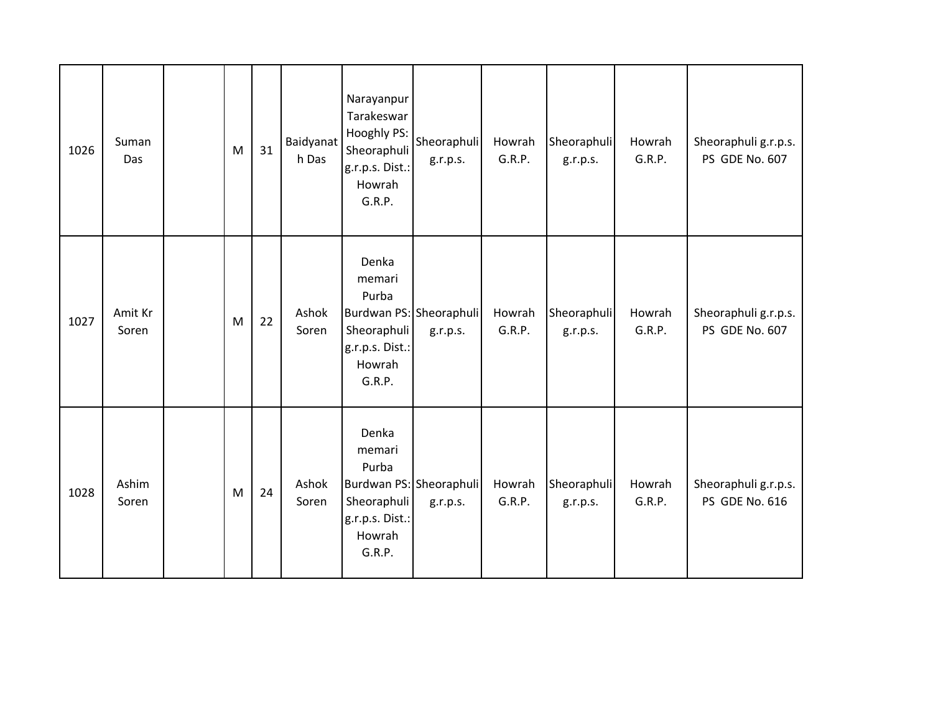| 1026 | Suman<br>Das     | M | 31 | Baidyanat<br>h Das | Narayanpur<br>Tarakeswar<br>Hooghly PS:<br>Sheoraphuli<br>g.r.p.s. Dist.:<br>Howrah<br>G.R.P.             | Sheoraphuli<br>g.r.p.s.             | Howrah<br>G.R.P. | Sheoraphuli<br>g.r.p.s. | Howrah<br>G.R.P. | Sheoraphuli g.r.p.s.<br>PS GDE No. 607 |
|------|------------------|---|----|--------------------|-----------------------------------------------------------------------------------------------------------|-------------------------------------|------------------|-------------------------|------------------|----------------------------------------|
| 1027 | Amit Kr<br>Soren | M | 22 | Ashok<br>Soren     | Denka<br>memari<br>Purba<br>Burdwan PS: Sheoraphuli<br>Sheoraphuli<br>g.r.p.s. Dist.:<br>Howrah<br>G.R.P. | g.r.p.s.                            | Howrah<br>G.R.P. | Sheoraphuli<br>g.r.p.s. | Howrah<br>G.R.P. | Sheoraphuli g.r.p.s.<br>PS GDE No. 607 |
| 1028 | Ashim<br>Soren   | M | 24 | Ashok<br>Soren     | Denka<br>memari<br>Purba<br>Sheoraphuli<br>g.r.p.s. Dist.:<br>Howrah<br>G.R.P.                            | Burdwan PS: Sheoraphuli<br>g.r.p.s. | Howrah<br>G.R.P. | Sheoraphuli<br>g.r.p.s. | Howrah<br>G.R.P. | Sheoraphuli g.r.p.s.<br>PS GDE No. 616 |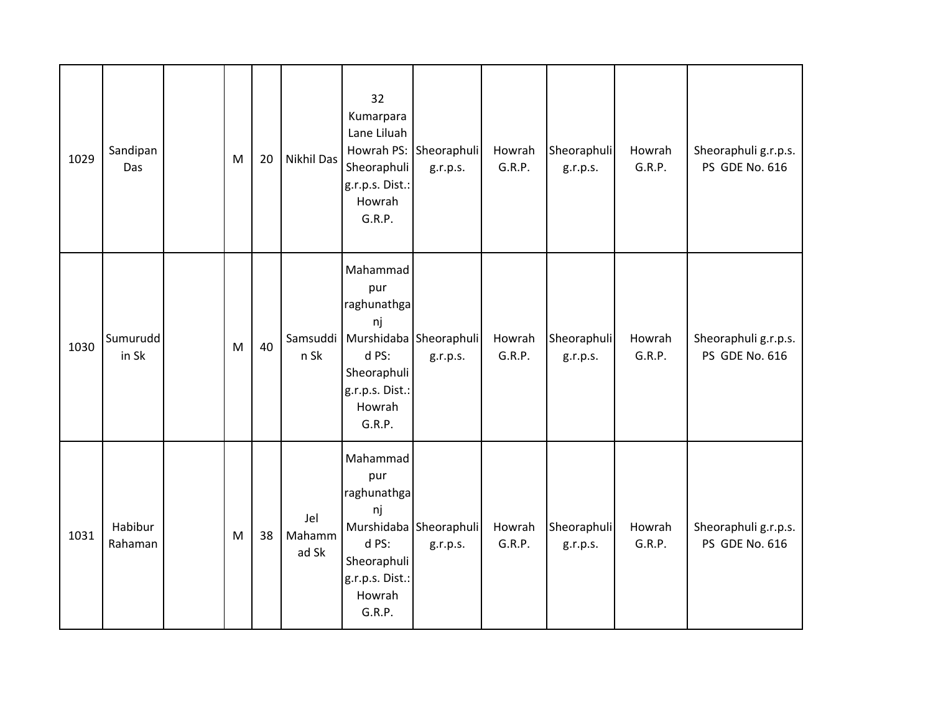| 1029 | Sandipan<br>Das    | M | 20 | <b>Nikhil Das</b>      | 32<br>Kumarpara<br>Lane Liluah<br>Sheoraphuli<br>g.r.p.s. Dist.:<br>Howrah<br>G.R.P.                | Howrah PS: Sheoraphuli<br>g.r.p.s.                | Howrah<br>G.R.P. | Sheoraphuli<br>g.r.p.s. | Howrah<br>G.R.P. | Sheoraphuli g.r.p.s.<br>PS GDE No. 616        |
|------|--------------------|---|----|------------------------|-----------------------------------------------------------------------------------------------------|---------------------------------------------------|------------------|-------------------------|------------------|-----------------------------------------------|
| 1030 | Sumurudd<br>in Sk  | M | 40 | n Sk                   | Mahammad<br>pur<br>raghunathga<br>nj<br>d PS:<br>Sheoraphuli<br>g.r.p.s. Dist.:<br>Howrah<br>G.R.P. | Samsuddi   Murshidaba   Sheoraphuli  <br>g.r.p.s. | Howrah<br>G.R.P. | Sheoraphuli<br>g.r.p.s. | Howrah<br>G.R.P. | Sheoraphuli g.r.p.s.<br><b>PS GDE No. 616</b> |
| 1031 | Habibur<br>Rahaman | M | 38 | Jel<br>Mahamm<br>ad Sk | Mahammad<br>pur<br>raghunathga<br>nj<br>d PS:<br>Sheoraphuli<br>g.r.p.s. Dist.:<br>Howrah<br>G.R.P. | Murshidaba Sheoraphuli<br>g.r.p.s.                | Howrah<br>G.R.P. | Sheoraphuli<br>g.r.p.s. | Howrah<br>G.R.P. | Sheoraphuli g.r.p.s.<br>PS GDE No. 616        |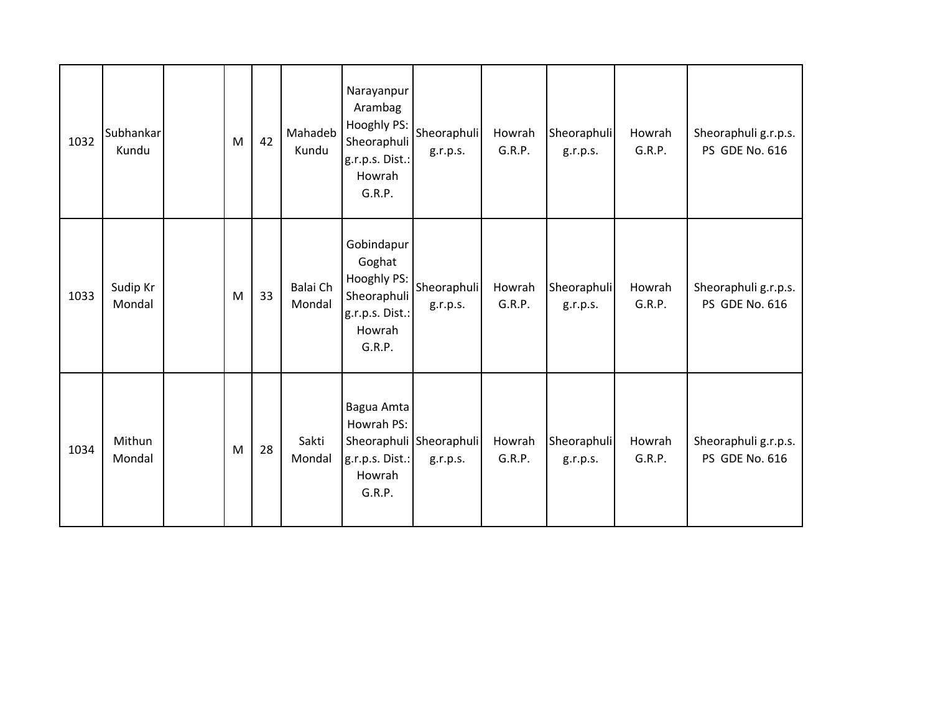| 1032 | Subhankar<br>Kundu | M | 42 | Mahadeb<br>Kundu   | Narayanpur<br>Arambag<br>Hooghly PS:<br>Sheoraphuli<br>g.r.p.s. Dist.:<br>Howrah<br>G.R.P. | Sheoraphuli<br>g.r.p.s.             | Howrah<br>G.R.P. | Sheoraphuli<br>g.r.p.s. | Howrah<br>G.R.P. | Sheoraphuli g.r.p.s.<br>PS GDE No. 616        |
|------|--------------------|---|----|--------------------|--------------------------------------------------------------------------------------------|-------------------------------------|------------------|-------------------------|------------------|-----------------------------------------------|
| 1033 | Sudip Kr<br>Mondal | M | 33 | Balai Ch<br>Mondal | Gobindapur<br>Goghat<br>Hooghly PS:<br>Sheoraphuli<br>g.r.p.s. Dist.:<br>Howrah<br>G.R.P.  | Sheoraphuli<br>g.r.p.s.             | Howrah<br>G.R.P. | Sheoraphuli<br>g.r.p.s. | Howrah<br>G.R.P. | Sheoraphuli g.r.p.s.<br><b>PS GDE No. 616</b> |
| 1034 | Mithun<br>Mondal   | M | 28 | Sakti<br>Mondal    | Bagua Amta<br>Howrah PS:<br>g.r.p.s. Dist.:<br>Howrah<br>G.R.P.                            | Sheoraphuli Sheoraphuli<br>g.r.p.s. | Howrah<br>G.R.P. | Sheoraphuli<br>g.r.p.s. | Howrah<br>G.R.P. | Sheoraphuli g.r.p.s.<br>PS GDE No. 616        |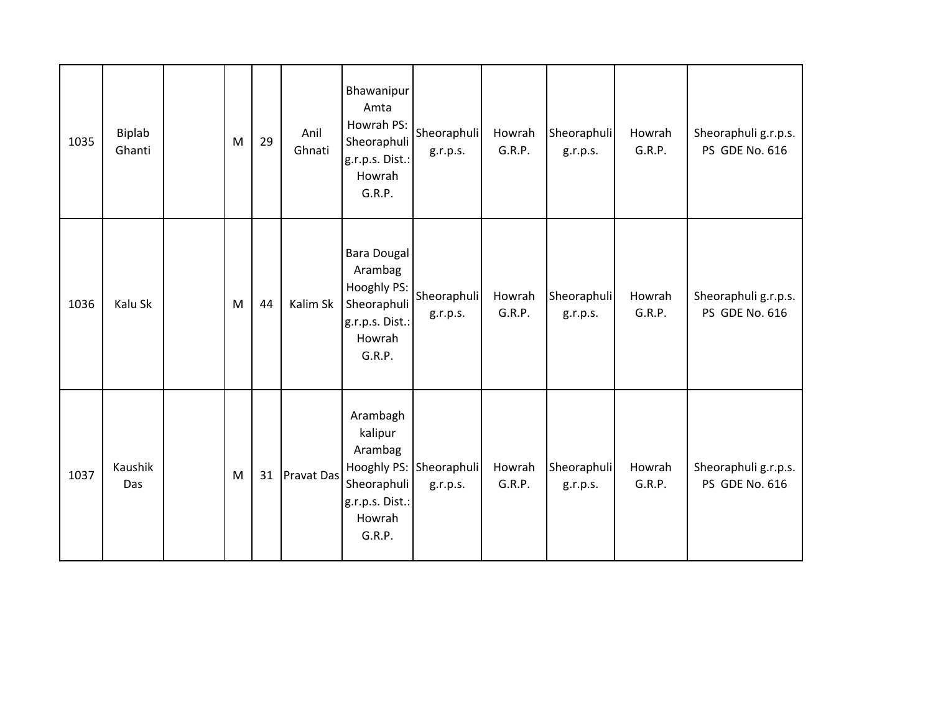| 1035 | Biplab<br>Ghanti | M | 29 | Anil<br>Ghnati    | Bhawanipur<br>Amta<br>Howrah PS:<br>Sheoraphuli<br>g.r.p.s. Dist.:<br>Howrah<br>G.R.P.      | Sheoraphuli<br>g.r.p.s.             | Howrah<br>G.R.P. | Sheoraphuli<br>g.r.p.s. | Howrah<br>G.R.P. | Sheoraphuli g.r.p.s.<br>PS GDE No. 616        |
|------|------------------|---|----|-------------------|---------------------------------------------------------------------------------------------|-------------------------------------|------------------|-------------------------|------------------|-----------------------------------------------|
| 1036 | Kalu Sk          | M | 44 | Kalim Sk          | Bara Dougal<br>Arambag<br>Hooghly PS:<br>Sheoraphuli<br>g.r.p.s. Dist.:<br>Howrah<br>G.R.P. | Sheoraphuli<br>g.r.p.s.             | Howrah<br>G.R.P. | Sheoraphuli<br>g.r.p.s. | Howrah<br>G.R.P. | Sheoraphuli g.r.p.s.<br>PS GDE No. 616        |
| 1037 | Kaushik<br>Das   | M | 31 | <b>Pravat Das</b> | Arambagh<br>kalipur<br>Arambag<br>Sheoraphuli<br>g.r.p.s. Dist.:<br>Howrah<br>G.R.P.        | Hooghly PS: Sheoraphuli<br>g.r.p.s. | Howrah<br>G.R.P. | Sheoraphuli<br>g.r.p.s. | Howrah<br>G.R.P. | Sheoraphuli g.r.p.s.<br><b>PS GDE No. 616</b> |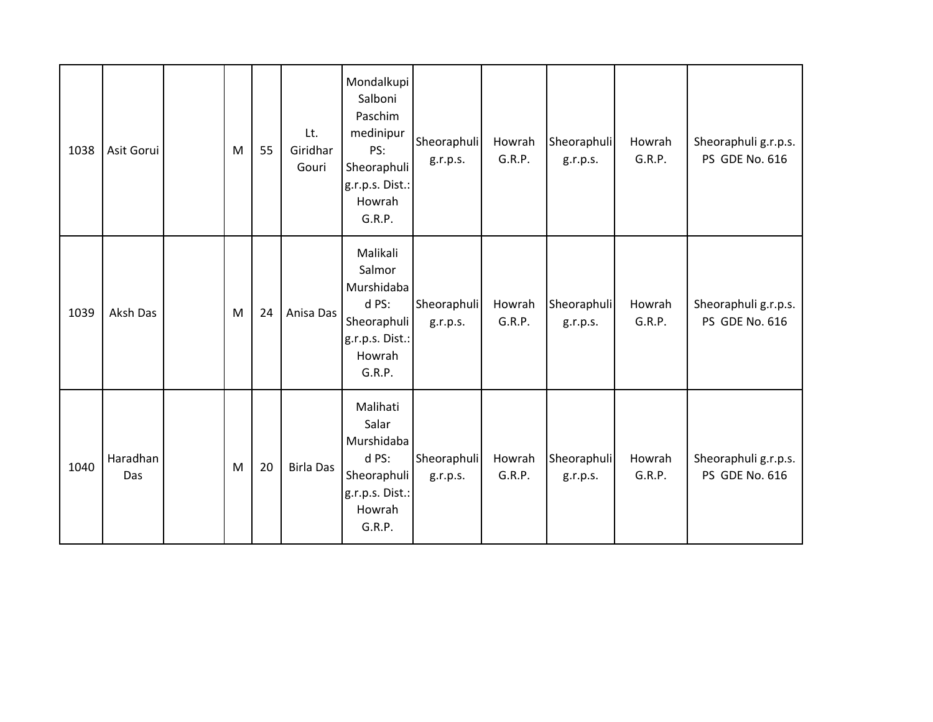| 1038 | Asit Gorui      | M | 55 | Lt.<br>Giridhar<br>Gouri | Mondalkupi<br>Salboni<br>Paschim<br>medinipur<br>PS:<br>Sheoraphuli<br>g.r.p.s. Dist.:<br>Howrah<br>G.R.P. | Sheoraphuli<br>g.r.p.s. | Howrah<br>G.R.P. | Sheoraphuli<br>g.r.p.s. | Howrah<br>G.R.P. | Sheoraphuli g.r.p.s.<br>PS GDE No. 616 |
|------|-----------------|---|----|--------------------------|------------------------------------------------------------------------------------------------------------|-------------------------|------------------|-------------------------|------------------|----------------------------------------|
| 1039 | Aksh Das        | M | 24 | Anisa Das                | Malikali<br>Salmor<br>Murshidaba<br>d PS:<br>Sheoraphuli<br>g.r.p.s. Dist.:<br>Howrah<br>G.R.P.            | Sheoraphuli<br>g.r.p.s. | Howrah<br>G.R.P. | Sheoraphuli<br>g.r.p.s. | Howrah<br>G.R.P. | Sheoraphuli g.r.p.s.<br>PS GDE No. 616 |
| 1040 | Haradhan<br>Das | M | 20 | <b>Birla Das</b>         | Malihati<br>Salar<br>Murshidaba<br>d PS:<br>Sheoraphuli<br>g.r.p.s. Dist.:<br>Howrah<br>G.R.P.             | Sheoraphuli<br>g.r.p.s. | Howrah<br>G.R.P. | Sheoraphuli<br>g.r.p.s. | Howrah<br>G.R.P. | Sheoraphuli g.r.p.s.<br>PS GDE No. 616 |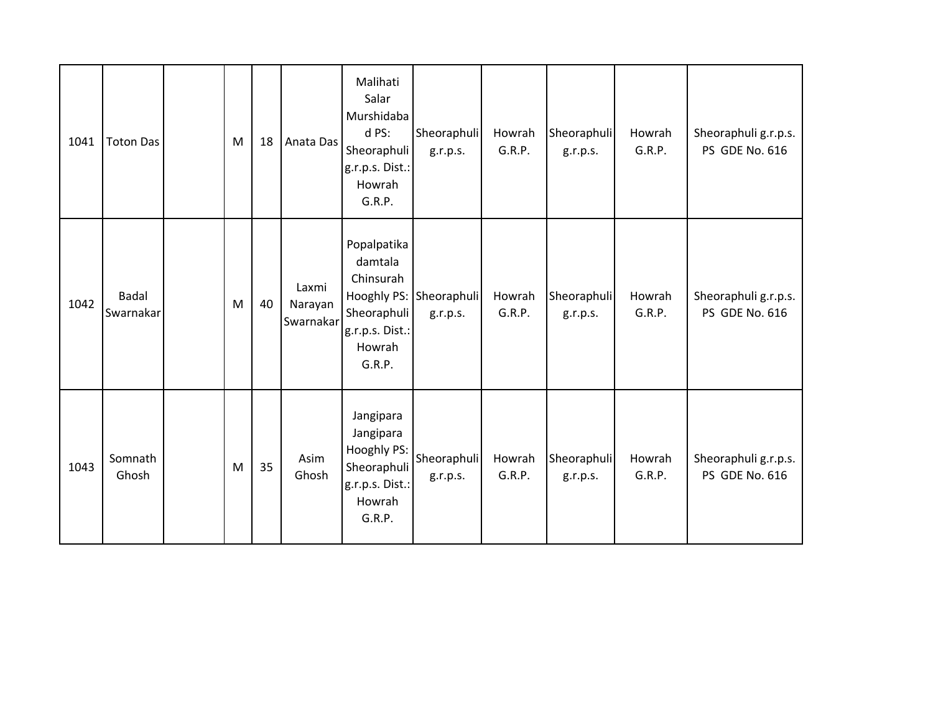| 1041 | <b>Toton Das</b>          | M | 18 | Anata Das                     | Malihati<br>Salar<br>Murshidaba<br>d PS:<br>Sheoraphuli<br>g.r.p.s. Dist.:<br>Howrah<br>G.R.P. | Sheoraphuli<br>g.r.p.s.             | Howrah<br>G.R.P. | Sheoraphuli<br>g.r.p.s. | Howrah<br>G.R.P. | Sheoraphuli g.r.p.s.<br>PS GDE No. 616 |
|------|---------------------------|---|----|-------------------------------|------------------------------------------------------------------------------------------------|-------------------------------------|------------------|-------------------------|------------------|----------------------------------------|
| 1042 | <b>Badal</b><br>Swarnakar | M | 40 | Laxmi<br>Narayan<br>Swarnakar | Popalpatika<br>damtala<br>Chinsurah<br>Sheoraphuli<br>g.r.p.s. Dist.:<br>Howrah<br>G.R.P.      | Hooghly PS: Sheoraphuli<br>g.r.p.s. | Howrah<br>G.R.P. | Sheoraphuli<br>g.r.p.s. | Howrah<br>G.R.P. | Sheoraphuli g.r.p.s.<br>PS GDE No. 616 |
| 1043 | Somnath<br>Ghosh          | M | 35 | Asim<br>Ghosh                 | Jangipara<br>Jangipara<br>Hooghly PS:<br>Sheoraphuli<br>g.r.p.s. Dist.:<br>Howrah<br>G.R.P.    | Sheoraphuli<br>g.r.p.s.             | Howrah<br>G.R.P. | Sheoraphuli<br>g.r.p.s. | Howrah<br>G.R.P. | Sheoraphuli g.r.p.s.<br>PS GDE No. 616 |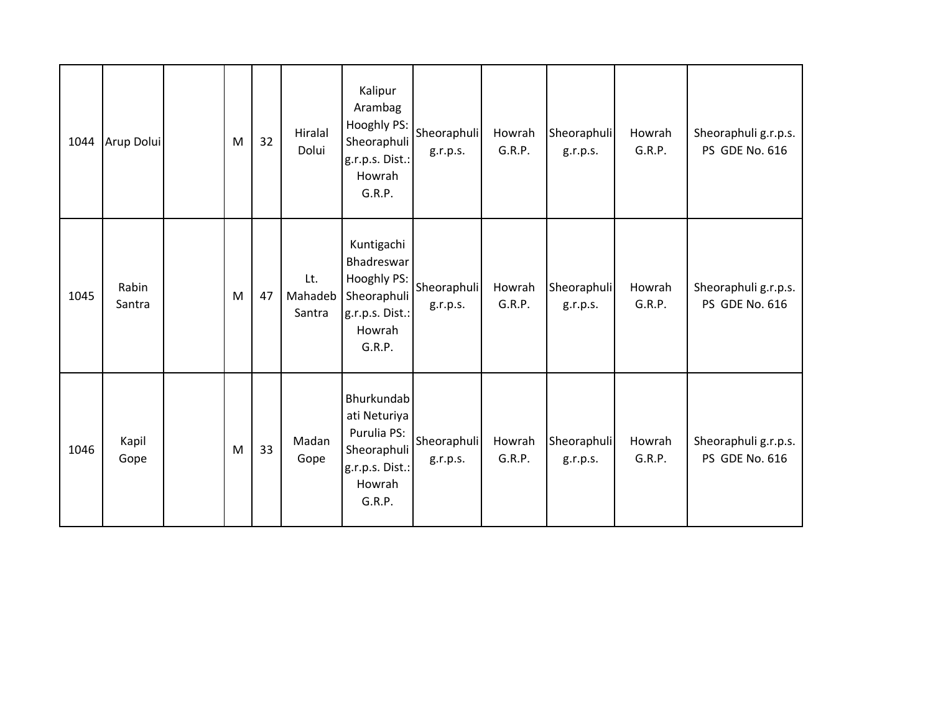| 1044 | Arup Dolui      | ${\sf M}$ | 32 | Hiralal<br>Dolui         | Kalipur<br>Arambag<br>Hooghly PS:<br>Sheoraphuli<br>g.r.p.s. Dist.:<br>Howrah<br>G.R.P.                | Sheoraphuli<br>g.r.p.s. | Howrah<br>G.R.P. | Sheoraphuli<br>g.r.p.s. | Howrah<br>G.R.P. | Sheoraphuli g.r.p.s.<br>PS GDE No. 616 |
|------|-----------------|-----------|----|--------------------------|--------------------------------------------------------------------------------------------------------|-------------------------|------------------|-------------------------|------------------|----------------------------------------|
| 1045 | Rabin<br>Santra | M         | 47 | Lt.<br>Mahadeb<br>Santra | Kuntigachi<br>Bhadreswar<br>Hooghly PS:<br>Sheoraphuli<br>g.r.p.s. Dist.:<br>Howrah<br>G.R.P.          | Sheoraphuli<br>g.r.p.s. | Howrah<br>G.R.P. | Sheoraphuli<br>g.r.p.s. | Howrah<br>G.R.P. | Sheoraphuli g.r.p.s.<br>PS GDE No. 616 |
| 1046 | Kapil<br>Gope   | M         | 33 | Madan<br>Gope            | <b>Bhurkundab</b><br>ati Neturiya<br>Purulia PS:<br>Sheoraphuli<br>g.r.p.s. Dist.:<br>Howrah<br>G.R.P. | Sheoraphuli<br>g.r.p.s. | Howrah<br>G.R.P. | Sheoraphuli<br>g.r.p.s. | Howrah<br>G.R.P. | Sheoraphuli g.r.p.s.<br>PS GDE No. 616 |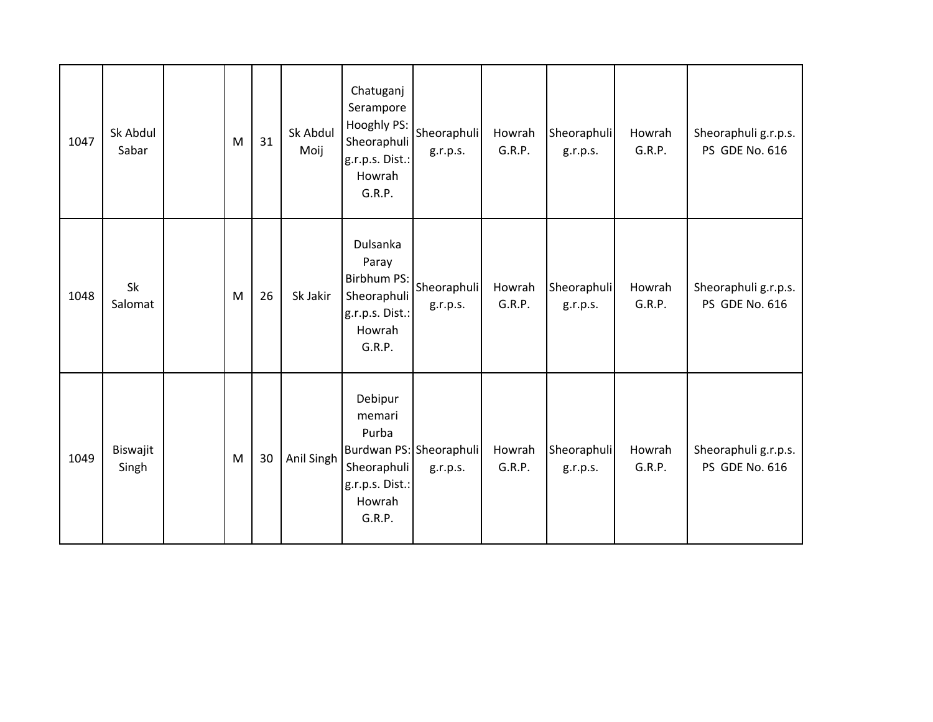| 1047 | Sk Abdul<br>Sabar | M | 31 | Sk Abdul<br>Moij | Chatuganj<br>Serampore<br>Hooghly PS:<br>Sheoraphuli<br>g.r.p.s. Dist.:<br>Howrah<br>G.R.P.   | Sheoraphuli<br>g.r.p.s.             | Howrah<br>G.R.P. | Sheoraphuli<br>g.r.p.s. | Howrah<br>G.R.P. | Sheoraphuli g.r.p.s.<br>PS GDE No. 616        |
|------|-------------------|---|----|------------------|-----------------------------------------------------------------------------------------------|-------------------------------------|------------------|-------------------------|------------------|-----------------------------------------------|
| 1048 | Sk<br>Salomat     | M | 26 | Sk Jakir         | Dulsanka<br>Paray<br><b>Birbhum PS:</b><br>Sheoraphuli<br>g.r.p.s. Dist.:<br>Howrah<br>G.R.P. | Sheoraphuli<br>g.r.p.s.             | Howrah<br>G.R.P. | Sheoraphuli<br>g.r.p.s. | Howrah<br>G.R.P. | Sheoraphuli g.r.p.s.<br><b>PS GDE No. 616</b> |
| 1049 | Biswajit<br>Singh | M | 30 | Anil Singh       | Debipur<br>memari<br>Purba<br>Sheoraphuli<br>g.r.p.s. Dist.:<br>Howrah<br>G.R.P.              | Burdwan PS: Sheoraphuli<br>g.r.p.s. | Howrah<br>G.R.P. | Sheoraphuli<br>g.r.p.s. | Howrah<br>G.R.P. | Sheoraphuli g.r.p.s.<br>PS GDE No. 616        |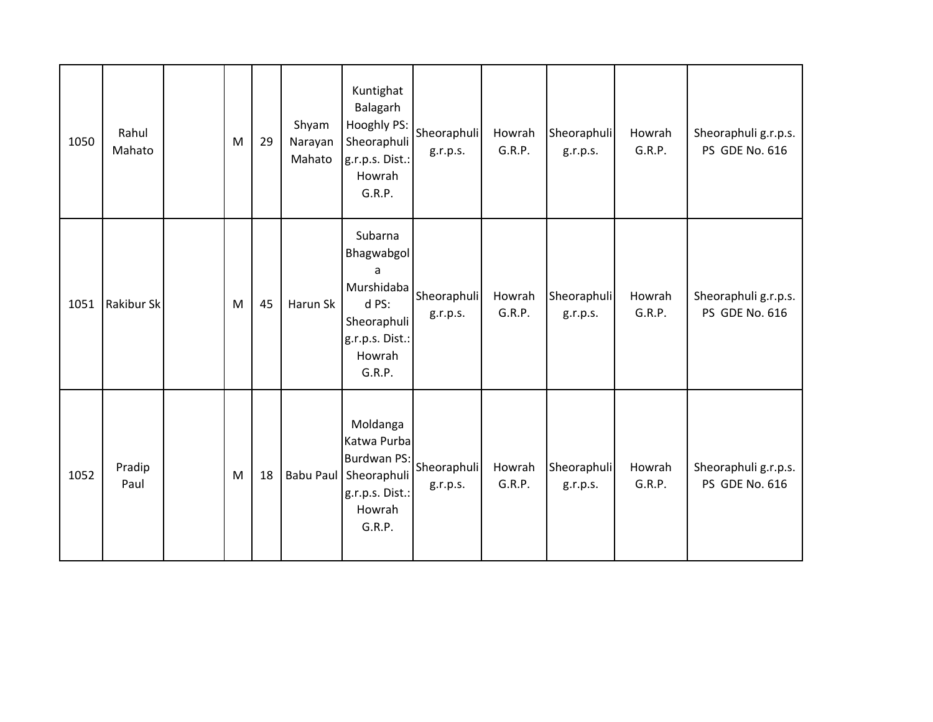| 1050 | Rahul<br>Mahato   | M | 29 | Shyam<br>Narayan<br>Mahato | Kuntighat<br>Balagarh<br>Hooghly PS:<br>Sheoraphuli<br>g.r.p.s. Dist.:<br>Howrah<br>G.R.P.              | Sheoraphuli<br>g.r.p.s. | Howrah<br>G.R.P. | Sheoraphuli<br>g.r.p.s. | Howrah<br>G.R.P. | Sheoraphuli g.r.p.s.<br>PS GDE No. 616        |
|------|-------------------|---|----|----------------------------|---------------------------------------------------------------------------------------------------------|-------------------------|------------------|-------------------------|------------------|-----------------------------------------------|
| 1051 | <b>Rakibur Sk</b> | M | 45 | Harun Sk                   | Subarna<br>Bhagwabgol<br>a<br>Murshidaba<br>d PS:<br>Sheoraphuli<br>g.r.p.s. Dist.:<br>Howrah<br>G.R.P. | Sheoraphuli<br>g.r.p.s. | Howrah<br>G.R.P. | Sheoraphuli<br>g.r.p.s. | Howrah<br>G.R.P. | Sheoraphuli g.r.p.s.<br><b>PS GDE No. 616</b> |
| 1052 | Pradip<br>Paul    | M | 18 |                            | Moldanga<br>Katwa Purba<br>Burdwan PS:<br>Babu Paul Sheoraphuli<br>g.r.p.s. Dist.:<br>Howrah<br>G.R.P.  | Sheoraphuli<br>g.r.p.s. | Howrah<br>G.R.P. | Sheoraphuli<br>g.r.p.s. | Howrah<br>G.R.P. | Sheoraphuli g.r.p.s.<br>PS GDE No. 616        |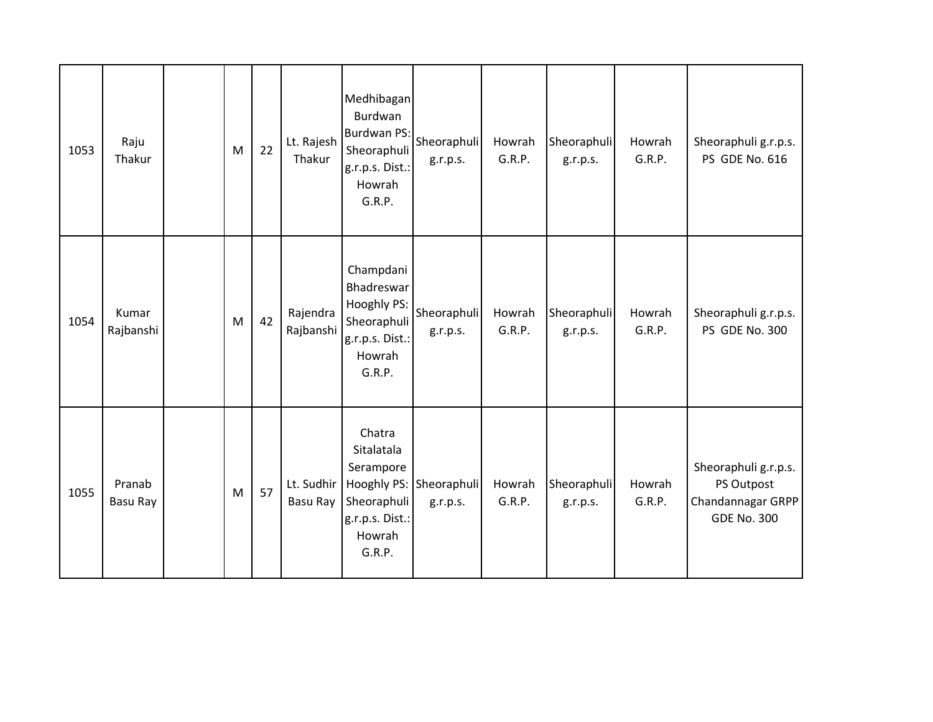| 1053 | Raju<br>Thakur     | M | 22 | Lt. Rajesh<br>Thakur   | Medhibagan<br>Burdwan<br>Burdwan PS:<br>Sheoraphuli<br>g.r.p.s. Dist.:<br>Howrah<br>G.R.P.   | Sheoraphuli<br>g.r.p.s.             | Howrah<br>G.R.P. | Sheoraphuli<br>g.r.p.s. | Howrah<br>G.R.P. | Sheoraphuli g.r.p.s.<br>PS GDE No. 616                                        |
|------|--------------------|---|----|------------------------|----------------------------------------------------------------------------------------------|-------------------------------------|------------------|-------------------------|------------------|-------------------------------------------------------------------------------|
| 1054 | Kumar<br>Rajbanshi | M | 42 | Rajendra<br>Rajbanshi  | Champdani<br>Bhadreswar<br>Hooghly PS:<br>Sheoraphuli<br>g.r.p.s. Dist.:<br>Howrah<br>G.R.P. | Sheoraphuli<br>g.r.p.s.             | Howrah<br>G.R.P. | Sheoraphuli<br>g.r.p.s. | Howrah<br>G.R.P. | Sheoraphuli g.r.p.s.<br>PS GDE No. 300                                        |
| 1055 | Pranab<br>Basu Ray | M | 57 | Lt. Sudhir<br>Basu Ray | Chatra<br>Sitalatala<br>Serampore<br>Sheoraphuli<br>g.r.p.s. Dist.:<br>Howrah<br>G.R.P.      | Hooghly PS: Sheoraphuli<br>g.r.p.s. | Howrah<br>G.R.P. | Sheoraphuli<br>g.r.p.s. | Howrah<br>G.R.P. | Sheoraphuli g.r.p.s.<br>PS Outpost<br>Chandannagar GRPP<br><b>GDE No. 300</b> |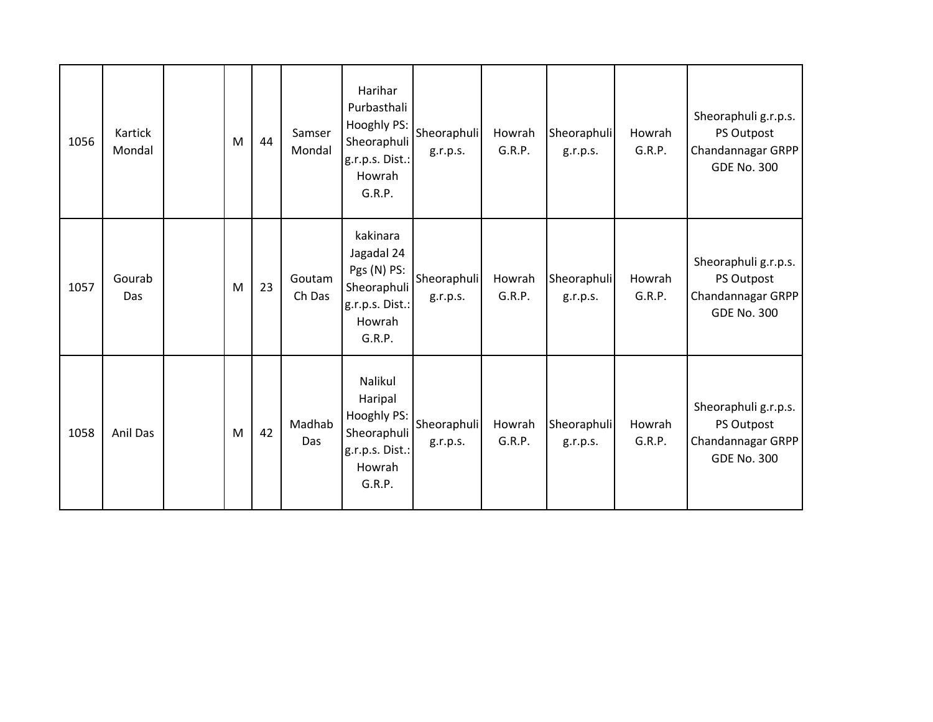| 1056 | Kartick<br>Mondal | M | 44 | Samser<br>Mondal | Harihar<br>Purbasthali<br>Hooghly PS:<br>Sheoraphuli<br>g.r.p.s. Dist.:<br>Howrah<br>G.R.P. | Sheoraphuli<br>g.r.p.s. | Howrah<br>G.R.P. | Sheoraphuli<br>g.r.p.s. | Howrah<br>G.R.P. | Sheoraphuli g.r.p.s.<br>PS Outpost<br>Chandannagar GRPP<br><b>GDE No. 300</b> |
|------|-------------------|---|----|------------------|---------------------------------------------------------------------------------------------|-------------------------|------------------|-------------------------|------------------|-------------------------------------------------------------------------------|
| 1057 | Gourab<br>Das     | M | 23 | Goutam<br>Ch Das | kakinara<br>Jagadal 24<br>Pgs (N) PS:<br>Sheoraphuli<br>g.r.p.s. Dist.:<br>Howrah<br>G.R.P. | Sheoraphuli<br>g.r.p.s. | Howrah<br>G.R.P. | Sheoraphuli<br>g.r.p.s. | Howrah<br>G.R.P. | Sheoraphuli g.r.p.s.<br>PS Outpost<br>Chandannagar GRPP<br><b>GDE No. 300</b> |
| 1058 | Anil Das          | M | 42 | Madhab<br>Das    | Nalikul<br>Haripal<br>Hooghly PS:<br>Sheoraphuli<br>g.r.p.s. Dist.:<br>Howrah<br>G.R.P.     | Sheoraphuli<br>g.r.p.s. | Howrah<br>G.R.P. | Sheoraphuli<br>g.r.p.s. | Howrah<br>G.R.P. | Sheoraphuli g.r.p.s.<br>PS Outpost<br>Chandannagar GRPP<br><b>GDE No. 300</b> |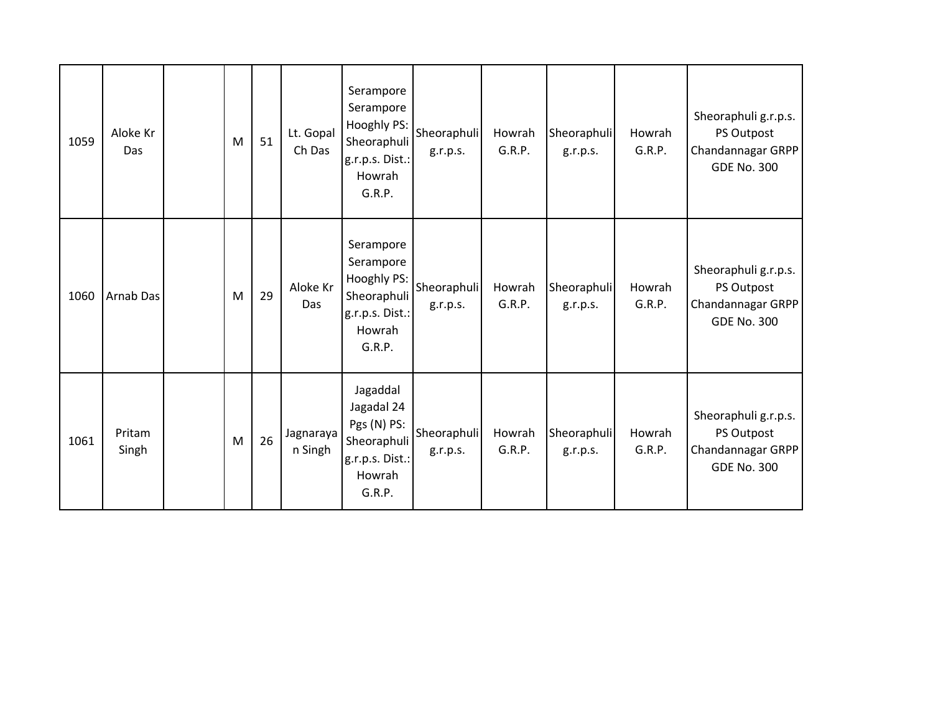| 1059 | Aloke Kr<br>Das | M | 51 | Lt. Gopal<br>Ch Das  | Serampore<br>Serampore<br>Hooghly PS:<br>Sheoraphuli<br>g.r.p.s. Dist.:<br>Howrah<br>G.R.P. | Sheoraphuli<br>g.r.p.s. | Howrah<br>G.R.P. | Sheoraphuli<br>g.r.p.s. | Howrah<br>G.R.P. | Sheoraphuli g.r.p.s.<br>PS Outpost<br>Chandannagar GRPP<br><b>GDE No. 300</b> |
|------|-----------------|---|----|----------------------|---------------------------------------------------------------------------------------------|-------------------------|------------------|-------------------------|------------------|-------------------------------------------------------------------------------|
| 1060 | Arnab Das       | M | 29 | Aloke Kr<br>Das      | Serampore<br>Serampore<br>Hooghly PS:<br>Sheoraphuli<br>g.r.p.s. Dist.:<br>Howrah<br>G.R.P. | Sheoraphuli<br>g.r.p.s. | Howrah<br>G.R.P. | Sheoraphuli<br>g.r.p.s. | Howrah<br>G.R.P. | Sheoraphuli g.r.p.s.<br>PS Outpost<br>Chandannagar GRPP<br><b>GDE No. 300</b> |
| 1061 | Pritam<br>Singh | M | 26 | Jagnaraya<br>n Singh | Jagaddal<br>Jagadal 24<br>Pgs (N) PS:<br>Sheoraphuli<br>g.r.p.s. Dist.:<br>Howrah<br>G.R.P. | Sheoraphuli<br>g.r.p.s. | Howrah<br>G.R.P. | Sheoraphuli<br>g.r.p.s. | Howrah<br>G.R.P. | Sheoraphuli g.r.p.s.<br>PS Outpost<br>Chandannagar GRPP<br><b>GDE No. 300</b> |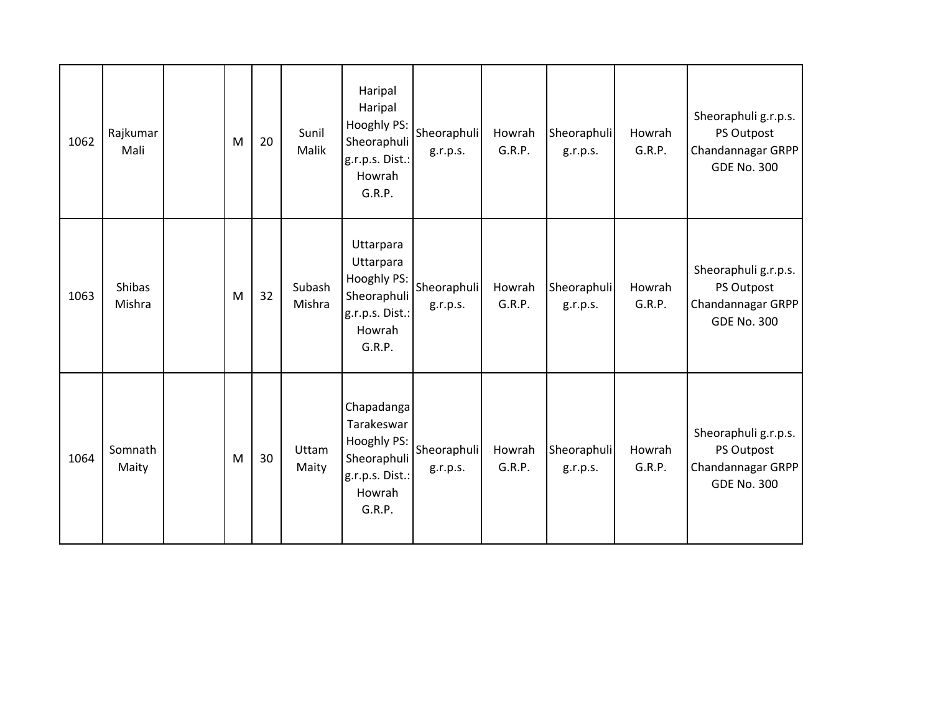| 1062 | Rajkumar<br>Mali | M | 20 | Sunil<br>Malik   | Haripal<br>Haripal<br>Hooghly PS:<br>Sheoraphuli<br>g.r.p.s. Dist.:<br>Howrah<br>G.R.P.       | Sheoraphuli<br>g.r.p.s. | Howrah<br>G.R.P. | Sheoraphuli<br>g.r.p.s. | Howrah<br>G.R.P. | Sheoraphuli g.r.p.s.<br>PS Outpost<br>Chandannagar GRPP<br><b>GDE No. 300</b> |
|------|------------------|---|----|------------------|-----------------------------------------------------------------------------------------------|-------------------------|------------------|-------------------------|------------------|-------------------------------------------------------------------------------|
| 1063 | Shibas<br>Mishra | M | 32 | Subash<br>Mishra | Uttarpara<br>Uttarpara<br>Hooghly PS:<br>Sheoraphuli<br>g.r.p.s. Dist.:<br>Howrah<br>G.R.P.   | Sheoraphuli<br>g.r.p.s. | Howrah<br>G.R.P. | Sheoraphuli<br>g.r.p.s. | Howrah<br>G.R.P. | Sheoraphuli g.r.p.s.<br>PS Outpost<br>Chandannagar GRPP<br><b>GDE No. 300</b> |
| 1064 | Somnath<br>Maity | M | 30 | Uttam<br>Maity   | Chapadanga<br>Tarakeswar<br>Hooghly PS:<br>Sheoraphuli<br>g.r.p.s. Dist.:<br>Howrah<br>G.R.P. | Sheoraphuli<br>g.r.p.s. | Howrah<br>G.R.P. | Sheoraphuli<br>g.r.p.s. | Howrah<br>G.R.P. | Sheoraphuli g.r.p.s.<br>PS Outpost<br>Chandannagar GRPP<br><b>GDE No. 300</b> |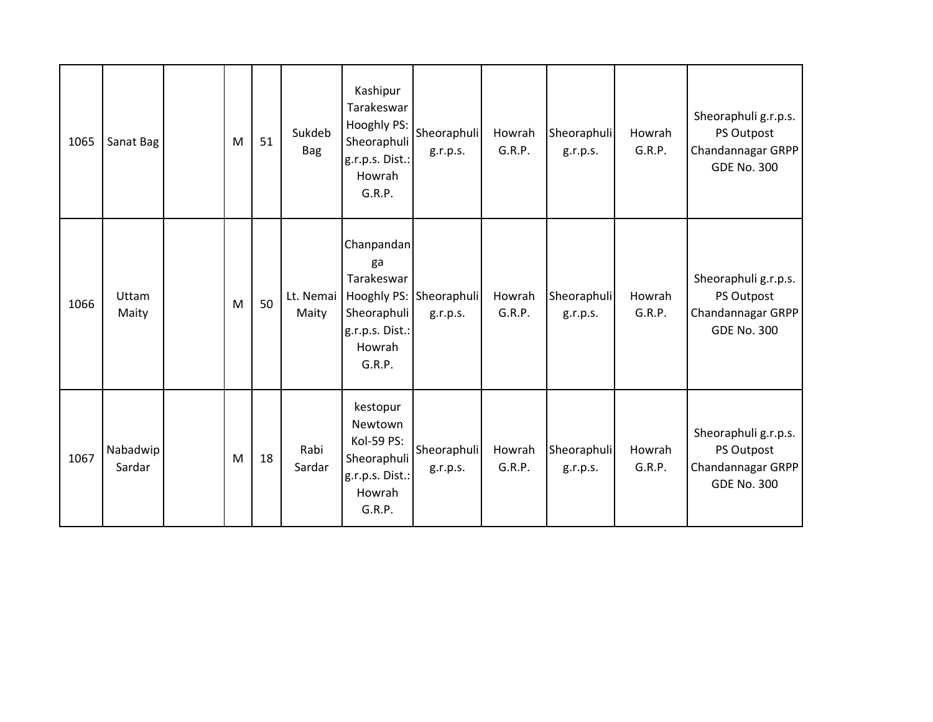| 1065 | Sanat Bag          | M | 51 | Sukdeb<br><b>Bag</b> | Kashipur<br>Tarakeswar<br>Hooghly PS:<br>Sheoraphuli<br>g.r.p.s. Dist.:<br>Howrah<br>G.R.P. | Sheoraphuli<br>g.r.p.s.             | Howrah<br>G.R.P. | Sheoraphuli<br>g.r.p.s. | Howrah<br>G.R.P. | Sheoraphuli g.r.p.s.<br>PS Outpost<br>Chandannagar GRPP<br><b>GDE No. 300</b> |
|------|--------------------|---|----|----------------------|---------------------------------------------------------------------------------------------|-------------------------------------|------------------|-------------------------|------------------|-------------------------------------------------------------------------------|
| 1066 | Uttam<br>Maity     | M | 50 | Lt. Nemai<br>Maity   | Chanpandan<br>ga<br>Tarakeswar<br>Sheoraphuli<br>g.r.p.s. Dist.:<br>Howrah<br>G.R.P.        | Hooghly PS: Sheoraphuli<br>g.r.p.s. | Howrah<br>G.R.P. | Sheoraphuli<br>g.r.p.s. | Howrah<br>G.R.P. | Sheoraphuli g.r.p.s.<br>PS Outpost<br>Chandannagar GRPP<br><b>GDE No. 300</b> |
| 1067 | Nabadwip<br>Sardar | M | 18 | Rabi<br>Sardar       | kestopur<br>Newtown<br>Kol-59 PS:<br>Sheoraphuli<br>g.r.p.s. Dist.:<br>Howrah<br>G.R.P.     | Sheoraphuli<br>g.r.p.s.             | Howrah<br>G.R.P. | Sheoraphuli<br>g.r.p.s. | Howrah<br>G.R.P. | Sheoraphuli g.r.p.s.<br>PS Outpost<br>Chandannagar GRPP<br><b>GDE No. 300</b> |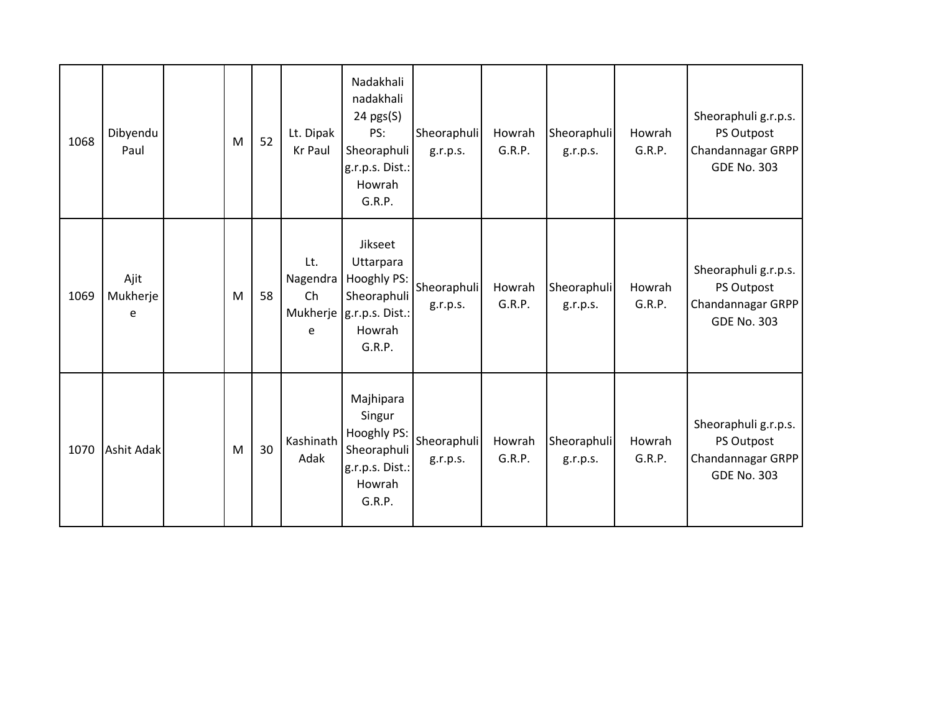| 1068 | Dibyendu<br>Paul      | M | 52 | Lt. Dipak<br>Kr Paul       | Nadakhali<br>nadakhali<br>$24 \text{ pgs}(S)$<br>PS:<br>Sheoraphuli<br>g.r.p.s. Dist.:<br>Howrah<br>G.R.P. | Sheoraphuli<br>g.r.p.s. | Howrah<br>G.R.P. | Sheoraphuli<br>g.r.p.s. | Howrah<br>G.R.P. | Sheoraphuli g.r.p.s.<br>PS Outpost<br>Chandannagar GRPP<br><b>GDE No. 303</b> |
|------|-----------------------|---|----|----------------------------|------------------------------------------------------------------------------------------------------------|-------------------------|------------------|-------------------------|------------------|-------------------------------------------------------------------------------|
| 1069 | Ajit<br>Mukherje<br>e | M | 58 | Lt.<br>Nagendra<br>Ch<br>e | Jikseet<br>Uttarpara<br>Hooghly PS:<br>Sheoraphuli<br>Mukherje   g.r.p.s. Dist.:<br>Howrah<br>G.R.P.       | Sheoraphuli<br>g.r.p.s. | Howrah<br>G.R.P. | Sheoraphuli<br>g.r.p.s. | Howrah<br>G.R.P. | Sheoraphuli g.r.p.s.<br>PS Outpost<br>Chandannagar GRPP<br><b>GDE No. 303</b> |
| 1070 | <b>Ashit Adak</b>     | M | 30 | Kashinath<br>Adak          | Majhipara<br>Singur<br>Hooghly PS:<br>Sheoraphuli<br>g.r.p.s. Dist.:<br>Howrah<br>G.R.P.                   | Sheoraphuli<br>g.r.p.s. | Howrah<br>G.R.P. | Sheoraphuli<br>g.r.p.s. | Howrah<br>G.R.P. | Sheoraphuli g.r.p.s.<br>PS Outpost<br>Chandannagar GRPP<br><b>GDE No. 303</b> |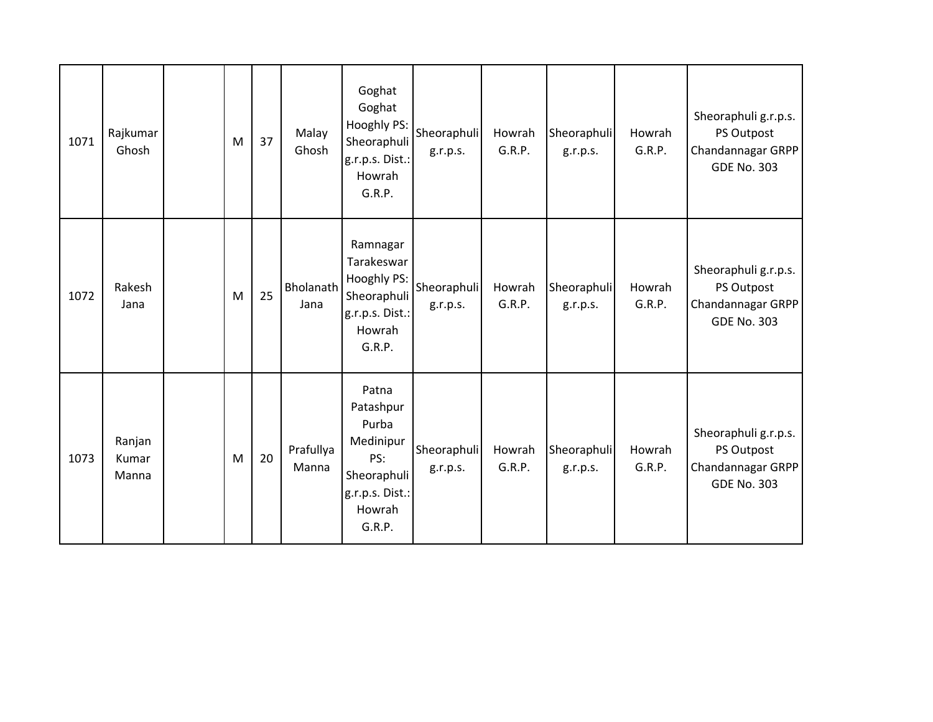| 1071 | Rajkumar<br>Ghosh        | M | 37 | Malay<br>Ghosh     | Goghat<br>Goghat<br>Hooghly PS:<br>Sheoraphuli<br>g.r.p.s. Dist.:<br>Howrah<br>G.R.P.                 | Sheoraphuli<br>g.r.p.s. | Howrah<br>G.R.P. | Sheoraphuli<br>g.r.p.s. | Howrah<br>G.R.P. | Sheoraphuli g.r.p.s.<br>PS Outpost<br>Chandannagar GRPP<br><b>GDE No. 303</b> |
|------|--------------------------|---|----|--------------------|-------------------------------------------------------------------------------------------------------|-------------------------|------------------|-------------------------|------------------|-------------------------------------------------------------------------------|
| 1072 | Rakesh<br>Jana           | M | 25 | Bholanath<br>Jana  | Ramnagar<br>Tarakeswar<br>Hooghly PS:<br>Sheoraphuli<br>g.r.p.s. Dist.:<br>Howrah<br>G.R.P.           | Sheoraphuli<br>g.r.p.s. | Howrah<br>G.R.P. | Sheoraphuli<br>g.r.p.s. | Howrah<br>G.R.P. | Sheoraphuli g.r.p.s.<br>PS Outpost<br>Chandannagar GRPP<br><b>GDE No. 303</b> |
| 1073 | Ranjan<br>Kumar<br>Manna | M | 20 | Prafullya<br>Manna | Patna<br>Patashpur<br>Purba<br>Medinipur<br>PS:<br>Sheoraphuli<br>g.r.p.s. Dist.:<br>Howrah<br>G.R.P. | Sheoraphuli<br>g.r.p.s. | Howrah<br>G.R.P. | Sheoraphuli<br>g.r.p.s. | Howrah<br>G.R.P. | Sheoraphuli g.r.p.s.<br>PS Outpost<br>Chandannagar GRPP<br><b>GDE No. 303</b> |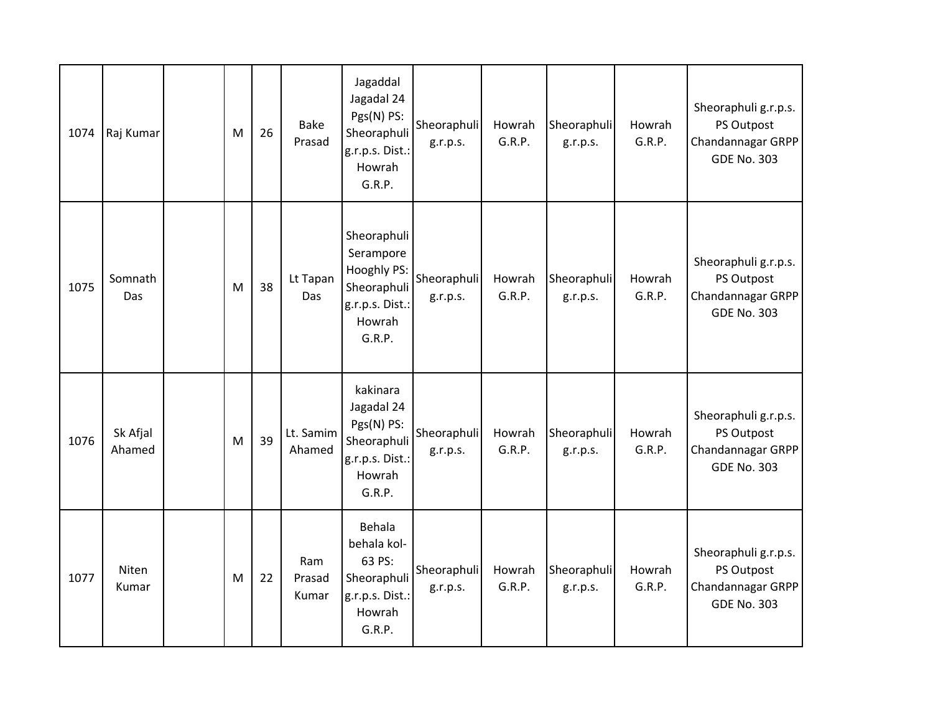| 1074 | Raj Kumar          | M | 26 | <b>Bake</b><br>Prasad  | Jagaddal<br>Jagadal 24<br>Pgs(N) PS:<br>Sheoraphuli<br>g.r.p.s. Dist.:<br>Howrah<br>G.R.P.    | Sheoraphuli<br>g.r.p.s. | Howrah<br>G.R.P. | Sheoraphuli<br>g.r.p.s. | Howrah<br>G.R.P. | Sheoraphuli g.r.p.s.<br>PS Outpost<br>Chandannagar GRPP<br><b>GDE No. 303</b> |
|------|--------------------|---|----|------------------------|-----------------------------------------------------------------------------------------------|-------------------------|------------------|-------------------------|------------------|-------------------------------------------------------------------------------|
| 1075 | Somnath<br>Das     | M | 38 | Lt Tapan<br>Das        | Sheoraphuli<br>Serampore<br>Hooghly PS:<br>Sheoraphuli<br>g.r.p.s. Dist.:<br>Howrah<br>G.R.P. | Sheoraphuli<br>g.r.p.s. | Howrah<br>G.R.P. | Sheoraphuli<br>g.r.p.s. | Howrah<br>G.R.P. | Sheoraphuli g.r.p.s.<br>PS Outpost<br>Chandannagar GRPP<br><b>GDE No. 303</b> |
| 1076 | Sk Afjal<br>Ahamed | M | 39 | Lt. Samim<br>Ahamed    | kakinara<br>Jagadal 24<br>Pgs(N) PS:<br>Sheoraphuli<br>g.r.p.s. Dist.:<br>Howrah<br>G.R.P.    | Sheoraphuli<br>g.r.p.s. | Howrah<br>G.R.P. | Sheoraphuli<br>g.r.p.s. | Howrah<br>G.R.P. | Sheoraphuli g.r.p.s.<br>PS Outpost<br>Chandannagar GRPP<br><b>GDE No. 303</b> |
| 1077 | Niten<br>Kumar     | M | 22 | Ram<br>Prasad<br>Kumar | Behala<br>behala kol-<br>63 PS:<br>Sheoraphuli<br>g.r.p.s. Dist.:<br>Howrah<br>G.R.P.         | Sheoraphuli<br>g.r.p.s. | Howrah<br>G.R.P. | Sheoraphuli<br>g.r.p.s. | Howrah<br>G.R.P. | Sheoraphuli g.r.p.s.<br>PS Outpost<br>Chandannagar GRPP<br><b>GDE No. 303</b> |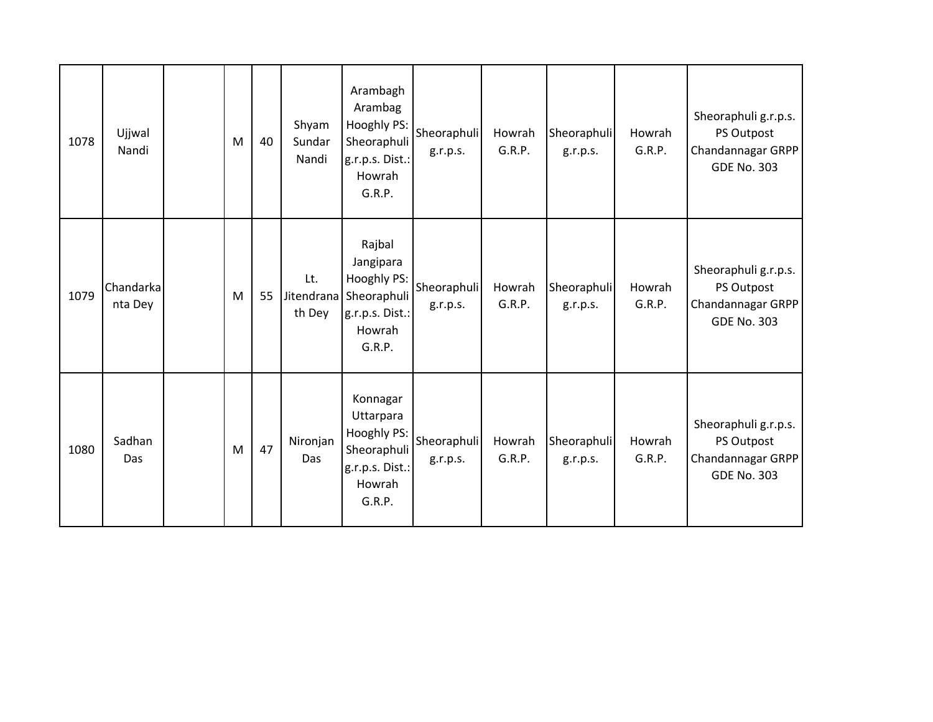| 1078 | Ujjwal<br>Nandi      | M | 40 | Shyam<br>Sundar<br>Nandi    | Arambagh<br>Arambag<br>Hooghly PS:<br>Sheoraphuli<br>g.r.p.s. Dist.:<br>Howrah<br>G.R.P.   | Sheoraphuli<br>g.r.p.s. | Howrah<br>G.R.P. | Sheoraphuli<br>g.r.p.s. | Howrah<br>G.R.P. | Sheoraphuli g.r.p.s.<br>PS Outpost<br>Chandannagar GRPP<br><b>GDE No. 303</b> |
|------|----------------------|---|----|-----------------------------|--------------------------------------------------------------------------------------------|-------------------------|------------------|-------------------------|------------------|-------------------------------------------------------------------------------|
| 1079 | Chandarka<br>nta Dey | M | 55 | Lt.<br>Jitendrana<br>th Dey | Rajbal<br>Jangipara<br>Hooghly PS:<br>Sheoraphuli<br>g.r.p.s. Dist.:<br>Howrah<br>G.R.P.   | Sheoraphuli<br>g.r.p.s. | Howrah<br>G.R.P. | Sheoraphuli<br>g.r.p.s. | Howrah<br>G.R.P. | Sheoraphuli g.r.p.s.<br>PS Outpost<br>Chandannagar GRPP<br><b>GDE No. 303</b> |
| 1080 | Sadhan<br>Das        | M | 47 | Nironjan<br>Das             | Konnagar<br>Uttarpara<br>Hooghly PS:<br>Sheoraphuli<br>g.r.p.s. Dist.:<br>Howrah<br>G.R.P. | Sheoraphuli<br>g.r.p.s. | Howrah<br>G.R.P. | Sheoraphuli<br>g.r.p.s. | Howrah<br>G.R.P. | Sheoraphuli g.r.p.s.<br>PS Outpost<br>Chandannagar GRPP<br><b>GDE No. 303</b> |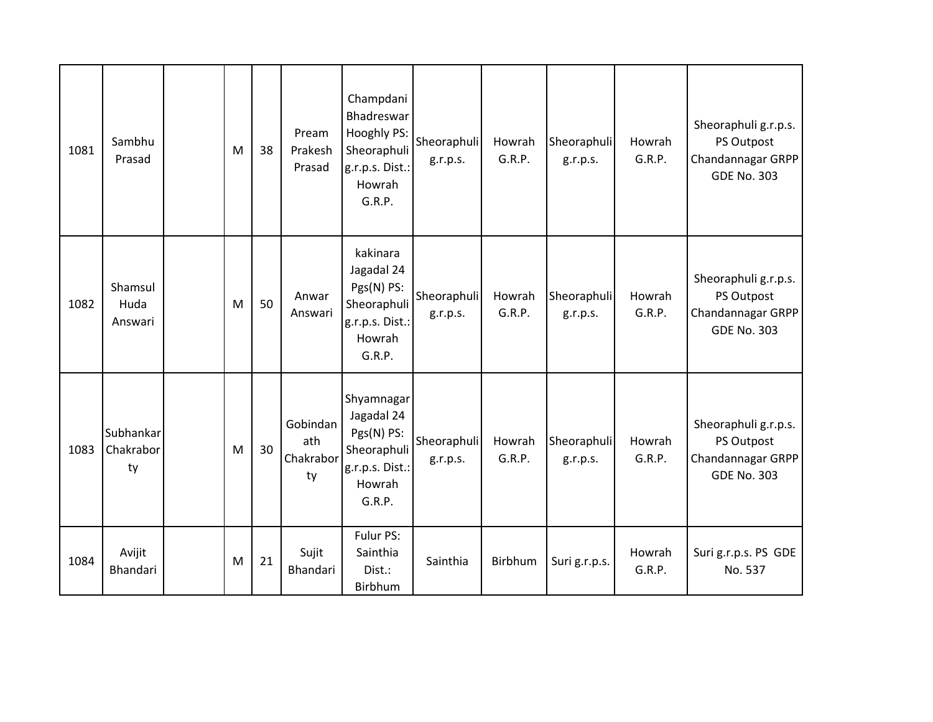| 1081 | Sambhu<br>Prasad             | M | 38 | Pream<br>Prakesh<br>Prasad         | Champdani<br>Bhadreswar<br>Hooghly PS:<br>Sheoraphuli<br>g.r.p.s. Dist.:<br>Howrah<br>G.R.P. | Sheoraphuli<br>g.r.p.s. | Howrah<br>G.R.P. | Sheoraphuli<br>g.r.p.s. | Howrah<br>G.R.P. | Sheoraphuli g.r.p.s.<br>PS Outpost<br>Chandannagar GRPP<br><b>GDE No. 303</b> |
|------|------------------------------|---|----|------------------------------------|----------------------------------------------------------------------------------------------|-------------------------|------------------|-------------------------|------------------|-------------------------------------------------------------------------------|
| 1082 | Shamsul<br>Huda<br>Answari   | M | 50 | Anwar<br>Answari                   | kakinara<br>Jagadal 24<br>Pgs(N) PS:<br>Sheoraphuli<br>g.r.p.s. Dist.:<br>Howrah<br>G.R.P.   | Sheoraphuli<br>g.r.p.s. | Howrah<br>G.R.P. | Sheoraphuli<br>g.r.p.s. | Howrah<br>G.R.P. | Sheoraphuli g.r.p.s.<br>PS Outpost<br>Chandannagar GRPP<br><b>GDE No. 303</b> |
| 1083 | Subhankar<br>Chakrabor<br>ty | M | 30 | Gobindan<br>ath<br>Chakrabor<br>ty | Shyamnagar<br>Jagadal 24<br>Pgs(N) PS:<br>Sheoraphuli<br>g.r.p.s. Dist.:<br>Howrah<br>G.R.P. | Sheoraphuli<br>g.r.p.s. | Howrah<br>G.R.P. | Sheoraphuli<br>g.r.p.s. | Howrah<br>G.R.P. | Sheoraphuli g.r.p.s.<br>PS Outpost<br>Chandannagar GRPP<br><b>GDE No. 303</b> |
| 1084 | Avijit<br>Bhandari           | M | 21 | Sujit<br>Bhandari                  | Fulur PS:<br>Sainthia<br>Dist.:<br>Birbhum                                                   | Sainthia                | Birbhum          | Suri g.r.p.s.           | Howrah<br>G.R.P. | Suri g.r.p.s. PS GDE<br>No. 537                                               |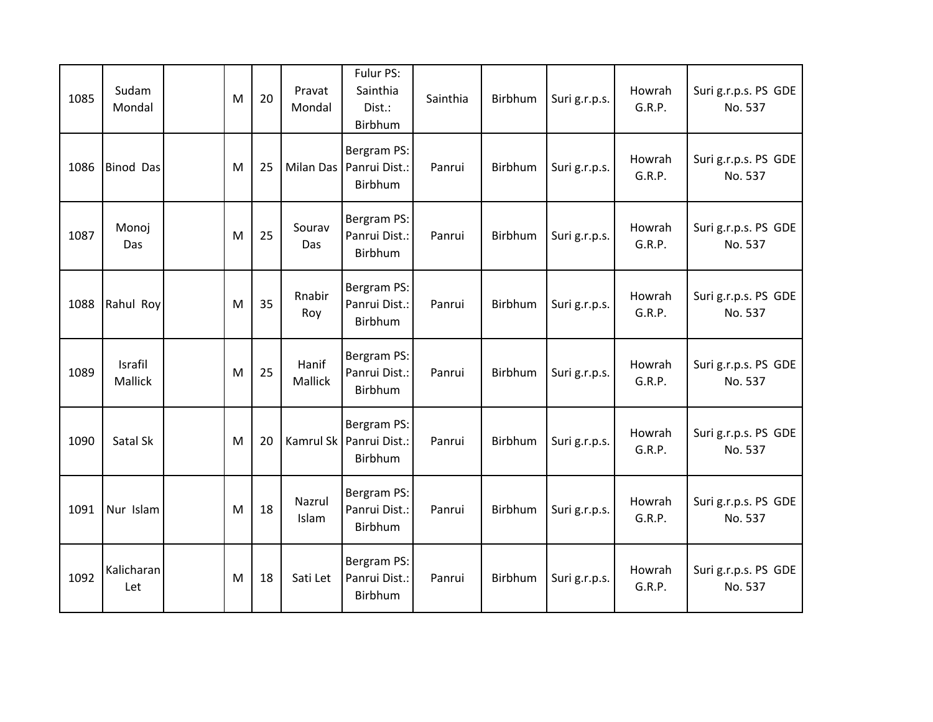| 1085 | Sudam<br>Mondal    | M | 20 | Pravat<br>Mondal | Fulur PS:<br>Sainthia<br>Dist.:<br>Birbhum          | Sainthia | Birbhum | Suri g.r.p.s. | Howrah<br>G.R.P. | Suri g.r.p.s. PS GDE<br>No. 537 |
|------|--------------------|---|----|------------------|-----------------------------------------------------|----------|---------|---------------|------------------|---------------------------------|
| 1086 | <b>Binod Das</b>   | M | 25 | <b>Milan Das</b> | Bergram PS:<br>Panrui Dist.:<br>Birbhum             | Panrui   | Birbhum | Suri g.r.p.s. | Howrah<br>G.R.P. | Suri g.r.p.s. PS GDE<br>No. 537 |
| 1087 | Monoj<br>Das       | M | 25 | Sourav<br>Das    | Bergram PS:<br>Panrui Dist.:<br>Birbhum             | Panrui   | Birbhum | Suri g.r.p.s. | Howrah<br>G.R.P. | Suri g.r.p.s. PS GDE<br>No. 537 |
| 1088 | Rahul Roy          | M | 35 | Rnabir<br>Roy    | Bergram PS:<br>Panrui Dist.:<br>Birbhum             | Panrui   | Birbhum | Suri g.r.p.s. | Howrah<br>G.R.P. | Suri g.r.p.s. PS GDE<br>No. 537 |
| 1089 | Israfil<br>Mallick | M | 25 | Hanif<br>Mallick | Bergram PS:<br>Panrui Dist.:<br>Birbhum             | Panrui   | Birbhum | Suri g.r.p.s. | Howrah<br>G.R.P. | Suri g.r.p.s. PS GDE<br>No. 537 |
| 1090 | Satal Sk           | M | 20 |                  | Bergram PS:<br>Kamrul Sk   Panrui Dist.:<br>Birbhum | Panrui   | Birbhum | Suri g.r.p.s. | Howrah<br>G.R.P. | Suri g.r.p.s. PS GDE<br>No. 537 |
| 1091 | Nur Islam          | M | 18 | Nazrul<br>Islam  | Bergram PS:<br>Panrui Dist.:<br>Birbhum             | Panrui   | Birbhum | Suri g.r.p.s. | Howrah<br>G.R.P. | Suri g.r.p.s. PS GDE<br>No. 537 |
| 1092 | Kalicharan<br>Let  | M | 18 | Sati Let         | Bergram PS:<br>Panrui Dist.:<br>Birbhum             | Panrui   | Birbhum | Suri g.r.p.s. | Howrah<br>G.R.P. | Suri g.r.p.s. PS GDE<br>No. 537 |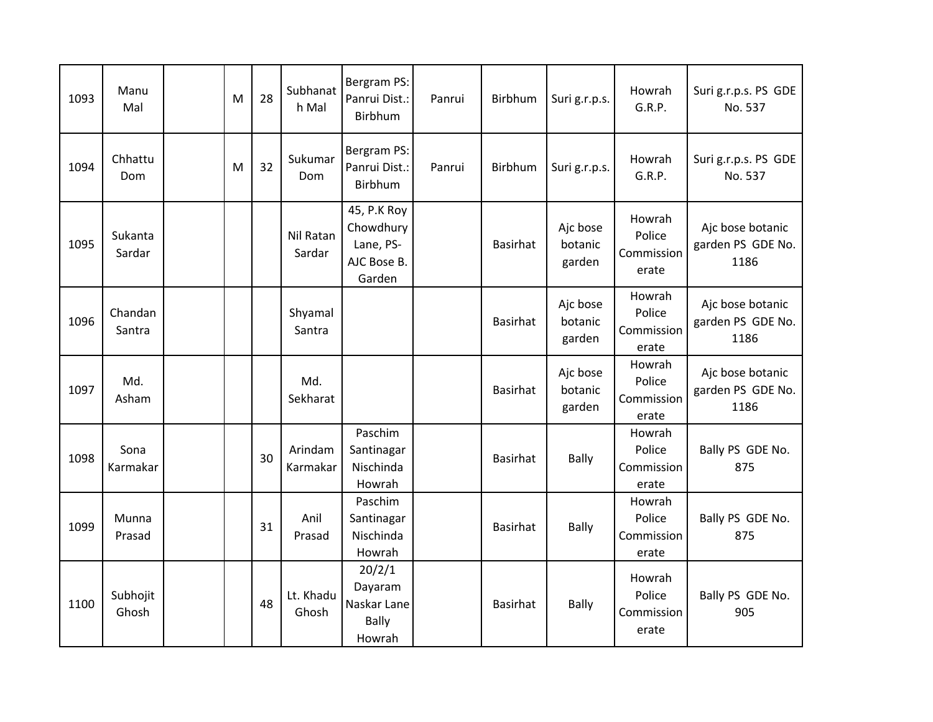| 1093 | Manu<br>Mal       | M | 28 | Subhanat<br>h Mal   | Bergram PS:<br>Panrui Dist.:<br><b>Birbhum</b>                 | Panrui | Birbhum         | Suri g.r.p.s.                 | Howrah<br>G.R.P.                        | Suri g.r.p.s. PS GDE<br>No. 537               |
|------|-------------------|---|----|---------------------|----------------------------------------------------------------|--------|-----------------|-------------------------------|-----------------------------------------|-----------------------------------------------|
| 1094 | Chhattu<br>Dom    | M | 32 | Sukumar<br>Dom      | Bergram PS:<br>Panrui Dist.:<br>Birbhum                        | Panrui | Birbhum         | Suri g.r.p.s.                 | Howrah<br>G.R.P.                        | Suri g.r.p.s. PS GDE<br>No. 537               |
| 1095 | Sukanta<br>Sardar |   |    | Nil Ratan<br>Sardar | 45, P.K Roy<br>Chowdhury<br>Lane, PS-<br>AJC Bose B.<br>Garden |        | <b>Basirhat</b> | Ajc bose<br>botanic<br>garden | Howrah<br>Police<br>Commission<br>erate | Ajc bose botanic<br>garden PS GDE No.<br>1186 |
| 1096 | Chandan<br>Santra |   |    | Shyamal<br>Santra   |                                                                |        | <b>Basirhat</b> | Ajc bose<br>botanic<br>garden | Howrah<br>Police<br>Commission<br>erate | Ajc bose botanic<br>garden PS GDE No.<br>1186 |
| 1097 | Md.<br>Asham      |   |    | Md.<br>Sekharat     |                                                                |        | <b>Basirhat</b> | Ajc bose<br>botanic<br>garden | Howrah<br>Police<br>Commission<br>erate | Ajc bose botanic<br>garden PS GDE No.<br>1186 |
| 1098 | Sona<br>Karmakar  |   | 30 | Arindam<br>Karmakar | Paschim<br>Santinagar<br>Nischinda<br>Howrah                   |        | <b>Basirhat</b> | <b>Bally</b>                  | Howrah<br>Police<br>Commission<br>erate | Bally PS GDE No.<br>875                       |
| 1099 | Munna<br>Prasad   |   | 31 | Anil<br>Prasad      | Paschim<br>Santinagar<br>Nischinda<br>Howrah                   |        | <b>Basirhat</b> | <b>Bally</b>                  | Howrah<br>Police<br>Commission<br>erate | Bally PS GDE No.<br>875                       |
| 1100 | Subhojit<br>Ghosh |   | 48 | Lt. Khadu<br>Ghosh  | 20/2/1<br>Dayaram<br>Naskar Lane<br><b>Bally</b><br>Howrah     |        | <b>Basirhat</b> | <b>Bally</b>                  | Howrah<br>Police<br>Commission<br>erate | Bally PS GDE No.<br>905                       |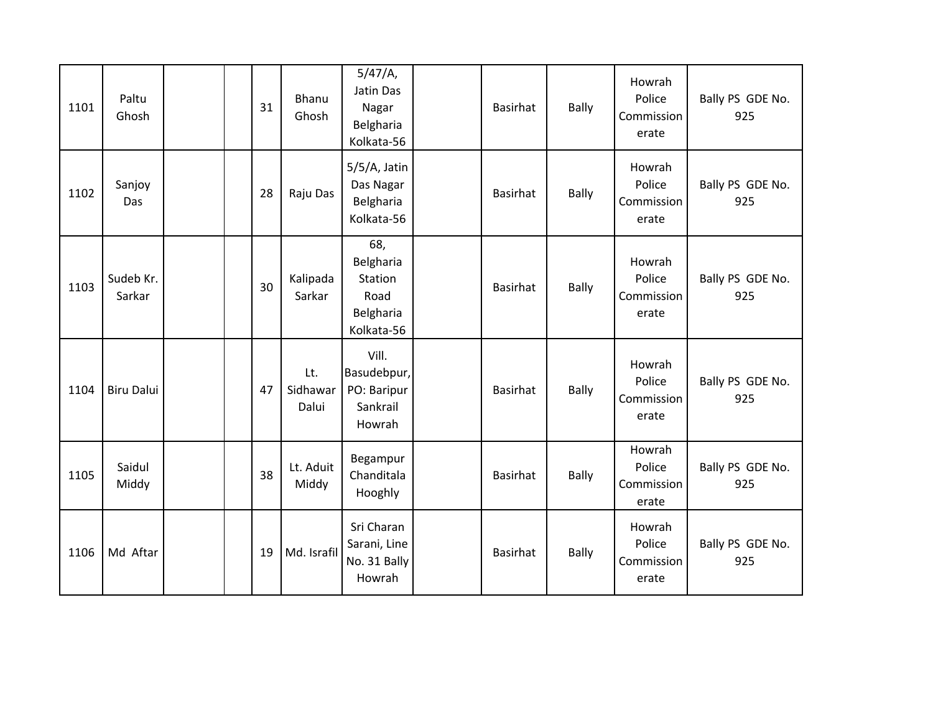| 1101 | Paltu<br>Ghosh      | 31 | Bhanu<br>Ghosh           | 5/47/A,<br>Jatin Das<br>Nagar<br>Belgharia<br>Kolkata-56       | <b>Basirhat</b> | <b>Bally</b> | Howrah<br>Police<br>Commission<br>erate | Bally PS GDE No.<br>925 |
|------|---------------------|----|--------------------------|----------------------------------------------------------------|-----------------|--------------|-----------------------------------------|-------------------------|
| 1102 | Sanjoy<br>Das       | 28 | Raju Das                 | 5/5/A, Jatin<br>Das Nagar<br>Belgharia<br>Kolkata-56           | <b>Basirhat</b> | <b>Bally</b> | Howrah<br>Police<br>Commission<br>erate | Bally PS GDE No.<br>925 |
| 1103 | Sudeb Kr.<br>Sarkar | 30 | Kalipada<br>Sarkar       | 68,<br>Belgharia<br>Station<br>Road<br>Belgharia<br>Kolkata-56 | <b>Basirhat</b> | <b>Bally</b> | Howrah<br>Police<br>Commission<br>erate | Bally PS GDE No.<br>925 |
| 1104 | <b>Biru Dalui</b>   | 47 | Lt.<br>Sidhawar<br>Dalui | Vill.<br>Basudebpur,<br>PO: Baripur<br>Sankrail<br>Howrah      | <b>Basirhat</b> | <b>Bally</b> | Howrah<br>Police<br>Commission<br>erate | Bally PS GDE No.<br>925 |
| 1105 | Saidul<br>Middy     | 38 | Lt. Aduit<br>Middy       | Begampur<br>Chanditala<br>Hooghly                              | <b>Basirhat</b> | <b>Bally</b> | Howrah<br>Police<br>Commission<br>erate | Bally PS GDE No.<br>925 |
| 1106 | Md Aftar            | 19 | Md. Israfil              | Sri Charan<br>Sarani, Line<br>No. 31 Bally<br>Howrah           | <b>Basirhat</b> | <b>Bally</b> | Howrah<br>Police<br>Commission<br>erate | Bally PS GDE No.<br>925 |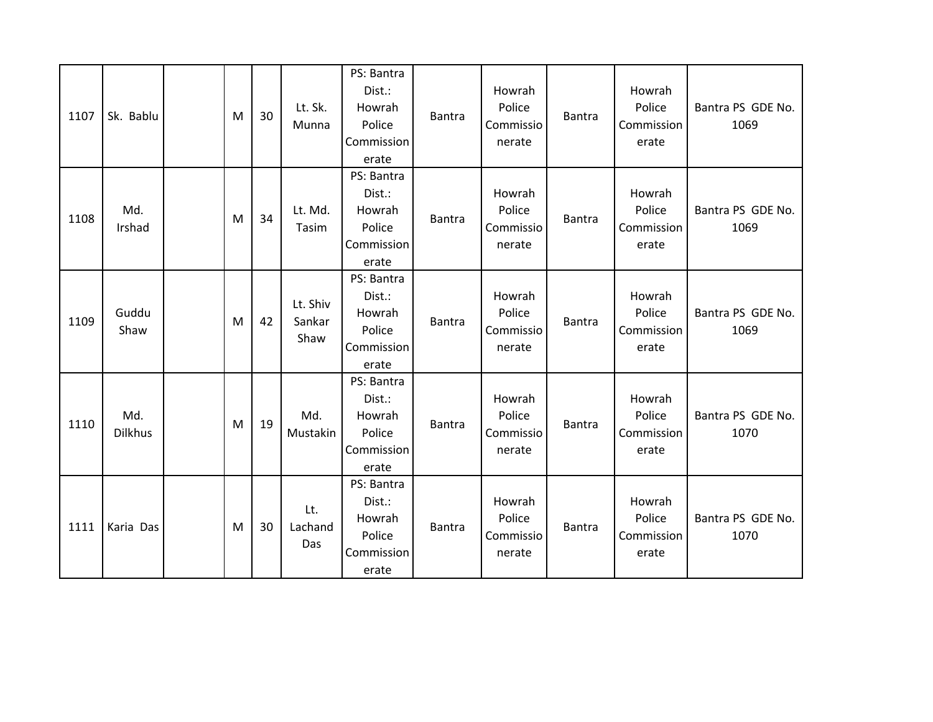| 1107 | Sk. Bablu             | M | 30 | Lt. Sk.<br>Munna           | PS: Bantra<br>Dist.:<br>Howrah<br>Police<br>Commission<br>erate | Bantra        | Howrah<br>Police<br>Commissio<br>nerate | <b>Bantra</b> | Howrah<br>Police<br>Commission<br>erate | Bantra PS GDE No.<br>1069 |
|------|-----------------------|---|----|----------------------------|-----------------------------------------------------------------|---------------|-----------------------------------------|---------------|-----------------------------------------|---------------------------|
| 1108 | Md.<br>Irshad         | M | 34 | Lt. Md.<br>Tasim           | PS: Bantra<br>Dist.:<br>Howrah<br>Police<br>Commission<br>erate | <b>Bantra</b> | Howrah<br>Police<br>Commissio<br>nerate | <b>Bantra</b> | Howrah<br>Police<br>Commission<br>erate | Bantra PS GDE No.<br>1069 |
| 1109 | Guddu<br>Shaw         | M | 42 | Lt. Shiv<br>Sankar<br>Shaw | PS: Bantra<br>Dist.:<br>Howrah<br>Police<br>Commission<br>erate | <b>Bantra</b> | Howrah<br>Police<br>Commissio<br>nerate | <b>Bantra</b> | Howrah<br>Police<br>Commission<br>erate | Bantra PS GDE No.<br>1069 |
| 1110 | Md.<br><b>Dilkhus</b> | M | 19 | Md.<br>Mustakin            | PS: Bantra<br>Dist.:<br>Howrah<br>Police<br>Commission<br>erate | <b>Bantra</b> | Howrah<br>Police<br>Commissio<br>nerate | <b>Bantra</b> | Howrah<br>Police<br>Commission<br>erate | Bantra PS GDE No.<br>1070 |
| 1111 | Karia Das             | M | 30 | Lt.<br>Lachand<br>Das      | PS: Bantra<br>Dist.:<br>Howrah<br>Police<br>Commission<br>erate | <b>Bantra</b> | Howrah<br>Police<br>Commissio<br>nerate | <b>Bantra</b> | Howrah<br>Police<br>Commission<br>erate | Bantra PS GDE No.<br>1070 |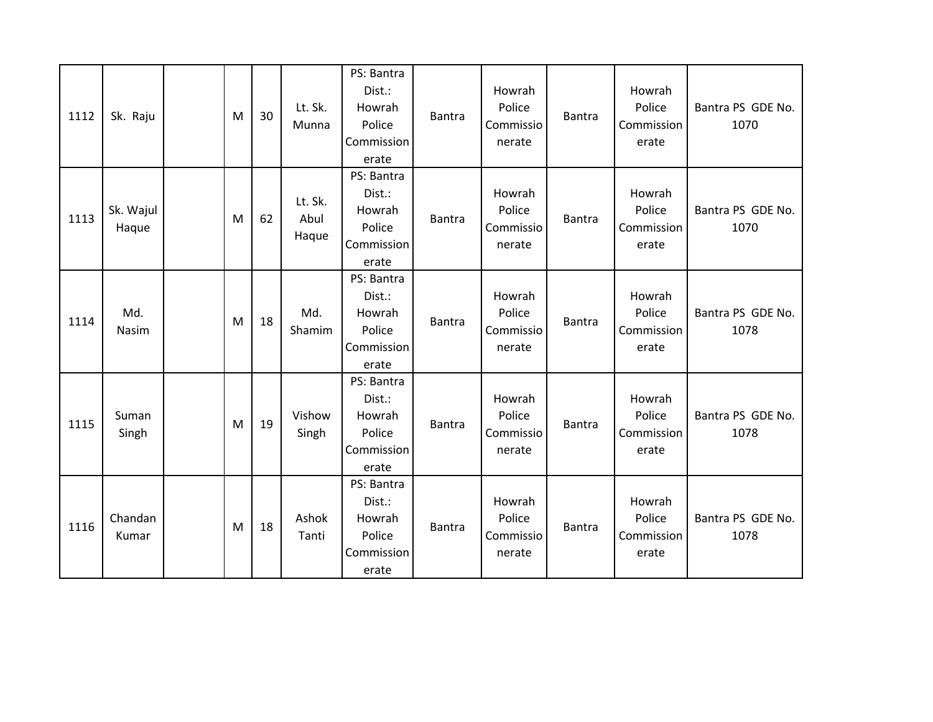| 1112 | Sk. Raju           | M | 30 | Lt. Sk.<br>Munna         | PS: Bantra<br>Dist.:<br>Howrah<br>Police<br>Commission<br>erate | <b>Bantra</b> | Howrah<br>Police<br>Commissio<br>nerate | <b>Bantra</b> | Howrah<br>Police<br>Commission<br>erate | Bantra PS GDE No.<br>1070 |
|------|--------------------|---|----|--------------------------|-----------------------------------------------------------------|---------------|-----------------------------------------|---------------|-----------------------------------------|---------------------------|
| 1113 | Sk. Wajul<br>Haque | M | 62 | Lt. Sk.<br>Abul<br>Haque | PS: Bantra<br>Dist.:<br>Howrah<br>Police<br>Commission<br>erate | <b>Bantra</b> | Howrah<br>Police<br>Commissio<br>nerate | <b>Bantra</b> | Howrah<br>Police<br>Commission<br>erate | Bantra PS GDE No.<br>1070 |
| 1114 | Md.<br>Nasim       | M | 18 | Md.<br>Shamim            | PS: Bantra<br>Dist.:<br>Howrah<br>Police<br>Commission<br>erate | <b>Bantra</b> | Howrah<br>Police<br>Commissio<br>nerate | <b>Bantra</b> | Howrah<br>Police<br>Commission<br>erate | Bantra PS GDE No.<br>1078 |
| 1115 | Suman<br>Singh     | M | 19 | Vishow<br>Singh          | PS: Bantra<br>Dist.:<br>Howrah<br>Police<br>Commission<br>erate | <b>Bantra</b> | Howrah<br>Police<br>Commissio<br>nerate | <b>Bantra</b> | Howrah<br>Police<br>Commission<br>erate | Bantra PS GDE No.<br>1078 |
| 1116 | Chandan<br>Kumar   | M | 18 | Ashok<br>Tanti           | PS: Bantra<br>Dist.:<br>Howrah<br>Police<br>Commission<br>erate | <b>Bantra</b> | Howrah<br>Police<br>Commissio<br>nerate | <b>Bantra</b> | Howrah<br>Police<br>Commission<br>erate | Bantra PS GDE No.<br>1078 |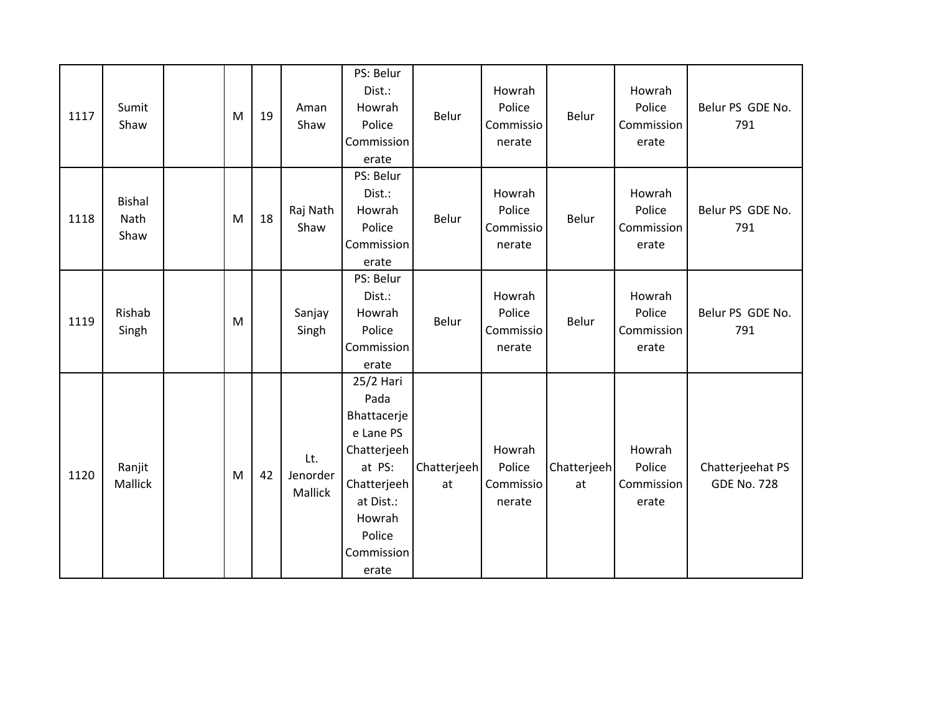| 1117 | Sumit<br>Shaw                 | ${\sf M}$ | 19 | Aman<br>Shaw               | PS: Belur<br>Dist.:<br>Howrah<br>Police<br>Commission<br>erate                                                                                | Belur             | Howrah<br>Police<br>Commissio<br>nerate | Belur             | Howrah<br>Police<br>Commission<br>erate | Belur PS GDE No.<br>791                |
|------|-------------------------------|-----------|----|----------------------------|-----------------------------------------------------------------------------------------------------------------------------------------------|-------------------|-----------------------------------------|-------------------|-----------------------------------------|----------------------------------------|
| 1118 | <b>Bishal</b><br>Nath<br>Shaw | M         | 18 | Raj Nath<br>Shaw           | PS: Belur<br>Dist.:<br>Howrah<br>Police<br>Commission<br>erate                                                                                | Belur             | Howrah<br>Police<br>Commissio<br>nerate | Belur             | Howrah<br>Police<br>Commission<br>erate | Belur PS GDE No.<br>791                |
| 1119 | Rishab<br>Singh               | M         |    | Sanjay<br>Singh            | PS: Belur<br>Dist.:<br>Howrah<br>Police<br>Commission<br>erate                                                                                | Belur             | Howrah<br>Police<br>Commissio<br>nerate | Belur             | Howrah<br>Police<br>Commission<br>erate | Belur PS GDE No.<br>791                |
| 1120 | Ranjit<br>Mallick             | M         | 42 | Lt.<br>Jenorder<br>Mallick | 25/2 Hari<br>Pada<br>Bhattacerje<br>e Lane PS<br>Chatterjeeh<br>at PS:<br>Chatterjeeh<br>at Dist.:<br>Howrah<br>Police<br>Commission<br>erate | Chatterjeeh<br>at | Howrah<br>Police<br>Commissio<br>nerate | Chatterjeeh<br>at | Howrah<br>Police<br>Commission<br>erate | Chatterjeehat PS<br><b>GDE No. 728</b> |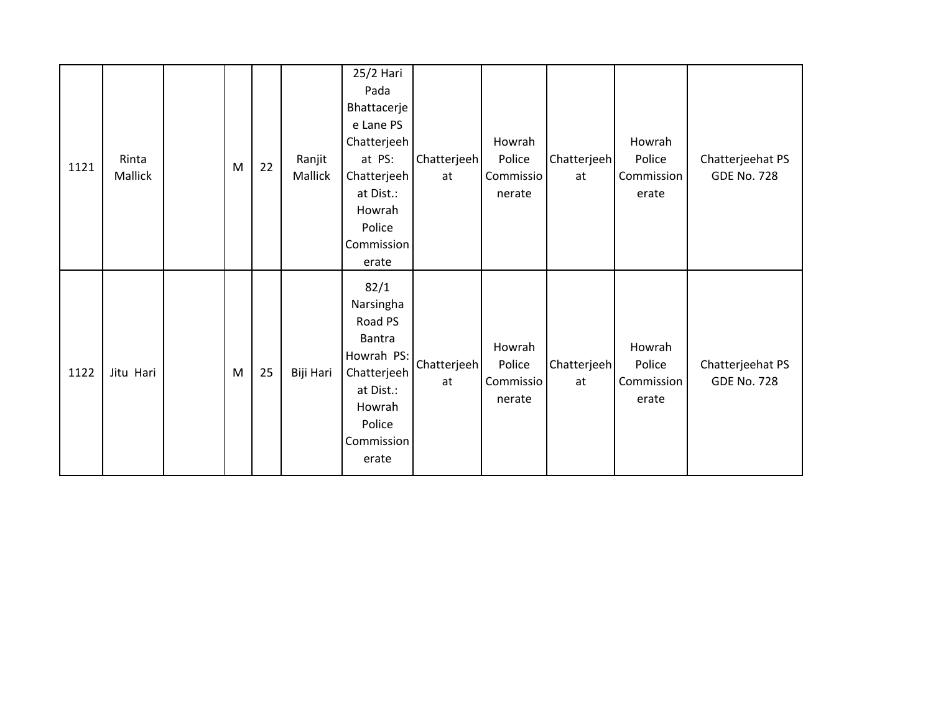| 1121 | Rinta<br>Mallick | M | 22 | Ranjit<br>Mallick | 25/2 Hari<br>Pada<br>Bhattacerje<br>e Lane PS<br>Chatterjeeh<br>at PS:<br>Chatterjeeh<br>at Dist.:<br>Howrah<br>Police<br>Commission<br>erate | Chatterjeeh<br>at | Howrah<br>Police<br>Commissio<br>nerate | Chatterjeeh<br>at | Howrah<br>Police<br>Commission<br>erate | Chatterjeehat PS<br><b>GDE No. 728</b> |
|------|------------------|---|----|-------------------|-----------------------------------------------------------------------------------------------------------------------------------------------|-------------------|-----------------------------------------|-------------------|-----------------------------------------|----------------------------------------|
| 1122 | Jitu Hari        | M | 25 | Biji Hari         | 82/1<br>Narsingha<br>Road PS<br><b>Bantra</b><br>Howrah PS:<br>Chatterjeeh<br>at Dist.:<br>Howrah<br>Police<br>Commission<br>erate            | Chatterjeeh<br>at | Howrah<br>Police<br>Commissio<br>nerate | Chatterjeeh<br>at | Howrah<br>Police<br>Commission<br>erate | Chatterjeehat PS<br><b>GDE No. 728</b> |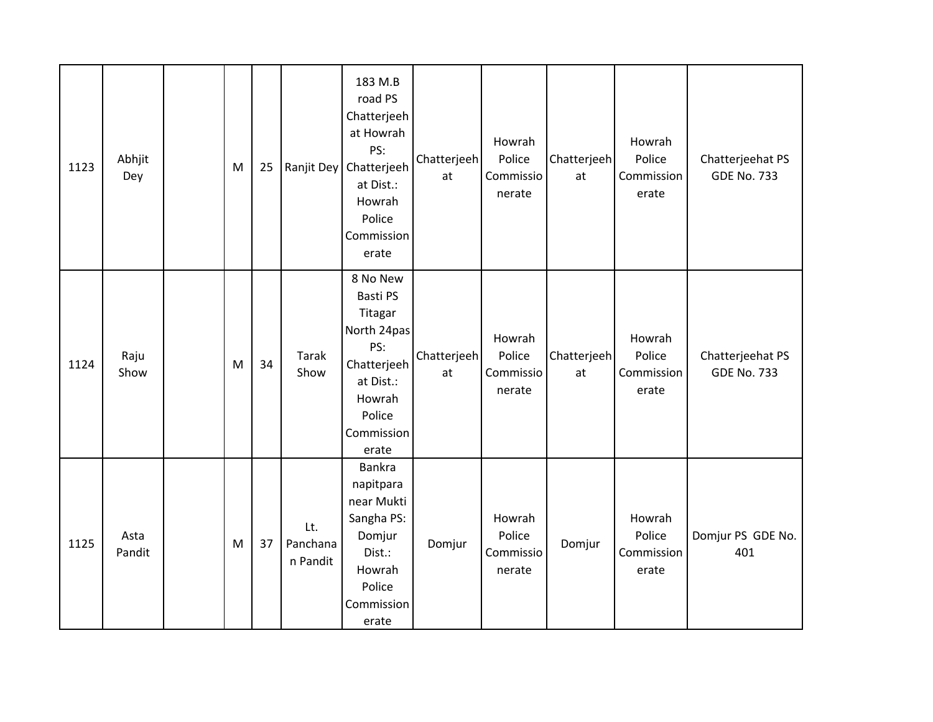| 1123 | Abhjit<br>Dey  | M | 25 |                             | 183 M.B<br>road PS<br>Chatterjeeh<br>at Howrah<br>PS:<br>Ranjit Dey   Chatterjeeh<br>at Dist.:<br>Howrah<br>Police<br>Commission<br>erate | Chatterjeeh<br>at | Howrah<br>Police<br>Commissio<br>nerate | Chatterjeeh<br>at | Howrah<br>Police<br>Commission<br>erate | Chatterjeehat PS<br><b>GDE No. 733</b> |
|------|----------------|---|----|-----------------------------|-------------------------------------------------------------------------------------------------------------------------------------------|-------------------|-----------------------------------------|-------------------|-----------------------------------------|----------------------------------------|
| 1124 | Raju<br>Show   | M | 34 | <b>Tarak</b><br>Show        | 8 No New<br>Basti PS<br>Titagar<br>North 24pas<br>PS:<br>Chatterjeeh<br>at Dist.:<br>Howrah<br>Police<br>Commission<br>erate              | Chatterjeeh<br>at | Howrah<br>Police<br>Commissio<br>nerate | Chatterjeeh<br>at | Howrah<br>Police<br>Commission<br>erate | Chatterjeehat PS<br><b>GDE No. 733</b> |
| 1125 | Asta<br>Pandit | M | 37 | Lt.<br>Panchana<br>n Pandit | Bankra<br>napitpara<br>near Mukti<br>Sangha PS:<br>Domjur<br>Dist.:<br>Howrah<br>Police<br>Commission<br>erate                            | Domjur            | Howrah<br>Police<br>Commissio<br>nerate | Domjur            | Howrah<br>Police<br>Commission<br>erate | Domjur PS GDE No.<br>401               |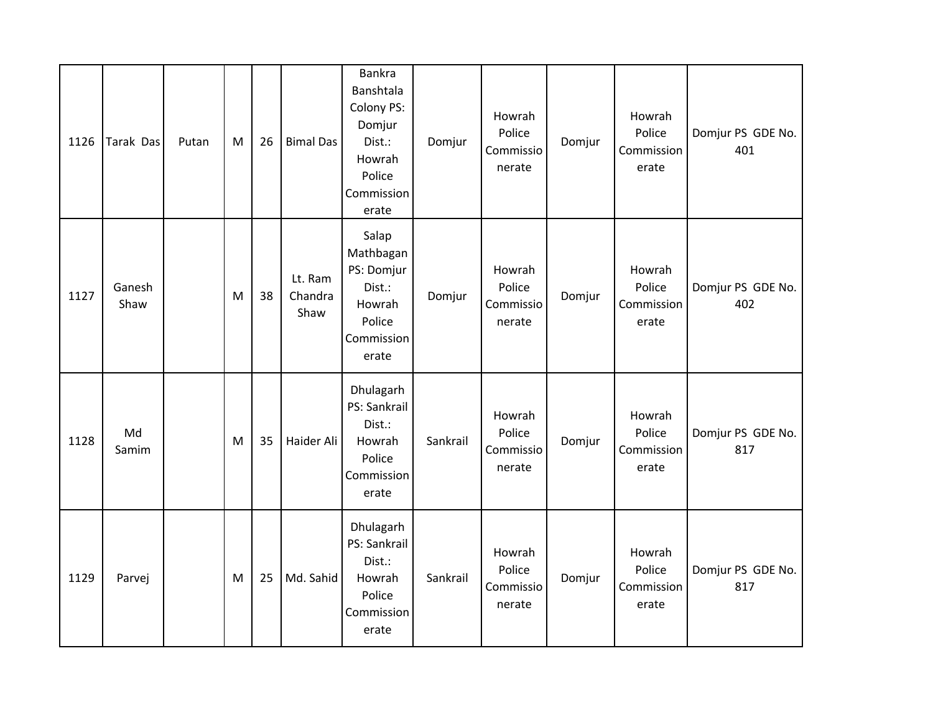| 1126 | Tarak Das      | Putan | M | 26 | <b>Bimal Das</b>           | Bankra<br>Banshtala<br>Colony PS:<br>Domjur<br>Dist.:<br>Howrah<br>Police<br>Commission<br>erate | Domjur   | Howrah<br>Police<br>Commissio<br>nerate | Domjur | Howrah<br>Police<br>Commission<br>erate | Domjur PS GDE No.<br>401 |
|------|----------------|-------|---|----|----------------------------|--------------------------------------------------------------------------------------------------|----------|-----------------------------------------|--------|-----------------------------------------|--------------------------|
| 1127 | Ganesh<br>Shaw |       | M | 38 | Lt. Ram<br>Chandra<br>Shaw | Salap<br>Mathbagan<br>PS: Domjur<br>Dist.:<br>Howrah<br>Police<br>Commission<br>erate            | Domjur   | Howrah<br>Police<br>Commissio<br>nerate | Domjur | Howrah<br>Police<br>Commission<br>erate | Domjur PS GDE No.<br>402 |
| 1128 | Md<br>Samim    |       | M | 35 | Haider Ali                 | Dhulagarh<br>PS: Sankrail<br>Dist.:<br>Howrah<br>Police<br>Commission<br>erate                   | Sankrail | Howrah<br>Police<br>Commissio<br>nerate | Domjur | Howrah<br>Police<br>Commission<br>erate | Domjur PS GDE No.<br>817 |
| 1129 | Parvej         |       | М | 25 | Md. Sahid                  | Dhulagarh<br>PS: Sankrail<br>Dist.:<br>Howrah<br>Police<br>Commission<br>erate                   | Sankrail | Howrah<br>Police<br>Commissio<br>nerate | Domjur | Howrah<br>Police<br>Commission<br>erate | Domjur PS GDE No.<br>817 |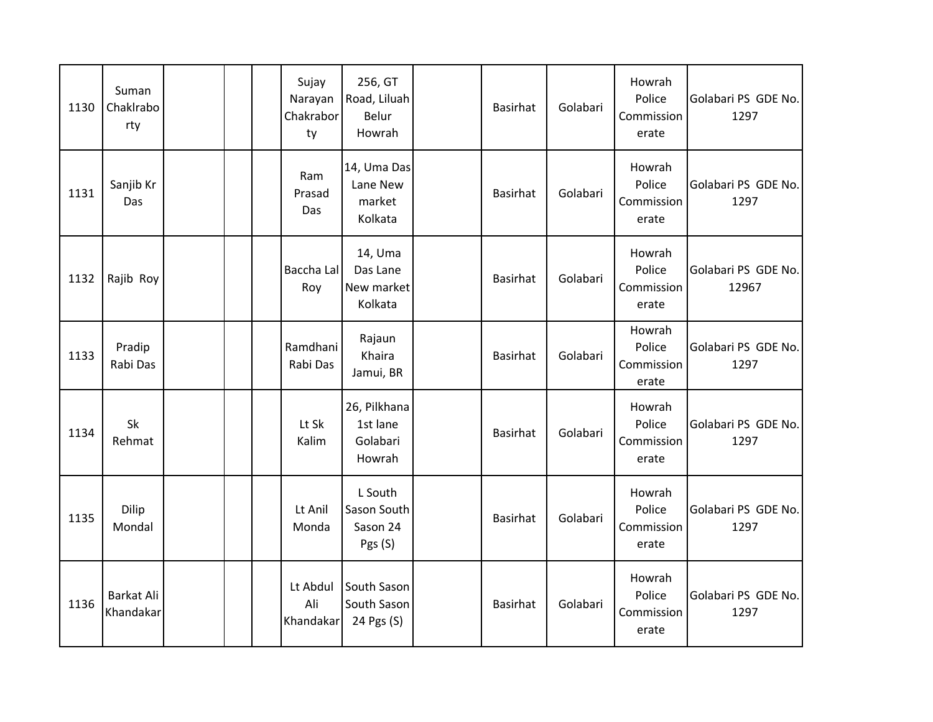| 1130 | Suman<br>Chaklrabo<br>rty |  | Sujay<br>Narayan<br>Chakrabor<br>ty | 256, GT<br>Road, Liluah<br>Belur<br>Howrah     | <b>Basirhat</b> | Golabari | Howrah<br>Police<br>Commission<br>erate | Golabari PS GDE No.<br>1297  |
|------|---------------------------|--|-------------------------------------|------------------------------------------------|-----------------|----------|-----------------------------------------|------------------------------|
| 1131 | Sanjib Kr<br>Das          |  | Ram<br>Prasad<br>Das                | 14, Uma Das<br>Lane New<br>market<br>Kolkata   | Basirhat        | Golabari | Howrah<br>Police<br>Commission<br>erate | Golabari PS GDE No.<br>1297  |
| 1132 | Rajib Roy                 |  | Baccha Lal<br>Roy                   | 14, Uma<br>Das Lane<br>New market<br>Kolkata   | <b>Basirhat</b> | Golabari | Howrah<br>Police<br>Commission<br>erate | Golabari PS GDE No.<br>12967 |
| 1133 | Pradip<br>Rabi Das        |  | Ramdhani<br>Rabi Das                | Rajaun<br>Khaira<br>Jamui, BR                  | Basirhat        | Golabari | Howrah<br>Police<br>Commission<br>erate | Golabari PS GDE No.<br>1297  |
| 1134 | Sk<br>Rehmat              |  | Lt Sk<br>Kalim                      | 26, Pilkhana<br>1st lane<br>Golabari<br>Howrah | <b>Basirhat</b> | Golabari | Howrah<br>Police<br>Commission<br>erate | Golabari PS GDE No.<br>1297  |
| 1135 | Dilip<br>Mondal           |  | Lt Anil<br>Monda                    | L South<br>Sason South<br>Sason 24<br>Pgs (S)  | <b>Basirhat</b> | Golabari | Howrah<br>Police<br>Commission<br>erate | Golabari PS GDE No.<br>1297  |
| 1136 | Barkat Ali<br>Khandakar   |  | Lt Abdul<br>Ali<br>Khandakar        | South Sason<br>South Sason<br>24 Pgs (S)       | <b>Basirhat</b> | Golabari | Howrah<br>Police<br>Commission<br>erate | Golabari PS GDE No.<br>1297  |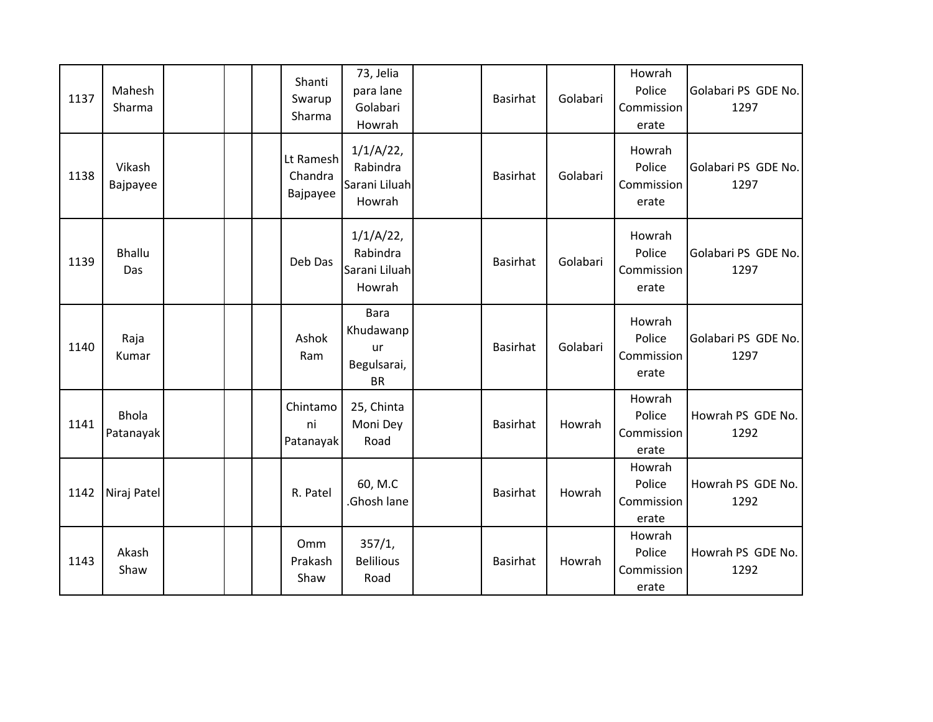| 1137 | Mahesh<br>Sharma          |  | Shanti<br>Swarup<br>Sharma       | 73, Jelia<br>para lane<br>Golabari<br>Howrah               | <b>Basirhat</b> | Golabari | Howrah<br>Police<br>Commission<br>erate | Golabari PS GDE No.<br>1297 |
|------|---------------------------|--|----------------------------------|------------------------------------------------------------|-----------------|----------|-----------------------------------------|-----------------------------|
| 1138 | Vikash<br>Bajpayee        |  | Lt Ramesh<br>Chandra<br>Bajpayee | $1/1/A/22$ ,<br>Rabindra<br>Sarani Liluah<br>Howrah        | <b>Basirhat</b> | Golabari | Howrah<br>Police<br>Commission<br>erate | Golabari PS GDE No.<br>1297 |
| 1139 | <b>Bhallu</b><br>Das      |  | Deb Das                          | $1/1/A/22$ ,<br>Rabindra<br>Sarani Liluah<br>Howrah        | <b>Basirhat</b> | Golabari | Howrah<br>Police<br>Commission<br>erate | Golabari PS GDE No.<br>1297 |
| 1140 | Raja<br>Kumar             |  | Ashok<br>Ram                     | <b>Bara</b><br>Khudawanp<br>ur<br>Begulsarai,<br><b>BR</b> | <b>Basirhat</b> | Golabari | Howrah<br>Police<br>Commission<br>erate | Golabari PS GDE No.<br>1297 |
| 1141 | <b>Bhola</b><br>Patanayak |  | Chintamo<br>ni<br>Patanayak      | 25, Chinta<br>Moni Dey<br>Road                             | <b>Basirhat</b> | Howrah   | Howrah<br>Police<br>Commission<br>erate | Howrah PS GDE No.<br>1292   |
| 1142 | Niraj Patel               |  | R. Patel                         | 60, M.C<br>Ghosh lane                                      | <b>Basirhat</b> | Howrah   | Howrah<br>Police<br>Commission<br>erate | Howrah PS GDE No.<br>1292   |
| 1143 | Akash<br>Shaw             |  | Omm<br>Prakash<br>Shaw           | 357/1,<br><b>Belilious</b><br>Road                         | Basirhat        | Howrah   | Howrah<br>Police<br>Commission<br>erate | Howrah PS GDE No.<br>1292   |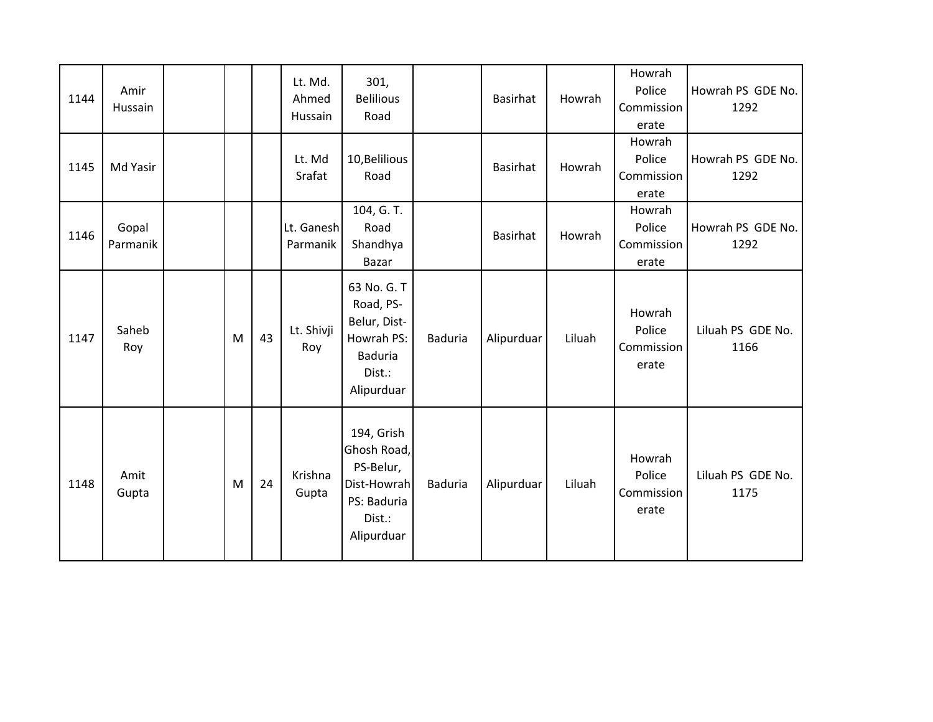| 1144 | Amir<br>Hussain   |   |    | Lt. Md.<br>Ahmed<br>Hussain | 301,<br><b>Belilious</b><br>Road                                                                 |                | <b>Basirhat</b> | Howrah | Howrah<br>Police<br>Commission<br>erate | Howrah PS GDE No.<br>1292 |
|------|-------------------|---|----|-----------------------------|--------------------------------------------------------------------------------------------------|----------------|-----------------|--------|-----------------------------------------|---------------------------|
| 1145 | Md Yasir          |   |    | Lt. Md<br>Srafat            | 10, Belilious<br>Road                                                                            |                | Basirhat        | Howrah | Howrah<br>Police<br>Commission<br>erate | Howrah PS GDE No.<br>1292 |
| 1146 | Gopal<br>Parmanik |   |    | Lt. Ganesh<br>Parmanik      | 104, G. T.<br>Road<br>Shandhya<br>Bazar                                                          |                | Basirhat        | Howrah | Howrah<br>Police<br>Commission<br>erate | Howrah PS GDE No.<br>1292 |
| 1147 | Saheb<br>Roy      | M | 43 | Lt. Shivji<br>Roy           | 63 No. G. T<br>Road, PS-<br>Belur, Dist-<br>Howrah PS:<br><b>Baduria</b><br>Dist.:<br>Alipurduar | <b>Baduria</b> | Alipurduar      | Liluah | Howrah<br>Police<br>Commission<br>erate | Liluah PS GDE No.<br>1166 |
| 1148 | Amit<br>Gupta     | M | 24 | Krishna<br>Gupta            | 194, Grish<br>Ghosh Road,<br>PS-Belur,<br>Dist-Howrah<br>PS: Baduria<br>Dist.:<br>Alipurduar     | <b>Baduria</b> | Alipurduar      | Liluah | Howrah<br>Police<br>Commission<br>erate | Liluah PS GDE No.<br>1175 |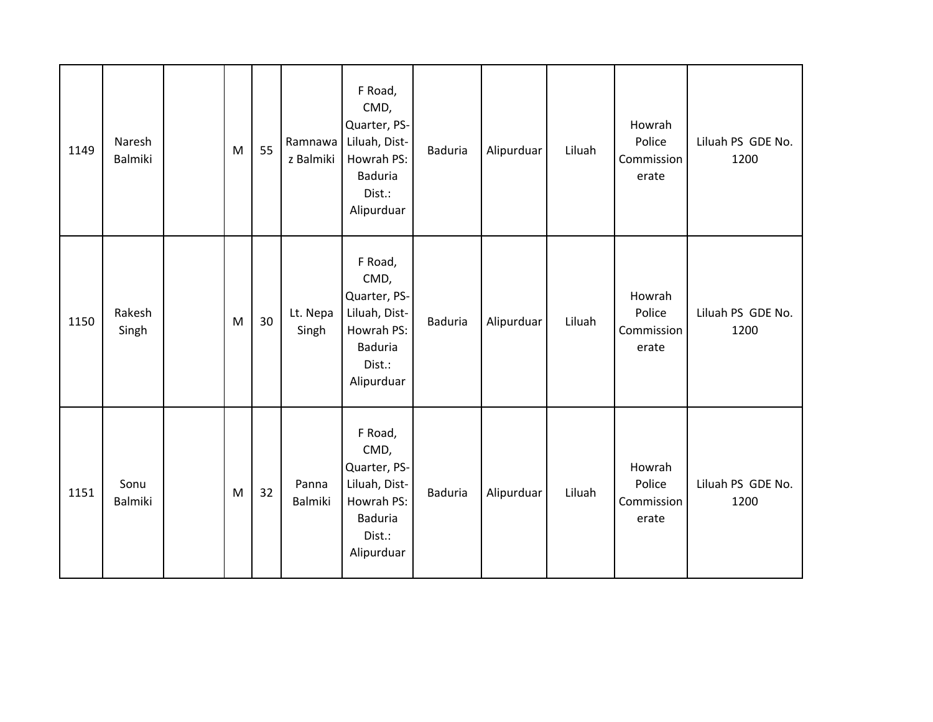| 1149 | Naresh<br>Balmiki | M | 55 | Ramnawa<br>z Balmiki | F Road,<br>CMD,<br>Quarter, PS-<br>Liluah, Dist-<br>Howrah PS:<br><b>Baduria</b><br>Dist.:<br>Alipurduar | <b>Baduria</b> | Alipurduar | Liluah | Howrah<br>Police<br>Commission<br>erate | Liluah PS GDE No.<br>1200 |
|------|-------------------|---|----|----------------------|----------------------------------------------------------------------------------------------------------|----------------|------------|--------|-----------------------------------------|---------------------------|
| 1150 | Rakesh<br>Singh   | M | 30 | Lt. Nepa<br>Singh    | F Road,<br>CMD,<br>Quarter, PS-<br>Liluah, Dist-<br>Howrah PS:<br><b>Baduria</b><br>Dist.:<br>Alipurduar | <b>Baduria</b> | Alipurduar | Liluah | Howrah<br>Police<br>Commission<br>erate | Liluah PS GDE No.<br>1200 |
| 1151 | Sonu<br>Balmiki   | M | 32 | Panna<br>Balmiki     | F Road,<br>CMD,<br>Quarter, PS-<br>Liluah, Dist-<br>Howrah PS:<br><b>Baduria</b><br>Dist.:<br>Alipurduar | <b>Baduria</b> | Alipurduar | Liluah | Howrah<br>Police<br>Commission<br>erate | Liluah PS GDE No.<br>1200 |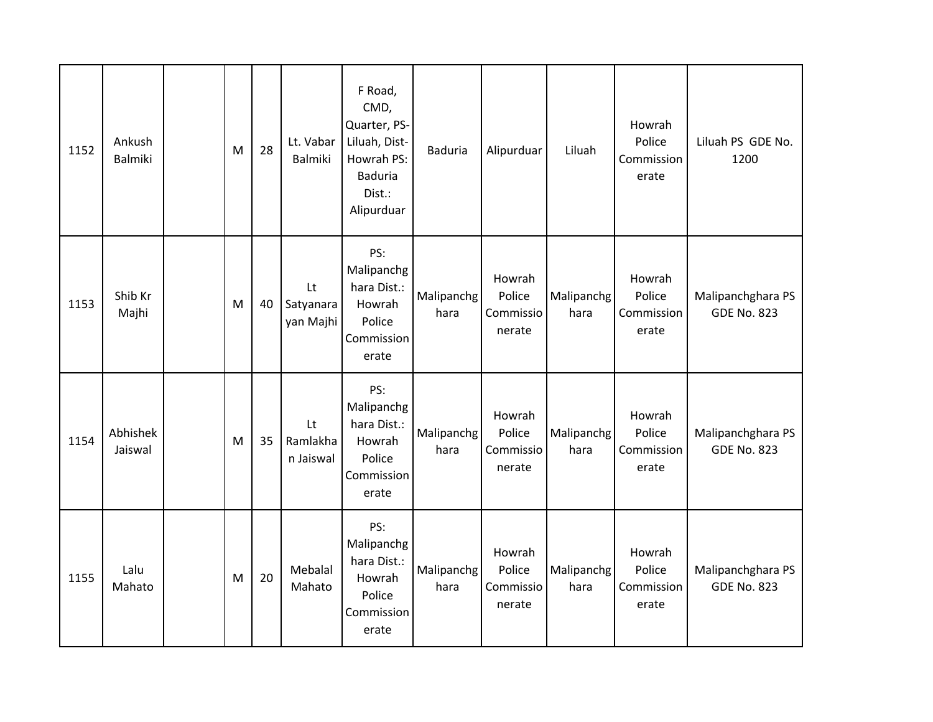| 1152 | Ankush<br><b>Balmiki</b> | M | 28 | Lt. Vabar<br>Balmiki         | F Road,<br>CMD,<br>Quarter, PS-<br>Liluah, Dist-<br>Howrah PS:<br><b>Baduria</b><br>Dist.:<br>Alipurduar | <b>Baduria</b>     | Alipurduar                              | Liluah             | Howrah<br>Police<br>Commission<br>erate | Liluah PS GDE No.<br>1200               |
|------|--------------------------|---|----|------------------------------|----------------------------------------------------------------------------------------------------------|--------------------|-----------------------------------------|--------------------|-----------------------------------------|-----------------------------------------|
| 1153 | Shib Kr<br>Majhi         | M | 40 | Lt<br>Satyanara<br>yan Majhi | PS:<br>Malipanchg<br>hara Dist.:<br>Howrah<br>Police<br>Commission<br>erate                              | Malipanchg<br>hara | Howrah<br>Police<br>Commissio<br>nerate | Malipanchg<br>hara | Howrah<br>Police<br>Commission<br>erate | Malipanchghara PS<br><b>GDE No. 823</b> |
| 1154 | Abhishek<br>Jaiswal      | M | 35 | Lt<br>Ramlakha<br>n Jaiswal  | PS:<br>Malipanchg<br>hara Dist.:<br>Howrah<br>Police<br>Commission<br>erate                              | Malipanchg<br>hara | Howrah<br>Police<br>Commissio<br>nerate | Malipanchg<br>hara | Howrah<br>Police<br>Commission<br>erate | Malipanchghara PS<br><b>GDE No. 823</b> |
| 1155 | Lalu<br>Mahato           | M | 20 | Mebalal<br>Mahato            | PS:<br>Malipanchg<br>hara Dist.:<br>Howrah<br>Police<br>Commission<br>erate                              | Malipanchg<br>hara | Howrah<br>Police<br>Commissio<br>nerate | Malipanchg<br>hara | Howrah<br>Police<br>Commission<br>erate | Malipanchghara PS<br><b>GDE No. 823</b> |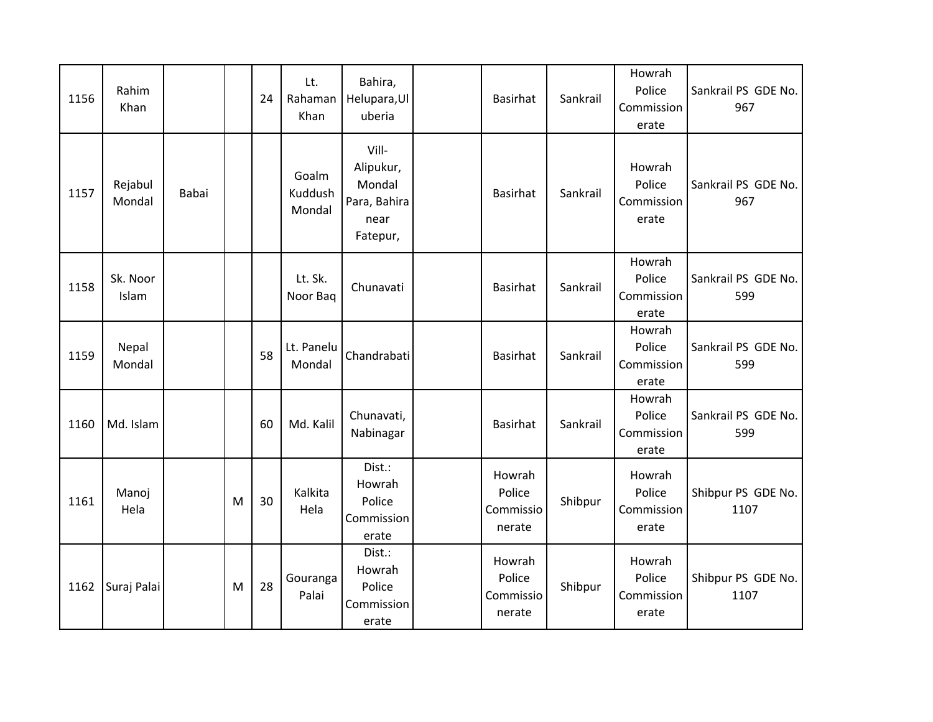| 1156 | Rahim<br>Khan     |       |   | 24 | Lt.<br>Rahaman<br>Khan     | Bahira,<br>Helupara, Ul<br>uberia                                | Basirhat                                | Sankrail | Howrah<br>Police<br>Commission<br>erate | Sankrail PS GDE No.<br>967 |
|------|-------------------|-------|---|----|----------------------------|------------------------------------------------------------------|-----------------------------------------|----------|-----------------------------------------|----------------------------|
| 1157 | Rejabul<br>Mondal | Babai |   |    | Goalm<br>Kuddush<br>Mondal | Vill-<br>Alipukur,<br>Mondal<br>Para, Bahira<br>near<br>Fatepur, | <b>Basirhat</b>                         | Sankrail | Howrah<br>Police<br>Commission<br>erate | Sankrail PS GDE No.<br>967 |
| 1158 | Sk. Noor<br>Islam |       |   |    | Lt. Sk.<br>Noor Bag        | Chunavati                                                        | Basirhat                                | Sankrail | Howrah<br>Police<br>Commission<br>erate | Sankrail PS GDE No.<br>599 |
| 1159 | Nepal<br>Mondal   |       |   | 58 | Lt. Panelu<br>Mondal       | Chandrabati                                                      | <b>Basirhat</b>                         | Sankrail | Howrah<br>Police<br>Commission<br>erate | Sankrail PS GDE No.<br>599 |
| 1160 | Md. Islam         |       |   | 60 | Md. Kalil                  | Chunavati,<br>Nabinagar                                          | <b>Basirhat</b>                         | Sankrail | Howrah<br>Police<br>Commission<br>erate | Sankrail PS GDE No.<br>599 |
| 1161 | Manoj<br>Hela     |       | M | 30 | Kalkita<br>Hela            | Dist.:<br>Howrah<br>Police<br>Commission<br>erate                | Howrah<br>Police<br>Commissio<br>nerate | Shibpur  | Howrah<br>Police<br>Commission<br>erate | Shibpur PS GDE No.<br>1107 |
| 1162 | Suraj Palai       |       | M | 28 | Gouranga<br>Palai          | Dist.:<br>Howrah<br>Police<br>Commission<br>erate                | Howrah<br>Police<br>Commissio<br>nerate | Shibpur  | Howrah<br>Police<br>Commission<br>erate | Shibpur PS GDE No.<br>1107 |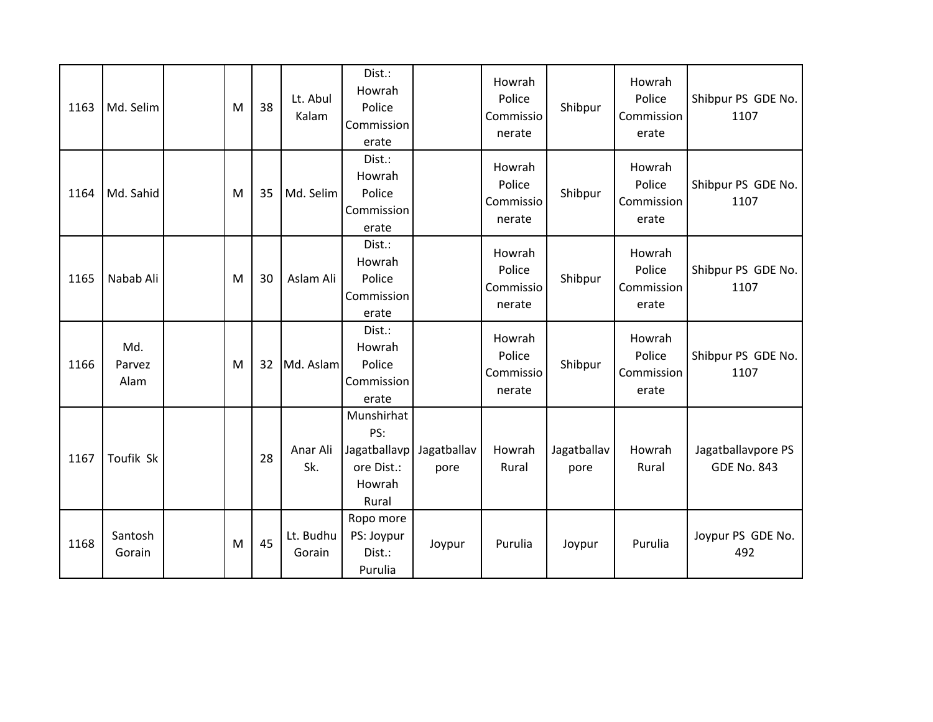| 1163 | Md. Selim             | M | 38 | Lt. Abul<br>Kalam   | Dist.:<br>Howrah<br>Police<br>Commission<br>erate                  |                     | Howrah<br>Police<br>Commissio<br>nerate | Shibpur             | Howrah<br>Police<br>Commission<br>erate | Shibpur PS GDE No.<br>1107               |
|------|-----------------------|---|----|---------------------|--------------------------------------------------------------------|---------------------|-----------------------------------------|---------------------|-----------------------------------------|------------------------------------------|
| 1164 | Md. Sahid             | M | 35 | Md. Selim           | Dist.:<br>Howrah<br>Police<br>Commission<br>erate                  |                     | Howrah<br>Police<br>Commissio<br>nerate | Shibpur             | Howrah<br>Police<br>Commission<br>erate | Shibpur PS GDE No.<br>1107               |
| 1165 | Nabab Ali             | M | 30 | Aslam Ali           | Dist.:<br>Howrah<br>Police<br>Commission<br>erate                  |                     | Howrah<br>Police<br>Commissio<br>nerate | Shibpur             | Howrah<br>Police<br>Commission<br>erate | Shibpur PS GDE No.<br>1107               |
| 1166 | Md.<br>Parvez<br>Alam | M | 32 | Md. Aslam           | Dist.:<br>Howrah<br>Police<br>Commission<br>erate                  |                     | Howrah<br>Police<br>Commissio<br>nerate | Shibpur             | Howrah<br>Police<br>Commission<br>erate | Shibpur PS GDE No.<br>1107               |
| 1167 | Toufik Sk             |   | 28 | Anar Ali<br>Sk.     | Munshirhat<br>PS:<br>Jagatballavp<br>ore Dist.:<br>Howrah<br>Rural | Jagatballav<br>pore | Howrah<br>Rural                         | Jagatballav<br>pore | Howrah<br>Rural                         | Jagatballavpore PS<br><b>GDE No. 843</b> |
| 1168 | Santosh<br>Gorain     | M | 45 | Lt. Budhu<br>Gorain | Ropo more<br>PS: Joypur<br>Dist.:<br>Purulia                       | Joypur              | Purulia                                 | Joypur              | Purulia                                 | Joypur PS GDE No.<br>492                 |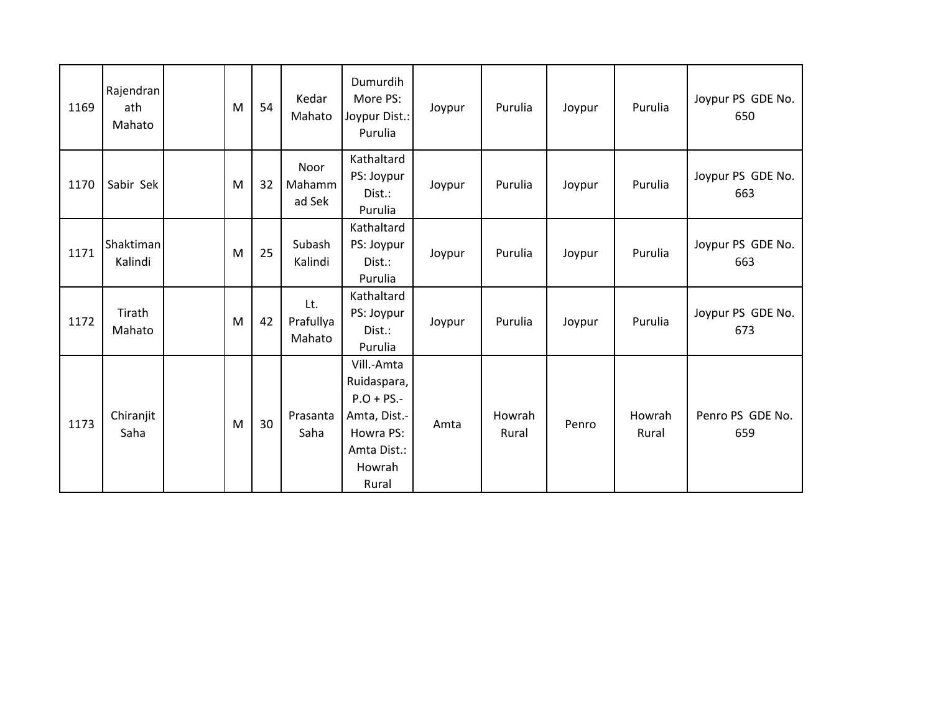| 1169 | Rajendran<br>ath<br>Mahato | M | 54 | Kedar<br>Mahato            | Dumurdih<br>More PS:<br>Joypur Dist.:<br>Purulia                                                          | Joypur | Purulia         | Joypur | Purulia         | Joypur PS GDE No.<br>650 |
|------|----------------------------|---|----|----------------------------|-----------------------------------------------------------------------------------------------------------|--------|-----------------|--------|-----------------|--------------------------|
| 1170 | Sabir Sek                  | M | 32 | Noor<br>Mahamm<br>ad Sek   | Kathaltard<br>PS: Joypur<br>Dist.:<br>Purulia                                                             | Joypur | Purulia         | Joypur | Purulia         | Joypur PS GDE No.<br>663 |
| 1171 | Shaktiman<br>Kalindi       | M | 25 | Subash<br>Kalindi          | Kathaltard<br>PS: Joypur<br>Dist.:<br>Purulia                                                             | Joypur | Purulia         | Joypur | Purulia         | Joypur PS GDE No.<br>663 |
| 1172 | Tirath<br>Mahato           | M | 42 | Lt.<br>Prafullya<br>Mahato | Kathaltard<br>PS: Joypur<br>Dist.:<br>Purulia                                                             | Joypur | Purulia         | Joypur | Purulia         | Joypur PS GDE No.<br>673 |
| 1173 | Chiranjit<br>Saha          | M | 30 | Prasanta<br>Saha           | Vill.-Amta<br>Ruidaspara,<br>$P.O + PS.$ -<br>Amta, Dist.-<br>Howra PS:<br>Amta Dist.:<br>Howrah<br>Rural | Amta   | Howrah<br>Rural | Penro  | Howrah<br>Rural | Penro PS GDE No.<br>659  |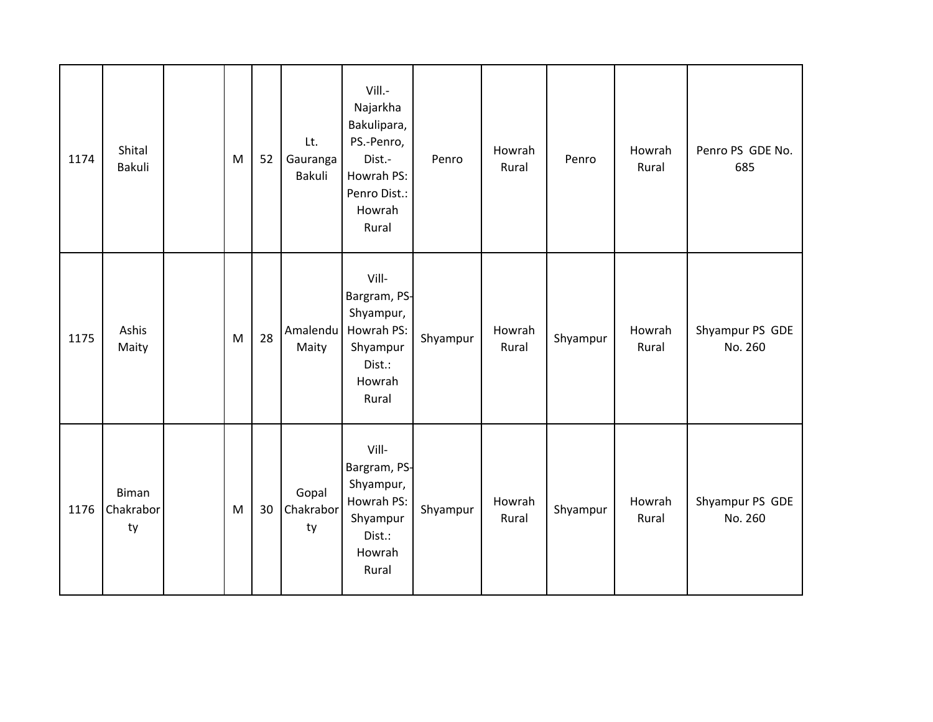| 1174 | Shital<br>Bakuli         | ${\sf M}$ | 52 | Lt.<br>Gauranga<br>Bakuli | Vill.-<br>Najarkha<br>Bakulipara,<br>PS.-Penro,<br>Dist.-<br>Howrah PS:<br>Penro Dist.:<br>Howrah<br>Rural | Penro    | Howrah<br>Rural | Penro    | Howrah<br>Rural | Penro PS GDE No.<br>685    |
|------|--------------------------|-----------|----|---------------------------|------------------------------------------------------------------------------------------------------------|----------|-----------------|----------|-----------------|----------------------------|
| 1175 | Ashis<br>Maity           | M         | 28 | Amalendu<br>Maity         | Vill-<br>Bargram, PS-<br>Shyampur,<br>Howrah PS:<br>Shyampur<br>Dist.:<br>Howrah<br>Rural                  | Shyampur | Howrah<br>Rural | Shyampur | Howrah<br>Rural | Shyampur PS GDE<br>No. 260 |
| 1176 | Biman<br>Chakrabor<br>ty | M         | 30 | Gopal<br>Chakrabor<br>ty  | Vill-<br>Bargram, PS-<br>Shyampur,<br>Howrah PS:<br>Shyampur<br>Dist.:<br>Howrah<br>Rural                  | Shyampur | Howrah<br>Rural | Shyampur | Howrah<br>Rural | Shyampur PS GDE<br>No. 260 |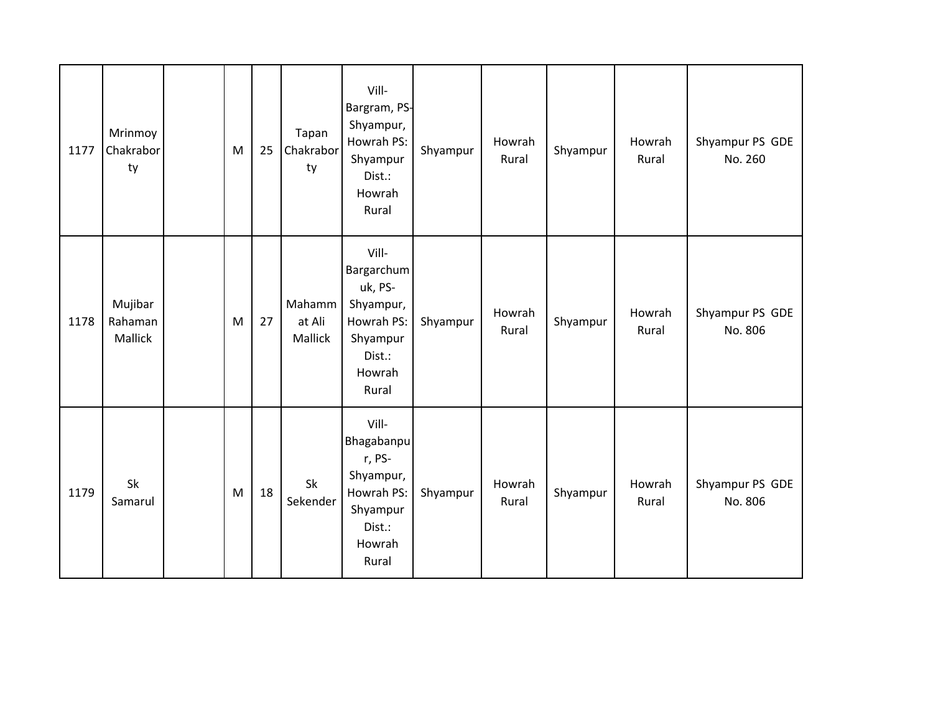| 1177 | Mrinmoy<br>Chakrabor<br>ty    | $\mathsf{M}% _{T}=\mathsf{M}_{T}\!\left( a,b\right) ,\ \mathsf{M}_{T}=\mathsf{M}_{T}\!\left( a,b\right) ,$ | 25 | Tapan<br>Chakrabor<br>ty    | Vill-<br>Bargram, PS-<br>Shyampur,<br>Howrah PS:<br>Shyampur<br>Dist.:<br>Howrah<br>Rural          | Shyampur | Howrah<br>Rural | Shyampur | Howrah<br>Rural | Shyampur PS GDE<br>No. 260 |
|------|-------------------------------|------------------------------------------------------------------------------------------------------------|----|-----------------------------|----------------------------------------------------------------------------------------------------|----------|-----------------|----------|-----------------|----------------------------|
| 1178 | Mujibar<br>Rahaman<br>Mallick | M                                                                                                          | 27 | Mahamm<br>at Ali<br>Mallick | Vill-<br>Bargarchum<br>uk, PS-<br>Shyampur,<br>Howrah PS:<br>Shyampur<br>Dist.:<br>Howrah<br>Rural | Shyampur | Howrah<br>Rural | Shyampur | Howrah<br>Rural | Shyampur PS GDE<br>No. 806 |
| 1179 | Sk<br>Samarul                 | M                                                                                                          | 18 | Sk<br>Sekender              | Vill-<br>Bhagabanpu<br>r, PS-<br>Shyampur,<br>Howrah PS:<br>Shyampur<br>Dist.:<br>Howrah<br>Rural  | Shyampur | Howrah<br>Rural | Shyampur | Howrah<br>Rural | Shyampur PS GDE<br>No. 806 |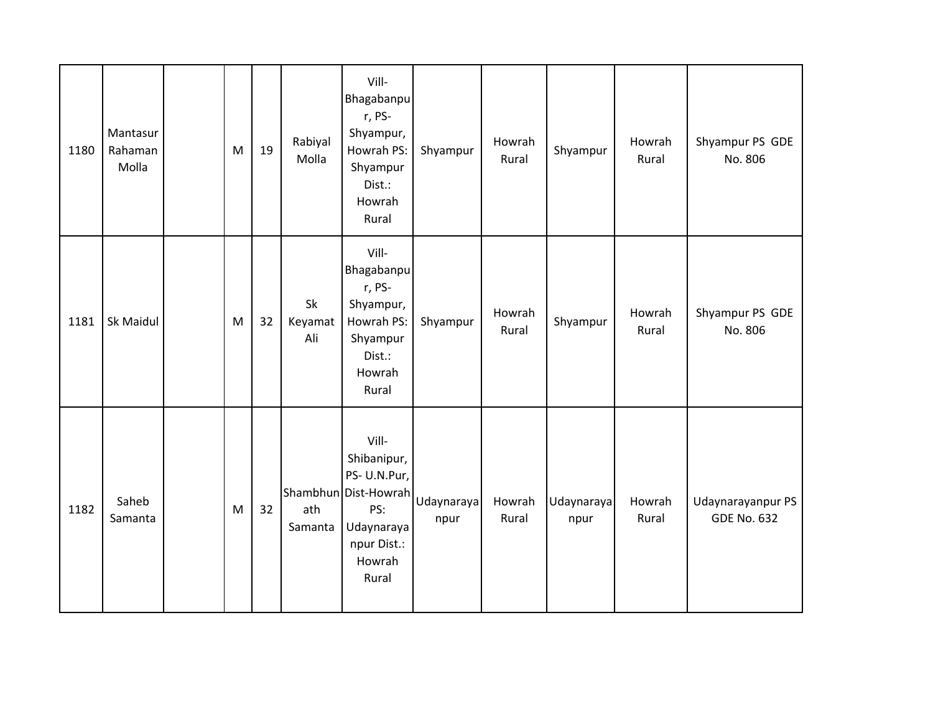| 1180 | Mantasur<br>Rahaman<br>Molla | M | 19 | Rabiyal<br>Molla     | Vill-<br>Bhagabanpu<br>r, PS-<br>Shyampur,<br>Howrah PS:<br>Shyampur<br>Dist.:<br>Howrah<br>Rural                             | Shyampur | Howrah<br>Rural | Shyampur           | Howrah<br>Rural | Shyampur PS GDE<br>No. 806              |
|------|------------------------------|---|----|----------------------|-------------------------------------------------------------------------------------------------------------------------------|----------|-----------------|--------------------|-----------------|-----------------------------------------|
| 1181 | Sk Maidul                    | M | 32 | Sk<br>Keyamat<br>Ali | Vill-<br>Bhagabanpu<br>r, PS-<br>Shyampur,<br>Howrah PS:<br>Shyampur<br>Dist.:<br>Howrah<br>Rural                             | Shyampur | Howrah<br>Rural | Shyampur           | Howrah<br>Rural | Shyampur PS GDE<br>No. 806              |
| 1182 | Saheb<br>Samanta             | M | 32 | ath<br>Samanta       | Vill-<br>Shibanipur,<br>PS-U.N.Pur,<br>Shambhun Dist-Howrah Udaynaraya<br>PS:<br>Udaynaraya<br>npur Dist.:<br>Howrah<br>Rural | npur     | Howrah<br>Rural | Udaynaraya<br>npur | Howrah<br>Rural | Udaynarayanpur PS<br><b>GDE No. 632</b> |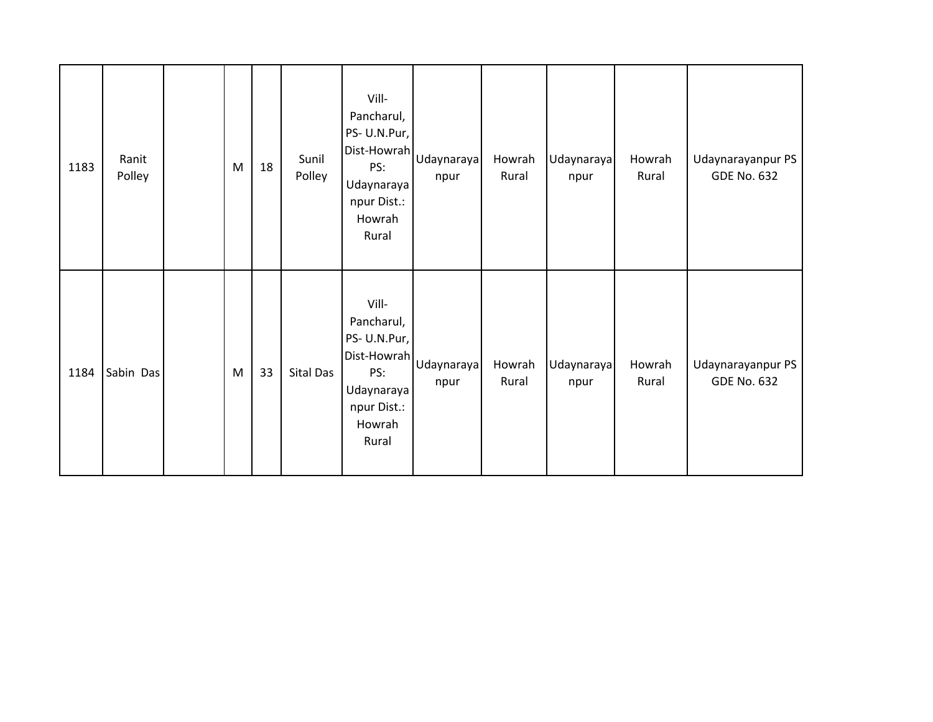| 1183 | Ranit<br>Polley | M | 18 | Sunil<br>Polley | Vill-<br>Pancharul,<br>PS-U.N.Pur,<br>Dist-Howrah Udaynaraya<br>Udaynaraya<br>npur Dist.:<br>Howrah<br>Rural | npur               | Howrah<br>Rural | Udaynaraya<br>npur | Howrah<br>Rural | Udaynarayanpur PS<br><b>GDE No. 632</b> |
|------|-----------------|---|----|-----------------|--------------------------------------------------------------------------------------------------------------|--------------------|-----------------|--------------------|-----------------|-----------------------------------------|
| 1184 | Sabin Das       | M | 33 | Sital Das       | Vill-<br>Pancharul,<br>PS-U.N.Pur,<br>Dist-Howrah<br>PS:<br>Udaynaraya<br>npur Dist.:<br>Howrah<br>Rural     | Udaynaraya<br>npur | Howrah<br>Rural | Udaynaraya<br>npur | Howrah<br>Rural | Udaynarayanpur PS<br><b>GDE No. 632</b> |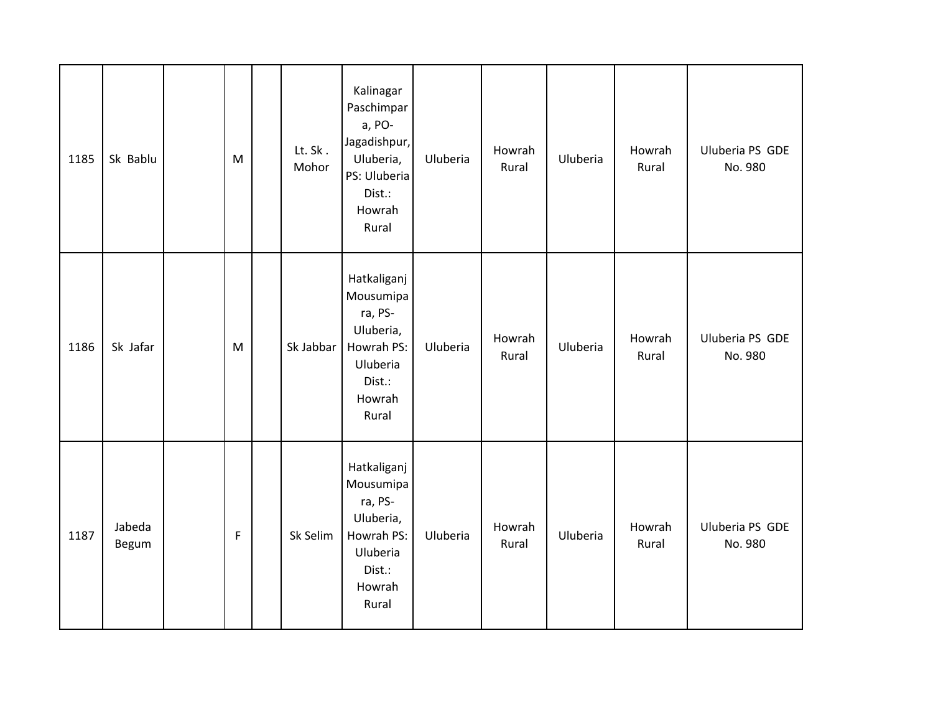| 1185 | Sk Bablu        | M           | Lt. Sk.<br>Mohor | Kalinagar<br>Paschimpar<br>a, PO-<br>Jagadishpur,<br>Uluberia,<br>PS: Uluberia<br>Dist.:<br>Howrah<br>Rural | Uluberia | Howrah<br>Rural | Uluberia | Howrah<br>Rural | Uluberia PS GDE<br>No. 980 |
|------|-----------------|-------------|------------------|-------------------------------------------------------------------------------------------------------------|----------|-----------------|----------|-----------------|----------------------------|
| 1186 | Sk Jafar        | M           | Sk Jabbar        | Hatkaliganj<br>Mousumipa<br>ra, PS-<br>Uluberia,<br>Howrah PS:<br>Uluberia<br>Dist.:<br>Howrah<br>Rural     | Uluberia | Howrah<br>Rural | Uluberia | Howrah<br>Rural | Uluberia PS GDE<br>No. 980 |
| 1187 | Jabeda<br>Begum | $\mathsf F$ | Sk Selim         | Hatkaliganj<br>Mousumipa<br>ra, PS-<br>Uluberia,<br>Howrah PS:<br>Uluberia<br>Dist.:<br>Howrah<br>Rural     | Uluberia | Howrah<br>Rural | Uluberia | Howrah<br>Rural | Uluberia PS GDE<br>No. 980 |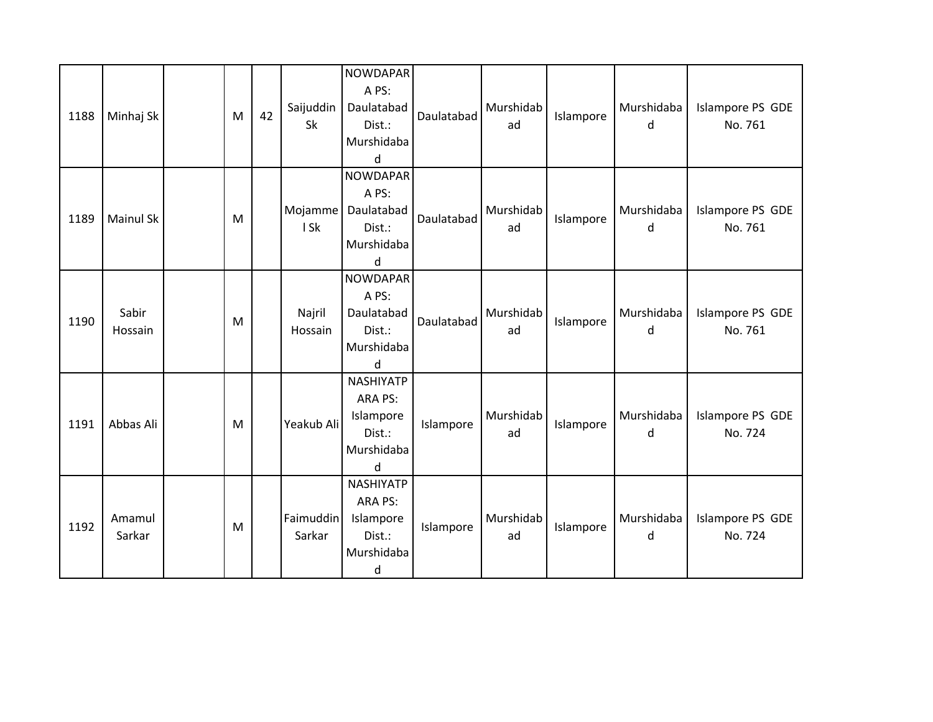| 1188 | Minhaj Sk        | M | 42 | Saijuddin<br>Sk     | <b>NOWDAPAR</b><br>A PS:<br>Daulatabad<br>Dist.:<br>Murshidaba<br>$\sf d$ | Daulatabad | Murshidab<br>ad | Islampore | Murshidaba<br>d | Islampore PS GDE<br>No. 761 |
|------|------------------|---|----|---------------------|---------------------------------------------------------------------------|------------|-----------------|-----------|-----------------|-----------------------------|
| 1189 | <b>Mainul Sk</b> | M |    | Mojamme<br>I Sk     | <b>NOWDAPAR</b><br>A PS:<br>Daulatabad<br>Dist.:<br>Murshidaba<br>d       | Daulatabad | Murshidab<br>ad | Islampore | Murshidaba<br>d | Islampore PS GDE<br>No. 761 |
| 1190 | Sabir<br>Hossain | M |    | Najril<br>Hossain   | <b>NOWDAPAR</b><br>A PS:<br>Daulatabad<br>Dist.:<br>Murshidaba<br>d       | Daulatabad | Murshidab<br>ad | Islampore | Murshidaba<br>d | Islampore PS GDE<br>No. 761 |
| 1191 | Abbas Ali        | M |    | Yeakub Ali          | <b>NASHIYATP</b><br>ARA PS:<br>Islampore<br>Dist.:<br>Murshidaba<br>d     | Islampore  | Murshidab<br>ad | Islampore | Murshidaba<br>d | Islampore PS GDE<br>No. 724 |
| 1192 | Amamul<br>Sarkar | M |    | Faimuddin<br>Sarkar | <b>NASHIYATP</b><br>ARA PS:<br>Islampore<br>Dist.:<br>Murshidaba<br>d     | Islampore  | Murshidab<br>ad | Islampore | Murshidaba<br>d | Islampore PS GDE<br>No. 724 |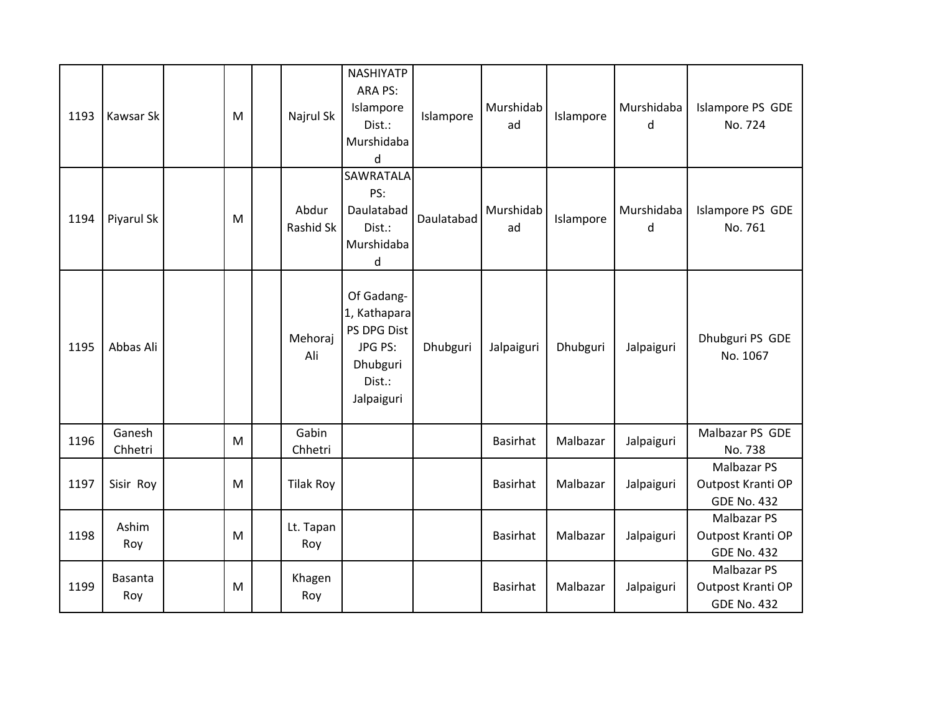| 1193 | Kawsar Sk         | ${\sf M}$ | Najrul Sk          | <b>NASHIYATP</b><br>ARA PS:<br>Islampore<br>Dist.:<br>Murshidaba<br>d                    | Islampore  | Murshidab<br>ad | Islampore | Murshidaba<br>d | Islampore PS GDE<br>No. 724                                   |
|------|-------------------|-----------|--------------------|------------------------------------------------------------------------------------------|------------|-----------------|-----------|-----------------|---------------------------------------------------------------|
| 1194 | Piyarul Sk        | M         | Abdur<br>Rashid Sk | <b>SAWRATALA</b><br>PS:<br>Daulatabad<br>Dist.:<br>Murshidaba<br>d                       | Daulatabad | Murshidab<br>ad | Islampore | Murshidaba<br>d | Islampore PS GDE<br>No. 761                                   |
| 1195 | Abbas Ali         |           | Mehoraj<br>Ali     | Of Gadang-<br>1, Kathapara<br>PS DPG Dist<br>JPG PS:<br>Dhubguri<br>Dist.:<br>Jalpaiguri | Dhubguri   | Jalpaiguri      | Dhubguri  | Jalpaiguri      | Dhubguri PS GDE<br>No. 1067                                   |
| 1196 | Ganesh<br>Chhetri | M         | Gabin<br>Chhetri   |                                                                                          |            | <b>Basirhat</b> | Malbazar  | Jalpaiguri      | Malbazar PS GDE<br>No. 738                                    |
| 1197 | Sisir Roy         | M         | <b>Tilak Roy</b>   |                                                                                          |            | <b>Basirhat</b> | Malbazar  | Jalpaiguri      | <b>Malbazar PS</b><br>Outpost Kranti OP<br><b>GDE No. 432</b> |
| 1198 | Ashim<br>Roy      | M         | Lt. Tapan<br>Roy   |                                                                                          |            | <b>Basirhat</b> | Malbazar  | Jalpaiguri      | Malbazar PS<br>Outpost Kranti OP<br><b>GDE No. 432</b>        |
| 1199 | Basanta<br>Roy    | M         | Khagen<br>Roy      |                                                                                          |            | <b>Basirhat</b> | Malbazar  | Jalpaiguri      | <b>Malbazar PS</b><br>Outpost Kranti OP<br><b>GDE No. 432</b> |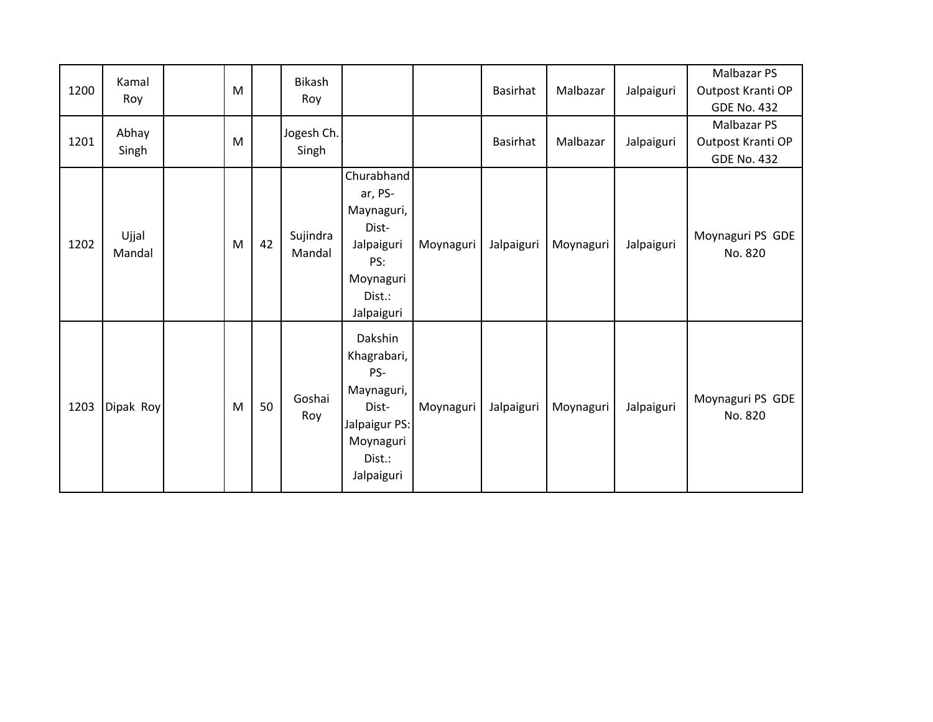| 1200 | Kamal<br>Roy    | M |    | Bikash<br>Roy       |                                                                                                            |           | Basirhat   | Malbazar  | Jalpaiguri | Malbazar PS<br>Outpost Kranti OP<br><b>GDE No. 432</b> |
|------|-----------------|---|----|---------------------|------------------------------------------------------------------------------------------------------------|-----------|------------|-----------|------------|--------------------------------------------------------|
| 1201 | Abhay<br>Singh  | M |    | Jogesh Ch.<br>Singh |                                                                                                            |           | Basirhat   | Malbazar  | Jalpaiguri | Malbazar PS<br>Outpost Kranti OP<br><b>GDE No. 432</b> |
| 1202 | Ujjal<br>Mandal | M | 42 | Sujindra<br>Mandal  | Churabhand<br>ar, PS-<br>Maynaguri,<br>Dist-<br>Jalpaiguri<br>PS:<br>Moynaguri<br>Dist.:<br>Jalpaiguri     | Moynaguri | Jalpaiguri | Moynaguri | Jalpaiguri | Moynaguri PS GDE<br>No. 820                            |
| 1203 | Dipak Roy       | M | 50 | Goshai<br>Roy       | Dakshin<br>Khagrabari,<br>PS-<br>Maynaguri,<br>Dist-<br>Jalpaigur PS:<br>Moynaguri<br>Dist.:<br>Jalpaiguri | Moynaguri | Jalpaiguri | Moynaguri | Jalpaiguri | Moynaguri PS GDE<br>No. 820                            |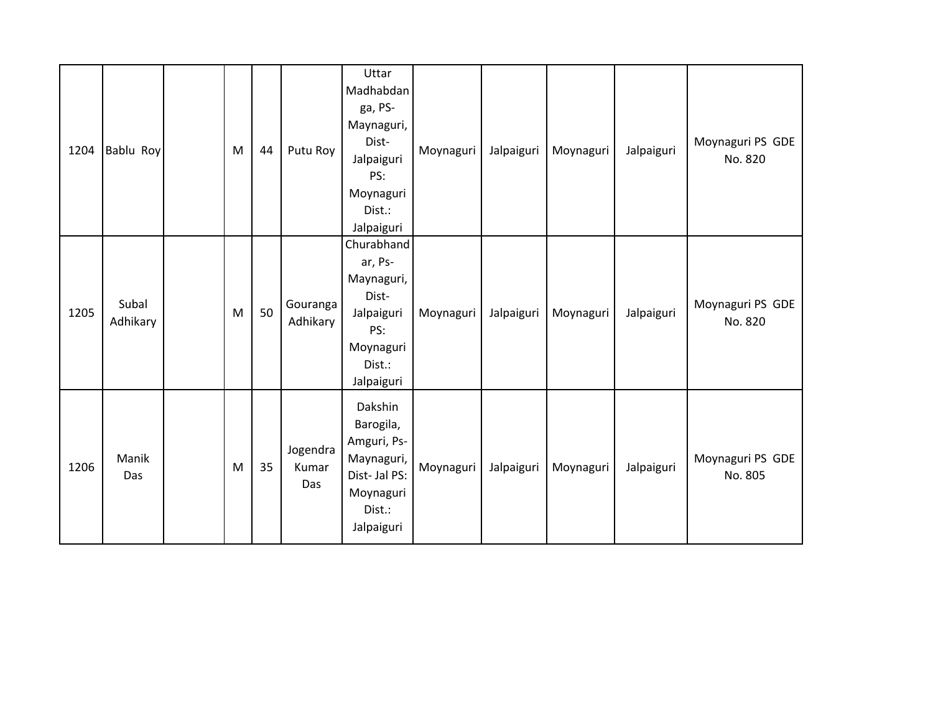| 1204 | Bablu Roy         | M         | 44 | Putu Roy                 | Uttar<br>Madhabdan<br>ga, PS-<br>Maynaguri,<br>Dist-<br>Jalpaiguri<br>PS:<br>Moynaguri<br>Dist.:<br>Jalpaiguri | Moynaguri | Jalpaiguri | Moynaguri | Jalpaiguri | Moynaguri PS GDE<br>No. 820 |
|------|-------------------|-----------|----|--------------------------|----------------------------------------------------------------------------------------------------------------|-----------|------------|-----------|------------|-----------------------------|
| 1205 | Subal<br>Adhikary | ${\sf M}$ | 50 | Gouranga<br>Adhikary     | Churabhand<br>ar, Ps-<br>Maynaguri,<br>Dist-<br>Jalpaiguri<br>PS:<br>Moynaguri<br>Dist.:<br>Jalpaiguri         | Moynaguri | Jalpaiguri | Moynaguri | Jalpaiguri | Moynaguri PS GDE<br>No. 820 |
| 1206 | Manik<br>Das      | M         | 35 | Jogendra<br>Kumar<br>Das | Dakshin<br>Barogila,<br>Amguri, Ps-<br>Maynaguri,<br>Dist-Jal PS:<br>Moynaguri<br>Dist.:<br>Jalpaiguri         | Moynaguri | Jalpaiguri | Moynaguri | Jalpaiguri | Moynaguri PS GDE<br>No. 805 |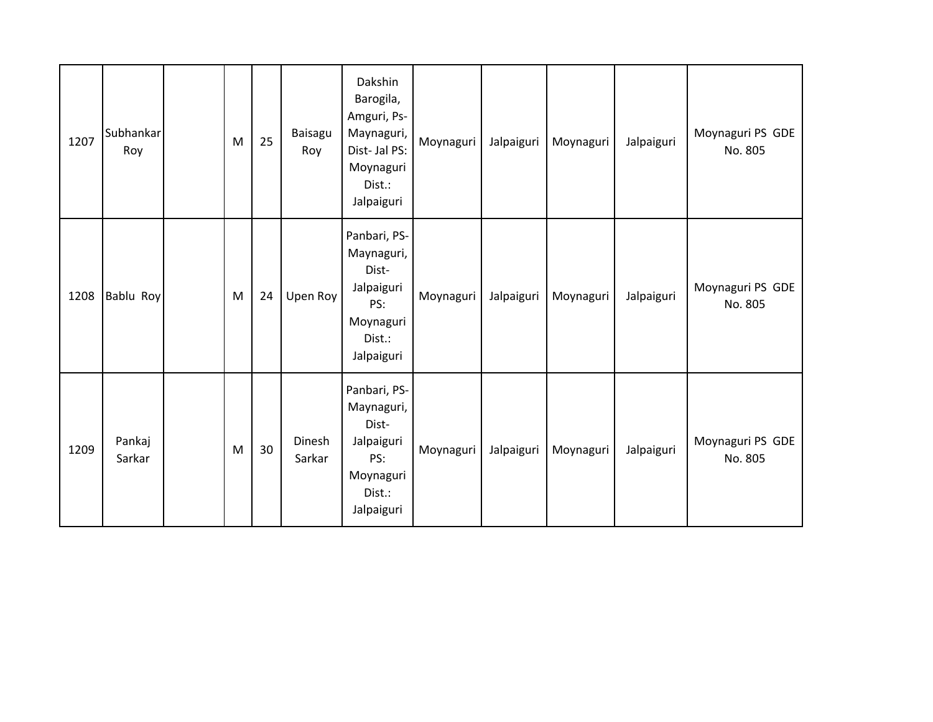| 1207 | Subhankar<br>Roy | M         | 25 | Baisagu<br>Roy   | Dakshin<br>Barogila,<br>Amguri, Ps-<br>Maynaguri,<br>Dist-Jal PS:<br>Moynaguri<br>Dist.:<br>Jalpaiguri | Moynaguri | Jalpaiguri | Moynaguri | Jalpaiguri | Moynaguri PS GDE<br>No. 805 |
|------|------------------|-----------|----|------------------|--------------------------------------------------------------------------------------------------------|-----------|------------|-----------|------------|-----------------------------|
| 1208 | Bablu Roy        | ${\sf M}$ | 24 | Upen Roy         | Panbari, PS-<br>Maynaguri,<br>Dist-<br>Jalpaiguri<br>PS:<br>Moynaguri<br>Dist.:<br>Jalpaiguri          | Moynaguri | Jalpaiguri | Moynaguri | Jalpaiguri | Moynaguri PS GDE<br>No. 805 |
| 1209 | Pankaj<br>Sarkar | M         | 30 | Dinesh<br>Sarkar | Panbari, PS-<br>Maynaguri,<br>Dist-<br>Jalpaiguri<br>PS:<br>Moynaguri<br>Dist.:<br>Jalpaiguri          | Moynaguri | Jalpaiguri | Moynaguri | Jalpaiguri | Moynaguri PS GDE<br>No. 805 |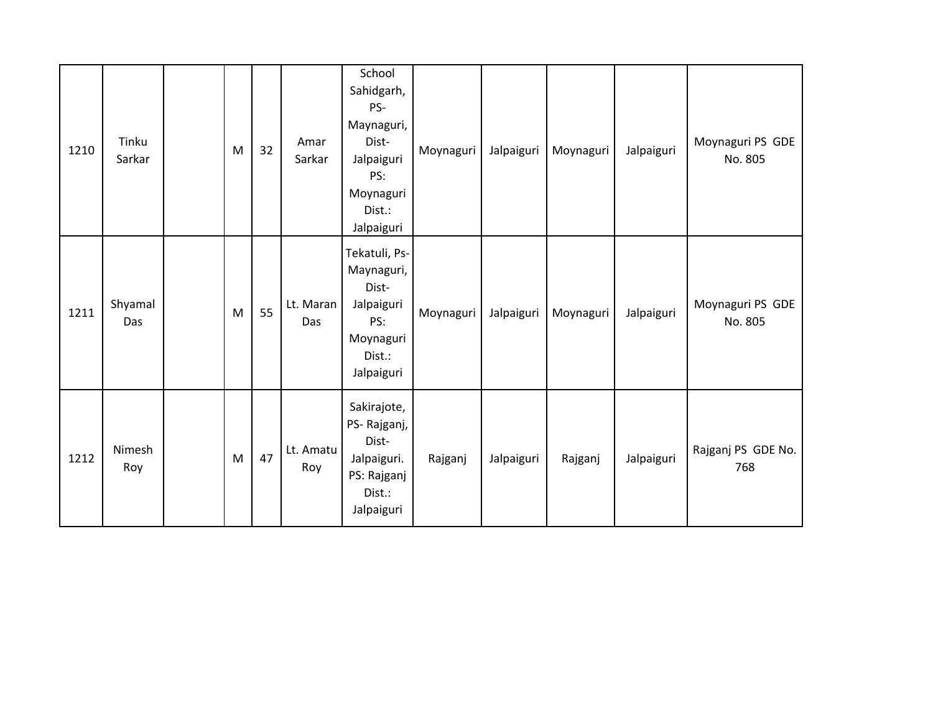| 1210 | Tinku<br>Sarkar | M | 32 | Amar<br>Sarkar   | School<br>Sahidgarh,<br>PS-<br>Maynaguri,<br>Dist-<br>Jalpaiguri<br>PS:<br>Moynaguri<br>Dist.:<br>Jalpaiguri | Moynaguri | Jalpaiguri | Moynaguri | Jalpaiguri | Moynaguri PS GDE<br>No. 805 |
|------|-----------------|---|----|------------------|--------------------------------------------------------------------------------------------------------------|-----------|------------|-----------|------------|-----------------------------|
| 1211 | Shyamal<br>Das  | M | 55 | Lt. Maran<br>Das | Tekatuli, Ps-<br>Maynaguri,<br>Dist-<br>Jalpaiguri<br>PS:<br>Moynaguri<br>Dist.:<br>Jalpaiguri               | Moynaguri | Jalpaiguri | Moynaguri | Jalpaiguri | Moynaguri PS GDE<br>No. 805 |
| 1212 | Nimesh<br>Roy   | M | 47 | Lt. Amatu<br>Roy | Sakirajote,<br>PS-Rajganj,<br>Dist-<br>Jalpaiguri.<br>PS: Rajganj<br>Dist.:<br>Jalpaiguri                    | Rajganj   | Jalpaiguri | Rajganj   | Jalpaiguri | Rajganj PS GDE No.<br>768   |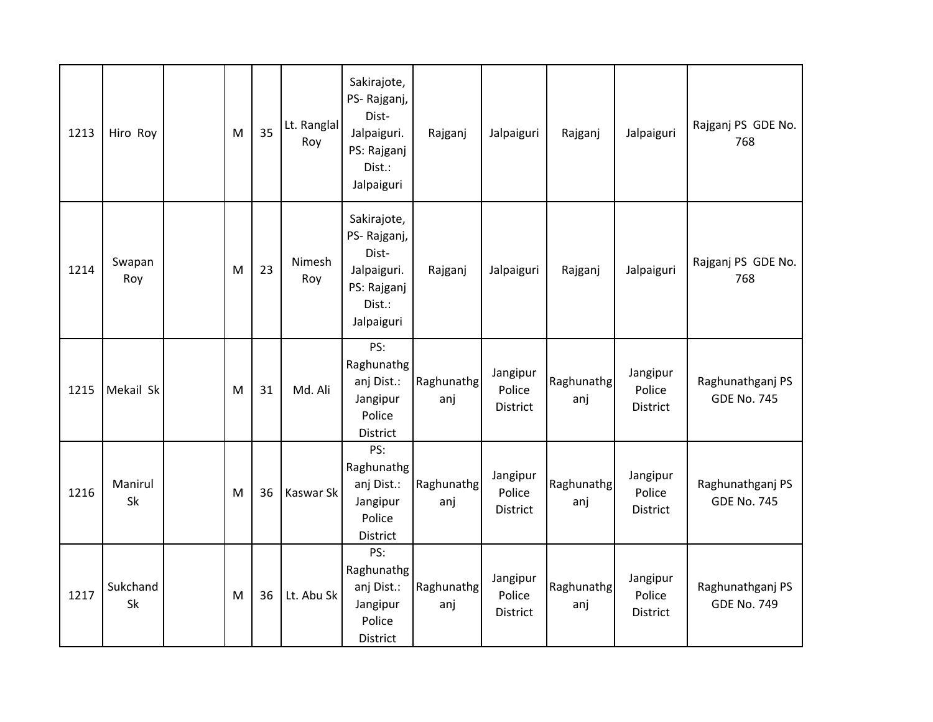| 1213 | Hiro Roy       | M | 35 | Lt. Ranglal<br>Roy | Sakirajote,<br>PS-Rajganj,<br>Dist-<br>Jalpaiguri.<br>PS: Rajganj<br>Dist.:<br>Jalpaiguri | Rajganj           | Jalpaiguri                            | Rajganj           | Jalpaiguri                     | Rajganj PS GDE No.<br>768              |
|------|----------------|---|----|--------------------|-------------------------------------------------------------------------------------------|-------------------|---------------------------------------|-------------------|--------------------------------|----------------------------------------|
| 1214 | Swapan<br>Roy  | M | 23 | Nimesh<br>Roy      | Sakirajote,<br>PS-Rajganj,<br>Dist-<br>Jalpaiguri.<br>PS: Rajganj<br>Dist.:<br>Jalpaiguri | Rajganj           | Jalpaiguri                            | Rajganj           | Jalpaiguri                     | Rajganj PS GDE No.<br>768              |
| 1215 | Mekail Sk      | M | 31 | Md. Ali            | PS:<br>Raghunathg<br>anj Dist.:<br>Jangipur<br>Police<br>District                         | Raghunathg<br>anj | Jangipur<br>Police<br>District        | Raghunathg<br>anj | Jangipur<br>Police<br>District | Raghunathganj PS<br><b>GDE No. 745</b> |
| 1216 | Manirul<br>Sk  | M | 36 | Kaswar Sk          | PS:<br>Raghunathg<br>anj Dist.:<br>Jangipur<br>Police<br>District                         | Raghunathg<br>anj | Jangipur<br>Police<br><b>District</b> | Raghunathg<br>anj | Jangipur<br>Police<br>District | Raghunathganj PS<br><b>GDE No. 745</b> |
| 1217 | Sukchand<br>Sk | M | 36 | Lt. Abu Sk         | PS:<br>Raghunathg<br>anj Dist.:<br>Jangipur<br>Police<br>District                         | Raghunathg<br>anj | Jangipur<br>Police<br><b>District</b> | Raghunathg<br>anj | Jangipur<br>Police<br>District | Raghunathganj PS<br><b>GDE No. 749</b> |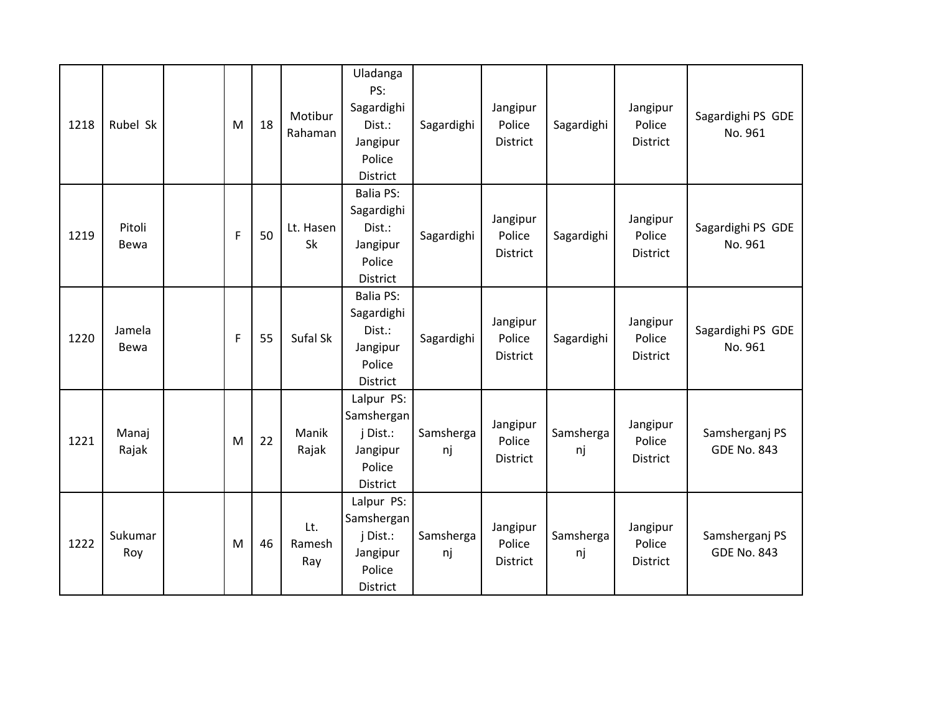| 1218 | Rubel Sk       | M | 18 | Motibur<br>Rahaman     | Uladanga<br>PS:<br>Sagardighi<br>Dist.:<br>Jangipur<br>Police<br>District         | Sagardighi      | Jangipur<br>Police<br><b>District</b> | Sagardighi      | Jangipur<br>Police<br><b>District</b> | Sagardighi PS GDE<br>No. 961         |
|------|----------------|---|----|------------------------|-----------------------------------------------------------------------------------|-----------------|---------------------------------------|-----------------|---------------------------------------|--------------------------------------|
| 1219 | Pitoli<br>Bewa | F | 50 | Lt. Hasen<br><b>Sk</b> | <b>Balia PS:</b><br>Sagardighi<br>Dist.:<br>Jangipur<br>Police<br><b>District</b> | Sagardighi      | Jangipur<br>Police<br><b>District</b> | Sagardighi      | Jangipur<br>Police<br><b>District</b> | Sagardighi PS GDE<br>No. 961         |
| 1220 | Jamela<br>Bewa | F | 55 | Sufal Sk               | <b>Balia PS:</b><br>Sagardighi<br>Dist.:<br>Jangipur<br>Police<br>District        | Sagardighi      | Jangipur<br>Police<br><b>District</b> | Sagardighi      | Jangipur<br>Police<br><b>District</b> | Sagardighi PS GDE<br>No. 961         |
| 1221 | Manaj<br>Rajak | M | 22 | Manik<br>Rajak         | Lalpur PS:<br>Samshergan<br>j Dist.:<br>Jangipur<br>Police<br>District            | Samsherga<br>nj | Jangipur<br>Police<br><b>District</b> | Samsherga<br>nj | Jangipur<br>Police<br>District        | Samsherganj PS<br><b>GDE No. 843</b> |
| 1222 | Sukumar<br>Roy | M | 46 | Lt.<br>Ramesh<br>Ray   | Lalpur PS:<br>Samshergan<br>j Dist.:<br>Jangipur<br>Police<br>District            | Samsherga<br>nj | Jangipur<br>Police<br>District        | Samsherga<br>nj | Jangipur<br>Police<br>District        | Samsherganj PS<br><b>GDE No. 843</b> |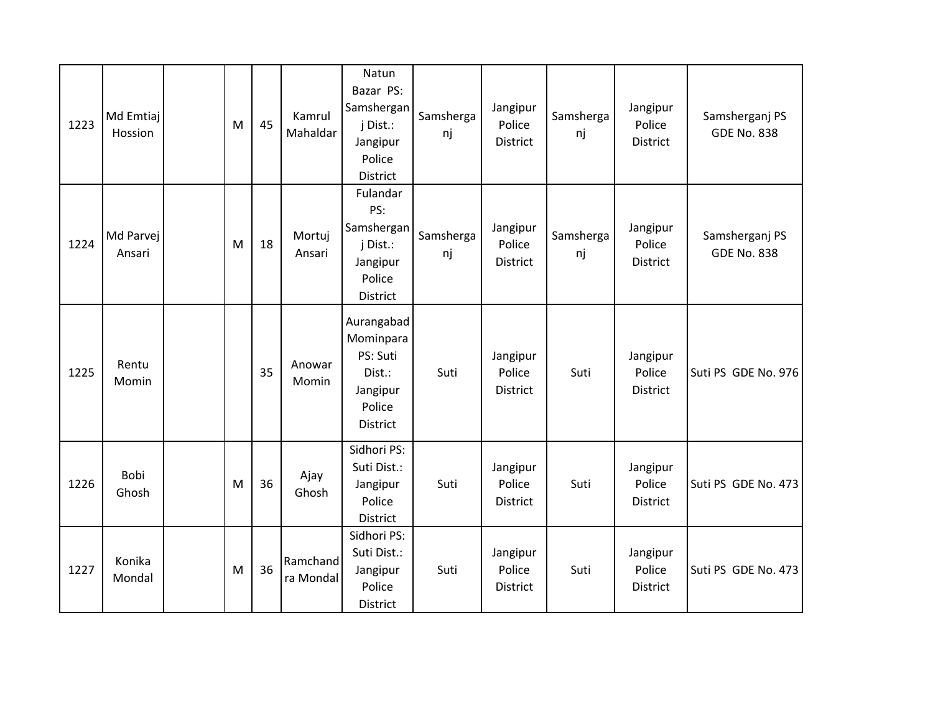| 1223 | Md Emtiaj<br>Hossion | M | 45 | Kamrul<br>Mahaldar    | Natun<br>Bazar PS:<br>Samshergan<br>j Dist.:<br>Jangipur<br>Police<br><b>District</b> | Samsherga<br>nj | Jangipur<br>Police<br><b>District</b> | Samsherga<br>nj | Jangipur<br>Police<br><b>District</b> | Samsherganj PS<br><b>GDE No. 838</b> |
|------|----------------------|---|----|-----------------------|---------------------------------------------------------------------------------------|-----------------|---------------------------------------|-----------------|---------------------------------------|--------------------------------------|
| 1224 | Md Parvej<br>Ansari  | M | 18 | Mortuj<br>Ansari      | Fulandar<br>PS:<br>Samshergan<br>j Dist.:<br>Jangipur<br>Police<br>District           | Samsherga<br>nj | Jangipur<br>Police<br><b>District</b> | Samsherga<br>nj | Jangipur<br>Police<br><b>District</b> | Samsherganj PS<br><b>GDE No. 838</b> |
| 1225 | Rentu<br>Momin       |   | 35 | Anowar<br>Momin       | Aurangabad<br>Mominpara<br>PS: Suti<br>Dist.:<br>Jangipur<br>Police<br>District       | Suti            | Jangipur<br>Police<br><b>District</b> | Suti            | Jangipur<br>Police<br><b>District</b> | Suti PS GDE No. 976                  |
| 1226 | Bobi<br>Ghosh        | M | 36 | Ajay<br>Ghosh         | Sidhori PS:<br>Suti Dist.:<br>Jangipur<br>Police<br><b>District</b>                   | Suti            | Jangipur<br>Police<br>District        | Suti            | Jangipur<br>Police<br>District        | Suti PS GDE No. 473                  |
| 1227 | Konika<br>Mondal     | M | 36 | Ramchand<br>ra Mondal | Sidhori PS:<br>Suti Dist.:<br>Jangipur<br>Police<br>District                          | Suti            | Jangipur<br>Police<br><b>District</b> | Suti            | Jangipur<br>Police<br><b>District</b> | Suti PS GDE No. 473                  |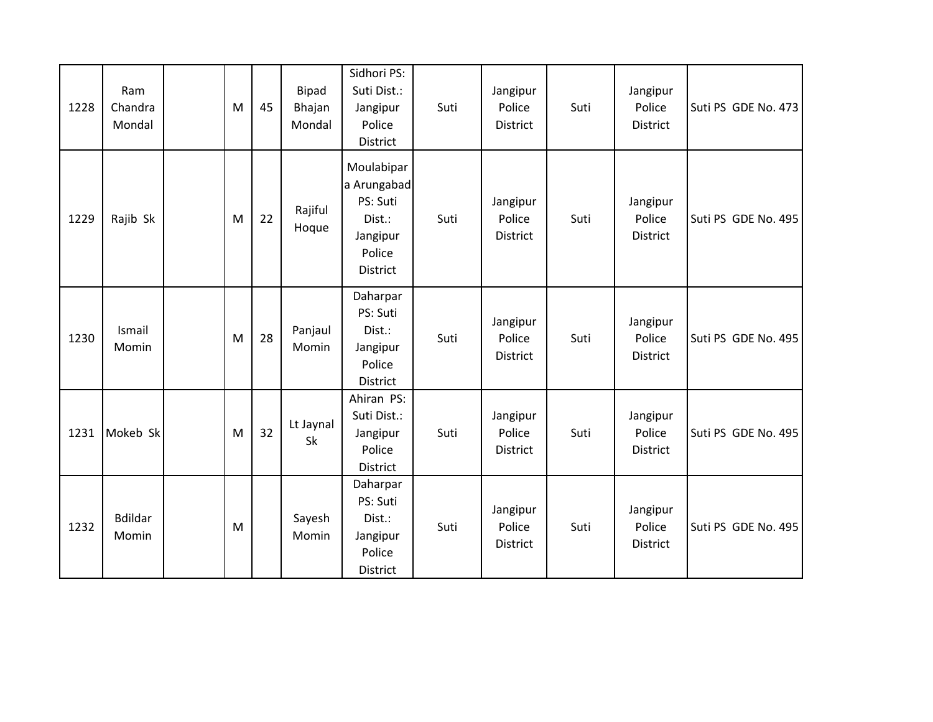| 1228 | Ram<br>Chandra<br>Mondal | M | 45 | <b>Bipad</b><br>Bhajan<br>Mondal | Sidhori PS:<br>Suti Dist.:<br>Jangipur<br>Police<br>District                      | Suti | Jangipur<br>Police<br><b>District</b> | Suti | Jangipur<br>Police<br>District | Suti PS GDE No. 473 |
|------|--------------------------|---|----|----------------------------------|-----------------------------------------------------------------------------------|------|---------------------------------------|------|--------------------------------|---------------------|
| 1229 | Rajib Sk                 | M | 22 | Rajiful<br>Hoque                 | Moulabipar<br>a Arungabad<br>PS: Suti<br>Dist.:<br>Jangipur<br>Police<br>District | Suti | Jangipur<br>Police<br><b>District</b> | Suti | Jangipur<br>Police<br>District | Suti PS GDE No. 495 |
| 1230 | Ismail<br>Momin          | M | 28 | Panjaul<br>Momin                 | Daharpar<br>PS: Suti<br>Dist.:<br>Jangipur<br>Police<br>District                  | Suti | Jangipur<br>Police<br><b>District</b> | Suti | Jangipur<br>Police<br>District | Suti PS GDE No. 495 |
| 1231 | Mokeb Sk                 | M | 32 | Lt Jaynal<br>Sk                  | Ahiran PS:<br>Suti Dist.:<br>Jangipur<br>Police<br>District                       | Suti | Jangipur<br>Police<br><b>District</b> | Suti | Jangipur<br>Police<br>District | Suti PS GDE No. 495 |
| 1232 | <b>Bdildar</b><br>Momin  | M |    | Sayesh<br>Momin                  | Daharpar<br>PS: Suti<br>Dist.:<br>Jangipur<br>Police<br>District                  | Suti | Jangipur<br>Police<br><b>District</b> | Suti | Jangipur<br>Police<br>District | Suti PS GDE No. 495 |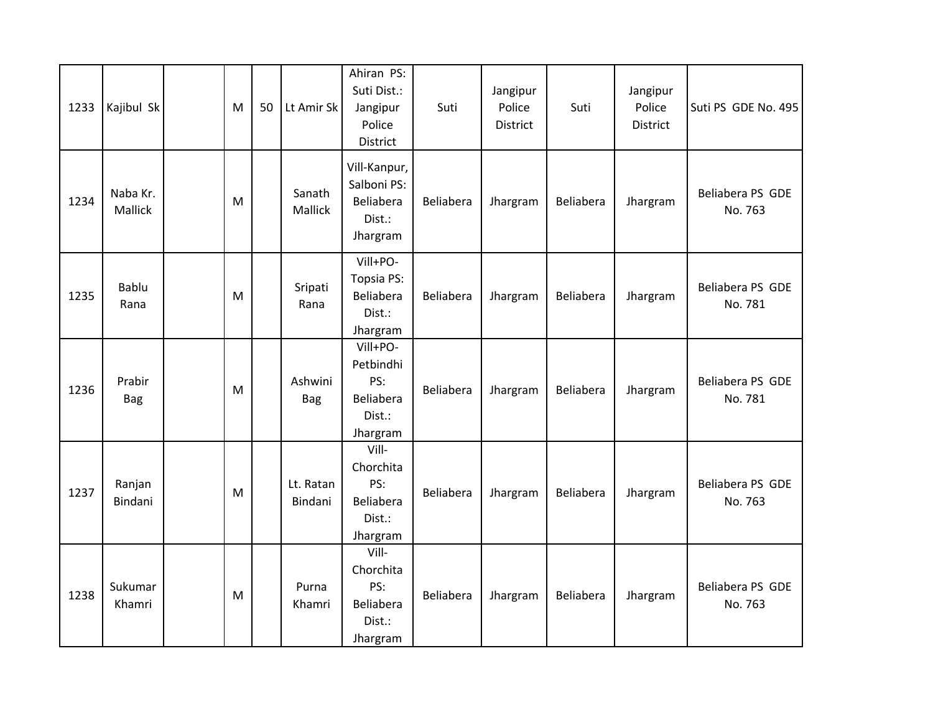| 1233 | Kajibul Sk           | M | 50 | Lt Amir Sk               | Ahiran PS:<br>Suti Dist.:<br>Jangipur<br>Police<br>District     | Suti      | Jangipur<br>Police<br>District | Suti      | Jangipur<br>Police<br>District | Suti PS GDE No. 495         |
|------|----------------------|---|----|--------------------------|-----------------------------------------------------------------|-----------|--------------------------------|-----------|--------------------------------|-----------------------------|
| 1234 | Naba Kr.<br>Mallick  | M |    | Sanath<br><b>Mallick</b> | Vill-Kanpur,<br>Salboni PS:<br>Beliabera<br>Dist.:<br>Jhargram  | Beliabera | Jhargram                       | Beliabera | Jhargram                       | Beliabera PS GDE<br>No. 763 |
| 1235 | Bablu<br>Rana        | M |    | Sripati<br>Rana          | Vill+PO-<br>Topsia PS:<br>Beliabera<br>Dist.:<br>Jhargram       | Beliabera | Jhargram                       | Beliabera | Jhargram                       | Beliabera PS GDE<br>No. 781 |
| 1236 | Prabir<br><b>Bag</b> | M |    | Ashwini<br>Bag           | Vill+PO-<br>Petbindhi<br>PS:<br>Beliabera<br>Dist.:<br>Jhargram | Beliabera | Jhargram                       | Beliabera | Jhargram                       | Beliabera PS GDE<br>No. 781 |
| 1237 | Ranjan<br>Bindani    | M |    | Lt. Ratan<br>Bindani     | Vill-<br>Chorchita<br>PS:<br>Beliabera<br>Dist.:<br>Jhargram    | Beliabera | Jhargram                       | Beliabera | Jhargram                       | Beliabera PS GDE<br>No. 763 |
| 1238 | Sukumar<br>Khamri    | M |    | Purna<br>Khamri          | Vill-<br>Chorchita<br>PS:<br>Beliabera<br>Dist.:<br>Jhargram    | Beliabera | Jhargram                       | Beliabera | Jhargram                       | Beliabera PS GDE<br>No. 763 |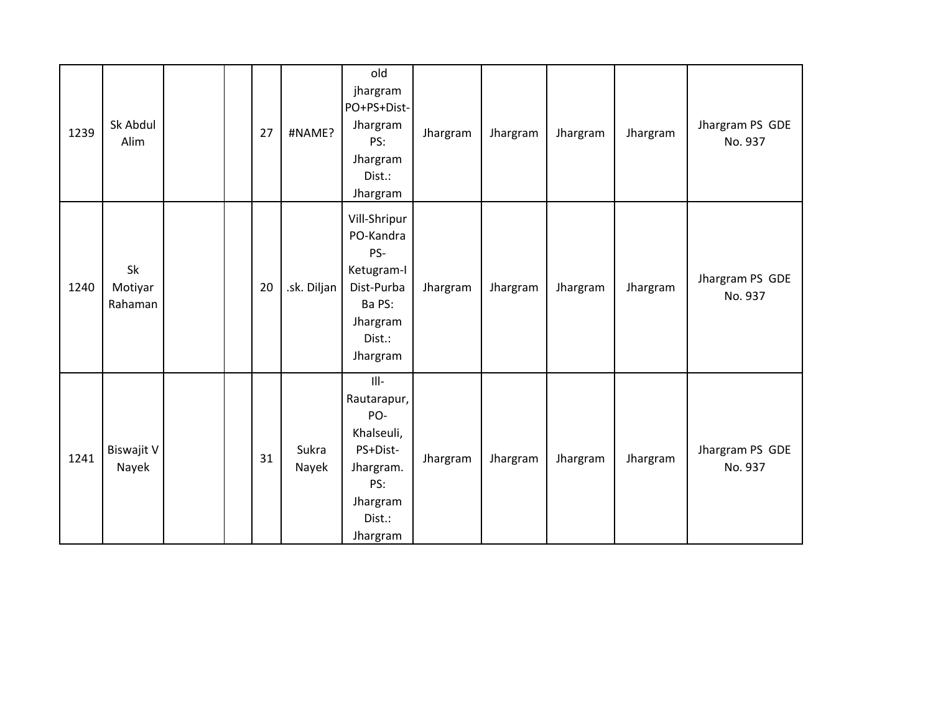| 1239 | Sk Abdul<br>Alim           |  | 27 | #NAME?         | old<br>jhargram<br>PO+PS+Dist-<br>Jhargram<br>PS:<br>Jhargram<br>Dist.:<br>Jhargram                      | Jhargram | Jhargram | Jhargram | Jhargram | Jhargram PS GDE<br>No. 937 |
|------|----------------------------|--|----|----------------|----------------------------------------------------------------------------------------------------------|----------|----------|----------|----------|----------------------------|
| 1240 | Sk<br>Motiyar<br>Rahaman   |  | 20 | .sk. Diljan    | Vill-Shripur<br>PO-Kandra<br>PS-<br>Ketugram-I<br>Dist-Purba<br>Ba PS:<br>Jhargram<br>Dist.:<br>Jhargram | Jhargram | Jhargram | Jhargram | Jhargram | Jhargram PS GDE<br>No. 937 |
| 1241 | <b>Biswajit V</b><br>Nayek |  | 31 | Sukra<br>Nayek | <br>Rautarapur,<br>PO-<br>Khalseuli,<br>PS+Dist-<br>Jhargram.<br>PS:<br>Jhargram<br>Dist.:<br>Jhargram   | Jhargram | Jhargram | Jhargram | Jhargram | Jhargram PS GDE<br>No. 937 |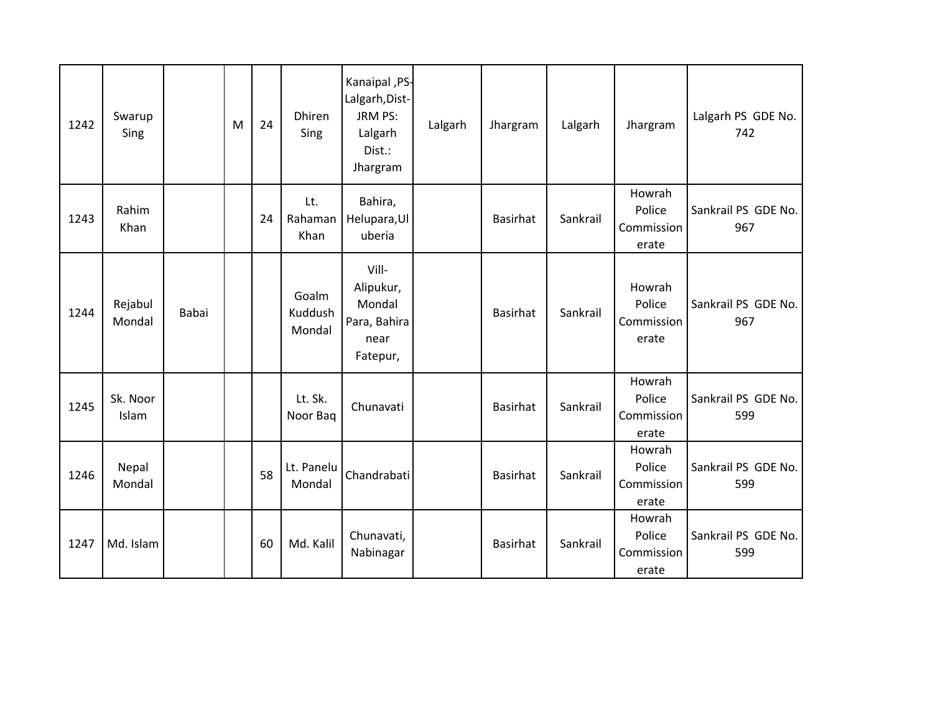| 1242 | Swarup<br>Sing    |       | M | 24 | <b>Dhiren</b><br>Sing      | Kanaipal, PS-<br>Lalgarh, Dist-<br>JRM PS:<br>Lalgarh<br>Dist.:<br>Jhargram | Lalgarh | Jhargram        | Lalgarh  | Jhargram                                | Lalgarh PS GDE No.<br>742  |
|------|-------------------|-------|---|----|----------------------------|-----------------------------------------------------------------------------|---------|-----------------|----------|-----------------------------------------|----------------------------|
| 1243 | Rahim<br>Khan     |       |   | 24 | Lt.<br>Rahaman<br>Khan     | Bahira,<br>Helupara, Ul<br>uberia                                           |         | <b>Basirhat</b> | Sankrail | Howrah<br>Police<br>Commission<br>erate | Sankrail PS GDE No.<br>967 |
| 1244 | Rejabul<br>Mondal | Babai |   |    | Goalm<br>Kuddush<br>Mondal | Vill-<br>Alipukur,<br>Mondal<br>Para, Bahira<br>near<br>Fatepur,            |         | <b>Basirhat</b> | Sankrail | Howrah<br>Police<br>Commission<br>erate | Sankrail PS GDE No.<br>967 |
| 1245 | Sk. Noor<br>Islam |       |   |    | Lt. Sk.<br>Noor Bag        | Chunavati                                                                   |         | <b>Basirhat</b> | Sankrail | Howrah<br>Police<br>Commission<br>erate | Sankrail PS GDE No.<br>599 |
| 1246 | Nepal<br>Mondal   |       |   | 58 | Lt. Panelu<br>Mondal       | Chandrabati                                                                 |         | <b>Basirhat</b> | Sankrail | Howrah<br>Police<br>Commission<br>erate | Sankrail PS GDE No.<br>599 |
| 1247 | Md. Islam         |       |   | 60 | Md. Kalil                  | Chunavati,<br>Nabinagar                                                     |         | <b>Basirhat</b> | Sankrail | Howrah<br>Police<br>Commission<br>erate | Sankrail PS GDE No.<br>599 |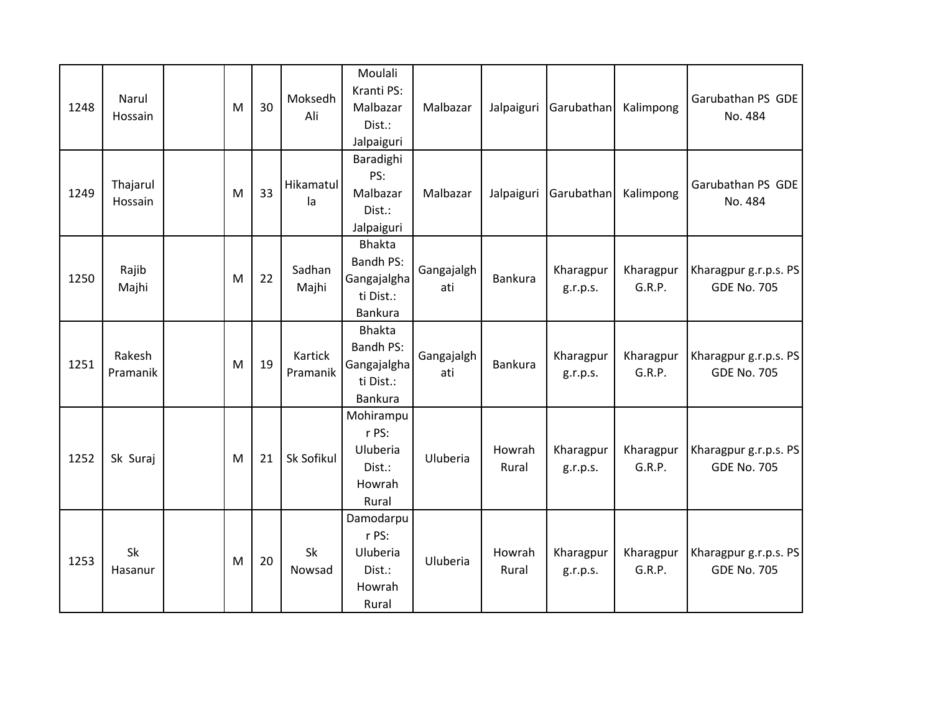| 1248 | Narul<br>Hossain    | M | 30 | Moksedh<br>Ali      | Moulali<br>Kranti PS:<br>Malbazar<br>Dist.:<br>Jalpaiguri                | Malbazar          | Jalpaiguri      | Garubathan            | Kalimpong           | Garubathan PS GDE<br>No. 484                |
|------|---------------------|---|----|---------------------|--------------------------------------------------------------------------|-------------------|-----------------|-----------------------|---------------------|---------------------------------------------|
| 1249 | Thajarul<br>Hossain | M | 33 | Hikamatul<br>la     | Baradighi<br>PS:<br>Malbazar<br>Dist.:<br>Jalpaiguri                     | Malbazar          | Jalpaiguri      | Garubathan            | Kalimpong           | Garubathan PS GDE<br>No. 484                |
| 1250 | Rajib<br>Majhi      | M | 22 | Sadhan<br>Majhi     | <b>Bhakta</b><br><b>Bandh PS:</b><br>Gangajalgha<br>ti Dist.:<br>Bankura | Gangajalgh<br>ati | <b>Bankura</b>  | Kharagpur<br>g.r.p.s. | Kharagpur<br>G.R.P. | Kharagpur g.r.p.s. PS<br><b>GDE No. 705</b> |
| 1251 | Rakesh<br>Pramanik  | M | 19 | Kartick<br>Pramanik | <b>Bhakta</b><br><b>Bandh PS:</b><br>Gangajalgha<br>ti Dist.:<br>Bankura | Gangajalgh<br>ati | Bankura         | Kharagpur<br>g.r.p.s. | Kharagpur<br>G.R.P. | Kharagpur g.r.p.s. PS<br><b>GDE No. 705</b> |
| 1252 | Sk Suraj            | M | 21 | Sk Sofikul          | Mohirampu<br>r PS:<br>Uluberia<br>Dist.:<br>Howrah<br>Rural              | Uluberia          | Howrah<br>Rural | Kharagpur<br>g.r.p.s. | Kharagpur<br>G.R.P. | Kharagpur g.r.p.s. PS<br><b>GDE No. 705</b> |
| 1253 | Sk<br>Hasanur       | M | 20 | Sk<br>Nowsad        | Damodarpu<br>r PS:<br>Uluberia<br>Dist.:<br>Howrah<br>Rural              | Uluberia          | Howrah<br>Rural | Kharagpur<br>g.r.p.s. | Kharagpur<br>G.R.P. | Kharagpur g.r.p.s. PS<br><b>GDE No. 705</b> |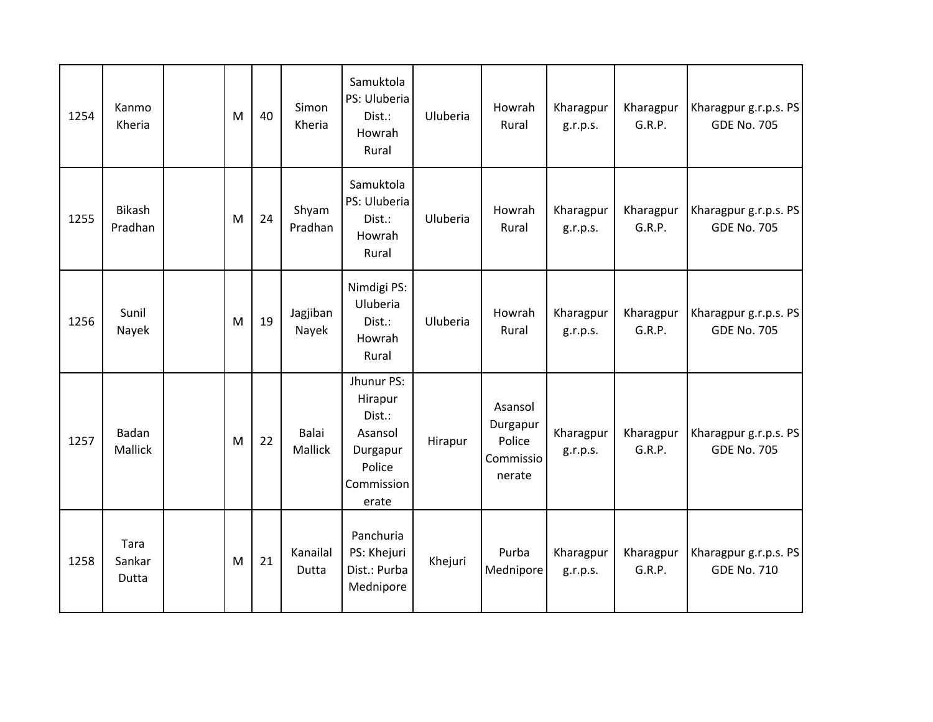| 1254 | Kanmo<br>Kheria          | M | 40 | Simon<br>Kheria         | Samuktola<br>PS: Uluberia<br>Dist.:<br>Howrah<br>Rural                                  | Uluberia | Howrah<br>Rural                                      | Kharagpur<br>g.r.p.s. | Kharagpur<br>G.R.P. | Kharagpur g.r.p.s. PS<br><b>GDE No. 705</b> |
|------|--------------------------|---|----|-------------------------|-----------------------------------------------------------------------------------------|----------|------------------------------------------------------|-----------------------|---------------------|---------------------------------------------|
| 1255 | <b>Bikash</b><br>Pradhan | M | 24 | Shyam<br>Pradhan        | Samuktola<br>PS: Uluberia<br>Dist.:<br>Howrah<br>Rural                                  | Uluberia | Howrah<br>Rural                                      | Kharagpur<br>g.r.p.s. | Kharagpur<br>G.R.P. | Kharagpur g.r.p.s. PS<br><b>GDE No. 705</b> |
| 1256 | Sunil<br>Nayek           | M | 19 | Jagjiban<br>Nayek       | Nimdigi PS:<br>Uluberia<br>Dist.:<br>Howrah<br>Rural                                    | Uluberia | Howrah<br>Rural                                      | Kharagpur<br>g.r.p.s. | Kharagpur<br>G.R.P. | Kharagpur g.r.p.s. PS<br><b>GDE No. 705</b> |
| 1257 | Badan<br>Mallick         | M | 22 | <b>Balai</b><br>Mallick | Jhunur PS:<br>Hirapur<br>Dist.:<br>Asansol<br>Durgapur<br>Police<br>Commission<br>erate | Hirapur  | Asansol<br>Durgapur<br>Police<br>Commissio<br>nerate | Kharagpur<br>g.r.p.s. | Kharagpur<br>G.R.P. | Kharagpur g.r.p.s. PS<br><b>GDE No. 705</b> |
| 1258 | Tara<br>Sankar<br>Dutta  | M | 21 | Kanailal<br>Dutta       | Panchuria<br>PS: Khejuri<br>Dist.: Purba<br>Mednipore                                   | Khejuri  | Purba<br>Mednipore                                   | Kharagpur<br>g.r.p.s. | Kharagpur<br>G.R.P. | Kharagpur g.r.p.s. PS<br><b>GDE No. 710</b> |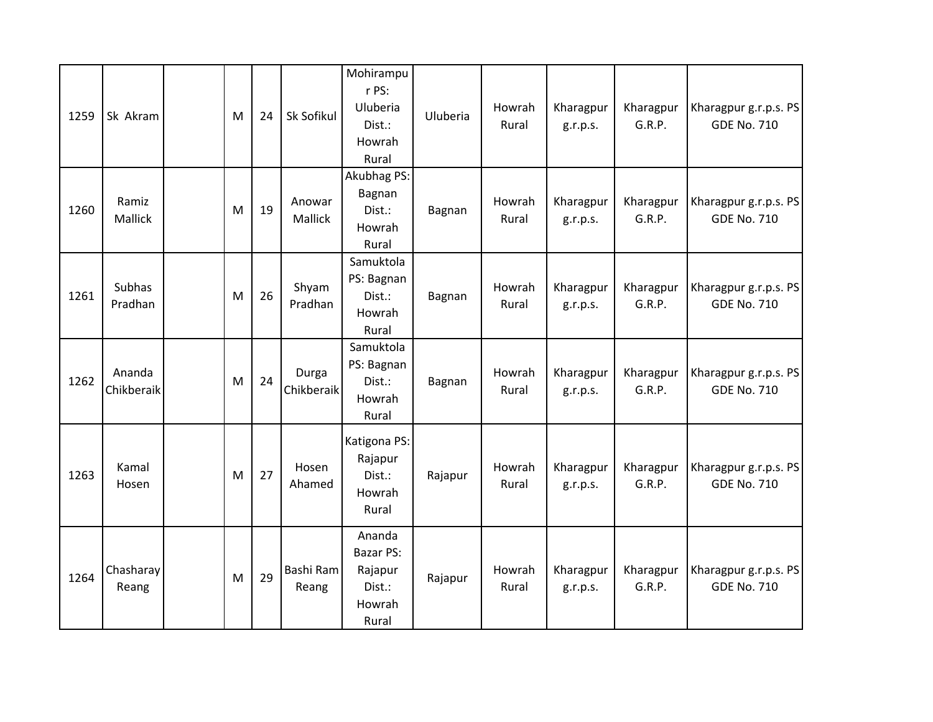| 1259 | Sk Akram             | M | 24 | Sk Sofikul          | Mohirampu<br>r PS:<br>Uluberia<br>Dist.:<br>Howrah<br>Rural        | Uluberia | Howrah<br>Rural | Kharagpur<br>g.r.p.s. | Kharagpur<br>G.R.P. | Kharagpur g.r.p.s. PS<br><b>GDE No. 710</b> |
|------|----------------------|---|----|---------------------|--------------------------------------------------------------------|----------|-----------------|-----------------------|---------------------|---------------------------------------------|
| 1260 | Ramiz<br>Mallick     | M | 19 | Anowar<br>Mallick   | Akubhag PS:<br>Bagnan<br>Dist.:<br>Howrah<br>Rural                 | Bagnan   | Howrah<br>Rural | Kharagpur<br>g.r.p.s. | Kharagpur<br>G.R.P. | Kharagpur g.r.p.s. PS<br><b>GDE No. 710</b> |
| 1261 | Subhas<br>Pradhan    | M | 26 | Shyam<br>Pradhan    | Samuktola<br>PS: Bagnan<br>Dist.:<br>Howrah<br>Rural               | Bagnan   | Howrah<br>Rural | Kharagpur<br>g.r.p.s. | Kharagpur<br>G.R.P. | Kharagpur g.r.p.s. PS<br><b>GDE No. 710</b> |
| 1262 | Ananda<br>Chikberaik | M | 24 | Durga<br>Chikberaik | Samuktola<br>PS: Bagnan<br>Dist.:<br>Howrah<br>Rural               | Bagnan   | Howrah<br>Rural | Kharagpur<br>g.r.p.s. | Kharagpur<br>G.R.P. | Kharagpur g.r.p.s. PS<br><b>GDE No. 710</b> |
| 1263 | Kamal<br>Hosen       | M | 27 | Hosen<br>Ahamed     | Katigona PS:<br>Rajapur<br>Dist.:<br>Howrah<br>Rural               | Rajapur  | Howrah<br>Rural | Kharagpur<br>g.r.p.s. | Kharagpur<br>G.R.P. | Kharagpur g.r.p.s. PS<br><b>GDE No. 710</b> |
| 1264 | Chasharay<br>Reang   | M | 29 | Bashi Ram<br>Reang  | Ananda<br><b>Bazar PS:</b><br>Rajapur<br>Dist.:<br>Howrah<br>Rural | Rajapur  | Howrah<br>Rural | Kharagpur<br>g.r.p.s. | Kharagpur<br>G.R.P. | Kharagpur g.r.p.s. PS<br><b>GDE No. 710</b> |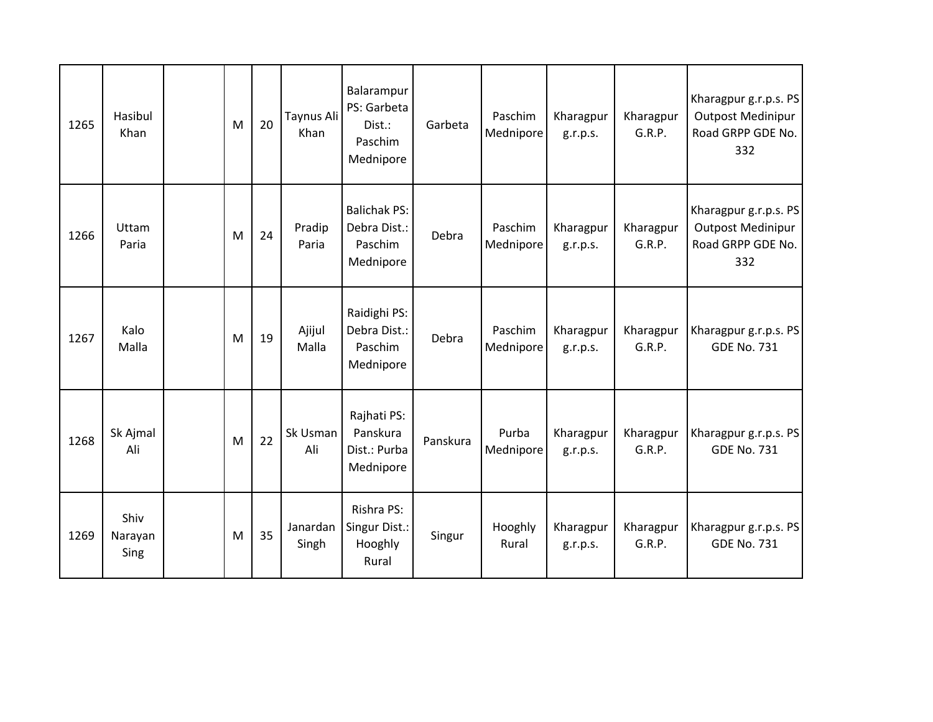| 1265 | Hasibul<br>Khan         | M | 20 | Taynus Ali<br>Khan | Balarampur<br>PS: Garbeta<br>Dist.:<br>Paschim<br>Mednipore | Garbeta  | Paschim<br>Mednipore | Kharagpur<br>g.r.p.s. | Kharagpur<br>G.R.P. | Kharagpur g.r.p.s. PS<br><b>Outpost Medinipur</b><br>Road GRPP GDE No.<br>332 |
|------|-------------------------|---|----|--------------------|-------------------------------------------------------------|----------|----------------------|-----------------------|---------------------|-------------------------------------------------------------------------------|
| 1266 | Uttam<br>Paria          | M | 24 | Pradip<br>Paria    | <b>Balichak PS:</b><br>Debra Dist.:<br>Paschim<br>Mednipore | Debra    | Paschim<br>Mednipore | Kharagpur<br>g.r.p.s. | Kharagpur<br>G.R.P. | Kharagpur g.r.p.s. PS<br><b>Outpost Medinipur</b><br>Road GRPP GDE No.<br>332 |
| 1267 | Kalo<br>Malla           | M | 19 | Ajijul<br>Malla    | Raidighi PS:<br>Debra Dist.:<br>Paschim<br>Mednipore        | Debra    | Paschim<br>Mednipore | Kharagpur<br>g.r.p.s. | Kharagpur<br>G.R.P. | Kharagpur g.r.p.s. PS<br><b>GDE No. 731</b>                                   |
| 1268 | Sk Ajmal<br>Ali         | M | 22 | Sk Usman<br>Ali    | Rajhati PS:<br>Panskura<br>Dist.: Purba<br>Mednipore        | Panskura | Purba<br>Mednipore   | Kharagpur<br>g.r.p.s. | Kharagpur<br>G.R.P. | Kharagpur g.r.p.s. PS<br><b>GDE No. 731</b>                                   |
| 1269 | Shiv<br>Narayan<br>Sing | M | 35 | Janardan<br>Singh  | Rishra PS:<br>Singur Dist.:<br>Hooghly<br>Rural             | Singur   | Hooghly<br>Rural     | Kharagpur<br>g.r.p.s. | Kharagpur<br>G.R.P. | Kharagpur g.r.p.s. PS<br><b>GDE No. 731</b>                                   |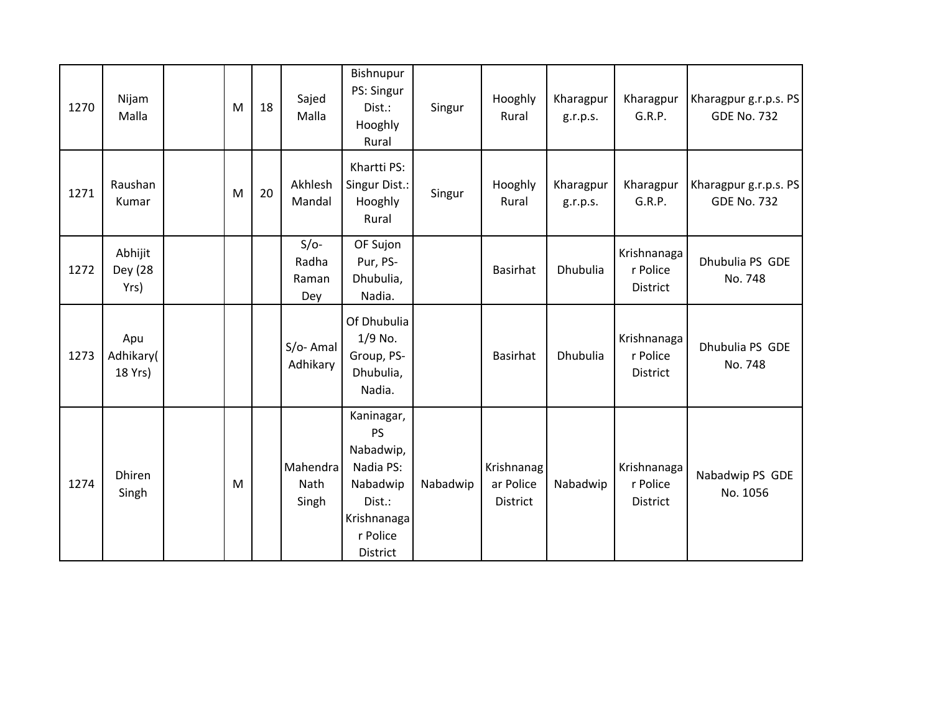| 1270 | Nijam<br>Malla              | M | 18 | Sajed<br>Malla                  | Bishnupur<br>PS: Singur<br>Dist.:<br>Hooghly<br>Rural                                                          | Singur   | Hooghly<br>Rural                    | Kharagpur<br>g.r.p.s. | Kharagpur<br>G.R.P.                 | Kharagpur g.r.p.s. PS<br><b>GDE No. 732</b> |
|------|-----------------------------|---|----|---------------------------------|----------------------------------------------------------------------------------------------------------------|----------|-------------------------------------|-----------------------|-------------------------------------|---------------------------------------------|
| 1271 | Raushan<br>Kumar            | M | 20 | Akhlesh<br>Mandal               | Khartti PS:<br>Singur Dist.:<br>Hooghly<br>Rural                                                               | Singur   | Hooghly<br>Rural                    | Kharagpur<br>g.r.p.s. | Kharagpur<br>G.R.P.                 | Kharagpur g.r.p.s. PS<br><b>GDE No. 732</b> |
| 1272 | Abhijit<br>Dey (28<br>Yrs)  |   |    | $S/O-$<br>Radha<br>Raman<br>Dey | OF Sujon<br>Pur, PS-<br>Dhubulia,<br>Nadia.                                                                    |          | <b>Basirhat</b>                     | Dhubulia              | Krishnanaga<br>r Police<br>District | Dhubulia PS GDE<br>No. 748                  |
| 1273 | Apu<br>Adhikary(<br>18 Yrs) |   |    | $S/O-$ Amal<br>Adhikary         | Of Dhubulia<br>1/9 No.<br>Group, PS-<br>Dhubulia,<br>Nadia.                                                    |          | <b>Basirhat</b>                     | Dhubulia              | Krishnanaga<br>r Police<br>District | Dhubulia PS GDE<br>No. 748                  |
| 1274 | <b>Dhiren</b><br>Singh      | M |    | Mahendra<br>Nath<br>Singh       | Kaninagar,<br><b>PS</b><br>Nabadwip,<br>Nadia PS:<br>Nabadwip<br>Dist.:<br>Krishnanaga<br>r Police<br>District | Nabadwip | Krishnanag<br>ar Police<br>District | Nabadwip              | Krishnanaga<br>r Police<br>District | Nabadwip PS GDE<br>No. 1056                 |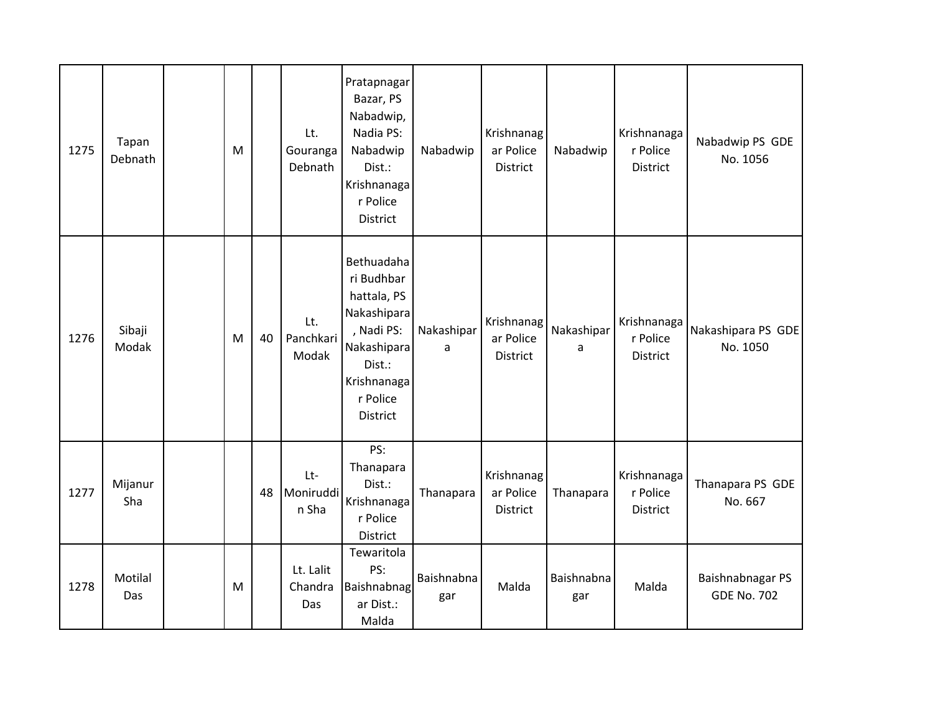| 1275 | Tapan<br>Debnath | M |    | Lt.<br>Gouranga<br>Debnath  | Pratapnagar<br>Bazar, PS<br>Nabadwip,<br>Nadia PS:<br>Nabadwip<br>Dist.:<br>Krishnanaga<br>r Police<br>District                      | Nabadwip          | Krishnanag<br>ar Police<br>District | Nabadwip          | Krishnanaga<br>r Police<br><b>District</b> | Nabadwip PS GDE<br>No. 1056            |
|------|------------------|---|----|-----------------------------|--------------------------------------------------------------------------------------------------------------------------------------|-------------------|-------------------------------------|-------------------|--------------------------------------------|----------------------------------------|
| 1276 | Sibaji<br>Modak  | M | 40 | Lt.<br>Panchkari<br>Modak   | Bethuadaha<br>ri Budhbar<br>hattala, PS<br>Nakashipara<br>, Nadi PS:<br>Nakashipara<br>Dist.:<br>Krishnanaga<br>r Police<br>District | Nakashipar<br>a   | Krishnanag<br>ar Police<br>District | Nakashipar<br>a   | Krishnanaga<br>r Police<br>District        | Nakashipara PS GDE<br>No. 1050         |
| 1277 | Mijanur<br>Sha   |   | 48 | Lt-<br>Moniruddi<br>n Sha   | PS:<br>Thanapara<br>Dist.:<br>Krishnanaga<br>r Police<br>District                                                                    | Thanapara         | Krishnanag<br>ar Police<br>District | Thanapara         | Krishnanaga<br>r Police<br>District        | Thanapara PS GDE<br>No. 667            |
| 1278 | Motilal<br>Das   | M |    | Lt. Lalit<br>Chandra<br>Das | Tewaritola<br>PS:<br>Baishnabnag<br>ar Dist.:<br>Malda                                                                               | Baishnabna<br>gar | Malda                               | Baishnabna<br>gar | Malda                                      | Baishnabnagar PS<br><b>GDE No. 702</b> |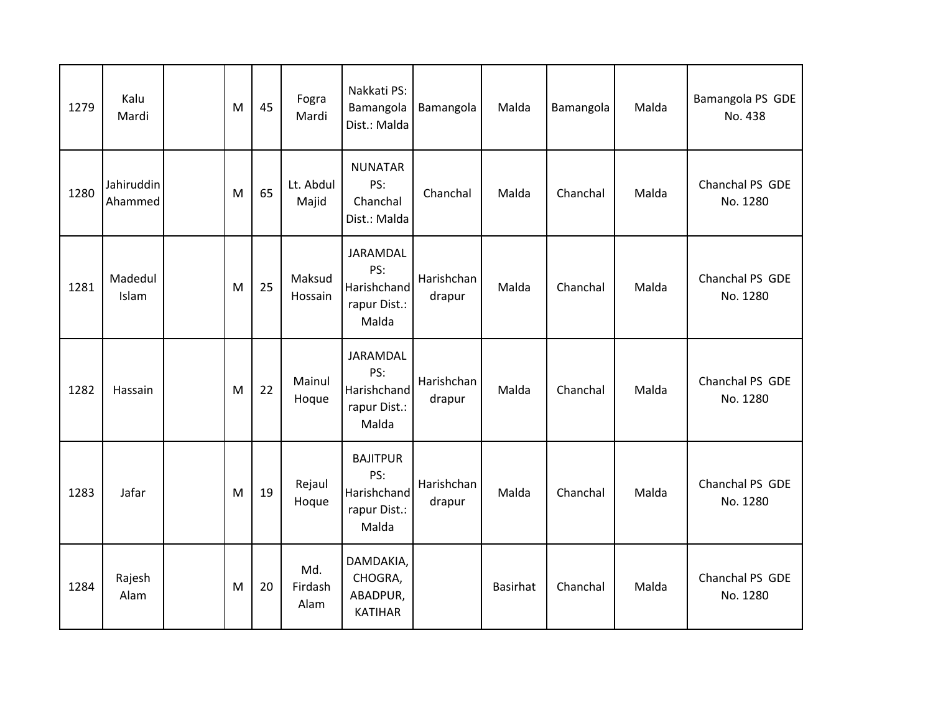| 1279 | Kalu<br>Mardi         | M | 45 | Fogra<br>Mardi         | Nakkati PS:<br>Bamangola<br>Dist.: Malda                       | Bamangola            | Malda    | Bamangola | Malda | Bamangola PS GDE<br>No. 438 |
|------|-----------------------|---|----|------------------------|----------------------------------------------------------------|----------------------|----------|-----------|-------|-----------------------------|
| 1280 | Jahiruddin<br>Ahammed | M | 65 | Lt. Abdul<br>Majid     | <b>NUNATAR</b><br>PS:<br>Chanchal<br>Dist.: Malda              | Chanchal             | Malda    | Chanchal  | Malda | Chanchal PS GDE<br>No. 1280 |
| 1281 | Madedul<br>Islam      | M | 25 | Maksud<br>Hossain      | JARAMDAL<br>PS:<br>Harishchand<br>rapur Dist.:<br>Malda        | Harishchan<br>drapur | Malda    | Chanchal  | Malda | Chanchal PS GDE<br>No. 1280 |
| 1282 | Hassain               | M | 22 | Mainul<br>Hoque        | JARAMDAL<br>PS:<br>Harishchand<br>rapur Dist.:<br>Malda        | Harishchan<br>drapur | Malda    | Chanchal  | Malda | Chanchal PS GDE<br>No. 1280 |
| 1283 | Jafar                 | M | 19 | Rejaul<br>Hoque        | <b>BAJITPUR</b><br>PS:<br>Harishchand<br>rapur Dist.:<br>Malda | Harishchan<br>drapur | Malda    | Chanchal  | Malda | Chanchal PS GDE<br>No. 1280 |
| 1284 | Rajesh<br>Alam        | M | 20 | Md.<br>Firdash<br>Alam | DAMDAKIA,<br>CHOGRA,<br>ABADPUR,<br><b>KATIHAR</b>             |                      | Basirhat | Chanchal  | Malda | Chanchal PS GDE<br>No. 1280 |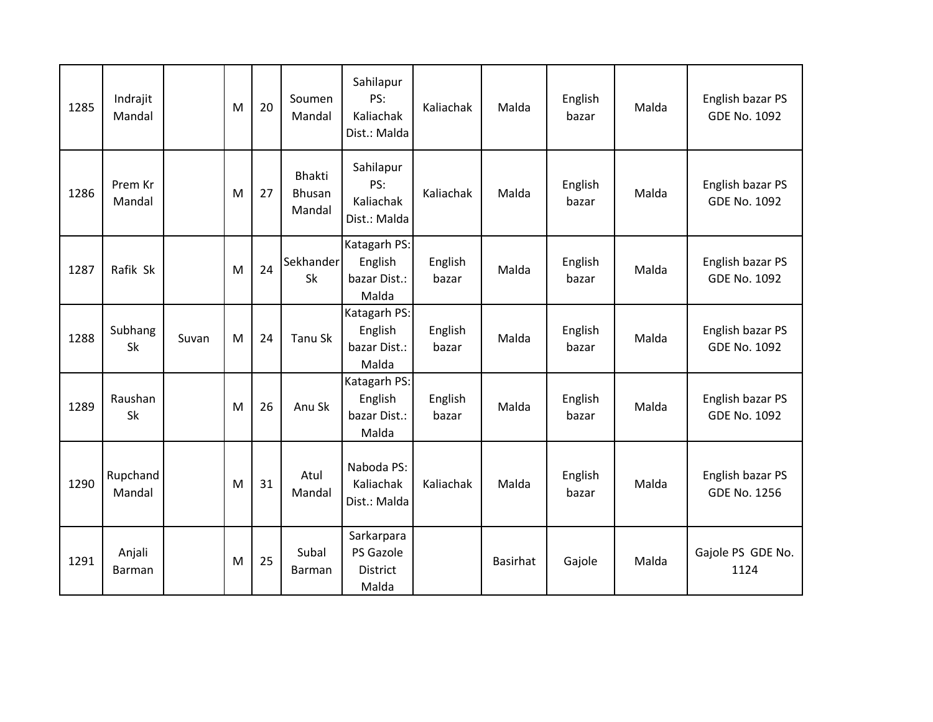| 1285 | Indrajit<br>Mandal      |       | M | 20 | Soumen<br>Mandal                  | Sahilapur<br>PS:<br>Kaliachak<br>Dist.: Malda       | Kaliachak        | Malda           | English<br>bazar | Malda | English bazar PS<br><b>GDE No. 1092</b> |
|------|-------------------------|-------|---|----|-----------------------------------|-----------------------------------------------------|------------------|-----------------|------------------|-------|-----------------------------------------|
| 1286 | Prem Kr<br>Mandal       |       | M | 27 | Bhakti<br><b>Bhusan</b><br>Mandal | Sahilapur<br>PS:<br>Kaliachak<br>Dist.: Malda       | Kaliachak        | Malda           | English<br>bazar | Malda | English bazar PS<br><b>GDE No. 1092</b> |
| 1287 | Rafik Sk                |       | M | 24 | Sekhander<br>Sk                   | Katagarh PS:<br>English<br>bazar Dist.:<br>Malda    | English<br>bazar | Malda           | English<br>bazar | Malda | English bazar PS<br><b>GDE No. 1092</b> |
| 1288 | Subhang<br>Sk           | Suvan | M | 24 | <b>Tanu Sk</b>                    | Katagarh PS:<br>English<br>bazar Dist.:<br>Malda    | English<br>bazar | Malda           | English<br>bazar | Malda | English bazar PS<br><b>GDE No. 1092</b> |
| 1289 | Raushan<br>Sk           |       | M | 26 | Anu Sk                            | Katagarh PS:<br>English<br>bazar Dist.:<br>Malda    | English<br>bazar | Malda           | English<br>bazar | Malda | English bazar PS<br><b>GDE No. 1092</b> |
| 1290 | Rupchand<br>Mandal      |       | M | 31 | Atul<br>Mandal                    | Naboda PS:<br>Kaliachak<br>Dist.: Malda             | Kaliachak        | Malda           | English<br>bazar | Malda | English bazar PS<br><b>GDE No. 1256</b> |
| 1291 | Anjali<br><b>Barman</b> |       | M | 25 | Subal<br>Barman                   | Sarkarpara<br>PS Gazole<br><b>District</b><br>Malda |                  | <b>Basirhat</b> | Gajole           | Malda | Gajole PS GDE No.<br>1124               |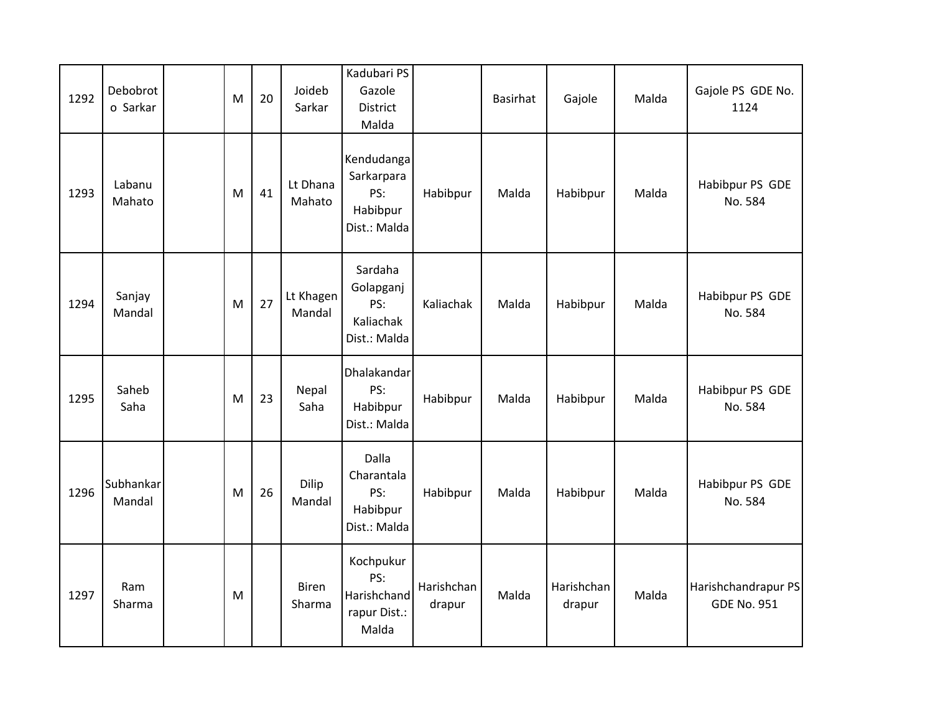| 1292 | Debobrot<br>o Sarkar | M | 20 | Joideb<br>Sarkar       | Kadubari PS<br>Gazole<br><b>District</b><br>Malda           |                      | Basirhat | Gajole               | Malda | Gajole PS GDE No.<br>1124                 |
|------|----------------------|---|----|------------------------|-------------------------------------------------------------|----------------------|----------|----------------------|-------|-------------------------------------------|
| 1293 | Labanu<br>Mahato     | M | 41 | Lt Dhana<br>Mahato     | Kendudanga<br>Sarkarpara<br>PS:<br>Habibpur<br>Dist.: Malda | Habibpur             | Malda    | Habibpur             | Malda | Habibpur PS GDE<br>No. 584                |
| 1294 | Sanjay<br>Mandal     | M | 27 | Lt Khagen<br>Mandal    | Sardaha<br>Golapganj<br>PS:<br>Kaliachak<br>Dist.: Malda    | Kaliachak            | Malda    | Habibpur             | Malda | Habibpur PS GDE<br>No. 584                |
| 1295 | Saheb<br>Saha        | M | 23 | Nepal<br>Saha          | Dhalakandar<br>PS:<br>Habibpur<br>Dist.: Malda              | Habibpur             | Malda    | Habibpur             | Malda | Habibpur PS GDE<br>No. 584                |
| 1296 | Subhankar<br>Mandal  | M | 26 | Dilip<br>Mandal        | Dalla<br>Charantala<br>PS:<br>Habibpur<br>Dist.: Malda      | Habibpur             | Malda    | Habibpur             | Malda | Habibpur PS GDE<br>No. 584                |
| 1297 | Ram<br>Sharma        | M |    | <b>Biren</b><br>Sharma | Kochpukur<br>PS:<br>Harishchand<br>rapur Dist.:<br>Malda    | Harishchan<br>drapur | Malda    | Harishchan<br>drapur | Malda | Harishchandrapur PS<br><b>GDE No. 951</b> |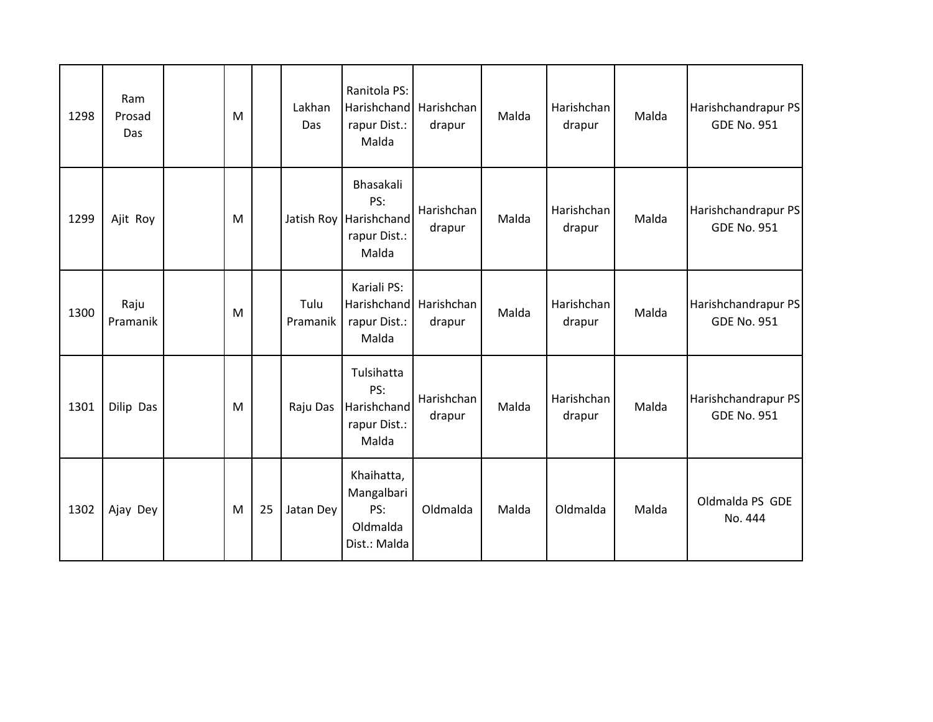| 1298 | Ram<br>Prosad<br>Das | M |    | Lakhan<br>Das    | Ranitola PS:<br><b>Harishchand</b><br>rapur Dist.:<br>Malda         | Harishchan<br>drapur | Malda | Harishchan<br>drapur | Malda | Harishchandrapur PS<br><b>GDE No. 951</b> |
|------|----------------------|---|----|------------------|---------------------------------------------------------------------|----------------------|-------|----------------------|-------|-------------------------------------------|
| 1299 | Ajit Roy             | M |    |                  | Bhasakali<br>PS:<br>Jatish Roy Harishchand<br>rapur Dist.:<br>Malda | Harishchan<br>drapur | Malda | Harishchan<br>drapur | Malda | Harishchandrapur PS<br><b>GDE No. 951</b> |
| 1300 | Raju<br>Pramanik     | M |    | Tulu<br>Pramanik | Kariali PS:<br>Harishchand<br>rapur Dist.:<br>Malda                 | Harishchan<br>drapur | Malda | Harishchan<br>drapur | Malda | Harishchandrapur PS<br><b>GDE No. 951</b> |
| 1301 | Dilip Das            | M |    | Raju Das         | Tulsihatta<br>PS:<br>Harishchand<br>rapur Dist.:<br>Malda           | Harishchan<br>drapur | Malda | Harishchan<br>drapur | Malda | Harishchandrapur PS<br><b>GDE No. 951</b> |
| 1302 | Ajay Dey             | M | 25 | Jatan Dey        | Khaihatta,<br>Mangalbari<br>PS:<br>Oldmalda<br>Dist.: Malda         | Oldmalda             | Malda | Oldmalda             | Malda | Oldmalda PS GDE<br>No. 444                |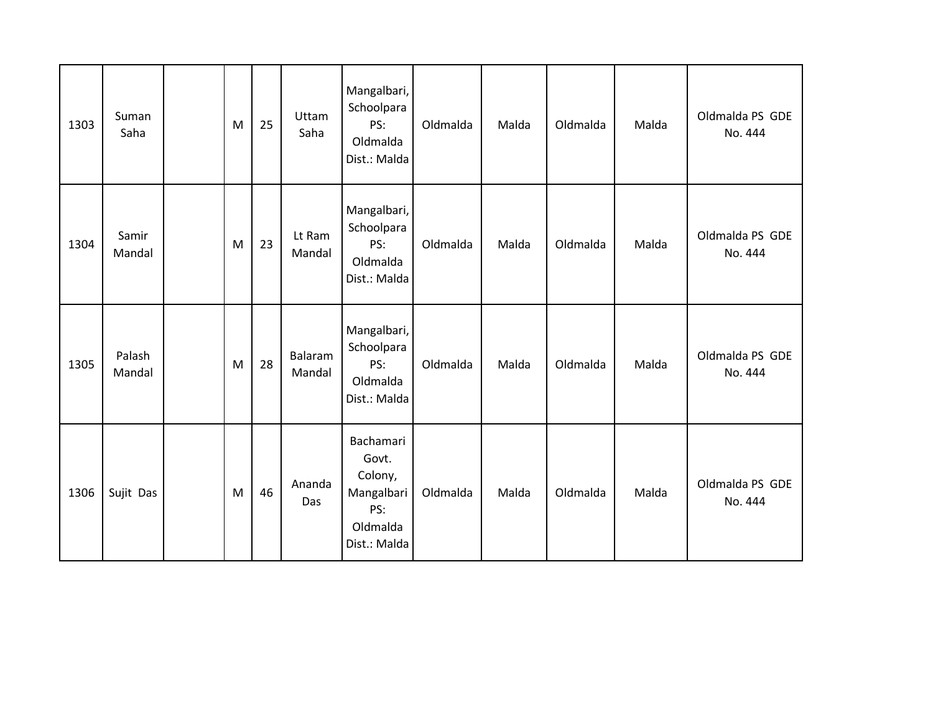| 1303 | Suman<br>Saha    | M | 25 | Uttam<br>Saha     | Mangalbari,<br>Schoolpara<br>PS:<br>Oldmalda<br>Dist.: Malda                   | Oldmalda | Malda | Oldmalda | Malda | Oldmalda PS GDE<br>No. 444 |
|------|------------------|---|----|-------------------|--------------------------------------------------------------------------------|----------|-------|----------|-------|----------------------------|
| 1304 | Samir<br>Mandal  | M | 23 | Lt Ram<br>Mandal  | Mangalbari,<br>Schoolpara<br>PS:<br>Oldmalda<br>Dist.: Malda                   | Oldmalda | Malda | Oldmalda | Malda | Oldmalda PS GDE<br>No. 444 |
| 1305 | Palash<br>Mandal | M | 28 | Balaram<br>Mandal | Mangalbari,<br>Schoolpara<br>PS:<br>Oldmalda<br>Dist.: Malda                   | Oldmalda | Malda | Oldmalda | Malda | Oldmalda PS GDE<br>No. 444 |
| 1306 | Sujit Das        | M | 46 | Ananda<br>Das     | Bachamari<br>Govt.<br>Colony,<br>Mangalbari<br>PS:<br>Oldmalda<br>Dist.: Malda | Oldmalda | Malda | Oldmalda | Malda | Oldmalda PS GDE<br>No. 444 |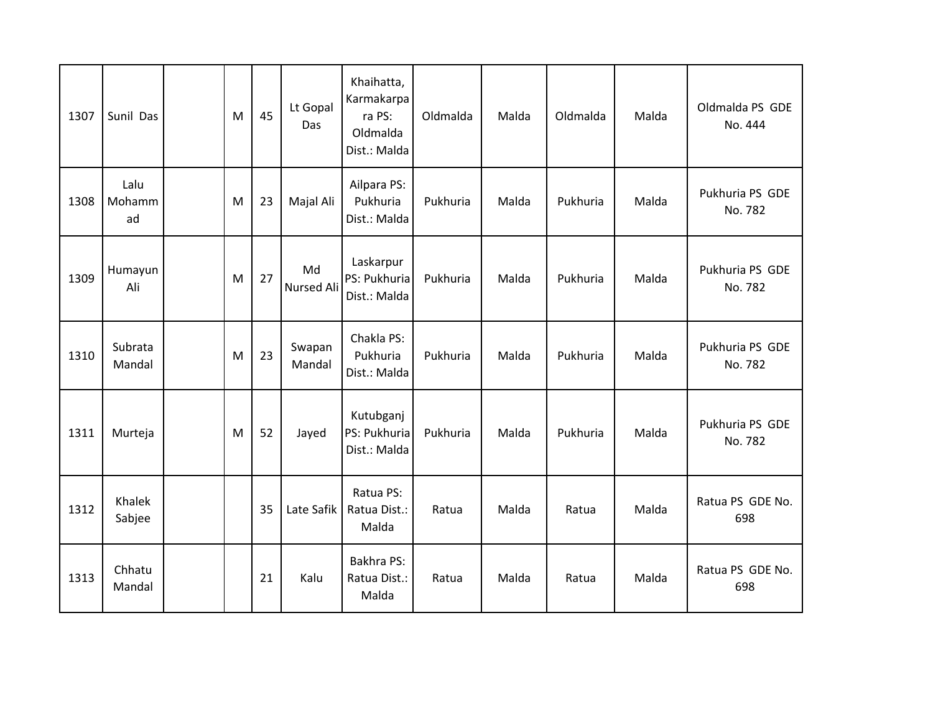| 1307 | Sunil Das            | M | 45 | Lt Gopal<br>Das         | Khaihatta,<br>Karmakarpa<br>ra PS:<br>Oldmalda<br>Dist.: Malda | Oldmalda | Malda | Oldmalda | Malda | Oldmalda PS GDE<br>No. 444 |
|------|----------------------|---|----|-------------------------|----------------------------------------------------------------|----------|-------|----------|-------|----------------------------|
| 1308 | Lalu<br>Mohamm<br>ad | M | 23 | Majal Ali               | Ailpara PS:<br>Pukhuria<br>Dist.: Malda                        | Pukhuria | Malda | Pukhuria | Malda | Pukhuria PS GDE<br>No. 782 |
| 1309 | Humayun<br>Ali       | M | 27 | Md<br><b>Nursed Ali</b> | Laskarpur<br>PS: Pukhuria<br>Dist.: Malda                      | Pukhuria | Malda | Pukhuria | Malda | Pukhuria PS GDE<br>No. 782 |
| 1310 | Subrata<br>Mandal    | M | 23 | Swapan<br>Mandal        | Chakla PS:<br>Pukhuria<br>Dist.: Malda                         | Pukhuria | Malda | Pukhuria | Malda | Pukhuria PS GDE<br>No. 782 |
| 1311 | Murteja              | M | 52 | Jayed                   | Kutubganj<br>PS: Pukhuria<br>Dist.: Malda                      | Pukhuria | Malda | Pukhuria | Malda | Pukhuria PS GDE<br>No. 782 |
| 1312 | Khalek<br>Sabjee     |   | 35 | Late Safik              | Ratua PS:<br>Ratua Dist.:<br>Malda                             | Ratua    | Malda | Ratua    | Malda | Ratua PS GDE No.<br>698    |
| 1313 | Chhatu<br>Mandal     |   | 21 | Kalu                    | Bakhra PS:<br>Ratua Dist.:<br>Malda                            | Ratua    | Malda | Ratua    | Malda | Ratua PS GDE No.<br>698    |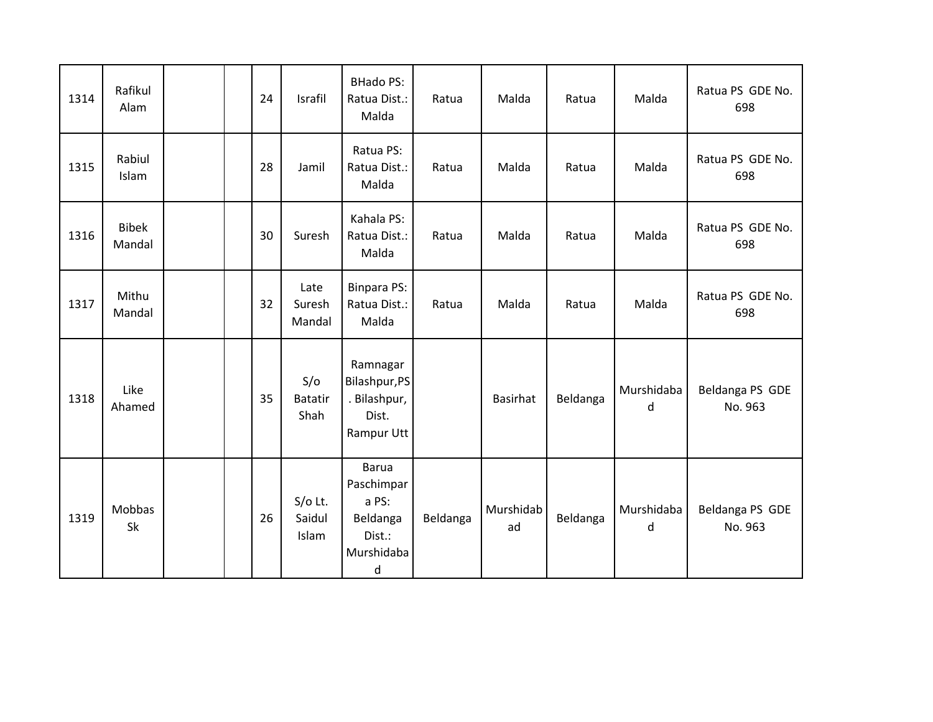| 1314 | Rafikul<br>Alam        |  | 24 | Israfil                       | <b>BHado PS:</b><br>Ratua Dist.:<br>Malda                                          | Ratua    | Malda           | Ratua    | Malda           | Ratua PS GDE No.<br>698    |
|------|------------------------|--|----|-------------------------------|------------------------------------------------------------------------------------|----------|-----------------|----------|-----------------|----------------------------|
| 1315 | Rabiul<br>Islam        |  | 28 | Jamil                         | Ratua PS:<br>Ratua Dist.:<br>Malda                                                 | Ratua    | Malda           | Ratua    | Malda           | Ratua PS GDE No.<br>698    |
| 1316 | <b>Bibek</b><br>Mandal |  | 30 | Suresh                        | Kahala PS:<br>Ratua Dist.:<br>Malda                                                | Ratua    | Malda           | Ratua    | Malda           | Ratua PS GDE No.<br>698    |
| 1317 | Mithu<br>Mandal        |  | 32 | Late<br>Suresh<br>Mandal      | <b>Binpara PS:</b><br>Ratua Dist.:<br>Malda                                        | Ratua    | Malda           | Ratua    | Malda           | Ratua PS GDE No.<br>698    |
| 1318 | Like<br>Ahamed         |  | 35 | S/O<br><b>Batatir</b><br>Shah | Ramnagar<br>Bilashpur, PS<br>. Bilashpur,<br>Dist.<br>Rampur Utt                   |          | Basirhat        | Beldanga | Murshidaba<br>d | Beldanga PS GDE<br>No. 963 |
| 1319 | <b>Mobbas</b><br>Sk    |  | 26 | $S/O$ Lt.<br>Saidul<br>Islam  | <b>Barua</b><br>Paschimpar<br>a PS:<br>Beldanga<br>Dist.:<br>Murshidaba<br>$\sf d$ | Beldanga | Murshidab<br>ad | Beldanga | Murshidaba<br>d | Beldanga PS GDE<br>No. 963 |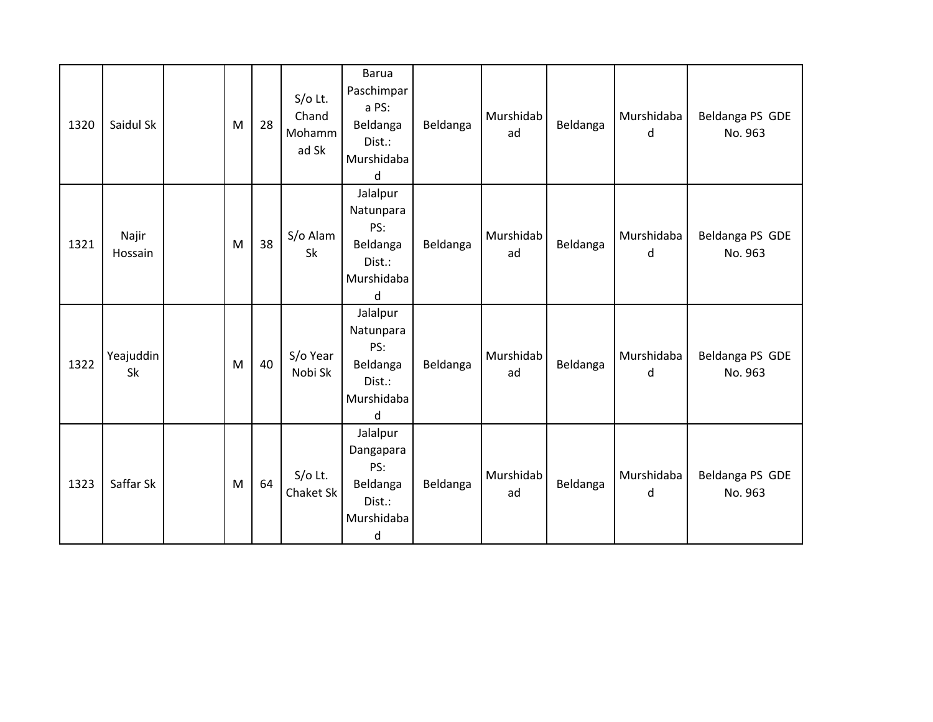| 1320 | Saidul Sk        | M         | 28 | $S/O$ Lt.<br>Chand<br>Mohamm<br>ad Sk | Barua<br>Paschimpar<br>a PS:<br>Beldanga<br>Dist.:<br>Murshidaba<br>d | Beldanga | Murshidab<br>ad | Beldanga | Murshidaba<br>d | Beldanga PS GDE<br>No. 963 |
|------|------------------|-----------|----|---------------------------------------|-----------------------------------------------------------------------|----------|-----------------|----------|-----------------|----------------------------|
| 1321 | Najir<br>Hossain | M         | 38 | S/o Alam<br>Sk                        | Jalalpur<br>Natunpara<br>PS:<br>Beldanga<br>Dist.:<br>Murshidaba<br>d | Beldanga | Murshidab<br>ad | Beldanga | Murshidaba<br>d | Beldanga PS GDE<br>No. 963 |
| 1322 | Yeajuddin<br>Sk  | M         | 40 | S/o Year<br>Nobi Sk                   | Jalalpur<br>Natunpara<br>PS:<br>Beldanga<br>Dist.:<br>Murshidaba<br>d | Beldanga | Murshidab<br>ad | Beldanga | Murshidaba<br>d | Beldanga PS GDE<br>No. 963 |
| 1323 | Saffar Sk        | ${\sf M}$ | 64 | $S/O$ Lt.<br>Chaket Sk                | Jalalpur<br>Dangapara<br>PS:<br>Beldanga<br>Dist.:<br>Murshidaba<br>d | Beldanga | Murshidab<br>ad | Beldanga | Murshidaba<br>d | Beldanga PS GDE<br>No. 963 |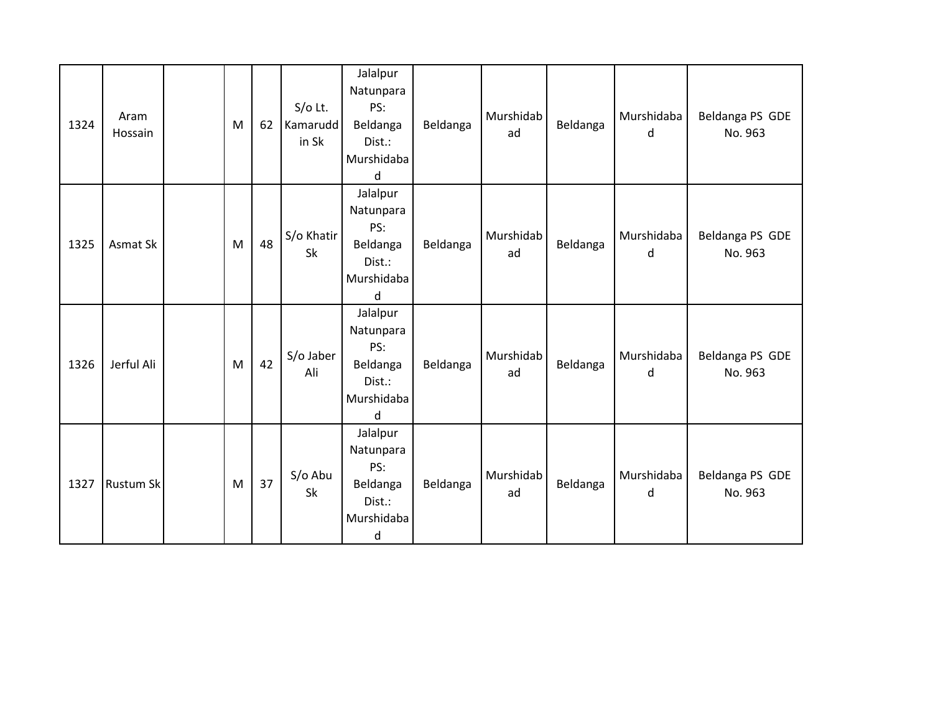| 1324 | Aram<br>Hossain  | M | 62 | $S/O$ Lt.<br>Kamarudd<br>in Sk | Jalalpur<br>Natunpara<br>PS:<br>Beldanga<br>Dist.:<br>Murshidaba<br>d | Beldanga | Murshidab<br>ad | Beldanga | Murshidaba<br>d | Beldanga PS GDE<br>No. 963 |
|------|------------------|---|----|--------------------------------|-----------------------------------------------------------------------|----------|-----------------|----------|-----------------|----------------------------|
| 1325 | Asmat Sk         | M | 48 | S/o Khatir<br>Sk               | Jalalpur<br>Natunpara<br>PS:<br>Beldanga<br>Dist.:<br>Murshidaba<br>d | Beldanga | Murshidab<br>ad | Beldanga | Murshidaba<br>d | Beldanga PS GDE<br>No. 963 |
| 1326 | Jerful Ali       | M | 42 | S/o Jaber<br>Ali               | Jalalpur<br>Natunpara<br>PS:<br>Beldanga<br>Dist.:<br>Murshidaba<br>d | Beldanga | Murshidab<br>ad | Beldanga | Murshidaba<br>d | Beldanga PS GDE<br>No. 963 |
| 1327 | <b>Rustum Sk</b> | M | 37 | S/o Abu<br>Sk                  | Jalalpur<br>Natunpara<br>PS:<br>Beldanga<br>Dist.:<br>Murshidaba<br>d | Beldanga | Murshidab<br>ad | Beldanga | Murshidaba<br>d | Beldanga PS GDE<br>No. 963 |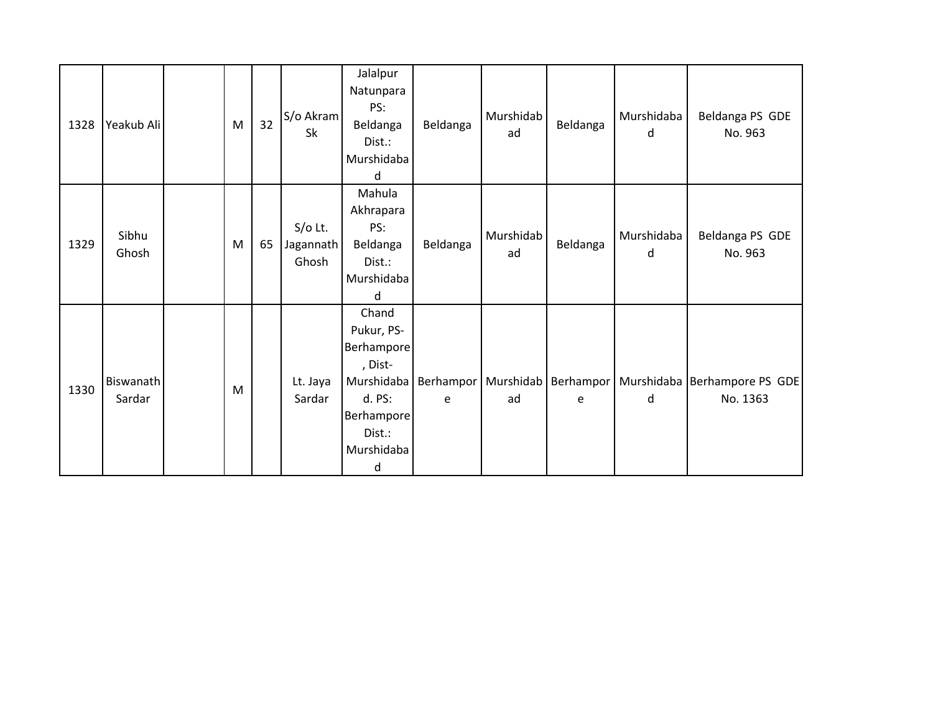| 1328 | Yeakub Ali          | M | 32 | S/o Akram<br>Sk                 | Jalalpur<br>Natunpara<br>PS:<br>Beldanga<br>Dist.:<br>Murshidaba<br>d                                           | Beldanga                     | Murshidab<br>ad | Beldanga | Murshidaba<br>d | Beldanga PS GDE<br>No. 963                             |
|------|---------------------|---|----|---------------------------------|-----------------------------------------------------------------------------------------------------------------|------------------------------|-----------------|----------|-----------------|--------------------------------------------------------|
| 1329 | Sibhu<br>Ghosh      | M | 65 | $S/O$ Lt.<br>Jagannath<br>Ghosh | Mahula<br>Akhrapara<br>PS:<br>Beldanga<br>Dist.:<br>Murshidaba<br>d                                             | Beldanga                     | Murshidab<br>ad | Beldanga | Murshidaba<br>d | Beldanga PS GDE<br>No. 963                             |
| 1330 | Biswanath<br>Sardar | M |    | Lt. Jaya<br>Sardar              | Chand<br>Pukur, PS-<br>Berhampore<br>, Dist-<br>Murshidaba<br>d. PS:<br>Berhampore<br>Dist.:<br>Murshidaba<br>d | Berhampor   Murshidab  <br>e | ad              | e        | d               | Berhampor   Murshidaba   Berhampore PS GDE<br>No. 1363 |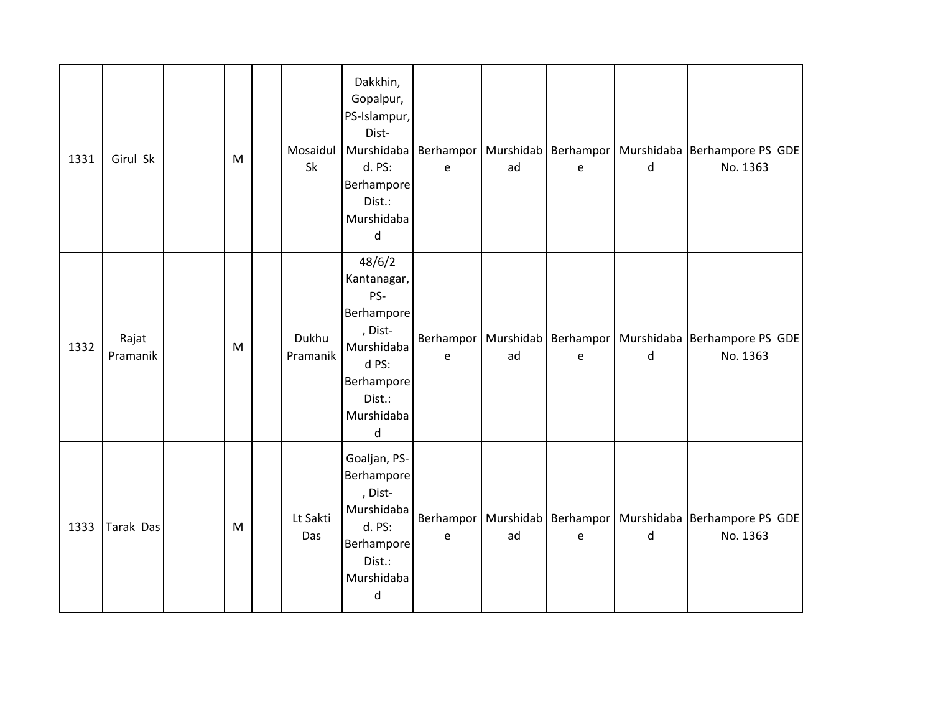| 1331 | Girul Sk          | M | Mosaidul<br>Sk    | Dakkhin,<br>Gopalpur,<br>PS-Islampur,<br>Dist-<br>Murshidaba   Berhampor<br>d. PS:<br>Berhampore<br>Dist.:<br>Murshidaba<br>d | e                                 | ad | e | d | Murshidab   Berhampor   Murshidaba   Berhampore PS GDE<br>No. 1363             |
|------|-------------------|---|-------------------|-------------------------------------------------------------------------------------------------------------------------------|-----------------------------------|----|---|---|--------------------------------------------------------------------------------|
| 1332 | Rajat<br>Pramanik | M | Dukhu<br>Pramanik | 48/6/2<br>Kantanagar,<br>PS-<br>Berhampore<br>, Dist-<br>Murshidaba<br>d PS:<br>Berhampore<br>Dist.:<br>Murshidaba<br>d       | $\mathsf{e}% _{t}\left( t\right)$ | ad | e | d | Berhampor   Murshidab   Berhampor   Murshidaba   Berhampore PS GDE<br>No. 1363 |
| 1333 | Tarak Das         | M | Lt Sakti<br>Das   | Goaljan, PS-<br>Berhampore<br>, Dist-<br>Murshidaba<br>d. PS:<br>Berhampore<br>Dist.:<br>Murshidaba<br>d                      | e                                 | ad | e | d | Berhampor   Murshidab   Berhampor   Murshidaba   Berhampore PS GDE<br>No. 1363 |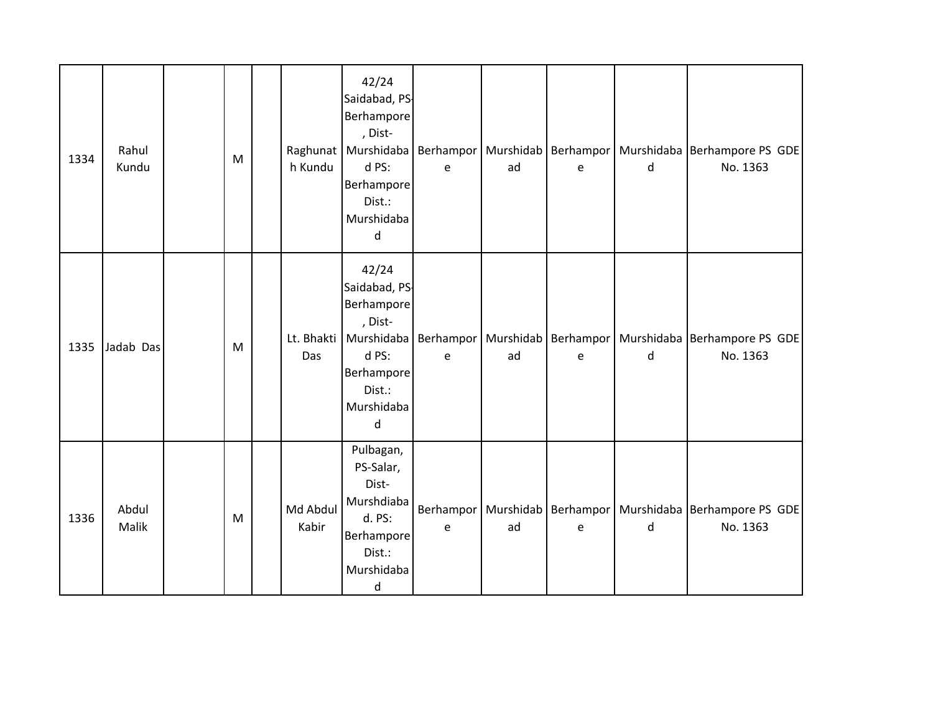| 1334 | Rahul<br>Kundu | M | h Kundu           | 42/24<br>Saidabad, PS-<br>Berhampore<br>, Dist-<br>Raghunat   Murshidaba   Berhampor  <br>d PS:<br>Berhampore<br>Dist.:<br>Murshidaba<br>d | e | ad | e | d | Murshidab   Berhampor   Murshidaba   Berhampore PS GDE<br>No. 1363             |
|------|----------------|---|-------------------|--------------------------------------------------------------------------------------------------------------------------------------------|---|----|---|---|--------------------------------------------------------------------------------|
| 1335 | Jadab Das      | M | Das               | 42/24<br>Saidabad, PS-<br>Berhampore<br>, Dist-<br>Lt. Bhakti   Murshidaba<br>d PS:<br>Berhampore<br>Dist.:<br>Murshidaba<br>d             | e | ad | e | d | Berhampor   Murshidab   Berhampor   Murshidaba   Berhampore PS GDE<br>No. 1363 |
| 1336 | Abdul<br>Malik | M | Md Abdul<br>Kabir | Pulbagan,<br>PS-Salar,<br>Dist-<br>Murshdiaba<br>d. PS:<br>Berhampore<br>Dist.:<br>Murshidaba<br>d                                         | e | ad | e | d | Berhampor   Murshidab   Berhampor   Murshidaba   Berhampore PS GDE<br>No. 1363 |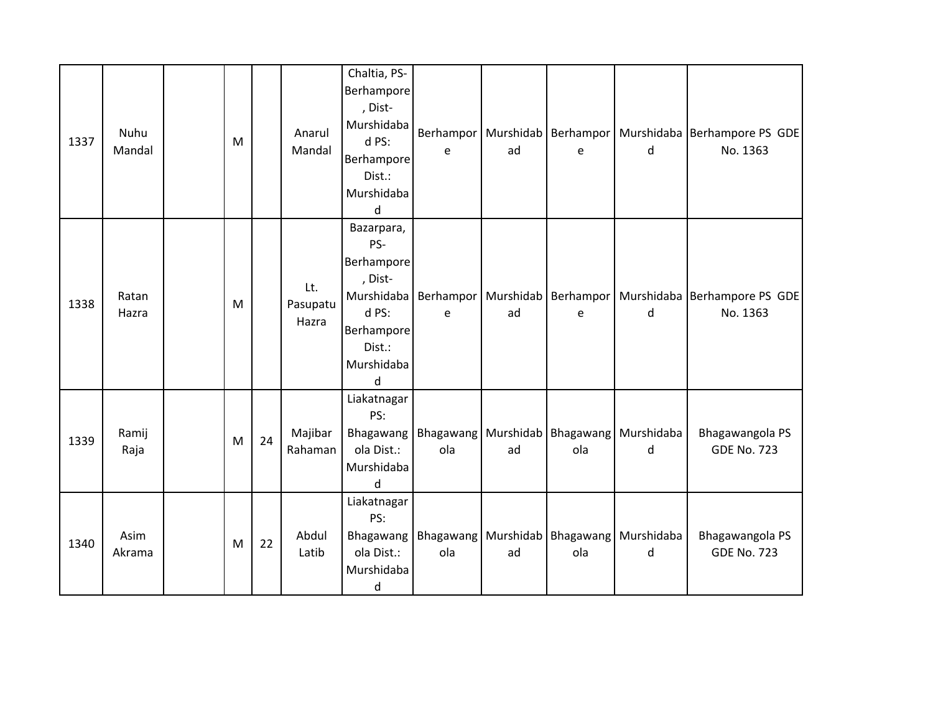| 1337 | Nuhu<br>Mandal | M |    | Anarul<br>Mandal         | Chaltia, PS-<br>Berhampore<br>, Dist-<br>Murshidaba<br>d PS:<br>Berhampore<br>Dist.:<br>Murshidaba<br>d      | <b>Berhampor</b><br>e | ad | e   | d                                                   | Murshidab   Berhampor   Murshidaba   Berhampore PS GDE  <br>No. 1363           |
|------|----------------|---|----|--------------------------|--------------------------------------------------------------------------------------------------------------|-----------------------|----|-----|-----------------------------------------------------|--------------------------------------------------------------------------------|
| 1338 | Ratan<br>Hazra | M |    | Lt.<br>Pasupatu<br>Hazra | Bazarpara,<br>PS-<br>Berhampore<br>, Dist-<br>Murshidaba<br>d PS:<br>Berhampore<br>Dist.:<br>Murshidaba<br>d | e                     | ad | e   | d                                                   | Berhampor   Murshidab   Berhampor   Murshidaba   Berhampore PS GDE<br>No. 1363 |
| 1339 | Ramij<br>Raja  | M | 24 | Majibar<br>Rahaman       | Liakatnagar<br>PS:<br>Bhagawang<br>ola Dist.:<br>Murshidaba<br>d                                             | ola                   | ad | ola | Bhagawang   Murshidab   Bhagawang   Murshidaba<br>d | Bhagawangola PS<br><b>GDE No. 723</b>                                          |
| 1340 | Asim<br>Akrama | M | 22 | Abdul<br>Latib           | Liakatnagar<br>PS:<br>Bhagawang<br>ola Dist.:<br>Murshidaba<br>$\sf d$                                       | ola                   | ad | ola | Bhagawang   Murshidab   Bhagawang   Murshidaba<br>d | Bhagawangola PS<br><b>GDE No. 723</b>                                          |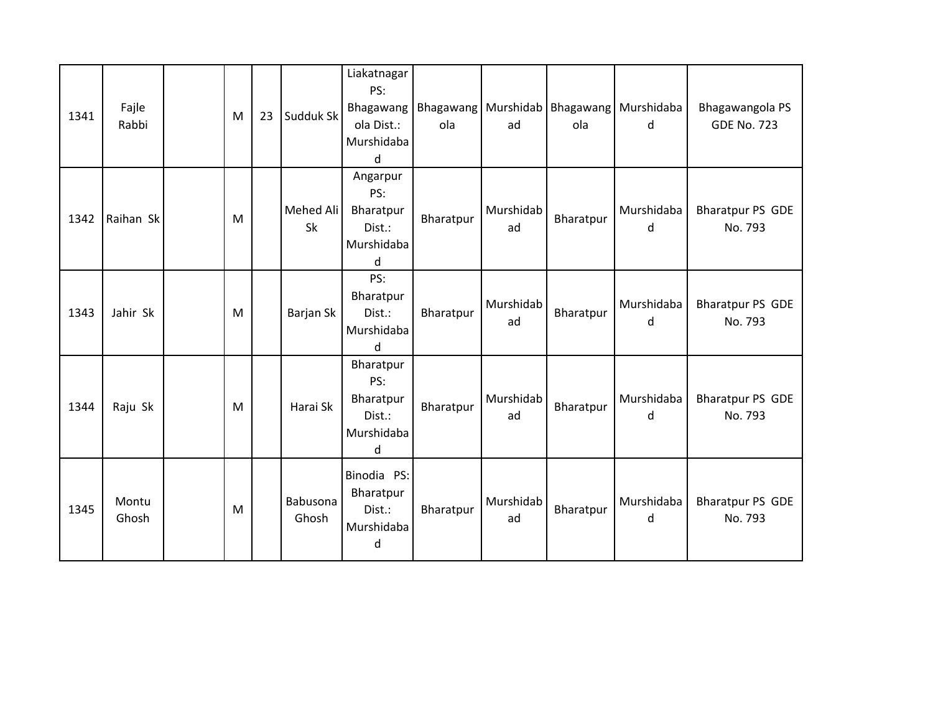| 1341 | Fajle<br>Rabbi | M | 23 | Sudduk Sk         | Liakatnagar<br>PS:<br>Bhagawang<br>ola Dist.:<br>Murshidaba<br>d | ola       | ad              | ola       | Bhagawang   Murshidab   Bhagawang   Murshidaba<br>d | Bhagawangola PS<br><b>GDE No. 723</b> |
|------|----------------|---|----|-------------------|------------------------------------------------------------------|-----------|-----------------|-----------|-----------------------------------------------------|---------------------------------------|
| 1342 | Raihan Sk      | M |    | Mehed Ali<br>Sk   | Angarpur<br>PS:<br>Bharatpur<br>Dist.:<br>Murshidaba<br>d        | Bharatpur | Murshidab<br>ad | Bharatpur | Murshidaba<br>d                                     | <b>Bharatpur PS GDE</b><br>No. 793    |
| 1343 | Jahir Sk       | M |    | Barjan Sk         | PS:<br>Bharatpur<br>Dist.:<br>Murshidaba<br><sub>d</sub>         | Bharatpur | Murshidab<br>ad | Bharatpur | Murshidaba<br>d                                     | <b>Bharatpur PS GDE</b><br>No. 793    |
| 1344 | Raju Sk        | M |    | Harai Sk          | Bharatpur<br>PS:<br>Bharatpur<br>Dist.:<br>Murshidaba<br>d       | Bharatpur | Murshidab<br>ad | Bharatpur | Murshidaba<br>d                                     | <b>Bharatpur PS GDE</b><br>No. 793    |
| 1345 | Montu<br>Ghosh | M |    | Babusona<br>Ghosh | Binodia PS:<br>Bharatpur<br>Dist.:<br>Murshidaba<br>d            | Bharatpur | Murshidab<br>ad | Bharatpur | Murshidaba<br>d                                     | <b>Bharatpur PS GDE</b><br>No. 793    |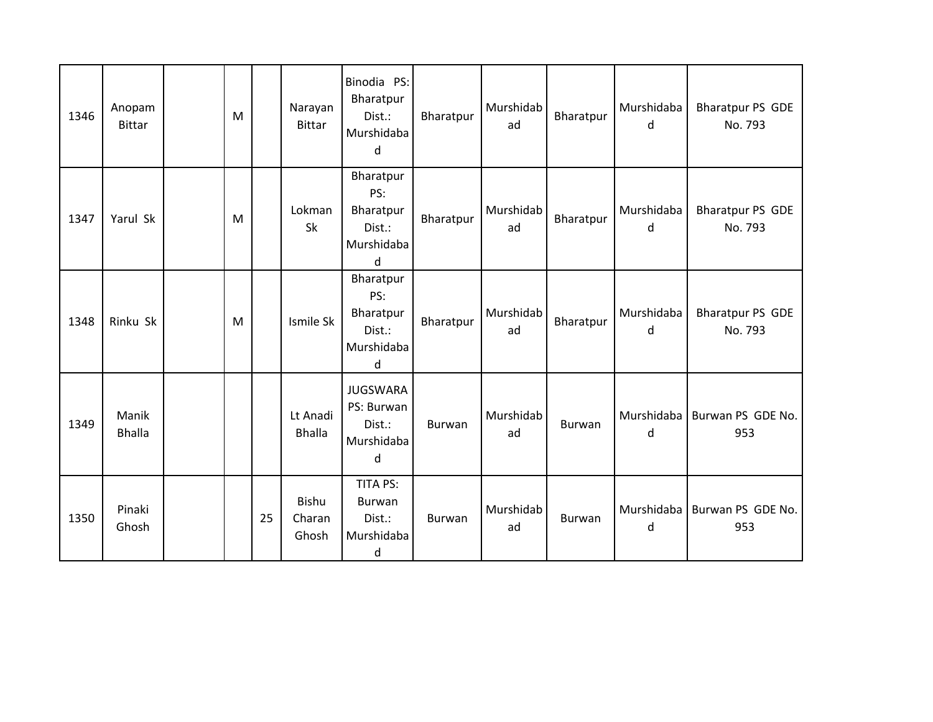| 1346 | Anopam<br><b>Bittar</b> | M |    | Narayan<br><b>Bittar</b>  | Binodia PS:<br>Bharatpur<br>Dist.:<br>Murshidaba<br>d            | Bharatpur     | Murshidab<br>ad | Bharatpur | Murshidaba<br>d | <b>Bharatpur PS GDE</b><br>No. 793 |
|------|-------------------------|---|----|---------------------------|------------------------------------------------------------------|---------------|-----------------|-----------|-----------------|------------------------------------|
| 1347 | Yarul Sk                | M |    | Lokman<br><b>Sk</b>       | Bharatpur<br>PS:<br>Bharatpur<br>Dist.:<br>Murshidaba<br>d       | Bharatpur     | Murshidab<br>ad | Bharatpur | Murshidaba<br>d | <b>Bharatpur PS GDE</b><br>No. 793 |
| 1348 | Rinku Sk                | M |    | Ismile Sk                 | Bharatpur<br>PS:<br>Bharatpur<br>Dist.:<br>Murshidaba<br>d       | Bharatpur     | Murshidab<br>ad | Bharatpur | Murshidaba<br>d | <b>Bharatpur PS GDE</b><br>No. 793 |
| 1349 | Manik<br><b>Bhalla</b>  |   |    | Lt Anadi<br><b>Bhalla</b> | <b>JUGSWARA</b><br>PS: Burwan<br>Dist.:<br>Murshidaba<br>$\sf d$ | Burwan        | Murshidab<br>ad | Burwan    | Murshidaba<br>d | Burwan PS GDE No.<br>953           |
| 1350 | Pinaki<br>Ghosh         |   | 25 | Bishu<br>Charan<br>Ghosh  | <b>TITA PS:</b><br>Burwan<br>Dist.:<br>Murshidaba<br>$\sf d$     | <b>Burwan</b> | Murshidab<br>ad | Burwan    | Murshidaba<br>d | Burwan PS GDE No.<br>953           |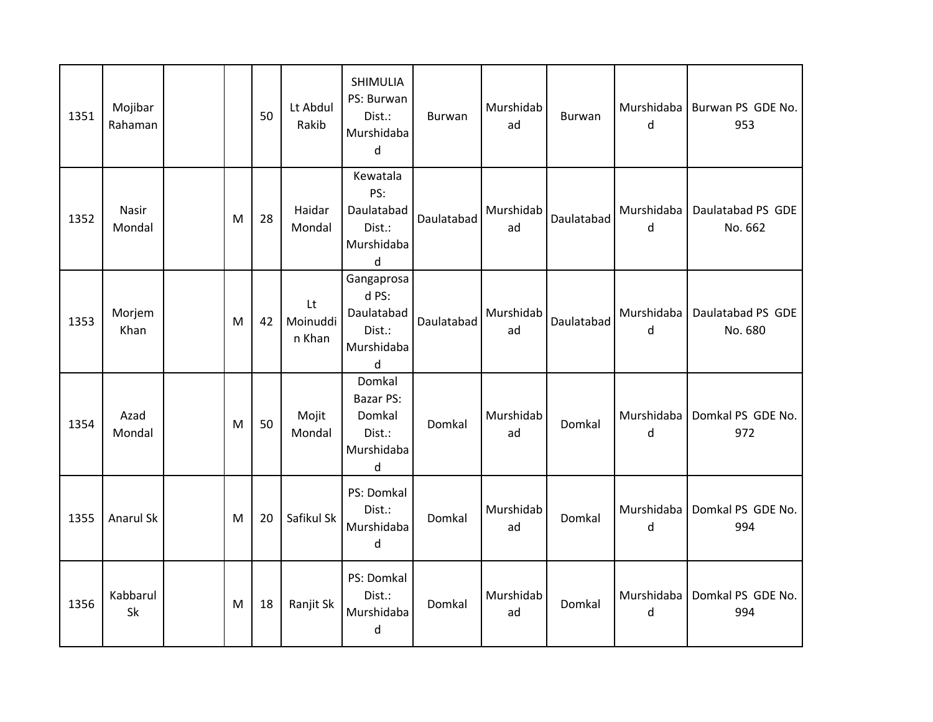| 1351 | Mojibar<br>Rahaman |   | 50 | Lt Abdul<br>Rakib        | SHIMULIA<br>PS: Burwan<br>Dist.:<br>Murshidaba<br>d               | Burwan     | Murshidab<br>ad | Burwan     | $\mathsf{d}$    | Murshidaba   Burwan PS GDE No.<br>953 |
|------|--------------------|---|----|--------------------------|-------------------------------------------------------------------|------------|-----------------|------------|-----------------|---------------------------------------|
| 1352 | Nasir<br>Mondal    | M | 28 | Haidar<br>Mondal         | Kewatala<br>PS:<br>Daulatabad<br>Dist.:<br>Murshidaba<br>d        | Daulatabad | Murshidab<br>ad | Daulatabad | Murshidaba<br>d | Daulatabad PS GDE<br>No. 662          |
| 1353 | Morjem<br>Khan     | M | 42 | Lt<br>Moinuddi<br>n Khan | Gangaprosa<br>d PS:<br>Daulatabad<br>Dist.:<br>Murshidaba<br>d    | Daulatabad | Murshidab<br>ad | Daulatabad | Murshidaba<br>d | Daulatabad PS GDE<br>No. 680          |
| 1354 | Azad<br>Mondal     | M | 50 | Mojit<br>Mondal          | Domkal<br><b>Bazar PS:</b><br>Domkal<br>Dist.:<br>Murshidaba<br>d | Domkal     | Murshidab<br>ad | Domkal     | Murshidaba<br>d | Domkal PS GDE No.<br>972              |
| 1355 | Anarul Sk          | M | 20 | Safikul Sk               | PS: Domkal<br>Dist.:<br>Murshidaba<br>d                           | Domkal     | Murshidab<br>ad | Domkal     | Murshidaba<br>d | Domkal PS GDE No.<br>994              |
| 1356 | Kabbarul<br>Sk     | M | 18 | Ranjit Sk                | PS: Domkal<br>Dist.:<br>Murshidaba<br>d                           | Domkal     | Murshidab<br>ad | Domkal     | Murshidaba<br>d | Domkal PS GDE No.<br>994              |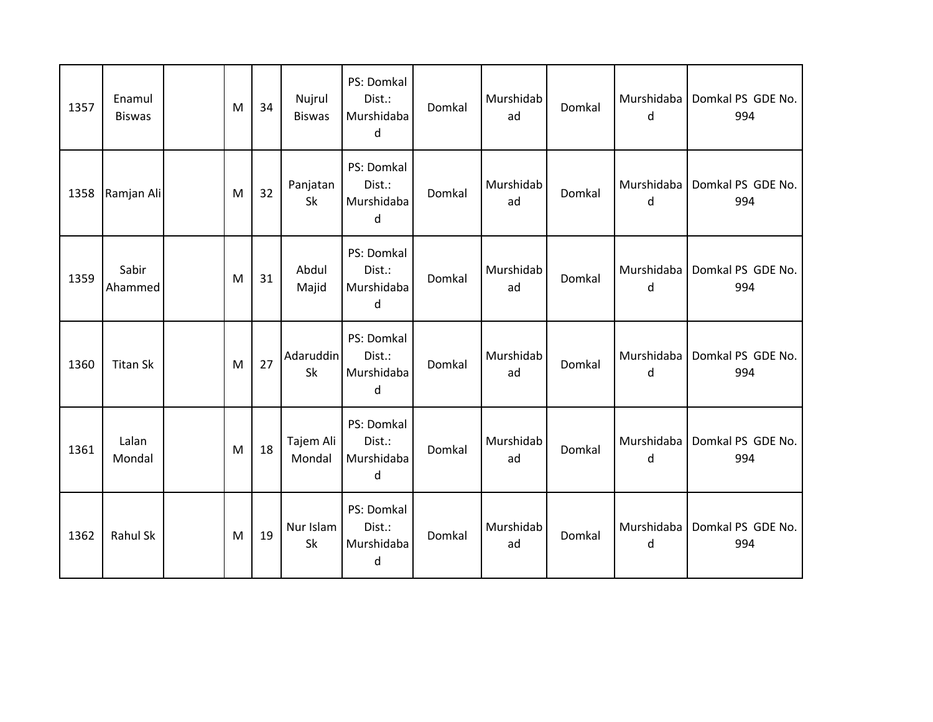| 1357 | Enamul<br><b>Biswas</b> | M | 34 | Nujrul<br><b>Biswas</b> | PS: Domkal<br>Dist.:<br>Murshidaba<br>d | Domkal | Murshidab<br>ad | Domkal | Murshidaba<br>d | Domkal PS GDE No.<br>994 |
|------|-------------------------|---|----|-------------------------|-----------------------------------------|--------|-----------------|--------|-----------------|--------------------------|
| 1358 | Ramjan Ali              | M | 32 | Panjatan<br>Sk          | PS: Domkal<br>Dist.:<br>Murshidaba<br>d | Domkal | Murshidab<br>ad | Domkal | Murshidaba<br>d | Domkal PS GDE No.<br>994 |
| 1359 | Sabir<br>Ahammed        | M | 31 | Abdul<br>Majid          | PS: Domkal<br>Dist.:<br>Murshidaba<br>d | Domkal | Murshidab<br>ad | Domkal | Murshidaba<br>d | Domkal PS GDE No.<br>994 |
| 1360 | <b>Titan Sk</b>         | M | 27 | Adaruddin<br>Sk         | PS: Domkal<br>Dist.:<br>Murshidaba<br>d | Domkal | Murshidab<br>ad | Domkal | Murshidaba<br>d | Domkal PS GDE No.<br>994 |
| 1361 | Lalan<br>Mondal         | M | 18 | Tajem Ali<br>Mondal     | PS: Domkal<br>Dist.:<br>Murshidaba<br>d | Domkal | Murshidab<br>ad | Domkal | Murshidaba<br>d | Domkal PS GDE No.<br>994 |
| 1362 | Rahul Sk                | M | 19 | Nur Islam<br>Sk         | PS: Domkal<br>Dist.:<br>Murshidaba<br>d | Domkal | Murshidab<br>ad | Domkal | Murshidaba<br>d | Domkal PS GDE No.<br>994 |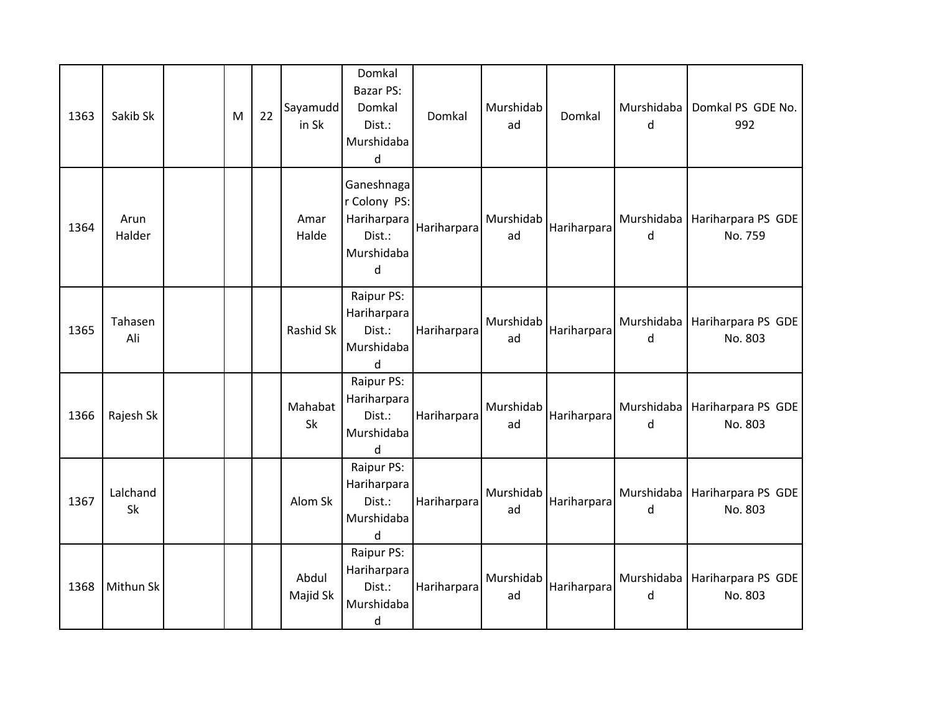| 1363 | Sakib Sk       | M | 22 | Sayamudd<br>in Sk | Domkal<br>Bazar PS:<br>Domkal<br>Dist.:<br>Murshidaba<br>d             | Domkal      | Murshidab<br>ad | Domkal      | Murshidaba<br>d | Domkal PS GDE No.<br>992                   |
|------|----------------|---|----|-------------------|------------------------------------------------------------------------|-------------|-----------------|-------------|-----------------|--------------------------------------------|
| 1364 | Arun<br>Halder |   |    | Amar<br>Halde     | Ganeshnaga<br>r Colony PS:<br>Hariharpara<br>Dist.:<br>Murshidaba<br>d | Hariharpara | Murshidab<br>ad | Hariharpara | Murshidaba<br>d | Hariharpara PS GDE<br>No. 759              |
| 1365 | Tahasen<br>Ali |   |    | Rashid Sk         | Raipur PS:<br>Hariharpara<br>Dist.:<br>Murshidaba<br>d                 | Hariharpara | Murshidab<br>ad | Hariharpara | Murshidaba<br>d | Hariharpara PS GDE<br>No. 803              |
| 1366 | Rajesh Sk      |   |    | Mahabat<br>Sk     | Raipur PS:<br>Hariharpara<br>Dist.:<br>Murshidaba<br>d                 | Hariharpara | Murshidab<br>ad | Hariharpara | Murshidaba<br>d | Hariharpara PS GDE<br>No. 803              |
| 1367 | Lalchand<br>Sk |   |    | Alom Sk           | Raipur PS:<br>Hariharpara<br>Dist.:<br>Murshidaba<br>d                 | Hariharpara | Murshidab<br>ad | Hariharpara | Murshidaba<br>d | Hariharpara PS GDE<br>No. 803              |
| 1368 | Mithun Sk      |   |    | Abdul<br>Majid Sk | Raipur PS:<br>Hariharpara<br>Dist.:<br>Murshidaba<br>d                 | Hariharpara | Murshidab<br>ad | Hariharpara | d               | Murshidaba   Hariharpara PS GDE<br>No. 803 |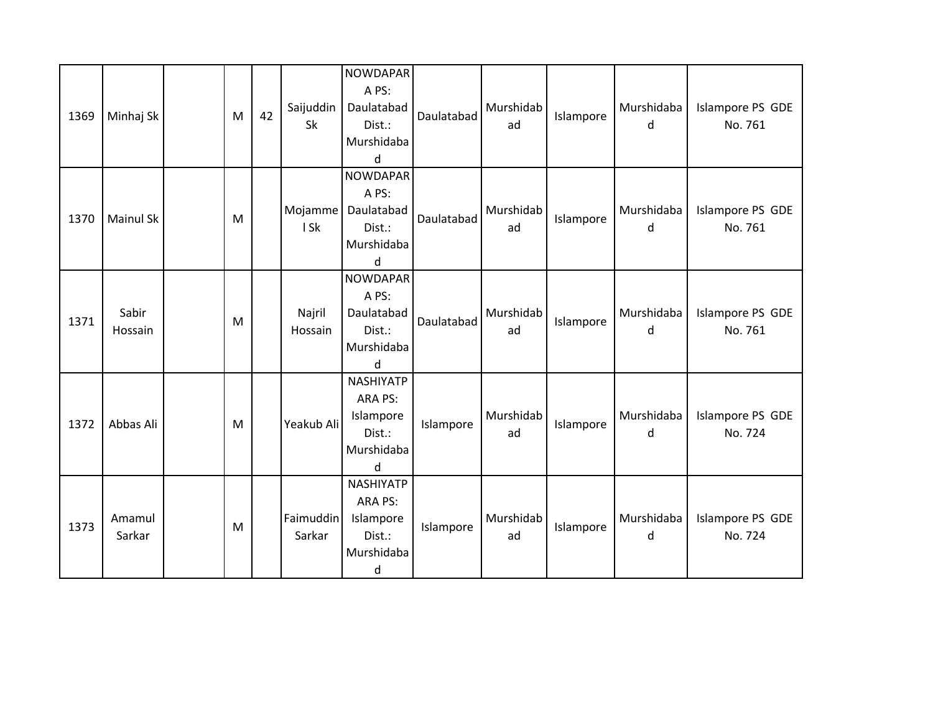| 1369 | Minhaj Sk        | M | 42 | Saijuddin<br>Sk     | <b>NOWDAPAR</b><br>A PS:<br>Daulatabad<br>Dist.:<br>Murshidaba<br>d         | Daulatabad | Murshidab<br>ad | Islampore | Murshidaba<br>d | Islampore PS GDE<br>No. 761 |
|------|------------------|---|----|---------------------|-----------------------------------------------------------------------------|------------|-----------------|-----------|-----------------|-----------------------------|
| 1370 | <b>Mainul Sk</b> | M |    | Mojamme<br>I Sk     | <b>NOWDAPAR</b><br>A PS:<br>Daulatabad<br>Dist.:<br>Murshidaba<br>$\sf d$   | Daulatabad | Murshidab<br>ad | Islampore | Murshidaba<br>d | Islampore PS GDE<br>No. 761 |
| 1371 | Sabir<br>Hossain | M |    | Najril<br>Hossain   | <b>NOWDAPAR</b><br>A PS:<br>Daulatabad<br>Dist.:<br>Murshidaba<br>d         | Daulatabad | Murshidab<br>ad | Islampore | Murshidaba<br>d | Islampore PS GDE<br>No. 761 |
| 1372 | Abbas Ali        | M |    | Yeakub Ali          | <b>NASHIYATP</b><br>ARA PS:<br>Islampore<br>Dist.:<br>Murshidaba<br>d       | Islampore  | Murshidab<br>ad | Islampore | Murshidaba<br>d | Islampore PS GDE<br>No. 724 |
| 1373 | Amamul<br>Sarkar | M |    | Faimuddin<br>Sarkar | <b>NASHIYATP</b><br>ARA PS:<br>Islampore<br>Dist.:<br>Murshidaba<br>$\sf d$ | Islampore  | Murshidab<br>ad | Islampore | Murshidaba<br>d | Islampore PS GDE<br>No. 724 |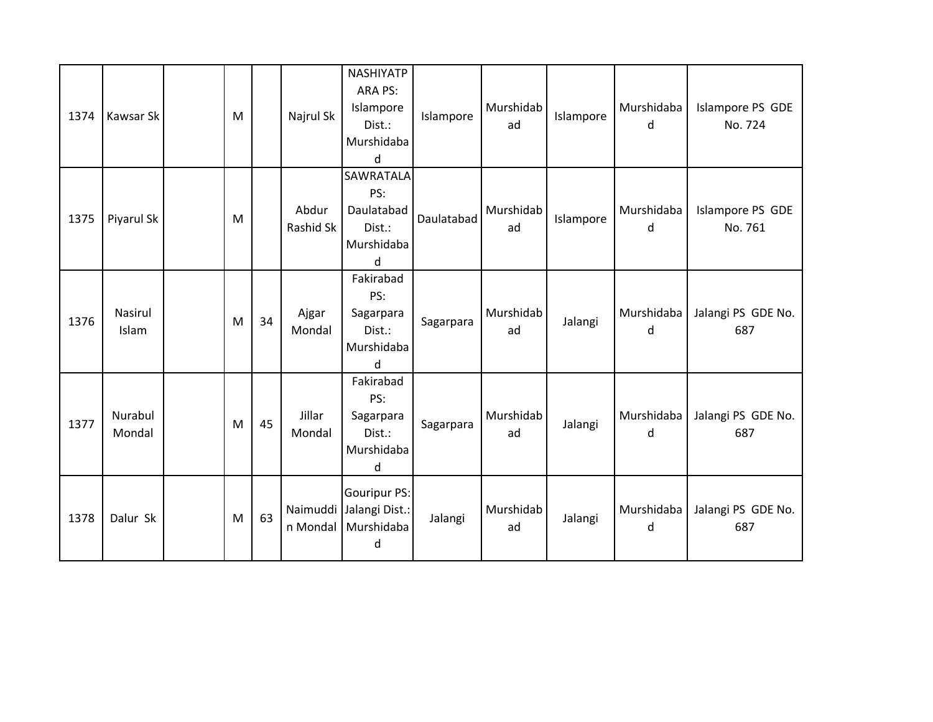| 1374 | Kawsar Sk         | M |    | Najrul Sk          | <b>NASHIYATP</b><br>ARA PS:<br>Islampore<br>Dist.:<br>Murshidaba<br>$\sf d$ | Islampore  | Murshidab<br>ad | Islampore | Murshidaba<br>d | Islampore PS GDE<br>No. 724 |
|------|-------------------|---|----|--------------------|-----------------------------------------------------------------------------|------------|-----------------|-----------|-----------------|-----------------------------|
| 1375 | Piyarul Sk        | M |    | Abdur<br>Rashid Sk | SAWRATALA<br>PS:<br>Daulatabad<br>Dist.:<br>Murshidaba<br>$\sf d$           | Daulatabad | Murshidab<br>ad | Islampore | Murshidaba<br>d | Islampore PS GDE<br>No. 761 |
| 1376 | Nasirul<br>Islam  | M | 34 | Ajgar<br>Mondal    | Fakirabad<br>PS:<br>Sagarpara<br>Dist.:<br>Murshidaba<br>d                  | Sagarpara  | Murshidab<br>ad | Jalangi   | Murshidaba<br>d | Jalangi PS GDE No.<br>687   |
| 1377 | Nurabul<br>Mondal | M | 45 | Jillar<br>Mondal   | Fakirabad<br>PS:<br>Sagarpara<br>Dist.:<br>Murshidaba<br>d                  | Sagarpara  | Murshidab<br>ad | Jalangi   | Murshidaba<br>d | Jalangi PS GDE No.<br>687   |
| 1378 | Dalur Sk          | M | 63 | n Mondal           | <b>Gouripur PS:</b><br>Naimuddi Jalangi Dist.:<br>Murshidaba<br>d           | Jalangi    | Murshidab<br>ad | Jalangi   | Murshidaba<br>d | Jalangi PS GDE No.<br>687   |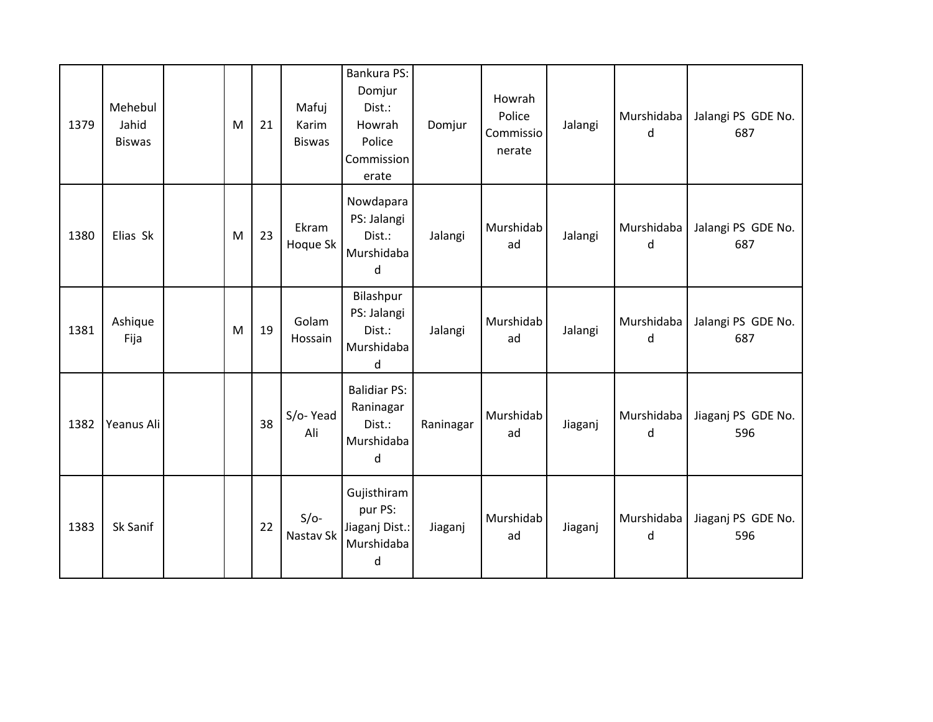| 1379 | Mehebul<br>Jahid<br><b>Biswas</b> | M | 21 | Mafuj<br>Karim<br><b>Biswas</b> | Bankura PS:<br>Domjur<br>Dist.:<br>Howrah<br>Police<br>Commission<br>erate | Domjur    | Howrah<br>Police<br>Commissio<br>nerate | Jalangi | Murshidaba<br>d | Jalangi PS GDE No.<br>687 |
|------|-----------------------------------|---|----|---------------------------------|----------------------------------------------------------------------------|-----------|-----------------------------------------|---------|-----------------|---------------------------|
| 1380 | Elias Sk                          | M | 23 | Ekram<br>Hoque Sk               | Nowdapara<br>PS: Jalangi<br>Dist.:<br>Murshidaba<br>d                      | Jalangi   | Murshidab<br>ad                         | Jalangi | Murshidaba<br>d | Jalangi PS GDE No.<br>687 |
| 1381 | Ashique<br>Fija                   | M | 19 | Golam<br>Hossain                | Bilashpur<br>PS: Jalangi<br>Dist.:<br>Murshidaba<br>d                      | Jalangi   | Murshidab<br>ad                         | Jalangi | Murshidaba<br>d | Jalangi PS GDE No.<br>687 |
| 1382 | Yeanus Ali                        |   | 38 | S/o-Yead<br>Ali                 | <b>Balidiar PS:</b><br>Raninagar<br>Dist.:<br>Murshidaba<br>d              | Raninagar | Murshidab<br>ad                         | Jiaganj | Murshidaba<br>d | Jiaganj PS GDE No.<br>596 |
| 1383 | Sk Sanif                          |   | 22 | $S/O-$<br>Nastav Sk             | Gujisthiram<br>pur PS:<br>Jiaganj Dist.:<br>Murshidaba<br>d                | Jiaganj   | Murshidab<br>ad                         | Jiaganj | Murshidaba<br>d | Jiaganj PS GDE No.<br>596 |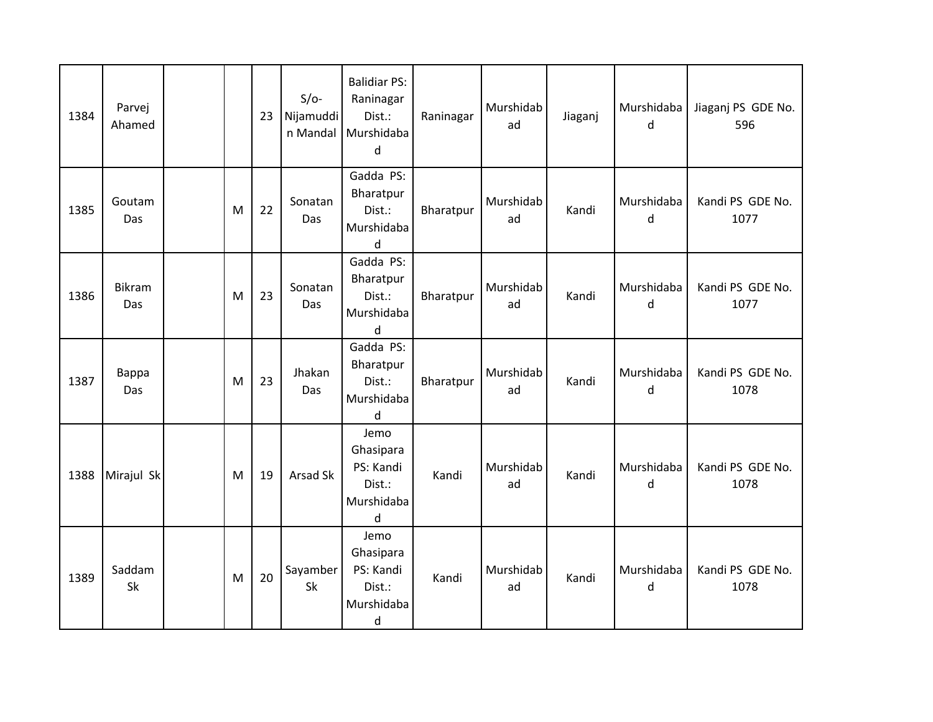| 1384 | Parvej<br>Ahamed |   | 23 | $S/O-$<br>Nijamuddi<br>n Mandal | <b>Balidiar PS:</b><br>Raninagar<br>Dist.:<br>Murshidaba<br>d | Raninagar | Murshidab<br>ad | Jiaganj | Murshidaba<br>d | Jiaganj PS GDE No.<br>596 |
|------|------------------|---|----|---------------------------------|---------------------------------------------------------------|-----------|-----------------|---------|-----------------|---------------------------|
| 1385 | Goutam<br>Das    | M | 22 | Sonatan<br>Das                  | Gadda PS:<br>Bharatpur<br>Dist.:<br>Murshidaba<br>d           | Bharatpur | Murshidab<br>ad | Kandi   | Murshidaba<br>d | Kandi PS GDE No.<br>1077  |
| 1386 | Bikram<br>Das    | M | 23 | Sonatan<br>Das                  | Gadda PS:<br>Bharatpur<br>Dist.:<br>Murshidaba<br>d           | Bharatpur | Murshidab<br>ad | Kandi   | Murshidaba<br>d | Kandi PS GDE No.<br>1077  |
| 1387 | Bappa<br>Das     | M | 23 | Jhakan<br>Das                   | Gadda PS:<br>Bharatpur<br>Dist.:<br>Murshidaba<br>d           | Bharatpur | Murshidab<br>ad | Kandi   | Murshidaba<br>d | Kandi PS GDE No.<br>1078  |
| 1388 | Mirajul Sk       | M | 19 | Arsad Sk                        | Jemo<br>Ghasipara<br>PS: Kandi<br>Dist.:<br>Murshidaba<br>d   | Kandi     | Murshidab<br>ad | Kandi   | Murshidaba<br>d | Kandi PS GDE No.<br>1078  |
| 1389 | Saddam<br>Sk     | M | 20 | Sayamber<br>Sk                  | Jemo<br>Ghasipara<br>PS: Kandi<br>Dist.:<br>Murshidaba<br>d   | Kandi     | Murshidab<br>ad | Kandi   | Murshidaba<br>d | Kandi PS GDE No.<br>1078  |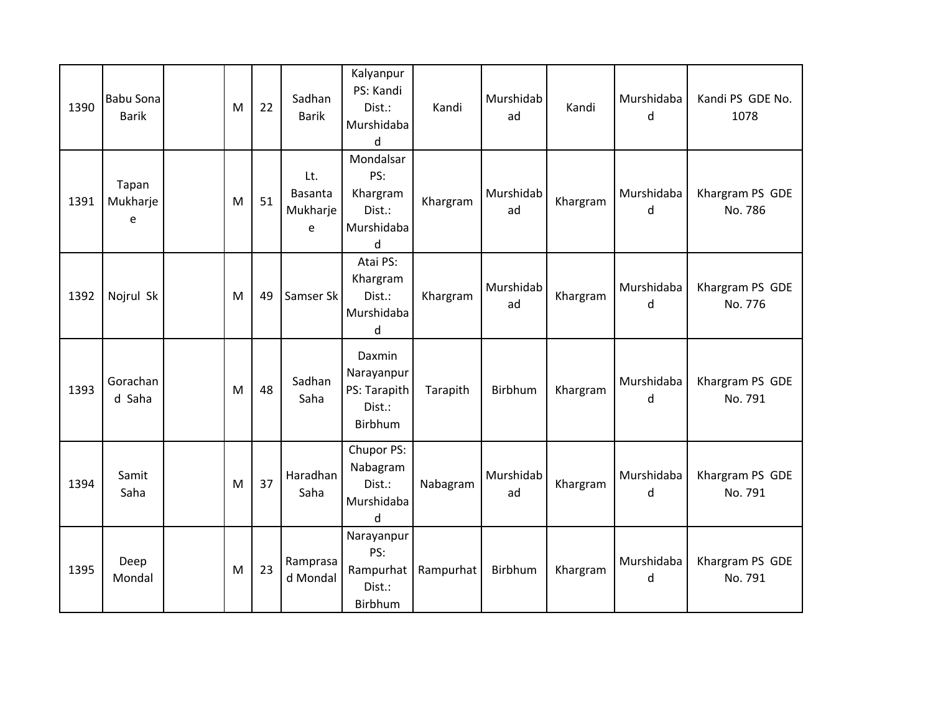| 1390 | <b>Babu Sona</b><br><b>Barik</b> | M | 22 | Sadhan<br><b>Barik</b>          | Kalyanpur<br>PS: Kandi<br>Dist.:<br>Murshidaba<br>d       | Kandi     | Murshidab<br>ad | Kandi    | Murshidaba<br>d | Kandi PS GDE No.<br>1078   |
|------|----------------------------------|---|----|---------------------------------|-----------------------------------------------------------|-----------|-----------------|----------|-----------------|----------------------------|
| 1391 | Tapan<br>Mukharje<br>e           | M | 51 | Lt.<br>Basanta<br>Mukharje<br>e | Mondalsar<br>PS:<br>Khargram<br>Dist.:<br>Murshidaba<br>d | Khargram  | Murshidab<br>ad | Khargram | Murshidaba<br>d | Khargram PS GDE<br>No. 786 |
| 1392 | Nojrul Sk                        | M | 49 | Samser Sk                       | Atai PS:<br>Khargram<br>Dist.:<br>Murshidaba<br>d         | Khargram  | Murshidab<br>ad | Khargram | Murshidaba<br>d | Khargram PS GDE<br>No. 776 |
| 1393 | Gorachan<br>d Saha               | M | 48 | Sadhan<br>Saha                  | Daxmin<br>Narayanpur<br>PS: Tarapith<br>Dist.:<br>Birbhum | Tarapith  | Birbhum         | Khargram | Murshidaba<br>d | Khargram PS GDE<br>No. 791 |
| 1394 | Samit<br>Saha                    | M | 37 | Haradhan<br>Saha                | Chupor PS:<br>Nabagram<br>Dist.:<br>Murshidaba<br>$\sf d$ | Nabagram  | Murshidab<br>ad | Khargram | Murshidaba<br>d | Khargram PS GDE<br>No. 791 |
| 1395 | Deep<br>Mondal                   | M | 23 | Ramprasa<br>d Mondal            | Narayanpur<br>PS:<br>Rampurhat<br>Dist.:<br>Birbhum       | Rampurhat | Birbhum         | Khargram | Murshidaba<br>d | Khargram PS GDE<br>No. 791 |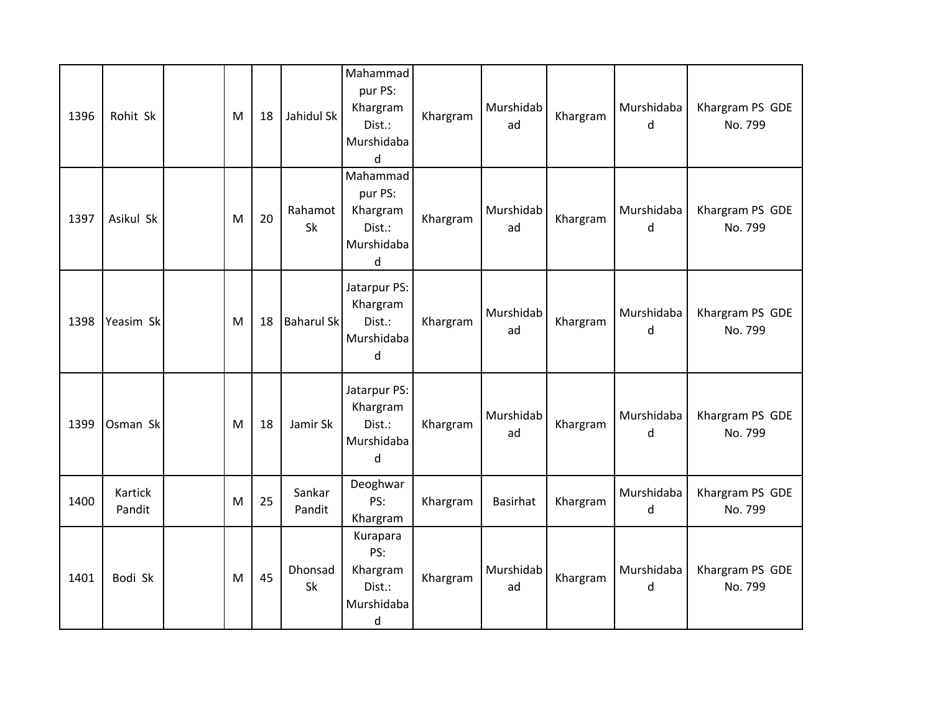| 1396 | Rohit Sk          | M         | 18 | Jahidul Sk           | Mahammad<br>pur PS:<br>Khargram<br>Dist.:<br>Murshidaba<br>d            | Khargram | Murshidab<br>ad | Khargram | Murshidaba<br>d | Khargram PS GDE<br>No. 799 |
|------|-------------------|-----------|----|----------------------|-------------------------------------------------------------------------|----------|-----------------|----------|-----------------|----------------------------|
| 1397 | Asikul Sk         | M         | 20 | Rahamot<br><b>Sk</b> | Mahammad<br>pur PS:<br>Khargram<br>Dist.:<br>Murshidaba<br>$\mathsf{d}$ | Khargram | Murshidab<br>ad | Khargram | Murshidaba<br>d | Khargram PS GDE<br>No. 799 |
| 1398 | Yeasim Sk         | M         | 18 | <b>Baharul Sk</b>    | Jatarpur PS:<br>Khargram<br>Dist.:<br>Murshidaba<br>d                   | Khargram | Murshidab<br>ad | Khargram | Murshidaba<br>d | Khargram PS GDE<br>No. 799 |
| 1399 | Osman Sk          | ${\sf M}$ | 18 | Jamir Sk             | Jatarpur PS:<br>Khargram<br>Dist.:<br>Murshidaba<br>d                   | Khargram | Murshidab<br>ad | Khargram | Murshidaba<br>d | Khargram PS GDE<br>No. 799 |
| 1400 | Kartick<br>Pandit | M         | 25 | Sankar<br>Pandit     | Deoghwar<br>PS:<br>Khargram                                             | Khargram | <b>Basirhat</b> | Khargram | Murshidaba<br>d | Khargram PS GDE<br>No. 799 |
| 1401 | Bodi Sk           | M         | 45 | Dhonsad<br>Sk        | Kurapara<br>PS:<br>Khargram<br>Dist.:<br>Murshidaba<br>d                | Khargram | Murshidab<br>ad | Khargram | Murshidaba<br>d | Khargram PS GDE<br>No. 799 |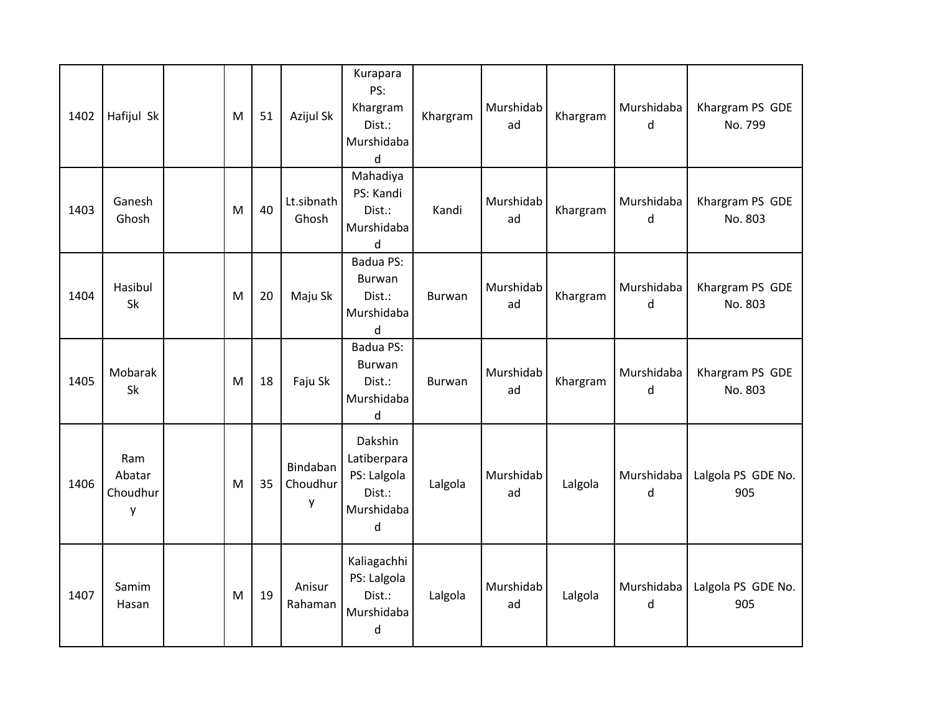| 1402 | Hafijul Sk                     | M | 51 | Azijul Sk                 | Kurapara<br>PS:<br>Khargram<br>Dist.:<br>Murshidaba<br>d                 | Khargram | Murshidab<br>ad | Khargram | Murshidaba<br>d | Khargram PS GDE<br>No. 799 |
|------|--------------------------------|---|----|---------------------------|--------------------------------------------------------------------------|----------|-----------------|----------|-----------------|----------------------------|
| 1403 | Ganesh<br>Ghosh                | M | 40 | Lt.sibnath<br>Ghosh       | Mahadiya<br>PS: Kandi<br>Dist.:<br>Murshidaba<br>d                       | Kandi    | Murshidab<br>ad | Khargram | Murshidaba<br>d | Khargram PS GDE<br>No. 803 |
| 1404 | Hasibul<br>Sk                  | M | 20 | Maju Sk                   | Badua PS:<br>Burwan<br>Dist.:<br>Murshidaba<br>d                         | Burwan   | Murshidab<br>ad | Khargram | Murshidaba<br>d | Khargram PS GDE<br>No. 803 |
| 1405 | Mobarak<br>Sk                  | M | 18 | Faju Sk                   | Badua PS:<br>Burwan<br>Dist.:<br>Murshidaba<br>d                         | Burwan   | Murshidab<br>ad | Khargram | Murshidaba<br>d | Khargram PS GDE<br>No. 803 |
| 1406 | Ram<br>Abatar<br>Choudhur<br>y | M | 35 | Bindaban<br>Choudhur<br>y | Dakshin<br>Latiberpara<br>PS: Lalgola<br>Dist.:<br>Murshidaba<br>$\sf d$ | Lalgola  | Murshidab<br>ad | Lalgola  | Murshidaba<br>d | Lalgola PS GDE No.<br>905  |
| 1407 | Samim<br>Hasan                 | M | 19 | Anisur<br>Rahaman         | Kaliagachhi<br>PS: Lalgola<br>Dist.:<br>Murshidaba<br>d                  | Lalgola  | Murshidab<br>ad | Lalgola  | Murshidaba<br>d | Lalgola PS GDE No.<br>905  |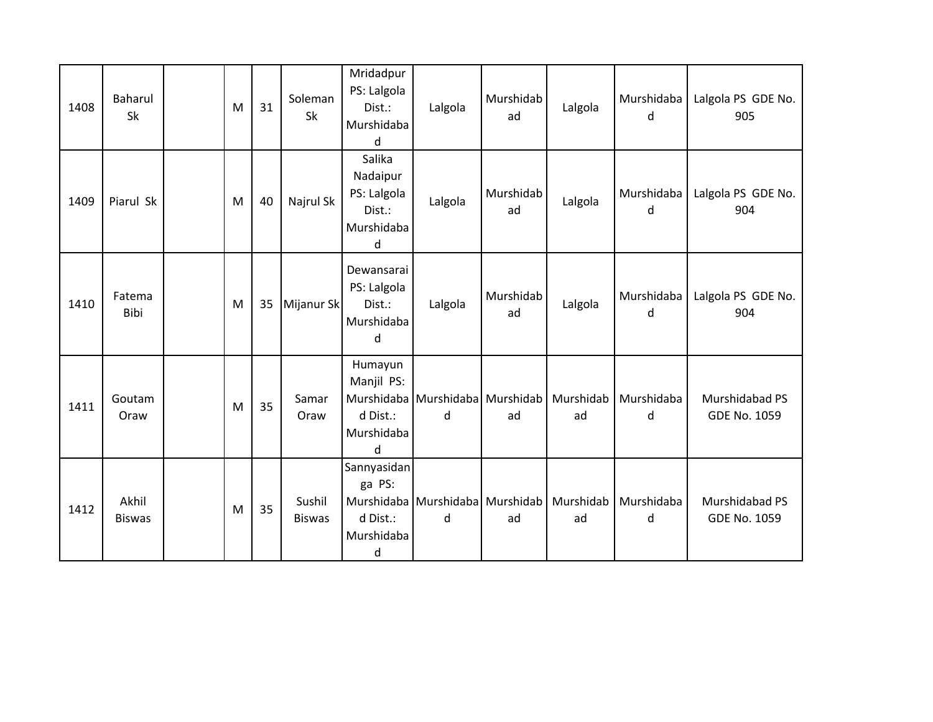| 1408 | <b>Baharul</b><br>Sk   | M         | 31 | Soleman<br>Sk           | Mridadpur<br>PS: Lalgola<br>Dist.:<br>Murshidaba<br>d          | Lalgola                              | Murshidab<br>ad | Lalgola         | Murshidaba<br>d | Lalgola PS GDE No.<br>905             |
|------|------------------------|-----------|----|-------------------------|----------------------------------------------------------------|--------------------------------------|-----------------|-----------------|-----------------|---------------------------------------|
| 1409 | Piarul Sk              | ${\sf M}$ | 40 | Najrul Sk               | Salika<br>Nadaipur<br>PS: Lalgola<br>Dist.:<br>Murshidaba<br>d | Lalgola                              | Murshidab<br>ad | Lalgola         | Murshidaba<br>d | Lalgola PS GDE No.<br>904             |
| 1410 | Fatema<br>Bibi         | M         | 35 | Mijanur Sk              | Dewansarai<br>PS: Lalgola<br>Dist.:<br>Murshidaba<br>d         | Lalgola                              | Murshidab<br>ad | Lalgola         | Murshidaba<br>d | Lalgola PS GDE No.<br>904             |
| 1411 | Goutam<br>Oraw         | M         | 35 | Samar<br>Oraw           | Humayun<br>Manjil PS:<br>d Dist.:<br>Murshidaba<br>d           | Murshidaba Murshidaba Murshidab<br>d | ad              | Murshidab<br>ad | Murshidaba<br>d | Murshidabad PS<br>GDE No. 1059        |
| 1412 | Akhil<br><b>Biswas</b> | M         | 35 | Sushil<br><b>Biswas</b> | Sannyasidan<br>ga PS:<br>d Dist.:<br>Murshidaba<br>d           | Murshidaba Murshidaba Murshidab<br>d | ad              | Murshidab<br>ad | Murshidaba<br>d | Murshidabad PS<br><b>GDE No. 1059</b> |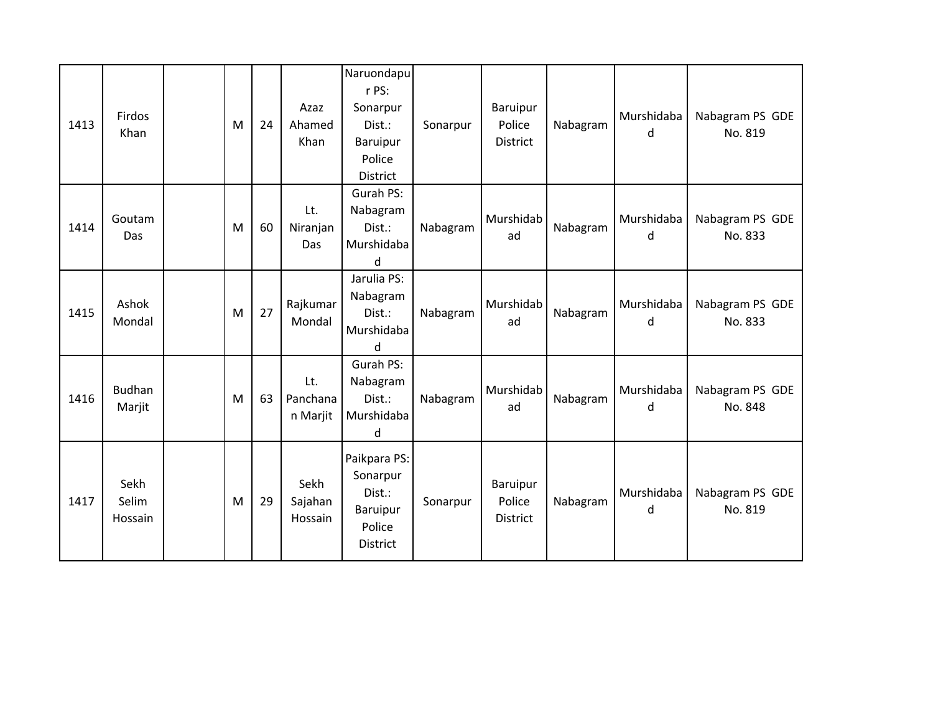| 1413 | Firdos<br>Khan           | M | 24 | Azaz<br>Ahamed<br>Khan      | Naruondapu<br>r PS:<br>Sonarpur<br>Dist.:<br>Baruipur<br>Police<br><b>District</b> | Sonarpur | Baruipur<br>Police<br>District | Nabagram | Murshidaba<br>d | Nabagram PS GDE<br>No. 819 |
|------|--------------------------|---|----|-----------------------------|------------------------------------------------------------------------------------|----------|--------------------------------|----------|-----------------|----------------------------|
| 1414 | Goutam<br>Das            | M | 60 | Lt.<br>Niranjan<br>Das      | Gurah PS:<br>Nabagram<br>Dist.:<br>Murshidaba<br>d                                 | Nabagram | Murshidab<br>ad                | Nabagram | Murshidaba<br>d | Nabagram PS GDE<br>No. 833 |
| 1415 | Ashok<br>Mondal          | M | 27 | Rajkumar<br>Mondal          | Jarulia PS:<br>Nabagram<br>Dist.:<br>Murshidaba<br><sub>d</sub>                    | Nabagram | Murshidab<br>ad                | Nabagram | Murshidaba<br>d | Nabagram PS GDE<br>No. 833 |
| 1416 | <b>Budhan</b><br>Marjit  | M | 63 | Lt.<br>Panchana<br>n Marjit | Gurah PS:<br>Nabagram<br>Dist.:<br>Murshidaba<br>d                                 | Nabagram | Murshidab<br>ad                | Nabagram | Murshidaba<br>d | Nabagram PS GDE<br>No. 848 |
| 1417 | Sekh<br>Selim<br>Hossain | M | 29 | Sekh<br>Sajahan<br>Hossain  | Paikpara PS:<br>Sonarpur<br>Dist.:<br>Baruipur<br>Police<br><b>District</b>        | Sonarpur | Baruipur<br>Police<br>District | Nabagram | Murshidaba<br>d | Nabagram PS GDE<br>No. 819 |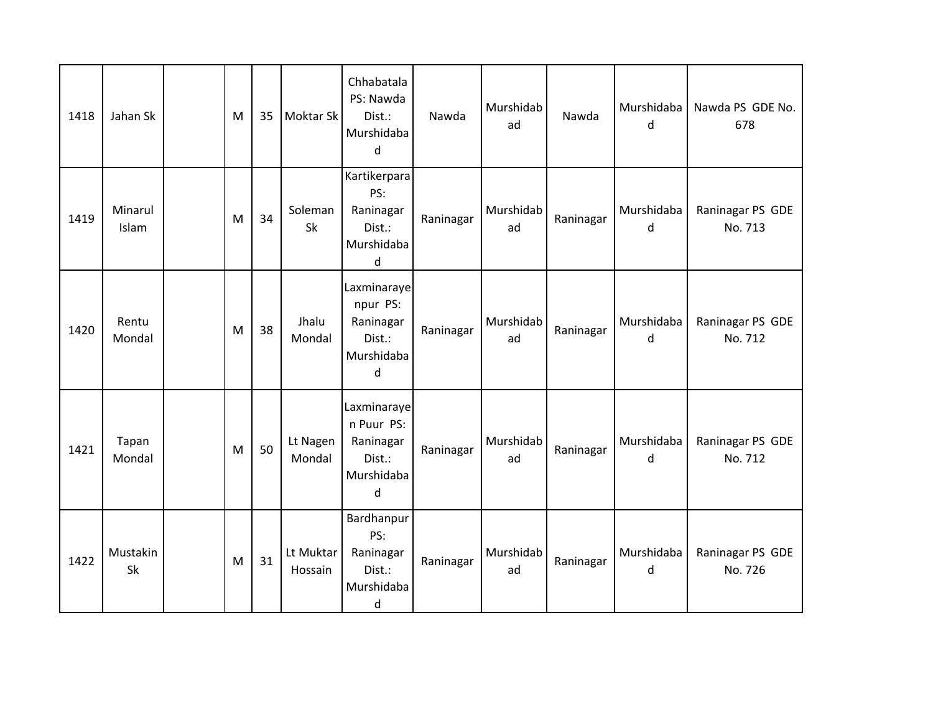| 1418 | Jahan Sk         | M         | 35 | Moktar Sk            | Chhabatala<br>PS: Nawda<br>Dist.:<br>Murshidaba<br>d                | Nawda     | Murshidab<br>ad | Nawda     | Murshidaba<br>d | Nawda PS GDE No.<br>678     |
|------|------------------|-----------|----|----------------------|---------------------------------------------------------------------|-----------|-----------------|-----------|-----------------|-----------------------------|
| 1419 | Minarul<br>Islam | ${\sf M}$ | 34 | Soleman<br>Sk        | Kartikerpara<br>PS:<br>Raninagar<br>Dist.:<br>Murshidaba<br>d       | Raninagar | Murshidab<br>ad | Raninagar | Murshidaba<br>d | Raninagar PS GDE<br>No. 713 |
| 1420 | Rentu<br>Mondal  | M         | 38 | Jhalu<br>Mondal      | Laxminaraye<br>npur PS:<br>Raninagar<br>Dist.:<br>Murshidaba<br>d   | Raninagar | Murshidab<br>ad | Raninagar | Murshidaba<br>d | Raninagar PS GDE<br>No. 712 |
| 1421 | Tapan<br>Mondal  | M         | 50 | Lt Nagen<br>Mondal   | Laxminaraye<br>n Puur PS:<br>Raninagar<br>Dist.:<br>Murshidaba<br>d | Raninagar | Murshidab<br>ad | Raninagar | Murshidaba<br>d | Raninagar PS GDE<br>No. 712 |
| 1422 | Mustakin<br>Sk   | ${\sf M}$ | 31 | Lt Muktar<br>Hossain | Bardhanpur<br>PS:<br>Raninagar<br>Dist.:<br>Murshidaba<br>d         | Raninagar | Murshidab<br>ad | Raninagar | Murshidaba<br>d | Raninagar PS GDE<br>No. 726 |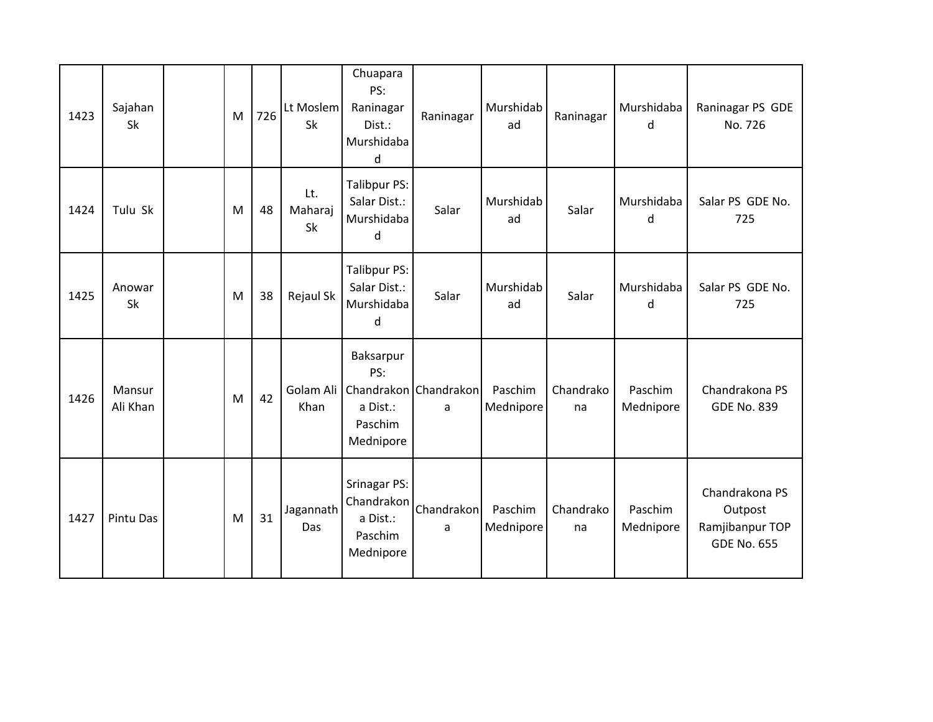| 1423 | Sajahan<br>Sk      | M | 726 | Lt Moslem<br>Sk      | Chuapara<br>PS:<br>Raninagar<br>Dist.:<br>Murshidaba<br>d                                     | Raninagar       | Murshidab<br>ad      | Raninagar       | Murshidaba<br>d      | Raninagar PS GDE<br>No. 726                                        |
|------|--------------------|---|-----|----------------------|-----------------------------------------------------------------------------------------------|-----------------|----------------------|-----------------|----------------------|--------------------------------------------------------------------|
| 1424 | Tulu Sk            | M | 48  | Lt.<br>Maharaj<br>Sk | Talibpur PS:<br>Salar Dist.:<br>Murshidaba<br>d                                               | Salar           | Murshidab<br>ad      | Salar           | Murshidaba<br>d      | Salar PS GDE No.<br>725                                            |
| 1425 | Anowar<br>Sk       | M | 38  | Rejaul Sk            | Talibpur PS:<br>Salar Dist.:<br>Murshidaba<br>d                                               | Salar           | Murshidab<br>ad      | Salar           | Murshidaba<br>d      | Salar PS GDE No.<br>725                                            |
| 1426 | Mansur<br>Ali Khan | M | 42  | Khan                 | Baksarpur<br>PS:<br>Golam Ali   Chandrakon   Chandrakon  <br>a Dist.:<br>Paschim<br>Mednipore | a               | Paschim<br>Mednipore | Chandrako<br>na | Paschim<br>Mednipore | Chandrakona PS<br><b>GDE No. 839</b>                               |
| 1427 | Pintu Das          | M | 31  | Jagannath<br>Das     | Srinagar PS:<br>Chandrakon<br>a Dist.:<br>Paschim<br>Mednipore                                | Chandrakon<br>a | Paschim<br>Mednipore | Chandrako<br>na | Paschim<br>Mednipore | Chandrakona PS<br>Outpost<br>Ramjibanpur TOP<br><b>GDE No. 655</b> |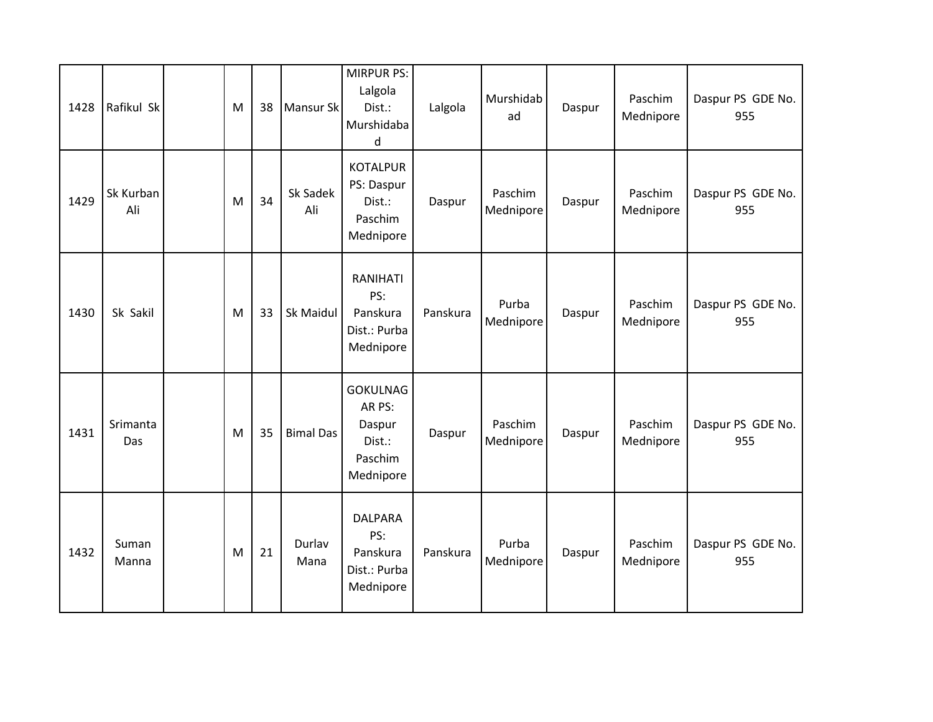| 1428 | Rafikul Sk       | M | 38 | Mansur Sk        | <b>MIRPUR PS:</b><br>Lalgola<br>Dist.:<br>Murshidaba<br>d             | Lalgola  | Murshidab<br>ad      | Daspur | Paschim<br>Mednipore | Daspur PS GDE No.<br>955 |
|------|------------------|---|----|------------------|-----------------------------------------------------------------------|----------|----------------------|--------|----------------------|--------------------------|
| 1429 | Sk Kurban<br>Ali | M | 34 | Sk Sadek<br>Ali  | <b>KOTALPUR</b><br>PS: Daspur<br>Dist.:<br>Paschim<br>Mednipore       | Daspur   | Paschim<br>Mednipore | Daspur | Paschim<br>Mednipore | Daspur PS GDE No.<br>955 |
| 1430 | Sk Sakil         | M | 33 | Sk Maidul        | RANIHATI<br>PS:<br>Panskura<br>Dist.: Purba<br>Mednipore              | Panskura | Purba<br>Mednipore   | Daspur | Paschim<br>Mednipore | Daspur PS GDE No.<br>955 |
| 1431 | Srimanta<br>Das  | M | 35 | <b>Bimal Das</b> | <b>GOKULNAG</b><br>AR PS:<br>Daspur<br>Dist.:<br>Paschim<br>Mednipore | Daspur   | Paschim<br>Mednipore | Daspur | Paschim<br>Mednipore | Daspur PS GDE No.<br>955 |
| 1432 | Suman<br>Manna   | M | 21 | Durlav<br>Mana   | <b>DALPARA</b><br>PS:<br>Panskura<br>Dist.: Purba<br>Mednipore        | Panskura | Purba<br>Mednipore   | Daspur | Paschim<br>Mednipore | Daspur PS GDE No.<br>955 |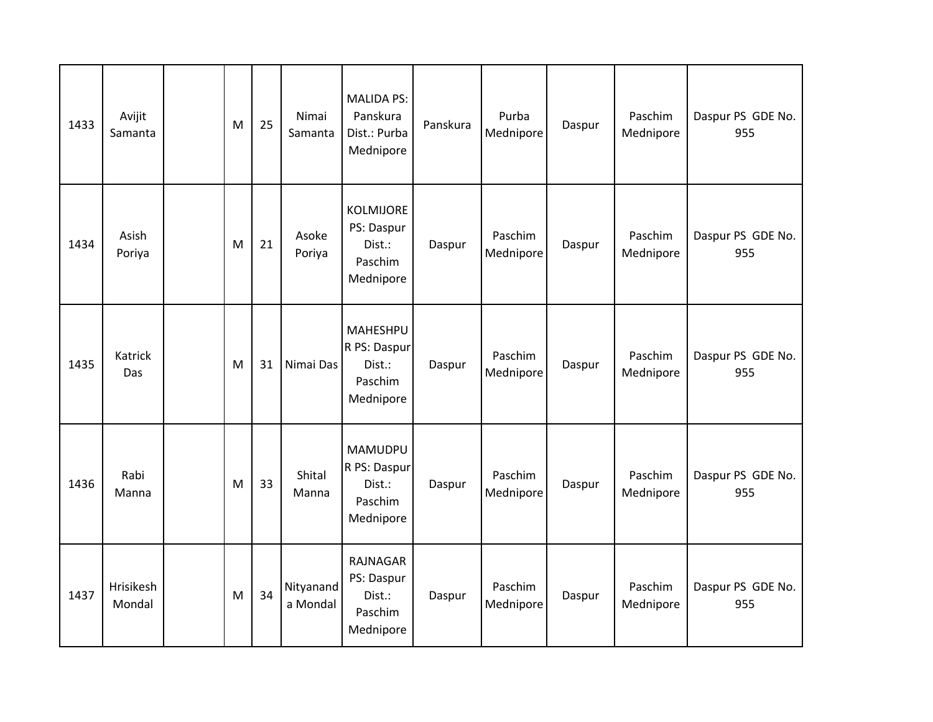| 1433 | Avijit<br>Samanta     | M | 25 | Nimai<br>Samanta      | <b>MALIDA PS:</b><br>Panskura<br>Dist.: Purba<br>Mednipore | Panskura | Purba<br>Mednipore   | Daspur | Paschim<br>Mednipore | Daspur PS GDE No.<br>955 |
|------|-----------------------|---|----|-----------------------|------------------------------------------------------------|----------|----------------------|--------|----------------------|--------------------------|
| 1434 | Asish<br>Poriya       | M | 21 | Asoke<br>Poriya       | KOLMIJORE<br>PS: Daspur<br>Dist.:<br>Paschim<br>Mednipore  | Daspur   | Paschim<br>Mednipore | Daspur | Paschim<br>Mednipore | Daspur PS GDE No.<br>955 |
| 1435 | <b>Katrick</b><br>Das | M | 31 | Nimai Das             | MAHESHPU<br>R PS: Daspur<br>Dist.:<br>Paschim<br>Mednipore | Daspur   | Paschim<br>Mednipore | Daspur | Paschim<br>Mednipore | Daspur PS GDE No.<br>955 |
| 1436 | Rabi<br>Manna         | M | 33 | Shital<br>Manna       | MAMUDPU<br>R PS: Daspur<br>Dist.:<br>Paschim<br>Mednipore  | Daspur   | Paschim<br>Mednipore | Daspur | Paschim<br>Mednipore | Daspur PS GDE No.<br>955 |
| 1437 | Hrisikesh<br>Mondal   | M | 34 | Nityanand<br>a Mondal | RAJNAGAR<br>PS: Daspur<br>Dist.:<br>Paschim<br>Mednipore   | Daspur   | Paschim<br>Mednipore | Daspur | Paschim<br>Mednipore | Daspur PS GDE No.<br>955 |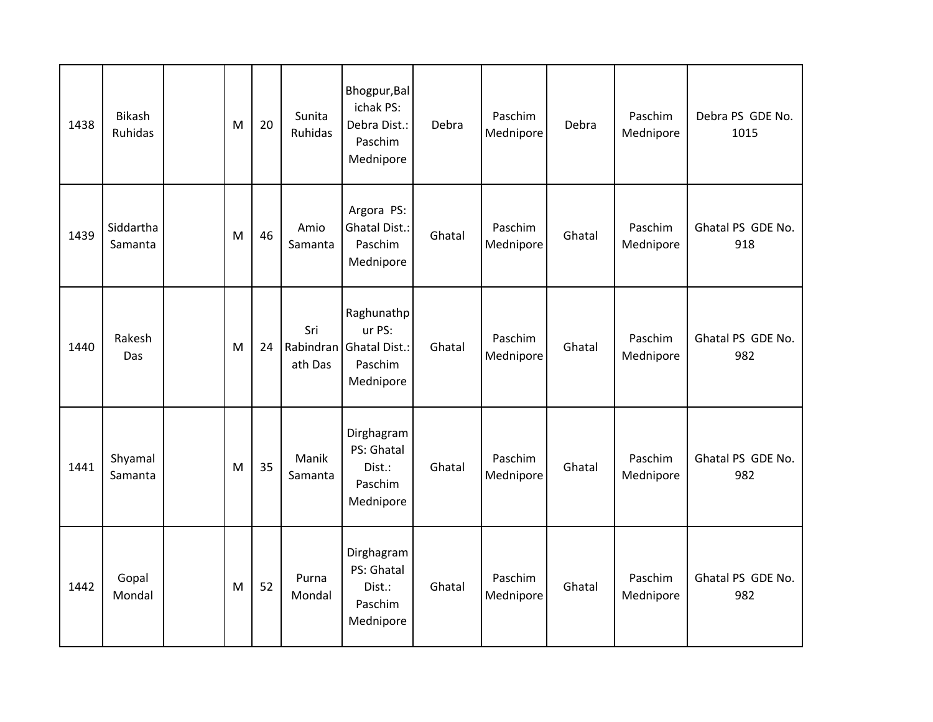| 1438 | <b>Bikash</b><br><b>Ruhidas</b> | M | 20 | Sunita<br><b>Ruhidas</b>    | Bhogpur, Bal<br>ichak PS:<br>Debra Dist.:<br>Paschim<br>Mednipore | Debra  | Paschim<br>Mednipore | Debra  | Paschim<br>Mednipore | Debra PS GDE No.<br>1015 |
|------|---------------------------------|---|----|-----------------------------|-------------------------------------------------------------------|--------|----------------------|--------|----------------------|--------------------------|
| 1439 | Siddartha<br>Samanta            | M | 46 | Amio<br>Samanta             | Argora PS:<br><b>Ghatal Dist.:</b><br>Paschim<br>Mednipore        | Ghatal | Paschim<br>Mednipore | Ghatal | Paschim<br>Mednipore | Ghatal PS GDE No.<br>918 |
| 1440 | Rakesh<br>Das                   | M | 24 | Sri<br>Rabindran<br>ath Das | Raghunathp<br>ur PS:<br>Ghatal Dist.:<br>Paschim<br>Mednipore     | Ghatal | Paschim<br>Mednipore | Ghatal | Paschim<br>Mednipore | Ghatal PS GDE No.<br>982 |
| 1441 | Shyamal<br>Samanta              | M | 35 | Manik<br>Samanta            | Dirghagram<br>PS: Ghatal<br>Dist.:<br>Paschim<br>Mednipore        | Ghatal | Paschim<br>Mednipore | Ghatal | Paschim<br>Mednipore | Ghatal PS GDE No.<br>982 |
| 1442 | Gopal<br>Mondal                 | M | 52 | Purna<br>Mondal             | Dirghagram<br>PS: Ghatal<br>Dist.:<br>Paschim<br>Mednipore        | Ghatal | Paschim<br>Mednipore | Ghatal | Paschim<br>Mednipore | Ghatal PS GDE No.<br>982 |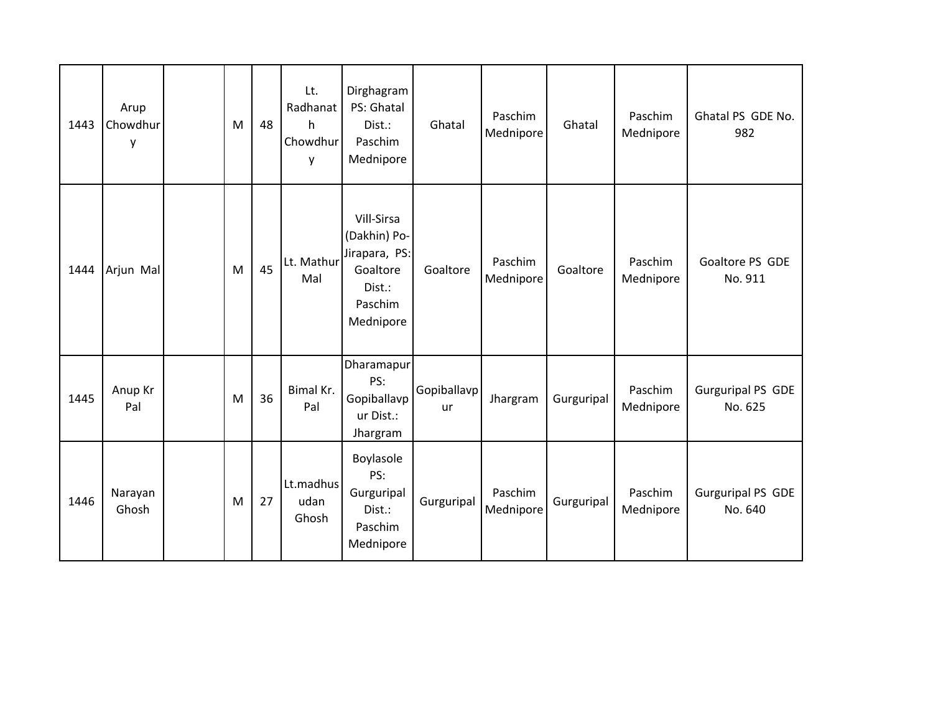| 1443 | Arup<br>Chowdhur<br>у | M | 48 | Lt.<br>Radhanat<br>h<br>Chowdhur<br>y | Dirghagram<br>PS: Ghatal<br>Dist.:<br>Paschim<br>Mednipore                                | Ghatal                   | Paschim<br>Mednipore | Ghatal     | Paschim<br>Mednipore | Ghatal PS GDE No.<br>982            |
|------|-----------------------|---|----|---------------------------------------|-------------------------------------------------------------------------------------------|--------------------------|----------------------|------------|----------------------|-------------------------------------|
| 1444 | Arjun Mal             | M | 45 | Lt. Mathur<br>Mal                     | Vill-Sirsa<br>(Dakhin) Po-<br>Jirapara, PS:<br>Goaltore<br>Dist.:<br>Paschim<br>Mednipore | Goaltore                 | Paschim<br>Mednipore | Goaltore   | Paschim<br>Mednipore | Goaltore PS GDE<br>No. 911          |
| 1445 | Anup Kr<br>Pal        | M | 36 | Bimal Kr.<br>Pal                      | Dharamapur<br>PS:<br>Gopiballavp<br>ur Dist.:<br>Jhargram                                 | Gopiballavp<br><b>ur</b> | Jhargram             | Gurguripal | Paschim<br>Mednipore | <b>Gurguripal PS GDE</b><br>No. 625 |
| 1446 | Narayan<br>Ghosh      | M | 27 | Lt.madhus<br>udan<br>Ghosh            | Boylasole<br>PS:<br>Gurguripal<br>Dist.:<br>Paschim<br>Mednipore                          | Gurguripal               | Paschim<br>Mednipore | Gurguripal | Paschim<br>Mednipore | <b>Gurguripal PS GDE</b><br>No. 640 |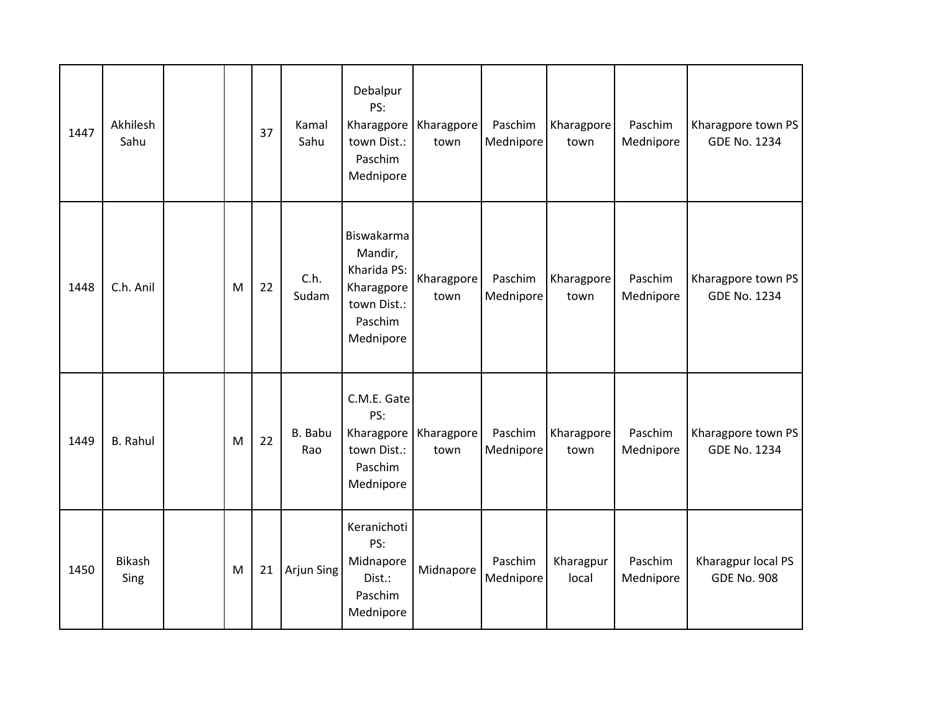| 1447 | Akhilesh<br>Sahu      |   | 37 | Kamal<br>Sahu  | Debalpur<br>PS:<br>Kharagpore<br>town Dist.:<br>Paschim<br>Mednipore                      | Kharagpore<br>town | Paschim<br>Mednipore | Kharagpore<br>town | Paschim<br>Mednipore | Kharagpore town PS<br><b>GDE No. 1234</b> |
|------|-----------------------|---|----|----------------|-------------------------------------------------------------------------------------------|--------------------|----------------------|--------------------|----------------------|-------------------------------------------|
| 1448 | C.h. Anil             | M | 22 | C.h.<br>Sudam  | Biswakarma<br>Mandir,<br>Kharida PS:<br>Kharagpore<br>town Dist.:<br>Paschim<br>Mednipore | Kharagpore<br>town | Paschim<br>Mednipore | Kharagpore<br>town | Paschim<br>Mednipore | Kharagpore town PS<br><b>GDE No. 1234</b> |
| 1449 | <b>B.</b> Rahul       | M | 22 | B. Babu<br>Rao | C.M.E. Gate<br>PS:<br>Kharagpore<br>town Dist.:<br>Paschim<br>Mednipore                   | Kharagpore<br>town | Paschim<br>Mednipore | Kharagpore<br>town | Paschim<br>Mednipore | Kharagpore town PS<br><b>GDE No. 1234</b> |
| 1450 | <b>Bikash</b><br>Sing | M | 21 | Arjun Sing     | Keranichoti<br>PS:<br>Midnapore<br>Dist.:<br>Paschim<br>Mednipore                         | Midnapore          | Paschim<br>Mednipore | Kharagpur<br>local | Paschim<br>Mednipore | Kharagpur local PS<br><b>GDE No. 908</b>  |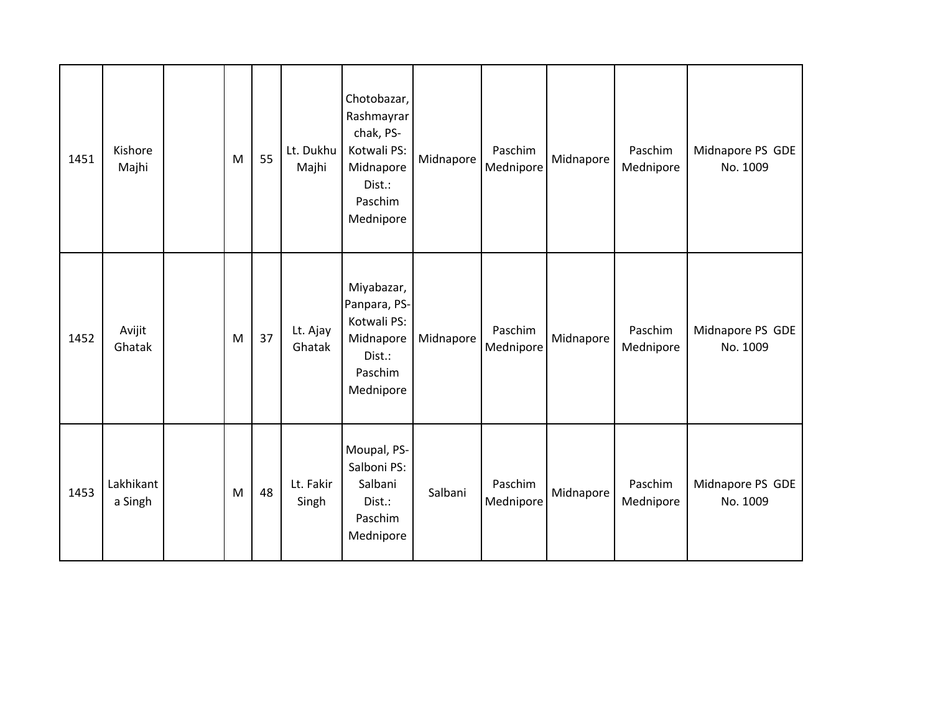| 1451 | Kishore<br>Majhi     | M | 55 | Lt. Dukhu<br>Majhi | Chotobazar,<br>Rashmayrar<br>chak, PS-<br>Kotwali PS:<br>Midnapore<br>Dist.:<br>Paschim<br>Mednipore | Midnapore | Paschim<br>Mednipore | Midnapore | Paschim<br>Mednipore | Midnapore PS GDE<br>No. 1009 |
|------|----------------------|---|----|--------------------|------------------------------------------------------------------------------------------------------|-----------|----------------------|-----------|----------------------|------------------------------|
| 1452 | Avijit<br>Ghatak     | M | 37 | Lt. Ajay<br>Ghatak | Miyabazar,<br>Panpara, PS-<br>Kotwali PS:<br>Midnapore<br>Dist.:<br>Paschim<br>Mednipore             | Midnapore | Paschim<br>Mednipore | Midnapore | Paschim<br>Mednipore | Midnapore PS GDE<br>No. 1009 |
| 1453 | Lakhikant<br>a Singh | M | 48 | Lt. Fakir<br>Singh | Moupal, PS-<br>Salboni PS:<br>Salbani<br>Dist.:<br>Paschim<br>Mednipore                              | Salbani   | Paschim<br>Mednipore | Midnapore | Paschim<br>Mednipore | Midnapore PS GDE<br>No. 1009 |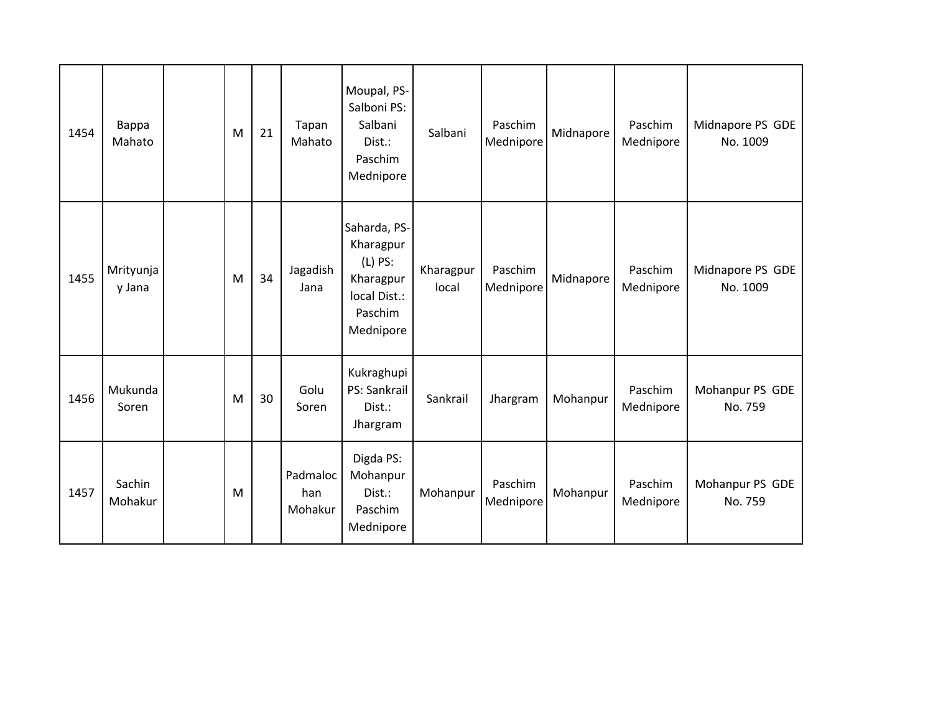| 1454 | Bappa<br>Mahato     | M | 21 | Tapan<br>Mahato            | Moupal, PS-<br>Salboni PS:<br>Salbani<br>Dist.:<br>Paschim<br>Mednipore                     | Salbani            | Paschim<br>Mednipore | Midnapore | Paschim<br>Mednipore | Midnapore PS GDE<br>No. 1009 |
|------|---------------------|---|----|----------------------------|---------------------------------------------------------------------------------------------|--------------------|----------------------|-----------|----------------------|------------------------------|
| 1455 | Mrityunja<br>y Jana | M | 34 | Jagadish<br>Jana           | Saharda, PS-<br>Kharagpur<br>$(L)$ PS:<br>Kharagpur<br>local Dist.:<br>Paschim<br>Mednipore | Kharagpur<br>local | Paschim<br>Mednipore | Midnapore | Paschim<br>Mednipore | Midnapore PS GDE<br>No. 1009 |
| 1456 | Mukunda<br>Soren    | M | 30 | Golu<br>Soren              | Kukraghupi<br>PS: Sankrail<br>Dist.:<br>Jhargram                                            | Sankrail           | Jhargram             | Mohanpur  | Paschim<br>Mednipore | Mohanpur PS GDE<br>No. 759   |
| 1457 | Sachin<br>Mohakur   | M |    | Padmaloc<br>han<br>Mohakur | Digda PS:<br>Mohanpur<br>Dist.:<br>Paschim<br>Mednipore                                     | Mohanpur           | Paschim<br>Mednipore | Mohanpur  | Paschim<br>Mednipore | Mohanpur PS GDE<br>No. 759   |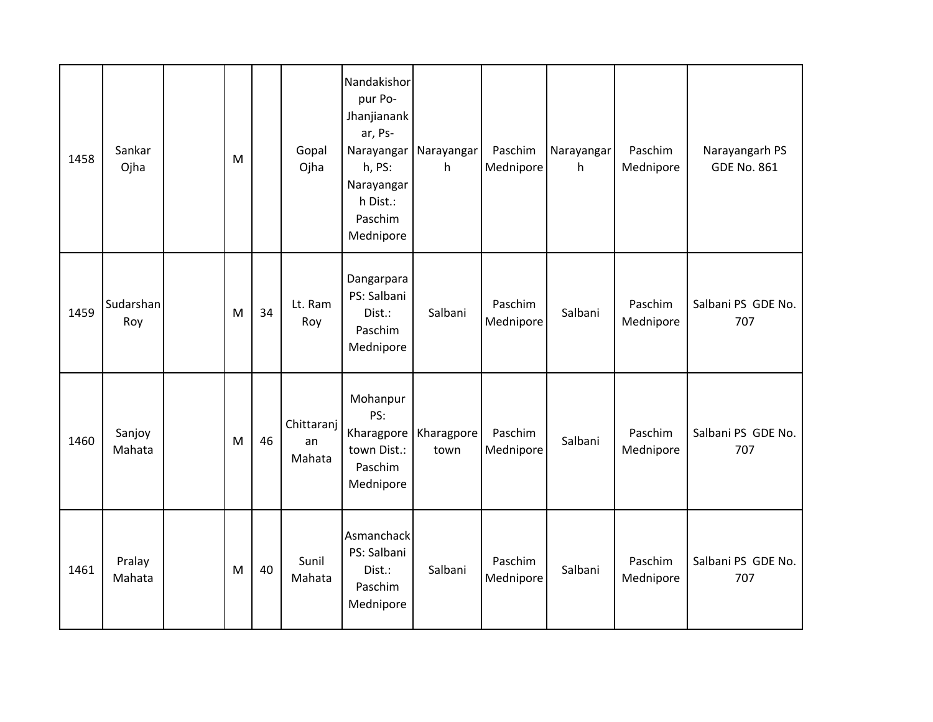| 1458 | Sankar<br>Ojha   | M         |    | Gopal<br>Ojha              | Nandakishor<br>pur Po-<br>Jhanjianank<br>ar, Ps-<br>Narayangar<br>h, PS:<br>Narayangar<br>h Dist.:<br>Paschim<br>Mednipore | Narayangar<br>h    | Paschim<br>Mednipore | Narayangar<br>h | Paschim<br>Mednipore | Narayangarh PS<br><b>GDE No. 861</b> |
|------|------------------|-----------|----|----------------------------|----------------------------------------------------------------------------------------------------------------------------|--------------------|----------------------|-----------------|----------------------|--------------------------------------|
| 1459 | Sudarshan<br>Roy | M         | 34 | Lt. Ram<br>Roy             | Dangarpara<br>PS: Salbani<br>Dist.:<br>Paschim<br>Mednipore                                                                | Salbani            | Paschim<br>Mednipore | Salbani         | Paschim<br>Mednipore | Salbani PS GDE No.<br>707            |
| 1460 | Sanjoy<br>Mahata | M         | 46 | Chittaranj<br>an<br>Mahata | Mohanpur<br>PS:<br>Kharagpore<br>town Dist.:<br>Paschim<br>Mednipore                                                       | Kharagpore<br>town | Paschim<br>Mednipore | Salbani         | Paschim<br>Mednipore | Salbani PS GDE No.<br>707            |
| 1461 | Pralay<br>Mahata | ${\sf M}$ | 40 | Sunil<br>Mahata            | Asmanchack<br>PS: Salbani<br>Dist.:<br>Paschim<br>Mednipore                                                                | Salbani            | Paschim<br>Mednipore | Salbani         | Paschim<br>Mednipore | Salbani PS GDE No.<br>707            |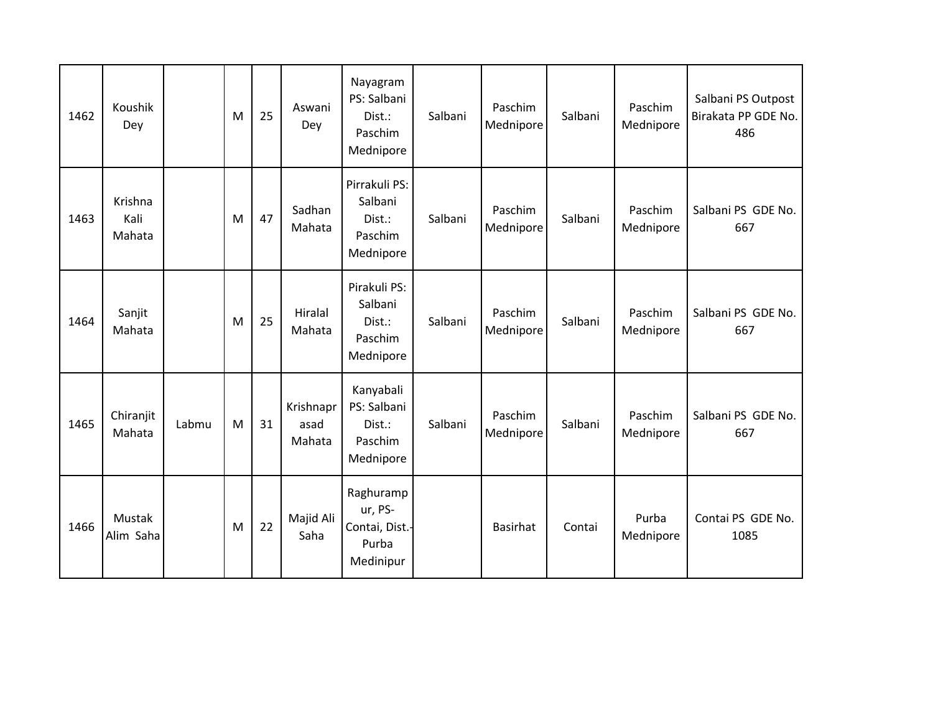| 1462 | Koushik<br>Dey            |       | M | 25 | Aswani<br>Dey               | Nayagram<br>PS: Salbani<br>Dist.:<br>Paschim<br>Mednipore    | Salbani | Paschim<br>Mednipore | Salbani | Paschim<br>Mednipore | Salbani PS Outpost<br>Birakata PP GDE No.<br>486 |
|------|---------------------------|-------|---|----|-----------------------------|--------------------------------------------------------------|---------|----------------------|---------|----------------------|--------------------------------------------------|
| 1463 | Krishna<br>Kali<br>Mahata |       | M | 47 | Sadhan<br>Mahata            | Pirrakuli PS:<br>Salbani<br>Dist.:<br>Paschim<br>Mednipore   | Salbani | Paschim<br>Mednipore | Salbani | Paschim<br>Mednipore | Salbani PS GDE No.<br>667                        |
| 1464 | Sanjit<br>Mahata          |       | M | 25 | Hiralal<br>Mahata           | Pirakuli PS:<br>Salbani<br>Dist.:<br>Paschim<br>Mednipore    | Salbani | Paschim<br>Mednipore | Salbani | Paschim<br>Mednipore | Salbani PS GDE No.<br>667                        |
| 1465 | Chiranjit<br>Mahata       | Labmu | M | 31 | Krishnapr<br>asad<br>Mahata | Kanyabali<br>PS: Salbani<br>Dist.:<br>Paschim<br>Mednipore   | Salbani | Paschim<br>Mednipore | Salbani | Paschim<br>Mednipore | Salbani PS GDE No.<br>667                        |
| 1466 | Mustak<br>Alim Saha       |       | M | 22 | Majid Ali<br>Saha           | Raghuramp<br>ur, PS-<br>Contai, Dist.-<br>Purba<br>Medinipur |         | <b>Basirhat</b>      | Contai  | Purba<br>Mednipore   | Contai PS GDE No.<br>1085                        |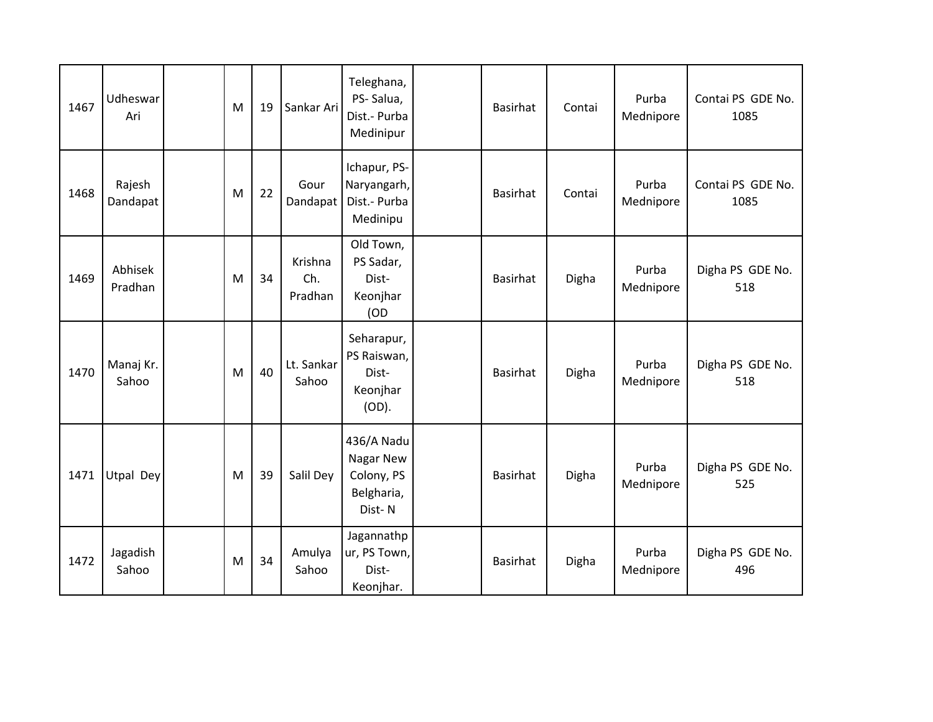| 1467 | Udheswar<br>Ari    | M | 19 | Sankar Ari                | Teleghana,<br>PS-Salua,<br>Dist.- Purba<br>Medinipur          | <b>Basirhat</b> | Contai | Purba<br>Mednipore | Contai PS GDE No.<br>1085 |
|------|--------------------|---|----|---------------------------|---------------------------------------------------------------|-----------------|--------|--------------------|---------------------------|
| 1468 | Rajesh<br>Dandapat | M | 22 | Gour<br>Dandapat          | Ichapur, PS-<br>Naryangarh,<br>Dist.- Purba<br>Medinipu       | <b>Basirhat</b> | Contai | Purba<br>Mednipore | Contai PS GDE No.<br>1085 |
| 1469 | Abhisek<br>Pradhan | M | 34 | Krishna<br>Ch.<br>Pradhan | Old Town,<br>PS Sadar,<br>Dist-<br>Keonjhar<br>(OD            | <b>Basirhat</b> | Digha  | Purba<br>Mednipore | Digha PS GDE No.<br>518   |
| 1470 | Manaj Kr.<br>Sahoo | M | 40 | Lt. Sankar<br>Sahoo       | Seharapur,<br>PS Raiswan,<br>Dist-<br>Keonjhar<br>(OD).       | <b>Basirhat</b> | Digha  | Purba<br>Mednipore | Digha PS GDE No.<br>518   |
| 1471 | Utpal Dey          | M | 39 | Salil Dey                 | 436/A Nadu<br>Nagar New<br>Colony, PS<br>Belgharia,<br>Dist-N | <b>Basirhat</b> | Digha  | Purba<br>Mednipore | Digha PS GDE No.<br>525   |
| 1472 | Jagadish<br>Sahoo  | M | 34 | Amulya<br>Sahoo           | Jagannathp<br>ur, PS Town,<br>Dist-<br>Keonjhar.              | <b>Basirhat</b> | Digha  | Purba<br>Mednipore | Digha PS GDE No.<br>496   |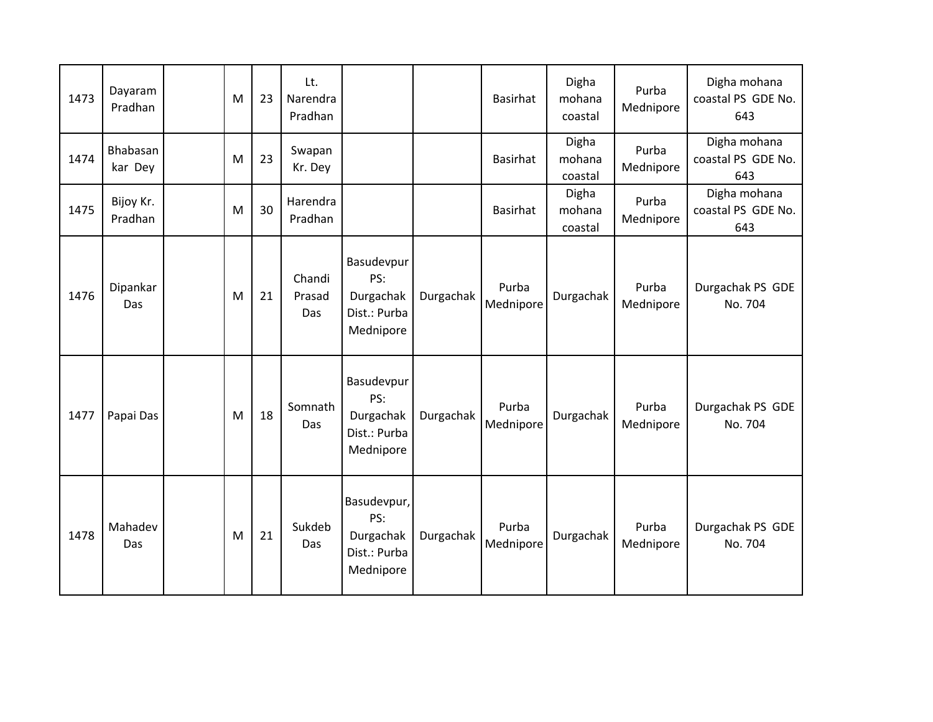| 1473 | Dayaram<br>Pradhan   | M | 23 | Lt.<br>Narendra<br>Pradhan |                                                              |           | <b>Basirhat</b>    | Digha<br>mohana<br>coastal | Purba<br>Mednipore | Digha mohana<br>coastal PS GDE No.<br>643 |
|------|----------------------|---|----|----------------------------|--------------------------------------------------------------|-----------|--------------------|----------------------------|--------------------|-------------------------------------------|
| 1474 | Bhabasan<br>kar Dey  | M | 23 | Swapan<br>Kr. Dey          |                                                              |           | Basirhat           | Digha<br>mohana<br>coastal | Purba<br>Mednipore | Digha mohana<br>coastal PS GDE No.<br>643 |
| 1475 | Bijoy Kr.<br>Pradhan | M | 30 | Harendra<br>Pradhan        |                                                              |           | <b>Basirhat</b>    | Digha<br>mohana<br>coastal | Purba<br>Mednipore | Digha mohana<br>coastal PS GDE No.<br>643 |
| 1476 | Dipankar<br>Das      | M | 21 | Chandi<br>Prasad<br>Das    | Basudevpur<br>PS:<br>Durgachak<br>Dist.: Purba<br>Mednipore  | Durgachak | Purba<br>Mednipore | Durgachak                  | Purba<br>Mednipore | Durgachak PS GDE<br>No. 704               |
| 1477 | Papai Das            | M | 18 | Somnath<br>Das             | Basudevpur<br>PS:<br>Durgachak<br>Dist.: Purba<br>Mednipore  | Durgachak | Purba<br>Mednipore | Durgachak                  | Purba<br>Mednipore | Durgachak PS GDE<br>No. 704               |
| 1478 | Mahadev<br>Das       | M | 21 | Sukdeb<br>Das              | Basudevpur,<br>PS:<br>Durgachak<br>Dist.: Purba<br>Mednipore | Durgachak | Purba<br>Mednipore | Durgachak                  | Purba<br>Mednipore | Durgachak PS GDE<br>No. 704               |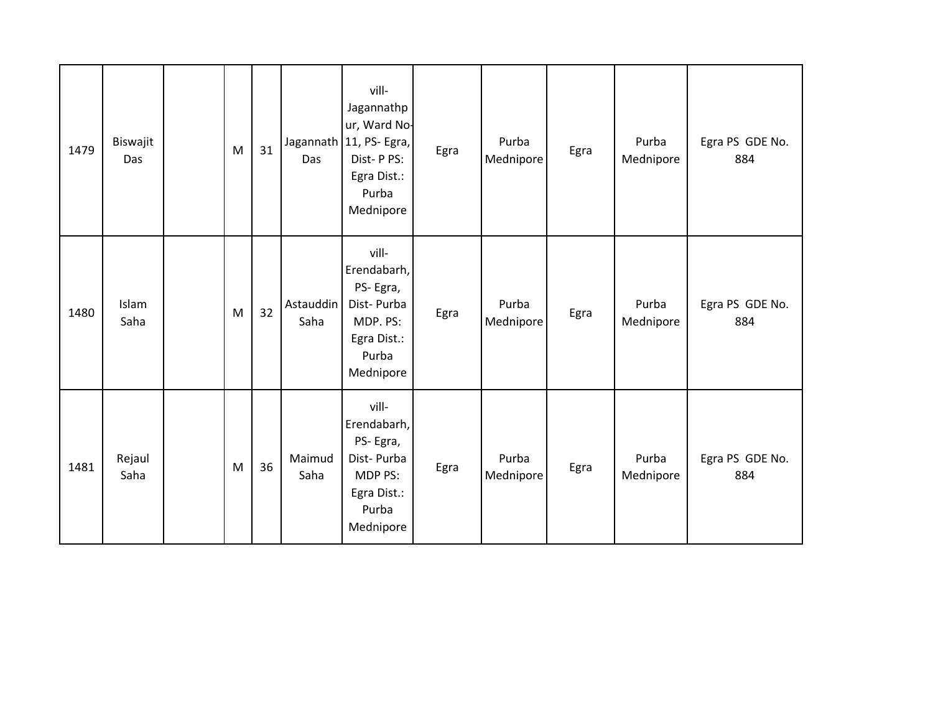| 1479 | Biswajit<br>Das | ${\sf M}$ | 31 | Das               | vill-<br>Jagannathp<br>ur, Ward No-<br>Jagannath 11, PS- Egra,<br>Dist-PPS:<br>Egra Dist.:<br>Purba<br>Mednipore | Egra | Purba<br>Mednipore | Egra | Purba<br>Mednipore | Egra PS GDE No.<br>884 |
|------|-----------------|-----------|----|-------------------|------------------------------------------------------------------------------------------------------------------|------|--------------------|------|--------------------|------------------------|
| 1480 | Islam<br>Saha   | ${\sf M}$ | 32 | Astauddin<br>Saha | vill-<br>Erendabarh,<br>PS-Egra,<br>Dist-Purba<br>MDP. PS:<br>Egra Dist.:<br>Purba<br>Mednipore                  | Egra | Purba<br>Mednipore | Egra | Purba<br>Mednipore | Egra PS GDE No.<br>884 |
| 1481 | Rejaul<br>Saha  | ${\sf M}$ | 36 | Maimud<br>Saha    | vill-<br>Erendabarh,<br>PS-Egra,<br>Dist-Purba<br>MDP PS:<br>Egra Dist.:<br>Purba<br>Mednipore                   | Egra | Purba<br>Mednipore | Egra | Purba<br>Mednipore | Egra PS GDE No.<br>884 |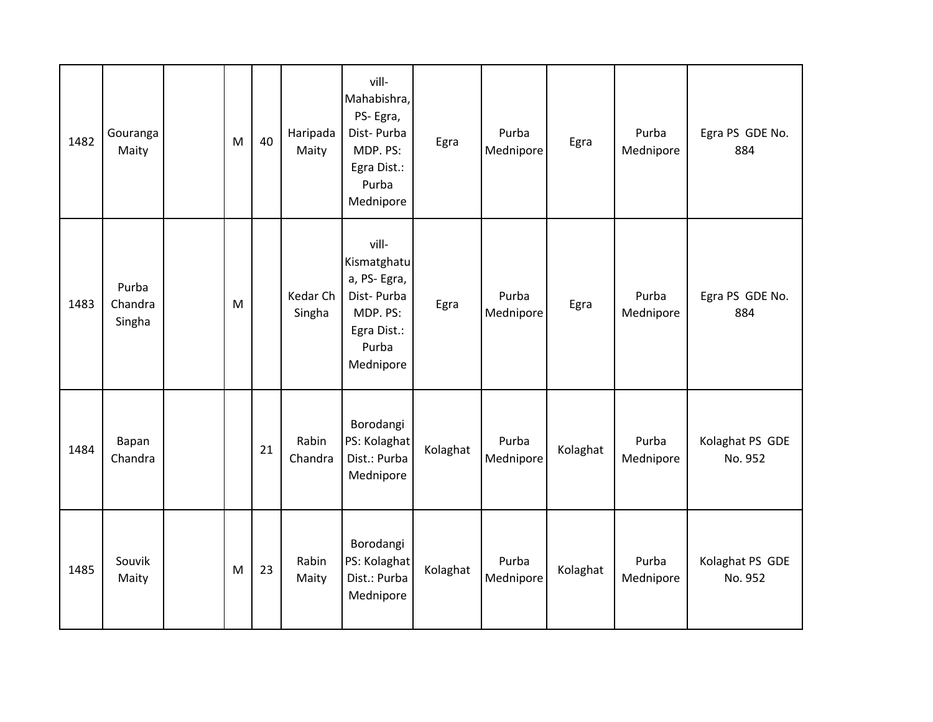| 1482 | Gouranga<br>Maity          | M | 40 | Haripada<br>Maity  | vill-<br>Mahabishra,<br>PS-Egra,<br>Dist-Purba<br>MDP. PS:<br>Egra Dist.:<br>Purba<br>Mednipore    | Egra     | Purba<br>Mednipore | Egra     | Purba<br>Mednipore | Egra PS GDE No.<br>884     |
|------|----------------------------|---|----|--------------------|----------------------------------------------------------------------------------------------------|----------|--------------------|----------|--------------------|----------------------------|
| 1483 | Purba<br>Chandra<br>Singha | M |    | Kedar Ch<br>Singha | vill-<br>Kismatghatu<br>a, PS-Egra,<br>Dist-Purba<br>MDP. PS:<br>Egra Dist.:<br>Purba<br>Mednipore | Egra     | Purba<br>Mednipore | Egra     | Purba<br>Mednipore | Egra PS GDE No.<br>884     |
| 1484 | Bapan<br>Chandra           |   | 21 | Rabin<br>Chandra   | Borodangi<br>PS: Kolaghat<br>Dist.: Purba<br>Mednipore                                             | Kolaghat | Purba<br>Mednipore | Kolaghat | Purba<br>Mednipore | Kolaghat PS GDE<br>No. 952 |
| 1485 | Souvik<br>Maity            | M | 23 | Rabin<br>Maity     | Borodangi<br>PS: Kolaghat<br>Dist.: Purba<br>Mednipore                                             | Kolaghat | Purba<br>Mednipore | Kolaghat | Purba<br>Mednipore | Kolaghat PS GDE<br>No. 952 |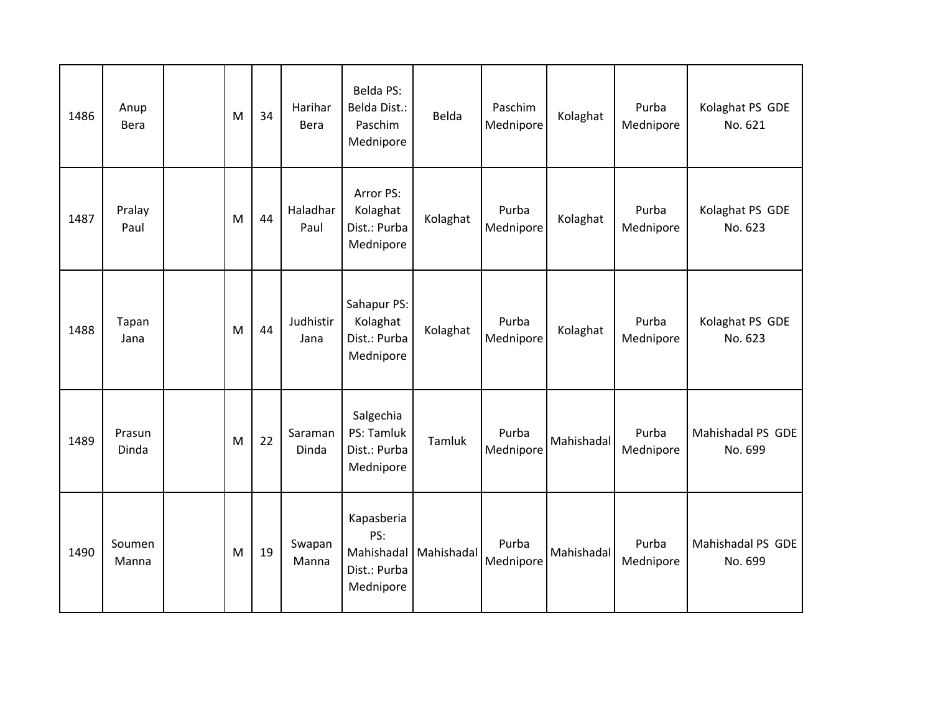| 1486 | Anup<br><b>Bera</b> | M         | 34 | Harihar<br><b>Bera</b> | Belda PS:<br>Belda Dist.:<br>Paschim<br>Mednipore            | Belda      | Paschim<br>Mednipore | Kolaghat   | Purba<br>Mednipore | Kolaghat PS GDE<br>No. 621   |
|------|---------------------|-----------|----|------------------------|--------------------------------------------------------------|------------|----------------------|------------|--------------------|------------------------------|
| 1487 | Pralay<br>Paul      | M         | 44 | Haladhar<br>Paul       | Arror PS:<br>Kolaghat<br>Dist.: Purba<br>Mednipore           | Kolaghat   | Purba<br>Mednipore   | Kolaghat   | Purba<br>Mednipore | Kolaghat PS GDE<br>No. 623   |
| 1488 | Tapan<br>Jana       | M         | 44 | Judhistir<br>Jana      | Sahapur PS:<br>Kolaghat<br>Dist.: Purba<br>Mednipore         | Kolaghat   | Purba<br>Mednipore   | Kolaghat   | Purba<br>Mednipore | Kolaghat PS GDE<br>No. 623   |
| 1489 | Prasun<br>Dinda     | M         | 22 | Saraman<br>Dinda       | Salgechia<br>PS: Tamluk<br>Dist.: Purba<br>Mednipore         | Tamluk     | Purba<br>Mednipore   | Mahishadal | Purba<br>Mednipore | Mahishadal PS GDE<br>No. 699 |
| 1490 | Soumen<br>Manna     | ${\sf M}$ | 19 | Swapan<br>Manna        | Kapasberia<br>PS:<br>Mahishadal<br>Dist.: Purba<br>Mednipore | Mahishadal | Purba<br>Mednipore   | Mahishadal | Purba<br>Mednipore | Mahishadal PS GDE<br>No. 699 |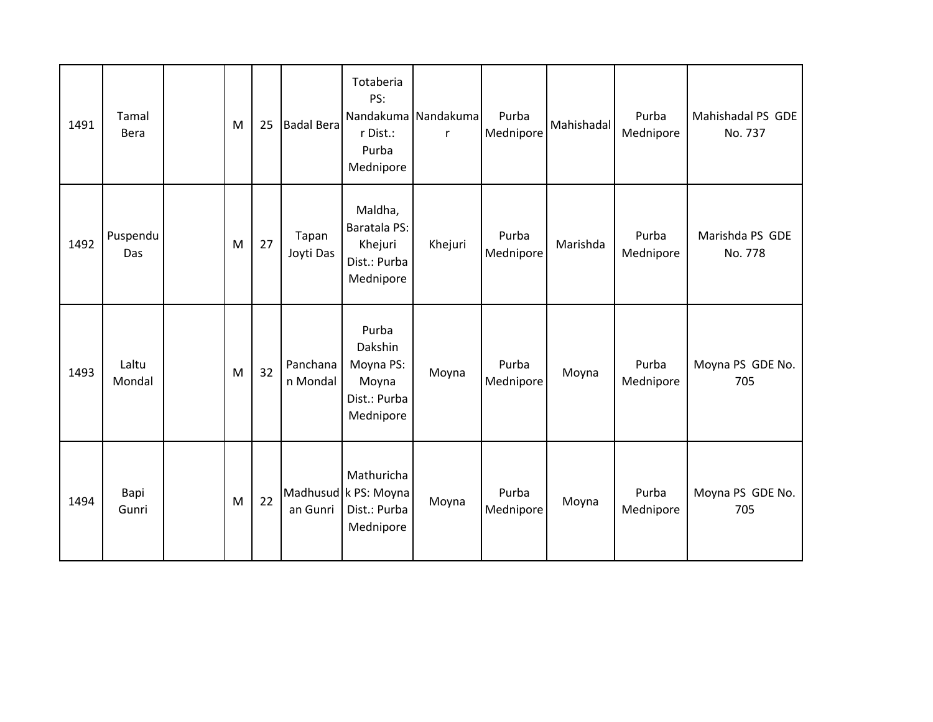| 1491 | Tamal<br>Bera   | M | 25 | <b>Badal Bera</b>    | Totaberia<br>PS:<br>r Dist.:<br>Purba<br>Mednipore                  | Nandakuma Nandakuma<br>r. | Purba<br>Mednipore | Mahishadal | Purba<br>Mednipore | Mahishadal PS GDE<br>No. 737 |
|------|-----------------|---|----|----------------------|---------------------------------------------------------------------|---------------------------|--------------------|------------|--------------------|------------------------------|
| 1492 | Puspendu<br>Das | M | 27 | Tapan<br>Joyti Das   | Maldha,<br>Baratala PS:<br>Khejuri<br>Dist.: Purba<br>Mednipore     | Khejuri                   | Purba<br>Mednipore | Marishda   | Purba<br>Mednipore | Marishda PS GDE<br>No. 778   |
| 1493 | Laltu<br>Mondal | M | 32 | Panchana<br>n Mondal | Purba<br>Dakshin<br>Moyna PS:<br>Moyna<br>Dist.: Purba<br>Mednipore | Moyna                     | Purba<br>Mednipore | Moyna      | Purba<br>Mednipore | Moyna PS GDE No.<br>705      |
| 1494 | Bapi<br>Gunri   | M | 22 | an Gunri             | Mathuricha<br>Madhusud k PS: Moyna<br>Dist.: Purba<br>Mednipore     | Moyna                     | Purba<br>Mednipore | Moyna      | Purba<br>Mednipore | Moyna PS GDE No.<br>705      |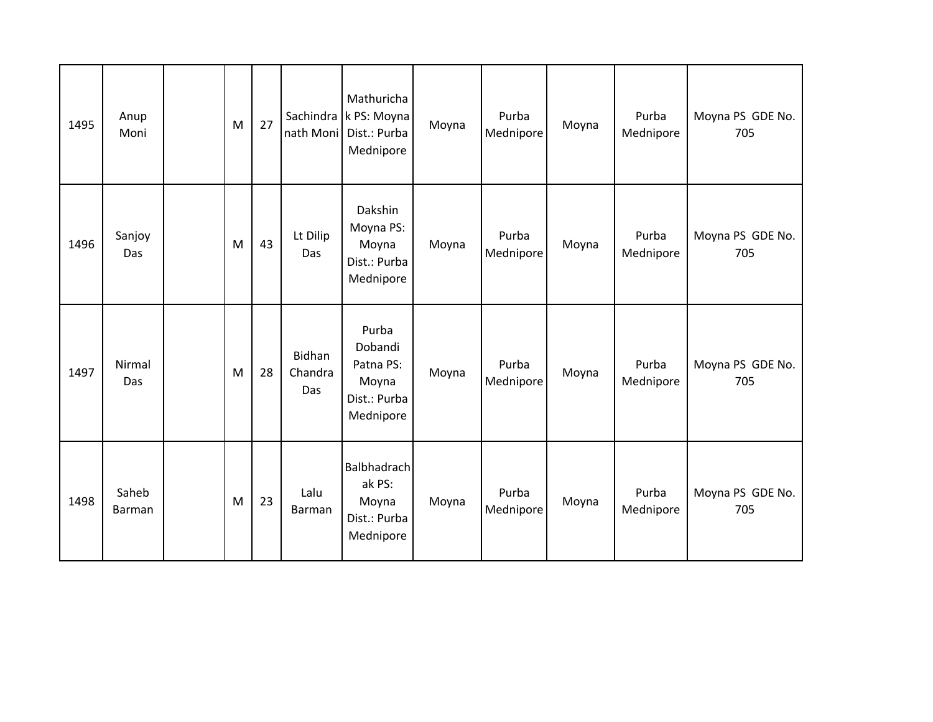| 1495 | Anup<br>Moni    | M | 27 | nath Moni                | Mathuricha<br>Sachindra k PS: Moyna<br>Dist.: Purba<br>Mednipore    | Moyna | Purba<br>Mednipore | Moyna | Purba<br>Mednipore | Moyna PS GDE No.<br>705 |
|------|-----------------|---|----|--------------------------|---------------------------------------------------------------------|-------|--------------------|-------|--------------------|-------------------------|
| 1496 | Sanjoy<br>Das   | M | 43 | Lt Dilip<br>Das          | Dakshin<br>Moyna PS:<br>Moyna<br>Dist.: Purba<br>Mednipore          | Moyna | Purba<br>Mednipore | Moyna | Purba<br>Mednipore | Moyna PS GDE No.<br>705 |
| 1497 | Nirmal<br>Das   | M | 28 | Bidhan<br>Chandra<br>Das | Purba<br>Dobandi<br>Patna PS:<br>Moyna<br>Dist.: Purba<br>Mednipore | Moyna | Purba<br>Mednipore | Moyna | Purba<br>Mednipore | Moyna PS GDE No.<br>705 |
| 1498 | Saheb<br>Barman | M | 23 | Lalu<br>Barman           | <b>Balbhadrach</b><br>ak PS:<br>Moyna<br>Dist.: Purba<br>Mednipore  | Moyna | Purba<br>Mednipore | Moyna | Purba<br>Mednipore | Moyna PS GDE No.<br>705 |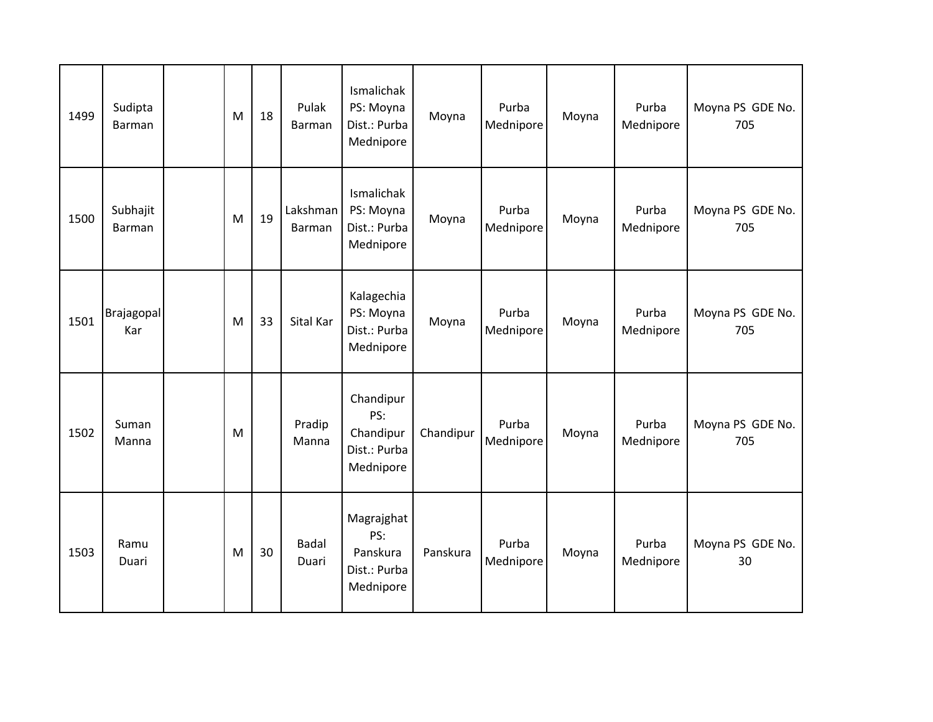| 1499 | Sudipta<br><b>Barman</b> | M | 18 | Pulak<br>Barman       | Ismalichak<br>PS: Moyna<br>Dist.: Purba<br>Mednipore       | Moyna     | Purba<br>Mednipore | Moyna | Purba<br>Mednipore | Moyna PS GDE No.<br>705 |
|------|--------------------------|---|----|-----------------------|------------------------------------------------------------|-----------|--------------------|-------|--------------------|-------------------------|
| 1500 | Subhajit<br>Barman       | M | 19 | Lakshman<br>Barman    | Ismalichak<br>PS: Moyna<br>Dist.: Purba<br>Mednipore       | Moyna     | Purba<br>Mednipore | Moyna | Purba<br>Mednipore | Moyna PS GDE No.<br>705 |
| 1501 | Brajagopal<br>Kar        | M | 33 | Sital Kar             | Kalagechia<br>PS: Moyna<br>Dist.: Purba<br>Mednipore       | Moyna     | Purba<br>Mednipore | Moyna | Purba<br>Mednipore | Moyna PS GDE No.<br>705 |
| 1502 | Suman<br>Manna           | M |    | Pradip<br>Manna       | Chandipur<br>PS:<br>Chandipur<br>Dist.: Purba<br>Mednipore | Chandipur | Purba<br>Mednipore | Moyna | Purba<br>Mednipore | Moyna PS GDE No.<br>705 |
| 1503 | Ramu<br>Duari            | M | 30 | <b>Badal</b><br>Duari | Magrajghat<br>PS:<br>Panskura<br>Dist.: Purba<br>Mednipore | Panskura  | Purba<br>Mednipore | Moyna | Purba<br>Mednipore | Moyna PS GDE No.<br>30  |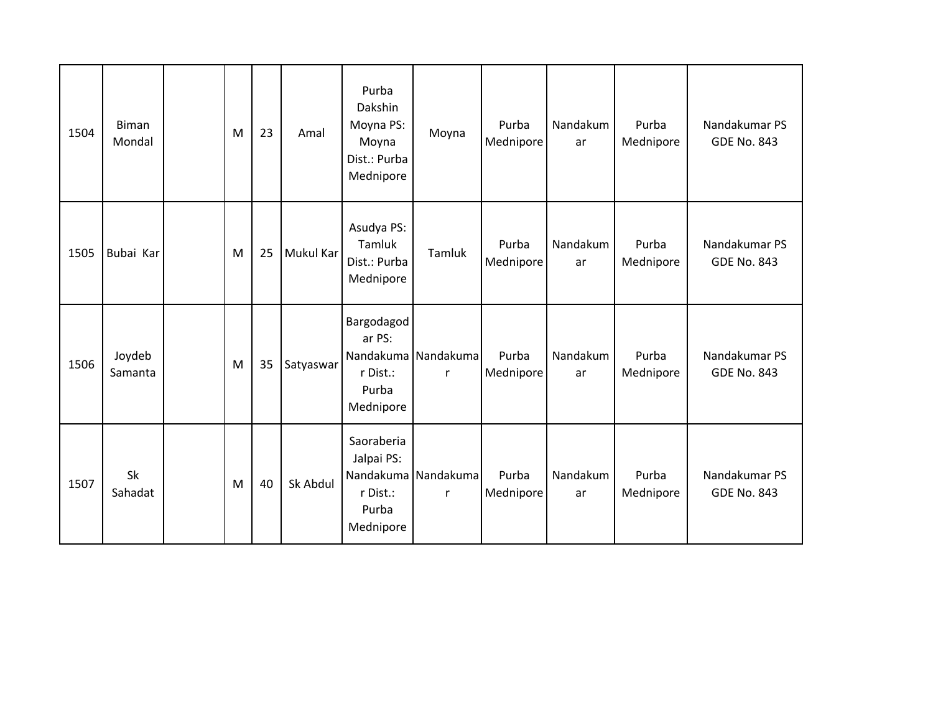| 1504 | Biman<br>Mondal   | M | 23 | Amal      | Purba<br>Dakshin<br>Moyna PS:<br>Moyna<br>Dist.: Purba<br>Mednipore           | Moyna                    | Purba<br>Mednipore | Nandakum<br>ar | Purba<br>Mednipore | Nandakumar PS<br><b>GDE No. 843</b> |
|------|-------------------|---|----|-----------|-------------------------------------------------------------------------------|--------------------------|--------------------|----------------|--------------------|-------------------------------------|
| 1505 | Bubai Kar         | M | 25 | Mukul Kar | Asudya PS:<br>Tamluk<br>Dist.: Purba<br>Mednipore                             | Tamluk                   | Purba<br>Mednipore | Nandakum<br>ar | Purba<br>Mednipore | Nandakumar PS<br><b>GDE No. 843</b> |
| 1506 | Joydeb<br>Samanta | M | 35 | Satyaswar | Bargodagod<br>ar PS:<br>Nandakuma Nandakuma<br>r Dist.:<br>Purba<br>Mednipore | r                        | Purba<br>Mednipore | Nandakum<br>ar | Purba<br>Mednipore | Nandakumar PS<br><b>GDE No. 843</b> |
| 1507 | Sk<br>Sahadat     | M | 40 | Sk Abdul  | Saoraberia<br>Jalpai PS:<br>r Dist.:<br>Purba<br>Mednipore                    | Nandakuma Nandakuma<br>r | Purba<br>Mednipore | Nandakum<br>ar | Purba<br>Mednipore | Nandakumar PS<br><b>GDE No. 843</b> |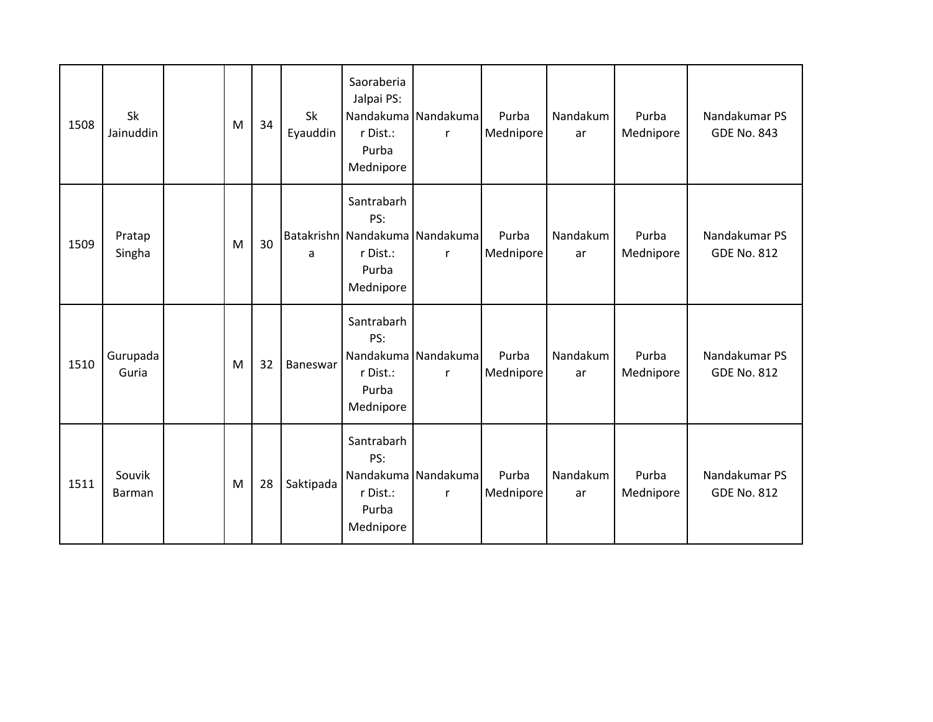| 1508 | Sk<br>Jainuddin   | M | 34 | <b>Sk</b><br>Eyauddin | Saoraberia<br>Jalpai PS:<br>r Dist.:<br>Purba<br>Mednipore                            | Nandakuma Nandakuma<br>r | Purba<br>Mednipore | Nandakum<br>ar | Purba<br>Mednipore | Nandakumar PS<br><b>GDE No. 843</b> |
|------|-------------------|---|----|-----------------------|---------------------------------------------------------------------------------------|--------------------------|--------------------|----------------|--------------------|-------------------------------------|
| 1509 | Pratap<br>Singha  | M | 30 | a                     | Santrabarh<br>PS:<br>Batakrishn Nandakuma Nandakuma<br>r Dist.:<br>Purba<br>Mednipore | r                        | Purba<br>Mednipore | Nandakum<br>ar | Purba<br>Mednipore | Nandakumar PS<br><b>GDE No. 812</b> |
| 1510 | Gurupada<br>Guria | M | 32 | Baneswar              | Santrabarh<br>PS:<br>r Dist.:<br>Purba<br>Mednipore                                   | Nandakuma Nandakuma<br>r | Purba<br>Mednipore | Nandakum<br>ar | Purba<br>Mednipore | Nandakumar PS<br><b>GDE No. 812</b> |
| 1511 | Souvik<br>Barman  | M | 28 | Saktipada             | Santrabarh<br>PS:<br>r Dist.:<br>Purba<br>Mednipore                                   | Nandakuma Nandakuma<br>r | Purba<br>Mednipore | Nandakum<br>ar | Purba<br>Mednipore | Nandakumar PS<br><b>GDE No. 812</b> |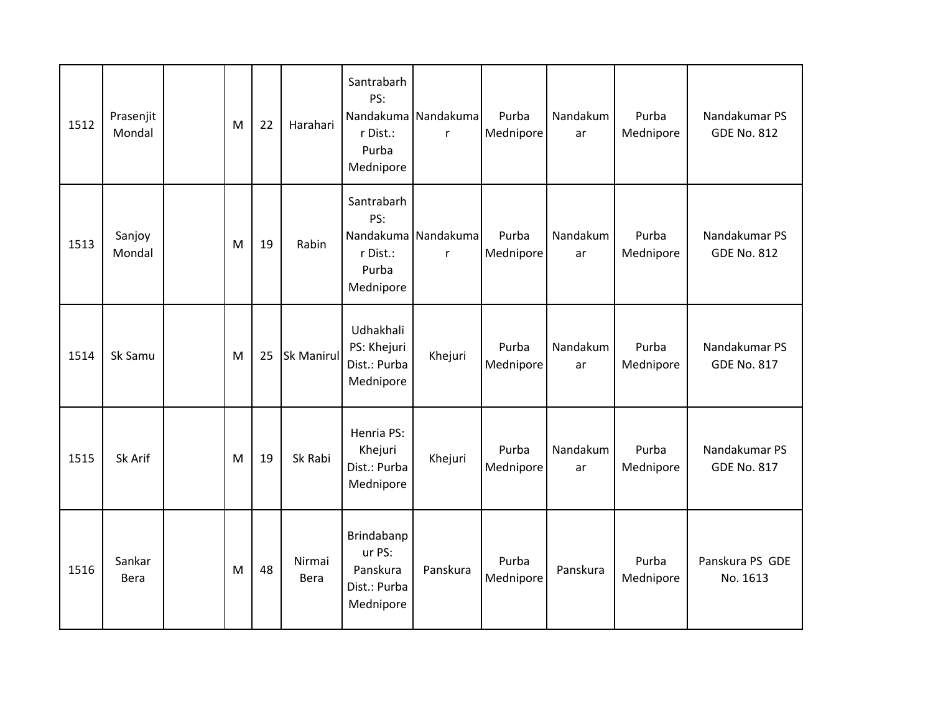| 1512 | Prasenjit<br>Mondal | M | 22 | Harahari          | Santrabarh<br>PS:<br>r Dist.:<br>Purba<br>Mednipore                        | Nandakuma Nandakuma<br>r | Purba<br>Mednipore | Nandakum<br>ar | Purba<br>Mednipore | Nandakumar PS<br><b>GDE No. 812</b> |
|------|---------------------|---|----|-------------------|----------------------------------------------------------------------------|--------------------------|--------------------|----------------|--------------------|-------------------------------------|
| 1513 | Sanjoy<br>Mondal    | M | 19 | Rabin             | Santrabarh<br>PS:<br>Nandakuma Nandakuma<br>r Dist.:<br>Purba<br>Mednipore | r                        | Purba<br>Mednipore | Nandakum<br>ar | Purba<br>Mednipore | Nandakumar PS<br><b>GDE No. 812</b> |
| 1514 | Sk Samu             | M | 25 | <b>Sk Manirul</b> | Udhakhali<br>PS: Khejuri<br>Dist.: Purba<br>Mednipore                      | Khejuri                  | Purba<br>Mednipore | Nandakum<br>ar | Purba<br>Mednipore | Nandakumar PS<br><b>GDE No. 817</b> |
| 1515 | Sk Arif             | M | 19 | Sk Rabi           | Henria PS:<br>Khejuri<br>Dist.: Purba<br>Mednipore                         | Khejuri                  | Purba<br>Mednipore | Nandakum<br>ar | Purba<br>Mednipore | Nandakumar PS<br><b>GDE No. 817</b> |
| 1516 | Sankar<br>Bera      | M | 48 | Nirmai<br>Bera    | Brindabanp<br>ur PS:<br>Panskura<br>Dist.: Purba<br>Mednipore              | Panskura                 | Purba<br>Mednipore | Panskura       | Purba<br>Mednipore | Panskura PS GDE<br>No. 1613         |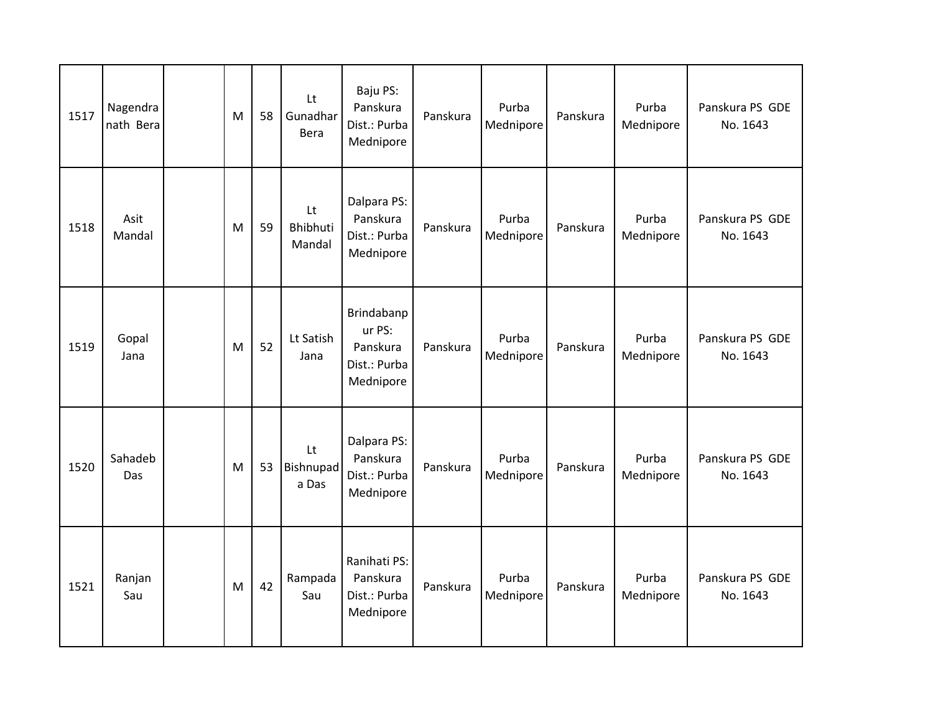| 1517 | Nagendra<br>nath Bera | M | 58 | Lt<br>Gunadhar<br>Bera   | Baju PS:<br>Panskura<br>Dist.: Purba<br>Mednipore             | Panskura | Purba<br>Mednipore | Panskura | Purba<br>Mednipore | Panskura PS GDE<br>No. 1643 |
|------|-----------------------|---|----|--------------------------|---------------------------------------------------------------|----------|--------------------|----------|--------------------|-----------------------------|
| 1518 | Asit<br>Mandal        | M | 59 | Lt<br>Bhibhuti<br>Mandal | Dalpara PS:<br>Panskura<br>Dist.: Purba<br>Mednipore          | Panskura | Purba<br>Mednipore | Panskura | Purba<br>Mednipore | Panskura PS GDE<br>No. 1643 |
| 1519 | Gopal<br>Jana         | M | 52 | Lt Satish<br>Jana        | Brindabanp<br>ur PS:<br>Panskura<br>Dist.: Purba<br>Mednipore | Panskura | Purba<br>Mednipore | Panskura | Purba<br>Mednipore | Panskura PS GDE<br>No. 1643 |
| 1520 | Sahadeb<br>Das        | M | 53 | Lt<br>Bishnupad<br>a Das | Dalpara PS:<br>Panskura<br>Dist.: Purba<br>Mednipore          | Panskura | Purba<br>Mednipore | Panskura | Purba<br>Mednipore | Panskura PS GDE<br>No. 1643 |
| 1521 | Ranjan<br>Sau         | M | 42 | Rampada<br>Sau           | Ranihati PS:<br>Panskura<br>Dist.: Purba<br>Mednipore         | Panskura | Purba<br>Mednipore | Panskura | Purba<br>Mednipore | Panskura PS GDE<br>No. 1643 |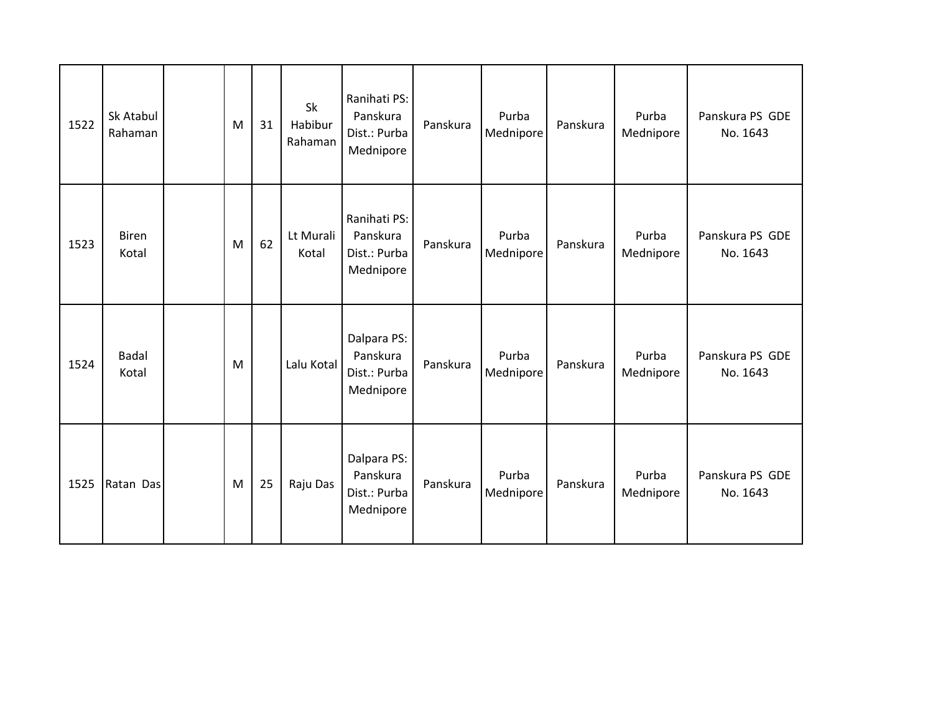| 1522 | Sk Atabul<br>Rahaman  | M | 31 | Sk<br>Habibur<br>Rahaman | Ranihati PS:<br>Panskura<br>Dist.: Purba<br>Mednipore | Panskura | Purba<br>Mednipore | Panskura | Purba<br>Mednipore | Panskura PS GDE<br>No. 1643 |
|------|-----------------------|---|----|--------------------------|-------------------------------------------------------|----------|--------------------|----------|--------------------|-----------------------------|
| 1523 | <b>Biren</b><br>Kotal | M | 62 | Lt Murali<br>Kotal       | Ranihati PS:<br>Panskura<br>Dist.: Purba<br>Mednipore | Panskura | Purba<br>Mednipore | Panskura | Purba<br>Mednipore | Panskura PS GDE<br>No. 1643 |
| 1524 | <b>Badal</b><br>Kotal | M |    | Lalu Kotal               | Dalpara PS:<br>Panskura<br>Dist.: Purba<br>Mednipore  | Panskura | Purba<br>Mednipore | Panskura | Purba<br>Mednipore | Panskura PS GDE<br>No. 1643 |
| 1525 | Ratan Das             | M | 25 | Raju Das                 | Dalpara PS:<br>Panskura<br>Dist.: Purba<br>Mednipore  | Panskura | Purba<br>Mednipore | Panskura | Purba<br>Mednipore | Panskura PS GDE<br>No. 1643 |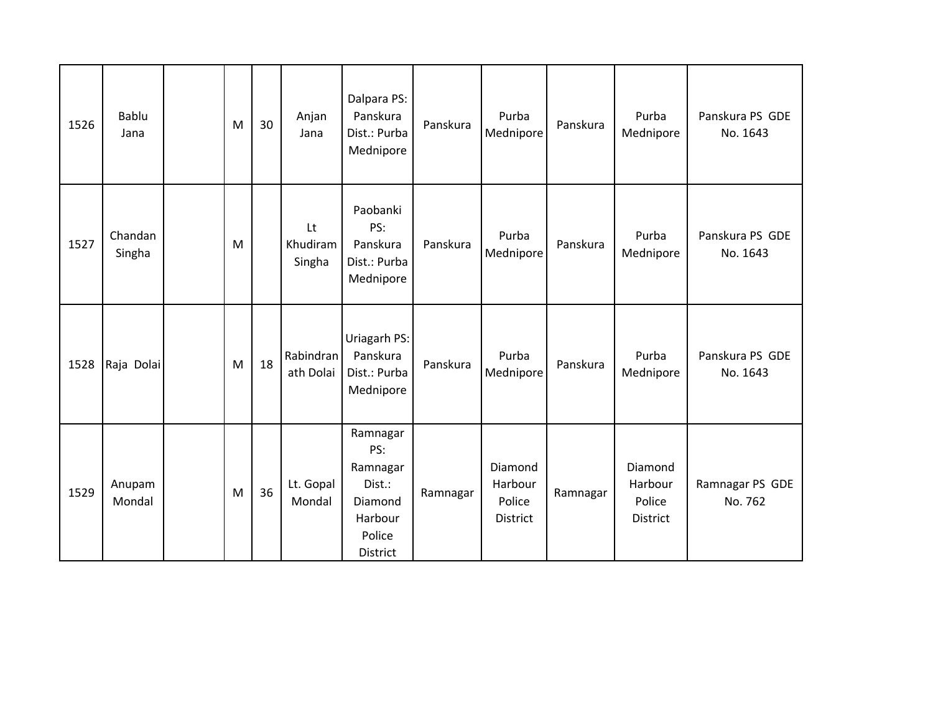| 1526 | Bablu<br>Jana     | M | 30 | Anjan<br>Jana            | Dalpara PS:<br>Panskura<br>Dist.: Purba<br>Mednipore                              | Panskura | Purba<br>Mednipore                       | Panskura | Purba<br>Mednipore                       | Panskura PS GDE<br>No. 1643 |
|------|-------------------|---|----|--------------------------|-----------------------------------------------------------------------------------|----------|------------------------------------------|----------|------------------------------------------|-----------------------------|
| 1527 | Chandan<br>Singha | M |    | Lt<br>Khudiram<br>Singha | Paobanki<br>PS:<br>Panskura<br>Dist.: Purba<br>Mednipore                          | Panskura | Purba<br>Mednipore                       | Panskura | Purba<br>Mednipore                       | Panskura PS GDE<br>No. 1643 |
| 1528 | Raja Dolai        | M | 18 | Rabindran<br>ath Dolai   | Uriagarh PS:<br>Panskura<br>Dist.: Purba<br>Mednipore                             | Panskura | Purba<br>Mednipore                       | Panskura | Purba<br>Mednipore                       | Panskura PS GDE<br>No. 1643 |
| 1529 | Anupam<br>Mondal  | M | 36 | Lt. Gopal<br>Mondal      | Ramnagar<br>PS:<br>Ramnagar<br>Dist.:<br>Diamond<br>Harbour<br>Police<br>District | Ramnagar | Diamond<br>Harbour<br>Police<br>District | Ramnagar | Diamond<br>Harbour<br>Police<br>District | Ramnagar PS GDE<br>No. 762  |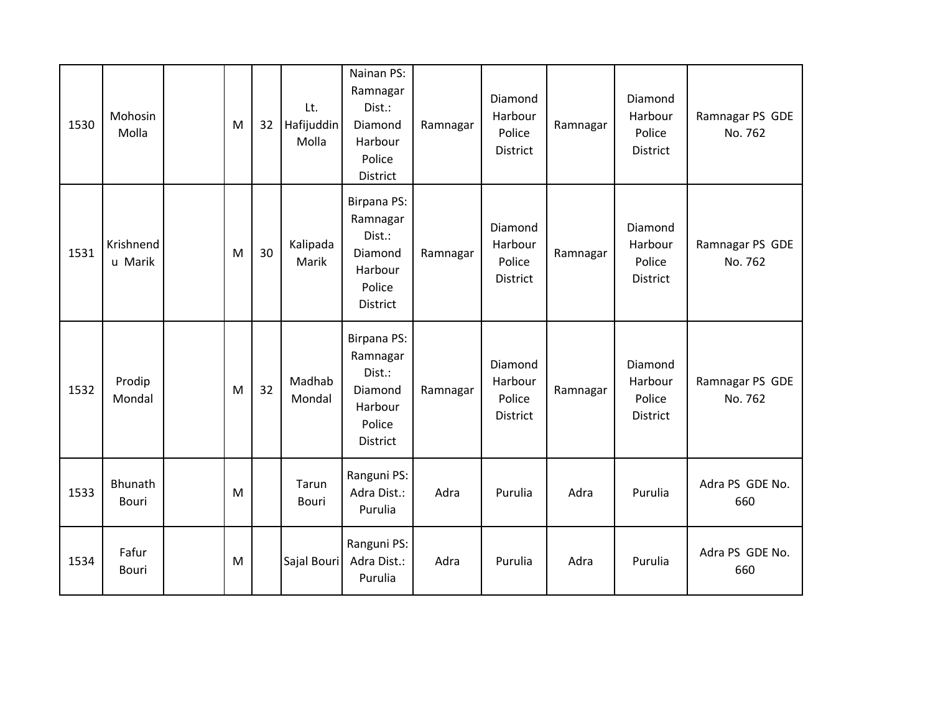| 1530 | Mohosin<br>Molla     | ${\sf M}$ | 32 | Lt.<br>Hafijuddin<br>Molla | Nainan PS:<br>Ramnagar<br>Dist.:<br>Diamond<br>Harbour<br>Police<br>District         | Ramnagar | Diamond<br>Harbour<br>Police<br><b>District</b> | Ramnagar | Diamond<br>Harbour<br>Police<br>District        | Ramnagar PS GDE<br>No. 762 |
|------|----------------------|-----------|----|----------------------------|--------------------------------------------------------------------------------------|----------|-------------------------------------------------|----------|-------------------------------------------------|----------------------------|
| 1531 | Krishnend<br>u Marik | M         | 30 | Kalipada<br>Marik          | <b>Birpana PS:</b><br>Ramnagar<br>Dist.:<br>Diamond<br>Harbour<br>Police<br>District | Ramnagar | Diamond<br>Harbour<br>Police<br><b>District</b> | Ramnagar | Diamond<br>Harbour<br>Police<br><b>District</b> | Ramnagar PS GDE<br>No. 762 |
| 1532 | Prodip<br>Mondal     | M         | 32 | Madhab<br>Mondal           | <b>Birpana PS:</b><br>Ramnagar<br>Dist.:<br>Diamond<br>Harbour<br>Police<br>District | Ramnagar | Diamond<br>Harbour<br>Police<br><b>District</b> | Ramnagar | Diamond<br>Harbour<br>Police<br><b>District</b> | Ramnagar PS GDE<br>No. 762 |
| 1533 | Bhunath<br>Bouri     | M         |    | Tarun<br><b>Bouri</b>      | Ranguni PS:<br>Adra Dist.:<br>Purulia                                                | Adra     | Purulia                                         | Adra     | Purulia                                         | Adra PS GDE No.<br>660     |
| 1534 | Fafur<br>Bouri       | M         |    | Sajal Bouri                | Ranguni PS:<br>Adra Dist.:<br>Purulia                                                | Adra     | Purulia                                         | Adra     | Purulia                                         | Adra PS GDE No.<br>660     |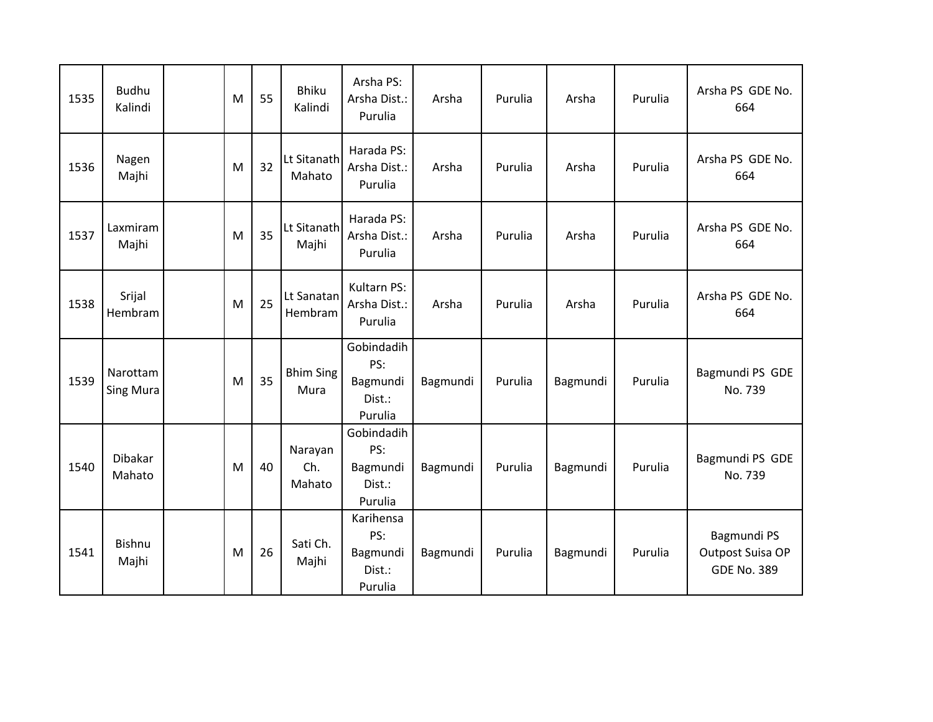| 1535 | <b>Budhu</b><br>Kalindi      | M | 55 | <b>Bhiku</b><br>Kalindi  | Arsha PS:<br>Arsha Dist.:<br>Purulia               | Arsha    | Purulia | Arsha    | Purulia | Arsha PS GDE No.<br>664                               |
|------|------------------------------|---|----|--------------------------|----------------------------------------------------|----------|---------|----------|---------|-------------------------------------------------------|
| 1536 | Nagen<br>Majhi               | M | 32 | Lt Sitanath<br>Mahato    | Harada PS:<br>Arsha Dist.:<br>Purulia              | Arsha    | Purulia | Arsha    | Purulia | Arsha PS GDE No.<br>664                               |
| 1537 | Laxmiram<br>Majhi            | M | 35 | Lt Sitanath<br>Majhi     | Harada PS:<br>Arsha Dist.:<br>Purulia              | Arsha    | Purulia | Arsha    | Purulia | Arsha PS GDE No.<br>664                               |
| 1538 | Srijal<br>Hembram            | M | 25 | Lt Sanatan<br>Hembram    | Kultarn PS:<br>Arsha Dist.:<br>Purulia             | Arsha    | Purulia | Arsha    | Purulia | Arsha PS GDE No.<br>664                               |
| 1539 | Narottam<br><b>Sing Mura</b> | M | 35 | <b>Bhim Sing</b><br>Mura | Gobindadih<br>PS:<br>Bagmundi<br>Dist.:<br>Purulia | Bagmundi | Purulia | Bagmundi | Purulia | Bagmundi PS GDE<br>No. 739                            |
| 1540 | <b>Dibakar</b><br>Mahato     | M | 40 | Narayan<br>Ch.<br>Mahato | Gobindadih<br>PS:<br>Bagmundi<br>Dist.:<br>Purulia | Bagmundi | Purulia | Bagmundi | Purulia | Bagmundi PS GDE<br>No. 739                            |
| 1541 | Bishnu<br>Majhi              | M | 26 | Sati Ch.<br>Majhi        | Karihensa<br>PS:<br>Bagmundi<br>Dist.:<br>Purulia  | Bagmundi | Purulia | Bagmundi | Purulia | Bagmundi PS<br>Outpost Suisa OP<br><b>GDE No. 389</b> |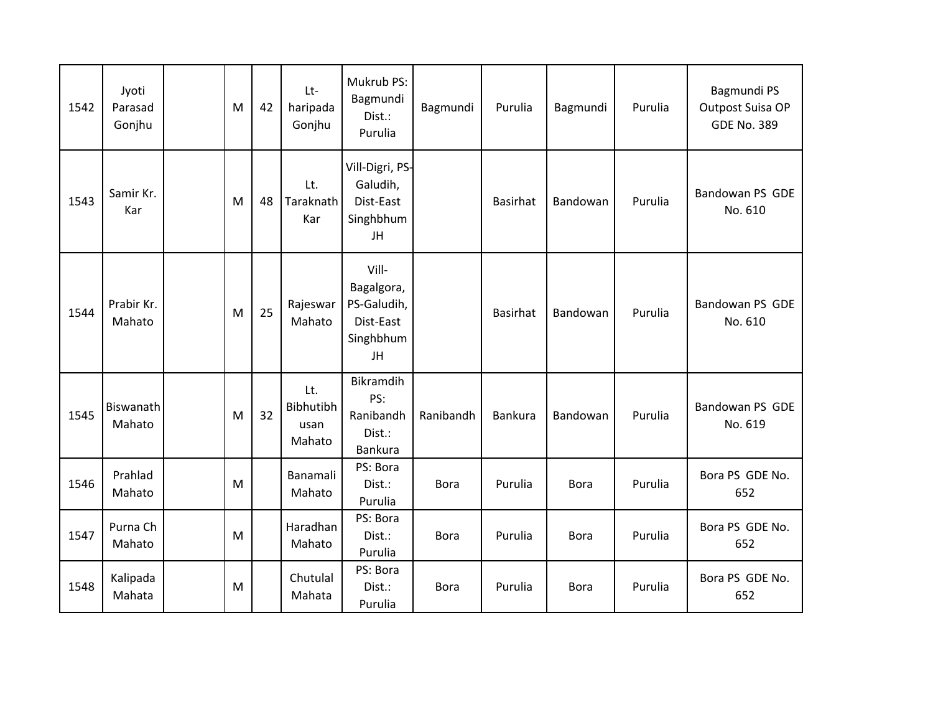| 1542 | Jyoti<br>Parasad<br>Gonjhu | M         | 42 | $Lt-$<br>haripada<br>Gonjhu        | Mukrub PS:<br>Bagmundi<br>Dist.:<br>Purulia                        | Bagmundi    | Purulia         | Bagmundi    | Purulia | Bagmundi PS<br>Outpost Suisa OP<br><b>GDE No. 389</b> |
|------|----------------------------|-----------|----|------------------------------------|--------------------------------------------------------------------|-------------|-----------------|-------------|---------|-------------------------------------------------------|
| 1543 | Samir Kr.<br>Kar           | M         | 48 | Lt.<br>Taraknath<br>Kar            | Vill-Digri, PS-<br>Galudih,<br>Dist-East<br>Singhbhum<br>JH        |             | <b>Basirhat</b> | Bandowan    | Purulia | Bandowan PS GDE<br>No. 610                            |
| 1544 | Prabir Kr.<br>Mahato       | M         | 25 | Rajeswar<br>Mahato                 | Vill-<br>Bagalgora,<br>PS-Galudih,<br>Dist-East<br>Singhbhum<br>JH |             | <b>Basirhat</b> | Bandowan    | Purulia | Bandowan PS GDE<br>No. 610                            |
| 1545 | Biswanath<br>Mahato        | M         | 32 | Lt.<br>Bibhutibh<br>usan<br>Mahato | <b>Bikramdih</b><br>PS:<br>Ranibandh<br>Dist.:<br>Bankura          | Ranibandh   | <b>Bankura</b>  | Bandowan    | Purulia | Bandowan PS GDE<br>No. 619                            |
| 1546 | Prahlad<br>Mahato          | ${\sf M}$ |    | Banamali<br>Mahato                 | PS: Bora<br>Dist.:<br>Purulia                                      | <b>Bora</b> | Purulia         | <b>Bora</b> | Purulia | Bora PS GDE No.<br>652                                |
| 1547 | Purna Ch<br>Mahato         | M         |    | Haradhan<br>Mahato                 | PS: Bora<br>Dist.:<br>Purulia                                      | <b>Bora</b> | Purulia         | <b>Bora</b> | Purulia | Bora PS GDE No.<br>652                                |
| 1548 | Kalipada<br>Mahata         | M         |    | Chutulal<br>Mahata                 | PS: Bora<br>Dist.:<br>Purulia                                      | <b>Bora</b> | Purulia         | <b>Bora</b> | Purulia | Bora PS GDE No.<br>652                                |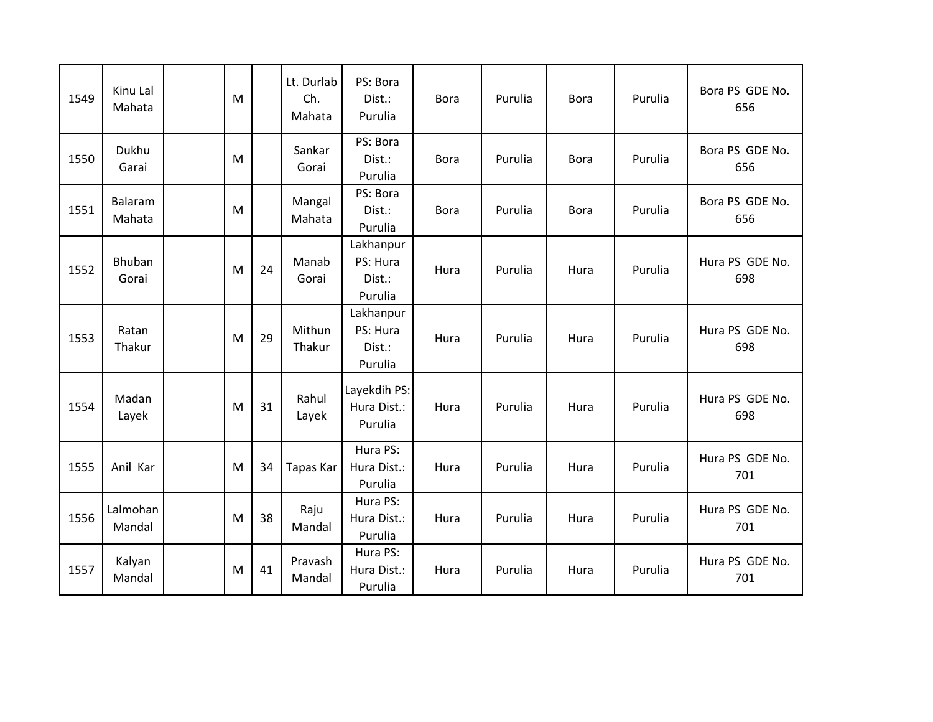| 1549 | Kinu Lal<br>Mahata     | M |    | Lt. Durlab<br>Ch.<br>Mahata | PS: Bora<br>Dist.:<br>Purulia              | <b>Bora</b> | Purulia | <b>Bora</b> | Purulia | Bora PS GDE No.<br>656 |
|------|------------------------|---|----|-----------------------------|--------------------------------------------|-------------|---------|-------------|---------|------------------------|
| 1550 | Dukhu<br>Garai         | M |    | Sankar<br>Gorai             | PS: Bora<br>Dist.:<br>Purulia              | <b>Bora</b> | Purulia | <b>Bora</b> | Purulia | Bora PS GDE No.<br>656 |
| 1551 | Balaram<br>Mahata      | M |    | Mangal<br>Mahata            | PS: Bora<br>Dist.:<br>Purulia              | <b>Bora</b> | Purulia | <b>Bora</b> | Purulia | Bora PS GDE No.<br>656 |
| 1552 | <b>Bhuban</b><br>Gorai | M | 24 | Manab<br>Gorai              | Lakhanpur<br>PS: Hura<br>Dist.:<br>Purulia | Hura        | Purulia | Hura        | Purulia | Hura PS GDE No.<br>698 |
| 1553 | Ratan<br>Thakur        | M | 29 | Mithun<br>Thakur            | Lakhanpur<br>PS: Hura<br>Dist.:<br>Purulia | Hura        | Purulia | Hura        | Purulia | Hura PS GDE No.<br>698 |
| 1554 | Madan<br>Layek         | M | 31 | Rahul<br>Layek              | Layekdih PS:<br>Hura Dist.:<br>Purulia     | Hura        | Purulia | Hura        | Purulia | Hura PS GDE No.<br>698 |
| 1555 | Anil Kar               | M | 34 | Tapas Kar                   | Hura PS:<br>Hura Dist.:<br>Purulia         | Hura        | Purulia | Hura        | Purulia | Hura PS GDE No.<br>701 |
| 1556 | Lalmohan<br>Mandal     | M | 38 | Raju<br>Mandal              | Hura PS:<br>Hura Dist.:<br>Purulia         | Hura        | Purulia | Hura        | Purulia | Hura PS GDE No.<br>701 |
| 1557 | Kalyan<br>Mandal       | M | 41 | Pravash<br>Mandal           | Hura PS:<br>Hura Dist.:<br>Purulia         | Hura        | Purulia | Hura        | Purulia | Hura PS GDE No.<br>701 |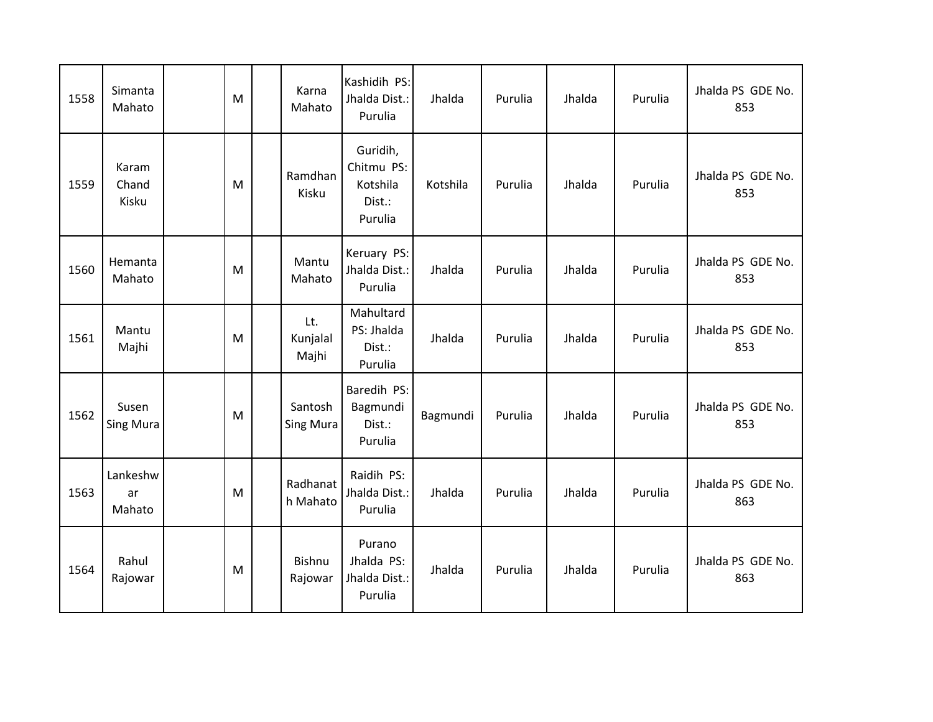| 1558 | Simanta<br>Mahato         | M | Karna<br>Mahato          | Kashidih PS:<br>Jhalda Dist.:<br>Purulia                | Jhalda   | Purulia | Jhalda | Purulia | Jhalda PS GDE No.<br>853 |
|------|---------------------------|---|--------------------------|---------------------------------------------------------|----------|---------|--------|---------|--------------------------|
| 1559 | Karam<br>Chand<br>Kisku   | M | Ramdhan<br>Kisku         | Guridih,<br>Chitmu PS:<br>Kotshila<br>Dist.:<br>Purulia | Kotshila | Purulia | Jhalda | Purulia | Jhalda PS GDE No.<br>853 |
| 1560 | Hemanta<br>Mahato         | M | Mantu<br>Mahato          | Keruary PS:<br>Jhalda Dist.:<br>Purulia                 | Jhalda   | Purulia | Jhalda | Purulia | Jhalda PS GDE No.<br>853 |
| 1561 | Mantu<br>Majhi            | M | Lt.<br>Kunjalal<br>Majhi | Mahultard<br>PS: Jhalda<br>Dist.:<br>Purulia            | Jhalda   | Purulia | Jhalda | Purulia | Jhalda PS GDE No.<br>853 |
| 1562 | Susen<br><b>Sing Mura</b> | M | Santosh<br>Sing Mura     | Baredih PS:<br>Bagmundi<br>Dist.:<br>Purulia            | Bagmundi | Purulia | Jhalda | Purulia | Jhalda PS GDE No.<br>853 |
| 1563 | Lankeshw<br>ar<br>Mahato  | M | Radhanat<br>h Mahato     | Raidih PS:<br>Jhalda Dist.:<br>Purulia                  | Jhalda   | Purulia | Jhalda | Purulia | Jhalda PS GDE No.<br>863 |
| 1564 | Rahul<br>Rajowar          | M | Bishnu<br>Rajowar        | Purano<br>Jhalda PS:<br>Jhalda Dist.:<br>Purulia        | Jhalda   | Purulia | Jhalda | Purulia | Jhalda PS GDE No.<br>863 |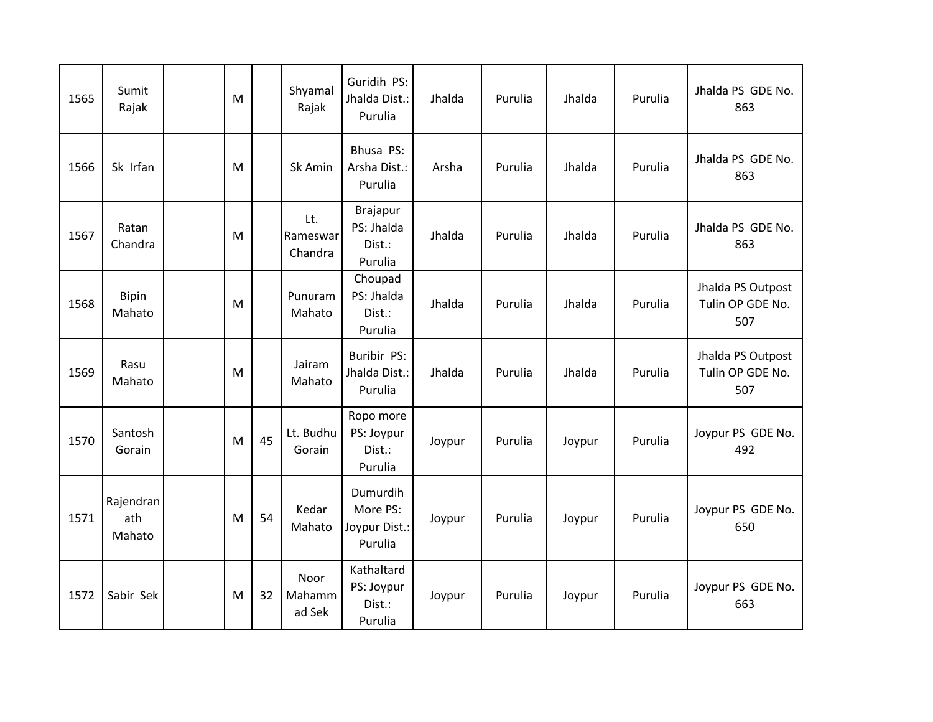| 1565 | Sumit<br>Rajak             | M |    | Shyamal<br>Rajak           | Guridih PS:<br>Jhalda Dist.:<br>Purulia            | Jhalda | Purulia | Jhalda | Purulia | Jhalda PS GDE No.<br>863                     |
|------|----------------------------|---|----|----------------------------|----------------------------------------------------|--------|---------|--------|---------|----------------------------------------------|
| 1566 | Sk Irfan                   | M |    | Sk Amin                    | Bhusa PS:<br>Arsha Dist.:<br>Purulia               | Arsha  | Purulia | Jhalda | Purulia | Jhalda PS GDE No.<br>863                     |
| 1567 | Ratan<br>Chandra           | M |    | Lt.<br>Rameswar<br>Chandra | <b>Brajapur</b><br>PS: Jhalda<br>Dist.:<br>Purulia | Jhalda | Purulia | Jhalda | Purulia | Jhalda PS GDE No.<br>863                     |
| 1568 | <b>Bipin</b><br>Mahato     | M |    | Punuram<br>Mahato          | Choupad<br>PS: Jhalda<br>Dist.:<br>Purulia         | Jhalda | Purulia | Jhalda | Purulia | Jhalda PS Outpost<br>Tulin OP GDE No.<br>507 |
| 1569 | Rasu<br>Mahato             | M |    | Jairam<br>Mahato           | Buribir PS:<br>Jhalda Dist.:<br>Purulia            | Jhalda | Purulia | Jhalda | Purulia | Jhalda PS Outpost<br>Tulin OP GDE No.<br>507 |
| 1570 | Santosh<br>Gorain          | M | 45 | Lt. Budhu<br>Gorain        | Ropo more<br>PS: Joypur<br>Dist.:<br>Purulia       | Joypur | Purulia | Joypur | Purulia | Joypur PS GDE No.<br>492                     |
| 1571 | Rajendran<br>ath<br>Mahato | M | 54 | Kedar<br>Mahato            | Dumurdih<br>More PS:<br>Joypur Dist.:<br>Purulia   | Joypur | Purulia | Joypur | Purulia | Joypur PS GDE No.<br>650                     |
| 1572 | Sabir Sek                  | M | 32 | Noor<br>Mahamm<br>ad Sek   | Kathaltard<br>PS: Joypur<br>Dist.:<br>Purulia      | Joypur | Purulia | Joypur | Purulia | Joypur PS GDE No.<br>663                     |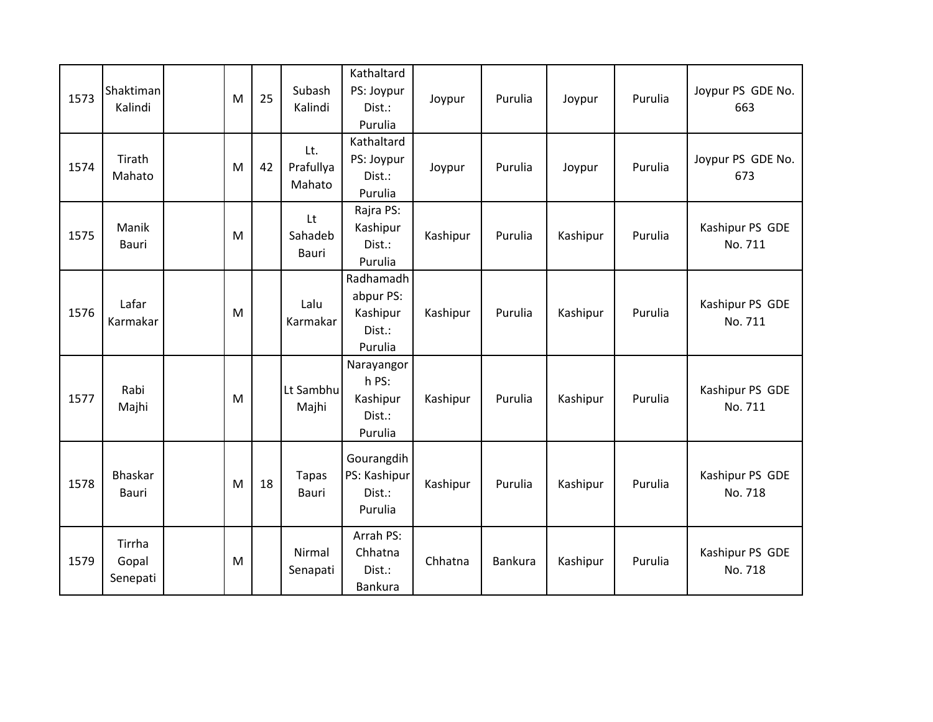| 1573 | Shaktiman<br>Kalindi        | M | 25 | Subash<br>Kalindi          | Kathaltard<br>PS: Joypur<br>Dist.:<br>Purulia           | Joypur   | Purulia | Joypur   | Purulia | Joypur PS GDE No.<br>663   |
|------|-----------------------------|---|----|----------------------------|---------------------------------------------------------|----------|---------|----------|---------|----------------------------|
| 1574 | Tirath<br>Mahato            | M | 42 | Lt.<br>Prafullya<br>Mahato | Kathaltard<br>PS: Joypur<br>Dist.:<br>Purulia           | Joypur   | Purulia | Joypur   | Purulia | Joypur PS GDE No.<br>673   |
| 1575 | Manik<br>Bauri              | M |    | Lt<br>Sahadeb<br>Bauri     | Rajra PS:<br>Kashipur<br>Dist.:<br>Purulia              | Kashipur | Purulia | Kashipur | Purulia | Kashipur PS GDE<br>No. 711 |
| 1576 | Lafar<br>Karmakar           | M |    | Lalu<br>Karmakar           | Radhamadh<br>abpur PS:<br>Kashipur<br>Dist.:<br>Purulia | Kashipur | Purulia | Kashipur | Purulia | Kashipur PS GDE<br>No. 711 |
| 1577 | Rabi<br>Majhi               | M |    | Lt Sambhu<br>Majhi         | Narayangor<br>h PS:<br>Kashipur<br>Dist.:<br>Purulia    | Kashipur | Purulia | Kashipur | Purulia | Kashipur PS GDE<br>No. 711 |
| 1578 | Bhaskar<br>Bauri            | M | 18 | <b>Tapas</b><br>Bauri      | Gourangdih<br>PS: Kashipur<br>Dist.:<br>Purulia         | Kashipur | Purulia | Kashipur | Purulia | Kashipur PS GDE<br>No. 718 |
| 1579 | Tirrha<br>Gopal<br>Senepati | M |    | Nirmal<br>Senapati         | Arrah PS:<br>Chhatna<br>Dist.:<br>Bankura               | Chhatna  | Bankura | Kashipur | Purulia | Kashipur PS GDE<br>No. 718 |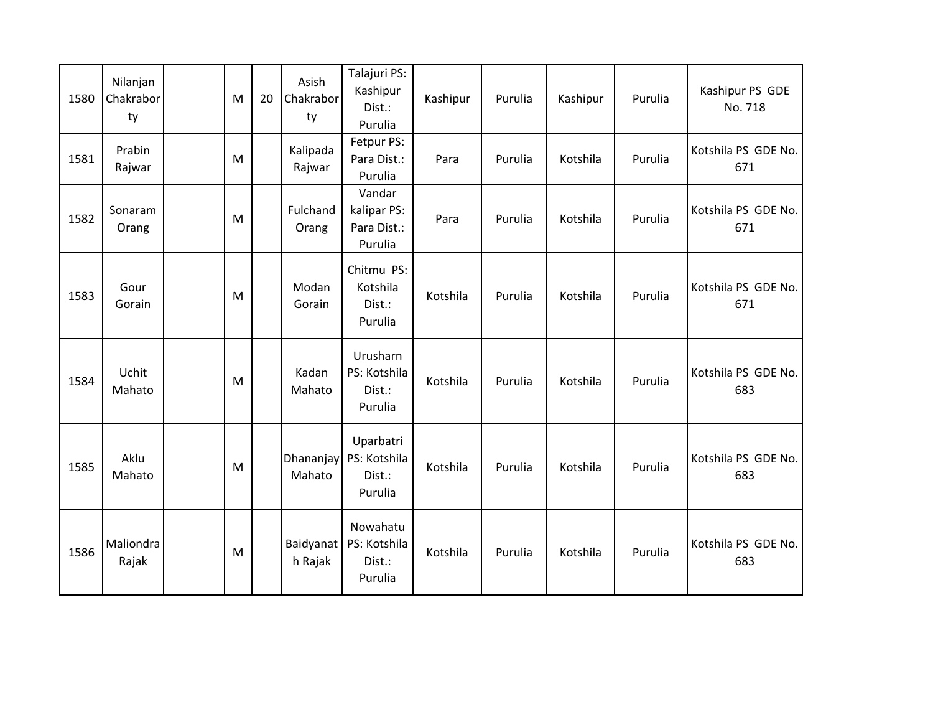| 1580 | Nilanjan<br>Chakrabor<br>ty | M         | 20 | Asish<br>Chakrabor<br>ty | Talajuri PS:<br>Kashipur<br>Dist.:<br>Purulia   | Kashipur | Purulia | Kashipur | Purulia | Kashipur PS GDE<br>No. 718 |
|------|-----------------------------|-----------|----|--------------------------|-------------------------------------------------|----------|---------|----------|---------|----------------------------|
| 1581 | Prabin<br>Rajwar            | ${\sf M}$ |    | Kalipada<br>Rajwar       | Fetpur PS:<br>Para Dist.:<br>Purulia            | Para     | Purulia | Kotshila | Purulia | Kotshila PS GDE No.<br>671 |
| 1582 | Sonaram<br>Orang            | M         |    | Fulchand<br>Orang        | Vandar<br>kalipar PS:<br>Para Dist.:<br>Purulia | Para     | Purulia | Kotshila | Purulia | Kotshila PS GDE No.<br>671 |
| 1583 | Gour<br>Gorain              | M         |    | Modan<br>Gorain          | Chitmu PS:<br>Kotshila<br>Dist.:<br>Purulia     | Kotshila | Purulia | Kotshila | Purulia | Kotshila PS GDE No.<br>671 |
| 1584 | Uchit<br>Mahato             | M         |    | Kadan<br>Mahato          | Urusharn<br>PS: Kotshila<br>Dist.:<br>Purulia   | Kotshila | Purulia | Kotshila | Purulia | Kotshila PS GDE No.<br>683 |
| 1585 | Aklu<br>Mahato              | M         |    | Dhananjay<br>Mahato      | Uparbatri<br>PS: Kotshila<br>Dist.:<br>Purulia  | Kotshila | Purulia | Kotshila | Purulia | Kotshila PS GDE No.<br>683 |
| 1586 | Maliondra<br>Rajak          | M         |    | Baidyanat<br>h Rajak     | Nowahatu<br>PS: Kotshila<br>Dist.:<br>Purulia   | Kotshila | Purulia | Kotshila | Purulia | Kotshila PS GDE No.<br>683 |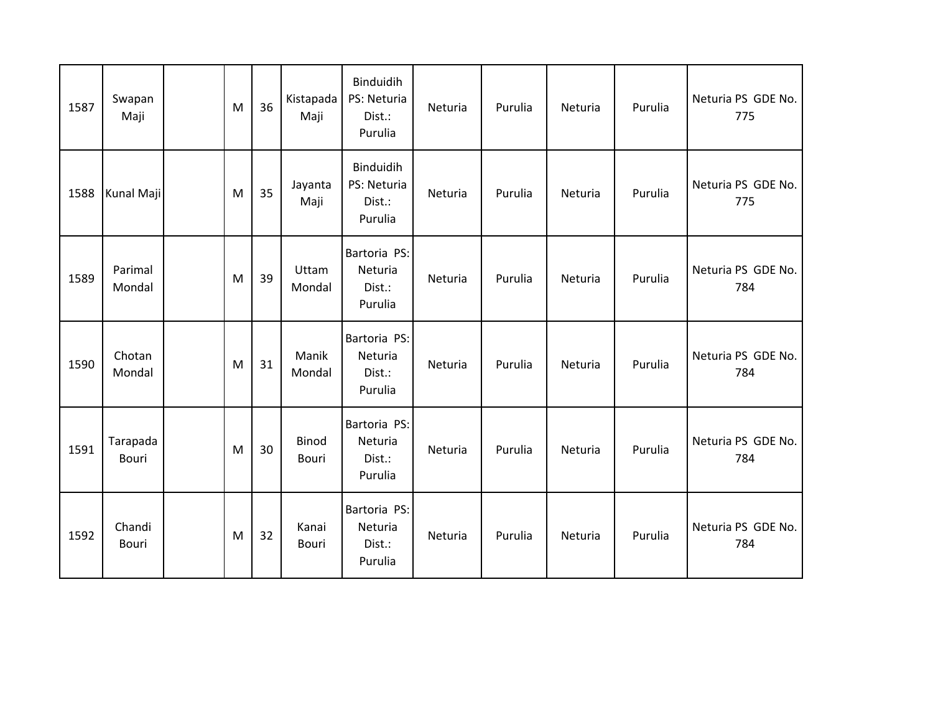| 1587 | Swapan<br>Maji           | M | 36 | Kistapada<br>Maji | Binduidih<br>PS: Neturia<br>Dist.:<br>Purulia | Neturia | Purulia | Neturia | Purulia | Neturia PS GDE No.<br>775 |
|------|--------------------------|---|----|-------------------|-----------------------------------------------|---------|---------|---------|---------|---------------------------|
| 1588 | Kunal Maji               | M | 35 | Jayanta<br>Maji   | Binduidih<br>PS: Neturia<br>Dist.:<br>Purulia | Neturia | Purulia | Neturia | Purulia | Neturia PS GDE No.<br>775 |
| 1589 | Parimal<br>Mondal        | M | 39 | Uttam<br>Mondal   | Bartoria PS:<br>Neturia<br>Dist.:<br>Purulia  | Neturia | Purulia | Neturia | Purulia | Neturia PS GDE No.<br>784 |
| 1590 | Chotan<br>Mondal         | M | 31 | Manik<br>Mondal   | Bartoria PS:<br>Neturia<br>Dist.:<br>Purulia  | Neturia | Purulia | Neturia | Purulia | Neturia PS GDE No.<br>784 |
| 1591 | Tarapada<br><b>Bouri</b> | M | 30 | Binod<br>Bouri    | Bartoria PS:<br>Neturia<br>Dist.:<br>Purulia  | Neturia | Purulia | Neturia | Purulia | Neturia PS GDE No.<br>784 |
| 1592 | Chandi<br>Bouri          | M | 32 | Kanai<br>Bouri    | Bartoria PS:<br>Neturia<br>Dist.:<br>Purulia  | Neturia | Purulia | Neturia | Purulia | Neturia PS GDE No.<br>784 |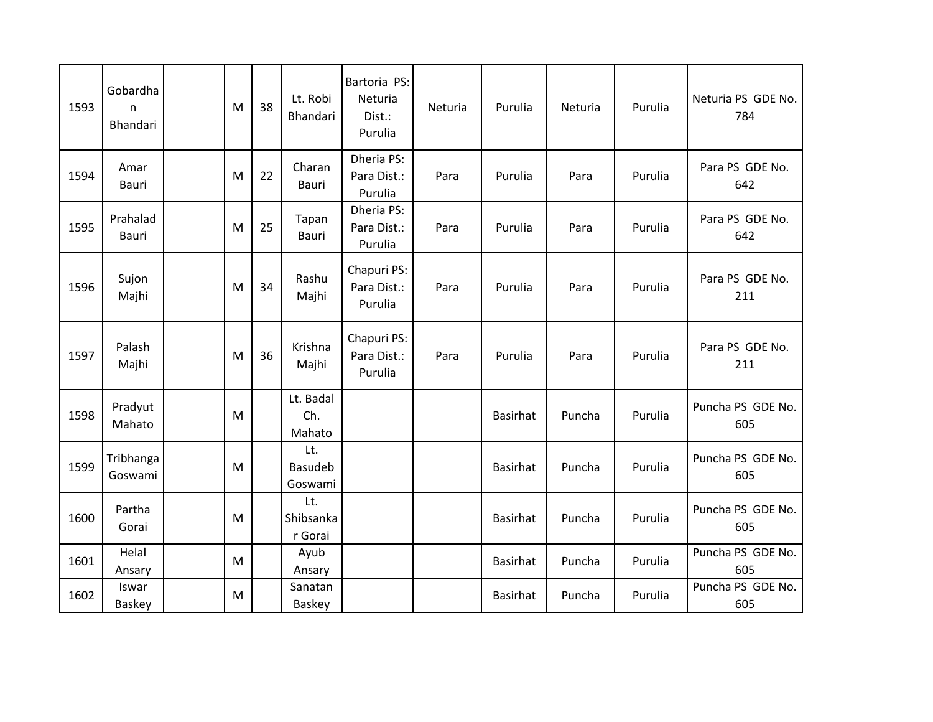| 1593 | Gobardha<br>$\mathsf{n}$<br>Bhandari | M | 38 | Lt. Robi<br>Bhandari             | Bartoria PS:<br>Neturia<br>Dist.:<br>Purulia | Neturia | Purulia         | Neturia | Purulia | Neturia PS GDE No.<br>784 |
|------|--------------------------------------|---|----|----------------------------------|----------------------------------------------|---------|-----------------|---------|---------|---------------------------|
| 1594 | Amar<br>Bauri                        | M | 22 | Charan<br>Bauri                  | Dheria PS:<br>Para Dist.:<br>Purulia         | Para    | Purulia         | Para    | Purulia | Para PS GDE No.<br>642    |
| 1595 | Prahalad<br><b>Bauri</b>             | M | 25 | Tapan<br>Bauri                   | Dheria PS:<br>Para Dist.:<br>Purulia         | Para    | Purulia         | Para    | Purulia | Para PS GDE No.<br>642    |
| 1596 | Sujon<br>Majhi                       | M | 34 | Rashu<br>Majhi                   | Chapuri PS:<br>Para Dist.:<br>Purulia        | Para    | Purulia         | Para    | Purulia | Para PS GDE No.<br>211    |
| 1597 | Palash<br>Majhi                      | M | 36 | Krishna<br>Majhi                 | Chapuri PS:<br>Para Dist.:<br>Purulia        | Para    | Purulia         | Para    | Purulia | Para PS GDE No.<br>211    |
| 1598 | Pradyut<br>Mahato                    | M |    | Lt. Badal<br>Ch.<br>Mahato       |                                              |         | <b>Basirhat</b> | Puncha  | Purulia | Puncha PS GDE No.<br>605  |
| 1599 | Tribhanga<br>Goswami                 | M |    | Lt.<br><b>Basudeb</b><br>Goswami |                                              |         | <b>Basirhat</b> | Puncha  | Purulia | Puncha PS GDE No.<br>605  |
| 1600 | Partha<br>Gorai                      | M |    | Lt.<br>Shibsanka<br>r Gorai      |                                              |         | <b>Basirhat</b> | Puncha  | Purulia | Puncha PS GDE No.<br>605  |
| 1601 | Helal<br>Ansary                      | M |    | Ayub<br>Ansary                   |                                              |         | <b>Basirhat</b> | Puncha  | Purulia | Puncha PS GDE No.<br>605  |
| 1602 | Iswar<br>Baskey                      | M |    | Sanatan<br>Baskey                |                                              |         | <b>Basirhat</b> | Puncha  | Purulia | Puncha PS GDE No.<br>605  |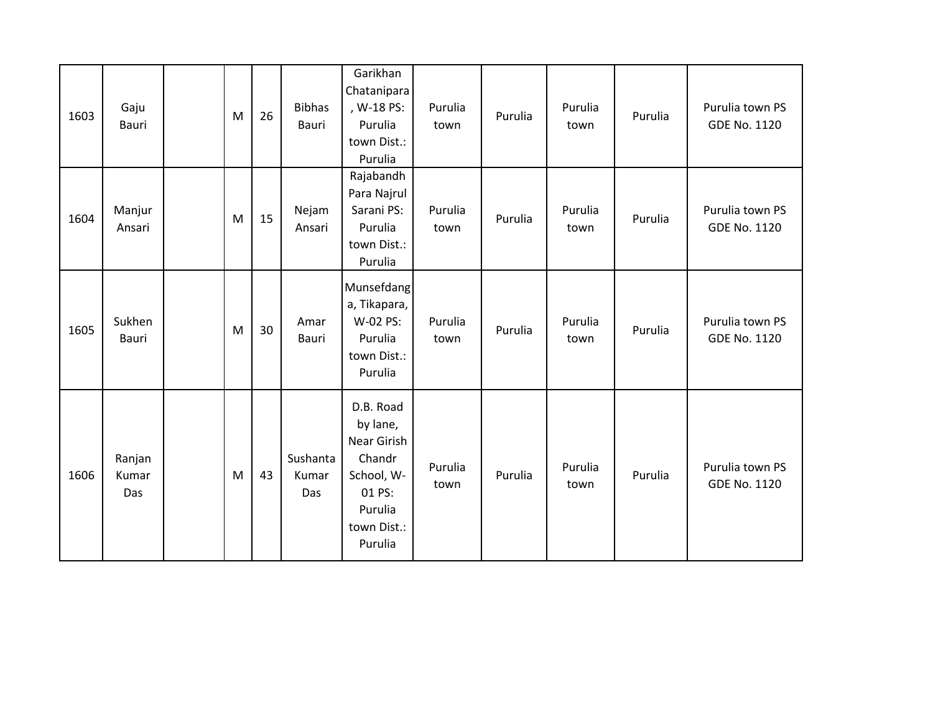| 1603 | Gaju<br>Bauri          | M | 26 | <b>Bibhas</b><br>Bauri   | Garikhan<br>Chatanipara<br>, W-18 PS:<br>Purulia<br>town Dist.:<br>Purulia                                  | Purulia<br>town | Purulia | Purulia<br>town | Purulia | Purulia town PS<br>GDE No. 1120 |
|------|------------------------|---|----|--------------------------|-------------------------------------------------------------------------------------------------------------|-----------------|---------|-----------------|---------|---------------------------------|
| 1604 | Manjur<br>Ansari       | M | 15 | Nejam<br>Ansari          | Rajabandh<br>Para Najrul<br>Sarani PS:<br>Purulia<br>town Dist.:<br>Purulia                                 | Purulia<br>town | Purulia | Purulia<br>town | Purulia | Purulia town PS<br>GDE No. 1120 |
| 1605 | Sukhen<br>Bauri        | M | 30 | Amar<br>Bauri            | Munsefdang<br>a, Tikapara,<br>W-02 PS:<br>Purulia<br>town Dist.:<br>Purulia                                 | Purulia<br>town | Purulia | Purulia<br>town | Purulia | Purulia town PS<br>GDE No. 1120 |
| 1606 | Ranjan<br>Kumar<br>Das | M | 43 | Sushanta<br>Kumar<br>Das | D.B. Road<br>by lane,<br>Near Girish<br>Chandr<br>School, W-<br>01 PS:<br>Purulia<br>town Dist.:<br>Purulia | Purulia<br>town | Purulia | Purulia<br>town | Purulia | Purulia town PS<br>GDE No. 1120 |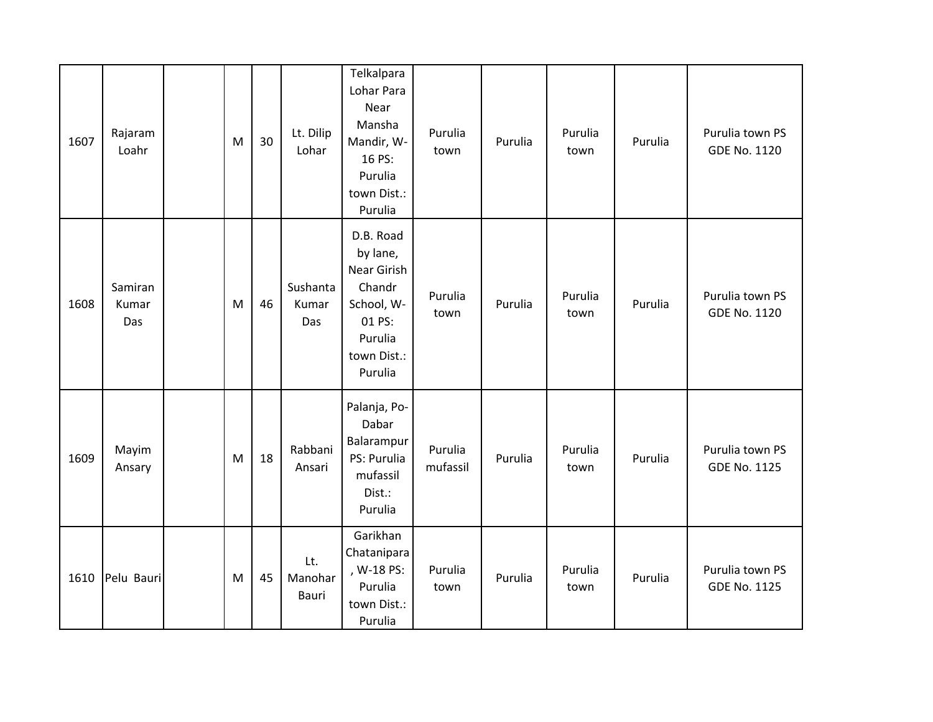| 1607 | Rajaram<br>Loahr        | M | 30 | Lt. Dilip<br>Lohar       | Telkalpara<br>Lohar Para<br>Near<br>Mansha<br>Mandir, W-<br>16 PS:<br>Purulia<br>town Dist.:<br>Purulia     | Purulia<br>town     | Purulia | Purulia<br>town | Purulia | Purulia town PS<br>GDE No. 1120        |
|------|-------------------------|---|----|--------------------------|-------------------------------------------------------------------------------------------------------------|---------------------|---------|-----------------|---------|----------------------------------------|
| 1608 | Samiran<br>Kumar<br>Das | M | 46 | Sushanta<br>Kumar<br>Das | D.B. Road<br>by lane,<br>Near Girish<br>Chandr<br>School, W-<br>01 PS:<br>Purulia<br>town Dist.:<br>Purulia | Purulia<br>town     | Purulia | Purulia<br>town | Purulia | Purulia town PS<br>GDE No. 1120        |
| 1609 | Mayim<br>Ansary         | M | 18 | Rabbani<br>Ansari        | Palanja, Po-<br>Dabar<br>Balarampur<br>PS: Purulia<br>mufassil<br>Dist.:<br>Purulia                         | Purulia<br>mufassil | Purulia | Purulia<br>town | Purulia | Purulia town PS<br>GDE No. 1125        |
| 1610 | Pelu Bauri              | M | 45 | Lt.<br>Manohar<br>Bauri  | Garikhan<br>Chatanipara<br>, W-18 PS:<br>Purulia<br>town Dist.:<br>Purulia                                  | Purulia<br>town     | Purulia | Purulia<br>town | Purulia | Purulia town PS<br><b>GDE No. 1125</b> |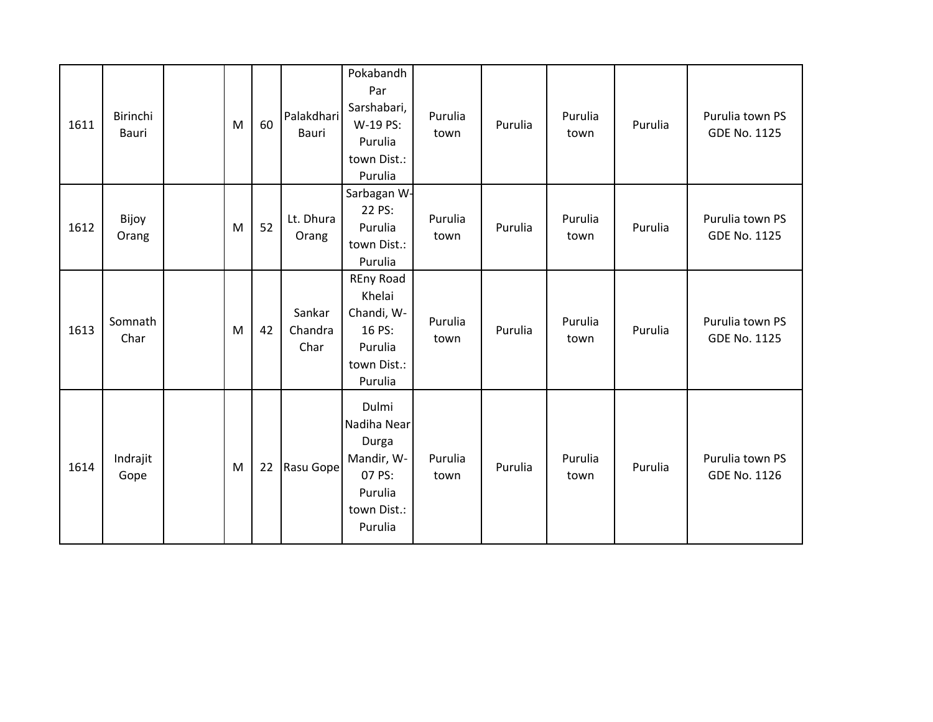| 1611 | Birinchi<br>Bauri | M | 60 | Palakdhari<br>Bauri       | Pokabandh<br>Par<br>Sarshabari,<br>W-19 PS:<br>Purulia<br>town Dist.:<br>Purulia           | Purulia<br>town | Purulia | Purulia<br>town | Purulia | Purulia town PS<br>GDE No. 1125 |
|------|-------------------|---|----|---------------------------|--------------------------------------------------------------------------------------------|-----------------|---------|-----------------|---------|---------------------------------|
| 1612 | Bijoy<br>Orang    | M | 52 | Lt. Dhura<br>Orang        | Sarbagan W-<br>22 PS:<br>Purulia<br>town Dist.:<br>Purulia                                 | Purulia<br>town | Purulia | Purulia<br>town | Purulia | Purulia town PS<br>GDE No. 1125 |
| 1613 | Somnath<br>Char   | M | 42 | Sankar<br>Chandra<br>Char | <b>REny Road</b><br>Khelai<br>Chandi, W-<br>16 PS:<br>Purulia<br>town Dist.:<br>Purulia    | Purulia<br>town | Purulia | Purulia<br>town | Purulia | Purulia town PS<br>GDE No. 1125 |
| 1614 | Indrajit<br>Gope  | M | 22 | Rasu Gope                 | Dulmi<br>Nadiha Near<br>Durga<br>Mandir, W-<br>07 PS:<br>Purulia<br>town Dist.:<br>Purulia | Purulia<br>town | Purulia | Purulia<br>town | Purulia | Purulia town PS<br>GDE No. 1126 |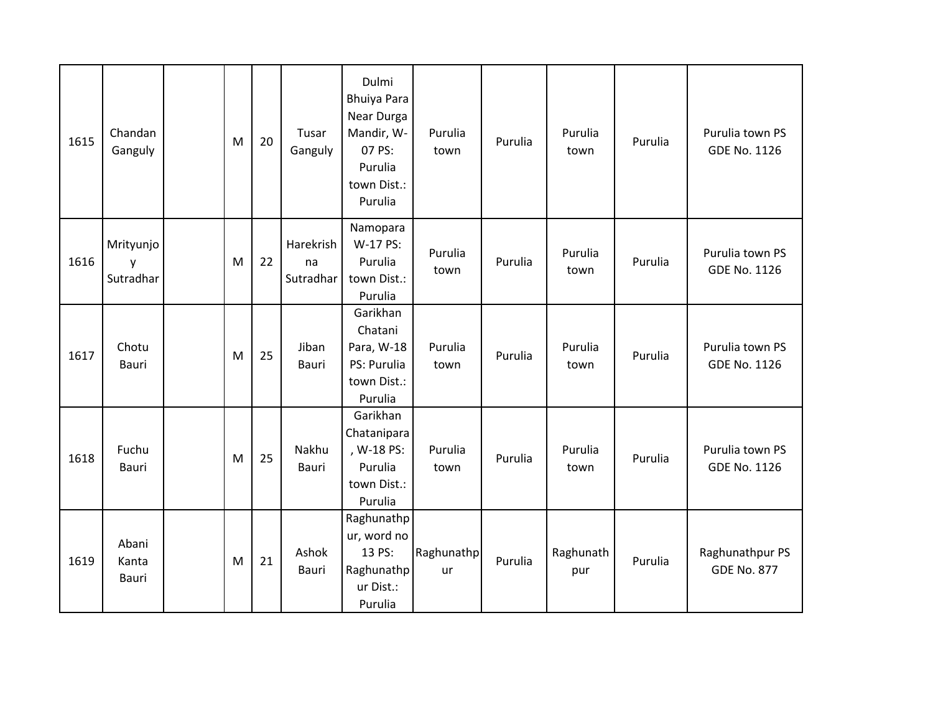| 1615 | Chandan<br>Ganguly          | M | 20 | Tusar<br>Ganguly             | Dulmi<br><b>Bhuiya Para</b><br>Near Durga<br>Mandir, W-<br>07 PS:<br>Purulia<br>town Dist.:<br>Purulia | Purulia<br>town  | Purulia | Purulia<br>town  | Purulia | Purulia town PS<br>GDE No. 1126        |
|------|-----------------------------|---|----|------------------------------|--------------------------------------------------------------------------------------------------------|------------------|---------|------------------|---------|----------------------------------------|
| 1616 | Mrityunjo<br>y<br>Sutradhar | M | 22 | Harekrish<br>na<br>Sutradhar | Namopara<br>W-17 PS:<br>Purulia<br>town Dist.:<br>Purulia                                              | Purulia<br>town  | Purulia | Purulia<br>town  | Purulia | Purulia town PS<br>GDE No. 1126        |
| 1617 | Chotu<br>Bauri              | M | 25 | Jiban<br><b>Bauri</b>        | Garikhan<br>Chatani<br>Para, W-18<br>PS: Purulia<br>town Dist.:<br>Purulia                             | Purulia<br>town  | Purulia | Purulia<br>town  | Purulia | Purulia town PS<br><b>GDE No. 1126</b> |
| 1618 | Fuchu<br>Bauri              | M | 25 | Nakhu<br><b>Bauri</b>        | Garikhan<br>Chatanipara<br>, W-18 PS:<br>Purulia<br>town Dist.:<br>Purulia                             | Purulia<br>town  | Purulia | Purulia<br>town  | Purulia | Purulia town PS<br><b>GDE No. 1126</b> |
| 1619 | Abani<br>Kanta<br>Bauri     | M | 21 | Ashok<br>Bauri               | Raghunathp<br>ur, word no<br>13 PS:<br>Raghunathp<br>ur Dist.:<br>Purulia                              | Raghunathp<br>ur | Purulia | Raghunath<br>pur | Purulia | Raghunathpur PS<br><b>GDE No. 877</b>  |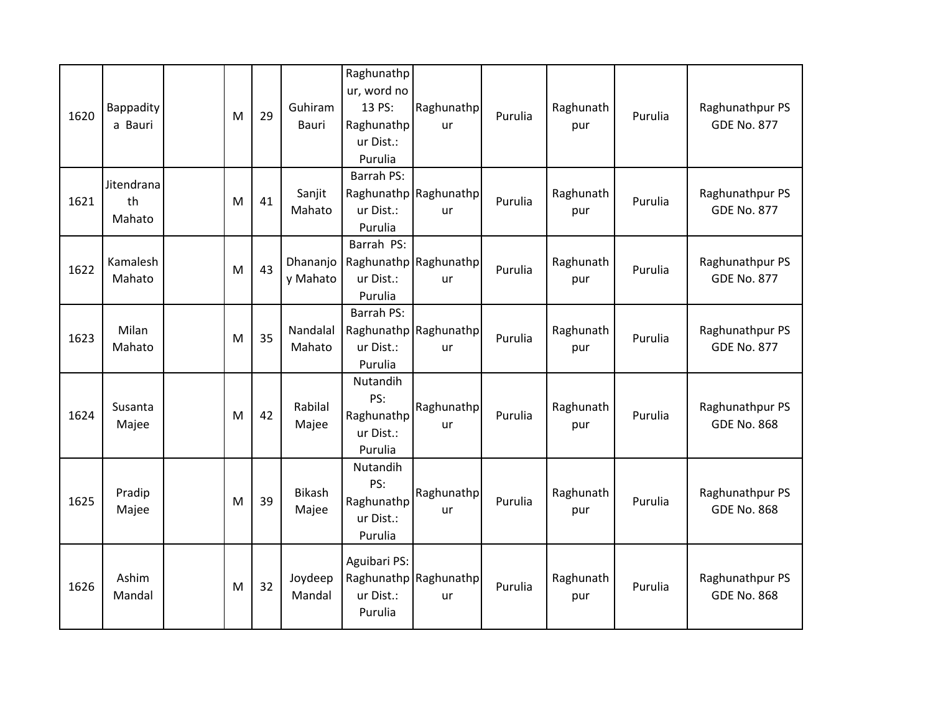| 1620 | Bappadity<br>a Bauri       | M | 29 | Guhiram<br><b>Bauri</b> | Raghunathp<br>ur, word no<br>13 PS:<br>Raghunathp<br>ur Dist.:<br>Purulia | Raghunathp<br><b>ur</b>     | Purulia | Raghunath<br>pur | Purulia | Raghunathpur PS<br><b>GDE No. 877</b> |
|------|----------------------------|---|----|-------------------------|---------------------------------------------------------------------------|-----------------------------|---------|------------------|---------|---------------------------------------|
| 1621 | Jitendrana<br>th<br>Mahato | M | 41 | Sanjit<br>Mahato        | <b>Barrah PS:</b><br>ur Dist.:<br>Purulia                                 | Raghunathp Raghunathp<br>ur | Purulia | Raghunath<br>pur | Purulia | Raghunathpur PS<br><b>GDE No. 877</b> |
| 1622 | Kamalesh<br>Mahato         | M | 43 | Dhananjo<br>y Mahato    | Barrah PS:<br>ur Dist.:<br>Purulia                                        | Raghunathp Raghunathp<br>ur | Purulia | Raghunath<br>pur | Purulia | Raghunathpur PS<br><b>GDE No. 877</b> |
| 1623 | Milan<br>Mahato            | M | 35 | Nandalal<br>Mahato      | <b>Barrah PS:</b><br>ur Dist.:<br>Purulia                                 | Raghunathp Raghunathp<br>ur | Purulia | Raghunath<br>pur | Purulia | Raghunathpur PS<br><b>GDE No. 877</b> |
| 1624 | Susanta<br>Majee           | M | 42 | Rabilal<br>Majee        | Nutandih<br>PS:<br>Raghunathp<br>ur Dist.:<br>Purulia                     | Raghunathp<br>ur            | Purulia | Raghunath<br>pur | Purulia | Raghunathpur PS<br><b>GDE No. 868</b> |
| 1625 | Pradip<br>Majee            | M | 39 | <b>Bikash</b><br>Majee  | Nutandih<br>PS:<br>Raghunathp<br>ur Dist.:<br>Purulia                     | Raghunathp<br>ur            | Purulia | Raghunath<br>pur | Purulia | Raghunathpur PS<br><b>GDE No. 868</b> |
| 1626 | Ashim<br>Mandal            | M | 32 | Joydeep<br>Mandal       | Aguibari PS:<br>ur Dist.:<br>Purulia                                      | Raghunathp Raghunathp<br>ur | Purulia | Raghunath<br>pur | Purulia | Raghunathpur PS<br><b>GDE No. 868</b> |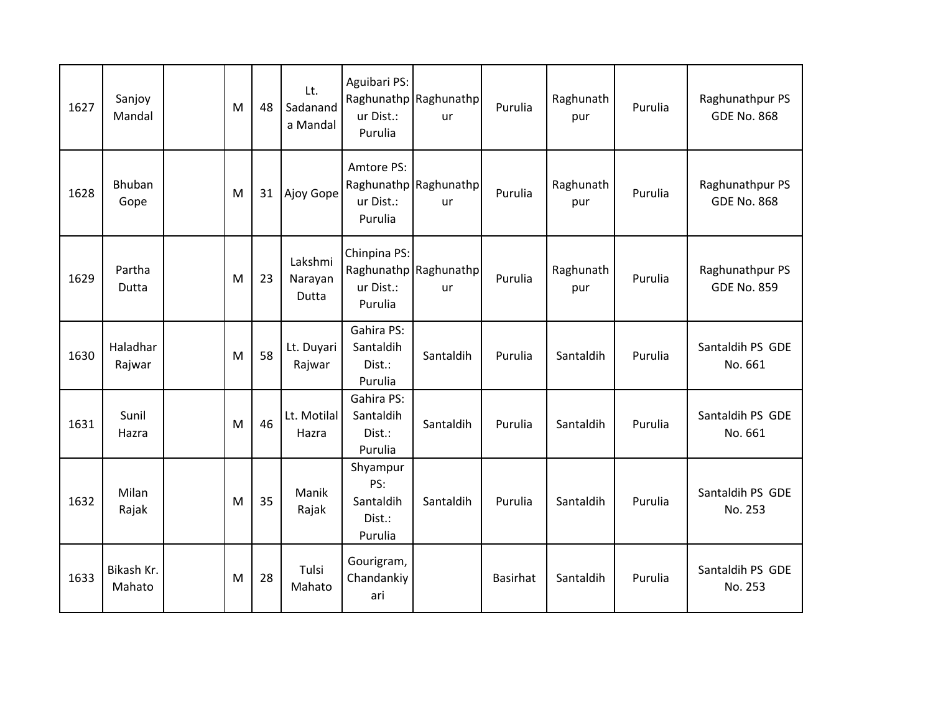| 1627 | Sanjoy<br>Mandal     | M | 48 | Lt.<br>Sadanand<br>a Mandal        | Aguibari PS:<br>ur Dist.:<br>Purulia              | Raghunathp Raghunathp<br><b>ur</b> | Purulia         | Raghunath<br>pur | Purulia | Raghunathpur PS<br><b>GDE No. 868</b> |
|------|----------------------|---|----|------------------------------------|---------------------------------------------------|------------------------------------|-----------------|------------------|---------|---------------------------------------|
| 1628 | Bhuban<br>Gope       | M | 31 | Ajoy Gope                          | Amtore PS:<br>ur Dist.:<br>Purulia                | Raghunathp Raghunathp<br>ur        | Purulia         | Raghunath<br>pur | Purulia | Raghunathpur PS<br><b>GDE No. 868</b> |
| 1629 | Partha<br>Dutta      | M | 23 | Lakshmi<br>Narayan<br><b>Dutta</b> | Chinpina PS:<br>ur Dist.:<br>Purulia              | Raghunathp Raghunathp<br>ur        | Purulia         | Raghunath<br>pur | Purulia | Raghunathpur PS<br><b>GDE No. 859</b> |
| 1630 | Haladhar<br>Rajwar   | M | 58 | Lt. Duyari<br>Rajwar               | Gahira PS:<br>Santaldih<br>Dist.:<br>Purulia      | Santaldih                          | Purulia         | Santaldih        | Purulia | Santaldih PS GDE<br>No. 661           |
| 1631 | Sunil<br>Hazra       | M | 46 | Lt. Motilal<br>Hazra               | Gahira PS:<br>Santaldih<br>Dist.:<br>Purulia      | Santaldih                          | Purulia         | Santaldih        | Purulia | Santaldih PS GDE<br>No. 661           |
| 1632 | Milan<br>Rajak       | M | 35 | Manik<br>Rajak                     | Shyampur<br>PS:<br>Santaldih<br>Dist.:<br>Purulia | Santaldih                          | Purulia         | Santaldih        | Purulia | Santaldih PS GDE<br>No. 253           |
| 1633 | Bikash Kr.<br>Mahato | M | 28 | Tulsi<br>Mahato                    | Gourigram,<br>Chandankiy<br>ari                   |                                    | <b>Basirhat</b> | Santaldih        | Purulia | Santaldih PS GDE<br>No. 253           |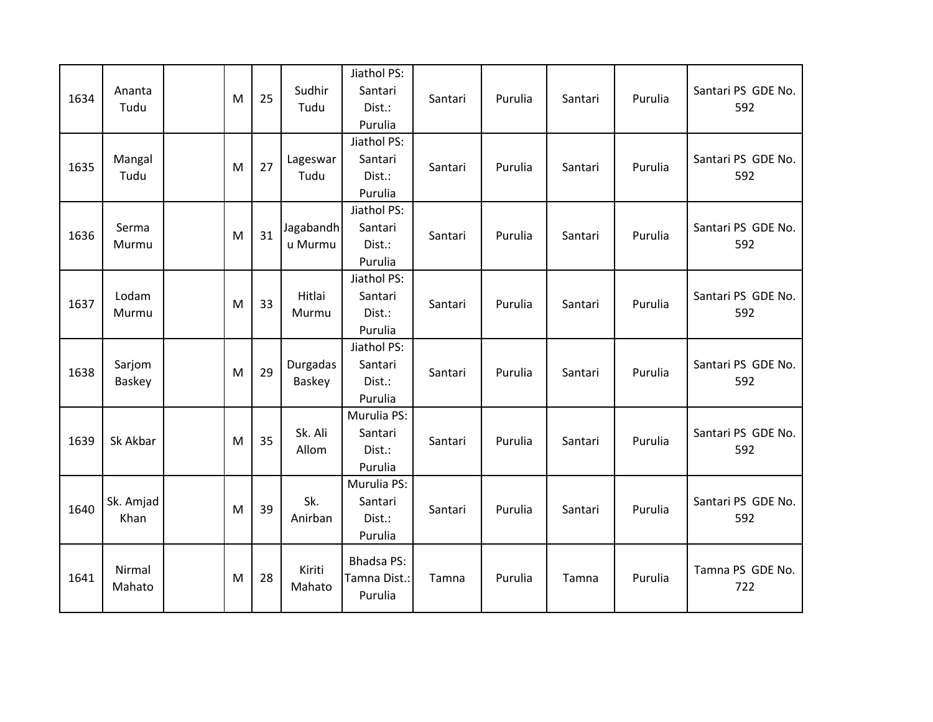| 1634 | Ananta<br>Tudu    | M | 25 | Sudhir<br>Tudu       | Jiathol PS:<br>Santari<br>Dist.:<br>Purulia  | Santari | Purulia | Santari | Purulia | Santari PS GDE No.<br>592 |
|------|-------------------|---|----|----------------------|----------------------------------------------|---------|---------|---------|---------|---------------------------|
| 1635 | Mangal<br>Tudu    | M | 27 | Lageswar<br>Tudu     | Jiathol PS:<br>Santari<br>Dist.:<br>Purulia  | Santari | Purulia | Santari | Purulia | Santari PS GDE No.<br>592 |
| 1636 | Serma<br>Murmu    | M | 31 | Jagabandh<br>u Murmu | Jiathol PS:<br>Santari<br>Dist.:<br>Purulia  | Santari | Purulia | Santari | Purulia | Santari PS GDE No.<br>592 |
| 1637 | Lodam<br>Murmu    | M | 33 | Hitlai<br>Murmu      | Jiathol PS:<br>Santari<br>Dist.:<br>Purulia  | Santari | Purulia | Santari | Purulia | Santari PS GDE No.<br>592 |
| 1638 | Sarjom<br>Baskey  | M | 29 | Durgadas<br>Baskey   | Jiathol PS:<br>Santari<br>Dist.:<br>Purulia  | Santari | Purulia | Santari | Purulia | Santari PS GDE No.<br>592 |
| 1639 | Sk Akbar          | M | 35 | Sk. Ali<br>Allom     | Murulia PS:<br>Santari<br>Dist.:<br>Purulia  | Santari | Purulia | Santari | Purulia | Santari PS GDE No.<br>592 |
| 1640 | Sk. Amjad<br>Khan | M | 39 | Sk.<br>Anirban       | Murulia PS:<br>Santari<br>Dist.:<br>Purulia  | Santari | Purulia | Santari | Purulia | Santari PS GDE No.<br>592 |
| 1641 | Nirmal<br>Mahato  | M | 28 | Kiriti<br>Mahato     | <b>Bhadsa PS:</b><br>Tamna Dist.:<br>Purulia | Tamna   | Purulia | Tamna   | Purulia | Tamna PS GDE No.<br>722   |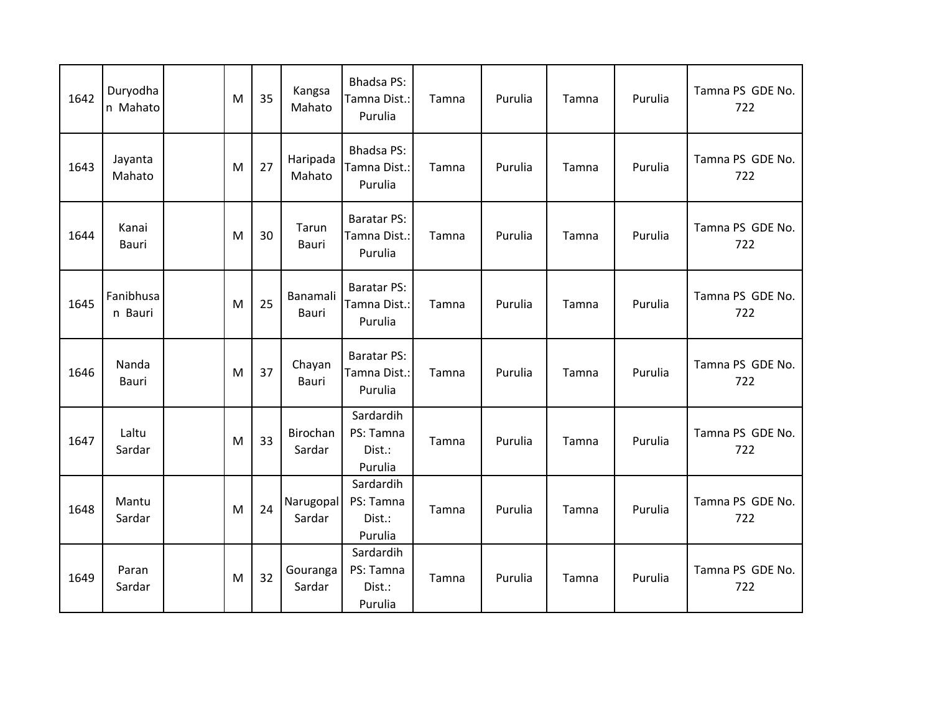| 1642 | Duryodha<br>n Mahato | M | 35 | Kangsa<br>Mahato    | <b>Bhadsa PS:</b><br>Tamna Dist.:<br>Purulia  | Tamna | Purulia | Tamna | Purulia | Tamna PS GDE No.<br>722 |
|------|----------------------|---|----|---------------------|-----------------------------------------------|-------|---------|-------|---------|-------------------------|
| 1643 | Jayanta<br>Mahato    | M | 27 | Haripada<br>Mahato  | <b>Bhadsa PS:</b><br>Tamna Dist.:<br>Purulia  | Tamna | Purulia | Tamna | Purulia | Tamna PS GDE No.<br>722 |
| 1644 | Kanai<br>Bauri       | M | 30 | Tarun<br>Bauri      | <b>Baratar PS:</b><br>Tamna Dist.:<br>Purulia | Tamna | Purulia | Tamna | Purulia | Tamna PS GDE No.<br>722 |
| 1645 | Fanibhusa<br>n Bauri | M | 25 | Banamali<br>Bauri   | <b>Baratar PS:</b><br>Tamna Dist.:<br>Purulia | Tamna | Purulia | Tamna | Purulia | Tamna PS GDE No.<br>722 |
| 1646 | Nanda<br>Bauri       | M | 37 | Chayan<br>Bauri     | <b>Baratar PS:</b><br>Tamna Dist.:<br>Purulia | Tamna | Purulia | Tamna | Purulia | Tamna PS GDE No.<br>722 |
| 1647 | Laltu<br>Sardar      | M | 33 | Birochan<br>Sardar  | Sardardih<br>PS: Tamna<br>Dist.:<br>Purulia   | Tamna | Purulia | Tamna | Purulia | Tamna PS GDE No.<br>722 |
| 1648 | Mantu<br>Sardar      | M | 24 | Narugopal<br>Sardar | Sardardih<br>PS: Tamna<br>Dist.:<br>Purulia   | Tamna | Purulia | Tamna | Purulia | Tamna PS GDE No.<br>722 |
| 1649 | Paran<br>Sardar      | M | 32 | Gouranga<br>Sardar  | Sardardih<br>PS: Tamna<br>Dist.:<br>Purulia   | Tamna | Purulia | Tamna | Purulia | Tamna PS GDE No.<br>722 |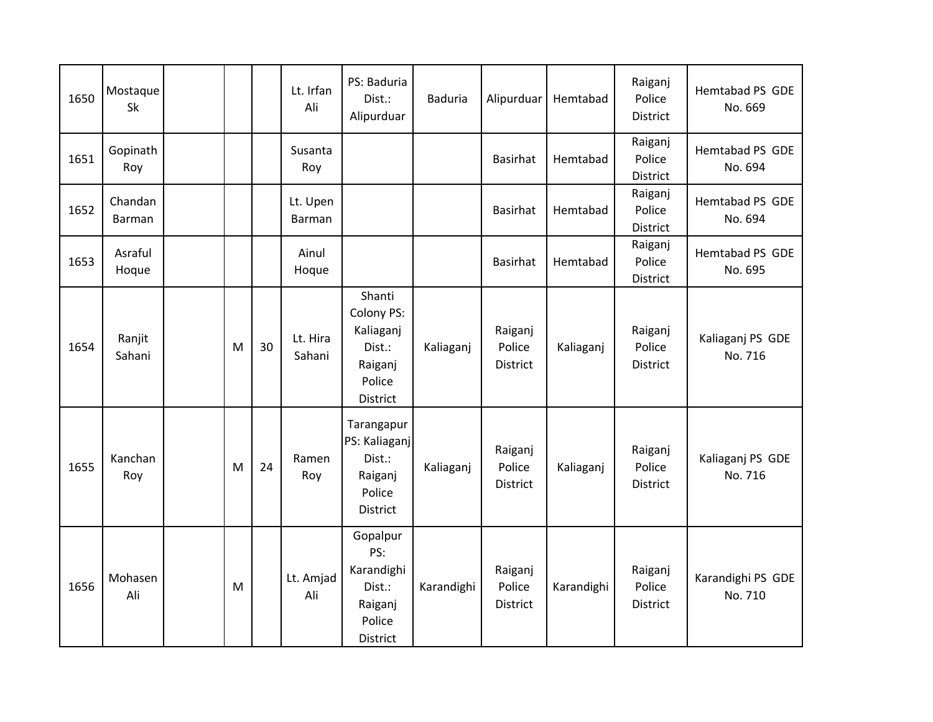| 1650 | Mostaque<br>Sk    |   |    | Lt. Irfan<br>Ali   | PS: Baduria<br>Dist.:<br>Alipurduar                                           | <b>Baduria</b> | Alipurduar                    | Hemtabad   | Raiganj<br>Police<br><b>District</b> | Hemtabad PS GDE<br>No. 669   |
|------|-------------------|---|----|--------------------|-------------------------------------------------------------------------------|----------------|-------------------------------|------------|--------------------------------------|------------------------------|
| 1651 | Gopinath<br>Roy   |   |    | Susanta<br>Roy     |                                                                               |                | <b>Basirhat</b>               | Hemtabad   | Raiganj<br>Police<br>District        | Hemtabad PS GDE<br>No. 694   |
| 1652 | Chandan<br>Barman |   |    | Lt. Upen<br>Barman |                                                                               |                | Basirhat                      | Hemtabad   | Raiganj<br>Police<br>District        | Hemtabad PS GDE<br>No. 694   |
| 1653 | Asraful<br>Hoque  |   |    | Ainul<br>Hoque     |                                                                               |                | <b>Basirhat</b>               | Hemtabad   | Raiganj<br>Police<br>District        | Hemtabad PS GDE<br>No. 695   |
| 1654 | Ranjit<br>Sahani  | M | 30 | Lt. Hira<br>Sahani | Shanti<br>Colony PS:<br>Kaliaganj<br>Dist.:<br>Raiganj<br>Police<br>District  | Kaliaganj      | Raiganj<br>Police<br>District | Kaliaganj  | Raiganj<br>Police<br><b>District</b> | Kaliaganj PS GDE<br>No. 716  |
| 1655 | Kanchan<br>Roy    | M | 24 | Ramen<br>Roy       | Tarangapur<br>PS: Kaliaganj<br>Dist.:<br>Raiganj<br>Police<br><b>District</b> | Kaliaganj      | Raiganj<br>Police<br>District | Kaliaganj  | Raiganj<br>Police<br>District        | Kaliaganj PS GDE<br>No. 716  |
| 1656 | Mohasen<br>Ali    | M |    | Lt. Amjad<br>Ali   | Gopalpur<br>PS:<br>Karandighi<br>Dist.:<br>Raiganj<br>Police<br>District      | Karandighi     | Raiganj<br>Police<br>District | Karandighi | Raiganj<br>Police<br><b>District</b> | Karandighi PS GDE<br>No. 710 |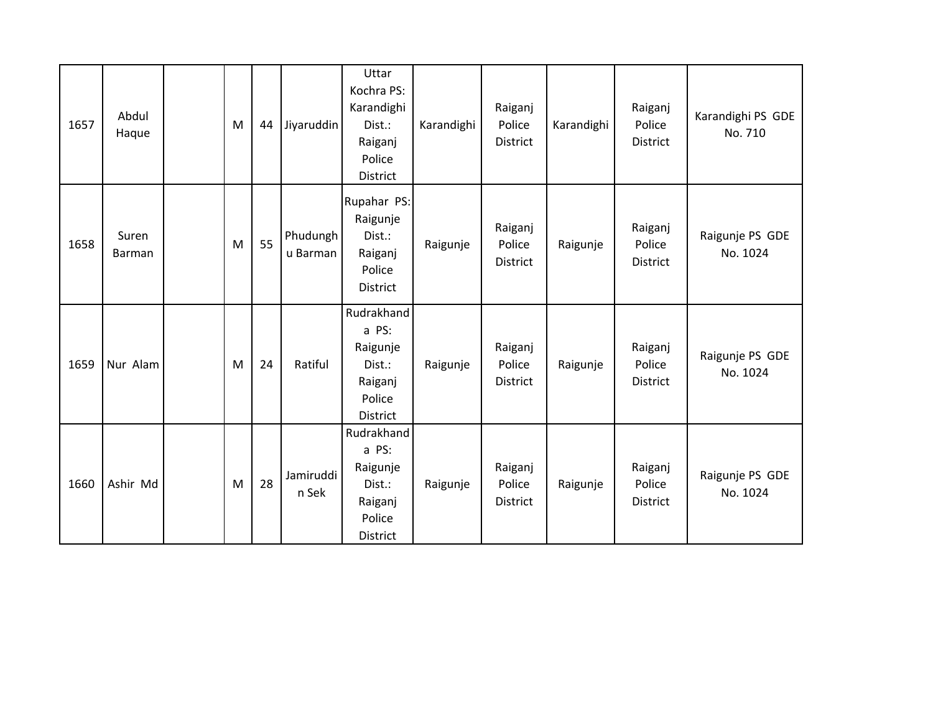| 1657 | Abdul<br>Haque  | M | 44 | Jiyaruddin           | Uttar<br>Kochra PS:<br>Karandighi<br>Dist.:<br>Raiganj<br>Police<br>District | Karandighi | Raiganj<br>Police<br>District        | Karandighi | Raiganj<br>Police<br>District        | Karandighi PS GDE<br>No. 710 |
|------|-----------------|---|----|----------------------|------------------------------------------------------------------------------|------------|--------------------------------------|------------|--------------------------------------|------------------------------|
| 1658 | Suren<br>Barman | M | 55 | Phudungh<br>u Barman | Rupahar PS:<br>Raigunje<br>Dist.:<br>Raiganj<br>Police<br>District           | Raigunje   | Raiganj<br>Police<br><b>District</b> | Raigunje   | Raiganj<br>Police<br><b>District</b> | Raigunje PS GDE<br>No. 1024  |
| 1659 | Nur Alam        | M | 24 | Ratiful              | Rudrakhand<br>a PS:<br>Raigunje<br>Dist.:<br>Raiganj<br>Police<br>District   | Raigunje   | Raiganj<br>Police<br>District        | Raigunje   | Raiganj<br>Police<br>District        | Raigunje PS GDE<br>No. 1024  |
| 1660 | Ashir Md        | M | 28 | Jamiruddi<br>n Sek   | Rudrakhand<br>a PS:<br>Raigunje<br>Dist.:<br>Raiganj<br>Police<br>District   | Raigunje   | Raiganj<br>Police<br>District        | Raigunje   | Raiganj<br>Police<br>District        | Raigunje PS GDE<br>No. 1024  |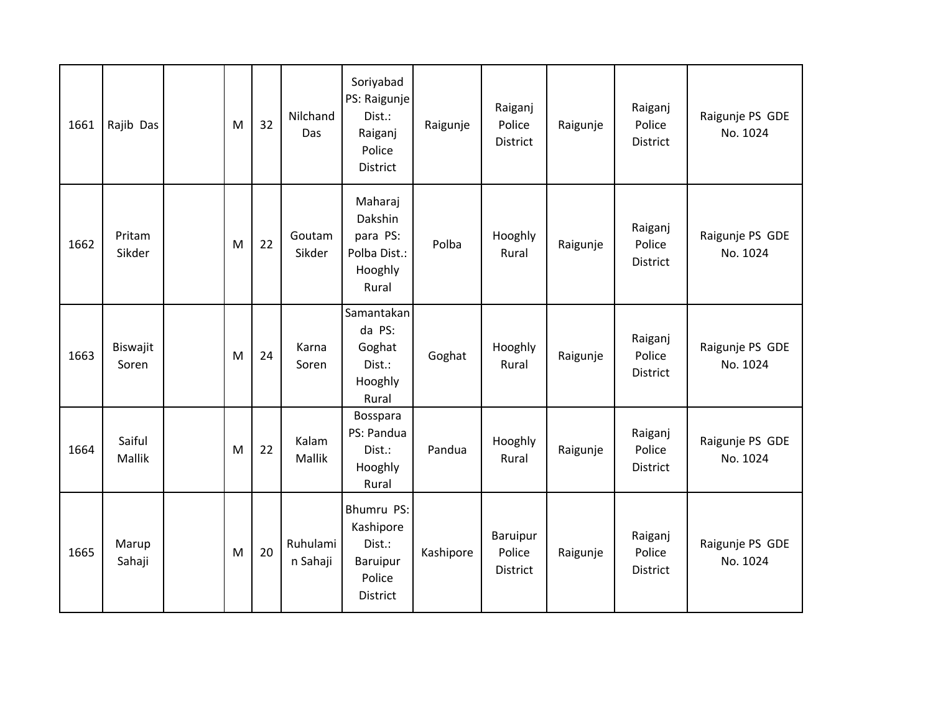| 1661 | Rajib Das         | M | 32 | Nilchand<br>Das      | Soriyabad<br>PS: Raigunje<br>Dist.:<br>Raiganj<br>Police<br><b>District</b> | Raigunje  | Raiganj<br>Police<br><b>District</b>  | Raigunje | Raiganj<br>Police<br><b>District</b> | Raigunje PS GDE<br>No. 1024 |
|------|-------------------|---|----|----------------------|-----------------------------------------------------------------------------|-----------|---------------------------------------|----------|--------------------------------------|-----------------------------|
| 1662 | Pritam<br>Sikder  | M | 22 | Goutam<br>Sikder     | Maharaj<br>Dakshin<br>para PS:<br>Polba Dist.:<br>Hooghly<br>Rural          | Polba     | Hooghly<br>Rural                      | Raigunje | Raiganj<br>Police<br><b>District</b> | Raigunje PS GDE<br>No. 1024 |
| 1663 | Biswajit<br>Soren | M | 24 | Karna<br>Soren       | Samantakan<br>da PS:<br>Goghat<br>Dist.:<br>Hooghly<br>Rural                | Goghat    | Hooghly<br>Rural                      | Raigunje | Raiganj<br>Police<br><b>District</b> | Raigunje PS GDE<br>No. 1024 |
| 1664 | Saiful<br>Mallik  | M | 22 | Kalam<br>Mallik      | Bosspara<br>PS: Pandua<br>Dist.:<br>Hooghly<br>Rural                        | Pandua    | Hooghly<br>Rural                      | Raigunje | Raiganj<br>Police<br>District        | Raigunje PS GDE<br>No. 1024 |
| 1665 | Marup<br>Sahaji   | M | 20 | Ruhulami<br>n Sahaji | Bhumru PS:<br>Kashipore<br>Dist.:<br>Baruipur<br>Police<br><b>District</b>  | Kashipore | Baruipur<br>Police<br><b>District</b> | Raigunje | Raiganj<br>Police<br><b>District</b> | Raigunje PS GDE<br>No. 1024 |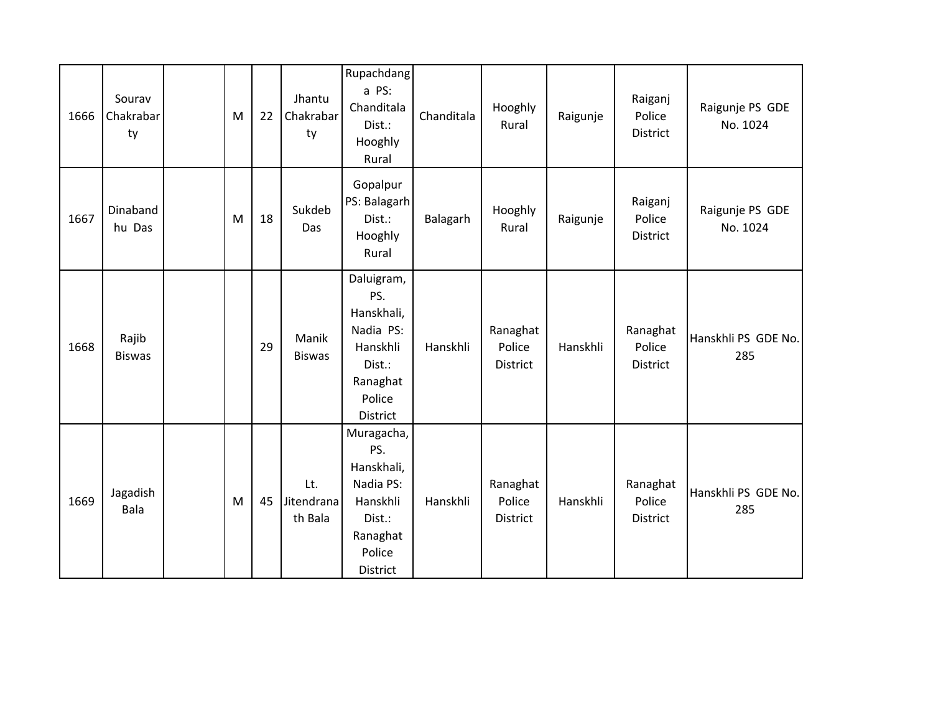| 1666 | Sourav<br>Chakrabar<br>ty | M | 22 | Jhantu<br>Chakrabar<br>ty    | Rupachdang<br>a PS:<br>Chanditala<br>Dist.:<br>Hooghly<br>Rural                                             | Chanditala | Hooghly<br>Rural               | Raigunje | Raiganj<br>Police<br>District  | Raigunje PS GDE<br>No. 1024 |
|------|---------------------------|---|----|------------------------------|-------------------------------------------------------------------------------------------------------------|------------|--------------------------------|----------|--------------------------------|-----------------------------|
| 1667 | Dinaband<br>hu Das        | M | 18 | Sukdeb<br>Das                | Gopalpur<br>PS: Balagarh<br>Dist.:<br>Hooghly<br>Rural                                                      | Balagarh   | Hooghly<br>Rural               | Raigunje | Raiganj<br>Police<br>District  | Raigunje PS GDE<br>No. 1024 |
| 1668 | Rajib<br><b>Biswas</b>    |   | 29 | Manik<br><b>Biswas</b>       | Daluigram,<br>PS.<br>Hanskhali,<br>Nadia PS:<br>Hanskhli<br>Dist.:<br>Ranaghat<br>Police<br><b>District</b> | Hanskhli   | Ranaghat<br>Police<br>District | Hanskhli | Ranaghat<br>Police<br>District | Hanskhli PS GDE No.<br>285  |
| 1669 | Jagadish<br>Bala          | M | 45 | Lt.<br>Jitendrana<br>th Bala | Muragacha,<br>PS.<br>Hanskhali,<br>Nadia PS:<br>Hanskhli<br>Dist.:<br>Ranaghat<br>Police<br>District        | Hanskhli   | Ranaghat<br>Police<br>District | Hanskhli | Ranaghat<br>Police<br>District | Hanskhli PS GDE No.<br>285  |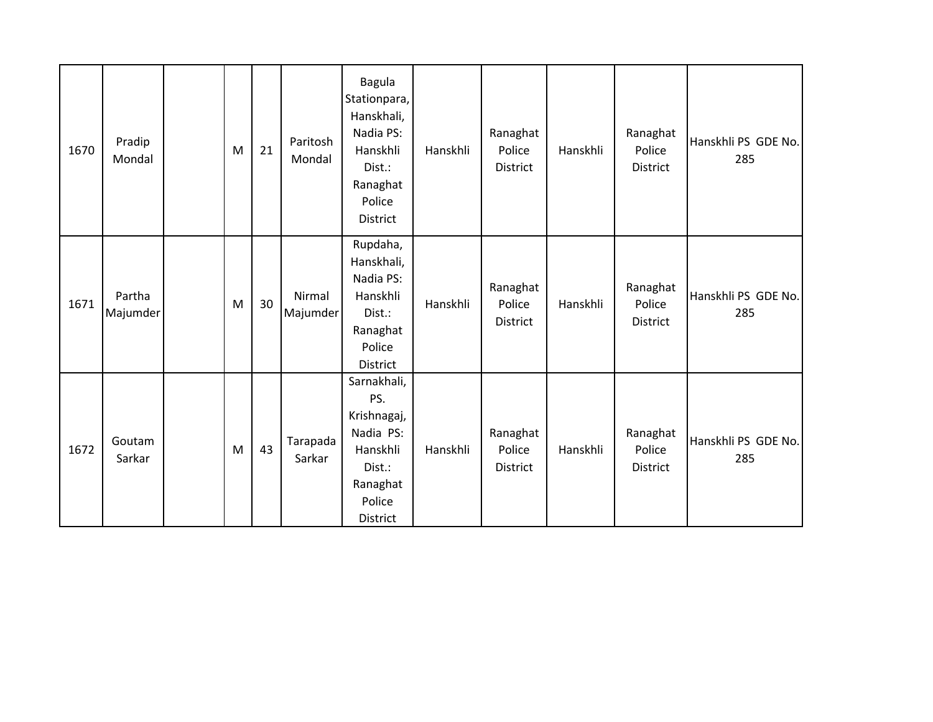| 1670 | Pradip<br>Mondal   | M | 21 | Paritosh<br>Mondal | <b>Bagula</b><br>Stationpara,<br>Hanskhali,<br>Nadia PS:<br>Hanskhli<br>Dist.:<br>Ranaghat<br>Police<br>District | Hanskhli | Ranaghat<br>Police<br>District | Hanskhli | Ranaghat<br>Police<br><b>District</b> | Hanskhli PS GDE No.<br>285 |
|------|--------------------|---|----|--------------------|------------------------------------------------------------------------------------------------------------------|----------|--------------------------------|----------|---------------------------------------|----------------------------|
| 1671 | Partha<br>Majumder | M | 30 | Nirmal<br>Majumder | Rupdaha,<br>Hanskhali,<br>Nadia PS:<br>Hanskhli<br>Dist.:<br>Ranaghat<br>Police<br>District                      | Hanskhli | Ranaghat<br>Police<br>District | Hanskhli | Ranaghat<br>Police<br><b>District</b> | Hanskhli PS GDE No.<br>285 |
| 1672 | Goutam<br>Sarkar   | M | 43 | Tarapada<br>Sarkar | Sarnakhali,<br>PS.<br>Krishnagaj,<br>Nadia PS:<br>Hanskhli<br>Dist.:<br>Ranaghat<br>Police<br>District           | Hanskhli | Ranaghat<br>Police<br>District | Hanskhli | Ranaghat<br>Police<br>District        | Hanskhli PS GDE No.<br>285 |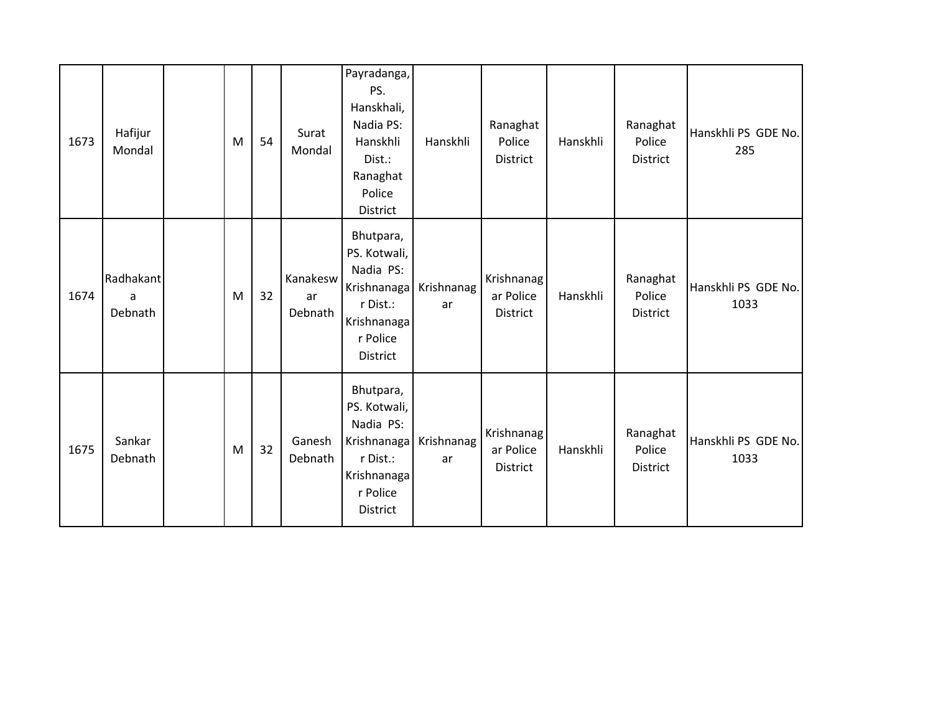| 1673 | Hafijur<br>Mondal         | M | 54 | Surat<br>Mondal           | Payradanga,<br>PS.<br>Hanskhali,<br>Nadia PS:<br>Hanskhli<br>Dist.:<br>Ranaghat<br>Police<br>District    | Hanskhli         | Ranaghat<br>Police<br>District      | Hanskhli | Ranaghat<br>Police<br><b>District</b> | Hanskhli PS GDE No.<br>285  |
|------|---------------------------|---|----|---------------------------|----------------------------------------------------------------------------------------------------------|------------------|-------------------------------------|----------|---------------------------------------|-----------------------------|
| 1674 | Radhakant<br>a<br>Debnath | M | 32 | Kanakesw<br>ar<br>Debnath | Bhutpara,<br>PS. Kotwali,<br>Nadia PS:<br>Krishnanaga<br>r Dist.:<br>Krishnanaga<br>r Police<br>District | Krishnanag<br>ar | Krishnanag<br>ar Police<br>District | Hanskhli | Ranaghat<br>Police<br><b>District</b> | Hanskhli PS GDE No.<br>1033 |
| 1675 | Sankar<br>Debnath         | M | 32 | Ganesh<br>Debnath         | Bhutpara,<br>PS. Kotwali,<br>Nadia PS:<br>Krishnanaga<br>r Dist.:<br>Krishnanaga<br>r Police<br>District | Krishnanag<br>ar | Krishnanag<br>ar Police<br>District | Hanskhli | Ranaghat<br>Police<br><b>District</b> | Hanskhli PS GDE No.<br>1033 |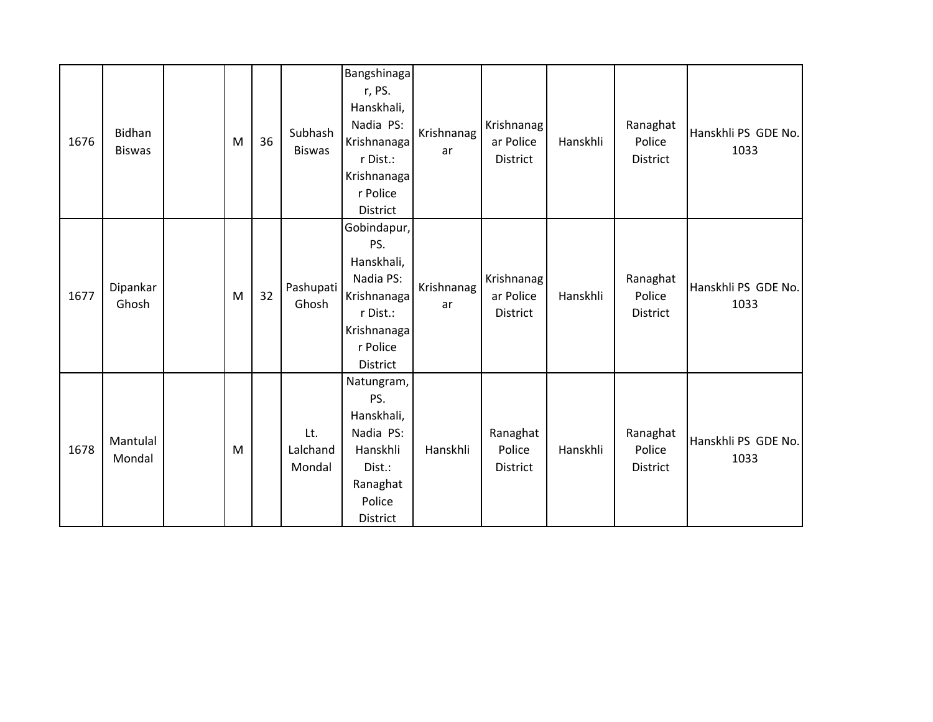| 1676 | Bidhan<br><b>Biswas</b> | M | 36 | Subhash<br><b>Biswas</b>  | <b>Bangshinaga</b><br>r, PS.<br>Hanskhali,<br>Nadia PS:<br>Krishnanaga<br>r Dist.:<br>Krishnanaga<br>r Police<br>District | Krishnanag<br>ar | Krishnanag<br>ar Police<br>District | Hanskhli | Ranaghat<br>Police<br><b>District</b> | Hanskhli PS GDE No.<br>1033 |
|------|-------------------------|---|----|---------------------------|---------------------------------------------------------------------------------------------------------------------------|------------------|-------------------------------------|----------|---------------------------------------|-----------------------------|
| 1677 | Dipankar<br>Ghosh       | M | 32 | Pashupati<br>Ghosh        | Gobindapur,<br>PS.<br>Hanskhali,<br>Nadia PS:<br>Krishnanaga<br>r Dist.:<br>Krishnanaga<br>r Police<br>District           | Krishnanag<br>ar | Krishnanag<br>ar Police<br>District | Hanskhli | Ranaghat<br>Police<br><b>District</b> | Hanskhli PS GDE No.<br>1033 |
| 1678 | Mantulal<br>Mondal      | M |    | Lt.<br>Lalchand<br>Mondal | Natungram,<br>PS.<br>Hanskhali,<br>Nadia PS:<br>Hanskhli<br>Dist.:<br>Ranaghat<br>Police<br>District                      | Hanskhli         | Ranaghat<br>Police<br>District      | Hanskhli | Ranaghat<br>Police<br><b>District</b> | Hanskhli PS GDE No.<br>1033 |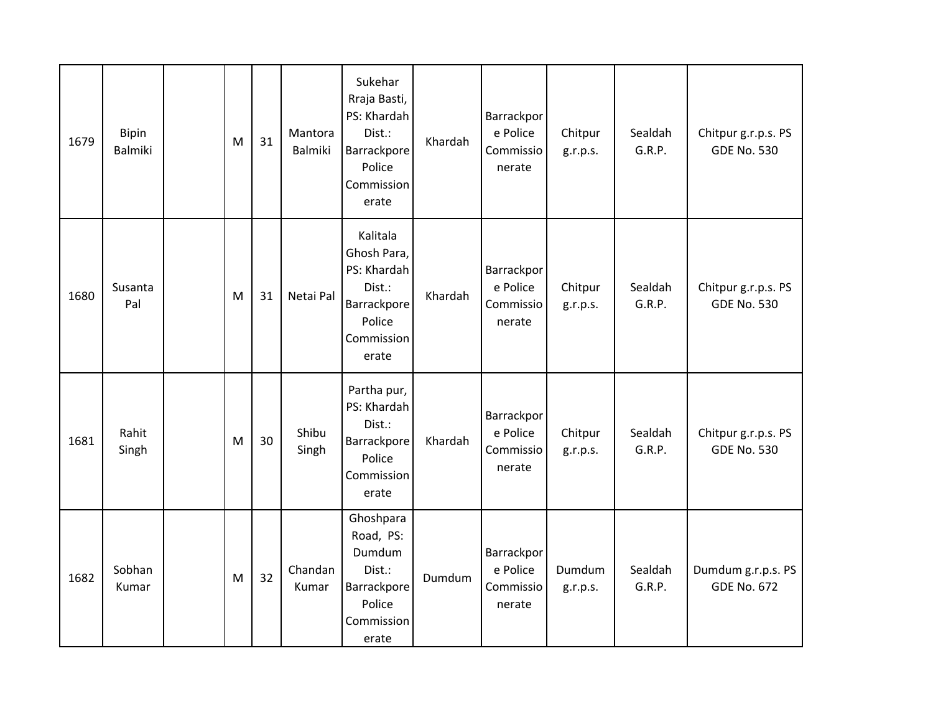| 1679 | <b>Bipin</b><br><b>Balmiki</b> | ${\sf M}$ | 31 | Mantora<br><b>Balmiki</b> | Sukehar<br>Rraja Basti,<br>PS: Khardah<br>Dist.:<br>Barrackpore<br>Police<br>Commission<br>erate | Khardah | Barrackpor<br>e Police<br>Commissio<br>nerate | Chitpur<br>g.r.p.s. | Sealdah<br>G.R.P. | Chitpur g.r.p.s. PS<br><b>GDE No. 530</b> |
|------|--------------------------------|-----------|----|---------------------------|--------------------------------------------------------------------------------------------------|---------|-----------------------------------------------|---------------------|-------------------|-------------------------------------------|
| 1680 | Susanta<br>Pal                 | M         | 31 | Netai Pal                 | Kalitala<br>Ghosh Para,<br>PS: Khardah<br>Dist.:<br>Barrackpore<br>Police<br>Commission<br>erate | Khardah | Barrackpor<br>e Police<br>Commissio<br>nerate | Chitpur<br>g.r.p.s. | Sealdah<br>G.R.P. | Chitpur g.r.p.s. PS<br><b>GDE No. 530</b> |
| 1681 | Rahit<br>Singh                 | M         | 30 | Shibu<br>Singh            | Partha pur,<br>PS: Khardah<br>Dist.:<br>Barrackpore<br>Police<br>Commission<br>erate             | Khardah | Barrackpor<br>e Police<br>Commissio<br>nerate | Chitpur<br>g.r.p.s. | Sealdah<br>G.R.P. | Chitpur g.r.p.s. PS<br><b>GDE No. 530</b> |
| 1682 | Sobhan<br>Kumar                | M         | 32 | Chandan<br>Kumar          | Ghoshpara<br>Road, PS:<br>Dumdum<br>Dist.:<br>Barrackpore<br>Police<br>Commission<br>erate       | Dumdum  | Barrackpor<br>e Police<br>Commissio<br>nerate | Dumdum<br>g.r.p.s.  | Sealdah<br>G.R.P. | Dumdum g.r.p.s. PS<br><b>GDE No. 672</b>  |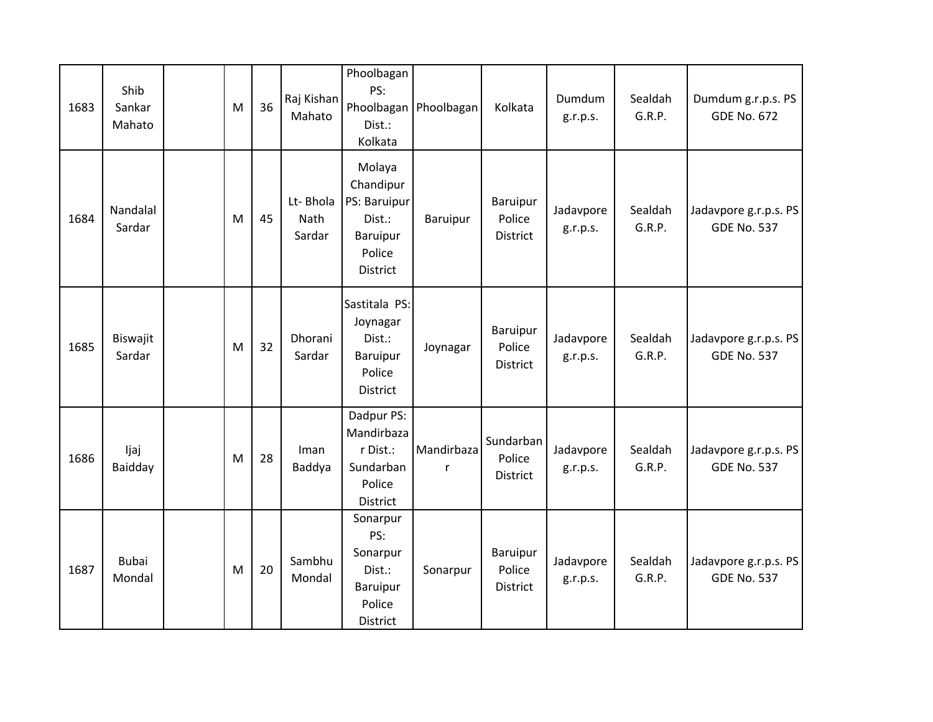| 1683 | Shib<br>Sankar<br>Mahato | M | 36 | Raj Kishan<br>Mahato       | Phoolbagan<br>PS:<br>Dist.:<br>Kolkata                                          | Phoolbagan   Phoolbagan | Kolkata                               | Dumdum<br>g.r.p.s.    | Sealdah<br>G.R.P. | Dumdum g.r.p.s. PS<br><b>GDE No. 672</b>    |
|------|--------------------------|---|----|----------------------------|---------------------------------------------------------------------------------|-------------------------|---------------------------------------|-----------------------|-------------------|---------------------------------------------|
| 1684 | Nandalal<br>Sardar       | M | 45 | Lt-Bhola<br>Nath<br>Sardar | Molaya<br>Chandipur<br>PS: Baruipur<br>Dist.:<br>Baruipur<br>Police<br>District | Baruipur                | Baruipur<br>Police<br><b>District</b> | Jadavpore<br>g.r.p.s. | Sealdah<br>G.R.P. | Jadavpore g.r.p.s. PS<br><b>GDE No. 537</b> |
| 1685 | Biswajit<br>Sardar       | M | 32 | Dhorani<br>Sardar          | Sastitala PS:<br>Joynagar<br>Dist.:<br>Baruipur<br>Police<br>District           | Joynagar                | Baruipur<br>Police<br><b>District</b> | Jadavpore<br>g.r.p.s. | Sealdah<br>G.R.P. | Jadavpore g.r.p.s. PS<br><b>GDE No. 537</b> |
| 1686 | ljaj<br>Baidday          | M | 28 | Iman<br>Baddya             | Dadpur PS:<br>Mandirbaza<br>r Dist.:<br>Sundarban<br>Police<br>District         | Mandirbaza<br>r         | Sundarban<br>Police<br>District       | Jadavpore<br>g.r.p.s. | Sealdah<br>G.R.P. | Jadavpore g.r.p.s. PS<br><b>GDE No. 537</b> |
| 1687 | <b>Bubai</b><br>Mondal   | M | 20 | Sambhu<br>Mondal           | Sonarpur<br>PS:<br>Sonarpur<br>Dist.:<br>Baruipur<br>Police<br>District         | Sonarpur                | Baruipur<br>Police<br><b>District</b> | Jadavpore<br>g.r.p.s. | Sealdah<br>G.R.P. | Jadavpore g.r.p.s. PS<br><b>GDE No. 537</b> |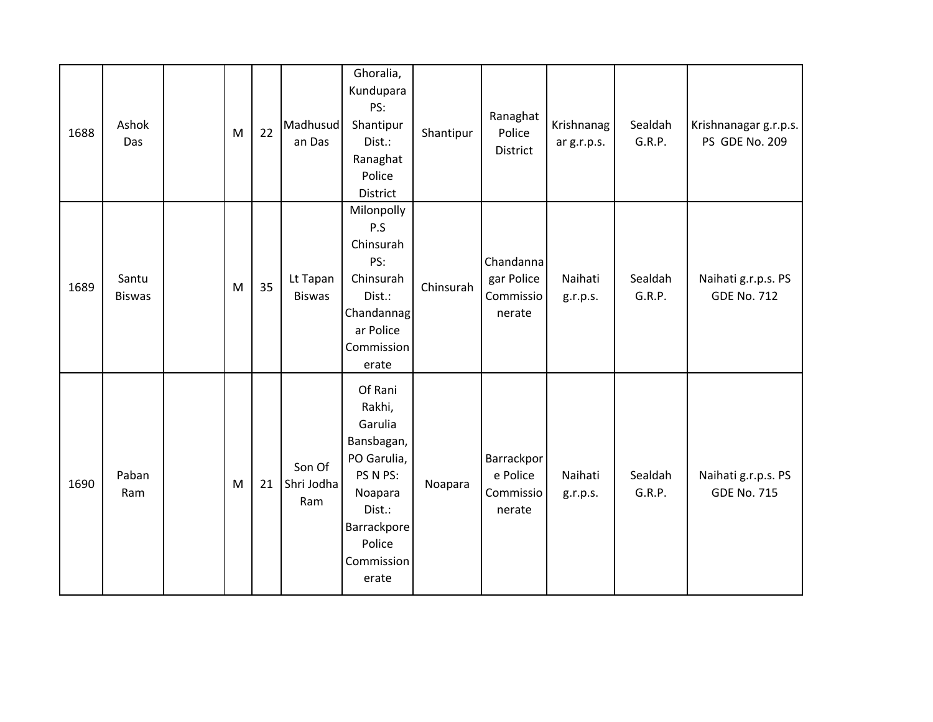| 1688 | Ashok<br>Das           | M | 22 | Madhusud<br>an Das          | Ghoralia,<br>Kundupara<br>PS:<br>Shantipur<br>Dist.:<br>Ranaghat<br>Police<br>District                                                     | Shantipur | Ranaghat<br>Police<br>District                 | Krishnanag<br>ar g.r.p.s. | Sealdah<br>G.R.P. | Krishnanagar g.r.p.s.<br>PS GDE No. 209   |
|------|------------------------|---|----|-----------------------------|--------------------------------------------------------------------------------------------------------------------------------------------|-----------|------------------------------------------------|---------------------------|-------------------|-------------------------------------------|
| 1689 | Santu<br><b>Biswas</b> | M | 35 | Lt Tapan<br><b>Biswas</b>   | Milonpolly<br>P.S<br>Chinsurah<br>PS:<br>Chinsurah<br>Dist.:<br>Chandannag<br>ar Police<br>Commission<br>erate                             | Chinsurah | Chandanna<br>gar Police<br>Commissio<br>nerate | Naihati<br>g.r.p.s.       | Sealdah<br>G.R.P. | Naihati g.r.p.s. PS<br><b>GDE No. 712</b> |
| 1690 | Paban<br>Ram           | M | 21 | Son Of<br>Shri Jodha<br>Ram | Of Rani<br>Rakhi,<br>Garulia<br>Bansbagan,<br>PO Garulia,<br>PS N PS:<br>Noapara<br>Dist.:<br>Barrackpore<br>Police<br>Commission<br>erate | Noapara   | Barrackpor<br>e Police<br>Commissio<br>nerate  | Naihati<br>g.r.p.s.       | Sealdah<br>G.R.P. | Naihati g.r.p.s. PS<br><b>GDE No. 715</b> |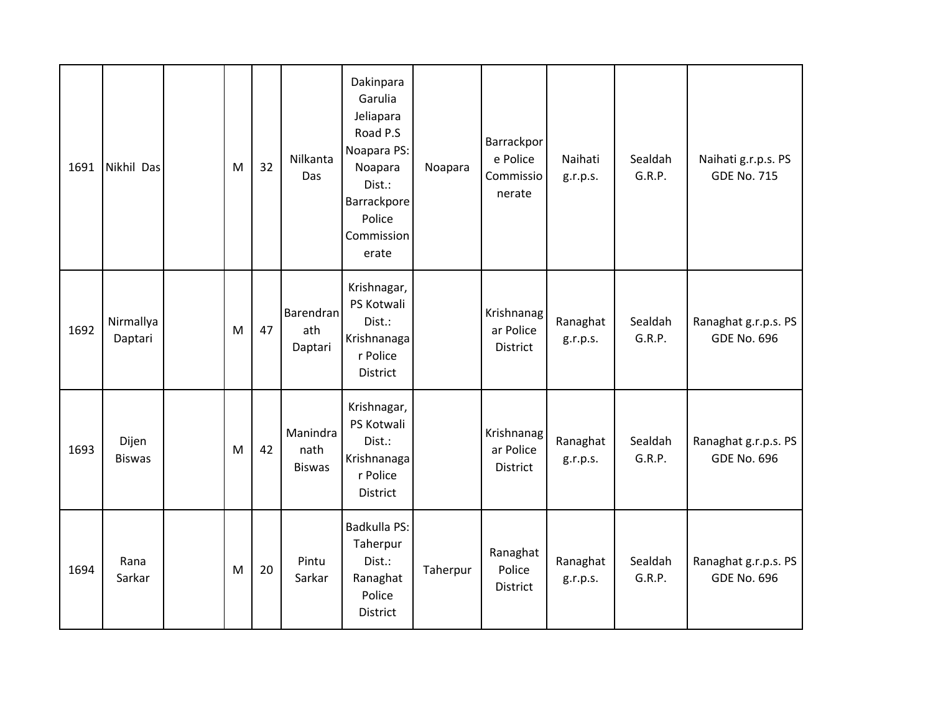| 1691 | Nikhil Das             | M | 32 | Nilkanta<br>Das                   | Dakinpara<br>Garulia<br>Jeliapara<br>Road P.S<br>Noapara PS:<br>Noapara<br>Dist.:<br>Barrackpore<br>Police<br>Commission<br>erate | Noapara  | Barrackpor<br>e Police<br>Commissio<br>nerate | Naihati<br>g.r.p.s.  | Sealdah<br>G.R.P. | Naihati g.r.p.s. PS<br><b>GDE No. 715</b>  |
|------|------------------------|---|----|-----------------------------------|-----------------------------------------------------------------------------------------------------------------------------------|----------|-----------------------------------------------|----------------------|-------------------|--------------------------------------------|
| 1692 | Nirmallya<br>Daptari   | M | 47 | Barendran<br>ath<br>Daptari       | Krishnagar,<br>PS Kotwali<br>Dist.:<br>Krishnanaga<br>r Police<br>District                                                        |          | Krishnanag<br>ar Police<br>District           | Ranaghat<br>g.r.p.s. | Sealdah<br>G.R.P. | Ranaghat g.r.p.s. PS<br><b>GDE No. 696</b> |
| 1693 | Dijen<br><b>Biswas</b> | M | 42 | Manindra<br>nath<br><b>Biswas</b> | Krishnagar,<br>PS Kotwali<br>Dist.:<br>Krishnanaga<br>r Police<br>District                                                        |          | Krishnanag<br>ar Police<br><b>District</b>    | Ranaghat<br>g.r.p.s. | Sealdah<br>G.R.P. | Ranaghat g.r.p.s. PS<br><b>GDE No. 696</b> |
| 1694 | Rana<br>Sarkar         | M | 20 | Pintu<br>Sarkar                   | Badkulla PS:<br>Taherpur<br>Dist.:<br>Ranaghat<br>Police<br>District                                                              | Taherpur | Ranaghat<br>Police<br>District                | Ranaghat<br>g.r.p.s. | Sealdah<br>G.R.P. | Ranaghat g.r.p.s. PS<br><b>GDE No. 696</b> |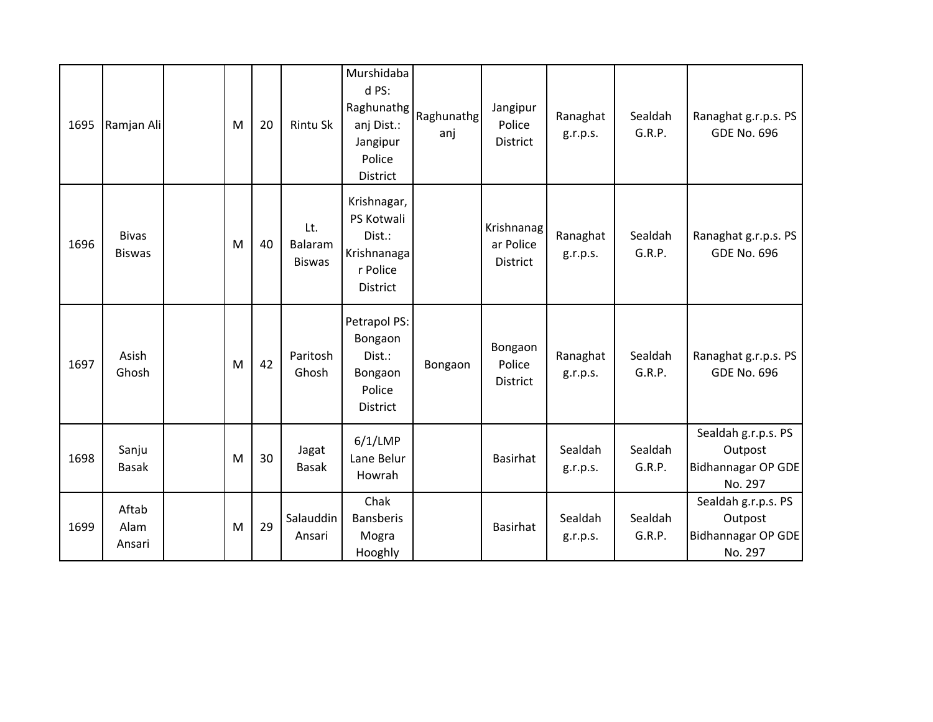| 1695 | Ramjan Ali                    | M | 20 | Rintu Sk                        | Murshidaba<br>d PS:<br>Raghunathg<br>anj Dist.:<br>Jangipur<br>Police<br>District | Raghunathg<br>anj | Jangipur<br>Police<br>District             | Ranaghat<br>g.r.p.s. | Sealdah<br>G.R.P. | Ranaghat g.r.p.s. PS<br><b>GDE No. 696</b>                             |
|------|-------------------------------|---|----|---------------------------------|-----------------------------------------------------------------------------------|-------------------|--------------------------------------------|----------------------|-------------------|------------------------------------------------------------------------|
| 1696 | <b>Bivas</b><br><b>Biswas</b> | M | 40 | Lt.<br>Balaram<br><b>Biswas</b> | Krishnagar,<br>PS Kotwali<br>Dist.:<br>Krishnanaga<br>r Police<br>District        |                   | Krishnanag<br>ar Police<br><b>District</b> | Ranaghat<br>g.r.p.s. | Sealdah<br>G.R.P. | Ranaghat g.r.p.s. PS<br><b>GDE No. 696</b>                             |
| 1697 | Asish<br>Ghosh                | M | 42 | Paritosh<br>Ghosh               | Petrapol PS:<br>Bongaon<br>Dist.:<br>Bongaon<br>Police<br>District                | Bongaon           | Bongaon<br>Police<br><b>District</b>       | Ranaghat<br>g.r.p.s. | Sealdah<br>G.R.P. | Ranaghat g.r.p.s. PS<br><b>GDE No. 696</b>                             |
| 1698 | Sanju<br><b>Basak</b>         | M | 30 | Jagat<br><b>Basak</b>           | $6/1$ /LMP<br>Lane Belur<br>Howrah                                                |                   | <b>Basirhat</b>                            | Sealdah<br>g.r.p.s.  | Sealdah<br>G.R.P. | Sealdah g.r.p.s. PS<br>Outpost<br><b>Bidhannagar OP GDE</b><br>No. 297 |
| 1699 | Aftab<br>Alam<br>Ansari       | M | 29 | Salauddin<br>Ansari             | Chak<br><b>Bansberis</b><br>Mogra<br>Hooghly                                      |                   | <b>Basirhat</b>                            | Sealdah<br>g.r.p.s.  | Sealdah<br>G.R.P. | Sealdah g.r.p.s. PS<br>Outpost<br>Bidhannagar OP GDE<br>No. 297        |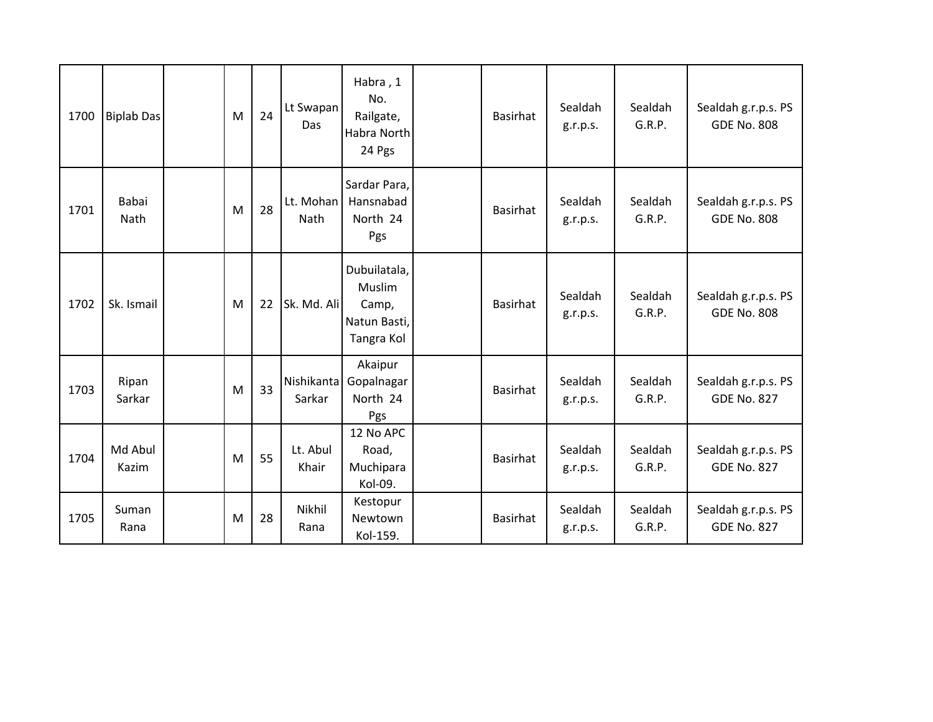| 1700 | <b>Biplab Das</b> | M | 24 | Lt Swapan<br>Das     | Habra, 1<br>No.<br>Railgate,<br>Habra North<br>24 Pgs         | <b>Basirhat</b> | Sealdah<br>g.r.p.s. | Sealdah<br>G.R.P. | Sealdah g.r.p.s. PS<br><b>GDE No. 808</b> |
|------|-------------------|---|----|----------------------|---------------------------------------------------------------|-----------------|---------------------|-------------------|-------------------------------------------|
| 1701 | Babai<br>Nath     | M | 28 | Lt. Mohan<br>Nath    | Sardar Para,<br>Hansnabad<br>North 24<br>Pgs                  | <b>Basirhat</b> | Sealdah<br>g.r.p.s. | Sealdah<br>G.R.P. | Sealdah g.r.p.s. PS<br><b>GDE No. 808</b> |
| 1702 | Sk. Ismail        | M | 22 | Sk. Md. Ali          | Dubuilatala,<br>Muslim<br>Camp,<br>Natun Basti,<br>Tangra Kol | <b>Basirhat</b> | Sealdah<br>g.r.p.s. | Sealdah<br>G.R.P. | Sealdah g.r.p.s. PS<br><b>GDE No. 808</b> |
| 1703 | Ripan<br>Sarkar   | M | 33 | Nishikanta<br>Sarkar | Akaipur<br>Gopalnagar<br>North 24<br>Pgs                      | <b>Basirhat</b> | Sealdah<br>g.r.p.s. | Sealdah<br>G.R.P. | Sealdah g.r.p.s. PS<br><b>GDE No. 827</b> |
| 1704 | Md Abul<br>Kazim  | M | 55 | Lt. Abul<br>Khair    | 12 No APC<br>Road,<br>Muchipara<br>Kol-09.                    | <b>Basirhat</b> | Sealdah<br>g.r.p.s. | Sealdah<br>G.R.P. | Sealdah g.r.p.s. PS<br><b>GDE No. 827</b> |
| 1705 | Suman<br>Rana     | M | 28 | Nikhil<br>Rana       | Kestopur<br>Newtown<br>Kol-159.                               | <b>Basirhat</b> | Sealdah<br>g.r.p.s. | Sealdah<br>G.R.P. | Sealdah g.r.p.s. PS<br><b>GDE No. 827</b> |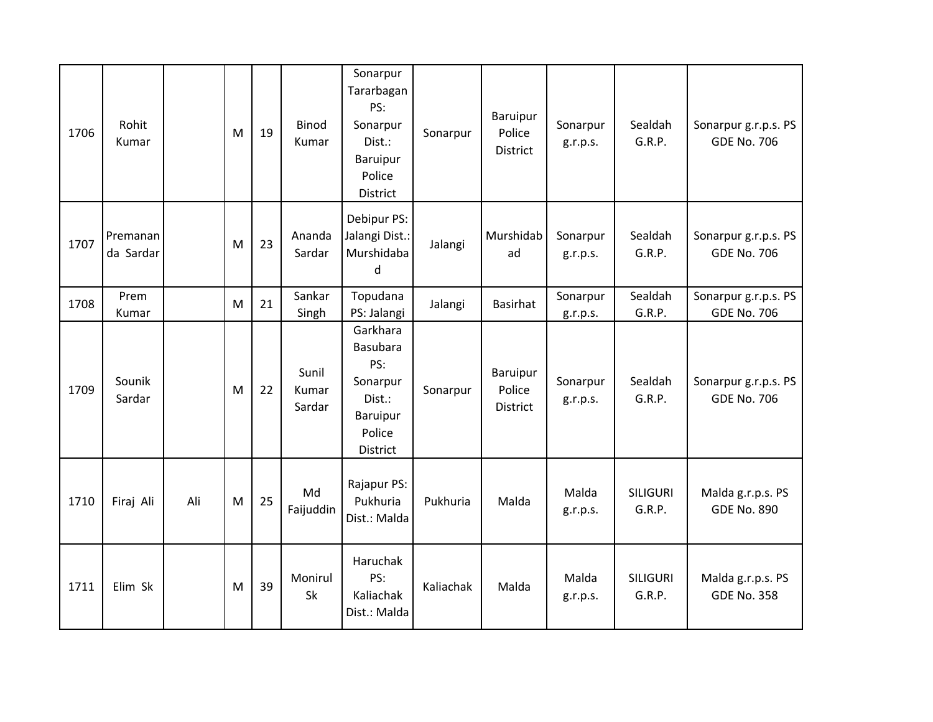| 1706 | Rohit<br>Kumar        |     | M | 19 | <b>Binod</b><br>Kumar    | Sonarpur<br>Tararbagan<br>PS:<br>Sonarpur<br>Dist.:<br>Baruipur<br>Police<br>District | Sonarpur  | <b>Baruipur</b><br>Police<br><b>District</b> | Sonarpur<br>g.r.p.s. | Sealdah<br>G.R.P.         | Sonarpur g.r.p.s. PS<br><b>GDE No. 706</b> |
|------|-----------------------|-----|---|----|--------------------------|---------------------------------------------------------------------------------------|-----------|----------------------------------------------|----------------------|---------------------------|--------------------------------------------|
| 1707 | Premanan<br>da Sardar |     | M | 23 | Ananda<br>Sardar         | Debipur PS:<br>Jalangi Dist.:<br>Murshidaba<br>d                                      | Jalangi   | Murshidab<br>ad                              | Sonarpur<br>g.r.p.s. | Sealdah<br>G.R.P.         | Sonarpur g.r.p.s. PS<br><b>GDE No. 706</b> |
| 1708 | Prem<br>Kumar         |     | M | 21 | Sankar<br>Singh          | Topudana<br>PS: Jalangi                                                               | Jalangi   | <b>Basirhat</b>                              | Sonarpur<br>g.r.p.s. | Sealdah<br>G.R.P.         | Sonarpur g.r.p.s. PS<br><b>GDE No. 706</b> |
| 1709 | Sounik<br>Sardar      |     | M | 22 | Sunil<br>Kumar<br>Sardar | Garkhara<br>Basubara<br>PS:<br>Sonarpur<br>Dist.:<br>Baruipur<br>Police<br>District   | Sonarpur  | Baruipur<br>Police<br><b>District</b>        | Sonarpur<br>g.r.p.s. | Sealdah<br>G.R.P.         | Sonarpur g.r.p.s. PS<br><b>GDE No. 706</b> |
| 1710 | Firaj Ali             | Ali | M | 25 | Md<br>Faijuddin          | Rajapur PS:<br>Pukhuria<br>Dist.: Malda                                               | Pukhuria  | Malda                                        | Malda<br>g.r.p.s.    | <b>SILIGURI</b><br>G.R.P. | Malda g.r.p.s. PS<br><b>GDE No. 890</b>    |
| 1711 | Elim Sk               |     | M | 39 | Monirul<br>Sk            | Haruchak<br>PS:<br>Kaliachak<br>Dist.: Malda                                          | Kaliachak | Malda                                        | Malda<br>g.r.p.s.    | <b>SILIGURI</b><br>G.R.P. | Malda g.r.p.s. PS<br><b>GDE No. 358</b>    |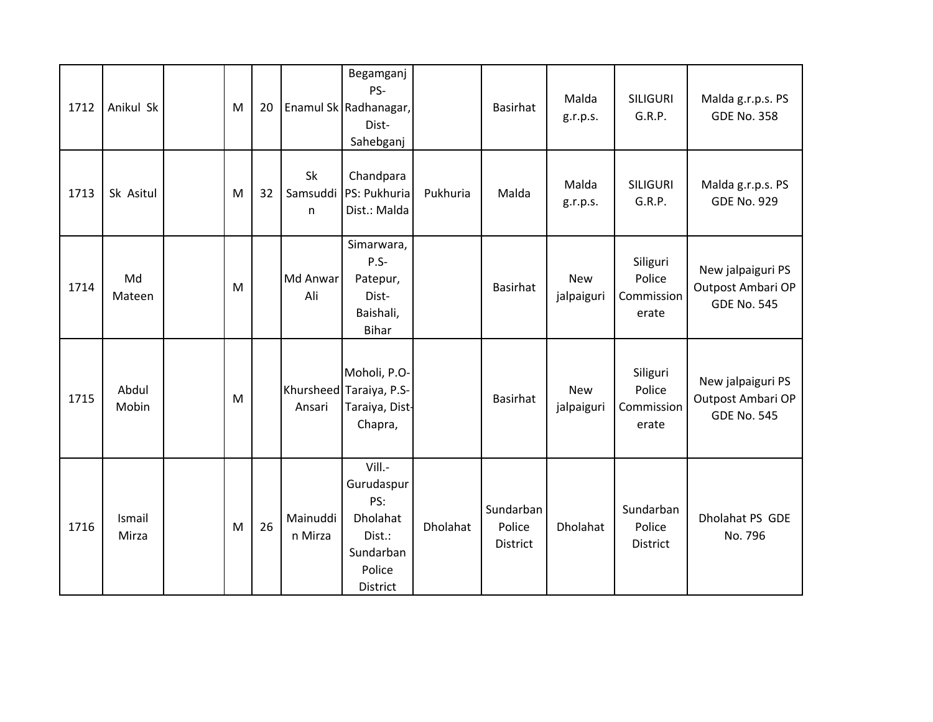| 1712 | Anikul Sk       | M | 20 |                     | Begamganj<br>PS-<br>Enamul Sk Radhanagar,<br>Dist-<br>Sahebganj                             |          | <b>Basirhat</b>                 | Malda<br>g.r.p.s.        | <b>SILIGURI</b><br>G.R.P.                 | Malda g.r.p.s. PS<br><b>GDE No. 358</b>                      |
|------|-----------------|---|----|---------------------|---------------------------------------------------------------------------------------------|----------|---------------------------------|--------------------------|-------------------------------------------|--------------------------------------------------------------|
| 1713 | Sk Asitul       | M | 32 | Sk<br>Samsuddi<br>n | Chandpara<br>PS: Pukhuria<br>Dist.: Malda                                                   | Pukhuria | Malda                           | Malda<br>g.r.p.s.        | <b>SILIGURI</b><br>G.R.P.                 | Malda g.r.p.s. PS<br><b>GDE No. 929</b>                      |
| 1714 | Md<br>Mateen    | M |    | Md Anwar<br>Ali     | Simarwara,<br>P.S-<br>Patepur,<br>Dist-<br>Baishali,<br><b>Bihar</b>                        |          | <b>Basirhat</b>                 | <b>New</b><br>jalpaiguri | Siliguri<br>Police<br>Commission<br>erate | New jalpaiguri PS<br>Outpost Ambari OP<br><b>GDE No. 545</b> |
| 1715 | Abdul<br>Mobin  | M |    | Ansari              | Moholi, P.O-<br>Khursheed Taraiya, P.S-<br>Taraiya, Dist-<br>Chapra,                        |          | <b>Basirhat</b>                 | <b>New</b><br>jalpaiguri | Siliguri<br>Police<br>Commission<br>erate | New jalpaiguri PS<br>Outpost Ambari OP<br><b>GDE No. 545</b> |
| 1716 | Ismail<br>Mirza | M | 26 | Mainuddi<br>n Mirza | Vill.-<br>Gurudaspur<br>PS:<br>Dholahat<br>Dist.:<br>Sundarban<br>Police<br><b>District</b> | Dholahat | Sundarban<br>Police<br>District | <b>Dholahat</b>          | Sundarban<br>Police<br>District           | Dholahat PS GDE<br>No. 796                                   |